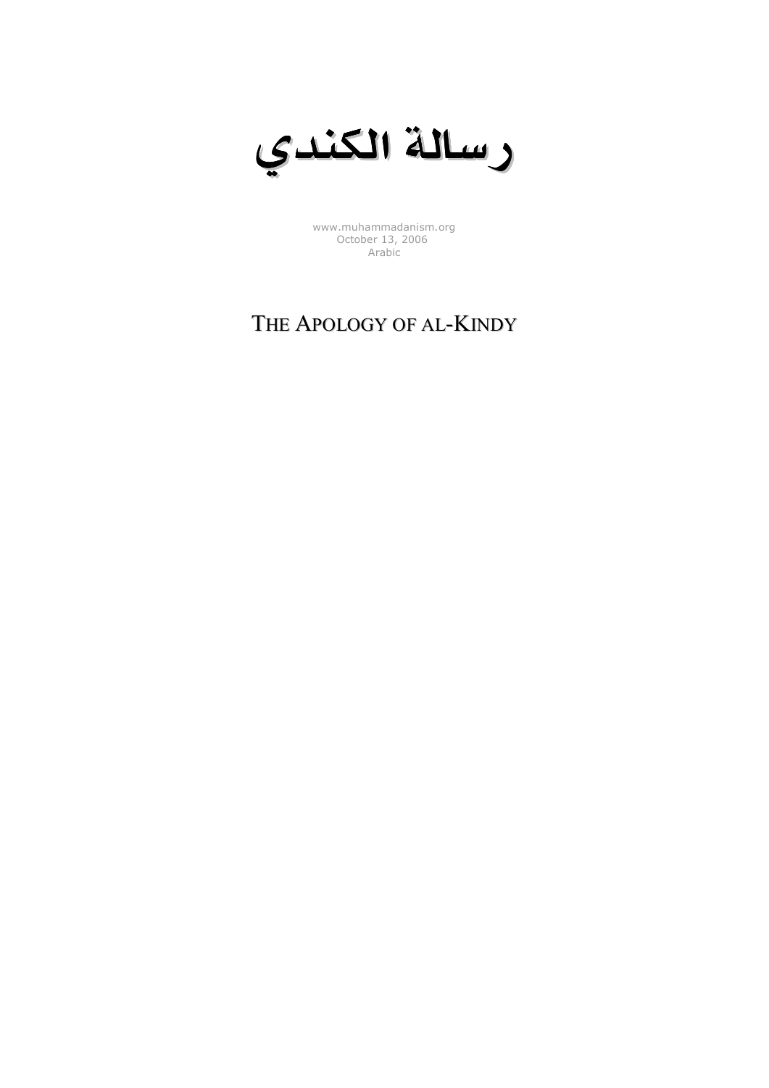

[www.muhammadanism.org](http://www.muhammadanism.org/Arabic/default.htm) October 13, 2006 Arabic

## THE APOLOGY OF AL-KINDY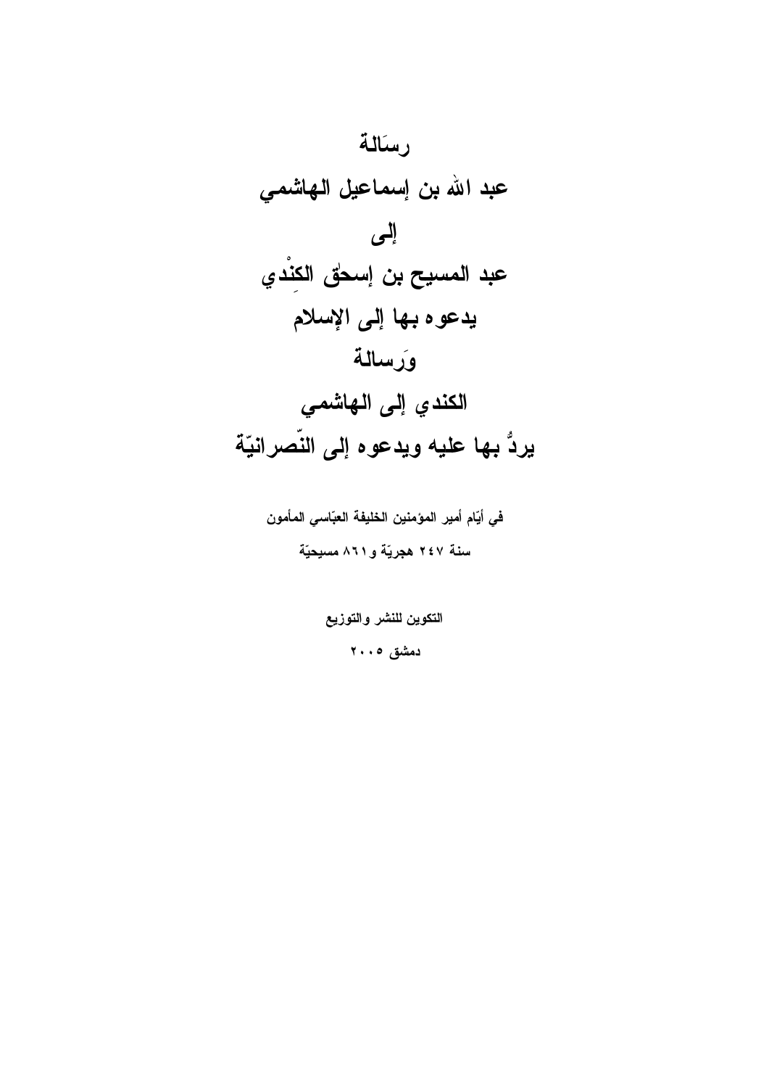

في أيّام أمير المؤمنين الخليفة العبّاسي المأمون سنة ٢٤٧ هجريّة و٨٦١ مسيحيّة

التكوين للنشر والتوزيع

دمشق ۰،۰۰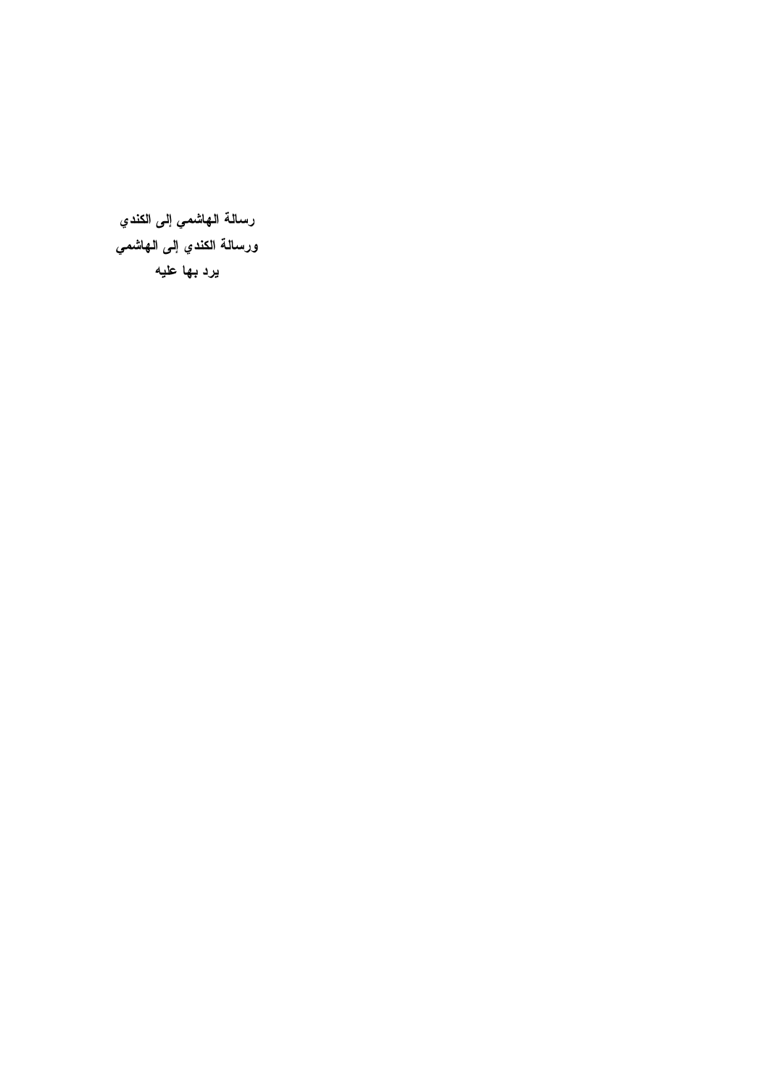رسالة الهاشمي إلى الكندي ورسالة الكندي إلى الهاشمي يرد بها عليه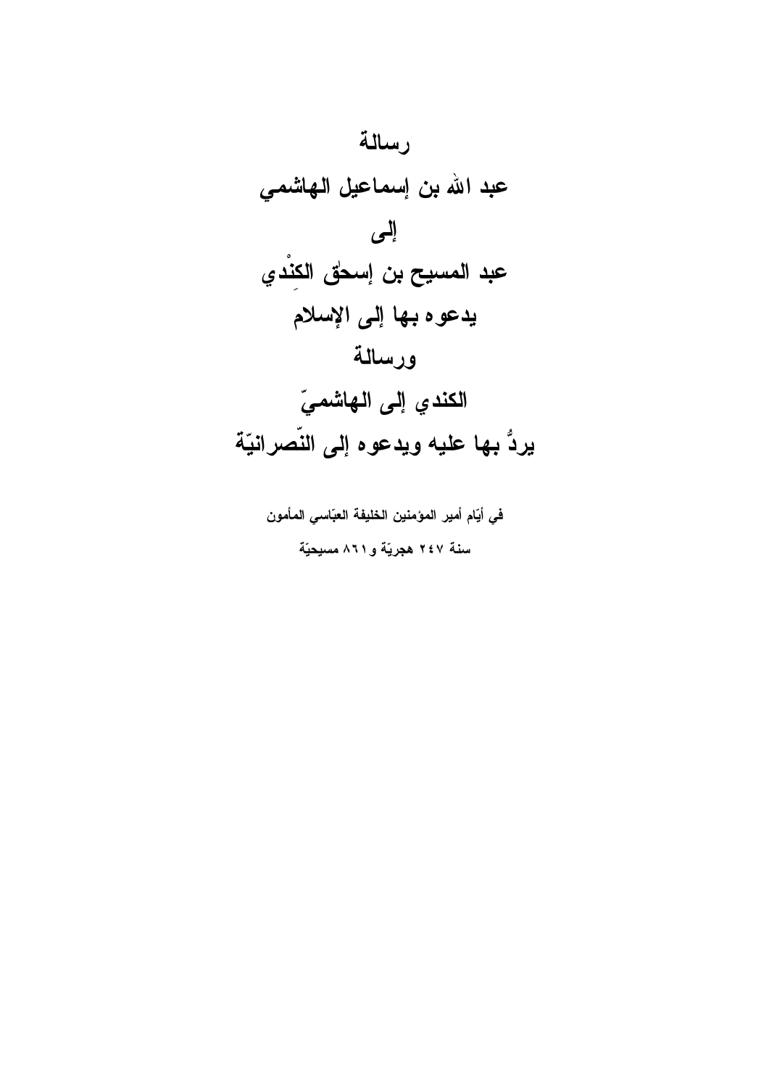

في أيّام أمير المؤمنين الخليفة العبّاسي المأمون سنة ٢٤٧ هجريّة و ٨٦١ مسيحيّة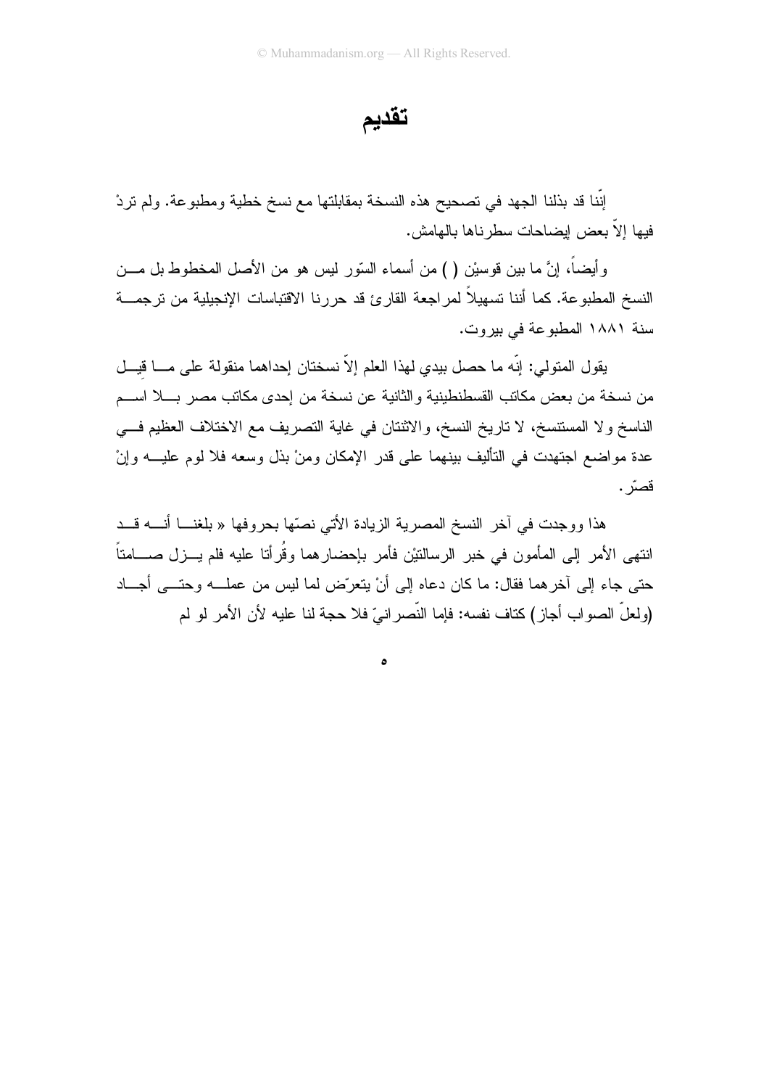تقديم

إنَّنا قد بذلنا الجهد في تصحيح هذه النسخة بمقابلتها مع نسخ خطية ومطبوعة. ولم نردْ فيها إلاَّ بعض إيضاحات سطر ناها بالمهامش.

وأيضاً، إنَّ ما بين قوسيْن ( ) من أسماء السّور ليس هو من الأصل المخطوط بل مـــن النسخ المطبوعة. كما أننا تسهيلاً لمراجعة القارئ قد حررنا الاقتباسات الإنجيلية من ترجمـــة سنة ١٨٨١ المطبوعة في بيروت.

يقول المتولى: إنَّه ما حصل بيدي لهذا العلم إلاَّ نسختان إحداهما منقولة على مـــا قيـــل من نسخة من بعض مكانب القسطنطينية والثانية عن نسخة من إحدى مكانب مصر بـــلا اســـم الناسخ ولا المستتسخ، لا تاريخ النسخ، والاثنتان في غاية التصريف مع الاختلاف العظيم فــي عدة مو اضمع اجتهدت في التأليف بينهما على قدر الإمكان ومنْ بذل وسعه فلا لوم عليـــه وإنْ قصرّ .

هذا ووجدت في أخر النسخ المصرية الزيادة الأتي نصّها بحروفها « بلغنـــا أنــــه قـــد انتهى الأمر إلى المأمون في خبر الرسالنتيْن فأمر بإحضارهما وقُرأتا عليه فلم يـــزل صـــــامتاً حتى جاء إلى أخرهما فقال: ما كان دعاه إلى أنْ يتعرَّض لما ليس من عملـــه وحتـــى أجـــاد (ولعلِّ الصواب أجاز ) كتاف نفسه: فإما النَّصر انيّ فلا حجة لنا عليه لأن الأمر لو لم

ە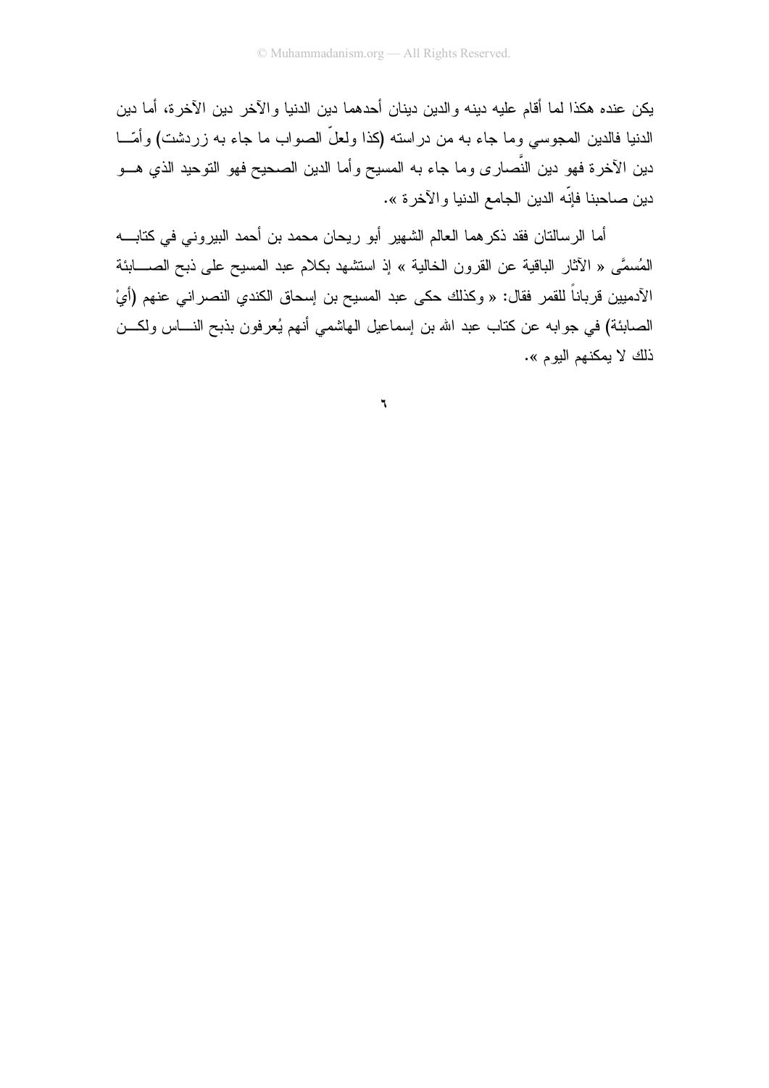يكن عنده هكذا لما أقام عليه دينه والدين دينان أحدهما دين الدنيا والآخر دين الآخرة، أما دين الدنيا فالدين المجوسى وما جاء به من دراسته (كذا ولعلَّ الصواب ما جاء به زردشت) وأمَّـــا دين الآخرة فهو دين النَّصـار ى وما جاء به المسيح وأما الدين الصـحيح فهو النوحيد الذي هـــو دين صـاحبنا فإنّه الدين الجامع الدنيا والآخرة ».

أما الرسالتان فقد ذكر هما العالم الشهير أبو ريحان محمد بن أحمد البيروني في كتابــــه المُسمَّى « الآثار الباقية عن القرون الخالية » إذ استشهد بكلام عبد المسيح على ذبح الصــــابئة الآدميين قرباناً للقمر فقال: « وكذلك حكى عبد المسيح بن إسحاق الكندي النصر اني عنهم (أيْ الصابئة) في جوابه عن كتاب عبد الله بن إسماعيل الهاشمي أنهم يُعرفون بذبح النــــاس ولكـــن ذلك لا يمكنهم اليوم ».

 $\mathbf{r}$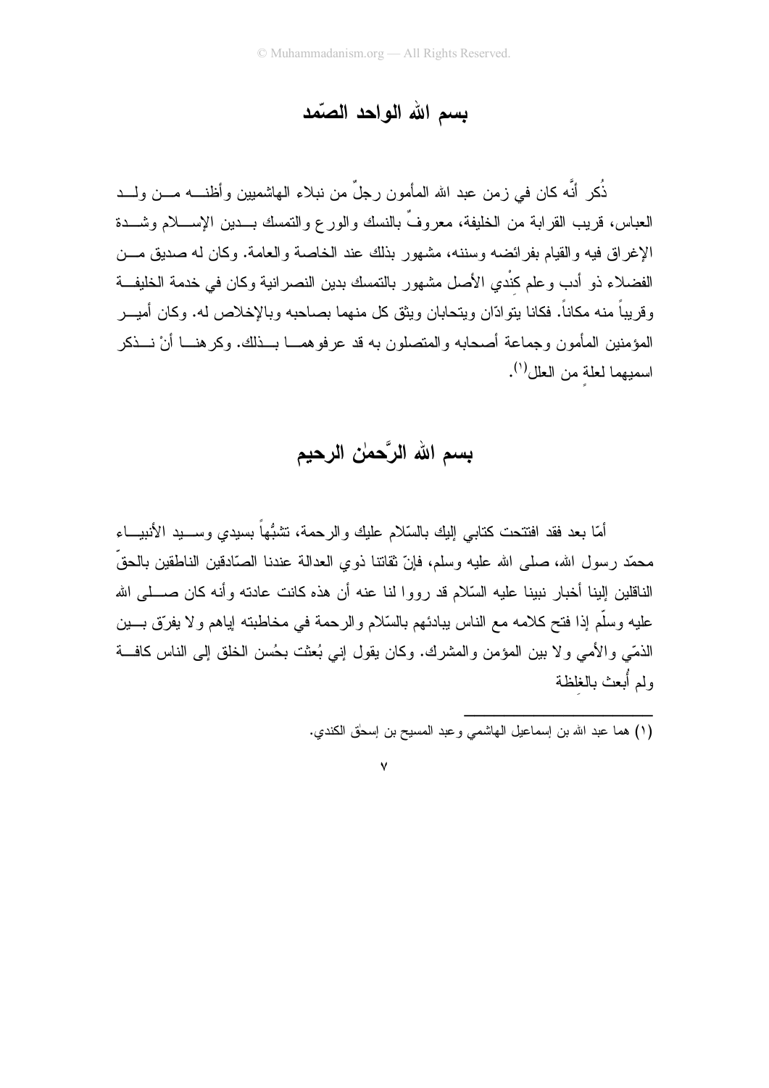## بسم الله الواحد الصّمد

ذُكر أنّه كان في زمن عبد الله المأمون رجلٌ من نبلاء الهاشميين وأظنــــه مــــن ولــــد العباس، قريب القرابة من الخليفة، معروفٌ بالنسك والورع والتمسك بـــدين الإســــلام وشــــدة الإغراق فيه والقيام بفرائضه وسننه، مشهور بذلك عند الخاصة والعامة. وكان له صديق مـــن الفضلاء ذو أدب و علم كنْدي الأصل مشهور بالتمسك بدبن النصر انبة و كان في خدمة الخليفــة و قر بباً منه مكاناً. فكانا بنو ادّان وبتحابان وبثق كل منهما بصاحبه وبالإخلاص له. وكان أمبــر المؤمنين المأمون وجماعة أصحابه والمتصلون به قد عرفوهمـــا بـــذلك. وكرهنـــا أنْ نـــذكر اسميهما لعلة من العلل<sup>(١)</sup>.

بسم الله الرَّحمٰن الرحيم

أمَّا بعد فقد افتتحت كتابي إليك بالسَّلام عليك والرحمة، نشبُّهاً بسيدي وســـيد الأنبيـــاء محمّد رسول الله، صلى الله عليه وسلم، فإنّ نقاتنا ذوى العدالة عندنا الصّادقين الناطقين بالحقّ الناقلين إلينا أخبار نبينا عليه السّلام قد رووا لنا عنه أن هذه كانت عادنه وأنه كان صــــلـى الله عليه وسلَّم إذا فتح كلامه مع الناس ببادئهم بالسَّلام والرحمة في مخاطبته إياهم ولا يفرِّق بــــين الذمّي والأمي ولا بين المؤمن والمشرك. وكان يقول إني بُعثت بحُسن الخلق إلى الناس كافتّ ولم أبعث بالغلظة

 $\vee$ 

<sup>(</sup>١) هما عبد الله بن إسماعيل الهاشمي وعبد المسيح بن إسحٰق الكندي.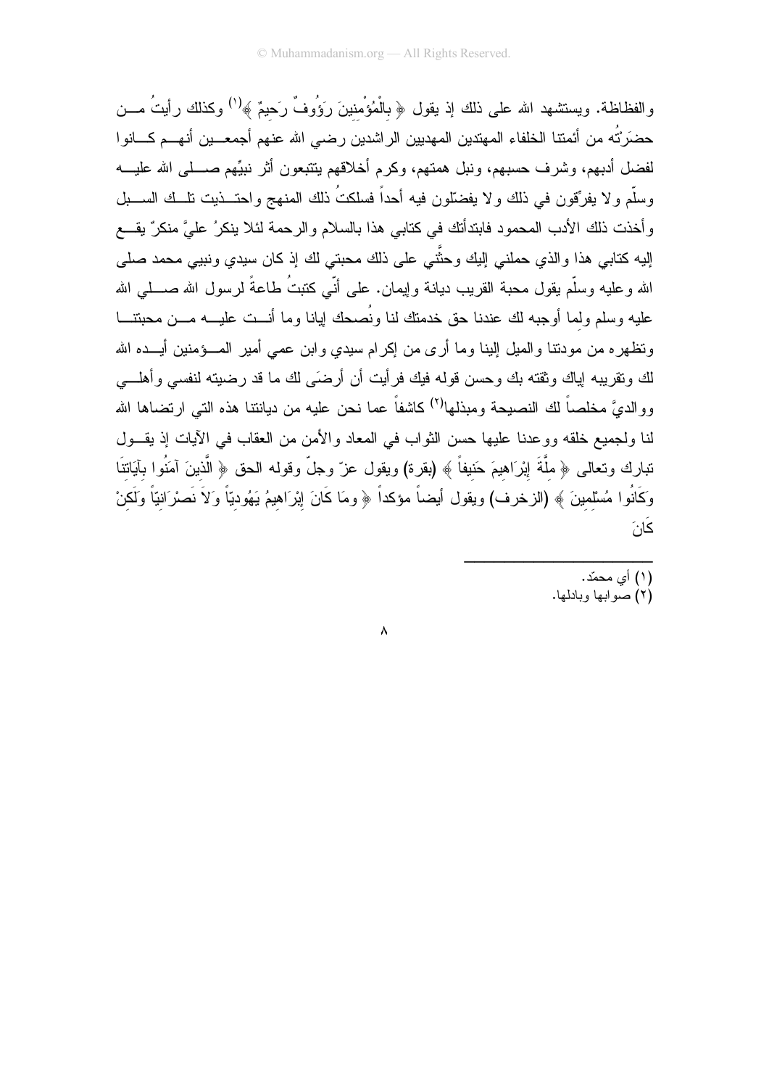والفظاظة. ويستشهد الله على ذلك إذ يقول ﴿ بِالْمُؤْمِنينَ رَؤُوفٌ رَحيمٌ ﴾ (') وكذلك رأيتُ مـــن حضَرَتُه من أئمتنا الخلفاء المهتدين المهديين الراشدين رضىي الله عنهم أجمعـــين أنهـــم كــــانو ا لفضل أدبهم، وشرف حسبهم، ونبل همتهم، وكرم أخلاقهم يتتبعون أثر نبيِّهم صــــلـي الله عليــــه وسلَّم ولا يفرِّقون في ذلك ولا يفضِّلون فيه أحداً فسلكتُ ذلك المنهج واحتـــذيت نلـــك الســـبل وأخذت ذلك الأدب المحمود فابتدأتك في كتابي هذا بالسلام والرحمة لئلا ينكرُ عليَّ منكرٌ يقـــع إليه كتابـي هذا والذي حملنـي الِيك وحثَّنـي علـي ذلك محبتـي لك إذ كان سيدي ونبيبي محمد صلـي الله و عليه وسلَّم يقول محبة القريب ديانة وإيمان. علمي أنَّبي كتبتُ طاعةً لرسول الله صـــــلـي الله عليه وسلم ولما أوجبه لك عندنا حق خدمتك لنا ونُصحك ليانا وما أنـــت عليـــه مـــن محبتنــــا ونظهر ِه من مودنتا والميل الينا وما أرى من اكر ام سيدى وابن عمى أمير المسؤمنين أيـــده الله لك و تقر بيه إياك و ثقته بك و حسن قوله فيك فر أيت أن أر ضيّ لك ما قد ر ضيته لنفسى و أهلـــى ووالديَّ مخلصاً لك النصيحة ومبذلها<sup>(٢)</sup> كاشفاً عما نحن عليه من ديانتنا هذه التي ارتضاها الله لنا ولجميع خلقه ووعدنا عليها حسن الثواب في المعاد والأمن من العقاب في الأيات إذ يقــول تبارك وتعالى ﴿ ملَّةَ إِبْرَاهِيمَ حَنيفاً ﴾ (بقرة) ويقول عزّ وجلّ وقوله الحق ﴿ الَّذينَ آمَنُوا بآيَاتنَا وَكَانُوا مُسْلمينَ ﴾ (الزخرف) ويقول أيضاً مؤكداً ﴿ ومَا كَانَ إِبْرَاهِيمُ يَهُوديّاً وَلاَ نَصْرَانيّاً وَلَكنْ ڬۘڶۘ

 $\lambda$ 

- (۱) أي محمّد.
- (٢) صو ابها وبادلها.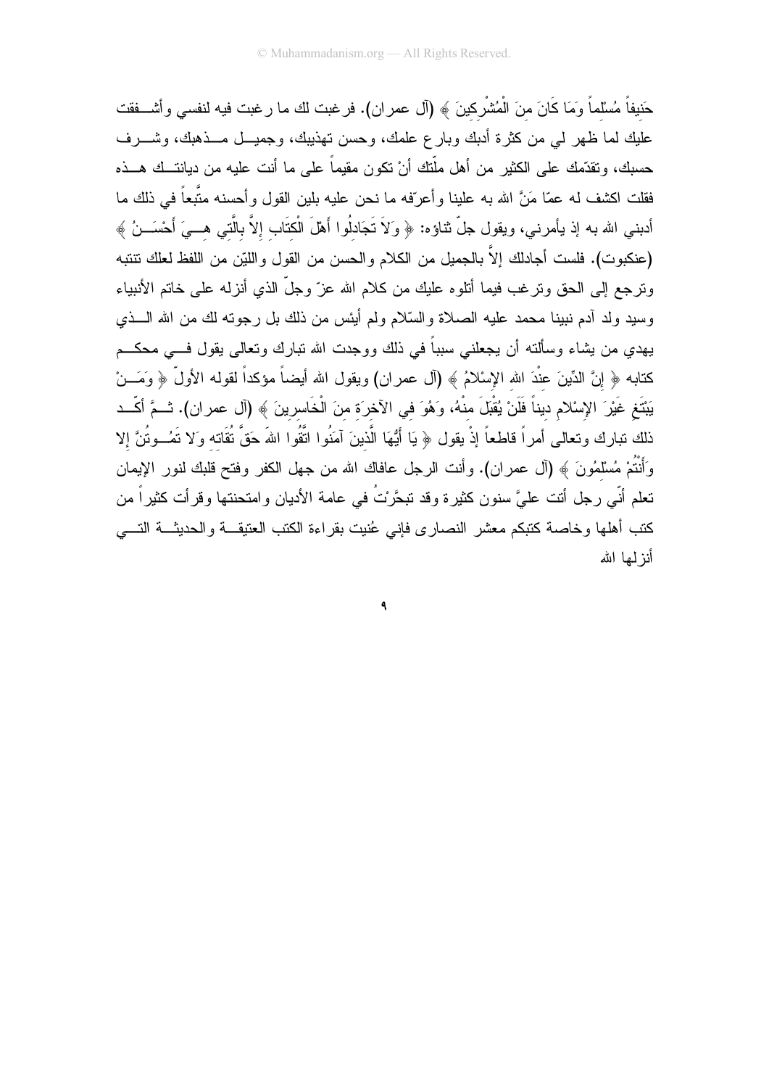حَنيفاً مُسْلماً وَمَا كَانَ منَ الْمُشْرِكينَ ﴾ (آل عمران). فرغبت لك ما رغبت فيه لنفسى وأشـــفقت عليك لما ظهر لمي من كثرة أدبك وبارع علمك، وحسن نهذيبك، وجميـــل مـــذهبك، وشــــرف حسبك، ونقدَّمك على الكثير من أهل ملَّتك أنْ نكون مقيماً على ما أنت عليه من ديانتــك هـــذه فقلت اكشف له عمّا مَنَّ الله به علينا وأعرّفه ما نحن عليه بلين القول وأحسنه متّبعاً في ذلك ما أدبني الله به إذ يأمرني، ويقول جلَّ ثناؤه: ﴿ وَلاَ تَجَادْلُوا أَهْلَ الْكَتَابِ إلاَّ بالَّتي هــيَ أَحْسَــنُ ﴾ (عنكبوت). فلست أجادلك إلاَّ بالجميل من الكلام والحسن من القول واللَّيْن من اللفظ لعلك نتنبه وترجع إلى الحق وترغب فيما أتلوه عليك من كلام الله عزّ وجلّ الذي أنزله على خاتم الأنبياء وسيد ولد أدم نبينا محمد عليه الصلاة والسَّلام ولم أيئس من ذلك بل رجونه لك من الله الـــذي يهدي من يشاء وسألته أن يجعلني سبباً في ذلك ووجدت الله نبارك ونعالى يقول فـــي محكـــم كتابه ﴿ إِنَّ الدِّينَ عِنْدَ الله الإِسْلامُ ﴾ (آل عمران) ويقول الله أيضاً مؤكداً لقوله الأولَّ ﴿ وَمَـــنْ يَبْتَغِ غَيْرَ الإِسْلامِ ديناً فَلَنْ يُقْبَلَ منْهُ، وَهُوَ في الآخرَة منَ الْخَاسِرِينَ ﴾ (آل عمر ان). ثــمَّ أكّــد ذلك نبارك ونعالى أمراً قاطعاً إذْ يقول ﴿ يَا أَيُّهَا الَّذينَ آمَنُوا اتَّقُوا اللهَ حَقَّ نُقَاته وَلا نَعُــوتُنَّ إلا وَأَنْتُمْ مُسْلَمُونَ ﴾ (أل عمران). وأنت الرجل عافاك الله من جهل الكفر وفتح قلبك لنور الإيمان تعلم أنَّى رجل أنت عليَّ سنون كثيرة وقد تبحَّرْتُ في عامة الأديان وامتحنتها وقرأت كثيراً من كتب أهلها وخاصة كتبكم معشر النصارى فإنى عُنيت بقراءة الكتب العتيقــة والحديثــة التـــى أنز لمها الله

 $\mathbf 3$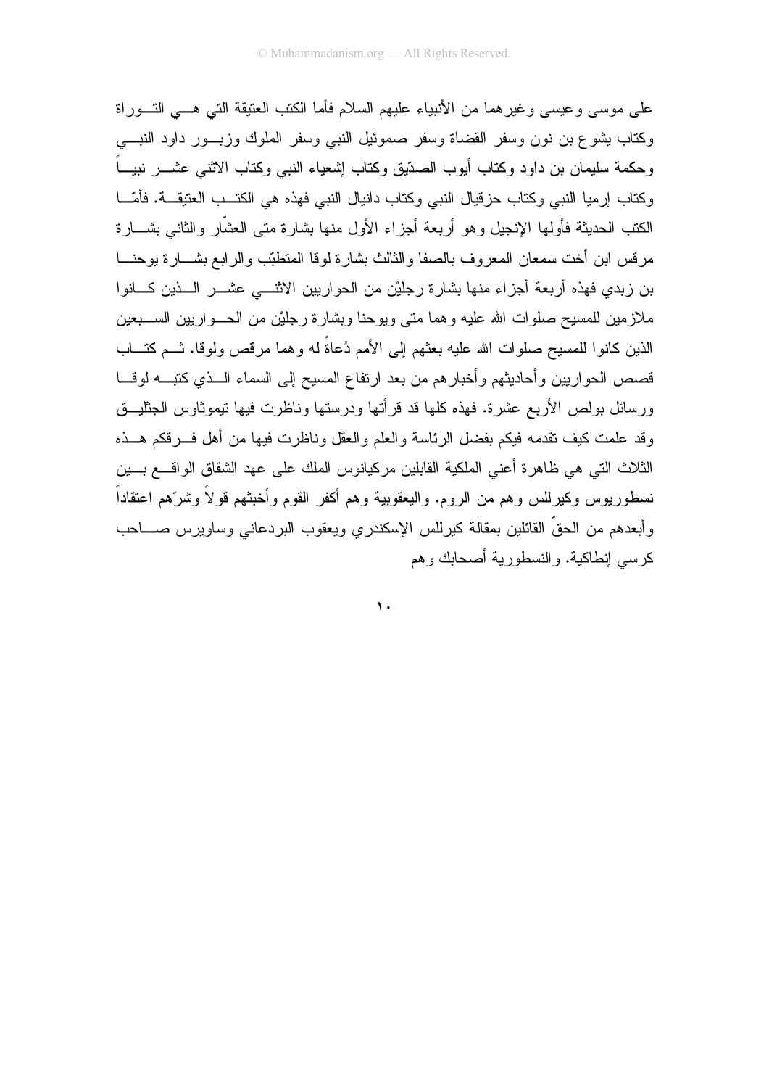على موسى وعيسى وغيرهما من الأنبياء عليهم السلام فأما الكتب العتيقة التي هـــي التـــوراة وكتاب يشوع بن نون وسفر القضاة وسفر صموئيل النبي وسفر الملوك وزبسور داود النبسي وحكمة سليمان بن داود وكتاب أبوب الصدّيق وكتاب إشعياء النبى وكتاب الاثنـى عشــــر نبيــــاً وكتاب إرميا النبي وكتاب حزقيال النبي وكتاب دانيال النبي فهذه هي الكتــب العتيقـــة. فأمّـــا الكتب الحديثة فأولمها الإنجيل وهو أربعة أجزاء الأول منها بشارة متى العشَّار والثانبي بشـــارة مر قس ابن أخت سمعان المعروف بالصفا والثالث بشارة لوقا المنطبّب والرابع بشـــارة يوحنـــا بن زبدي فهذه أربعة أجزاء منها بشارة رجليْن من الحواريين الاثنــــى عشـــر الــــذين كـــانوا ملازمين للمسيح صلوات الله عليه وهما متى ويوحنا وبشارة رجليْن من الحـــواريين الســـبعين الذين كانو! للمسيح صلوات الله عليه بعثهم إلى الأمم دُعاةً له وهما مرفص ولوفا. تــم كتـــاب قصص الحواريين وأحاديثهم وأخبارهم من بعد ارتفاع المسيح إلى السماء الــذي كتبـــه لوقـــا ورسائل بولص الأربع عشرة. فهذه كلها قد قرأتها ودرستها وناظرت فيها نيموثاوس الجثليـــق وقد علمت كيف نقدمه فيكم بفضل الرئاسة والعلم والعقل وناظرت فيها من أهل فسرقكم هسذه الثلاث التي هي ظاهرة أعني الملكية القابلين مركيانوس الملك على عهد الشقاق الواقــــع بــــين نسطوريوس وكيرللس وهم من الروم. واليعقوبية وهم أكفر القوم وأخبثهم قولاً وشرّهم اعتقاداً وأبعدهم من الحقِّ القائلين بمقالة كبرللس الإسكندري ويعقوب البردعاني وساويرس صــــاحب كر سي إنطاكية. والنسطور بة أصبحابك و هم

 $\mathbf{A}$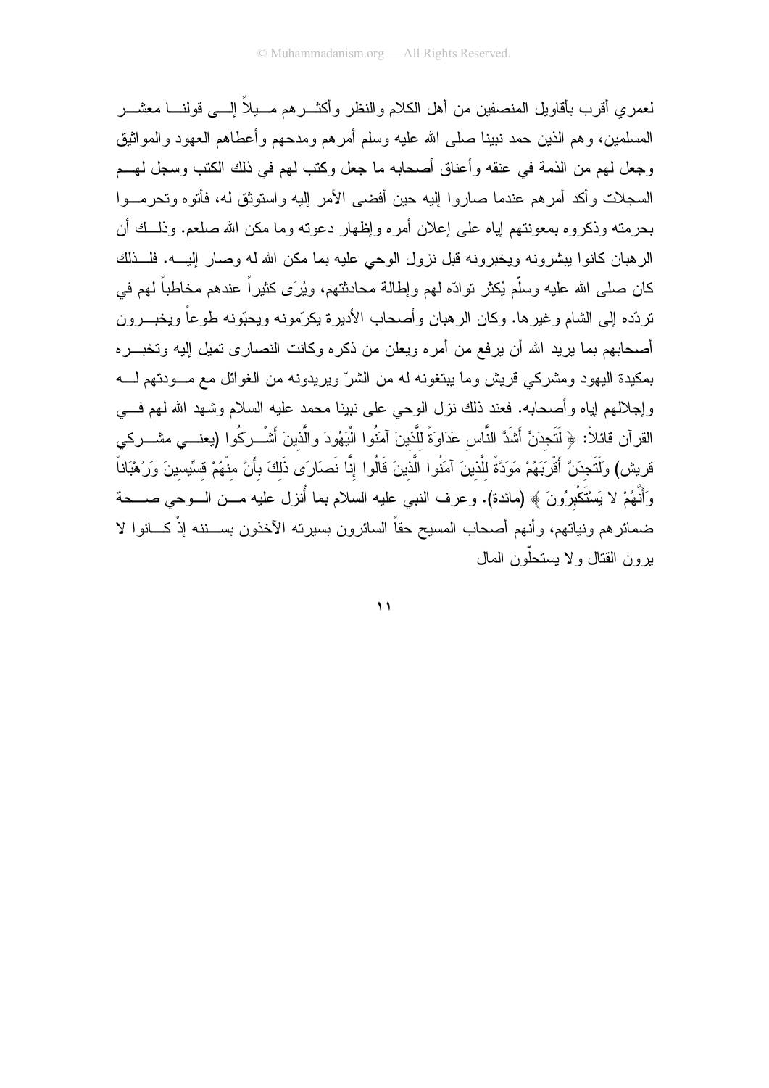لعمر ي أقر ب بأقاويل المنصفين من أهل الكلام والنظر وأكثـــر هم مـــيلاً إلــــى قولنــــا معشـــر المسلمين، وهم الذين حمد نبينا صلبي الله عليه وسلم أمرهم ومدحهم وأعطاهم العهود والمواثيق وجعل لهم من الذمة في عنقه وأعناق أصحابه ما جعل وكتب لهم في ذلك الكتب وسجل لهــم السجلات وأكد أمرهم عندما صاروا إليه حين أفضي الأمر إليه واستوثق له، فأتوه وتحرمــوا بحرمته وذكروه بمعونتهم إياه على إعلان أمره وإظهار دعونه وما مكن الله صلعم. وذلـــك أن الرِّهبان كانوا بيشرونه ويخبرونه قبل نزول الوحي عليه بما مكن الله له وصار إليـــه. فلـــذلك كان صلَّى الله عليه وسلَّم يُكثِّر نوادَّه لمهم وإطالة محادثتهم، ويُرَى كثيراً عندهم مخاطباً لمهم في تر دّده إلى الشام و غير ها. وكان الر هبان و أصبحاب الأدير ة يكرّمونـه ويحبّونـه طو عاً ويخبـــر ون أصحابهم بما يريد الله أن يرفع من أمره ويعلن من ذكره وكانت النصارى تميل إليه وتخبـــره بمكيدة اليهود ومشركي قريش وما ببنغونه له من الشرّ ويريدونه من الغوائل مع مـــودتهم لــــه وإجلالهم إياه وأصحابه. فعند ذلك نزل الوحي على نبينا محمد عليه السلام وشهد الله لهم فسي القرآن قائلاً: ﴿ لَتَجِدَنَّ أَشَدَّ النَّاسِ عَدَاوَةً للَّذينَ آمَنُوا الْبَهُودَ والَّذينَ أَشْــرَكُوا (يعنـــي مشـــركي قريش) وَلَتَجدَنَّ أَقْرَبَهُمْ مَوَدَّةً للَّذينَ آمَنُوا الَّذينَ قَالُوا إنَّا نَصَارَى ذَلكَ بأَنَّ منْهُمْ قسِّيسينَ وَرُهْبَاناً وَأَنَّهُمْ لا يَسْتَكْبِرُونَ ﴾ (مائدة). وعرف النبي عليه السلام بما أُنزل عليه مـــن الـــوحي صــــحة ضمائرهم ونياتهم، وأنهم أصحاب المسيح حقاً السائرون بسيرته الآخذون بســـننه إذْ كـــانوا لا يرون القتال ولا يستحلّون المال

 $\mathbf{A}$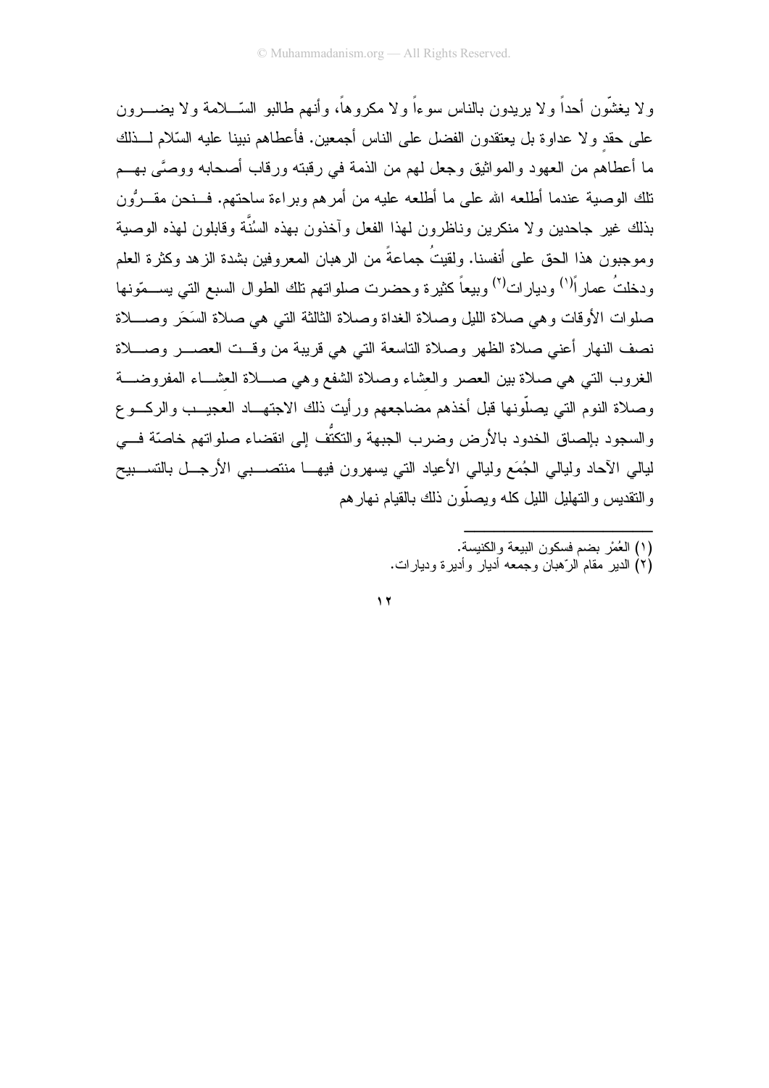ولا يغشُّون أحداً ولا يريدون بالناس سوءاً ولا مكروهاً، وأنهم طالبو السَّـــلامة ولا يضـــــرون على حقد و لا عداوة بل يعتقدون الفضل على الناس أجمعين. فأعطاهم نبينا عليه السّلام لـــذلك ما أعطاهم من العهود والمواثيق وجعل لمهم من الذمة في رقبته ورقاب أصحابه ووصَّى بهــم تلك الوصبة عندما أطلعه الله على ما أطلعه عليه من أمرهم وبراءة ساحتهم. فـــنحن مقـــروُن بذلك غير جاحدين ولا منكرين وناظرون لهذا الفعل وأخذون بهذه السُنَّة وقابلون لهذه الوصية وموجبون هذا الحق على أنفسنا. ولقيتُ جماعةً من الرهبان المعروفين بشدة الزهد وكثرة العلم ودخلتُ عمارٍ أ<sup>(١)</sup> وديارٍ ات<sup>(٢)</sup> وبيعاً كثيرة وحضرت صلواتهم تلك الطوال السبع التي يســـمّونها صلوات الأوقات و هي صلاة الليل وصلاة الغداة وصلاة الثالثة التي هي صلاة السَحَر وصـــلاة نصف النهار أعني صلاة الظهر وصلاة التاسعة التي هي قريبة من وقست العصسر وصلاة الغروب التبي هي صلاة بين العصر والعشاء وصلاة الشفع وهي صـــلاة العشـــاء المفروضــــة وصلاة النوم التي يصلُّونها قبل أخذهم مضاجعهم ورأيت ذلك الاجتهــاد العجيــب والركـــوع والسجود بإلصاق الخدود بالأرض وضرب الجبهة والتكتُّف إلى انقضاء صلواتهم خاصّة فــي ليالي الأحاد وليالي الجُمَع وليالي الأعياد الني يسهرون فيهـــا منتصــــبي الأرجـــل بالتســـبيح والنقديس والنهليل الليل كله ويصلُّون ذلك بالقيام نهار هم

- (١) العُمْر بضم فسكون البيعة والكنيسة.
- (۲) الدیر ً مقام الرّ هبان و جمعه اَدیار ً و اَدیر ة و دیار ات.

 $\gamma$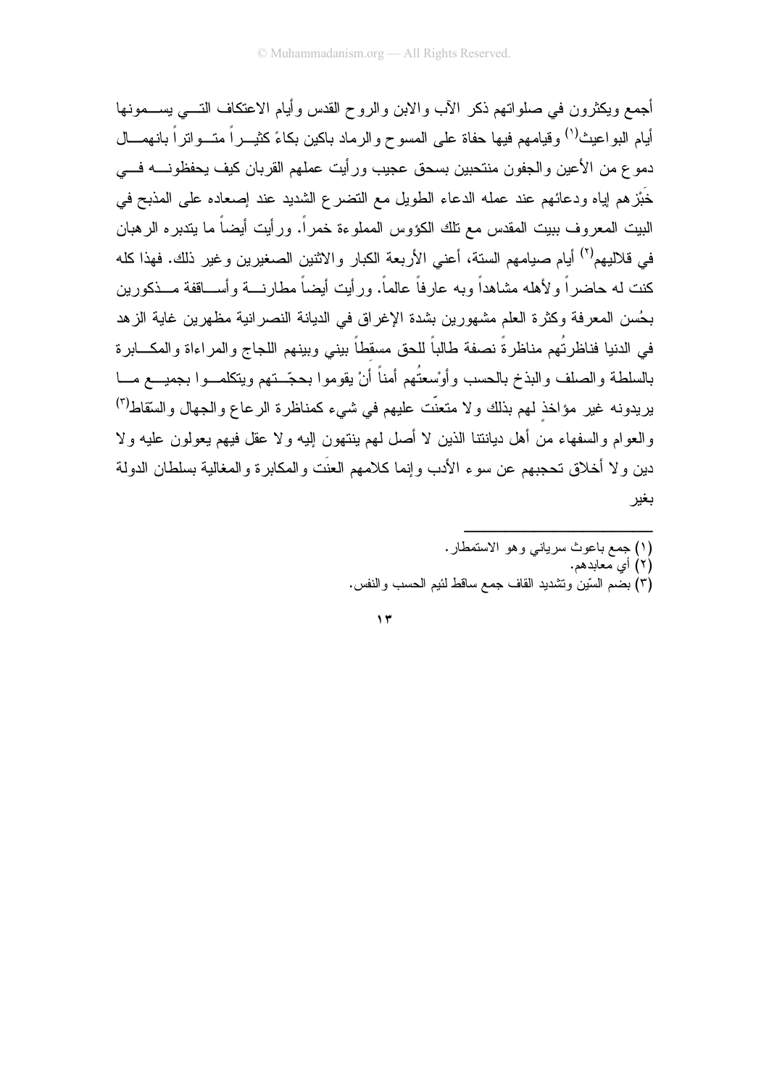أجمع ويكثرون في صلواتهم ذكر الأب والابن والروح القدس وأيام الاعتكاف التسي يســـمونها أيام البو اعيث<sup>(١)</sup> وقيامهم فيها حفاة على المسو ح و الر ماد باكين بكاءً كثيـــر أ متـــو اتر أ بانـهمــــال دموع من الأعين والجفون منتحبين بسحق عجيب ورأيت عملهم القربان كيف يحفظونــــه فــــى خُبْز هم إياه ودعائهم عند عمله الدعاء الطويل مع النضر ع الشديد عند إصعاده على المذبح في البيت المعروف ببيت المقدس مع نلك الكؤوس المملوءة خمراً. ورأيت أيضاً ما بندبره الرهبان في قلاليهم<sup>(٢)</sup> أيام صيامهم الستة، أعني الأربعة الكبار والاثنين الصغيرين وغير ذلك. فهذا كله كنت له حاضر اً و لأهله مشاهداً وبه عارفاً عالماً. ورأيت أيضاً مطارنــــة وأســـاقفة مـــذكورين بِحُسنِ المعرِ فة وكثر ة العلمِ مشهورٍ بن بِشدةِ الإغرِ اقٍ في الديانةِ النصرِ انيةِ مظهرٍ بن غايةِ الز هد في الدنيا فناظرتُهم مناظرةً نصفة طالباً للحق مسقطاً بيني وببنهم اللجاج والمراءاة والمكـــابرة بالسلطة والصلف والبذخ بالحسب وأوسعتُهم أمناً أنْ يقوموا بحجّ تهم ويتكلمــوا بجميـــع مـــا يريدونه غير مؤاخذ لهم بذلك ولا متعنَّت عليهم في شيء كمناظرة الرعاع والجهال والسَّقاط<sup>(٣)</sup> والعوام والسفهاء من أهل ديانتنا الذين لا أصل لهم بنتهون إليه ولا عقل فيهم يعولون عليه ولا دين و لا أخلاق تحجبهم عن سو ء الأدب و إنما كلامهم العنِّت و المكابر ة و المغالبة بسلطان الدولة بغير

> (١) جمع باعوث سرياني وهو الاستمطار . (۲) أي معابدهم. (٣) بضم السَّينُ ونَشديد القاف جمع ساقط لئيم الحسب والنفس.

 $\gamma$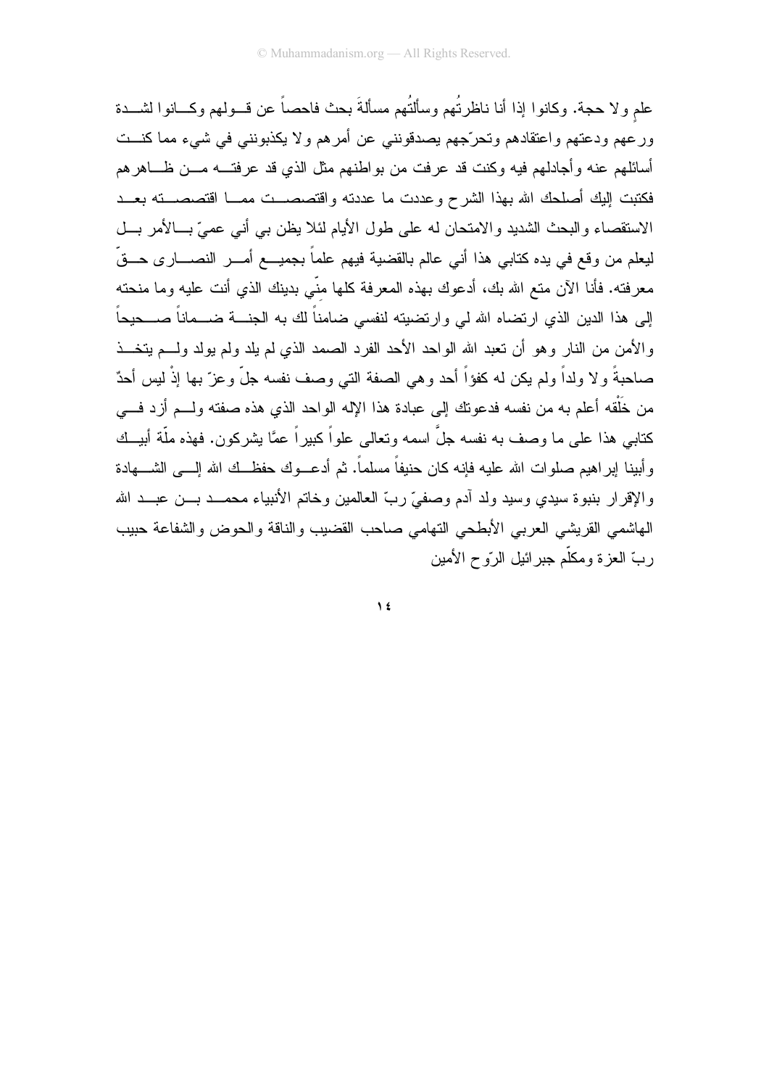علم ولا حجة. وكانوا إذا أنا ناظرتُهم وسألتُهم مسألةَ بحث فاحصاً عن قـــولهم وكـــانوا لشـــدة ورعهم ودعتهم واعتقادهم وتحرّجهم يصدقونني عن أمرهم ولا يكذبونني في شيء مما كنــت أسائلهم عنه وأجادلهم فيه وكنت قد عرفت من بواطنهم مثل الذي قد عرفتـــه مــــن ظــــاهر هم فكتبت إليك أصلحك الله بهذا الشرح وعددت ما عددته واقتصصــت ممــا اقتصصــته بعــد الاستقصاء والبحث الشديد والامتحان له على طول الأيام لئلا يظن بي أنبي عميّ بــالأمر بـــل ليعلم من وقع في يده كتابـي هذا أنـي عالم بالقضية فيهم علماً بجميـــع أمــــر النصـــــار ى حـــقٌ معرفته. فأنا الآن متع الله بك، أدعوك بهذه المعرفة كلها منَّى بدينك الذي أنت عليه وما منحته إلى هذا الدين الذي ارتضاه الله لمي وارتضيته لنفسى ضامناً لك به الجنــــة ضــــماناً صــــحيحاً و الأمن من النار وهو أن تعبد الله الواحد الأحد الفرد الصمد الذي لم يلد ولم يولد ولسم يتخــذ صاحبةً ولا ولداً ولم يكن له كفؤاً أحد وهي الصفة التي وصف نفسه جلَّ وعزَّ بها إذْ ليس أحدٌ من خَلْقه أعلم به من نفسه فدعونك إلى عبادة هذا الإله الواحد الذي هذه صفته ولـــم أزد فـــي كتابي هذا على ما وصف به نفسه جلِّ اسمه وتعالى علواً كبير اً عمَّا بشر كون. فهذه ملَّة أبيــك وأبينا إبراهيم صلوات الله عليه فإنه كان حنيفاً مسلماً. ثم أدعـــوك حفظـــك الله إلــــى الشـــــهادة والإقرار بنبوة سيدى وسيد ولد آدم وصفىً ربّ العالمين وخاتم الأنبياء محمــد بـــن عبـــد الله الهاشمي القريشي العربي الأبطحي النهامي صاحب القضيب والناقة والحوض والشفاعة حبيب ر بِّ العز ۃ و مكلَّم جبر ائبل الر ّو ح الأمين

 $\lambda$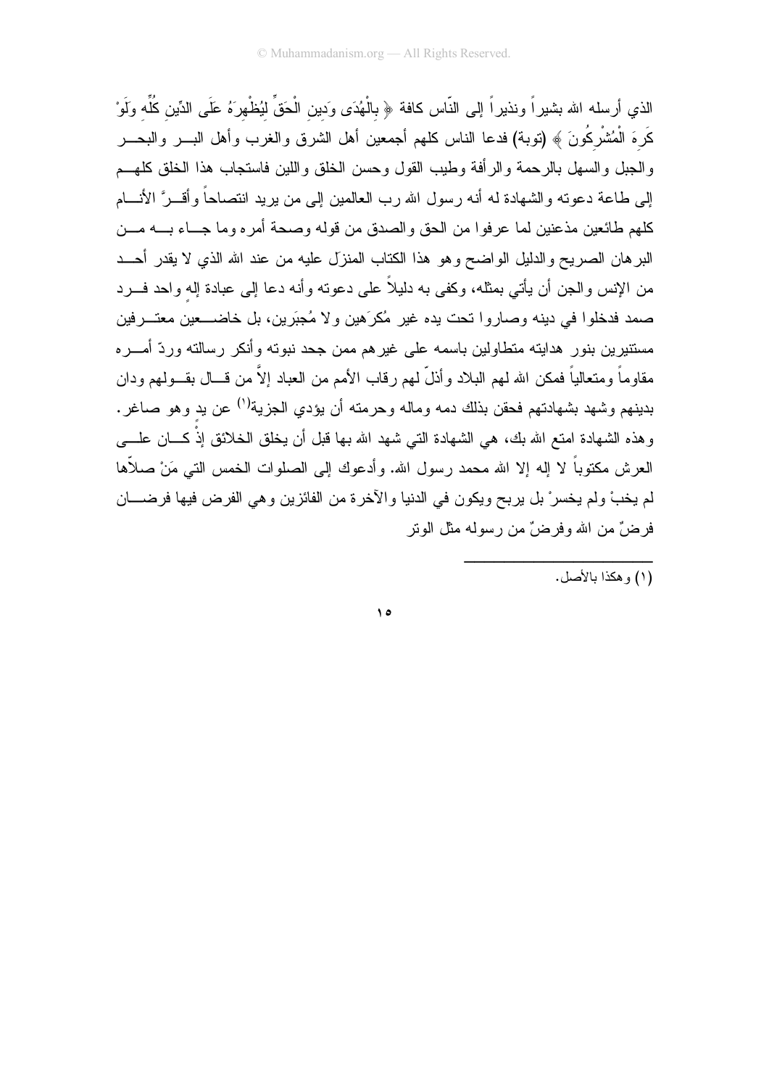الذي أرسله الله بشيراً ونذيراً إلى النّاس كافة ﴿ بِالْهُدَى وَدِينِ الْحَقِّ لَيُظْهِرَهُ عَلَى الدِّينِ كُلِّه ولَوْ كَرِهَ الْمُشْرِكُونَ ﴾ (نوبة) فدعا الناس كلهم أجمعين أهل الشرق والغرب وأهل البــــر والبحــــر والجبل والسهل بالرحمة والرأفة وطيب القول وحسن الخلق واللين فاستجاب هذا الخلق كلهــم إلى طاعة دعونه والشهادة له أنه رسول الله رب العالمين إلى من بريد انتصاحاً وأقـــرَّ الأنــــام كلهم طائعين مذعنين لما عرفوا من الحق والصدق من قوله وصحة أمره وما جـــاء بــــه مـــن البر هان الصريح والدليل الواضح وهو هذا الكتاب المنزل عليه من عند الله الذي لا يقدر أحــد من الإنس والجن أن يأتي بمثله، وكفي به دليلاً على دعوته وأنه دعا إلى عبادة إله واحد فـــرد صمد فدخلوا في دينه وصار وا تحت يده غير ۖ مُكرَ هين و لا مُجبَر بن، بل خاضــــعين معتـــر فين مستنيرين بنور ٍ هدايته متطاولين باسمه على غير هم ممن جحد نبوته وأنكر رسالته وردّ أمـــره مقاوماً ومتعالياً فمكن الله لهم البلاد وأذلَّ لهم رقاب الأمم من العباد إلاَّ من قـــال بقـــولـهم ودان بدينهم وشهد بشهادتهم فحقن بذلك دمه وماله وحرمته أن يؤدي الجزية<sup>(١)</sup> عن يد وهو صاغر . وهذه الشهادة امتع الله بك، هي الشهادة التي شهد الله بها قبل أن يخلق الخلائق إذْ كـــان علــــي العرش مكتوباً لا إله إلا الله محمد رسول الله. وأدعوك إلى الصلوات الخمس التي مَنْ صلاَّها لم يخبْ ولم يخسرْ بل يربح ويكون في الدنيا والآخرة من الفائزين وهي الفرض فيها فرضــــان فرضٌ من الله وفرضٌ من رسوله مثل الويتر

(١) و هكذا بالأصل.

 $\theta$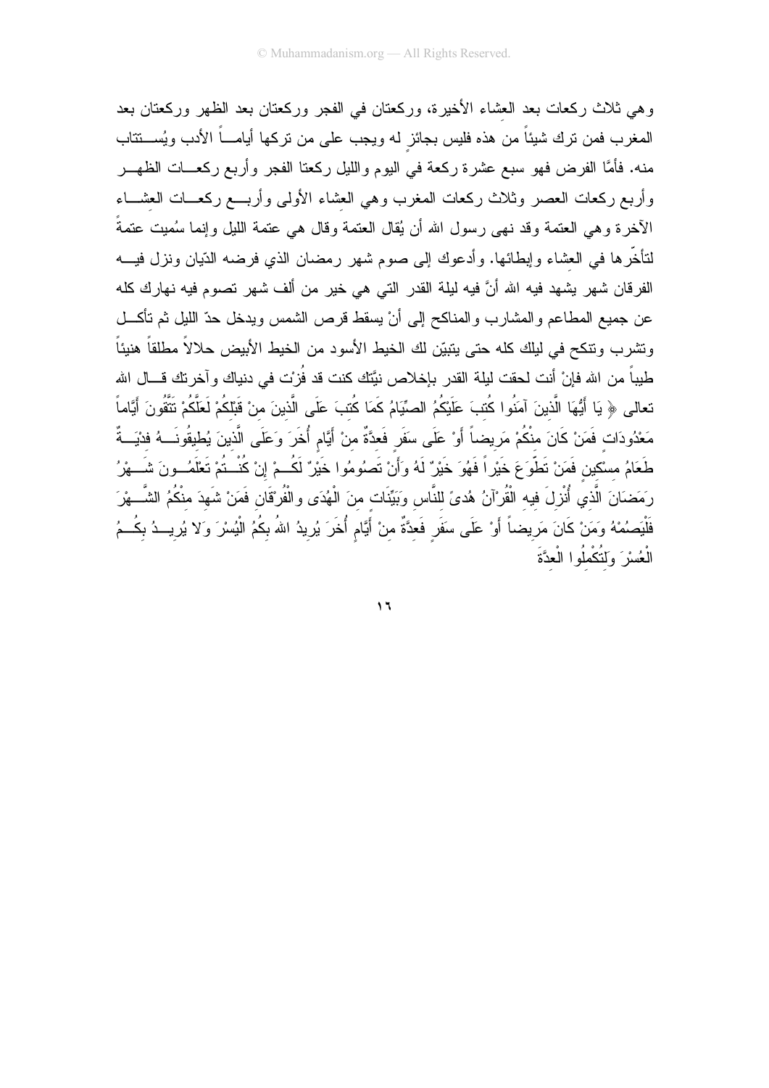وهي ثلاث ركعات بعد العشاء الأخيرة، وركعتان في الفجر وركعتان بعد الظهر وركعتان بعد المغرب فمن نرك شيئاً من هذه فليس بجائز له ويجب على من نركها أيامـــاً الأدب ويُســـنتاب منه. فأمَّا الفرض فهو سبع عشرة ركعة في اليوم والليل ركعتا الفجر وأربع ركعـــات الظهـــر وأربع ركعات العصر وثلاث ركعات المغرب وهي العشاء الأولى وأربسع ركعسات العشساء الأخرة وهي العتمة وقد نهي رسول الله أن يُقال العتمة وقال هي عتمة الليل وإنما سُميت عتمةً لنتأخَّرها في العشاء وإبطائها. وأدعوك إلى صوم شهر رمضان الذي فرضه الدّيان ونزل فيـــه الفرقان شهر يشهد فيه الله أنَّ فيه ليلة القدر التي هي خير من ألف شهر تصوم فيه نهارك كله عن جميع المطاعم والمشارب والمناكح إلى أنْ يسقط قرص الشمس ويدخل حدّ الليل ثم نأكـــل ونشرب ونتكح في ليلك كله حتى يتبيّن لك الخيط الأسود من الخيط الأبيض حلالاً مطلقاً هنيئاً طيباً من الله فإنْ أنت لحقت ليلة القدر بإخلاص نيَّتك كنت قد فُزيْت في دنياك و آخرينك قـــال الله تعالى ﴿ يَا أَيُّهَا الَّذِينَ آمَنُوا كُتبَ عَلَيْكُمُ الصِّيَامُ كَمَا كُتبَ عَلَى الَّذِينَ منْ قَبْلكُمْ لَعَلَّكُمْ تَتَّقُونَ أَيَّاماً مَعْدُودَات فَمَنْ كَانَ منْكُمْ مَريضاً أَوْ عَلَى سَفَرٍ فَعدَّةٌ منْ أَيَّام أُخَرَ وَعَلَى الَّذينَ يُطيقُونَــهُ فدْيَــةٌ طَعَامُ مسْكين فَمَنْ تَطْوَعَ خَيْرٍ أَ فَهُوَ خَيْرٌ لَهُ وَأَنْ تَصلُومُوا خَيْرٌ لَكُـمْ إِنْ كُنْــتُمْ تَعْلَمُــونَ شَـــهْرُ رَمَضَانَ الَّذي أُنْزِلَ فيه الْقُرْآنُ هُدىً للنَّاس وَبَيِّنَات منَ الْهُدَى والْفُرْقَانِ فَمَنْ شَهدَ منْكُمُ الشَّـــهْرَ فَلْيَصِمُهُ وَمَنْ كَانَ مَرِيضاً أَوْ عَلَى سَفَرٍ فَعدَّةٌ منْ أَيَّامٍ أُخَرَ يُرِيدُ اللهُ بِكُمُ الْيُسْرَ وَلا يُرِيــدُ بِكُــمُ الْعُسْرَ ۚ وَلَتُكْمِلُوا الْعِدَّةَ

 $\mathbf{1}$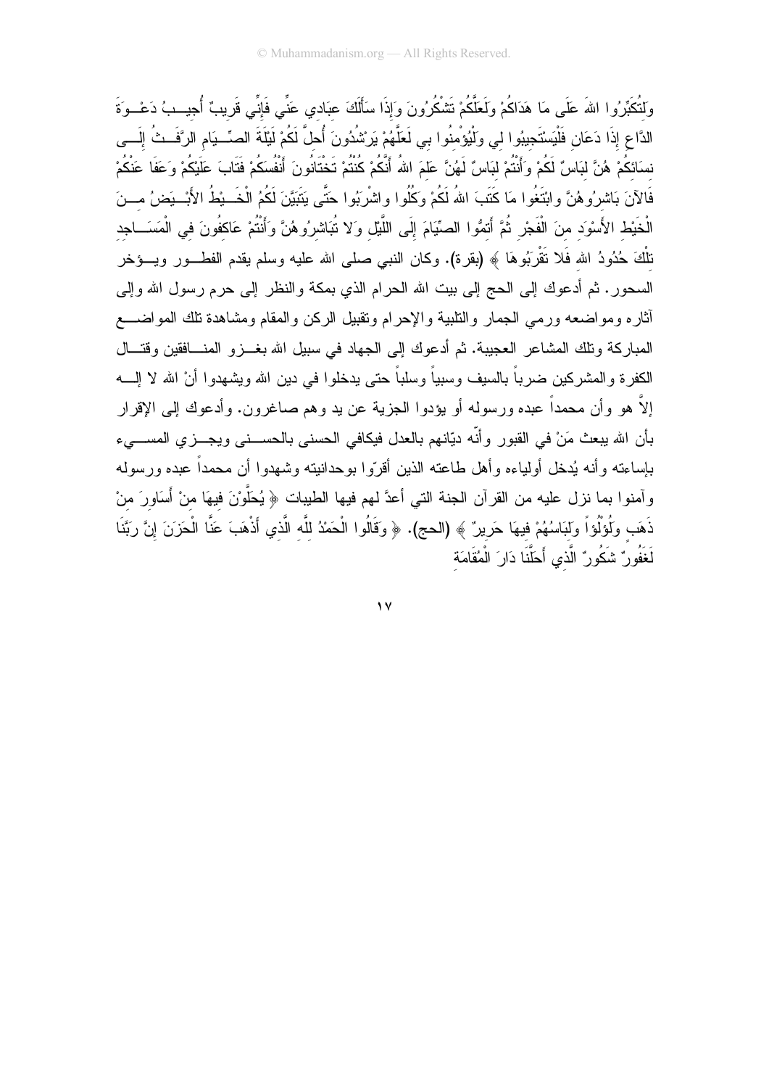وَلتُكَبِّرُوا اللهَ عَلَى مَا هَدَاكُمْ وَلَعَلَّكُمْ نَتْمْكُرُونَ وَإِذَا سَأَلَكَ عبَادي عَنِّي فَإِنِّي قَريبٌ أُجيسِبُ دَعْسوَةَ الدَّاعِ إِذَا دَعَانِ فَلْيَسْتَجِيبُوا لي وَلْيُؤْمِنُوا بي لَعَلَّهُمْ يَرِسْْدُونَ أُحلَّ لَكُمْ لَيْلَةَ الصِّـبَام الرَّفَــثُ إلَــي نسَائكُمْ هُنَّ لبَاسٌ لَكُمْ وَأَنْتُمْ لبَاسٌ لَهُنَّ عَلَمَ اللهُ أَنَّكُمْ كُنْتُمْ تَخْتَانُونَ أَنْفُسَكُمْ فَتَابَ عَلَيْكُمْ وَعَفَا عَنْكُمْ فَالآنَ بَاشرُوهُنَّ وابْتَغُوا مَا كَتَبَ اللهُ لَكُمْ وَكُلُوا واشْرِبُوا حَتَّى بَتَبَيَّنَ لَكُمُ الْخَــبْطُ الأَبْــبَضُ مـــنَ الْخَيْطِ الأَسْوَد منَ الْفَجْرِ ثُمَّ أَتمُوا الصِّيَّامَ إِلَى اللَّيْلِ وَلا تُبَاشِرُوهُنَّ وَأنْتُمْ عَاكفُونَ في الْمَسَــاجِد نلْكَ حُدُودُ الله فَلا نَقْرَبُوهَا ﴾ (بقرة). وكان النبي صلى الله عليه وسلم يقدم الفطـــور ويــــؤخر السحور . ثم أدعوك إلى الحج إلى بيت الله الحرام الذي بمكة والنظر إلى حرم رسول الله وإلى أثاره ومواضعه ورمى الجمار والنلبية والإحرام ونقبيل الركن والمقام ومشاهدة نلك المواضـــع المباركة وتلك المشاعر العجيبة. ثم أدعوك إلى الجهاد في سبيل الله بغــزو المنــافقين وقتــال الكفر ۃ و المشر كين ضر باً بالسبف وسبباً و سلباً حتى بدخلو ا فى دبن الله وبشهدو ا أنْ الله لا الــــه إلاَّ هو وأن محمداً عبده ورسوله أو يؤدوا الجزية عن يد وهم صاغرون. وأدعوك إلى الإقرار بأن الله يبعث مَنْ في القبور وأنَّه ديَّانهم بالعدل فيكافي الحسني بالحســـني ويجـــزي المســــيء بإساءته وأنه يُدخل أولياءه وأهل طاعته الذين أقرّوا بوحدانيته وشهدوا أن محمداً عبده ورسوله وآمنوا بما نزل عليه من القرآن الجنة التي أعدَّ لهم فيها الطيبات ﴿ يُحَلَّوْنَ فيهَا منْ أَسَاوِرَ منْ ذَهَب وَلُوَلُواً ولَبَاسُهُمْ فيهَا حَرِيرٌ ﴾ (الحج). ﴿ وَقَالُوا الْحَمْدُ للَّه الَّذي أَذْهَبَ عَنَّا الْحَزَنَ إنَّ رَبَّنَا لْغَفُور ٌ شَكُور ٌ الَّذِي أَحَلَّنَا دَار َ الْمُقَامَةِ

 $\sqrt{2}$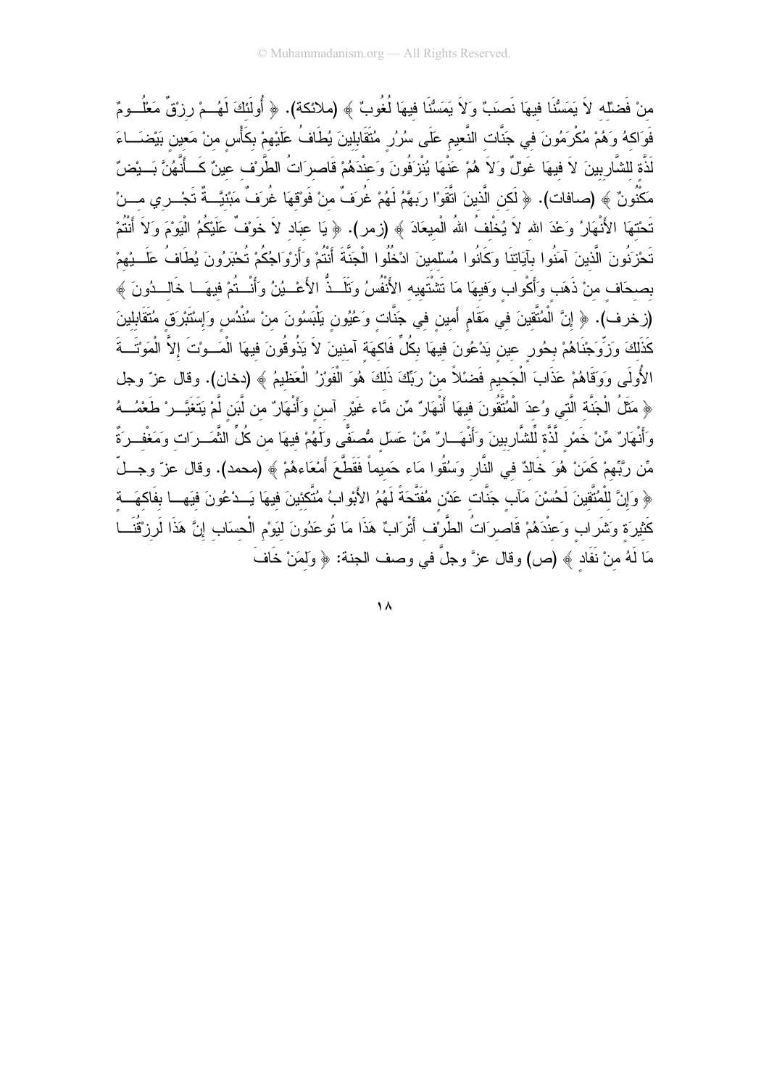منْ فَضلْه لاَ يَمَسُّنَا فيهَا نَصبَ ۗ وَلاَ يَمَسُّنَا فيهَا لُغُوبٌ ﴾ (ملائكة). ﴿ أُولَئكَ لَهُــمْ رزقٌ مَعْلُــومٌ فَوَاكهُ وَهُمْ مُكْرِمُونَ في جَنَّات النَّعيم عَلَى سُرُرٍ مُتَقَابِلينَ يُطَافُ عَلَيْهِمْ بِكَأْس منْ مَعين بَيْضَــاءَ لَذَّة للشَّارِبينَ لاَ فيهَا غَوْلٌ وَلاَ هُمْ عَنْهَا يُنْزَفُونَ وَعِنْدَهُمْ قَاصِرَاتُ الطَّرْف عينٌ كَــأَنَّهُنَّ بَــئِضٌ مَكْنُونٌ ﴾ (صافات). ﴿ لَكن الَّذينَ اتَّقَوْا رِبَهَّمُ لَهُمْ غُرِفٌ منْ فَوْقهَا غُرِفٌ مَبْنيَّــةٌ تَجْــري مـــنْ تَحْتهَا الأَنْهَارُ وَعْدَ الله لاَ يُخْلفُ اللهُ الْميعَادَ ﴾ (زمر). ﴿ يَا عبَاد لاَ خَوْفٌ عَلَيْكُمُ الْيَوْمَ وَلاَ أَنْتُمْ تَحْزَنُونَ الَّذينَ آمَنُوا بآيَاتنَا وكَانُوا مُسْلمينَ ادْخُلُوا الْجَنَّةَ أَنْتُمْ وَأَزِوَاجُكُمْ تُحْبَرُونَ يُطَافُ عَلَــبِيهمْ بصحَاف منْ ذَهَب وَأَكُولب وَفيهَا مَا تَشْتَهِيه الأَنْفُسُ وَتَلَــذُّ الأَعْــيُنُ وَأَنْــتُمْ فيهَــا خَالــدُونَ ﴾ (زخرف). ﴿ إِنَّ الْمُتَّقِينَ في مَقَامٍ أَمينٍ في جَنَّاتٍ وَعُيُونٍ يَلْبَسُونَ منْ سُنْدُسٍ وَإِسْتَبْرِقٍ مُتَقَابِلِينَ كَذَلكَ وَزَوِّجْنَاهُمْ بِحُورٍ عينٍ يَدْعُونَ فيهَا بِكُلِّ فَاكهَة آمنينَ لاَ يَذُوقُونَ فيهَا الْمَــوْتَ إلاّ الْمَوْتَــةَ الأُولَى وَوَقَاهُمْ عَذَابَ الْجَحيم فَضْلاً منْ رَبِّكَ ذَلكَ هُوَ الْفَوْزِ ُ الْعَظيمُ ﴾ (دخان). وقال عزّ وجل ﴿ مَثِّلُ الْجَنَّة الَّتِي وُعدَ الْمُتَّقُونَ فيهَا أَنْهَارٌ مِّن مَّاء غَيْرِ آسن وَأَنْهَارٌ من لَّبَن لَّمْ يَتَغَيَّــرْ طَعْمُــهُ وَأَنْهَارٌ مِّنْ خَمْرٍ لَّذَّة لِّلْشَّارِبِينَ وَأَنْهَــارٌ مِّنْ عَسَل مُصَغًّى ولَهُمْ فيهَا من كُلِّ الثَّمَــرَات وَمَغْفــرَةٌ مِّن ربَّهُمْ كَمَنْ هُوَ خَالدٌ في النَّارِ وَسُقُوا مَاء حَميماً فَقَطَّعَ أَمْعَاءهُمْ ﴾ (محمد). وقال عز ّ وجــلّ ﴿ وَإِنَّ للْمُتَّقِينَ لَحُسْنَ مَآبٍ جَنَّاتٍ عَدْنٍ مُفَتَّحَةً لَهُمُ الأَبْوِابُ مُتَّكَئِينَ فيهَا يَــدْعُونَ فيَهــا بفَاكهَــة كَثيرَة وَشَراب وَعنْدَهُمْ قَاصرَاتُ الطَّرْف أَتْرَابٌ هَذَا مَا تُوعَدُونَ ليَوْم الْحسَاب إنَّ هَذَا لَرزْقُنَـــا مَا لَهُ منْ نَفَاد ﴾ (ص) وقال عزَّ وجلَّ في وصف الجنة: ﴿ وَلَمَنْ خَافَ

 $\Lambda$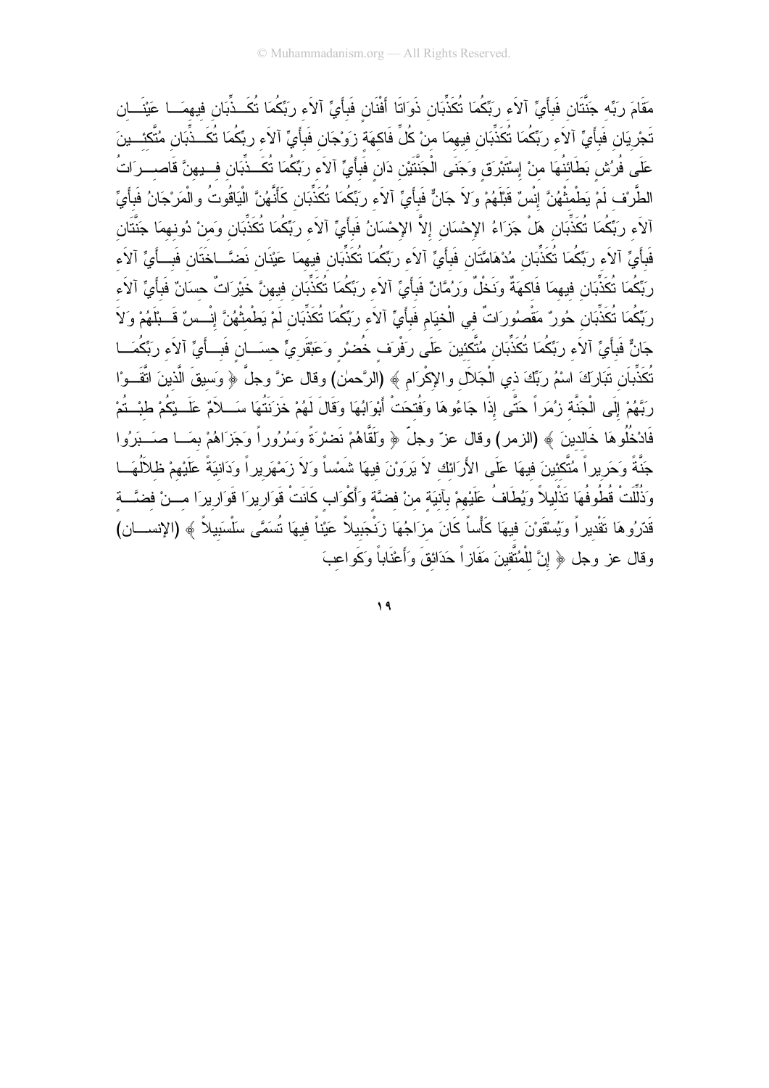مَقَامَ رَبِّه جَنَّتَان فَبأَيٍّ آلاَء ربِّكُمَا تُكَذِّبَان ذَوَاتَا أَفْنَان فَبأَيٍّ آلاَء ربِّكُمَا تُكَــذِّبَان فيهمَــا عَيْنَـــان تَجْرِيَان فَبِأَيٍّ آلاَء ربِّكُمَا تُكَذِّبَان فيهمَا منْ كُلٍّ فَاكهَة زِوَجَان فَبأَيٍّ آلاَء ربِّكُمَا تُكَــذِّبَان مُتَّكَئـــينَ عَلَى فُرُسْ بَطَائنُهَا منْ إِسْتَبْرِقٍ وَجَنَى الْجَنَّتَيْنِ دَانِ فَبِأَيٍّ آلاَء رِبِّكُمَا تُكَــذِّبَان فــبهنَّ قَاصـــرَاتُ الطَّرنف لَمْ يَطْمثْهُنَّ إِنْسٌ قَبْلَهُمْ وَلاَ جَانٌ فَبِأَيٍّ آلاَء ربِّكُمَا تُكَذِّبَانِ كَأَنَّهُنَّ الْيَاقُوتُ والْمَرْجَانُ فَبِأَيِّ آلاَء ربِّكُمَا تُكَذِّبَان هلْ جَزَاءُ الإحْسَان إلاَّ الإحْسَانُ فَبأَيٍّ آلاَء ربِّكُمَا تُكَذِّبَان وَمنْ دُونهمَا جَنَّتَان فَبِأَيٍّ آلاَء رِبِّكُمَا تُكَذِّبَان مُدْهَامَّتَان فَبِأَيٍّ آلاَء رِبِّكُمَا تُكَذِّبَان فِيهمَا عَيْنَان نَضَّـاخَتَان فَبِـأَيِّ آلاَء ربِّكُمَا تُكَذِّبَانِ فيهمَا فَاكهَةٌ ونَخْلٌ ورَمُّانٌ فَبِأَيٍّ آلاَء ربِّكُمَا تُكَذِّبَانِ فيهنَّ خَيْرَاتٌ حسَانٌ فَبأَيٍّ آلاَء ربَّكُمَا تُكَذِّبَانِ حُونٌ مَقْصُورَاتٌ في الْخيَامِ فَبِأَيٍّ آلاَء ربِّكُمَا تُكَذِّبَانِ لَمْ يَطْمثْهُنَّ إنْــسٌ قَــبِلَهُمْ وَلاَ جَانٌ فَبِأَيٍّ آلاَء ربَّكُمَا تُكَذِّبَان مُتَّكئينَ عَلَى رَفْرَف خُضرْ وَعَبْقَرِيٍّ حسَــانِ فَبــأَيٍّ آلاَء ربِّكُمَــا تُكَذِّبَان تَبَارَكَ اسْمُ رَبِّكَ ذي الْجَلاَل والإكْرَام ﴾ (الرَّحمٰن) وقال عزَّ وجلَّ ﴿ وَسيقَ الَّذينَ اتَّقَــوْا رِبَّهُمْ إِلَى الْجَنَّة زِبُمَراً حَتَّى إِذَا جَاءُوهَا وَفُتحَتْ أَبْوَابُهَا وَقَالَ لَهُمْ خَزَنَتُهَا سَــلاَمٌ عَلَــبْكُمْ طبْــتُمْ فَادْخُلُوهَا خَالدينَ ﴾ (الزمر) وقال عزّ وجلّ ﴿ ولَقَّاهُمْ نَضرْةً وَسُرُوراً وَجَزَاهُمْ بِمَــا صَـــبَرُوا جَنَّةً وَحَرِيراً مُتَّكنينَ فيهَا عَلَى الأَرَانَك لاَ يَرَوْنَ فيهَا شَمْساً وَلاَ زَمْهَرِيراً وَدَانيَةً عَلَيْهمْ ظلألُهَـــا وَذُلِّلَتْ قُطُوفُهَا تَذْليلاً وَيُطَافُ عَلَيْهمْ بِأنيَة منْ فضَّة وَأَكْوَاب كَانَتْ قَوَارِيرَا قَوَارِيرَا مـــنْ فضَّـــة قَدّرُوهَا تَقْديراً وَيُسْقَوْنَ فيهَا كَأْساً كَانَ مزَاجُهَا زَنْجَبِيلاً عَيْناً فيهَا تُسَمَّى سَلْسَبِيلاً ﴾ (الإنســـان) وقال عز وجل ﴿ إِنَّ لِلْمُنَّقِينَ مَفَازٍ أَ حَدَائِقَ وَأَعْنَاباً وَكَو اعبَ

 $19$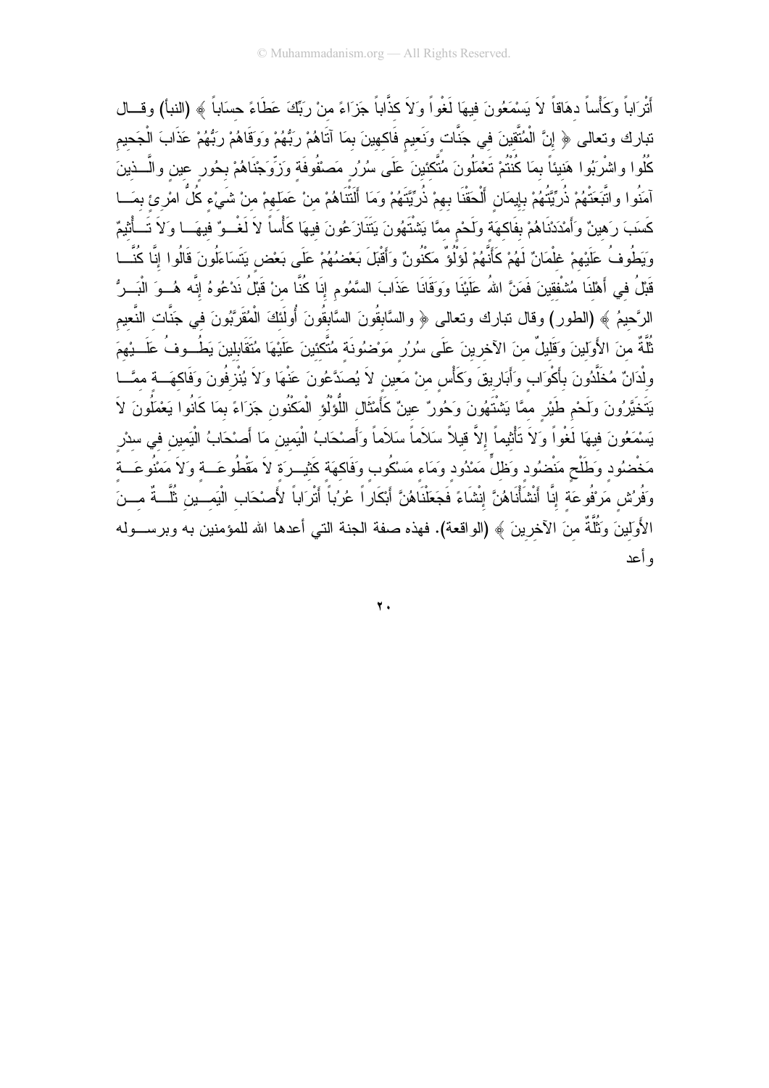أَتْرَاباً وَكَأْساً دهَاقاً لاَ يَسْمَعُونَ فيهَا لَغْواً وَلاَ كذَّاباً جَزَاءً منْ رَبِّكَ عَطَاءً حسَاباً ﴾ (النبأ) وقسال تبارك وتعالى ﴿ إِنَّ الْمُتَّقِينَ في جَنَّات وَنَعيم فَاكهينَ بمَا آتَاهُمْ رَبُّهُمْ وَوَقَاهُمْ رَبُّهُمْ عَذَابَ الْجَحيم كُلُوا واشْرَبُوا هَنيئاً بمَا كُنْتُمْ تَعْمَلُونَ مُتَّكَئينَ عَلَى سُرُرٍ مَصْفُوفَة وَزِّوَجْنَاهُمْ بحُور عين والَّــذينَ آمَنُوا واتَّبَعَتْهُمْ ذُرِّيَّتُهُمْ بِإِيمَانِ أَلْحَقْنَا بِهِمْ ذُرِّيَّتَهُمْ وَمَا أَلْتْتَاهُمْ منْ عَمَلهمْ من شَيْء كُلُّ امْرِئ بِمَــا كَسَبَ رَهينٌ وَأَمْدَدْنَاهُمْ بِفَاكِهَة ولَحْم ممَّا يَشْتَهُونَ يَتَنَازَعُونَ فيهَا كَأْساً لاَ لَغْــوٌ فيهَــا ولاَ تَــأْثيمٌ وَيَطُوفُ عَلَيْهِمْ غِلْمَانٌ لَهُمْ كَأَنَّهُمْ لَوَلُوٌ مَكْنُونٌ وَأَقْبَلَ بَعْضُهُمْ عَلَى بَعْض يَتَسَاءَلُونَ قَالُوا إِنَّا كُنَّــا قَبْلُ في أَهْلنَا مُشْفقينَ فَمَنَّ اللهُ عَلَيْنَا ووَقَانَا عَذَابَ السَّمُومِ إِنَا كُنَّا منْ قَبْلُ نَدْعُوهُ إنَّه هُــوَ الْبَــرُّ الرَّحيمُ ﴾ (الطور) وقال نبارك ونعالى ﴿ والسَّابِقُونَ السَّابِقُونَ أُولَئَكَ الْمُقَرَّبُونَ في جَنَّات النَّعيم ثَلَّةٌ منَ الأَولَينَ وَقَليلٌ منَ الآخرينَ عَلَى سُرُرٍ مَوْضُونَة مُتَّكئينَ عَلَيْهَا مُتَقَابِلينَ يَطُــوفُ عَلَـــنِهمَ ولْدَانٌ مُخَلَّدُونَ بِأَكْوَابٍ وَأَبَارِيقَ وَكَأْسٍ منْ مَعينٍ لاَ يُصدَّعُونَ عَنْهَا وَلاَ يُنْزِفُونَ وَفَاكهَـــة ممَّـــا يَتَخَيَّرُونَ وَلَحْم طَيْرٍ مَمَّا يَشْتَهُونَ وَحُورٌ عينٌ كَأَمْثَالِ اللُّوْلُو الْمَكْنُونِ جَزَاءً بمَا كَانُوا يَعْمَلُونَ لاَ يَسْمَعُونَ فيهَا لَغْواً وَلاَ تَأْثِيماً إلاَّ قيلاً سَلاَماً سَلاَماً وَأَصْحَابُ الْيَمين مَا أَصْحَابُ الْيَمين في سدْر مَخْضُود وَطَلْحٍ مَنْضُود وَظلٍّ مَمْدُود وَمَاء مَسْكُوب وَفَاكهَة كَثيــرَة لاَ مَقْطُوعَـــة وَلاَ مَمْنُوعَــة وَفُرُسْ مَرْفُوعَة إِنَّا أَنْشَأْنَاهُنَّ إِنْشَاءً فَجَعَلْنَاهُنَّ أَبْكَارٍ اً عُرُباً أَتْرَاباً لأَصْحَاب الْيَمــين ثُلَّــةٌ مـــنَ الأَوَلَيْنَ وَثَلَّةٌ منَ الآخرينَ ﴾ (الواقعة). فهذه صفة الجنة التي أعدها الله للمؤمنين به وبرســـوله ه أعد

 $\mathbf{y}$ .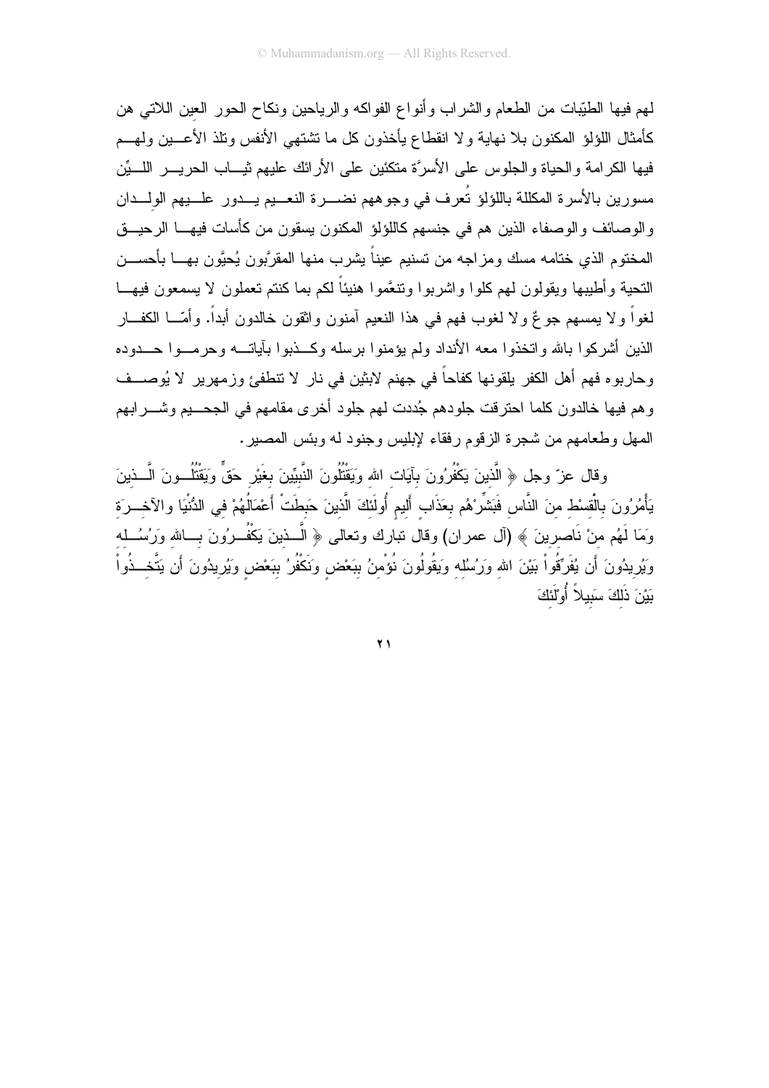لمهم فيها الطَّيِّبات من الطَّعام والشَّراب وأنواع الفواكه والرياحين ونكاح الحور العين اللاتمي هن كأمثال اللؤلؤ المكنون بلا نهاية ولا انقطاع يأخذون كل ما نشتهي الأنفس ونلذ الأعـــين ولـهـــم فيها الكرامة والحياة والجلوس على الأسرَّة متكئين على الأرائك عليهم ثيـــاب الحريــــر اللــــيِّن مسورين بالأسرة المكللة باللؤلؤ تُعرف في وجوههم نضـــرة النعـــيم يـــدور علـــيهم الولـــدان والوصائف والوصفاء الذين هم في جنسهم كاللؤلؤ المكنون يسقون من كأسات فيهـــا الرحيـــق المختوم الذي ختامه مسك ومزاجه من تسنيم عيناً يشرب منها المقرَّبون يُحبَّون بهـــا بأحســـن النحية وأطيبها ويقولون لمهم كلوا واشربوا ونتعَّموا هنيئاً لكم بما كنتم تعملون لا يسمعون فيهـــا لغواً و لا يمسهم جو عٌ و لا لغوب فهم في هذا النعيم آمنون واثقون خالدون أبداً. و أمّـــا الكفـــار الذين أشركوا بالله وانخذوا معه الأنداد ولم يؤمنوا برسله وكسذبوا بآياتـــه وحرمــوا حـــدوده وحاربوه فهم أهل الكفر يلقونها كفاحاً في جهنم لابثين في نار لا تتطفئ وزمهرير لا يُوصــف .<br>وهم فيها خالدون كلما احترقت جلودهم جُددت لهم جلود أخرى مقامهم في الجحـــيم وشــــرابهم المهل وطعامهم من شجرة الزقوم رفقاء لإبليس وجنود له وبئس المصير .

وقال عزّ وجل ﴿ الَّذينَ يَكْفُرُونَ بِآيَاتِ الله وَيَقْتُلُونَ النَّبِيِّينَ بِغَيْرِ حَقٍّ وَيَقْتُلُــونَ الَّــذينَ يَأْمُرُونَ بِالْقِسْطِ منَ النَّاسِ فَبَشِّرْهُم بِعَذَابٍ أَليمٍ أُولَئَكَ الَّذينَ حَبطَتْ أَعْمَالُهُمْ في الدُّنْيَا والآخـــرَة وَمَا لَهُم منْ نَاصرينَ ﴾ (آل عمران) وقال نبارك وتعالى ﴿ الَّـــذينَ يَكْفُـــرُونَ بـــالله وَرُسُـــله وَيُرِيدُونَ أَن يُفَرِّقُواْ بَيْنَ الله وَرَسُلُه وَيَقُولُونَ نُؤْمنُ ببَعْض وَنَكْفُرُ ببَعْض وَيُرِيدُونَ أَن يَتَّخــذُواْ بَيْنَ ذَلَكَ سَبِيلاً أُوْلَٰئَكَ

 $\overline{Y}$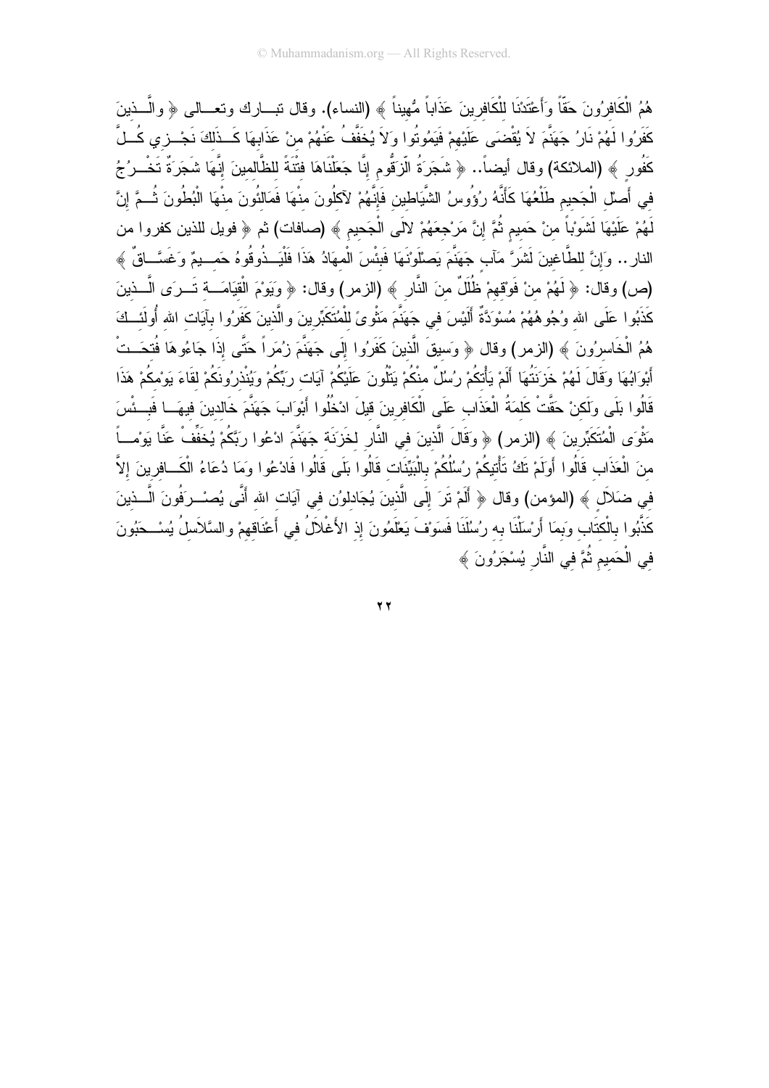هُمُ الْكَافِرُونَ حَقًّا وأَعْتَدْنَا للْكَافِرِينَ عَذَاباً مُّهيناً ﴾ (النساء). وقال نبـــارك ونعـــالى ﴿ والَّــذينَ كَفَرُوا لَهُمْ نَارُ جَهَنَّمَ لاَ يُقْضَى عَلَيْهِمْ فَيَمُوتُوا وَلاَ يُخَفَّفُ عَنْهُمْ منْ عَذَابِهَا كَــذَلكَ نَجْــزي كُــلَّ كَفُور ﴾ (الملائكة) وقال أيضاً.. ﴿ شَجَرَةُ الَّزِقُومِ إِنَّا جَعَلْنَاهَا فتْنَةً للظَّالمينَ إِنَّهَا شَجَرَةً تَخْــرُجُ فى أَصلْ الْجَحيم طَلْعُهَا كَأَنَّهُ رُؤُوسُ الشَّيَاطين فَإِنَّهُمْ لآكلُونَ منْهَا فَمَالئُونَ مِنْهَا الْبُطُونَ ثُـمَّ إِنَّ لَهُمْ عَلَيْهَا لَشَوْباً منْ حَميم ثُمَّ إنَّ مَرْجعَهُمْ لالَى الْجَحيمِ ﴾ (صافات) ثم ﴿ فويل للذين كفروا من النار .. وَإِنَّ للطَّاغينَ لَشَرَّ مَآبٍ جَهَنَّمَ يَصلُّونَهَا فَبِئْسَ الْمهَادُ هَذَا فَلْيَــذُوقُوهُ حَمــيمٌ وَغَسَّــاقٌ ﴾ (ص) وقال: ﴿ لَهُمْ منْ فَوْقهمْ ظُلَلٌ منَ النَّارِ ﴾ (الزمر) وقال: ﴿ وَيَوْمَ الْقِيَامَـــة تَــرَى الَّــذينَ كَذَبُوا عَلَى الله وُجُوهُهُمْ مُسْوَدَّةً أَلَيْسَ في جَهَنَّمَ مَثْو ىً للْمُتَكَبِّرِينَ والَّذينَ كَفَرُوا بآيَات الله أُولَئــكَ هُمُ الْخَاسِرُونَ ﴾ (الزمر) وقال ﴿ وَسيقَ الَّذينَ كَفَرُوا إِلَى جَهَنَّمَ زِبُمَرٍاً حَتَّى إِذَا جَاءُوهَا فُتحَــتْ أَبْوَابُهَا وَقَالَ لَهُمْ خَزَنَتُهَا أَلَمْ يَأْتكُمْ رُسُلٌ منْكُمْ يَتْلُونَ عَلَيْكُمْ آيَات رَبِّكُمْ وَيُنْذرُونكُمْ لقَاءَ يَومْكُمْ هَذَا قَالُوا بَلَى وَلَكنْ حَقَّتْ كَلَمَةُ الْعَذَابِ عَلَى الْكَافرينَ قيلَ ادْخُلُوا أَبْوَابَ جَهَنَّمَ خَالدينَ فيهَــا فَبِــئْسَ مَثْوَى الْمُتَكَبِّرِينَ ﴾ (الزمر) ﴿ وَقَالَ الَّذينَ في النَّارِ لخَزَنَة جَهَنَّمَ ادْعُوا رِبَّكُمْ يُخَفِّفْ عَنَّا يَورْمـــــاً منَ الْعَذَابِ قَالُوا أَولَمْ تَكُ تَأْتيكُمْ رُسُلُكُمْ بِالْبَيِّنَات قَالُوا بَلَى قَالُوا فَادْعُوا وَمَا دُعَاءُ الْكَــافرينَ إلاَّ فِي ضَلاَل ﴾ (المؤمن) وقال ﴿ أَلَمْ تَرَ إِلَى الَّذينَ يُجَادِلُورُن فِي آيَاتِ اللهِ أَنَّى يُصنْــرَفُونَ الَّــذينَ كَذَّبُوا بِالْكتَابِ وَبِمَا أَرْسَلْنَا بِه رُسُلَنَا فَسَوْفَ يَعْلَمُونَ إِذْ الأَغْلاَلُ في أَعْنَاقهمْ والسَّلاَسلُ يُسْــحَبُونَ في الْحَميم ثُمَّ في النَّارِ يُسْجَرُونَ ﴾

 $\overline{Y}$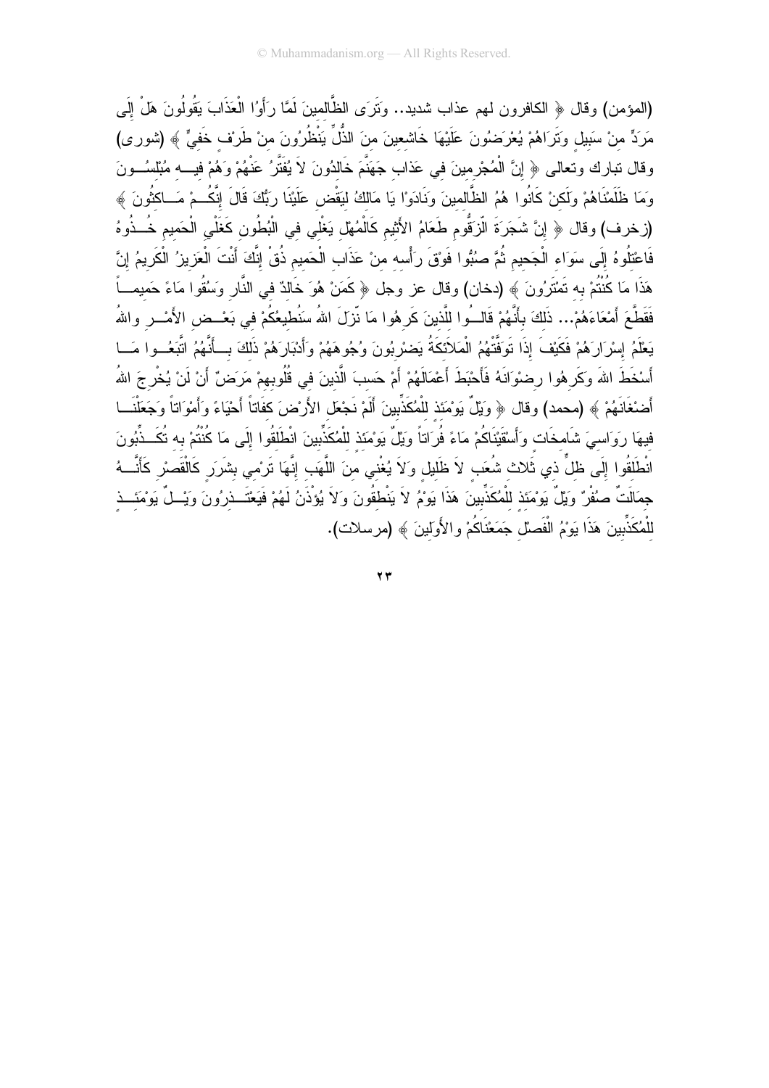(المؤمن) وقال ﴿ الكافرون لمهم عذاب شديد.. وَتَرَى الظَّالمينَ لَمَّا رَأَوُا الْعَذَابَ يَقُولُونَ هَلْ إِلَى مَرَدٍّ من سَبيل وتَرَاهُمْ يُعْرَضُونَ عَلَيْهَا خَاشعينَ منَ الذُّلِّ يَنْظُرُونَ منْ طَرِنف خَفيٍّ ﴾ (شورى) وقال نبارك وتعالى ﴿ إِنَّ الْمُجْرِمينَ في عَذاب جَهَنَّمَ خَالدُونَ لاَ يُفَثَّرُ عَنْهُمْ وَهُمْ فيــــه مُبْلسُـــونَ وَمَا ظَلَمْنَاهُمْ وَلَكنْ كَانُوا هُمُ الظَّالمينَ وَنَادَوْا يَا مَالكُ ليَقْض عَلَيْنَا رَبُّكَ قَالَ إنَّكُـمْ مَــاكثُونَ ﴾ (زخرف) وقال ﴿ إِنَّ شَجَرَةَ الَّزَقُومِ طَعَامُ الأَثيمِ كَالْمُهْل يَغْلي في الْبُطُونِ كَغَلْيِ الْحَميم خُــذُوهُ فَاعْتَلُوهُ إِلَى سَوَاء الْجَحيم ثُمَّ صُبُوا فَوْقَ رَأْسه منْ عَذَاب الْحَميم ذُقْ إِنَّكَ أَنْتَ الْعَزيزُ الْكَريمُ إِنَّ هَذَا مَا كُنْتُمْ بِهِ تَمْتَرُونَ ﴾ (دخان) وقال عز وجل ﴿ كَمَنْ هُوَ خَالدٌ في النَّارِ وَسُقُوا مَاءً حَميمــأ فَقَطَّعَ أَمْعَاءَهُمْ... ذَلكَ بأَنَّهُمْ قَالــُوا للَّذينَ كَرِهُوا مَا نّزلَ اللهُ سَنُطيعُكُمْ في بَعْــض الأَمْــر واللهُ يَعْلَمُ إِسْرَارَهُمْ فَكَيْفَ إِذَا تَوَفَّتْهُمُ الْمَلاَئِكَةُ يَضْرِبُونَ وُجُوهَهُمْ وَأَدْبَارَهُمْ ذَلكَ بِسأَنَّهُمُ انَّبَعُــوا مَــا أَسْخَطَ اللهَ وَكَرِ هُوا رضوْاَنَهُ فَأَحْبَطَ أَعْمَالَهُمْ أَمْ حَسبَ الَّذينَ في قُلُوبهمْ مَرَضٌ أَنْ لَنْ يُخْرِجَ اللهُ أَضنْغَانَهُمْ ﴾ (محمد) وقال ﴿ وَيْلٌ يَوْمَئذ للْمُكَذِّبينَ أَلَمْ نَجْعَل الأَرْضَ كفَاتاً أَحْيَاءً وَأَمْوَاتاً وَجَعَلْنَـــا فِيهَا رِوَاسِيَ شَامِخَات وَأَسْقَيْنَاكُمْ مَاءً فُرَاتاً وَيْلٌ يَوْمَئذ للْمُكَذِّبينَ انْطَلَقُوا إِلَى مَا كُنْتُمْ به تُكَــذِّبُونَ انْطْلَقُوا إِلَى ظلٍّ ذي ثَلاث شُعَب لاَ ظَليل ولاَ يُغْنى منَ اللَّهَب إِنَّهَا تَرِمْى بشَرَر كَالْقَصْر كَأَنَّــهُ جمَالَتٌ صُفْرٌ وَيْلٌ يَوْمَئذ للْمُكَذِّبِينَ هَذَا يَوْمُ لاَ يَنْطقُونَ وَلاَ يُؤْذَنُ لَهُمْ فَيَعْتَــذِرُونَ وَيْــلٌ يَوْمَئِــذِ للْمُكَذِّبِينَ هَذَا يَوْمُ الْفَصلْ جَمَعْنَاكُمْ والأَوَلِينَ ﴾ (مرسلات).

 $\mathbf{y}$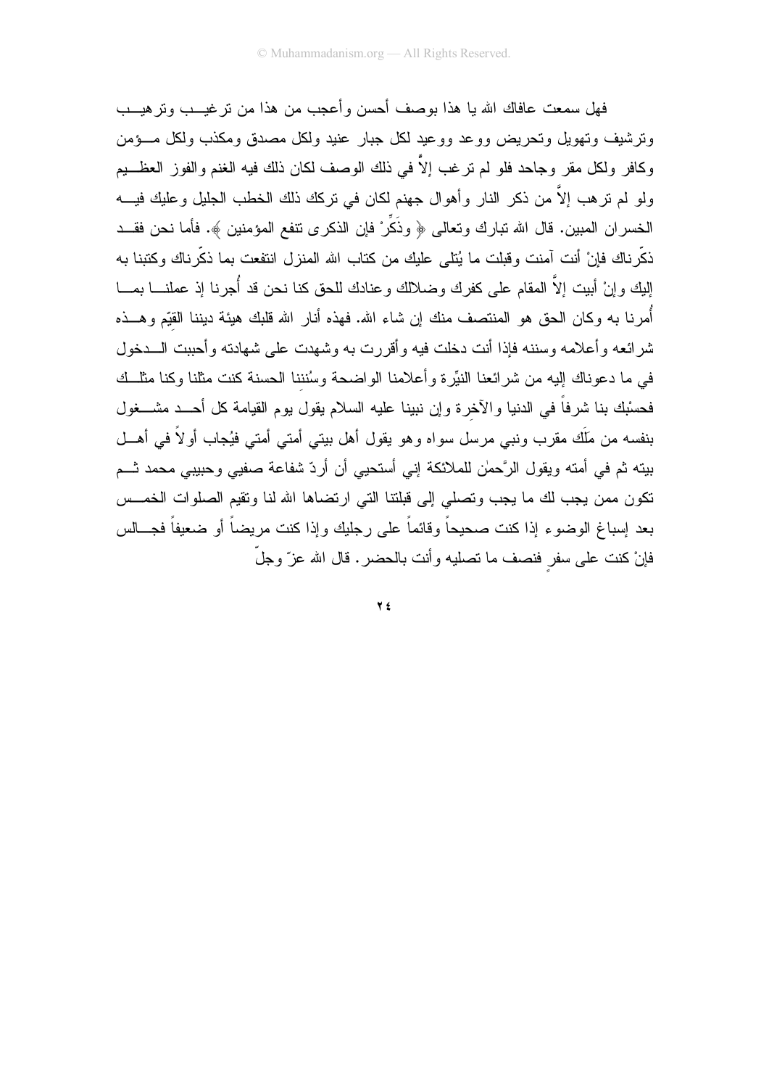فهل سمعت عافاك الله يا هذا بوصف أحسن وأعجب من هذا من تر غيـــب وتر هيـــب ونرشيف ونهويل ونحريض ووعد ووعيد لكل جبار عنيد ولكل مصدق ومكذب ولكل مسؤمن وكافر ولكل مقر وجاحد فلو لم نرغب إلاَّ في ذلك الوصف لكان ذلك فيه الغنم والفوز العظـــيم ولو لم نرهب إلاَّ من ذكر النار وأهوال جهنم لكان في نركك ذلك الخطب الجليل وعليك فيــــه الخسران المبين. قال الله نبارك ونعالى ﴿ وذَكِّرْ فإن الذكرى نتفع المؤمنين ﴾. فأما نحن فقــد ذكَّرناك فإنْ أنت آمنت وقبلت ما يُتلى عليك من كتاب الله المنزل انتفعت بما ذكَّرناك وكتبنا به إليك وإنْ أبيت إلاَّ المقام على كفرك وضلالك وعنادك للحق كنا نحن قد أُجرنا إذ عملنــــا بمــــا أُمرنا به وكان الحق هو المنتصف منك إن شاء الله. فهذه أنار الله قلبك هيئة ديننا القيّم وهـــذه شر ائعه و أعلامه وسننه فإذا أنت دخلت فيه و أقررت به وشهدت على شهادته و أحببت الـــدخول في ما دعوناك إليه من شرائعنا النيِّرة وأعلامنا الواضحة وسُنننا الحسنة كنت مثلنا وكنا مثلَّــك فحسْبِك بنا شرفاً في الدنيا والآخرة وإن نبينا عليه السلام يقول بوم القيامة كل أحــد مشـــغول بنفسه من مَلَك مقرب ونبي مرسل سواه وهو يقول أهل بيتي أمتى أمتى فيُجاب أولاً في أهـــل بينه ثم في أمته ويقول الرَّحمٰن للملائكة إني أستحيي أن أردّ شفاعة صفيي وحبيبي محمد ثــم نكون ممن يجب لك ما يجب وتصلي إلى قبلنتا التي ارتضاها الله لنا ونقيم الصلوات الخمـــس بعد إسباغ الوضوء إذا كنت صحيحاً وقائماً على رجليك وإذا كنت مريضاً أو ضعيفاً فجـــالس فإنْ كنت على سفر فنصف ما تصليه وأنت بالحضر . قال الله عز ّ وجلّ

 $Y f$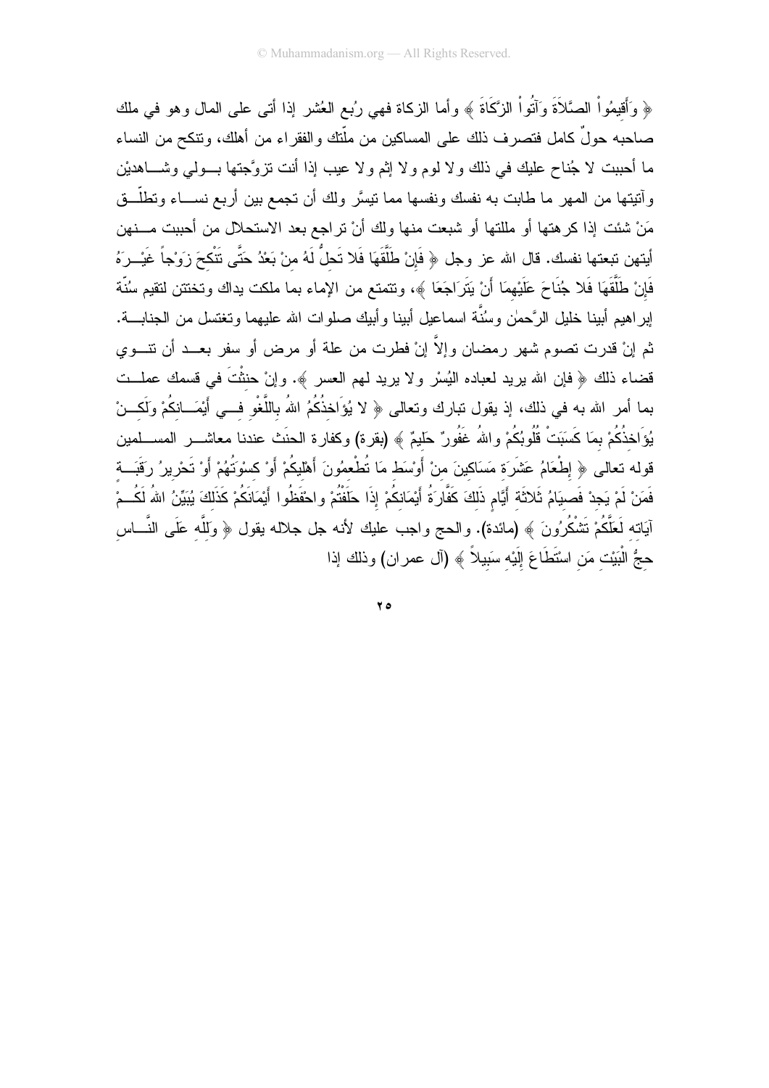﴿ وَأَقِيمُواْ الصَّلاَةَ وَآتُواْ الزَّكَاةَ ﴾ وأما الزكاة فهي رُبع العُشر إذا أتـى علـى المال وهو فـي ملك صاحبه حولٌ كامل فتصرف ذلك على المساكين من ملّتك والفقراء من أهلك، ونتكح من النساء ما أحببت لا جُناح عليك في ذلك ولا لوم ولا إثم ولا عيب إذا أنت نزوَّجتها بـــولى وشــــاهديْن وأنتيتها من الممهر ما طابت به نفسك ونفسها مما نتيسَّر ولك أن نجمع بين أربع نســـاء ونطلَّـــق مَنْ شئت إذا كرهتها أو مللتها أو شبعت منها ولك أنْ نراجع بعد الاستحلال من أحببت مـــنهن أيتهن تبعتها نفسك. قال الله عز وجل ﴿ فَإِنْ طَلَّقَهَا فَلا تَحلُّ لَهُ منْ بَعْدُ حَتَّى تَتْكحَ زَوْجاً غَيْــرَهُ فَإِنْ طَلَّقَهَا فَلا جُنَاحَ عَلَيْهِمَا أَنْ يَتَرَاجَعَا ﴾، ونتمتع من الإماء بما ملكت يداك وتختتن لتقيم سُنّة لِبراهيم أبينا خليل الرَّحمٰن وسُنَّة اسماعيل أبينا وأبيك صلوات الله عليهما ونغتسل من الـجنابــــة. ثم إنْ قدرت تصوم شهر رمضان وإلاّ إنْ فطرت من علة أو مرض أو سفر بعــد أن نتـــوي قضاء ذلك ﴿ فإن الله يريد لعباده النِّسْر ولا يريد لهم العسر ﴾. وإنْ حنثْتَ في قسمك عملــت بما أمر الله به في ذلك، إذ يقول تبارك وتعالى ﴿ لا يُوَاخذُكُمُ اللهُ باللَّغْو فـــي أَيْمَـــانكُمْ وَلَكـــنْ يُوَاخذُكُمْ بِمَا كَسَبَتْ قُلُوبُكُمْ واللهُ عَفُورٌ حَليمٌ ﴾ (بقرة) وكفارة الحنَث عندنا معاشـــــر المســـلمين قوله تعالى ﴿ إِطْعَامُ عَشَرَة مَسَاكِينَ منْ أَوْسَط مَا تُطْعِمُونَ أَهْلِيكُمْ أَوْ كِسْوَتُهُمْ أَوْ تَحْرِيرُ رَقَبَــة فَمَنْ لَمْ يَجِدْ فَصبيَامُ ثَلاثَةِ أَيَّام ذَلِكَ كَفَّارَةُ أَيْمَانِكُمْ إِذَا حَلَفْتُمْ واحْفَظُوا أَيْمَانَكُمْ كَذَلِكَ يُبَيِّنُ اللهُ لَكُــمْ آيَاته لَعَلَّكُمْ نَتْنْكُرُونَ ﴾ (مائدة). والحج واجب عليك لأنه جل جلاله يقول ﴿ وَللَّه عَلَى النَّـــاس حجُّ الْبَيْت مَن اسْتَطَاعَ إِلَيْه سَبِيلاً ﴾ (آل عمر ان) وذلك إذا

 $70$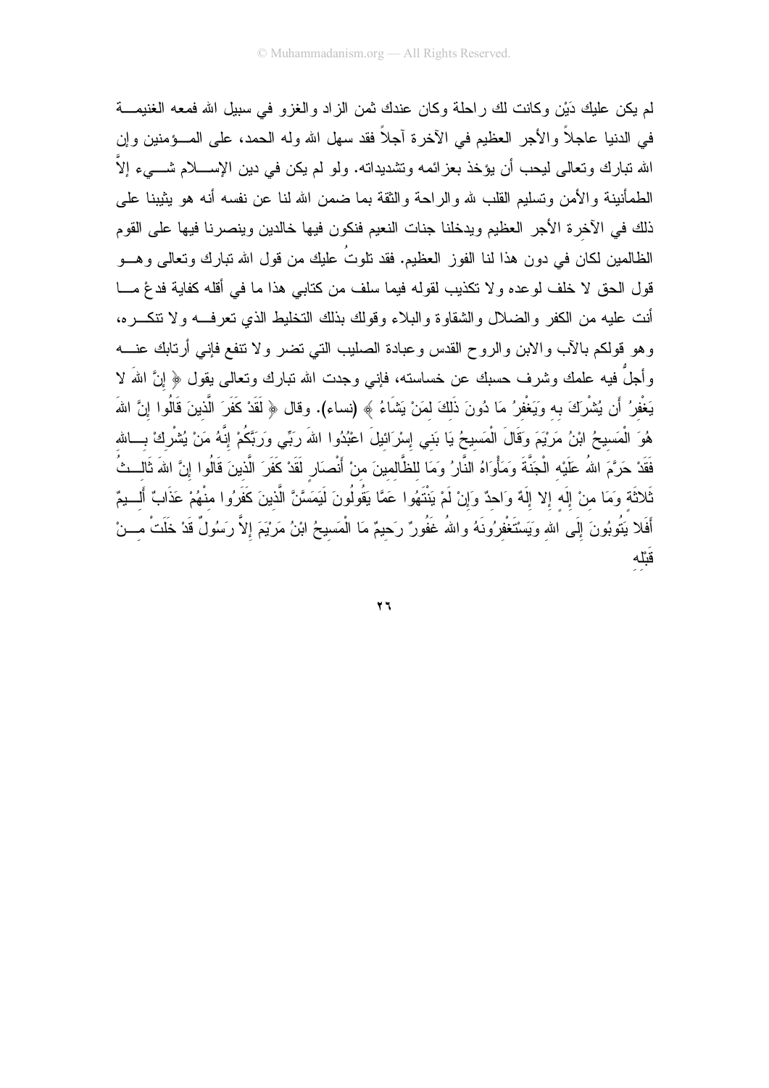لم يكن عليك دَيْنٍ وكانت لك راحلة وكان عندك ثمن الزاد والغزو في سبيل الله فمعه الغنيمـــة في الدنيا عاجلاً والأجر العظيم في الآخرة آجلاً فقد سهل الله وله الحمد، على المـــؤمنين وإن الله نبارك وتعالى ليحب أن يؤخذ بعزائمه وتشديداته. ولو لم يكن في دين الإســــلام شــــيء إلاَّ الطمأنينة والأمن وتسليم القلب لله والراحة والثقة بما ضمن الله لنا عن نفسه أنه هو بثيبنا على ذلك في الآخرة الأجر العظيم ويدخلنا جنات النعيم فنكون فيها خالدين وينصرنا فيها على القوم الظالمين لكان في دون هذا لنا الفوز العظيم. فقد نلوتُ عليك من قول الله نبارك ونعالى وهـــو قول الحق لا خلف لوعده ولا تكذيب لقوله فيما سلف من كتابي هذا ما في أقله كفاية فدعٌ مـــا أنت عليه من الكفر والضلال والشقاوة والبلاء وقولك بذلك التخليط الذي تعرفــه ولا نتكـــره، وهو قولكم بالأب والابن والروح القدس وعبادة الصليب التبي نضر ولا نتفع فإنبي أرنابك عنسه وأجلَّ فيه علمك وشرف حسبك عن خساسته، فإنـى وجدت الله نبارك ونعالـى يقول ﴿ إِنَّ اللهَ لا يَغْفِرُ أَن يُشْرِكَ به وَيَغْفرُ مَا دُونَ ذَلكَ لمَنْ يَشَاءُ ﴾ (نساء). وقال ﴿ لَقَدْ كَفَرَ الَّذينَ قَالُوا إنَّ اللهَ هُوَ الْمَسيحُ ابْنُ مَرْيَمَ وَقَالَ الْمَسيحُ يَا بَني إِسْرَائيلَ اعْبُدُوا اللهَ رَبِّي وَرَبَّكُمْ إنَّهُ مَنْ يُشْرِكْ بِسالله فَقَدْ حَرَّمَ اللهُ عَلَيْه الْجَنَّةَ وَمَأْوَاهُ النَّارُ وَمَا للظَّالمينَ منْ أَنْصنَارٍ لَقَدْ كَفَرَ الَّذينَ قَالُوا إنَّ اللهَ ثَالــثُ ثَلاثَة وَمَا منْ إِلَه إلا إِلَهٌ وَاحدٌ وَإِنْ لَمْ يَنْتَهُوا عَمَّا يَقُولُونَ لَيَمَسَّنَّ الَّذينَ كَفَرُوا منْهُمْ عَذَابٌ أَلـــبمٌ أَفَلا يَتُوبُونَ إِلَى الله وَيَسْتَغْفرُونَهُ واللهُ غَفُورٌ رَحيمٌ مَا الْمَسيحُ ابْنُ مَرْيَمَ إِلاّ رَسُولٌ قَدْ خَلَتْ مِـــنْ قَبْلُه

 $\mathbf{y}$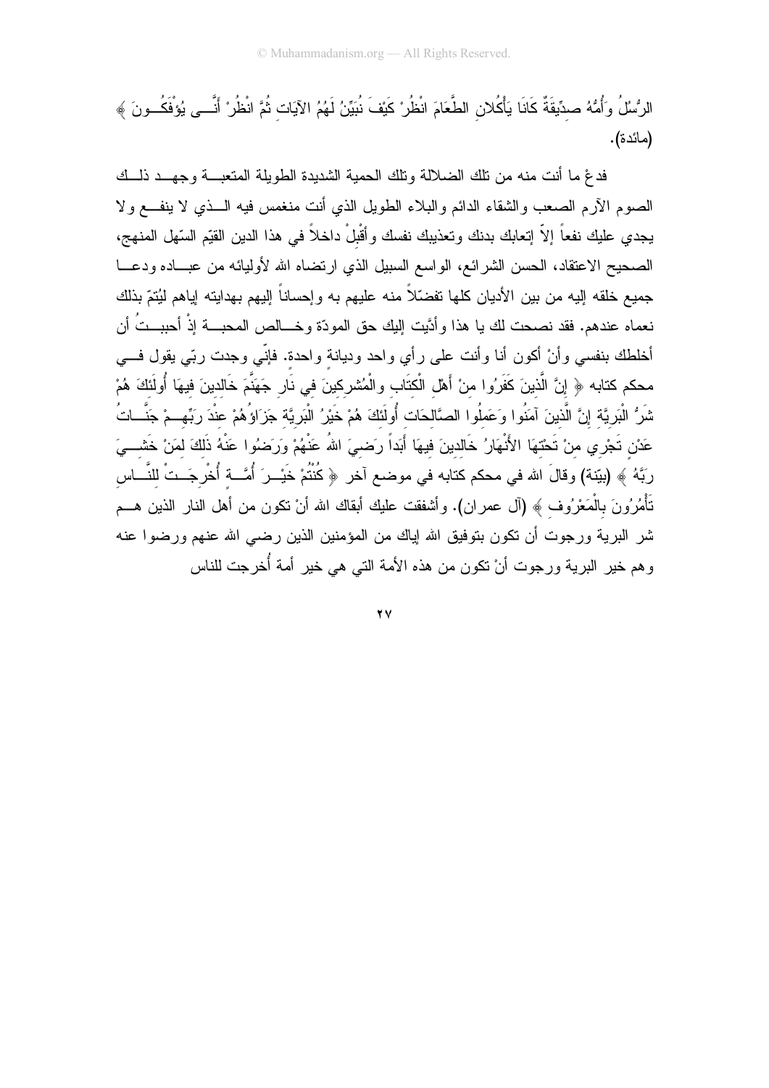الرُّسُلُ وَأُمُّهُ صدِّيقَةٌ كَانَا يَأْكُلان الطَّعَامَ انْظُرْ كَيْفَ نُبَيِّنُ لَهُمُ الآيَات ثُمَّ انْظُرْ أَنَّــى يُؤفَكُــونَ ﴾ (مائدة).

فدغ ما أنت منه من نلك الضلالة ونلك الحمية الشديدة الطويلة المتعبسة وجهسد ذلسك الصوم الأرم الصعب والشقاء الدائم والبلاء الطويل الذي أنت منغمس فيه الـــذي لا ينفـــع ولا يجدي عليك نفعاً إلاّ إتعابك بدنك وتعذيبك نفسك وأقْبلْ داخلاً في هذا الدين القيّم السّهل المنهج، الصحيح الاعتقاد، الحسن الشرائع، الواسع السبيل الذي ارتضاه الله لأوليائه من عبـــاده ودعـــا جميع خلقه إليه من بين الأديان كلها تفضّلاً منه عليهم به وإحساناً إليهم بهدايته إياهم ليُتمّ بذلك نعماه عندهم. فقد نصحت لك يا هذا وأدَّيت إليك حق المودّة وخـــالص المحبـــة إذْ أحببــتُ أن أخلطك بنفسي وأنْ أكون أنا وأنت على رأي واحد وديانة واحدة. فإنّي وجدت ربّي يقول فسي محكم كتابه ﴿ إِنَّ الَّذِينَ كَفَرُوا منْ أَهْلِ الْكتَابِ والْمُشْرِكِينَ في نَارِ جَهَنَّمَ خَالدينَ فيهَا أُولَئكَ هُمْ شَرُّ الْبَرِيَّة إِنَّ الَّذينَ آمَنُوا وَعَملُوا الصَّالحَات أُولَئكَ هُمْ خَيْرُ الْبَرِيَّة جَزَاؤُهُمْ عندَ ربِّهِــمْ جَنَّـــاتُ عَدْنِ تَجْرِي منْ تَحْتهَا الأَنْهَارُ خَالدينَ فيهَا أَبَداً رَضـىَ اللهُ عَنْهُمْ ورَضِوُا عَنْهُ ذَلكَ لمَنْ خَشـــىَ ربَّهُ ﴾ (بيّنة) وقالَ الله في محكم كتابه في موضـع آخر ﴿ كُنْتُمْ خَيْــرَ أُمَّـــة أُخْرِجَــتْ للنَّـــاس تَأْمُرُونَ بِالْمَعْرُوف ﴾ (آل عمران). وأشفقت عليك أبقاك الله أنْ نكون من أهل النار الذين هـــم شر البرية ورجوت أن نكون بتوفيق الله إياك من المؤمنين الذين رضي الله عنهم ورضوا عنه وهم خير البرية ورجوت أنْ نكون من هذه الأمة التي هي خير أمة أُخرجت للناس

 $\mathbf{y}$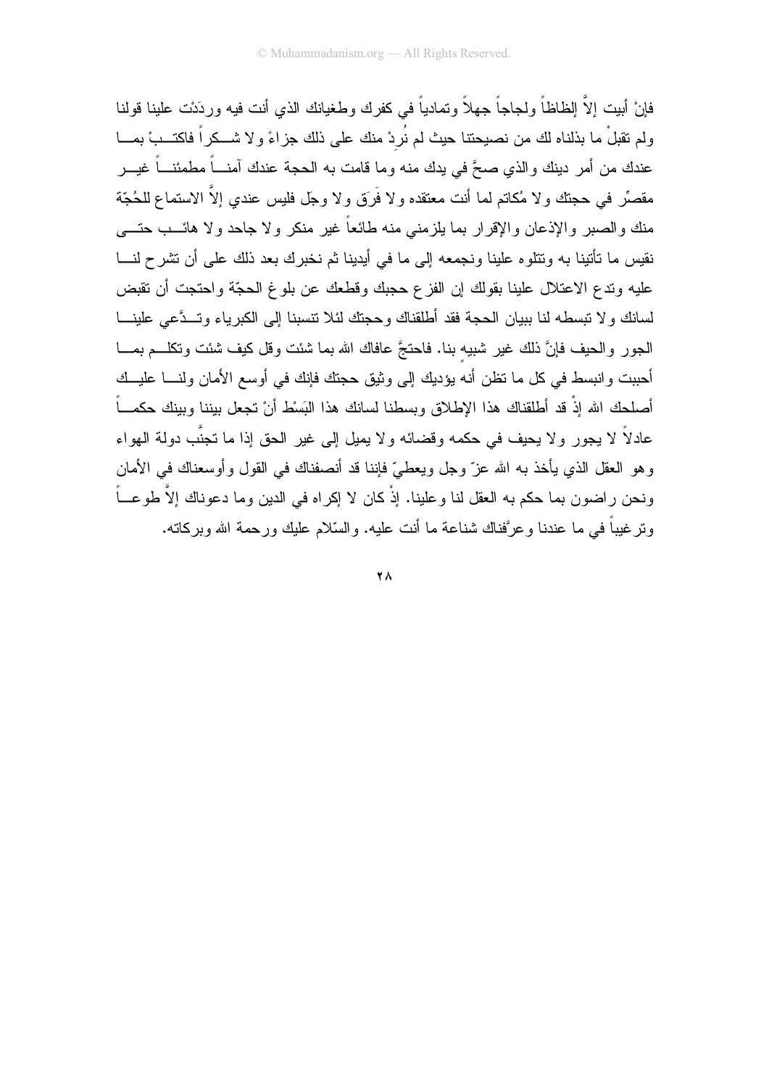فإنْ أبيت إلاَّ الظاظاً ولجاجاً جهلاً وتمادياً في كفرك وطغيانك الذي أنت فيه وردَنت علينا قولنا ولم نقبلٌ ما بذلناه لك من نصبحتنا حيث لم نُرِدْ منك على ذلك جزاءً ولا شـــكراً فاكتـــبْ بمـــا عندك من أمر دينك والذي صحَّ في يدك منه وما قامت به الحجة عندك آمنــــاً مطمئنـــاً غيــــر مقصِّر في حجتك ولا مُكاتم لما أنت معتقده ولا فَرَق ولا وجل فليس عندي إلاّ الاستماع للحُجّة منك والصبر والإذعان والإقرار بما بلزمنى منه طائعاً غير منكر ولا جاحد ولا هائـــب حتــــى نقيس ما تأتينا به ونتلوه علينا ونجمعه إلى ما في أيدينا ثم نخبرك بعد ذلك على أن تشرح لنـــا عليه وندع الاعتلال علينا بقولك إن الفزع حجبك وقطعك عن بلوغ الحجَّة واحتجت أن نقبض لسانك و لا نبسطه لنا ببيان الحجة فقد أطلقناك وحجنك لئلا نتسبنا إلى الكبر ياء وتسدَّعي علينـــا الجور والحيف فإنَّ ذلك غير شبيه بنا. فاحتجَّ عافاك الله بما شئت وقل كيف شئت ونكلــم بمـــا أحببت وانبسط في كل ما تظن أنه بؤديك إلى وثيق حجتك فإنك في أوسع الأمان ولنسا عليــك أصلحك الله إذْ قد أطلقناك هذا الإطلاق وبسطنا لسانك هذا البَسْط أنْ تجعل بيننا وبينك حكمـــاً عادلاً لا يجور ولا يحيف في حكمه وقضائه ولا يميل إلى غير الحق إذا ما تجنَّب دولة الهواء وهو العقل الذي يأخذ به الله عزّ وجل ويعطيّ فإننا قد أنصفناك في القول وأوسعناك في الأمان ونحن راضون بما حكم به العقل لنا وعلينا. إذْ كان لا إكراه في الدين وما دعوناك إلاَّ طوعــاً ونرغيباً في ما عندنا وعرَّفناك شناعة ما أنت عليه. والسَّلام عليك ورحمة الله وبركاته.

 $\mathbf{Y}$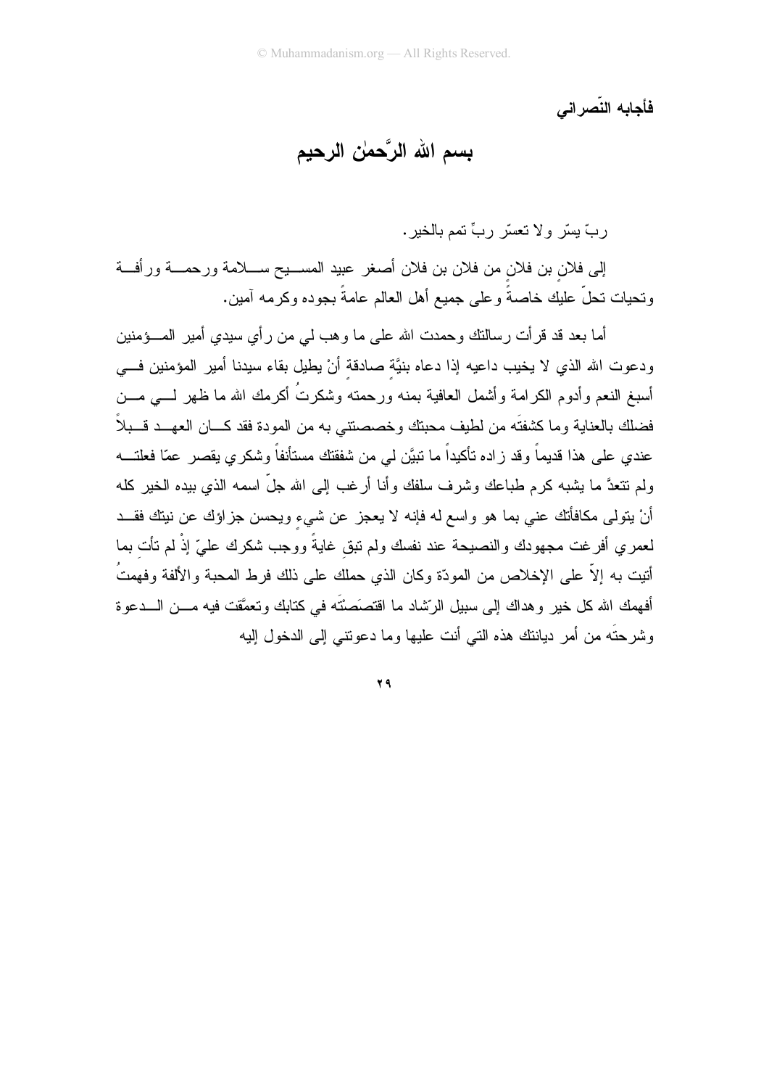فأحابه النّصر اني

## بِسم الله الرَّحمٰن الرحيم

ربَّ يسَّر ولا تعسَّر ربٍّ تمم بالخير.

إلى فلان بن فلان من فلان بن فلان أصغر عبيد المســـيح ســــلامة ورحمــــة ورأفـــة وتحيات تحلَّ عليك خاصةً وعلى جميع أهل العالم عامةً بجوده وكرمه آمين.

أما بعد قد قر أت ر سالتك و حمدت الله على ما و هب لي من ر أي سبدي أمير المــــؤمنين ودعوت الله الذي لا يخيب داعيه إذا دعاه بنيَّة صادقة أنْ يطيل بقاء سيدنا أمير المؤمنين فسي أسبغ النعم وأدوم الكرامة وأشمل العافية بمنه ورحمته وشكرتُ أكرمك الله ما ظهر لــــى مــــن فضلك بالعناية وما كشفتَه من لطيف محبتك وخصصنتـى به من المودة فقد كـــان العهـــد قـــبلاً عندي على هذا قديماً وقد زاده تأكيداً ما نبيَّن لمي من شفقتك مستأنفاً وشكري يقصر عمّا فعلتـــه ولم نتعدَّ ما بشبه كرم طباعك وشرف سلفك وأنا أرغب إلى الله جلَّ اسمه الذي بيده الخير كله أنْ بِتولِّي مكافأتك عني بما هو واسع له فإنه لا بعجز عن شيء وبحسن جز اوَك عن نبتك فقــد لعمر ي أفر غت مجهودك و النصبحة عند نفسك ولم نبق غايةً ووجب شكرك عليّ إذْ لم تأت بما أتبت به إلاَّ علي الإخلاص من المودّة وكان الذي حملك علي ذلك فرط المحبة والألفة وفهمتُ .<br>أفهمك الله كل خير وهداك إلى سبيل الرّشاد ما اقتصَصَتَه في كتابك وتعمَّقت فيه مـــن الـــدعوة وشرحتَه من أمر ديانتك هذه التي أنت عليها وما دعوتني إلى الدخول إليه

29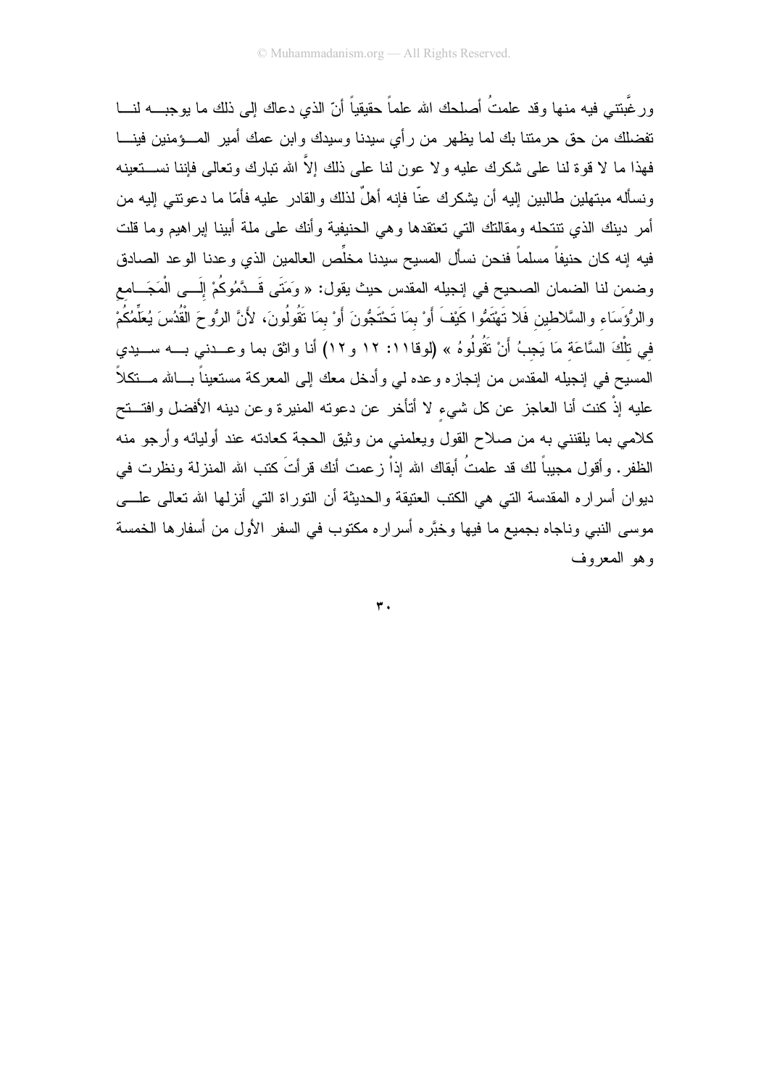ورغْبِتتي فيه منها وقد علمتُ أصلحك الله علماً حقيقياً أنّ الذي دعاك إلى ذلك ما يوجبــــه لنــــا نفضلك من حق حرمتنا بك لما يظهر من رأي سيدنا وسيدك ولبن عمك أمير المـــؤمنين فينــــا فهذا ما لا قوة لنا على شكرك عليه ولا عون لنا على ذلك إلاّ الله تبارك وتعالى فإننا نســـنعينه ونسأله مبتهلين طالبين إليه أن يشكرك عنّا فإنه أهلٌ لذلك والقادر عليه فأمّا ما دعونتبي إليه من أمر دينك الذي نتنحله ومقالتك التي تعتقدها وهي الحنيفية وأنك على ملة أبينا إبراهيم وما قلت فيه إنه كان حنيفاً مسلماً فنحن نسأل المسيح سيدنا مخلِّص العالمين الذي وعدنا الوعد الصادق وضمن لنا الضمان الصحيح في إنجيله المقدس حيث يقول: « وَمَتَى قَــدَّمُوكُمْ إِلَــي الْمَجَـــامع والرُّؤَسَاء والسَّلاطين فَلا تَهْتَمُّوا كَيْفَ أَوْ بِمَا تَحْتَجُّونَ أَوْ بِمَا تَقُولُونَ، لأَنَّ الرُّوحَ الْقُدُسَ يُعَلِّمُكُمْ في تلْكَ السَّاعَة مَا يَجبُ أَنْ تَقُولُوهُ » (لوقا١١: ١٢ و ١٢) أنا واثق بما وعــدنى بـــه ســـيدي المسيح في إنجيله المقدس من إنجازه وعده لمي وأدخل معك إلى المعركة مستعيناً بـــالله مـــنكلاً عليه إذْ كنت أنا العاجز عن كل شيء لا أتأخر عن دعوته المنيرة وعن دينه الأفضل وافتــتح كلامي بما يلقنني به من صلاح القول ويعلمني من وثيق الحجة كعادنه عند أوليائه وأرجو منه الظفر . وأقول مجيباً لك قد علمتُ أبقاك الله إذاْ زعمت أنك قرأتَ كتب الله المنزلة ونظرت في ديوان أسراره المقدسة النبي هي الكتب العتيقة والحديثة أن النوراة النبي أنزلها الله تعالى علسى موسى النبي وناجاه بجميع ما فيها وخبَّره أسراره مكتوب في السفر الأول من أسفارها الخمسة وهو المعروف

 $\overline{r}$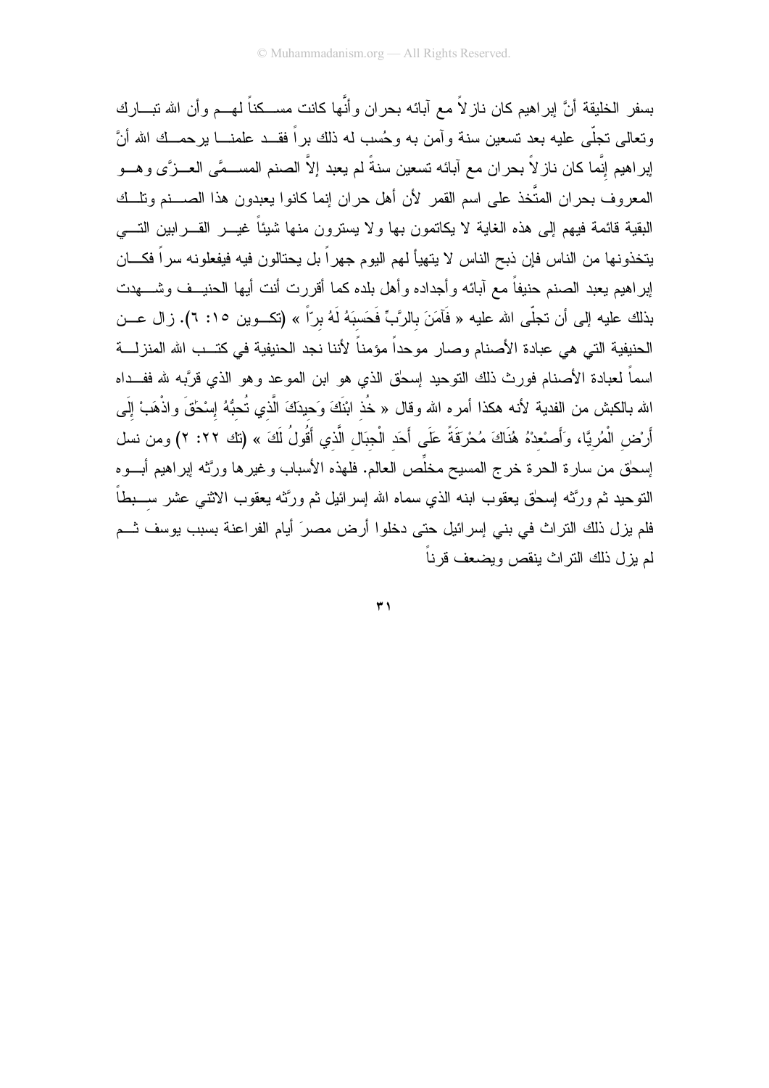بسفر الخليقة أنَّ ايراهيم كان ناز لاً مع آبائه بحران وأنَّها كانت مســكناً لمهــم وأن الله تبـــارك ونعالى تجلَّى عليه بعد تسعين سنة وآمن به وحُسب له ذلك براً فقـــد علمنــــا برحمـــك الله أنَّ إبراهيم إنَّما كان ناز لاً بحران مع آبائه تسعين سنةً لم يعبد إلاَّ الصنم المســـمَّى العـــزَّى وهـــو المعروف بحران المتَّخذ على اسم القمر لأن أهل حران إنما كانوا يعبدون هذا الصــــنم ونلـــك البقية قائمة فيهم إلى هذه الغاية لا يكاتمون بها ولا يسترون منها شيئاً غيـــر القــــرابين التــــي يتخذونها من الناس فإن ذبح الناس لا يتهيأ لهم اليوم جهراً بل يحتالون فيه فيفعلونه سراً فكـــان إبراهيم يعبد الصنم حنيفاً مع آبائه وأجداده وأهل بلده كما أقررت أنت أيها الحنيــف وشــــهدت بذلك عليه إلى أن تجلَّى الله عليه « فَآمَنَ بالرَّبِّ فَحَسبَهُ لَهُ برّاً » (تكــوين ١٥: ٦). زال عــن الحنيفية التي هي عبادة الأصنام وصار موحداً مؤمناً لأننا نجد الحنيفية في كتــب الله المنزلـــة اسماً لعبادة الأصنام فورث ذلك النوحيد إسحق الذي هو ابن الموعد وهو الذي قربَّبه لله ففــداه الله بالكبش من الفدية لأنه هكذا أمره الله وقال « خُذ ابْنَكَ وَحيدَكَ الَّذي تُحبُّهُ إسْحَقَ واذْهَبْ إلَى أَرْض الْمُرِيَّا، وَأَصنعدْهُ هُنَاكَ مُحْرَقَةً عَلَى أَحَد الْجِبَال الَّذي أَقُولُ لَكَ » (تك ٢٢: ٢) ومن نسل إسحٰق من سارة الحرة خرج المسيح مخلِّص العالم. فلهذه الأسباب وغيرها ورَّثه إبراهيم أبـــوه النوحيد ثم ورَّثه إسحٰق يعقوب ابنه الذي سماه الله إسرائيل ثم ورَّثه يعقوب الاثنـي عشر ســـبطاً فلم يزل ذلك التراث في بني إسرائيل حتى دخلوا أرض مصرَ أيام الفراعنة بسبب يوسف ثــم لم يزل ذلك التر اث ينقص ويضعف قر ناً

 $\overline{r}$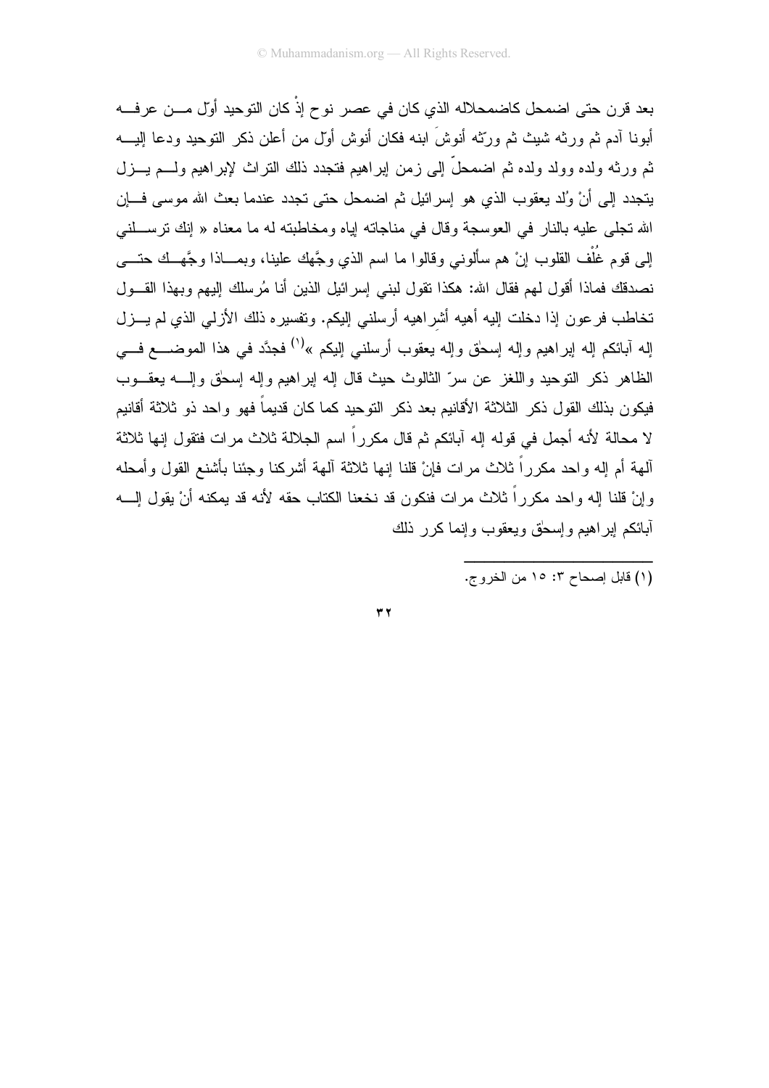بعد قر ن حتى اضمحل كاضمحلاله الذي كان في عصر نو ح إذْ كان التوحيد أول مـــن عر فـــه أبونـا آدم ثم ورثـه شيث ثم وربّثه أنوشَ ابنـه فكان أنوش أول من أعلن ذكر التوحيد ودعا إليـــه ثم ورثه ولده وولد ولده ثم اضمحلَّ إلى زمن إبراهيم فتجدد ذلك النراث لإبراهيم ولـــم يـــزل يتجدد إلى أنْ وُلد يعقوب الذي هو إسر ائيل ثم اضمحل حتى تجدد عندما بعث الله موسى فسان الله تجلَّى عليه بالنار في العوسجة وقال في مناجاته اياه ومخاطبته له ما معناه « إنك نرســلنبي إلى قوم غُلْف القلوب إنْ هم سألوني وقالوا ما اسم الذي وجَّهك علينا، وبمـــاذا وجَّهــك حتــــي نصدقك فماذا أقول لهم فقال الله: هكذا نقول لبني إسرائيل الذين أنا مُرسلك إليهم وبهذا القـــول تخاطب فر عون إذا دخلت إليه أهيه أشر اهيه أر سلني إليكم. وتفسير ه ذلك الأزلمي الذي لم يـــزل إله أبائكم إله إبراهيم وإله إسحٰق وإله يعقوب أرسلنبي إليكم »<sup>(י)</sup> فجدَّد في هذا الموضـــــع فــــي الظاهر ذكر التوحيد و اللغز عن سرِّ الثالوث حيث قال إله إبر اهيم وإله إسحٰق وإلـــه بعقـــوب فيكون بذلك القول ذكر الثلاثة الأقانيم بعد ذكر التوحيد كما كان قديماً فهو واحد ذو ثلاثة أقانيم لا محالة لأنه أجمل في قوله إله آبائكم ثم قال مكرراً اسم الجلالة ثلاث مرات فتقول إنها ثلاثة ألهة أم إله واحد مكرراً ثلاث مرات فإنْ قلنا إنها ثلاثة ألهة أشركنا وجئنا بأشنع القول وأمحله وإنْ قلنا إله واحد مكرراً ثلاث مرات فنكون قد نخعنا الكتاب حقه لأنه قد يمكنه أنْ يقول إلــــه أبائكم اير اهيم وإسحق ويعقوب وإنما كرر ذلك

 $\tau$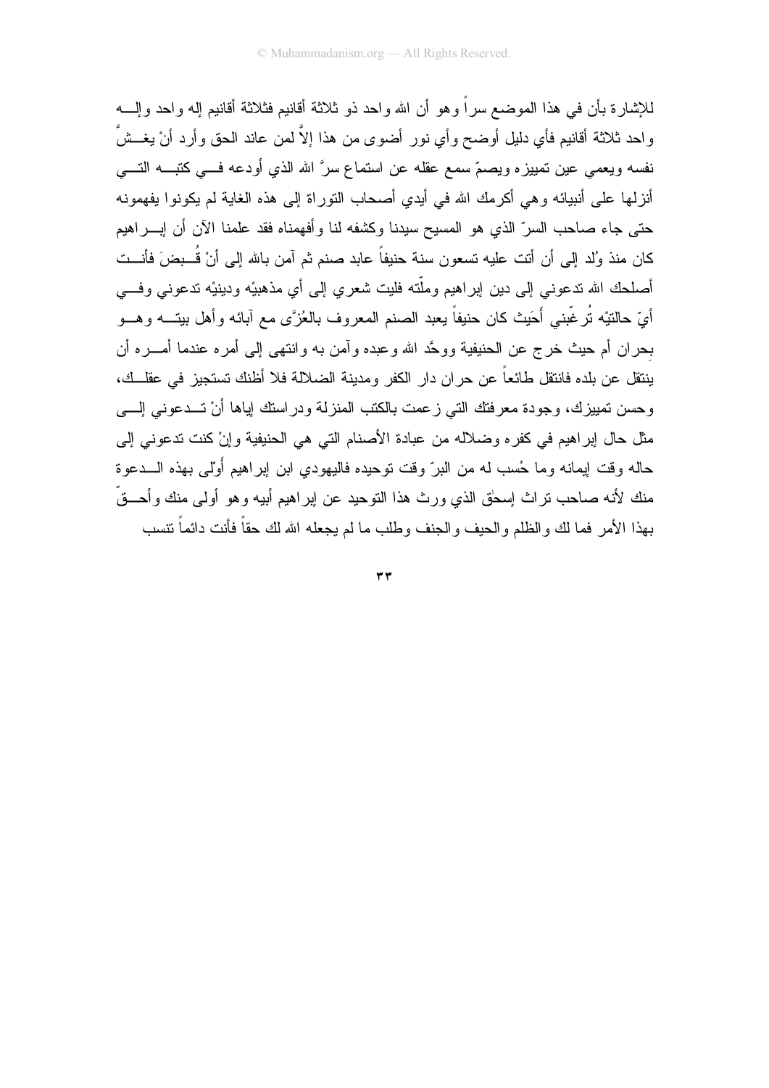للإشار ة بأن في هذا الموضع سر اً و هو أن الله و احد ذو ثلاثة أقانيم فثلاثة أقانيم إله و احد و إلــــه واحد ثلاثة أقانيم فأى دليل أوضح وأى نور أضوى من هذا إلاّ لمن عاند الحق وأرد أنْ يغــشّ نفسه ويعمى عين نمييزه ويصمّ سمع عقله عن استماع سرَّ الله الذي أودعه فـــي كتبـــه التــــي أنزلها على أنبيائه وهي أكرمك الله في أيدي أصحاب النوراة إلى هذه الغاية لم يكونوا يفهمونه حتى جاء صاحب السرِّ الذي هو المسيح سيدنا وكشفه لنا وأفهمناه فقد علمنا الآن أن إبــــراهيم كان منذ وُلد إلى أن أنت عليه تسعون سنة حنيفاً عابد صنم ثم آمن بالله إلى أنْ قُــبضَ فأنــت أصلحك الله ندعوني إلى دين إبراهيم وملَّته فليت شعري إلى أي مذهبيْه ودبنيْه ندعوني وفـــي أيّ حالتيْه نُرغّبني أَحَيث كان حنيفاً يعبد الصنم المعروف بالعُزَّى مع أبائه وأهل بيتـــه وهـــو بحران أم حيث خرج عن الحنيفية ووحَّد الله وعبده وأمن به وانتهى إلىي أمره عندما أمــــره أن بنتقل عن بلده فانتقل طائعاً عن حر ان دار الكفر ومدبنة الضلالة فلا أظنك تستجبز في عقلــك، وحسن نمييزك، وجودة معرفتك التي زعمت بالكتب المنزلة ودراستك إياها أنْ تــدعوني إلـــي مثل حال ابر اهيم في كفره وضلاله من عبادة الأصنام التي هي الحنيفية وإنْ كنت تدعوني إلى حاله وقت إيمانه وما حُسب له من البرّ وقت توحيده فاليهودي ابن إبراهيم أَوْلَى بهذه الـــدعوة منك لأنه صاحب نراث إسحٰق الذي ورث هذا النوحيد عن إبراهيم أبيه وهو أولى منك وأحـــقّ بهذا الأمر فما لك والظلم والحيف والجنف وطلب ما لم يجعله الله لك حقاً فأنت دائماً نتسب

 $\mathbf{r}$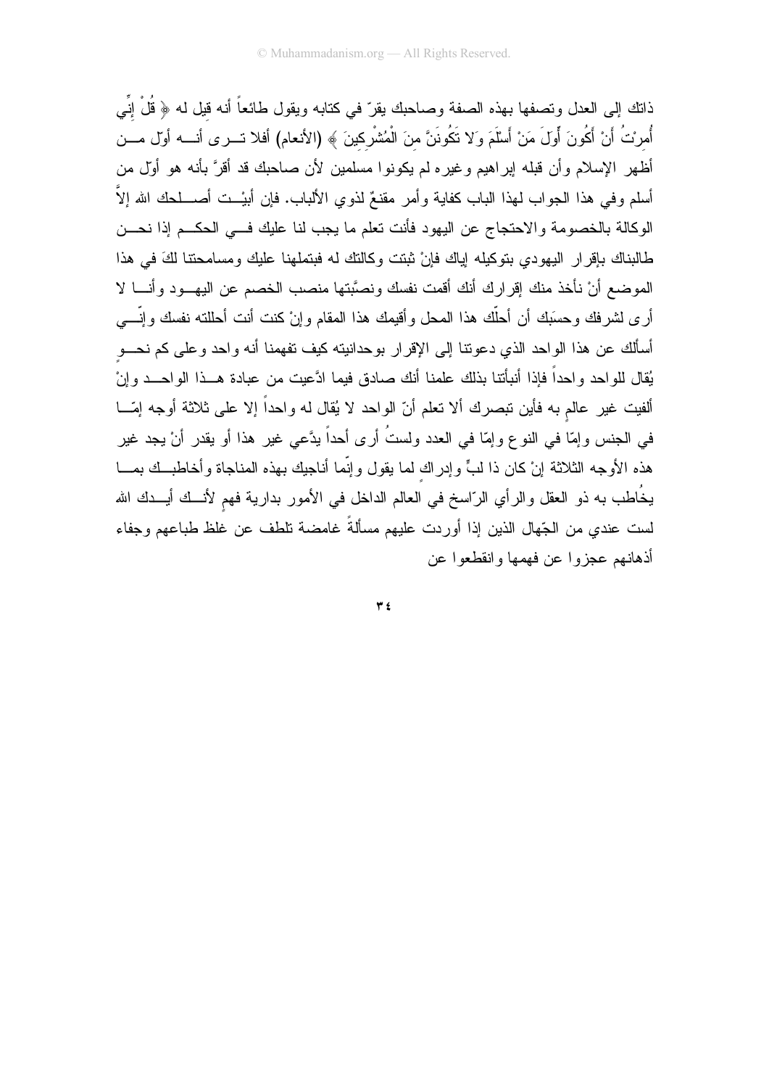ذاتك إلى العدل وتصفها بهذه الصفة وصاحبك يقرّ في كتابه ويقول طائعاً أنه قيل له ﴿ قُلْ إِنِّي أُمرِيتُ أَنْ أَكُونَ أَولَ مَنْ أَسْلَمَ وَلا تَكُونَنَّ منَ الْمُتْسْرِكينَ ﴾ (الأنعام) أفلا تـــرى أنــــه أول مـــن أظهر الإسلام وأن قبله إبراهيم وغيره لم يكونوا مسلمين لأن صاحبك قد أقرَّ بأنه هو أولَّ من أسلم وفي هذا الجواب لهذا الباب كفاية وأمر مقنعٌ لذوي الألباب. فإن أبيْــت أصــــلحك الله إلاَّ الوكالة بالخصومة والاحتجاج عن اليهود فأنت تعلم ما يجب لنا عليك فسي الحكــم إذا نحـــن طالبناك بإقرار اليهودي بتوكيله إياك فإنْ ثبتت وكالنك له فبتملهنا عليك ومسامحتنا لكَ في هذا الموضع أنْ نأخذ منك إقرارك أنك أقمت نفسك ونصَّبتها منصب الخصم عن اليهـــود وأنــــا لا أرى لشرفك وحسَبك أن أحلَّك هذا المحل وأقيمك هذا المقام وإنْ كنت أنت أحللته نفسك وإنَّـــي أسألك عن هذا الواحد الذي دعوننا إلى الإقرار بوحدانيته كيف نفهمنا أنه واحد وعلى كم نحـــو يُقال للو احد و احداً فإذا أنبأتنا بذلك علمنا أنك صادق فيما ادَّعيت من عبادة هــذا الواحـــد وإنْ ألفيت غير عالم به فأين نبصرك ألا نعلم أنّ الواحد لا يُقال له واحداً إلا على ثلاثة أوجه إمّـــا في الجنس وإمّا في النوع وإمّا في العدد ولستُ أرى أحداً بدَّعي غير هذا أو بقدر أنْ يجد غير هذه الأوجه الثلاثة إنْ كان ذا لبٍّ وإدراك لما يقول وإنِّما أناجيك بهذه المناجاة وأخاطبــك بمـــا يخُاطب به ذو العقل والرأي الرّاسخ في العالم الداخل في الأمور بدارية فهم لأنــك أيـــدك الله لست عندي من الجّهال الذين إذا أوردت عليهم مسألةً غامضة نلطف عن غلظ طباعهم وجفاء أذهانهم عجزوا عن فهمها وإنقطعوا عن

 $\tau$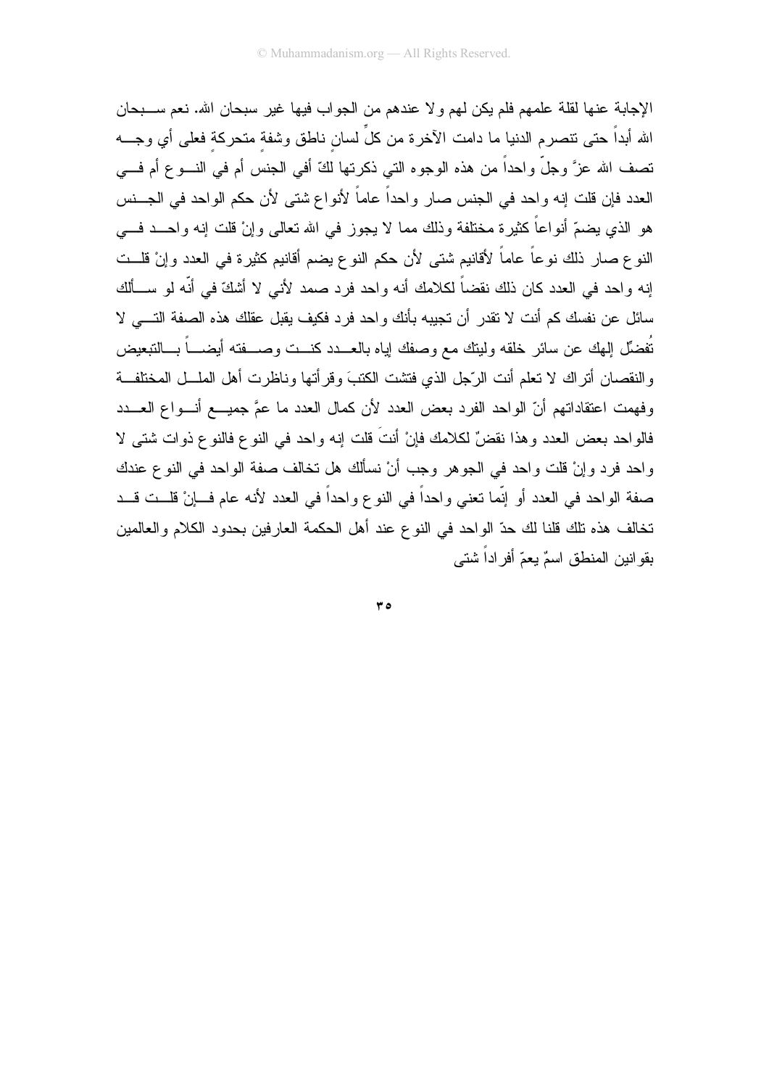الإجابة عنها لقلة علمهم فلم يكن لهم ولا عندهم من الجواب فيها غير سبحان الله. نعم ســـبحان الله أبداً حتى نتصرم الدنيا ما دامت الآخرة من كلِّ لسان ناطق وشفة متحركة فعلى أي وجـــه تصف الله عزَّ وجلَّ واحداً من هذه الوجوه التي ذكرتها لكَّ أفي الجنس أم في النــــوع أم فــــي العدد فإن قلت إنه واحد في الجنس صار واحداً عاماً لأنواع شتى لأن حكم الواحد في الجـــنس هو الذي يضمّ أنواعاً كثيرة مختلفة وذلك مما لا يجوز في الله تعالى وإنْ قلت إنه واحـــد فـــي النوع صـار ذلك نوعاً عاماً لأقانيم شتـي لأن حكم النوع بضم أقانيم كثيرة فـي الـعدد وإنْ قلــت اِنه واحد في العدد كان ذلك نقضاً لكلامك أنه واحد فرد صمد لأنبي لا أشكّ في أنّه لو ســألك سائل عن نفسك كم أنت لا نقدر أن تجيبه بأنك واحد فرد فكيف يقبل عقلك هذه الصفة التـــي لا تُفضِّل الهك عن سائرٍ خلقه ولينك مع وصفك اياه بالعـــدد كنـــت وصــــفته أيضــــاً بـــالتبعيض و النقصان أنّز اك لا تعلَّم أنت الرَّجل الذي فتشت الكتبَ و قر أتها و ناظر ت أهل الملَّـــل المختلفــة وفهمت اعتقاداتهم أنّ الواحد الفرد بعض العدد لأن كمال العدد ما عمَّ جميـــع أنـــواع العـــدد فالواحد بعض العدد وهذا نقضٌ لكلامك فإنْ أنتَ قلت إنه واحد في النوع فالنوع ذوات شتي لا واحد فرد وإنْ قلت واحد في الجوهر وجب أنْ نسألك هل نخالف صفة الواحد في النوع عندك صفة الواحد في العدد أو إنَّما تعني واحداً في النوع واحداً في العدد لأنه عام فــإنْ قلــت قــد تخالف هذه تلك قلنا لك حدّ الواحد في النوع عند أهل الحكمة العارفين بحدود الكلام والعالمين بقو انين المنطق اسمٌ يعمّ أفراداً شتى

 $r \circ$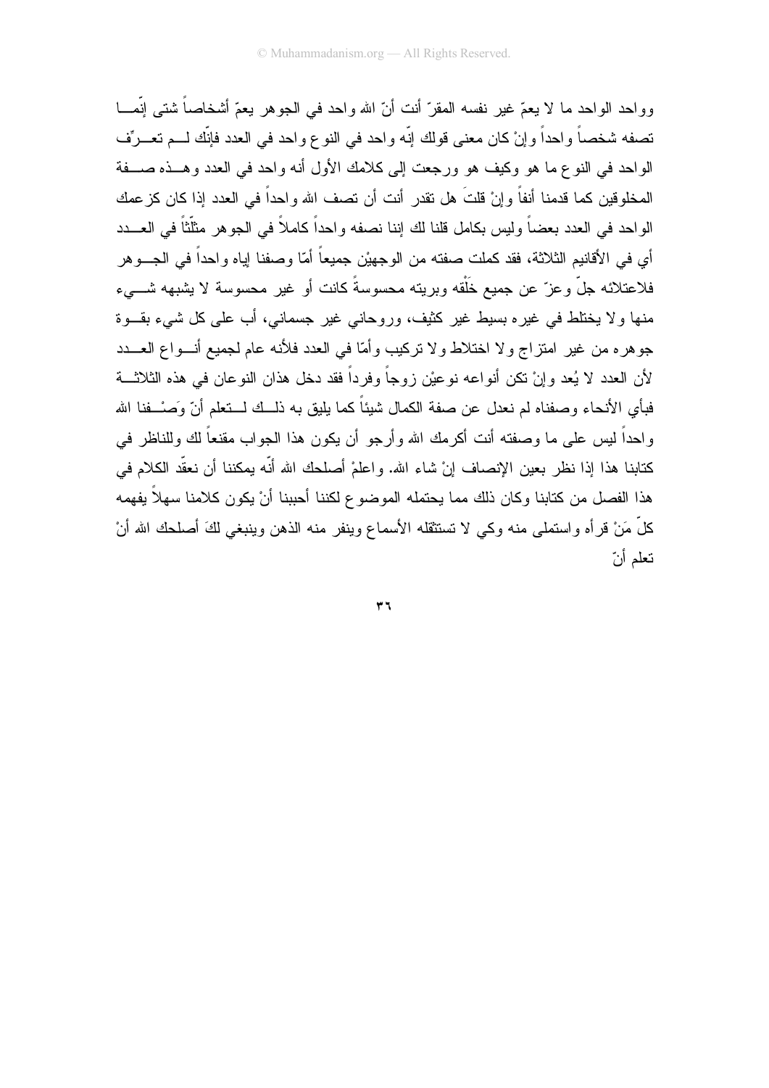وواحد الواحد ما لا يعمّ غير نفسه المقرّ أنت أنّ الله واحد في الجوهر يعمّ أشخاصاً شتني إنَّمـــا تصفه شخصاً واحداً وإنْ كان معنى قولك إنّه واحد في النوع واحد في العدد فإنّك لـــم تعـــرّف الواحد في النوع ما هو وكيف هو ورجعت إلى كلامك الأول أنه واحد في العدد وهــذه صـــفة المخلوقين كما قدمنا أنفاً وإنْ قلتَ هل نقدر أنت أن تصف الله واحداً في العدد إذا كان كز عمك الواحد في العدد بعضاً وليس بكامل قلنا لك إننا نصفه واحداً كاملاً في الجوهر مثلَّثاً في العـــدد أي في الأقانيم الثلاثة، فقد كملت صفته من الوجهيْن جميعاً أمّا وصفنا إياه واحداً في الجـــوهر فلاعتلائه جلٌّ وعزٌّ عن جميع خَلْقه وبريته محسوسةً كانت أو غير محسوسة لا يشبهه شــــىء منها و لا يختلط في غير ه بسيط غير كثيف، وروحاني غير جسماني، أب علي كل شيىء بقــوة جوهره من غير امتزاج ولا اختلاط ولا تركيب وأمّا في العدد فلأنه عام لجميع أنـــواع العـــدد لأن العدد لا بُعد و إنْ تكن أنو اعه نو عبْن ز و جاً و فر داً فقد دخل هذان النو عان في هذه الثلاثـــة فبأى الأنحاء وصفناه لم نعدل عن صفة الكمال شيئاً كما بليق به ذلــك لـــتعلم أنّ وَصـْــفنا الله واحداً ليس على ما وصفته أنت أكرمك الله وأرجو أن يكون هذا الجواب مقنعاً لك وللناظر في كتابنا هذا إذا نظر بعين الإنصاف إنْ شاء الله. واعلمْ أصلحك الله أنَّه بمكننا أن نعقَّد الكلام في هذا الفصل من كتابنا وكان ذلك مما يحتمله الموضوع لكننا أحببنا أنْ يكون كلامنا سهلاً يفهمه كلَّ مَنْ قرأه واستملـى منه وكـى لا تستثقله الأسماع وينفر منه الذهن وينبغـى لكَ أصلحك الله أنْ نعلم أنّ

 $\tau$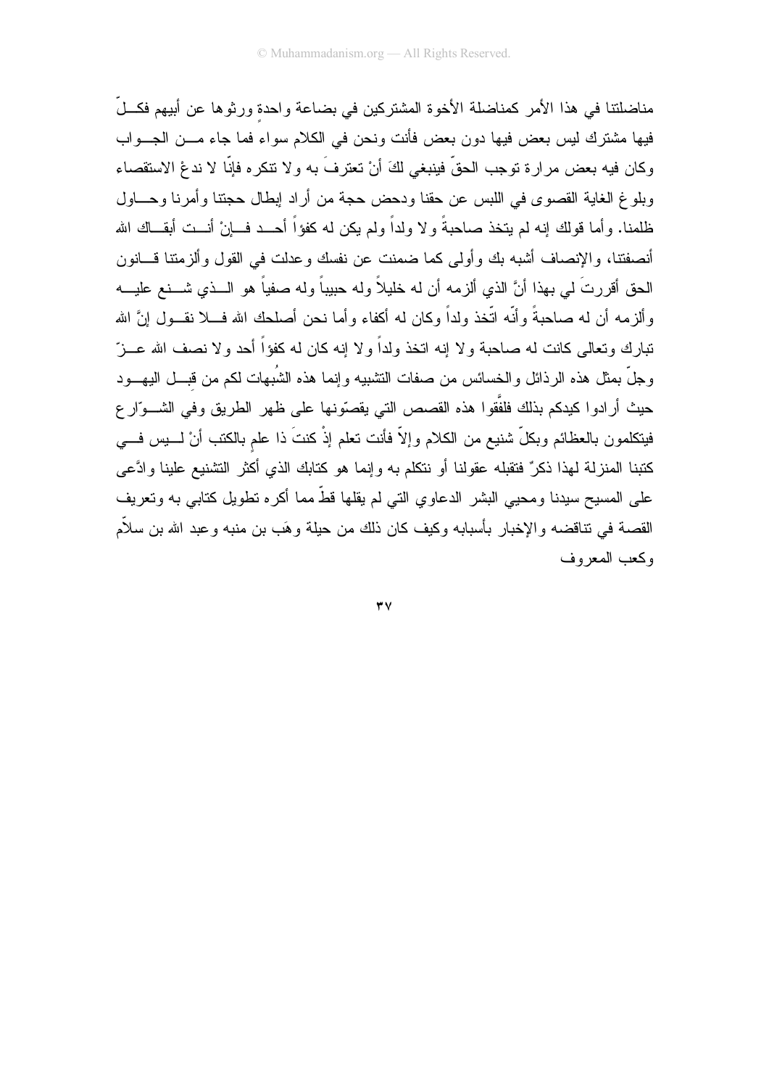مناضلتنا في هذا الأمر كمناضلة الأخوة المشتركين في بضاعة واحدة ور ثوها عن أبيهم فكـــلّ فيها مشترك ليس بعض فيها دون بعض فأنت ونحن في الكلام سواء فما جاء مـــن الجـــواب وكان فيه بعض مرارة توجب الحقِّ فينبغي لكَ أنْ تعترفَ به ولا تتكره فإنَّا لا ندعْ الاستقصاء وبلوغ الغاية القصوى في اللبس عن حقنا ودحض حجة من أراد إبطال حجنتا وأمرنا وحساول ظلمنا. وأما قولك إنه لم يتخذ صاحبةً ولا ولداً ولم يكن له كفؤاً أحــد فـــانْ أنــت أبقـــاك الله أنصفتنا، والإنصاف أشبه بك وأولى كما ضمنت عن نفسك وعدلت في القول وألزمتنا فسانون الحق أقررتَ لي بهذا أنَّ الذي ألزمه أن له خليلاً وله حبيباً وله صفياً هو الـــذي شـــنـع عليـــه و ألز مه أن له صاحبةً و أنَّه اتَّخذ ولداً وكان له أكفاء و أما نحن أصلحك الله فـــلا نقــول انَّ الله تبارك وتعالى كانت له صاحبة ولا إنه اتخذ ولداً ولا إنه كان له كفؤاً أحد ولا نصف الله عـــزّ وجلَّ بمثل هذه الرذائل والخسائس من صفات النشبيه وإنما هذه الشُبهات لكم من قبـــل اليهـــود حيث أرادوا كيدكم بذلك فلفَّقوا هذه القصص التي يقصّونها على ظهر الطريق وفي الشـــوّار ع فيتكلمون بالعظائم وبكلّ شنيع من الكلام وإلاّ فأنت تعلم إذْ كنتَ ذا علم بالكتب أنْ لــــيس فــــي كتبنا المنزلة لهذا ذكرٌ فتقبله عقولنا أو نتكلم به وإنما هو كتابك الذي أكثر التشنيع علينا وادَّعى على المسيح سيدنا ومحيى البشر الدعاوي التي لم يقلها قطَّ مما أكره نطويل كتابي به ونعريف القصـة فـى نتـاقضـه والإخبار بأسبابه وكيف كان ذلك من حيلة وهَب بن منبه وعبد الله بن سلاَّم وكعب المعروف

 $\mathbf{r} \mathbf{v}$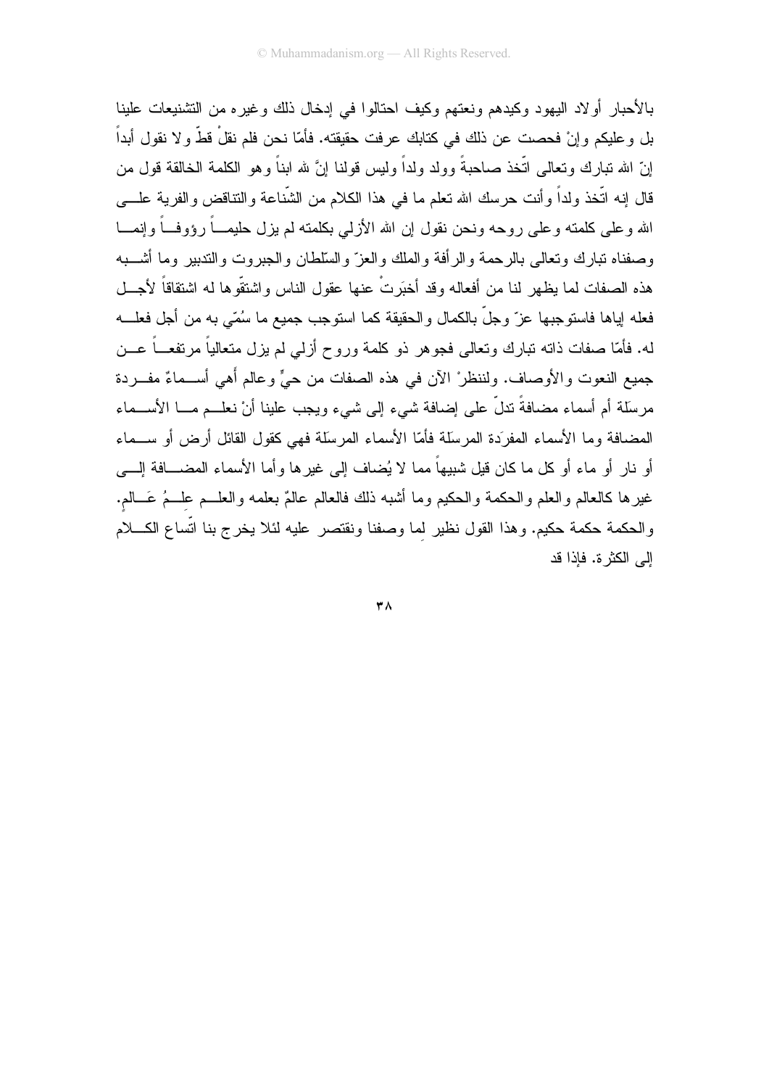بالأحبار أولاد اليهود وكبدهم ونعتهم وكيف احتالوا في إدخال ذلك وغيره من التشنيعات علينا بل و عليكم و إنْ فحصت عن ذلك في كتابك عر فت حقيقته. فأمّا نحن فلم نقلْ قطّْ و لا نقول أبداً إنَّ الله نبارك ونعالى اتَّخذ صاحبةً وولد ولداً وليس قولنا إنَّ لله ابناً وهو الكلمة الخالقة قول من قال إنه اتَّخذ ولداً وأنت حرسك الله تعلَّم ما في هذا الكلام من الشَّناعة والتناقض والفرية علـــي الله وعلمي كلمته وعلمي روحه ونحن نقول إن الله الأزلمي بكلمته لم بزل حليمـــاً رؤوفـــاً وإنمــــا وصفناه نبارك وتعالى بالرحمة والرأفة والملك والعز والسلطان والجبروت والتدبير وما أشــبه هذه الصفات لما يظهر لنا من أفعاله وقد أخبَرتْ عنها عقول الناس واشتقُّوها له اشتقاقاً لأجـــل فعله إياها فاستو جبها عز ّ و جلّ بالكمال و الحقيقة كما استو جب جميع ما سُمّى به من أجل فعلـــه له. فأمَّا صفات ذاته تبارك وتعالمي فجوهر ذو كلمة وروح أزلمي لم يزل متعالياً مرتفعـــاً عـــن جميع النعوت والأوصاف. ولننظر ْ الآن في هذه الصفات من حيٍّ وعالم أهي أســماءٌ مفـــردة مرسلة أم أسماء مضافةً ندلٍّ على إضافة شيء إلى شيء ويجب علينا أنْ نعلــم مـــا الأســـماء المضافة وما الأسماء المفرِّدة المرسلة فأمَّا الأسماء المرسلة فهي كقول القائل أرض أو ســماء أو نارٍ أو ماء أو كل ما كان قيل شبيهاً مما لا يُضاف إلى غيرِها وأما الأسماء المضـــافة إلــــى غيرها كالعالم والعلم والحكمة والحكيم وما أشبه ذلك فالعالم عالمٌ بعلمه والعلـــم علـــمُ عَـــالم. والحكمة حكمة حكيم. وهذا القول نظير لما وصفنا ونقتصر عليه لئلا يخرج بنا اتِّساع الكــــلام الے الكثر ة. فاذا قد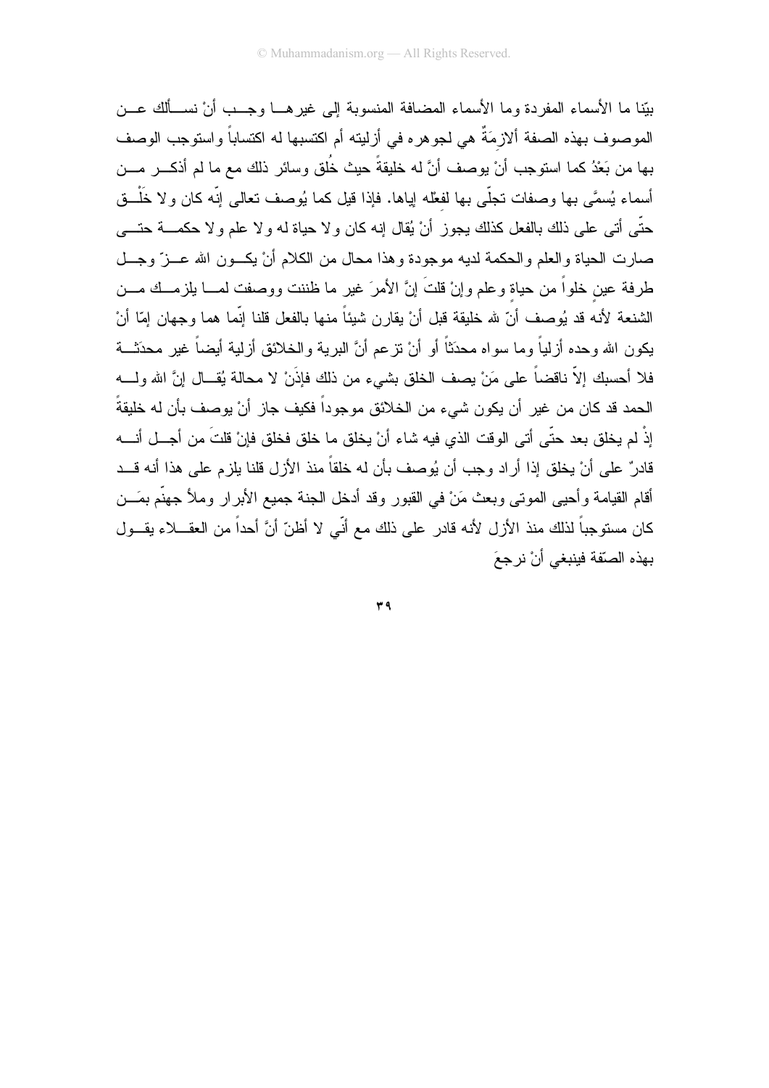بيِّنا ما الأسماء المفردة وما الأسماء المضافة المنسوبة إلى غير هـــا وجـــب أنْ نســـألك عـــن الموصوف بهذه الصفة ألازمَةٌ هي لجوهره في أزليته أم اكتسبها له اكتساباً واستوجب الوصف بـها من بَعْدُ كما استوجب أنْ يوصف أنَّ له خليقةً حيث خُلق وسائر ذلك مـع ما لم أذكـــر مـــن أسماء يُسمَّى بها وصفات تجلَّى بها لفعْله لِياها. فإذا قيل كما يُوصف نعالى إنَّه كان ولا خَلْـــق حتَّى أتـى علـى ذلك بالفعل كذلك يجوز أنْ يُقال إنه كان ولا حياة له ولا علم ولا حكمـــة حتــــى صارت الحياة والعلم والحكمة لديه موجودة وهذا محال من الكلام أنْ يكــون الله عـــزٌ وجـــل طرفة عين خلواً من حياة وعلم وإنْ قلتَ إنَّ الأمرَ غير ما ظننت ووصفت لمســا يلزمـــك مـــن الشنعة لأنه قد يُوصف أنّ لله خليقة قبل أنْ يقارن شيئاً منها بالفعل قلنا إنّما هما وجهان إمّا أنْ يكون الله وحده أزلياً وما سواه محدَثاً أو أنْ نزعم أنَّ البرية والخلائق أزلية أيضاً غير محدَثـــة فلا أحسبك إلاّ ناقضاً على مَنْ يصف الخلق بشيء من ذلك فإذَنْ لا محالة يُقــال إنَّ الله ولــــه الحمد قد كان من غير ٍ أن يكون شيء من الخلائق موجوداً فكيف جاز ٍ أنْ يوصف بأن له خليقةً ۖ إِذْ لم يخلق بعد حتّى أتى الوقت الذي فيه شاء أنْ يخلق ما خلق فخلق فإنْ قلتَ من أجــل أنــــه قادرٌ على أنْ يخلق إذا أراد وجب أن يُوصف بأن له خلقاً منذ الأزل قلنا يلزم على هذا أنه قــد أقام القيامة وأحيى الموتى وبعث مَنْ في القبور وقد أدخل الجنة جميع الأبرار وملأ جهنَّم بمَـــن كان مستوجباً لذلك منذ الأزل لأنه قادر على ذلك مع أنّي لا أظنّ أنَّ أحداً من العقـــلاء يقـــول بهذه الصّقة فبنبغي أنْ نر جعَ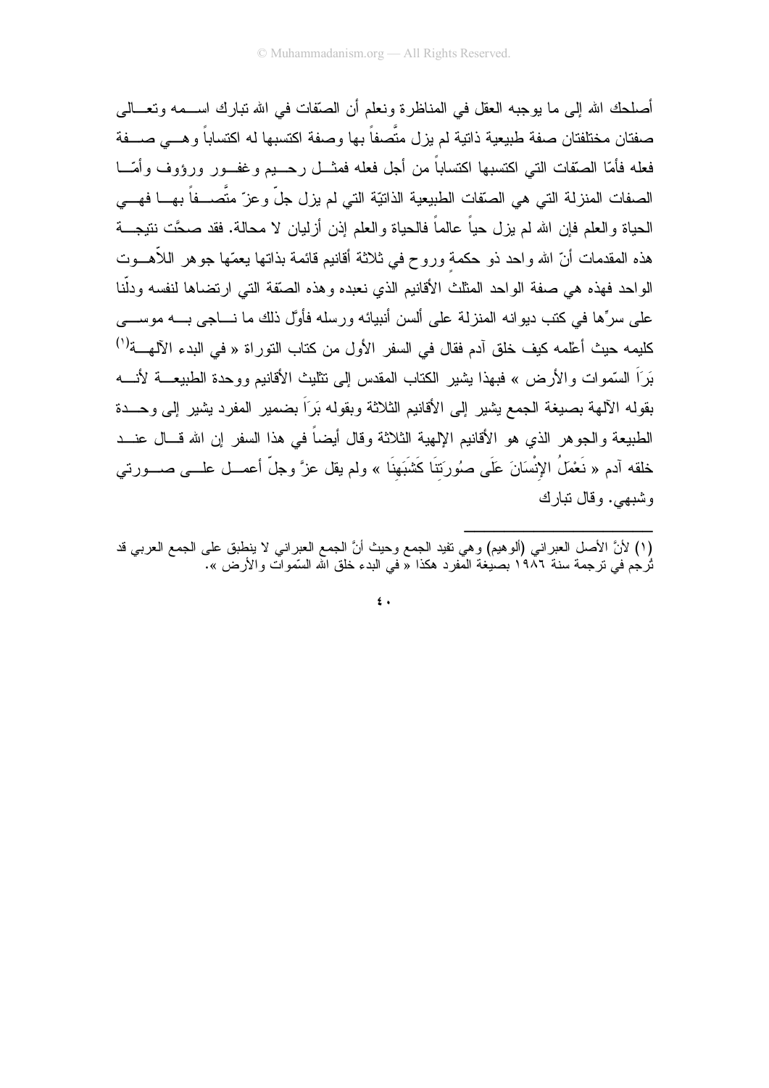أصلحك الله إلى ما يوجبه العقل في المناظرة ونعلم أن الصَّفات في الله تبارك اســـمه وتعـــالي صفتان مختلفتان صفة طبيعية ذاتية لم يزل متّصفاً بها وصفة اكتسبها له اكتساباً وهـــى صـــفة فعله فأمّا الصّقات التي اكتسبها اكتساباً من أجل فعله فمثـــل رحــــيم وغفـــور ورؤوف وأمّـــا الصفات المنزلة التي هي الصَّفات الطبيعية الذاتيّة التي لم يزل جلّ وعزّ متَّصـــفاً بهــــا فهــــي الحياة والعلم فإن الله لم يزل حيًّا عالماً فالحياة والعلم إذن أزليان لا محالة. فقد صحَّت نتيجـــة هذه المقدمات أنّ الله واحد ذو حكمة وروح في ثلاثة أقانيم قائمة بذاتها يعمّها جوهر اللأهـــوت الواحد فهذه هي صفة الواحد المثلث الأقانيم الذي نعبده وهذه الصَّفة التي ارتضاها لنفسه ودلَّنا علمي سر ًها في كتب ديو انه المنز لة علمي ألسن أنبيائه ور سله فأوَّل ذلك ما نــــاجي بــــه موســــي كليمه حيث أعلَّمه كيف خلق آدم فقال في السفر الأول من كتاب التوراة « في البدء الآلهـــة<sup>(י)</sup> بَرَ اَ السَّموات والأرض » فيهذا بشير الكتاب المقدس إلى نتلبث الأقانيم ووحدة الطبيعـــة لأنـــه بقوله الآلهة بصيغة الجمع يشير إلى الأقانيم الثلاثة وبقوله بَرَاً بضمير المفرد يشير إلى وحسدة الطبيعة والجوهر الذي هو الأقانيم الإلهية الثلاثة وقال أيضاً في هذا السفر إن الله قـــال عنـــد خلقه آدم « نَعْمَلُ الإِنْسَانَ عَلَى صُورَتنَا كَشَبَهنَا » ولم يقل عزَّ وجلَّ أعمـــل علـــى صــــورتـي وشبهي. وقال تبارك

 $\epsilon$ .

<sup>(</sup>١) لأنَّ الأصل العبراني (ألوهيم) وهي نفيد الجمع وحيث أنَّ الجمع العبراني لا ينطبق على الجمع العربي قد .<br>تُرجْم في ترجمة سنة ١٩٨٦ بصيغة المفرد هكذا « في البدء خلق الله السَّموات والأرض ».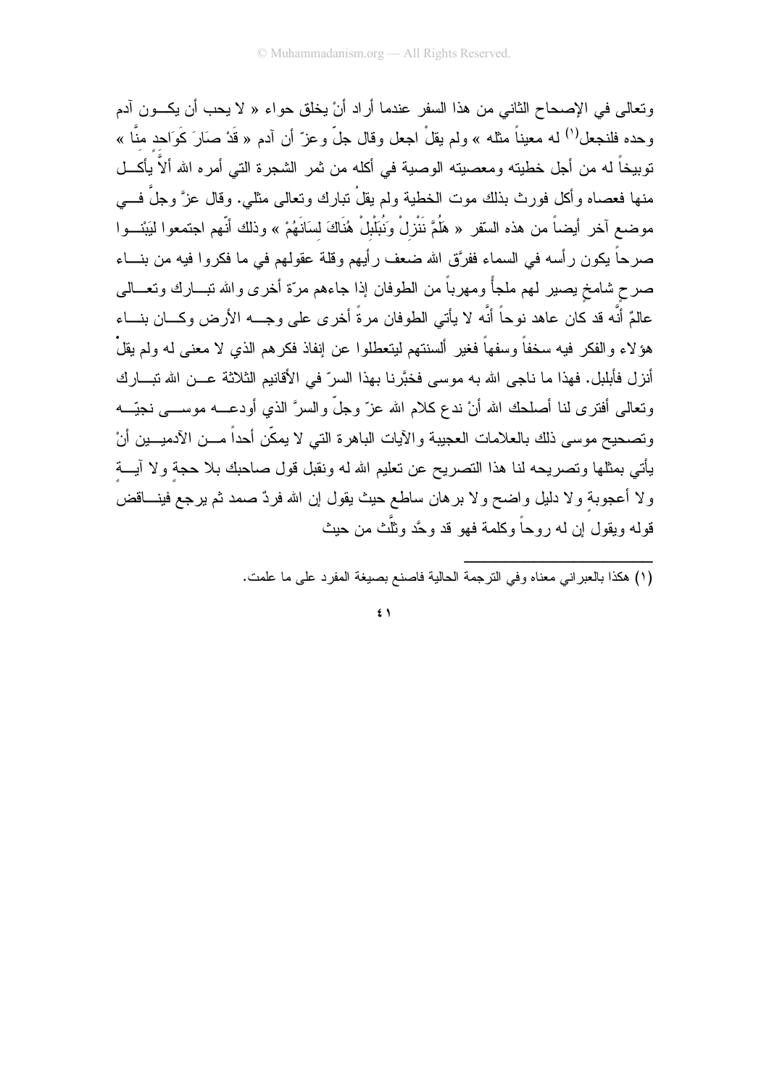وتعالى في الإصحاح الثاني من هذا السفر عندما أر اد أنْ يخلق حواء « لا يحب أن يكــون آدم وحده فلنجعل<sup>(١)</sup> له معيناً مثله » ولم يقلْ اجعل وقال جلّ وعزّ أن آدم « قَدْ صَارَ كَوَاحد منّا » نوبيخاً له من أجل خطيته ومعصيته الوصية في أكله من ثمر الشجرة التي أمره الله ألاّ يأكـــل منها فعصاه وأكل فورث بذلك موت الخطية ولم يقلْ نبارك ونعالى مثلي. وقال عزَّ وجلَّ فـــي موضع آخر أيضاً من هذه السّقر « هَلُمَّ نَنْزِلْ وَنُبَلْبِلْ هُنَاكَ لسَانَهُمْ » وذلك أنّهم اجتمعوا ليَبْنـــوا صرحاً يكون رأسه في السماء ففرَّق الله ضعف رأيهم وقلة عقولهم في ما فكروا فيه من بنـــاء صرح شامخ بصبر لهم ملجأً ومهرباً من الطوفان إذا جاءهم مرّة أخرى والله نبـــارك ونعـــالى عالمٌ أنَّه قد كان عاهد نوحاً أنَّه لا يأتـى الطوفان مرةً أخرى علـى وجـــه الأرض وكـــان بنـــاء هؤ لاء والفكر فيه سخفاً وسفهاً فغير ألسنتهم ليتعطلوا عن إنفاذ فكرهم الذي لا معنى له ولم يقلْ أنز ل فأبليل. فهذا ما ناجي الله به موسى فخيَّر نا بهذا السر ّ في الأقانيم الثلاثة عـــن الله تبـــار ك ونعالى أفترى لنا أصلحك الله أنْ ندع كلام الله عزّ وجلّ والسرَّ الذي أودعــــه موســــى نجيّــــه وتصحيح موسى ذلك بالعلامات العجيبة والأيات الباهرة التي لا يمكّن أحداً مـــن الأدميـــين أنْ يأتي بمثلها وتصريحه لنا هذا التصريح عن تعليم الله له ونقبل قول صاحبك بلا حجة ولا آيـــة ولا أعجوبة ولا دليل واضح ولا برهان ساطع حيث يقول إن الله فردٌ صمد ثم يرجع فينـــاقض قوله ويقول إن له روحاً وكلمة فهو قد وحَّد وثلَّث من حيث

(١) هكذا بالعبر اني معناه وفي الترجمة الحالبة فاصنع بصبغة المفر د على ما علمت.

 $\epsilon$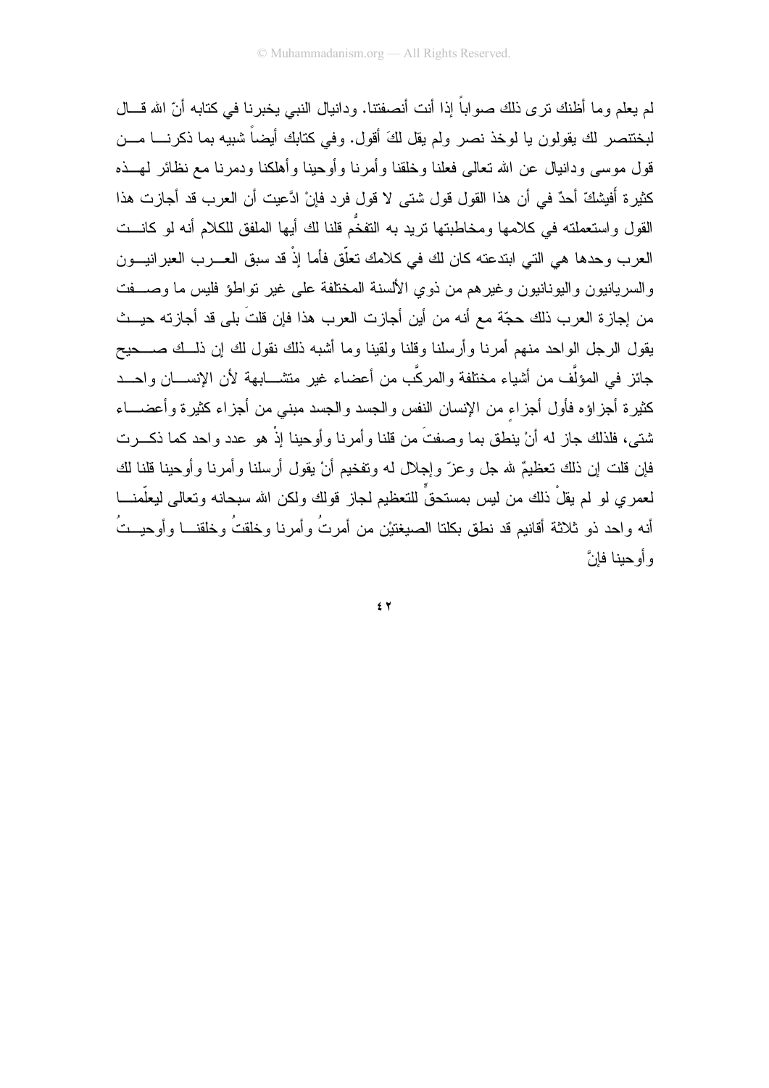لم يعلم و ما أظنك نر ي ذلك صو اباً إذا أنت أنصفتنا. و دانيال النبي يخبر نا في كتابه أنّ الله قـــال لبختنصر لك بقولون يا لوخذ نصر ولم بقل لكَ أقول. وفي كتابك أيضاً شبيه بما ذكرنــــا مـــن قول موسى ودانيال عن الله تعالى فعلنا وخلقنا وأمرنا وأوحينا وأهلكنا ودمرنا مع نظائر لمهــذه كثيرة أَفيشكّ أحدٌ في أن هذا القول قول شتى لا قول فرد فإنْ ادَّعيت أن العرب قد أجازت هذا القول واستعملته في كلامها ومخاطبتها نريد به التفخُّم قلنا لك أيها الملفق للكلام أنه لو كانـــت العرب وحدها هي التي ابتدعته كان لك في كلامك تعلَّق فأما إذْ قد سبق العـــرب العبرانيـــون والسريانيون واليونانيون وغيرهم من ذوي الألسنة المختلفة على غير تواطؤ فليس ما وصـــفت من إجاز ة العرب ذلك حجَّة مع أنه من أين أجاز ت العرب هذا فإن قلتَ بلي قد أجاز ته حيـــث يقول الرجل الواحد منهم أمرنا وأرسلنا وقلنا ولقينا وما أشبه ذلك نقول لك إن ذلــك صـــحيح جائز في المؤلَّف من أشياء مختلفة والمركَّب من أعضاء غير متشـــابـهة لأن الإنســـان واحـــد كثيرة أجزاؤه فأول أجزاء من الإنسان النفس والجسد والجسد مبنى من أجزاء كثيرة وأعضـــاء شتي، فلذلك جاز له أنْ ينطق بما وصفتَ من قلنا وأمرنا وأوحينا إذْ هو عدد واحد كما ذكـــرت فإن قلت إن ذلك تعظيمٌ لله جل وعزّ وإجلال له وتفخيم أنْ يقول أرسلنا وأمرنا وأوحينا قلنا لك لعمري لو لم يقلْ ذلك من ليس بمستحقٍّ للتعظيم لجاز قولك ولكن الله سبحانه وتعالى ليعلَّمنــــا أنه واحد ذو ثلاثة أقانيم قد نطق بكلتا الصيغتيْن من أمرتُ وأمرنا وخلقتُ وخلقنـــا وأوحيـــتُ و أو حينا فانَّ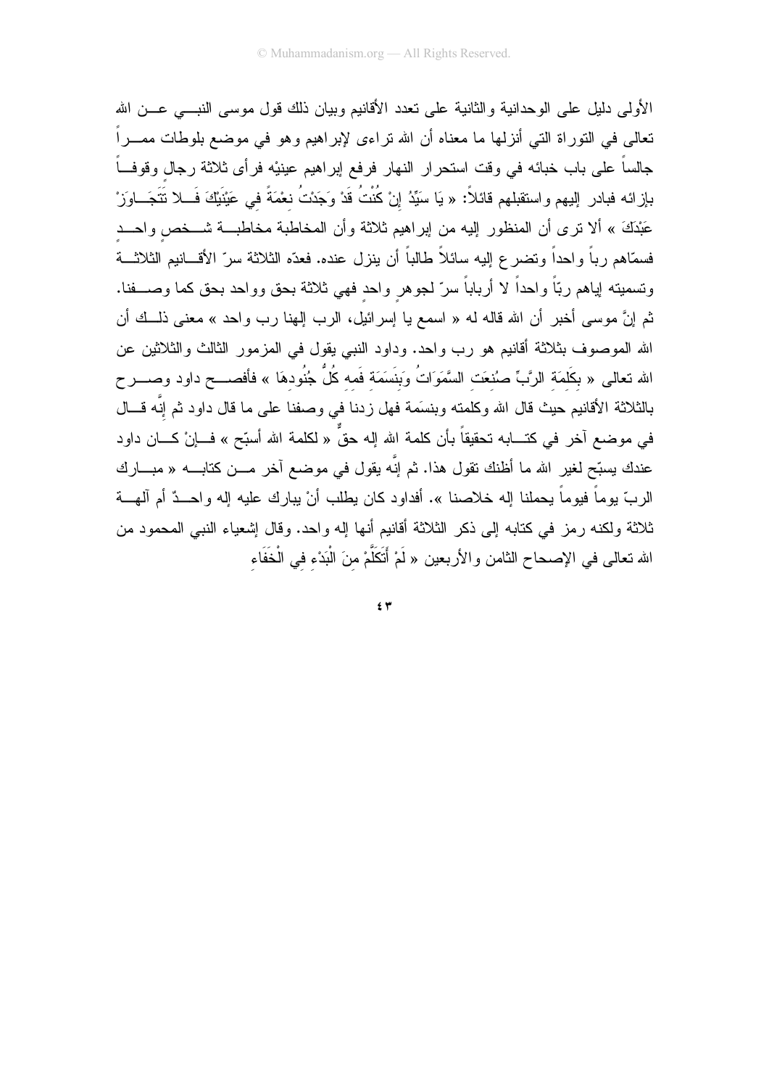الأولى دليل على الوحدانية والثانية على تعدد الأقانيم وبيان ذلك قول موسى النبسي عـــن الله تعالى في النوراة التي أنزلها ما معناه أن الله نراءى لإبراهيم وهو في موضع بلوطات ممـــراً جالساً على باب خبائه في وقت استحرار النهار فرفع إبراهيم عينيْه فرأى ثلاثة رجال وقوفـــاً بإزائه فبادر إليهم واستقبلهم قائلاً: « يَا سَيِّدُ إنْ كُنْتُ قَدْ وَجَدْتُ نعْمَةً في عَيْنيْكَ فَـــلا نَتَجَـــاوَزْ عَبْدَكَ » ألا نرى أن المنظور إليه من إبراهيم ثلاثة وأن المخاطبة مخاطبـــة شـــخص واحـــد فسمَّاهم رباً واحداً ونضرع إليه سائلاً طالباً أن ينزل عنده. فعدّه الثلاثة سرّ الأقـــانيم الثلاثـــة ونسميته إياهم ربّاً واحداً لا أرباباً سرّ لجوهر واحد فهي ثلاثة بحق وواحد بحق كما وصــــفنا. ثم إنَّ موسى أخبر أن الله قاله له « اسمع يا إسرائيل، الرب إلهنا رب واحد » معنى ذلـــك أن الله الموصوف بثلاثة أقانيم هو رب واحد. وداود النبي يقول في المزمور الثالث والثلاثين عن الله تعالى « بكَلَمَة الرَّبِّ صُنْعَت السَّمَوَاتُ وَبِنَسَمَة فَمه كُلُّ جُنُودهَا » فأفصــــح داود وصــــرح بالثلاثة الأقانيم حيث قال الله وكلمته وبنسَمة فهل زدنا في وصفنا على ما قال داود ثم إنَّه قـــال في موضع آخر في كتـــابـه تحقيقاً بأن كلمة الله إلـه حقٌّ « لكلمـة الله أسبّح » فـــاإنْ كـــان داود عندك يسبّح لغير الله ما أظنك نقول هذا. ثم إنّه يقول في موضع آخر مـــن كتابــــه « مبــــارك الربِّ يوماً فيوماً يحملنا إله خلاصنا ». أفداود كان يطلب أنْ يبارك عليه إله واحــدٌ أم آلمهــة ثلاثة ولكنه رمز في كتابه إلى ذكر الثلاثة أقانيم أنها إله واحد. وقال إشعياء النبي المحمود من الله تعالى في الإصحاح الثامن والأربعين « لَمْ أَتَكَلَّمْ منَ الْبَدْء في الْخَفَاء

 $5 +$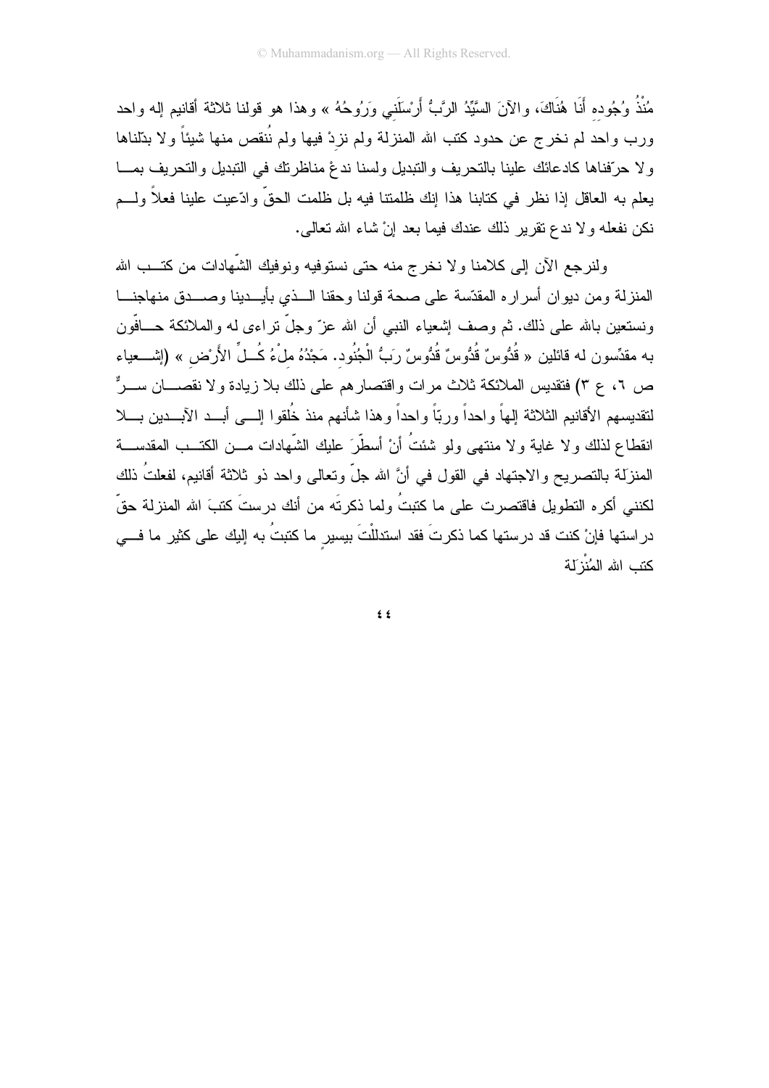مُنْذُ وُجُوده أَنَا هُنَاكَ، والآنَ السَّيِّدُ الرَّبُّ أَرْسَلَني وَرُوحُهُ » وهذا هو قولنا ثلاثة أقانيم إله واحد ورب واحد لم نخرج عن حدود كتب الله المنزلة ولم نزدْ فيها ولم نُنقص منها شيئاً ولا بدّلناها ولا حرّفناها كادعائك علينا بالتحريف والنبديل ولسنا ندغ مناظرنك في النبديل والتحريف بمـــا يعلم به العاقل إذا نظر في كتابنا هذا إنك ظلمتنا فيه بل ظلمت الحقِّ وادّعيت علينا فعلاً ولـــم نكن نفعله ولا ندع نقرير ذلك عندك فيما بعد إنْ شاء الله تعالى.

ولنرجع الأن إلى كلامنا ولا نخرج منه حتى نستوفيه ونوفيك الشَّهادات من كتـــب الله المنزلة ومن ديوان أسراره المقدّسة على صحة قولنا وحقنا السذي بأيسدينا وصسدق منهاجنسا ونستعين بالله على ذلك. ثم وصف إشعياء النبي أن الله عزّ وجلّ نراءى له والملائكة حـــافّون به مقدِّسون له قائلين « قُدُّوسٌ قُدُّوسٌ قُدُّوسٌ رَبُّ الْجُنُود. مَجْدُهُ ملْءُ كُــلِّ الأَرْض » (إشـــعياء ص ٢، ع ٣) فتقديس الملائكة ثلاث مر ات و اقتصار هم على ذلك بلا زيادة و لا نقصــــان ســــرٌّ لنقديسهم الأقانيم الثلاثة إلهاً واحداً وربّاً واحداً وهذا شأنهم منذ خُلقوا إلـــي أبـــد الآبـــدين بـــلا انقطاع لذلك و لا غابة و لا منتهى ولو شئتُ أنْ أسطَّر َ عليك الشَّهادات مـــن الكتــب المقدســـة المنزلة بالتصريح والاجتهاد في القول في أنَّ الله جلَّ وتعالى واحد ذو ثلاثة أقانيم، لفعلتُ ذلك لكنني أكره النطويل فاقتصرت على ما كتبتُ ولما ذكرتَه من أنك درستَ كتبَ الله المنزلة حقّ دراستها فإنْ كنت قد درستها كما ذكرتَ فقد استدللْتَ بيسير ما كتبتُ به إليك على كثير ما فـــي كتب الله المُنْزَلة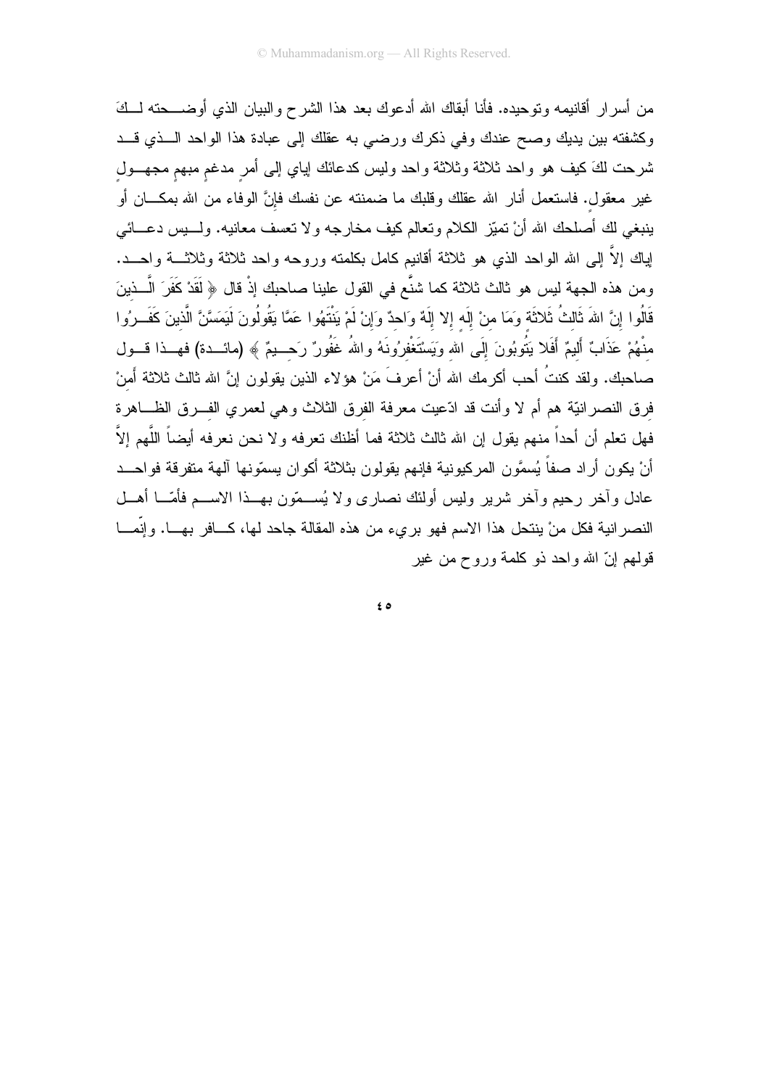من أسرار أقانيمه ونوحيده. فأنا أبقاك الله أدعوك بعد هذا الشرح والبيان الذي أوضـــحته لـــكَ وكشفته بين يديك وصح عندك وفي ذكرك ورضي به عقلك إلى عبادة هذا الواحد الـــذي قـــد شرحت لكَ كيف هو واحد ثلاثة وثلاثة واحد وليس كدعائك إياي إلىي أمر مدغم مبهم مجهــول غير معقول. فاستعمل أنار الله عقلك وقلبك ما ضمنته عن نفسك فإنَّ الوفاء من الله بمكـــان أو ينبغي لك أصلحك الله أنْ نميّز الكلام ونعالم كيف مخارجه ولا نعسف معانيه. ولــــيس دعــــائـي لِباك إلاَّ إلى الله الواحد الذي هو ثلاثة أقانيم كامل بكلمته وروحه واحد ثلاثة وثلاثــــة واحــــد. ومن هذه الجهة ليس هو ثالث ثلاثة كما شنَّع في القول علينا صاحبك إذْ قال ﴿ لَقَدْ كَفَرَ الَّــذينَ قَالُوا إِنَّ اللهَ ثَالثُ ثَلاثَة وَمَا منْ إِلَه إِلا إِلَهٌ وَاحدٌ وَإِنْ لَمْ يَنْتَهُوا عَمَّا يَقُولُونَ لَيَمَسَّنَّ الَّذينَ كَفَــرُوا منْهُمْ عَذَابٌ أَليمٌ أَفَلا بَنُوبُونَ إِلَى الله وَيَسْتَغْفرُونَهُ واللهُ غَفُورٌ رَحـــبمٌ ﴾ (مائـــدة) فهـــذا قــــول صاحبك. ولقد كنتُ أحب أكرمك الله أنْ أعرفَ مَنْ هؤلاء الذين يقولون إنَّ الله ثالث ثلاثة أمنْ فرق النصرانيَّة هم أم لا وأنت قد ادَّعيت معرفة الفرق الثلاث وهي لعمري الفـــرق الظــــاهرة فهل نعلم أن أحداً منهم يقول إن الله ثالث ثلاثة فما أظنك نعرفه ولا نحن نعرفه أيضاً اللَّهم إلاَّ أنْ يكون أراد صفاً يُسمَّون المركبونية فإنهم يقولون بثلاثة أكوان يسمّونها آلهة متفرقة فواحــد عادل وأخر رحيم وأخر شرير وليس أولئك نصارى ولا يُســمّون بـهــذا الاســـم فأمّـــا أهـــل النصر انية فكل منْ ينتحل هذا الاسم فهو بريء من هذه المقالة جاحد لها، كـــافر بهـــا. وإنَّمـــا قولمهم إنِّ الله واحد ذو كلَّمة وروح من غير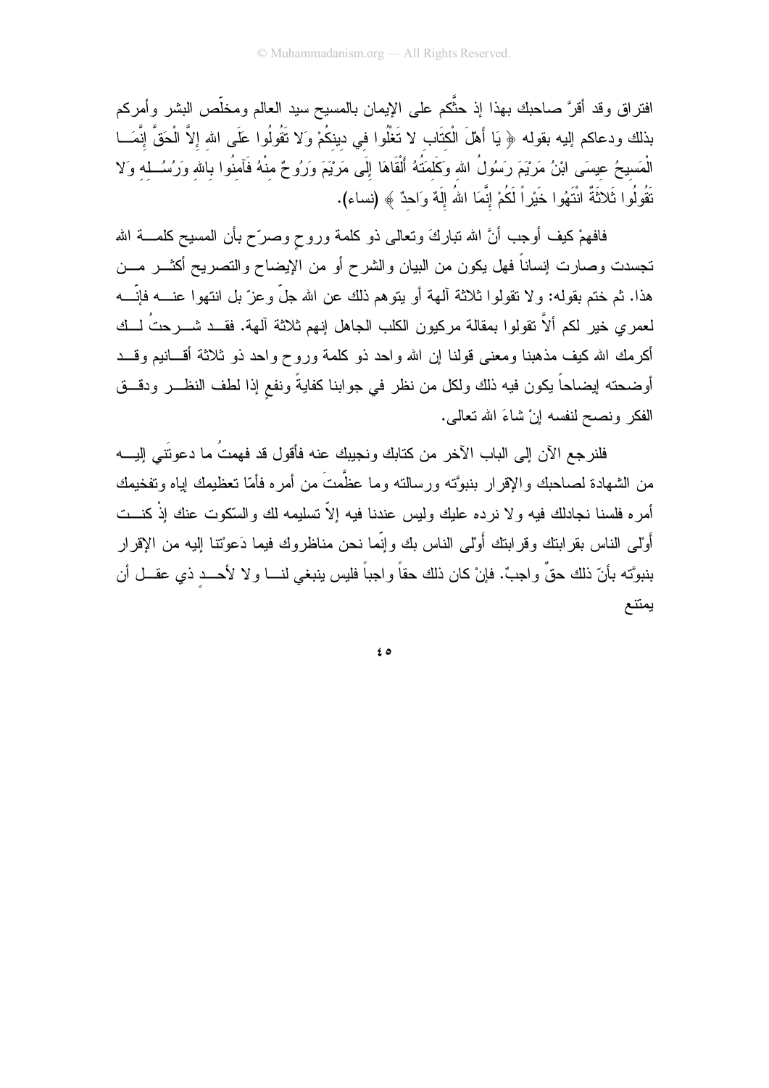افتراق وقد أقرَّ صاحبك بهذا إذ حثَّكم على الإيمان بالمسيح سيد العالم ومخلَّص البشر وأمركم بذلك ودعاكم إليه بقوله ﴿ يَا أَهْلَ الْكتَابِ لا تَغْلُوا في دينكُمْ وَلا تَقُولُوا عَلَى الله إلاَّ الْحَقَّ إنَّمَــا الْمَسبحُ عيسَى ابْنُ مَرْيَمَ رَسُولُ الله وَكَلمَتُهُ أَلْقَاهَا إِلَى مَرْيَمَ وَرُوحٌ مِنْهُ فَآمِنُوا بِاللهِ وَرُسُــلِهِ وَلا نَقُولُوا ثَلاثَةٌ انْتَهُوا خَيْرٍاً لَكُمْ إِنَّمَا اللهُ إِلَهٌ وَاحدٌ ﴾ (نساء).

فافهمْ كيف أوجب أنَّ الله ننباركَ ونعالى ذو كلمة وروحٍ وصرّح بأن المسيح كلمــــة الله تجسدت وصـارت إنساناً فهل يكون من البيان والشرح أو من الإيضـاح والنصـريح أكثــــر مــــن هذا. ثم ختم بقوله: ولا نقولوا ثلاثة ألهة أو يتوهم ذلك عن الله جلَّ وعزَّ بل انتهوا عنــــه فإنَّــــه لعمري خير لكم ألاَّ نقولوا بمقالة مركبون الكلب الجاهل إنهم ثلاثة آلهة. فقــد شـــرحتُ لـــك أكرمك الله كيف مذهبنا ومعنى قولنا إن الله واحد ذو كلمة وروح واحد ذو ثلاثة أقسانيم وقسد أوضحته إيضاحاً يكون فيه ذلك ولكل من نظر في جوابنا كفايةً ونفع إذا لطف النظـــر ودقـــق الفكر ونصبح لنفسه إنْ شاءَ الله نعالى.

فلنرجع الآن إلى الباب الآخر من كتابك ونجيبك عنه فأقول قد فهمتُ ما دعوتَني اليــــه من الشهادة لصاحبك والإقرار بنبوَّته ورسالته وما عظَّمتَ من أمره فأمّا تعظيمك إياه وتفخيمك أمره فلسنا نجادلك فيه ولا نرده عليك وليس عندنا فيه إلاّ تسليمه لك والسَّكوت عنك إذْ كنـــت أَوْلَمِي الناس بقر ابنك وقر ابنك أَوْلَمِي الناس بك وإنَّما نحن مناظر وك فيما دَعوْتنا إليه من الإقر ار بنبوَّته بأنّ ذلك حقَّ واجبٌ. فإنْ كان ذلك حقاً واجباً فليس ينبغي لنـــا ولا لأحـــد ذي عقـــل أن يمتنع

 $\epsilon$  0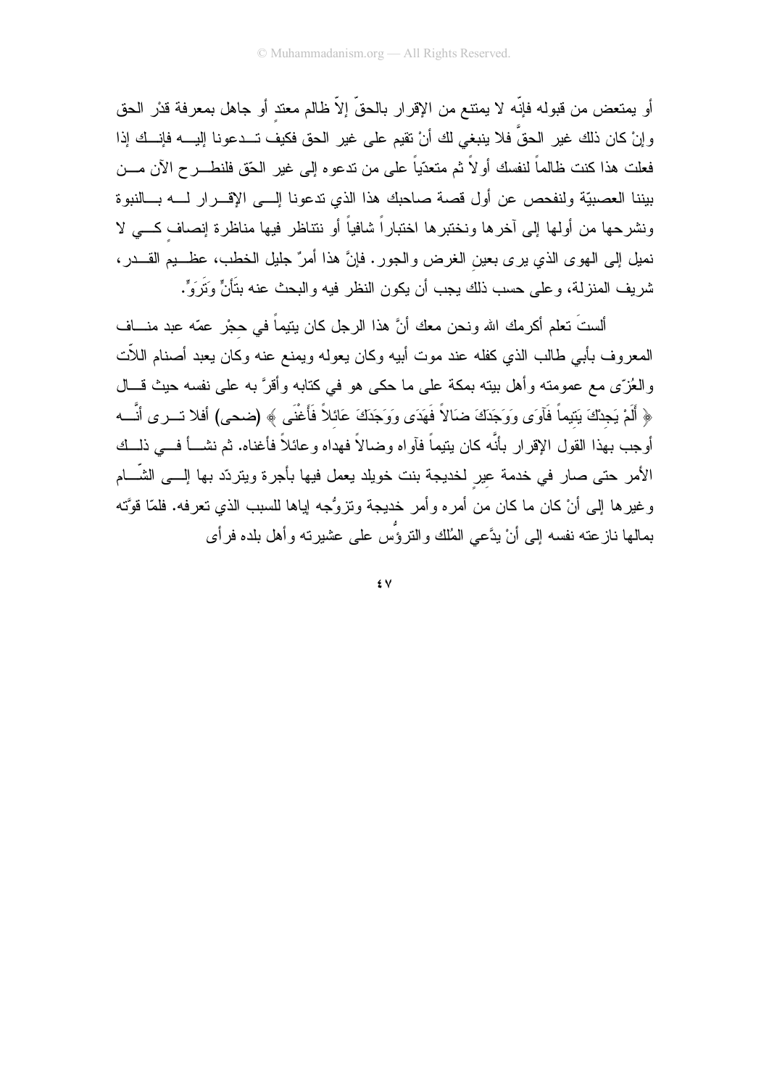أو يمتعض من قبوله فإنّه لا يمتنع من الإقرار بالحقّ إلاّ ظالم معتد أو جاهل بمعرفة قدْر الحق و إنْ كان ذلك غير الحقِّ فلا ينبغي لك أنْ تقيم على غير الحق فكيف تـــدعونا إليــــه فإنـــك إذا فعلت هذا كنت ظالماً لنفسك أولاً ثم متعدّياً على من ندعوه إلى غير الحّق فلنطـــرح الآن مـــن بيننا العصبيّة ولنفحص عن أول قصة صاحبك هذا الذي ندعونا إلـــى الإقــــرار لــــه بــــالنبوة ونشرحها من أولها إلى آخرها ونختبرها اختباراً شافياً أو نتتاظر فيها مناظرة إنصاف كـــى لا نميل إلى الهوى الذي يرى بعين الغرض والجور. فإنَّ هذا أمرٌ جليل الخطب، عظـــيم القـــدر، شريف المنزلة، و على حسب ذلك يجب أن يكون النظر فيه والبحث عنه بتَأنٍّ وَتَرَوٍّ.

ألستَ نعلم أكرمك الله ونحن معك أنَّ هذا الرجل كان ينيماً في حجْرٍ عمّه عبد منـــاف المعروف بأبي طالب الذي كفله عند موت أبيه وكان يعوله ويمنع عنه وكان يعبد أصنام اللأت والعُزِّي مع عمومته وأهل بيته بمكة على ما حكي هو في كتابه وأقرَّ به على نفسه حيث قـــال ﴿ أَلَمْ يَجِدْكَ بَنِيماً فَأَوتِي وَوَجَدَكَ ضَالاً فَهَدَى وَوَجَدَكَ عَائِلاً فَأَغْنَى ﴾ (ضحى) أفلا تسرى أنَّسه أو جب بهذا القول الإقرار بأنَّه كان بنيماً فآواه وضالاً فهداه وعائلاً فأغناه. ثم نشـــأ فـــي ذلــك الأمر حتى صار في خدمة عير لخديجة بنت خويلد يعمل فيها بأجرة ويتردّد بها الِسي الشَّــام وغيرها إلى أنْ كان ما كان من أمره وأمر خديجة وتزوُّجه إباها للسبب الذي تعرفه. فلمَّا قوَّته بمالها نازعته نفسه إلى أنْ يدَّعي المُلك والنروُّس على عشيرته وأهل بلده فرأى

٤V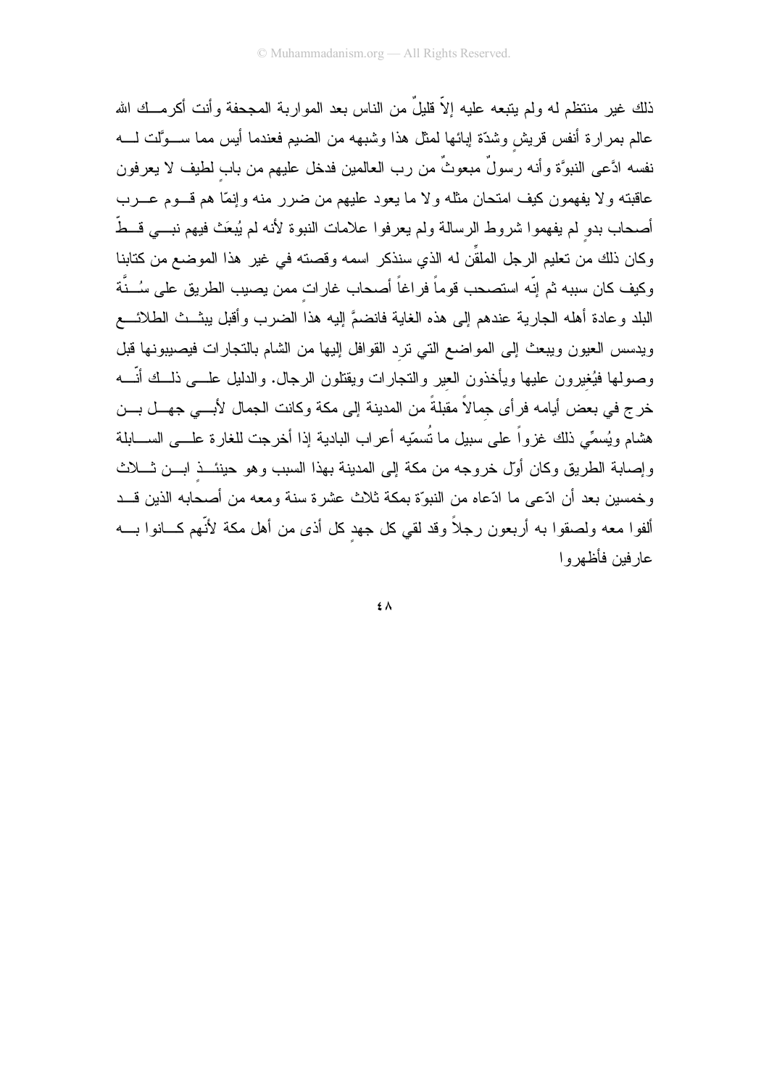ذلك غير منتظم له ولم يتبعه عليه إلاّ قليلٌ من الناس بعد المواربة المجحفة وأنت أكرمــك الله عالم بمرارة أنفس قريش وشدّة إبائها لمثل هذا وشبهه من الضبم فعندما أيس مما ســـوَّلت لــــه نفسه ادَّعى النبوَّة وأنه رسولٌ مبعوثٌ من رب العالمين فدخل عليهم من باب لطيف لا يعرفون عاقبته ولا يفهمون كيف امتحان مثله ولا ما يعود عليهم من ضرر منه وإنمًا هم قـــوم عـــرب أصحاب بدو لم يفهموا شروط الرسالة ولم يعرفوا علامات النبوة لأنه لم يُبعَث فيهم نبـــي قــطّ وكان ذلك من تعليم الرجل الملقِّن له الذي سنذكر اسمه وقصته في غير هذا الموضع من كتابنا وكيف كان سببه ثم إنّه استصحب قوماً فراغاً أصحاب غارات ممن يصبب الطريق على سُــنَّة البلد وعادة أهله الجارية عندهم إلى هذه الغاية فانضمَّ إليه هذا الضرب وأقبل يبثـــث الطلائــــع ويدسس العيون ويبعث إلىى المواضع التي نرد القوافل إليها من الشام بالنجارات فيصبيونها قبل وصولها فيُغيرون عليها ويأخذون العير والنجارات ويقتلون الرجال. والدليل علـــي ذلـــك أنّــــه خرج في بعض أيامه فرأي جمالاً مقبلةً من المدينة إلى مكة وكانت الجمال لأبسى جهسل بسن هشام ويُسمِّي ذلك غزواً على سبيل ما تُسمّيه أعراب البادية إذا أخرجت للغارة علـــي الســـابلة وإصابة الطريق وكان أول خروجه من مكة إلى المدينة بهذا السبب وهو حينئـــذ ابـــن شـــلاث وخمسين بعد أن ادّعي ما ادّعاه من النبوّة بمكة ثلاث عشرة سنة ومعه من أصحابه الذين قـــد ألفوا معه ولصقوا به أربعون رجلاً وقد لقي كل جهد كل أذى من أهل مكة لأنَّهم كـــانوا بــــه عار فين فأظهر و ا

 $\epsilon \wedge$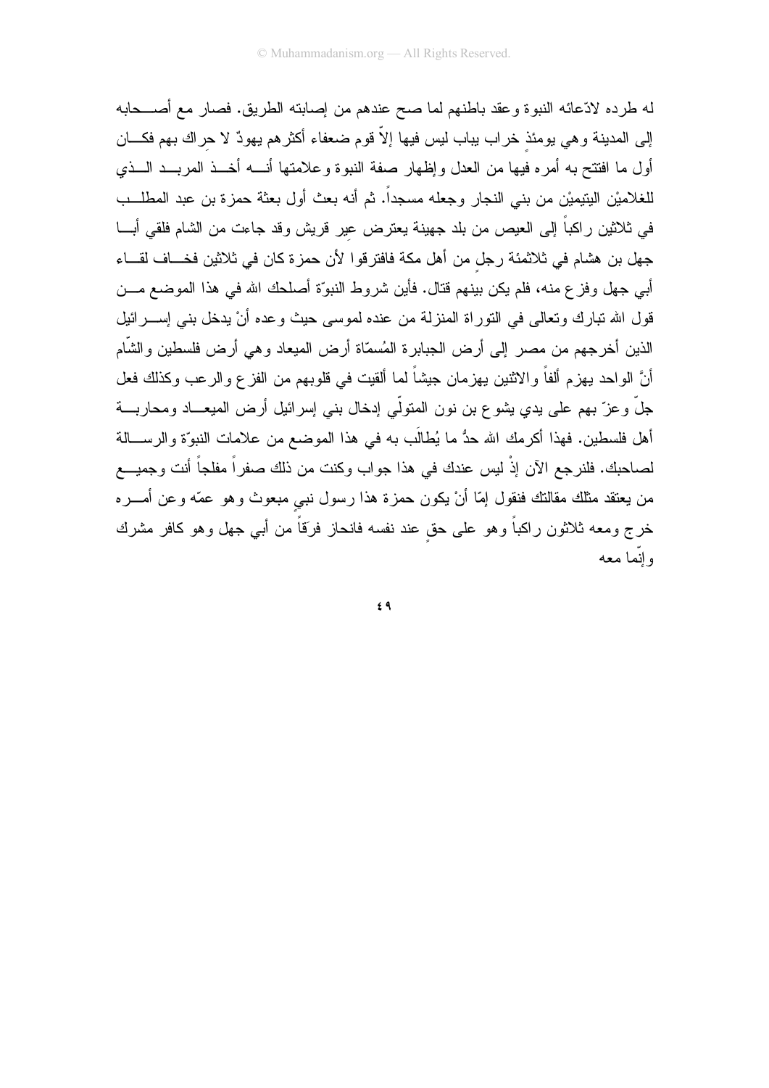له طرده لادّعائه النبوة وعقد باطنهم لما صح عندهم من إصابته الطريق. فصار مع أصـــحابه إلى المدينة وهي يومئذ خراب يباب ليس فيها إلاّ قوم ضعفاء أكثرهم يهودٌ لا حراك بهم فكـــان أول ما افتتح به أمره فيها من العدل وإظهار صفة النبوة وعلامتها أنــــه أخـــذ المربـــد الـــذي للغلاميْن اليتيميْن من بني النجار وجعله مسجداً. ثم أنه بعث أول بعثة حمزة بن عبد المطلــب في ثلاثين راكباً إلى العيص من بلد جهينة يعترض عير قريش وقد جاءت من الشام فلقي أبـــا جهل بن هشام في ثلاثمئة رجل من أهل مكة فافترقوا لأن حمزة كان في ثلاثين فخـــاف لقـــاء أبي جهل وفز ع منه، فلم يكن بينهم قتال. فأين شروط النبوّة أصلحك الله في هذا الموضع مـــن قول الله نبارك وتعالى في التوراة المنزلة من عنده لموسى حيث وعده أنْ يدخل بني إســــرائيل الذين أخرجهم من مصىر إلىي أرض الجبابرة المُسمّاة أرض الميعاد وهي أرض فلسطين والشَّام أنَّ الواحد بـهزم ألفاً والاثنين بـهزمان جيشاً لما ألقيت فـي قلوبـهم من الفز ع والرـعب وكذلك فعل جلَّ وعزَّ بهم على يدي يشوع بن نون المتولَّى إدخال بني إسرائيل أرض الميعـــاد ومحاربـــة أهل فلسطين. فهذا أكرمك الله حدُّ ما يُطالَب به في هذا الموضع من علامات النبوَّة والرســـالـة لصاحبك. فلنرجع الآن إذْ ليس عندك في هذا جواب وكنت من ذلك صفراً مفلجاً أنت وجميـــع من يعتقد مثلك مقالتك فنقول إمّا أنْ يكون حمزة هذا رسول نبي مبعوث وهو عمّه وعن أمــــره خرج ومعه ثلاثون راكباً وهو على حق عند نفسه فانحاز فرَقاً من أبي جهل وهو كافر مشرك و انما معه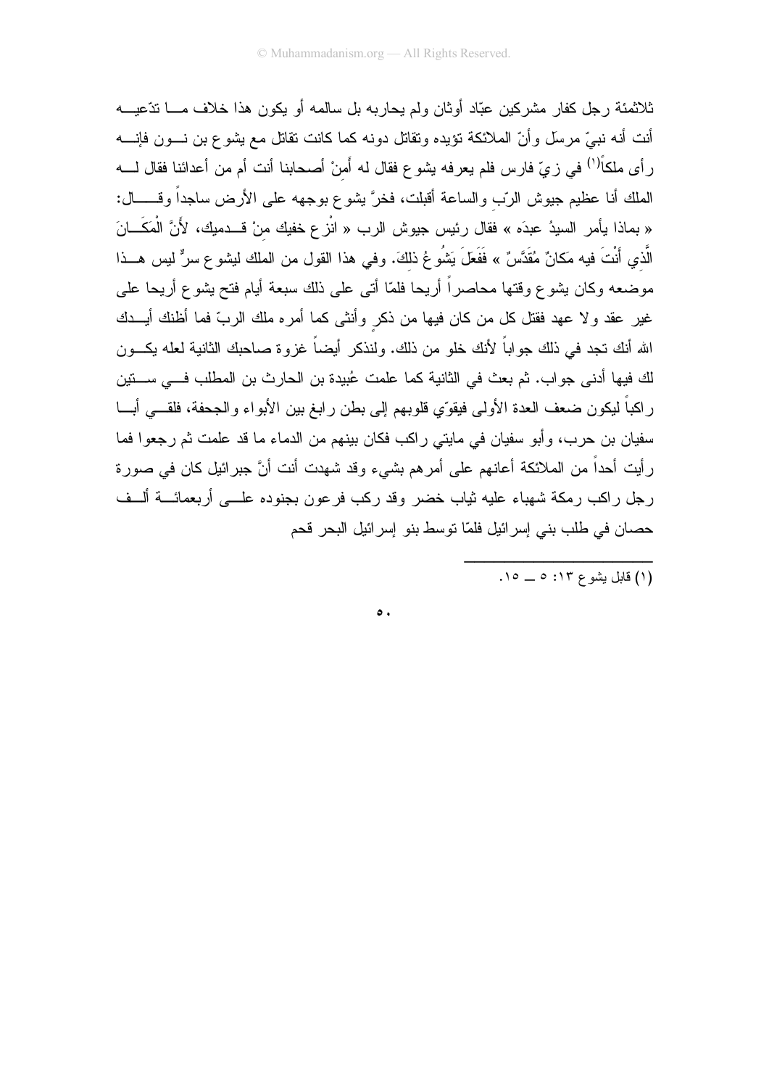ثلاثمئة ر جل كفار مشر كين عبّاد أو ثان و لم يحار به بل سالمه أو يكون هذا خلاف مــــا تدّعيــــه أنت أنه نبيٍّ مرسلٍ وأنَّ الملائكة نؤيده ونقاتل دونه كما كانت نقاتل مع يشوع بن نسون فإنسه ر أي ملكاً<sup>(١)</sup> في زيّ فارس فلم يعرفه يشو ع فقال له أَمنْ أصحابنا أنت أم من أعدائنا فقال لــــه الملك أنا عظيم جيوش الربّ والساعة أقبلت، فخرَّ يشوع بوجهه على الأرض ساجداً وقــــــال: « بماذا يأمر السيدُ عبدَه » فقال رئيس جيوش الرب « انْزعِ خفيك منْ قــدميك، لأَنَّ الْمَكَـــانَ الَّذي أَنْتَ فيه مَكانٌ مُقَدَّسٌ » فَفَعَلَ يَشُو عُ ذلكَ. وفي هذا القول من الملك ليشو ع سرٌّ ليس هـــذا موضعه وكان بشوع وقتها محاصراً أريحا فلمّا أتى على ذلك سبعة أيام فتح بشوع أريحا على غير عقد ولا عهد فقتل كل من كان فيها من ذكر وأنثى كما أمره ملك الربّ فما أظنك أيـــدك الله أنك تجد في ذلك جو اباً لأنك خلو من ذلك. ولنذكر أيضاً غز و ة صاحبك الثانية لعله يكـــون لك فيها أدنى جواب. ثم بعث في الثانية كما علمت عُبيدة بن الحارث بن المطلب فـــي ســـتين راكباً ليكون ضعف العدة الأولى فيقوِّي قلوبهم إلى بطن رابغ بين الأبواء والجحفة، فلقـــى أبـــا سفيان بن حرب، وأبو سفيان في مايتي راكب فكان بينهم من الدماء ما قد علمت ثم رجعوا فما رأيت أحداً من الملائكة أعانهم على أمرهم بشيء وقد شهدت أنت أنَّ جبرائيل كان في صورة رجل راكب رمكة شهباء عليه ثياب خضر وقد ركب فرعون بجنوده علـــي أربعمائـــة ألـــف حصان في طلب بني إسرائيل فلمّا توسط بنو إسرائيل البحر قحم

 $\circ$ .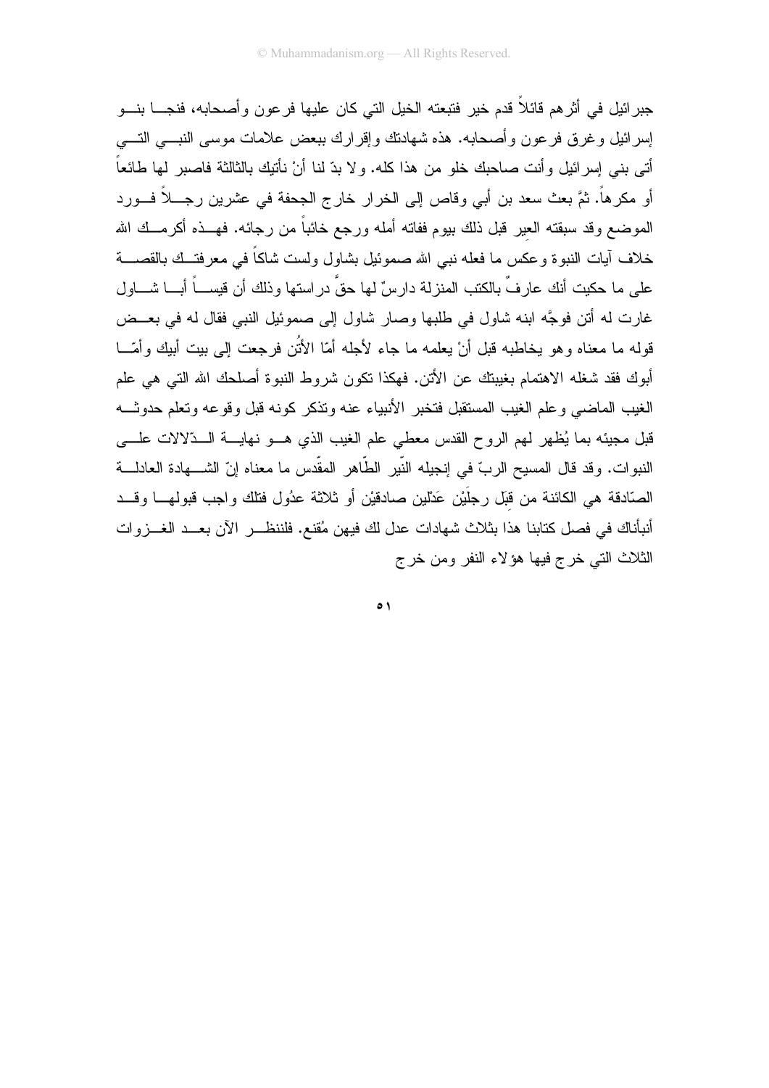جبرائيل في أثر هم قائلاً قدم خير فتبعته الخيل التي كان عليها فرعون وأصحابه، فنجــــا بنـــو إسرائيل وغرق فرعون وأصحابه. هذه شهادنك وإقرارك ببعض علامات موسى النبسي التسي أتـى بنـى إسر ائيل و أنت صـاحبك خلو من هذا كلـه. و لا بدّ لنا أنْ نأتيك بالثالثة فاصبر ٍ لها طائعاً أو مكرهاً. ثمَّ بعث سعد بن أبي وقاص إلى الخرار خارج الجحفة في عشرين رجـــلاً فـــورد الموضع وقد سبقته العير قبل ذلك بيوم ففاته أمله ورجع خائباً من رجائه. فهـــذه أكرمـــك الله خلاف أيات النبوة وعكس ما فعله نبي الله صموئيل بشاول ولست شاكاً في معرفتــك بالقصــــة على ما حكيت أنك عار فٍّ بالكتب المنزلة دارسٌ لها حقٍّ در استها وذلك أن قيســـاً أبـــا شــــاول غارت له أتن فوجَّه ابنه شاول في طلبها وصار شاول إلى صموئيل النبي فقال له في بعــض قوله ما معناه و هو يخاطبه قبل أنْ يعلمه ما جاء لأجله أمّا الأَثَنِ فرجعت إلى بيت أبيك وأمّـــا أبوك فقد شغله الاهتمام بغيبتك عن الأتن. فهكذا نكون شروط النبوة أصلحك الله التبي هي علم الغيب الماضيي وعلم الغيب المستقبل فتخبر الأنبياء عنه وتذكر كونه قبل وقوعه وتعلم حدوثـــه قبل مجيئه بما يُظهر لمهم الروح القدس معطي علم الغيب الذي هـــو نـهايــــة الـــدّلالات علــــي النبوات. وقد قال المسيح الربّ في إنجيله النّبير الطّاهر المقّدس ما معناه إنّ الشـــهادة العادلـــة الصَّادقة هي الكائنة من قُبِّل رجلَيْن عَدْلين صادقيْن أو ثلاثة عدُول فتلك واجب قبولهـــا وقـــد أنبأناك في فصل كتابنا هذا بثلاث شهادات عدل لك فيهن مُقنع. فلننظــــر الآن بعـــد الغـــزوات الثلاث التبي خرج فيها هؤلاء النفر ومن خرج

 $\circ$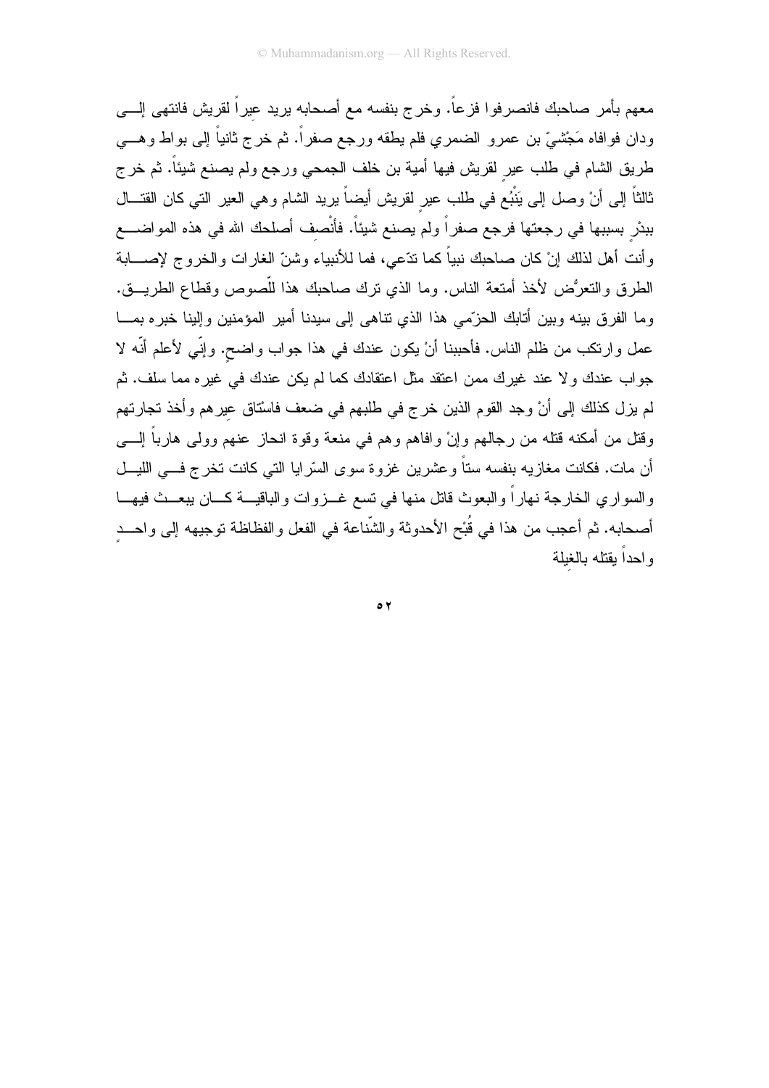معهم بأمر صاحبك فانصرفوا فزعاً. وخرج بنفسه مع أصحابه يريد عيراً لقريش فانتهى إلـــي ودان فوافاه مَجْشيٌّ بن عمرو الضمري فلم يطقه ورجع صفراً. ثم خرج ثانياً إلى بواط وهـــي طريق الشام في طلب عير لقريش فيها أمية بن خلف الجمحي ورجع ولم يصنع شيئاً. ثم خرج ثالثاً إلى أنْ وصل إلى يَنْبُع في طلب عير لقريش أيضاً يريد الشام وهي العير التي كان القتـــال ببدْر بسببها في رجعتها فرجع صفراً ولم يصنع شيئاً. فأنْصف أصلحك الله في هذه المواضــــع وأنت أهل لذلك إنْ كان صاحبك نبياً كما ندّعي، فما للأنبياء وشنّ الغارات والخروج لإصــــابة الطرق والنعرُض لأخذ أمتعة الناس. وما الذي نرك صاحبك هذا للّصوص وقطاع الطريـــق. وما الفر ق بينه وبين أتابك الحزَّمي هذا الذي نتاهي إلى سيدنا أمير المؤمنين وإلينا خير ه بمـــا عمل وارنكب من ظلم الناس. فأحببنا أنْ يكون عندك في هذا جواب واضح. وإنِّي لأعلم أنَّه لا جواب عندك ولا عند غيرك ممن اعتقد مثل اعتقادك كما لم يكن عندك في غيره مما سلف. ثم لم يزل كذلك إلى أنْ وجد القوم الذين خرج في طلبهم في ضعف فاسْتاق عيرهم وأخذ تجارتهم وقتل من أمكنه قتله من رجالهم وإنْ وافاهم وهم في منعة وقوة انحاز عنهم وولى هارباً إلــــي أن مات. فكانت مغازيه بنفسه ستاً وعشرين غزوة سوى السّرايا التي كانت تخرج فـــي الليـــل والسواري الخارجة نهاراً والبعوث قاتل منها في تسع غـــزوات والباقيـــة كـــان يبعـــث فيهـــا أصحابه. ثم أعجب من هذا في قُبْح الأحدوثة والشَّناعة في الفعل والفظاظة توجيهه إلى واحــد واحدأ يقتله بالغلة

 $\circ$   $\circ$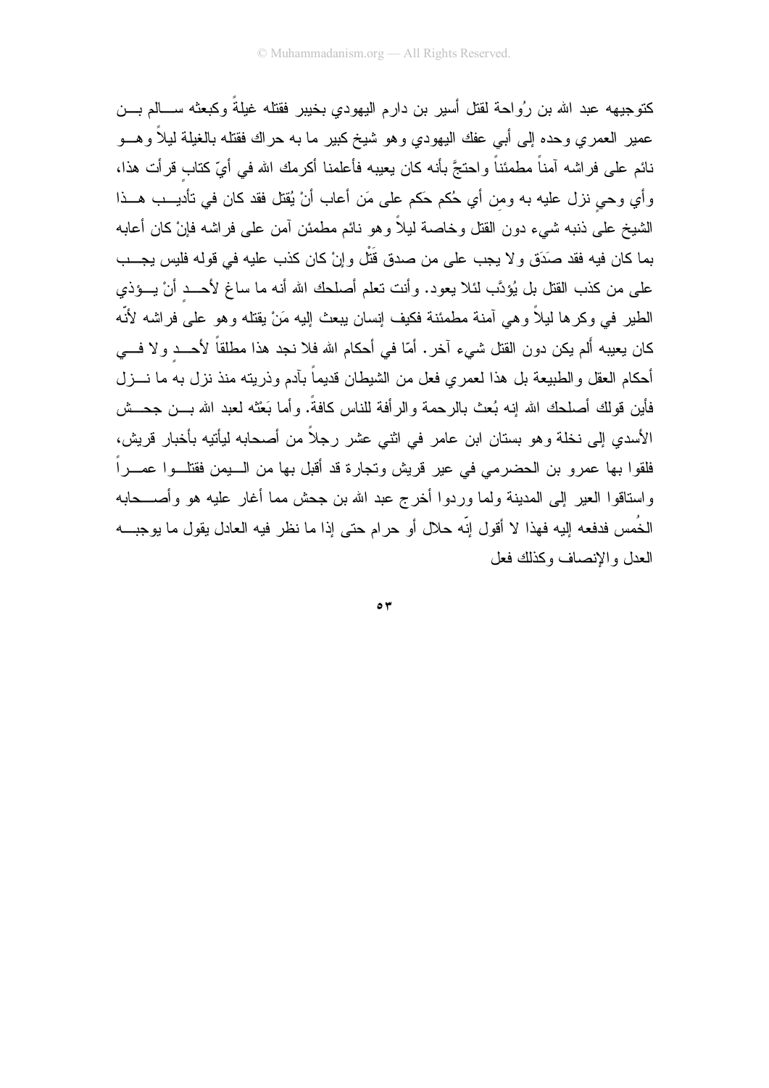كتوجيهه عبد الله بن ر ُواحة لقتل أسير بن دار م اليهو دي بخيبر فقتله غيلةً وكبعثه ســـالم بـــن عمير العمري وحده إلى أبي عفك اليهودي وهو شيخ كبير ما به حراك فقتله بالغيلة ليلأ وهـــو نائم على فراشه آمناً مطمئناً واحتجَّ بأنه كان يعيبه فأعلمنا أكرمك الله في أيِّ كتاب قرأت هذا، وأي وحي نزل عليه به ومن أي حُكم حَكم على مَن أعاب أنْ يُقتل فقد كان في تأديـــب هـــذا الشيخ على ذنبه شيء دون القتل وخاصة ليلاً وهو نائم مطمئن آمن على فراشه فإنْ كان أعابه بما كان فيه فقد صدَقٍ و لا يجب على من صدقٍ قَتْل و إنْ كان كذب عليه في قوله فليس يجـــب على من كذب القتل بل يُؤدَّب لئلا يعود. وأنت نعلم أصلحك الله أنه ما ساغ لأحـــد أنْ يـــؤذي الطير في وكر ها ليلاً و هي آمنة مطمئنة فكيف إنسان بيعث إليه مَنْ يقتله و هو على فر اشه لأنّه كان يعيبه ألم يكن دون القتل شيء آخر. أمّا في أحكام الله فلا نجد هذا مطلقاً لأحـــد ولا فـــي أحكام العقل والطبيعة بل هذا لعمر ي فعل من الشبطان قديماً بآدم وذربته منذ نزل به ما نـــزل فأين قولك أصلحك الله إنه بُعث بالرحمة والرأفة للناس كافةً. وأما بَعْثه لعبد الله بـــن جحـــش الأسدي إلى نخلة وهو بستان ابن عامر في اثنى عشر رجلاً من أصحابه ليأتيه بأخبار قريش، فلقوا بها عمرو بن الحضرمى فى عير قريش وتجارة قد أقبل بها من الـــبمن فقتلـــوا عمــــراً واستاقوا العير إلى المدينة ولما وردوا أخرج عبد الله بن جحش مما أغار عليه هو وأصـــحابه الخُمس فدفعه إليه فهذا لا أقول إنّه حلال أو حرام حتى إذا ما نظر فيه العادل يقول ما يوجبـــه العدل والانصاف وكذلك فعل

 $\circ$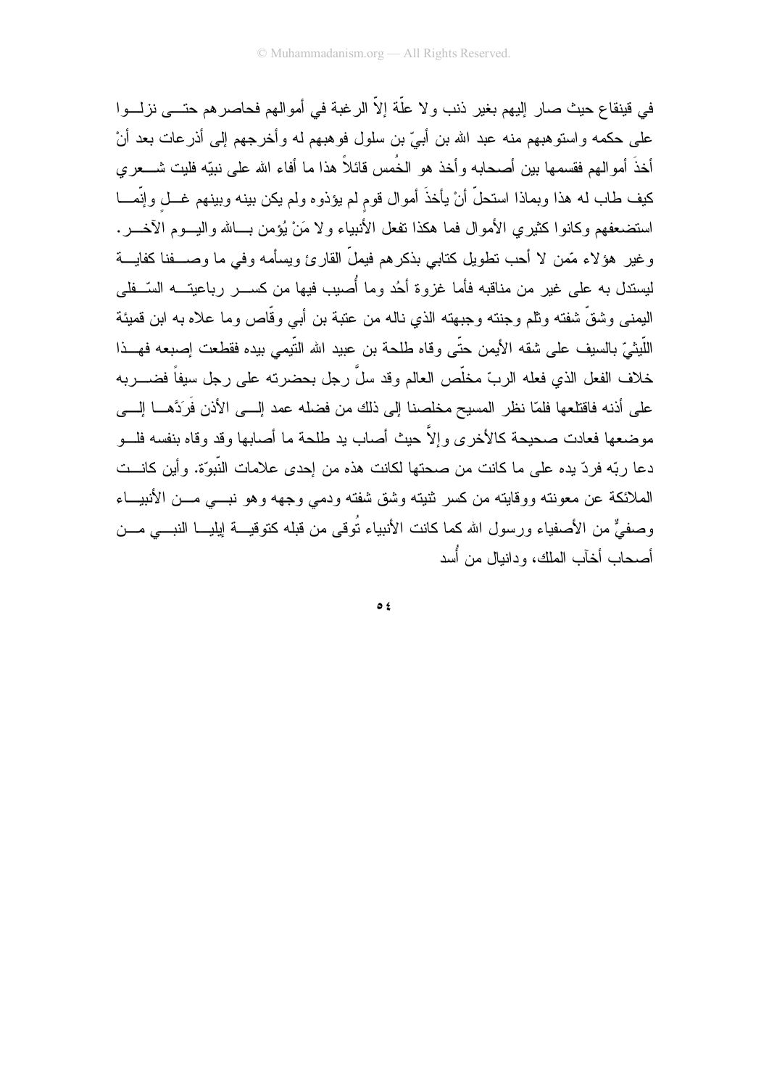في قينقاع حيث صار إليهم بغير ذنب ولا علَّة إلاّ الرغبة في أموالهم فحاصرهم حتـــي نزلـــوا على حكمه واستوهبهم منه عبد الله بن أبيّ بن سلول فوهبهم له وأخرجهم إلى أذرعات بعد أنْ أخذَ أموالهم فقسمها بين أصحابه وأخذ هو الخُمس قائلاً هذا ما أفاء الله على نبيّه فليت شـــعرى كيف طاب له هذا وبماذا استحلَّ أنْ يأخذَ أموال قوم لم يؤذوه ولم يكن بينه وبينهم غـــل وإنَّمــــا استضعفهم وكانوا كثيري الأموال فما هكذا نفعل الأنبياء ولا مَنْ يُؤمن بــالله واليـــوم الآخـــر . وغير هؤلاء مَّمن لا أحب نطويل كتابي بذكرهم فيملُّ القارئ ويسأمه وفي ما وصــــفنا كفايــــة ليستدل به على غير من مناقبه فأما غزوة أحُد وما أُصيب فيها من كســـر رباعيتـــه السّــفلي اليمني وشقَّ شفته وثلم وجنته وجبهته الذي ناله من عتبة بن أبي وقَّاص وما علاه به ابن قميئة اللَّيثيّ بالسيف على شقه الأيمن حتّى وقاه طلحة بن عبيد الله التَّيمي بيده فقطعت إصبعه فهـــذا خلاف الفعل الذي فعله الربِّ مخلِّص العالم وقد سلَّ ر جل بحضر ته على ر جل سبفاً فضـــر به على أذنه فاقتلعها فلمّا نظر المسيح مخلصنا إلى ذلك من فضله عمد إلـــي الأذن فَرَدَّهـــا إلــــي موضعها فعادت صحيحة كالأخرى وإلاَّ حيث أصاب يد طلحة ما أصابها وقد وقاه بنفسه فلـــو دعا ربّه فردّ يده على ما كانت من صحتها لكانت هذه من إحدى علامات النّبوّة. وأين كانـــت الملائكة عن معونته ووقايته من كسر ثنيته وشق شفته ودمى وجهه وهو نبسى مسن الأنبيساء وصفيٌّ من الأصفياء ورسول الله كما كانت الأنبياء تُوقى من قبله كتوقيـــة لِيليـــا النبــــى مــــن أصبحاب أخآب الملك، ودانيال من أُسد

 $\circ$  {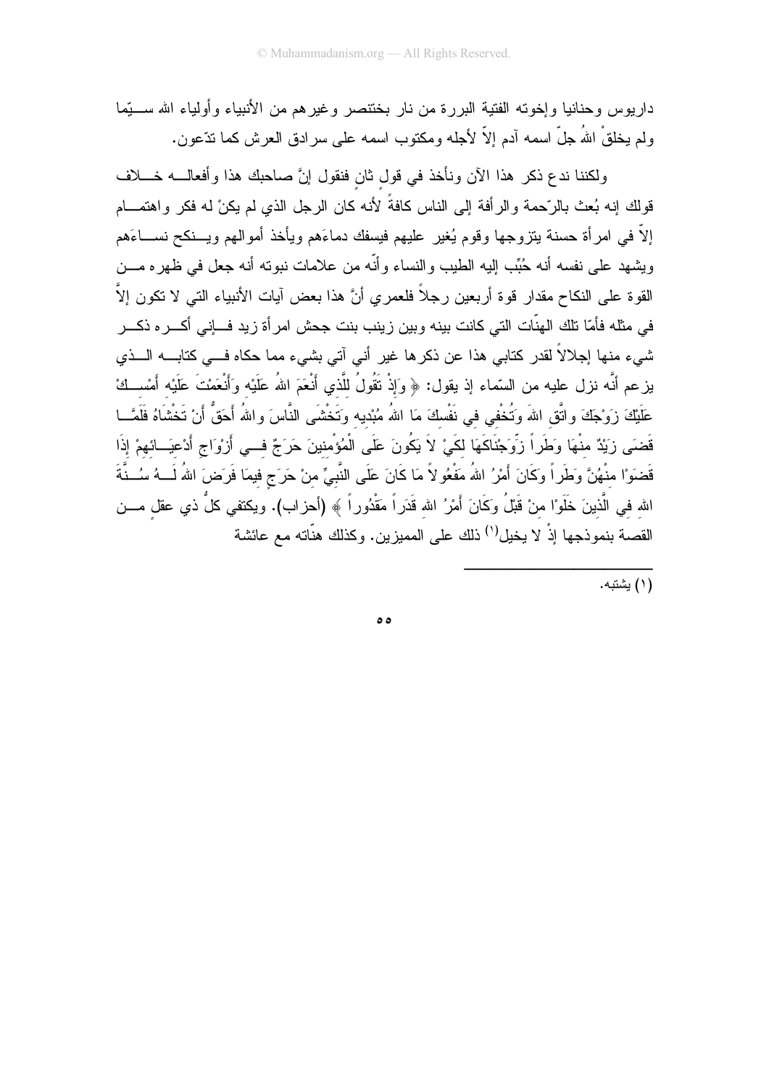داريوس وحنانيا وإخوته الفتية البررة من نار بختتصر وغير هم من الأنبياء وأولياء الله ســبِّما ولم يخلقْ اللهُ جلَّ اسمه آدم إلاَّ لأجله ومكتوب اسمه على سرادق العرش كما ندَّعون.

ولكننا ندع ذكر هذا الآن ونأخذ في قول ثان فنقول إنَّ صاحبك هذا وأفعالــــه خــــلاف قولك إنه بُعث بالرَّحمة والرأفة إلى الناس كافةً لأنه كان الرجل الذي لم يكنْ له فكر واهتمـــام إلاَّ في امرأة حسنة يتزوجها وقوم يُغير عليهم فيسفك دماءَهم ويأخذ أموالهم ويـــنكح نســــاءَهم ويشهد على نفسه أنه حُبِّب الِيه الطيب والنساء وأنَّه من علامات نبوته أنه جعل في ظهره مـــن القوة على النكاح مقدار قوة أربعين رجلاً فلعمري أنَّ هذا بعض آيات الأنبياء التي لا نكون إلاَّ في مثله فأمّا تلك الهنّات التي كانت بينه وبين زينب بنت جحش امرأة زيد فسإني أكسره ذكس شيء منها إجلالاً لقدر كتابي هذا عن ذكرها غير أني آتي بشيء مما حكاه فـــي كتابــــه الــــذي يزعم أنَّه نزل عليه من السَّماء إذ يقول: ﴿ وَإِذْ نَقُولُ للَّذي أَنْعَمَ اللهُ عَلَيْه وَأَنْعَمْتَ عَلَيْه أمْســكْ عَلَيْكَ زَوْجَكَ واتَّقِ اللهَ وَتُخْفي في نَفْسكَ مَا اللهُ مُبْديه وَتَخْشَى النَّاسَ واللهُ أَحَقُّ أَنْ تَخْشَاهُ فَلَمَّــا قَضَى زَيْدٌ منْهَا وَطَراً زَوِّجْنَاكَهَا لِكَيْ لاَ يَكُونَ عَلَى الْمُؤْمِنينَ حَرَجٌ فـــى أَرْوَاج أَدْعيَــائهمْ إذَا قَضنَوْا مِنْهُنَّ وَطَرٍاً وَكَانَ أَمْرُ اللهُ مَفْعُو لاً مَا كَانَ عَلَى النَّبِيِّ منْ حَرَج فيمَا فَرَضَ اللهُ لَـــهُ سُــنَّةَ الله في الَّذينَ خَلَوْ'ا منْ قَبْلُ وكَانَ أَمْرُ الله قَدَراً مَقْدُوراً ﴾ (أحزاب). ويكتفي كلُّ ذي عقل مـــن القصـة بنموذجها إذْ لا يخيل'') ذلك على المميزين. وكذلك هنَّاته مـع عائشة

.<br>(۱) يشتيه.

ه ه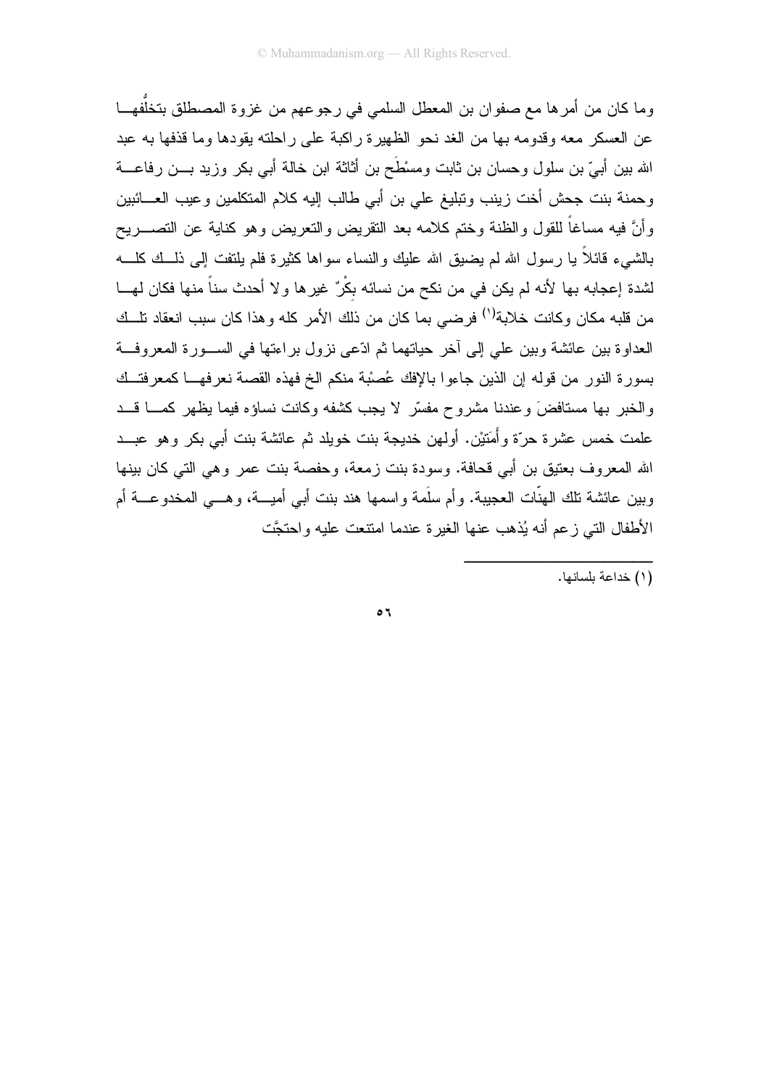وما كان من أمرها مع صفوان بن المعطل السلمي في رجوعهم من غزوة المصطلق بتخلُّفهـــا عن العسكر ً معه وقدومه بها من الغد نحو الظهير ة راكبة على راحلته بقودها وما قذفها به عبد الله بين أبيّ بن سلول وحسان بن ثابت ومسْطَح بن أثاثة ابن خالة أبي بكر وزيد بـــن رفاعــــة وحمنة بنت جحش أخت زينب ونبليغ على بن أبي طالب إليه كلام المتكلمين وعيب العـــائبين وأنَّ فيه مساغاً للقول والظنة وختم كلامه بعد النقريض والنعريض وهو كناية عن التصــــريح بالشبيء قائلاً يا رسول الله لم يضبق الله عليك والنساء سواها كثيرة فلم يلتفت إلى ذلــك كلـــه لشدة إعجابه بها لأنه لم يكن في من نكح من نسائه بكْرٌ غيرها ولا أحدث سناً منها فكان لهـــا من قلبه مكان وكانت خلابة<sup>(י)</sup> فرضيي بما كان من ذلك الأمر كله وهذا كان سبب انعقاد نلـــك العداوة بين عائشة وبين على إلى آخر حياتهما ثم ادّعى نزول بر اءتها في الســورة المعروفــة بسورة النور من قوله إن الذين جاءوا بالإفك عُصبْة منكم الخ فهذه القصة نعرفهـــا كمعرفتــك والخبر بها مستافضَ وعندنا مشروح مفسِّر لا بجب كشفه وكانت نساؤه فبما بظهر كمسا قب علمت خمس عشرة حرَّة وأَمَتيْن. أولهن خديجة بنت خويلد ثم عائشة بنت أبـي بكر وهو عبـــد الله المعروف بعنيق بن أبي قحافة. وسودة بنت زمعة، وحفصة بنت عمر وهي التي كان بينها وبين عائشة نلك الهنَّات العجيبة. وأم سلَّمة واسمها هند بنت أبـي أميــــة، وهـــي المخدوعــــة أم الأطفال التي زعم أنه يُذهب عنها الغيرة عندما امتنعت عليه واحتجَّت

\_\_<br>(۱) خداعة بلسانها.

 $\circ$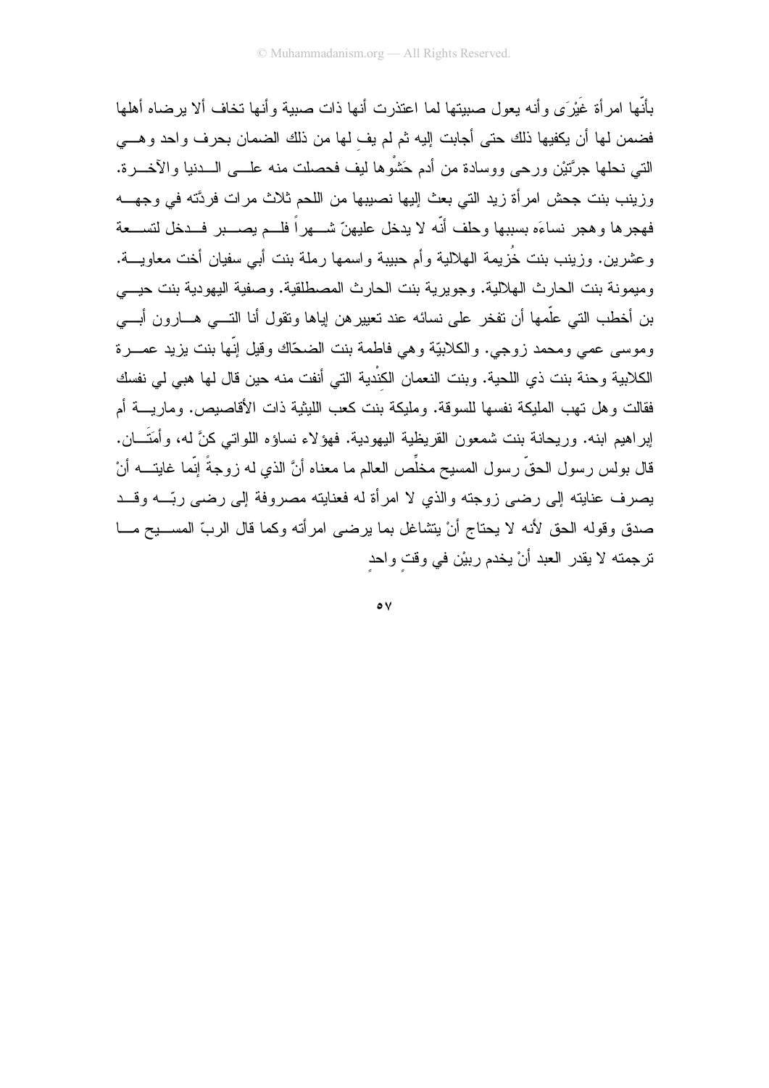بأنَّها امر أة غَيْرَى وأنه يعول صبيتها لما اعتذرت أنها ذات صبية وأنها تخاف ألا يرضاه أهلها فضمن لها أن يكفيها ذلك حتى أجابت إليه ثم لم يف لها من ذلك الضمان بحرف واحد وهـــى التي نحلها جرَّتَيْنِ ورحى ووسادة من أدم حَشْوها ليف فحصلت منه علـــي الـــدنيا والآخـــرة. وزينب بنت جحش امرأة زيد التي بعث إليها نصيبها من اللحم ثلاث مرات فردَّته في وجهـــه فهجرها وهجر نساءَه بسببها وحلف أنّه لا يدخل عليهنّ شـــهراً فلـــم يصــــبر فـــدخل لتســـعة وعشرين. وزينب بنت خُزيمة الهلالية وأم حبيبة واسمها رملة بنت أبي سفيان أخت معاويـــة. ومبمونة بنت الحارث الهلالية. وجويرية بنت الحارث المصطلقية. وصفية اليهودية بنت حيسى بن أخطب التي علَّمها أن تفخر على نسائه عند نعييرهن إياها ونقول أنا التـــي هـــارون أبـــي وموسى عصى ومحمد زوجي. والكلابيّة وهي فاطمة بنت الضحّاك وقيل إنّها بنت يزيد عمـــرة الكلابية وحنة بنت ذي اللحية. وبنت النعمان الكنْدية التي أنفت منه حين قال لها هبي لي نفسك فقالت وهل تهب المليكة نفسها للسوقة. ومليكة بنت كعب الليثية ذات الأقاصيص. وماريــــة أم إبراهيم ابنه. وريحانة بنت شمعون القريظية اليهودية. فهؤلاء نساؤه اللواتي كنَّ له، وأَمَتَــان. قال بولس رسول الحقّ رسول المسيح مخلِّص العالم ما معناه أنَّ الذي له زوجةً إنَّما غاينــــــه أنْ يصرف عنايته إلى رضي زوجته والذي لا امرأة له فعنايته مصروفة إلى رضي ربَّـــه وقـــد صدق وقوله الحق لأنه لا يحتاج أنْ يتشاغل بما يرضيي امرأته وكما قال الربّ المســـيح مـــا تر جمته لا بقدر العبد أنْ بخدم ر ببْن في وقت واحد

 $\circ \vee$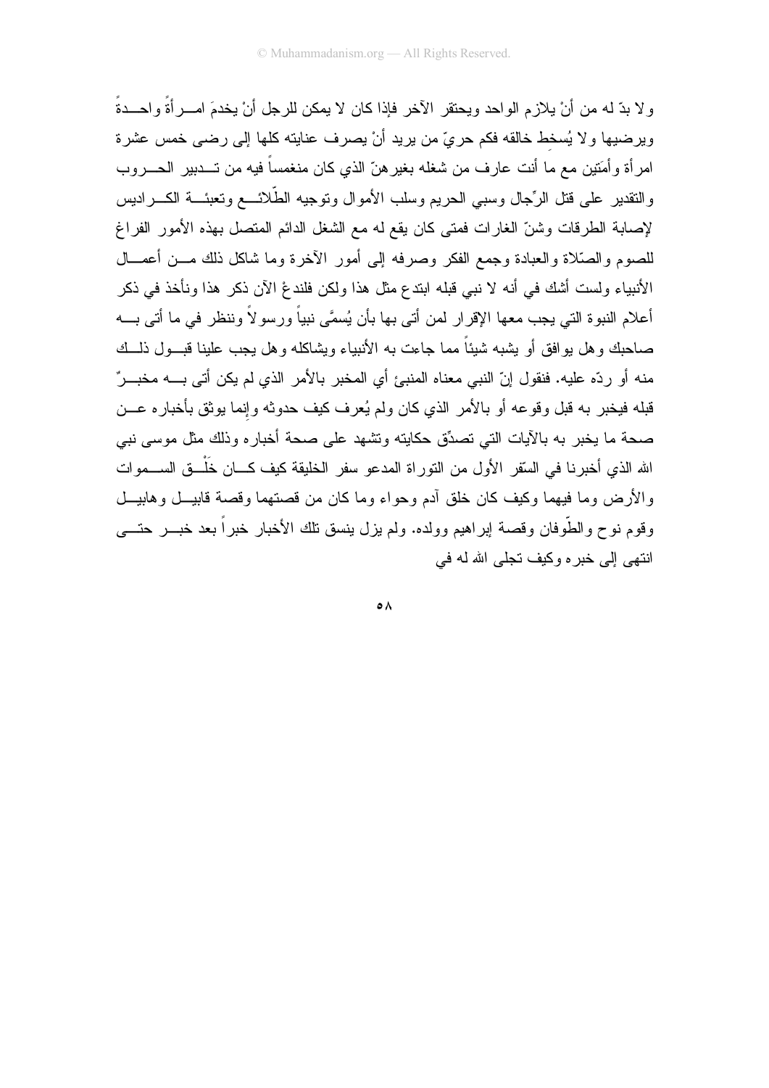ولا بدِّ له من أنْ يلازم الواحد ويحتقر الآخر فإذا كان لا يمكن للرجل أنْ يخدمَ امـــرائَةً واحـــدةً وير ضبها و لا يُسخط خالقه فكم حر يٍّ من ير يد أنْ يصر ف عنايته كلها إلى ر ضبي خمس عشر ة امر أة و أمَتين مع ما أنت عارف من شغله بغير هنّ الذي كان منغمساً فيه من تـــدبير ِ الحـــروب والنقدير على قنل الرِّجال وسبى الحريم وسلب الأموال ونوجيه الطَّلائـــع ونعبئـــة الكــــراديس لإصابة الطرقات وشنّ الغارات فمتى كان يقع له مع الشغل الدائم المتصل بهذه الأمور الفراغ للصوم والصَّلاة والعبادة وجمع الفكر وصرفه إلىي أمور الأخرة وما شاكل ذلك مـــن أعمـــال الأنبياء ولست أشك في أنه لا نبي قبله ابندع مثل هذا ولكن فلندعْ الآن ذكر هذا ونأخذ في ذكر أعلام النبو ة التي يجب معها الإقر ار لمن أتي بها بأن يُسمَّى نبياً ور سو لاً وننظر ً في ما أتي بـــه صاحبك و هل بو افق أو يشبه شيئاً مما جاءت به الأنبياء ويشاكله و هل يجب علينا قبــول ذلــك منه أو ردِّه عليه. فنقول إنّ النبي معناه المنبيُّ أي المخبر بالأمر الذي لم بكن أتي بـــه مخبـــر ٌ قبله فيخبر به قبل وقوعه أو بالأمر الذي كان ولم يُعرف كيف حدوثه وإنما بوثق بأخباره عـــن صحة ما يخبر به بالأيات التي تصدِّق حكايته وتشهد على صحة أخباره وذلك مثل موسى نبي الله الذي أخبر نا في السّقر الأول من النّور اة المدعو سفر الخليقة كيف كـــان خَلْـــق الســـموات والأرض وما فيهما وكيف كان خلق آدم وحواء وما كان من قصنهما وقصة قابيـــل وهابيـــل وقوم نوح والطَّوفان وقصة إبراهيم وولده. ولم يزل بنسق نلك الأخبار خبراً بعد خبـــر حتــــى انتهے إلى خبر ہ وكيف تجلَّى الله له في

 $\circ \wedge$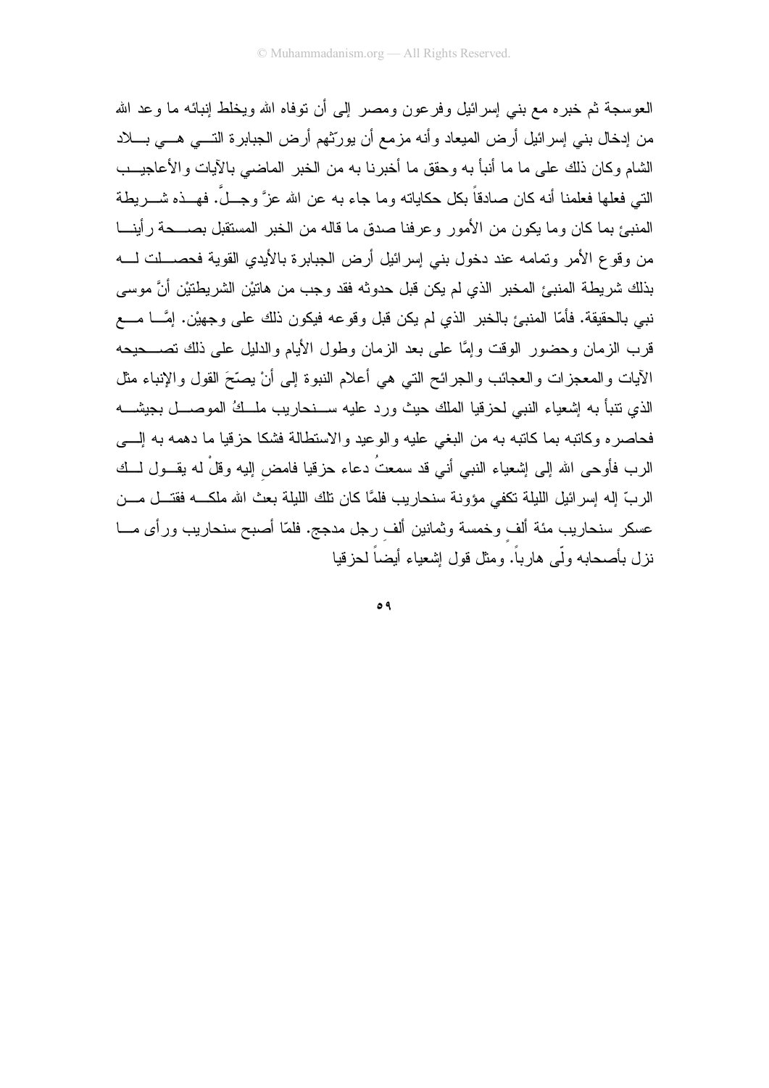العوسجة ثم خبر ہ مع بنبي اِسر ائيل وفر عون ومصر اللِّي أن نوفاہ الله ويخلط اِنبائه ما و عد الله من إدخال بني إسرائيل أرض الميعاد وأنه مزمع أن يورِّثهم أرض الجبابرة التـــي هـــي بــــلاد الشام وكان ذلك على ما ما أنبأ به وحقق ما أخبرنا به من الخبر الماضيي بالآيات والأعاجيــب النبي فعلها فعلمنا أنه كان صادقاً بكل حكاياته وما جاء به عن الله عزَّ وجـــلَّ. فهـــذه شـــــريطـة المنبئ بما كان وما يكون من الأمور وعرفنا صدق ما قاله من الخبر المستقبل بصـــحة رأينـــا من وقوع الأمر وتمامه عند دخول بني إسرائيل أرض الجبابرة بالأيدي القوية فحصـــلت لــــه بذلك شريطة المنبئ المخبر الذي لم يكن قبل حدوثه فقد وجب من هاتيْن الشريطتيْن أنَّ موسى نبي بالحقيقة. فأمّا المنبيَّ بالخبر الذي لم يكن قبل وقوعه فيكون ذلك على وجهيْن. إمَّـــا مــــع قرب الزمان وحضور الوقت وإمَّا على بعد الزمان وطول الأيام والدليل على ذلك تصــــحيحه الأيات والمعجزات والعجائب والجرائح التبي هي أعلام النبوة إلىي أنْ يصِّحَ القول والإنباء مثل الذي نتبأ به إشعياء النبي لحزقيا الملك حيث ورد عليه ســـنحاريب ملـــكُ الموصــــل بجيشــــه فحاصره وكانبه بما كانبه به من البغي عليه والوعيد والاستطالة فشكا حزقيا ما دهمه به إلــــي الرب فأوحى الله إلى إشعياء النبي أني قد سمعتُ دعاء حزقيا فامض إليه وقلْ له يقـــول لـــك الربِّ إله إسرائيل الليلة نكفى مؤونة سنحاريب فلمَّا كان نلك الليلة بعث الله ملكـــه فقتـــل مـــن عسكر سنحاريب مئة ألف وخمسة وثمانين ألف رجل مدجج. فلمّا أصبح سنحاريب ورأى مـــا نز ل بأصحابه ولَّى هار باً. ومثل قول اشعباء أيضاً لحز قيا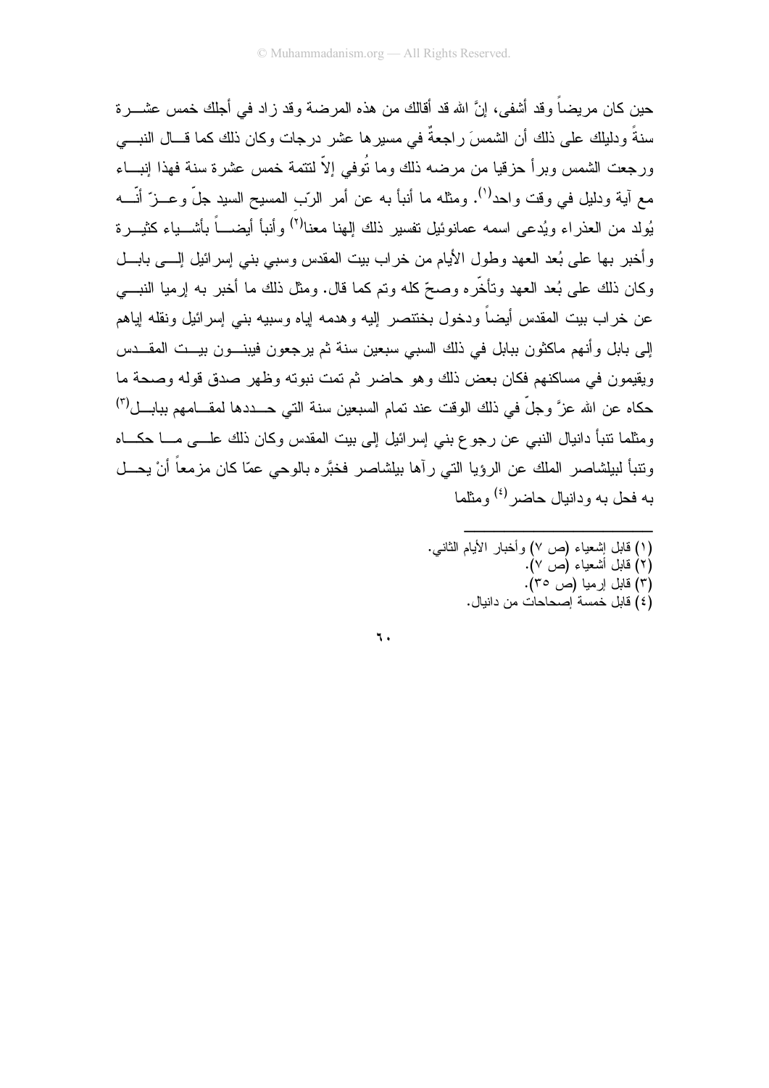حين كان مر يضـاً و قد أشفى، إنَّ الله قد أقالك من هذه المر ضـه و قد ز اد فـي أجلك خمس عشـــر ة سنةً و دليلك على ذلك أن الشمسَ ر اجعةٌ في مسير ها عشر ٍ در جاتٍ و كان ذلك كما قـــال النبــــي ورجعت الشمس وبرأ حزقيا من مرضه ذلك وما نُوفى إلاّ لنتمة خمس عشرة سنة فهذا إنبـــاء مع آية ودليل في وقت واحد<sup>(١)</sup>. ومثله ما أنبأ به عن أمر الرّب المسيح السيد جلّ وعـــز ّ أنّــــه يُولد من العذراء ويُدعى اسمه عمانوئيل نفسير ذلك إلهنا معنا<sup>(٢)</sup> وأنبأ أيضــــاً بأشــــياء كثيـــر ة وأخبر بها على بُعد العهد وطول الأيام من خراب بيت المقدس وسبى بني إسرائيل إلـــي بابـــل وكان ذلك على بُعد العهد ونأخَّره وصحَّ كله ونم كما قال. ومثل ذلك ما أخبر به إرميا النبـــي عن خر اب بيت المقدس أيضـاً و دخول بـخنتصـر الِيه و هدمـه ايـاه وسبيـه بنـى إسر ائيل و نقلـه ايـاهم إلى بابل و أنهم ماكثون ببابل في ذلك السبي سبعين سنة ثم يرجعون فيبنـــون بيـــت المقـــدس ويقيمون في مساكنهم فكان بعض ذلك وهو حاضر ثم تمت نبوته وظهر صدق قوله وصحة ما حكاه عن الله عزَّ وجلَّ في ذلك الوقت عند تمام السبعين سنة التي حـــددها لمقـــامهم ببابـــل(٢) ومثلما نتبأ دانيال النبي عن رجوع بني إسرائيل إلى بيت المقدس وكان ذلك علـــي مــــا حكــــاه ونتبأ لبيلشاصر الملك عن الرؤيا التي رآها بيلشاصر فخبَّره بالوحي عمّا كان مزمعاً أنْ يحـــل به فحل به و دانبال حاضر <sup>(٤)</sup> و مثلما

> (١) قابل إشعياء (ص ٧) وأخبار الأيام الثانبي. (٢) قابل أُشعياء (ص ٧). (۳) قابل ارميا (ص ۳۵). .<br>(٤) قابل خمسة أصحاحات من دانبال.

٦.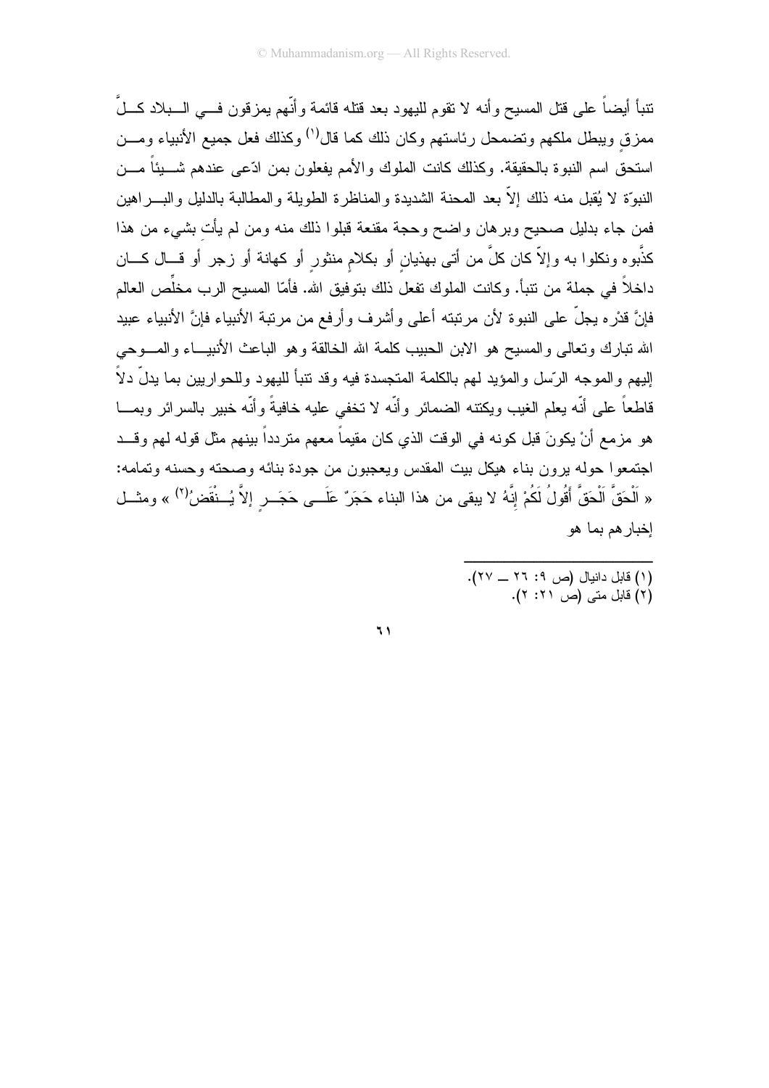نتبأ أيضاً على قتل المسيح وأنه لا نقوم لليهود بعد قتله قائمة وأنّهم يمزقون فـــى الـــبلاد كـــلَّ ممزق ويبطل ملكهم وتضمحل رئاستهم وكان ذلك كما قال<sup>(')</sup> وكذلك فعل جميع الأنبياء ومـــن استحق اسم النبوة بالحقيقة. وكذلك كانت الملوك والأمم يفعلون بمن ادّعى عندهم شـــبناً مـــن النبوَّة لا يُقبل منه ذلك إلاَّ بعد المحنة الشديدة والمناظرة الطويلة والمطالبة بالدليل والبــــراهين فمن جاء بدليل صحيح وبرهان واضح وحجة مقنعة قبلوا ذلك منه ومن لم يأت بشيء من هذا كذَّبوه ونكلوا به وإلاَّ كان كلَّ من أتـى بـهذيان أو بكلام منثور أو كـهانـة أو زـجر أو قـــال كــــان داخلاً في جملة من نتبأ. وكانت الملوك تفعل ذلك بتوفيق الله. فأمّا المسيح الرب مخلِّص العالم فإنَّ قدْرِه يجلُّ على النبوة لأن مرتبته أعلى وأشرف وأرفع من مرتبة الأنبياء فإنَّ الأنبياء عبيد الله نبارك ونعالى والمسيح هو الابن الحبيب كلمة الله الخالقة وهو الباعث الأنبيـــاء والمــــوحي البهم و المو جه الر ّسل و المؤبد لهم بالكلمة المتجسدة فبه وقد تتبأ للبهو د وللحو ار بين بما بدلّ دلاً قاطعاً على أنّه يعلم الغيب ويكتنه الضمائر وأنّه لا تخفى عليه خافيةً وأنّه خبير بالسرائر وبمـــا هو مزمع أنْ يكونَ قبل كونه في الوقت الذي كان مقيماً معهم متردداً بينهم مثل قوله لهم وقــد اجتمعوا حوله برون بناء هيكل بيت المقدس ويعجبون من جودة بنائه وصحته وحسنه وتمامه: « اَلْحَقَّ الْحَقَّ أَقُولُ لَكُمْ إِنَّهُ لا يبقى من هذا البناء حَجَرٌ عَلَــى حَجَــر إلاَّ يُــنْقَضُ<sup>(٢)</sup> » ومثــل إخبار هم بما هو

- (١) قابل دانيال (ص ٢: ٢٦ ــ ٢٧).
	- ۲) قابل متی (ص ۲۱: ۲).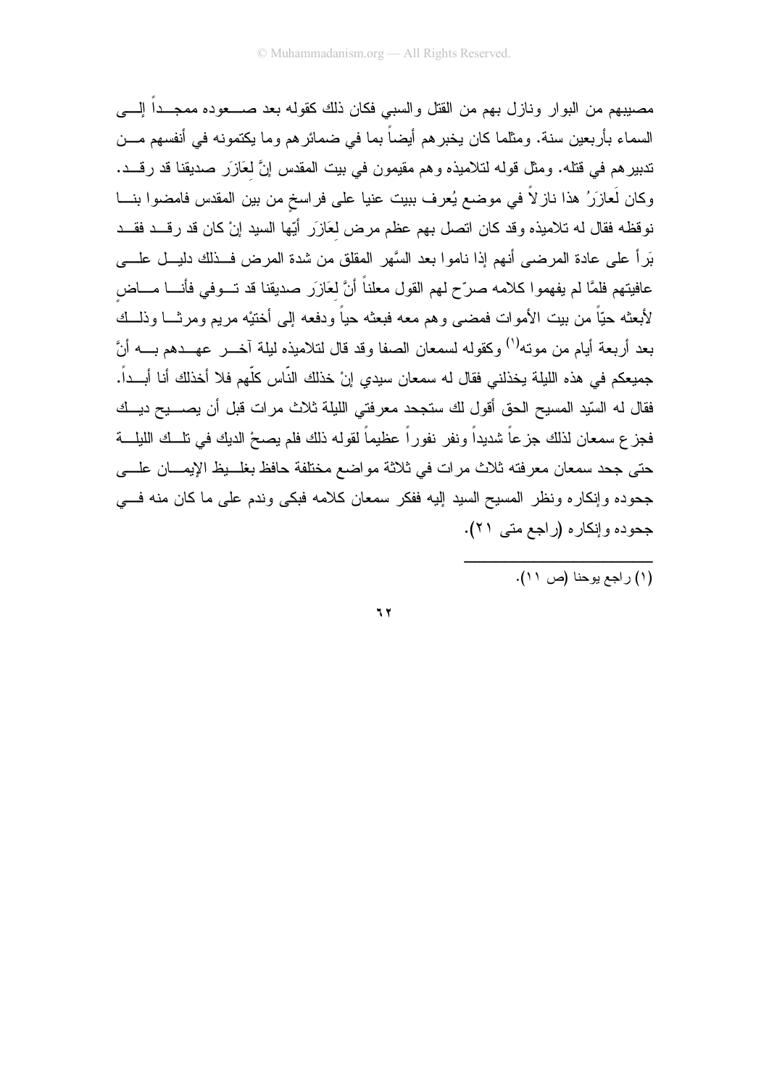مصيبهم من البوار ونازل بهم من القتل والسبي فكان ذلك كقوله بعد صــــعوده ممجـــداً الِــــي السماء بأربعين سنة. ومثلما كان يخبرهم أيضاً بما في ضمائرهم وما يكتمونه في أنفسهم مـــن تدبيرهم في قتله. ومثل قوله لتلاميذه وهم مقيمون في بيت المقدس إنَّ لعَازَر صديقنا قد رقـــد. وكان لَعازَرُ هذا ناز لاً في موضع يُعرف ببيت عنيا على فراسخ من بين المقدس فامضوا بنـــا نوفظه فقال له تلاميذه وقد كان انصل بهم عظم مرض لعَازَرٍ أَبّها السيد إنْ كان قد رقــد فقــد بَرٍاً على عادة المرضى أنهم إذا ناموا بعد السَّهر المقلق من شدة المرض فــذلك دليـــل علــــى عافيتهم فلمَّا لم يفهمو ا كلامه صرِّح لهم القول معلناً أنَّ لعَازِر صديقنا قد تـــوفي فأنــــا مــــاض لأبعثه حيّاً من بيت الأموات فمضيى وهم معه فبعثه حياً ودفعه إلى أختيْه مريع ومرثـــا وذلـــك بعد أربعة أيام من مونه<sup>(١)</sup> وكقوله لسمعان الصفا وقد قال لتلاميذه ليلة آخـــر عهـــدهم بــــه أنَّ جميعكم في هذه الليلة يخذلني فقال له سمعان سيدي إنْ خذلك النّاس كلّهم فلا أخذلك أنا أبـــداً. فقال له السّيد المسيح الحق أقول لك ستجحد معرفتي الليلة ثلاث مرات قبل أن يصــــيح ديـــك فجز ع سمعان لذلك جز عاً شديداً ونفر نفوراً عظيماً لقوله ذلك فلم يصحْ الديك في تلــك الليلـــة حتى جحد سمعان معرفته ثلاث مرات في ثلاثة مواضع مختلفة حافظ بغلــبظ الإيمـــان علـــي جحوده وإنكاره ونظر المسيح السيد إليه ففكر سمعان كلامه فبكي وندم على ما كان منه فسي جحوده وإنكاره (راجع متى ٢١).

 $\mathbf{y}$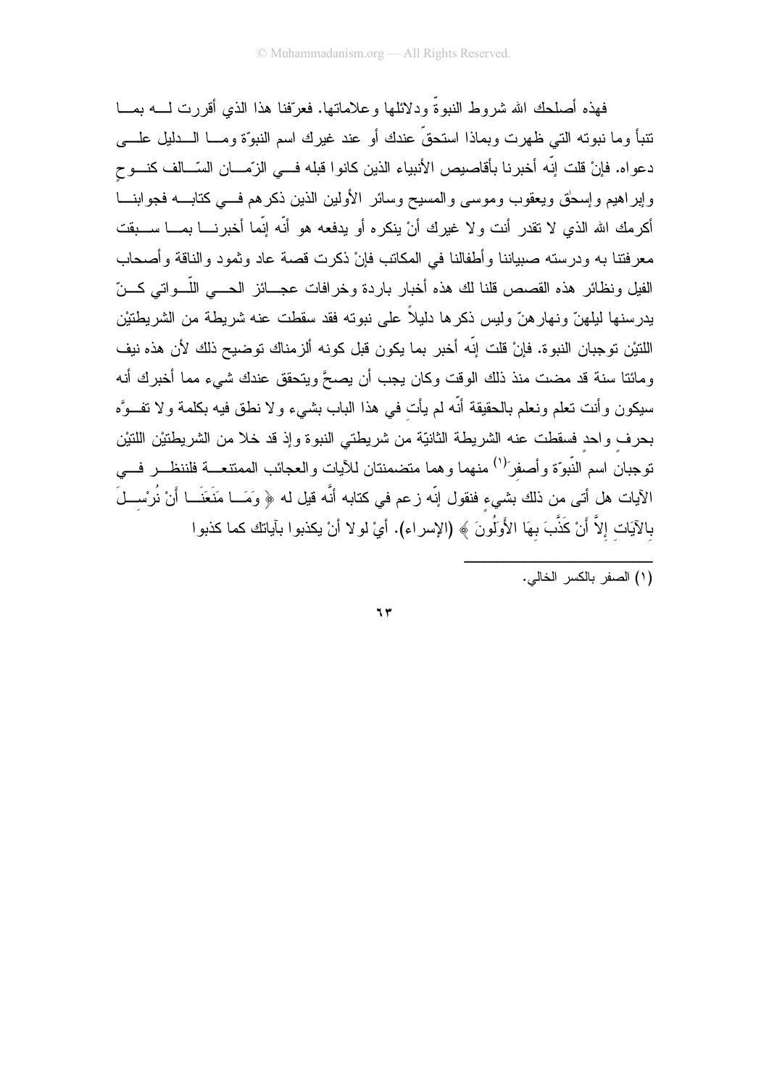فهذه أصلحك الله شروط النبوةَ ودلائلها وعلاماتها. فعرَّفنا هذا الذي أقررت لــــه بمـــا نتبأ وما نبوته التي ظهرت وبماذا استحقَّ عندك أو عند غيرك اسم النبوَّة ومـــا الـــدليل علــــي دعواه. فإنْ قلت إنّه أخبرنا بأقاصيص الأنبياء الذين كانوا قبله فـــي الزّمـــان السّــالف كنـــوح وإبراهيم وإسحلق ويعقوب وموسى والمسيح وسائر الأولين الذين ذكرهم فسي كتابسه فجوابنسا أكرمك الله الذي لا تقدر أنت ولا غيرك أنْ ينكره أو يدفعه هو أنّه إنّما أخبرنــــا بمــــا ســـبقت معرفتنا به ودرسته صبياننا وأطفالنا في المكانب فإنْ ذكرت قصة عاد وثمود والناقة وأصحاب الفيل ونظائر هذه القصص قلنا لك هذه أخبار باردة وخرافات عجـــائز الحـــي اللّـــواتـي كـــنّ يدرسنها ليلهنّ ونهارهنّ وليس ذكرها دليلاً على نبوته فقد سقطت عنه شريطة من الشريطنيْن اللتيْن توجبان النبوة. فإنْ قلت إنَّه أخبر بما يكون قبل كونه ألزمناك توضيح ذلك لأن هذه نيف و مائنا سنة قد مضت منذ ذلك الوقت وكان بجب أن بصحَّ وبتحقق عندك شيء مما أخبر ك أنه سيكون وأنت تعلَّم ونعلم بالحقيقة أنَّه لم يأت في هذا الباب بشيء ولا نطق فيه بكلمة ولا نفــوَّه بحرف واحد فسقطت عنه الشريطة الثانيّة من شريطتي النبوة وإذ قد خلا من الشريطتيْن اللتيْن توجبان اسم النّبوّة وأصفر<sup>ً(١)</sup> منهما وهما متضمنتان للأيات والعجائب الممتنعــة فلننظــر فـــي الآيات هل أتـى من ذلك بشـيء فنقول إنّه زعم في كتابه أنَّه قيل له ﴿ وَمَــا مَنَعَنَــا أَنْ نُرْســلَ بالآيَات إلاَّ أَنْ كَذَّبَ بهَا الأَولَٰونَ ﴾ (الإسراء). أيْ لو لا أنْ يكذبوا بآياتك كما كذبوا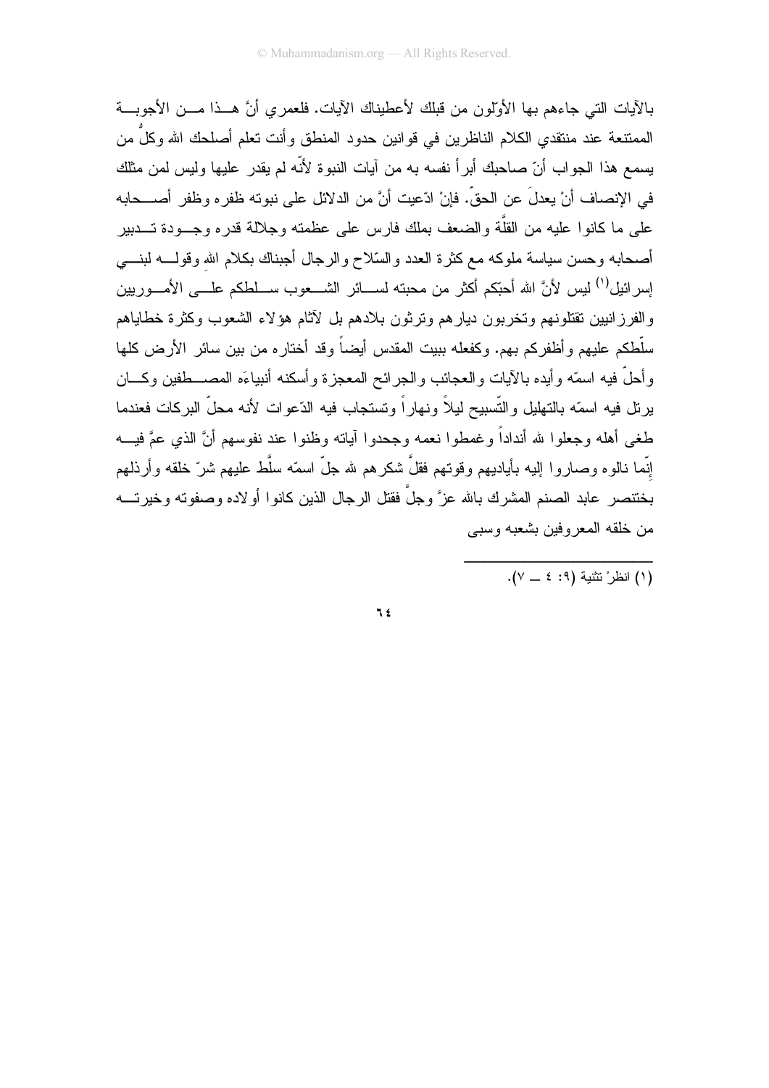بِالآيات التي جاءهم بها الأولون من قبلك لأعطيناك الآيات. فلعمر ي أنَّ هــذا مـــن الأجوبـــة الممتنعة عند منتقدى الكلام الناظرين في قوانين حدود المنطق وأنت نعلم أصلحك الله وكلٌ من يسمع هذا الجواب أنّ صاحبك أبراً نفسه به من آيات النبوة لأنّه لم يقدر عليها وليس لمن مثلك في الإنصاف أنْ يعدلَ عن الحقِّ. فإنْ ادّعيت أنَّ من الدلائل على نبوته ظفره وظفر أصـــحابه على ما كانوا عليه من القلَّة والضعف بملك فارس على عظمته وجلالة قدره وجـــودة تــــدبير أصحابه وحسن سياسة ملوكه مع كثرة العدد والسلاح والرجال أجبناك بكلام الله وقولــــه لبنــــي إسر ائيل<sup>(١)</sup> ليس لأنَّ الله أحبِّكم أكثر من محبته لســـائر الشـــعوب ســـلطكم علــــى الأمــــوريين والفرز انبين نقتلونهم وتخربون ديار هم وترثون بلادهم بل لآثام هؤلاء الشعوب وكثرة خطاياهم سلَّطكم عليهم وأظفركم بهم. وكفعله ببيت المقدس أيضاً وقد أختاره من بين سائر الأرض كلها وأحلَّ فيه اسمَّه وأيده بالآيات والعجائب والجرائح المعجزة وأسكنه أنبياءَه المصــــطفين وكــــان يرنل فيه اسمّه بالنهليل والتّسبيح ليلاً ونهاراً ونستجاب فيه الدّعوات لأنه محلّ البركات فعندما طغي أهله وجعلوا لله أنداداً وغمطوا نعمه وجحدوا آياته وظنوا عند نفوسهم أنَّ الذي عمَّ فيـــه إنَّما نالوه وصاروا إليه بأياديهم وقوتهم فقلَّ شكرهم لله جلَّ اسمَّه سلَّط عليهم شرَّ خلقه وأرذلهم بخنتصر عابد الصنم المشرك بالله عزَّ وجلَّ فقتل الرجال الذين كانوا أولاده وصفوته وخيرتــــه من خلقه المعروفين بشعبه وسببي

 $\mathcal{F}$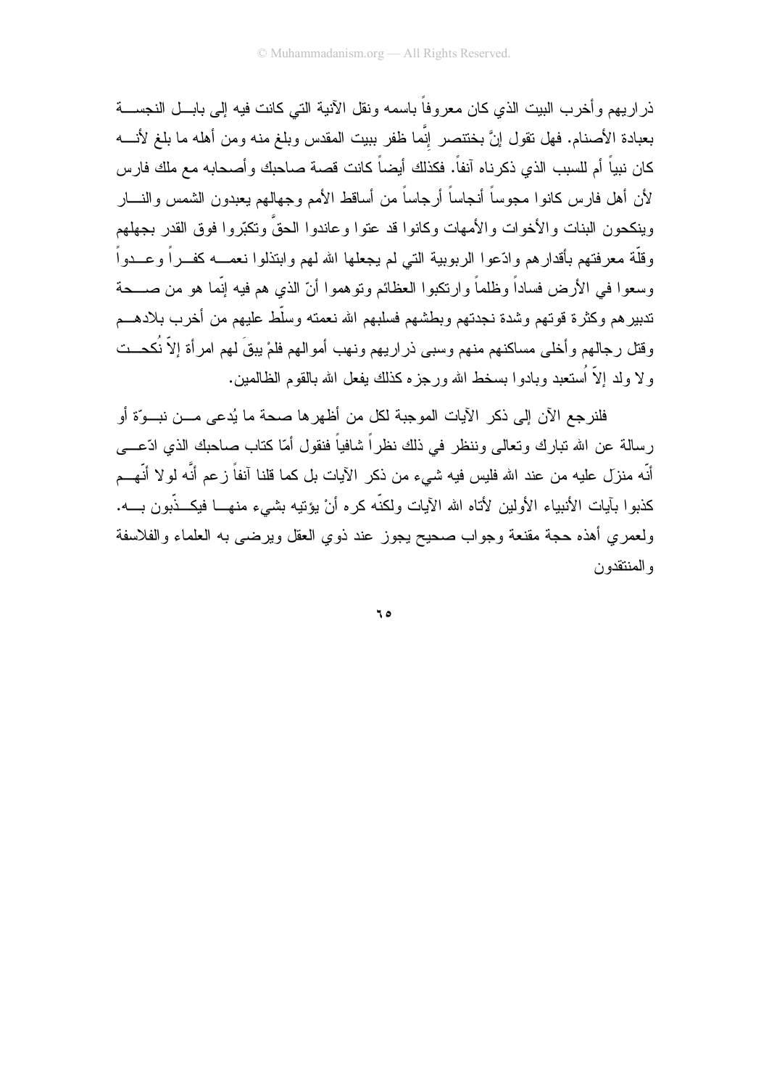ذر ار يهم و أخر ب البيت الذي كان معر و فاً باسمه ونقل الآنية التي كانت فيه إلى بابـــل النجســـة بعبادة الأصنام. فهل نقول إنَّ بختنصر إنَّما ظفر ببيت المقدس وبلغ منه ومن أهله ما بلغ لأنــــه كان نبياً أم للسبب الذي ذكرناه آنفاً. فكذلك أيضاً كانت قصة صاحبك وأصحابه مع ملك فارس لأن أهل فارس كانوا مجوساً أنجاساً أرجاساً من أساقط الأمم وجهالهم يعبدون الشمس والنسار وينكحون البنات والأخوات والأمهات وكانوا قد عتوا وعاندوا الحقّ وتكبّروا فوق القدر بجهلهم وقلَّة معرفتهم بأقدارهم وادّعوا الربوبية التي لم يجعلها الله لهم وابتذلوا نعمــــه كفـــراً وعـــدواً وسعوا في الأرض فساداً وظلماً وارتكبوا العظائم ونوهموا أنّ الذي هم فيه إنّما هو من صـــحة تدبيرهم وكثرة قوتهم وشدة نجدتهم وبطشهم فسلبهم الله نعمته وسلّط عليهم من أخرب بلادهـــم وقتل رجالهم وأخلى مساكنهم منهم وسبي ذر اريهم ونهب أموالهم فلمْ يبقَ لهم امر أة إلاَّ نُكحــت و لا ولد إلاَّ اُستعبد وبادوا بسخط الله ورجز ه كذلك بفعل الله بالقوم الظالمبن.

فلنرجع الآن إلى ذكر الآيات الموجبة لكل من أظهرها صحة ما يُدعى مـــن نبـــوّة أو ر سالة عن الله تبارك وتعالى وننظر ً في ذلك نظر اً شافياً فنقول أمّا كتاب صاحبك الذي ادّعـــي أنّه منزل عليه من عند الله فليس فيه شيء من ذكر الآيات بل كما قلنا آنفاً زعم أنّه لو لا أنّهــم كذبوا بآيات الأنبياء الأولين لأتاه الله الآيات ولكنَّه كره أنْ يؤنيه بشيىء منهـــا فيكــذّبون بــــه. ولعمري أهذه حجة مقنعة وجواب صحيح يجوز عند ذوي العقل ويرضىي به العلماء والفلاسفة و المنتقدون

ه ۲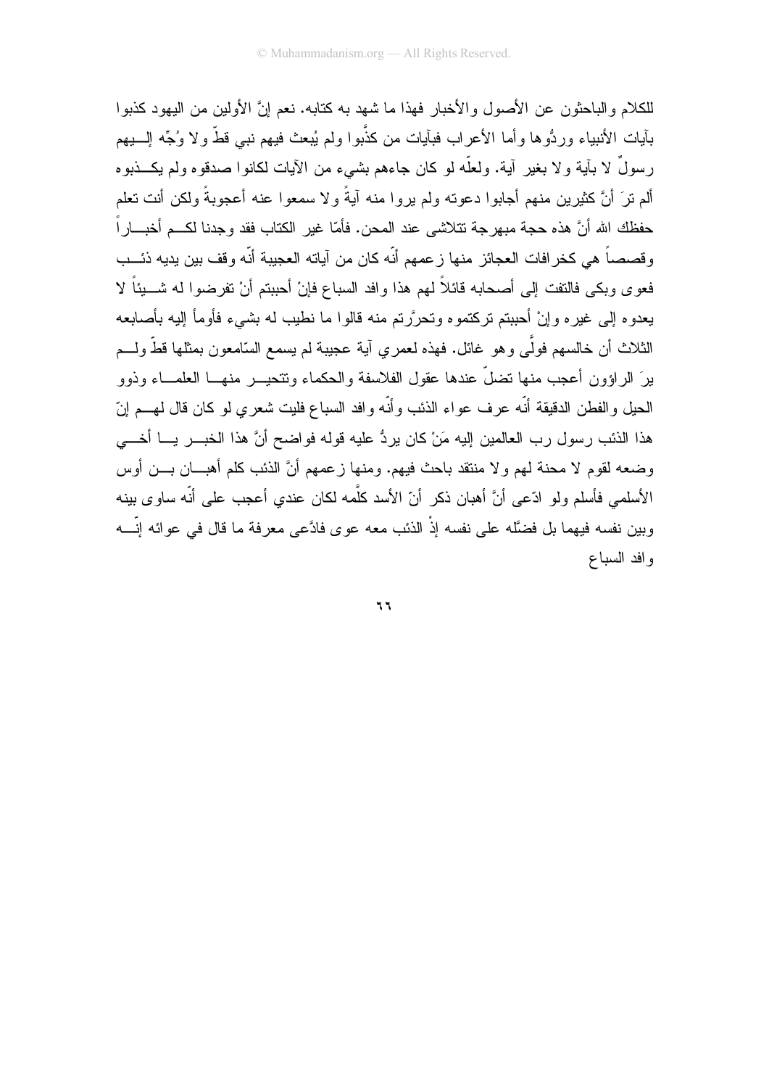للكلام والباحثون عن الأصول والأخبار فهذا ما شهد به كتابه. نعم انَّ الأولين من البهود كذبوا بآيات الأنبياء وردُّوها وأما الأعراب فبآيات من كذَّبوا ولم يُبعث فيهم نبي قطَّ ولا وُجِّه السيهم رسولٌ لا بآية ولا بغير آية. ولعلَّه لو كان جاءهم بشيء من الآيات لكانوا صدقوه ولم يكـــذبوه ألم نرَ أنَّ كثيرين منهم أجابوا دعونه ولم يروا منه آيةً ولا سمعوا عنه أعجوبةً ولكن أنت تعلم حفظك الله أنَّ هذه حجة مبهرجة نتلاشى عند المحن. فأمّا غير الكتاب فقد وجدنا لكــم أخبـــاراً وقصصاً هي كخرافات العجائز منها زعمهم أنّه كان من آياته العجيبة أنّه وقف بين يديه ذئـــب فعوى وبكي فالنفت إلى أصحابه قائلاً لهم هذا وافد السباع فإنْ أحببتم أنْ تفرضوا له شـــبئاً لا يعدو ه إلى غير ه و إنْ أُحببتم تركتمو ه وتحرَّر تم منه قالوا ما نطيب له بشيء فأومأ إليه بأصابعه الثلاث أن خالسهم فولَّى وهو غائل. فهذه لعمر ي آية عجيبة لم يسمع السّامعون بمثلها قطَّ ولـــم برَ الر اؤون أعجب منها نضلَّ عندها عقول الفلاسفة والحكماء ونتحيــــر منهــــا العلمـــاء وذوو الحيل و الفطن الدقيقة أنّه عرف عواء الذئب و أنّه و افد السباع فليت شعرى لو كان قال لهـــم اِنّ هذا الذئب رسول رب العالمين إليه مَنْ كان يردُّ عليه قوله فواضح أنَّ هذا الخبـــر يــــا أخــــى وضعه لقوم لا محنة لمهم ولا منتقد باحث فيهم. ومنها زعمهم أنَّ الذئب كلم أهبـــان بــــن أوس الأسلمي فأسلم ولو ادّعي أنَّ أهبان ذكر أنّ الأسد كلَّمه لكان عندي أعجب على أنّه ساوى بينه وبين نفسه فيهما بل فضَّله على نفسه إذْ الذئب معه عوى فادَّعى معرفة ما قال في عوائه إنَّـــه و افد السباع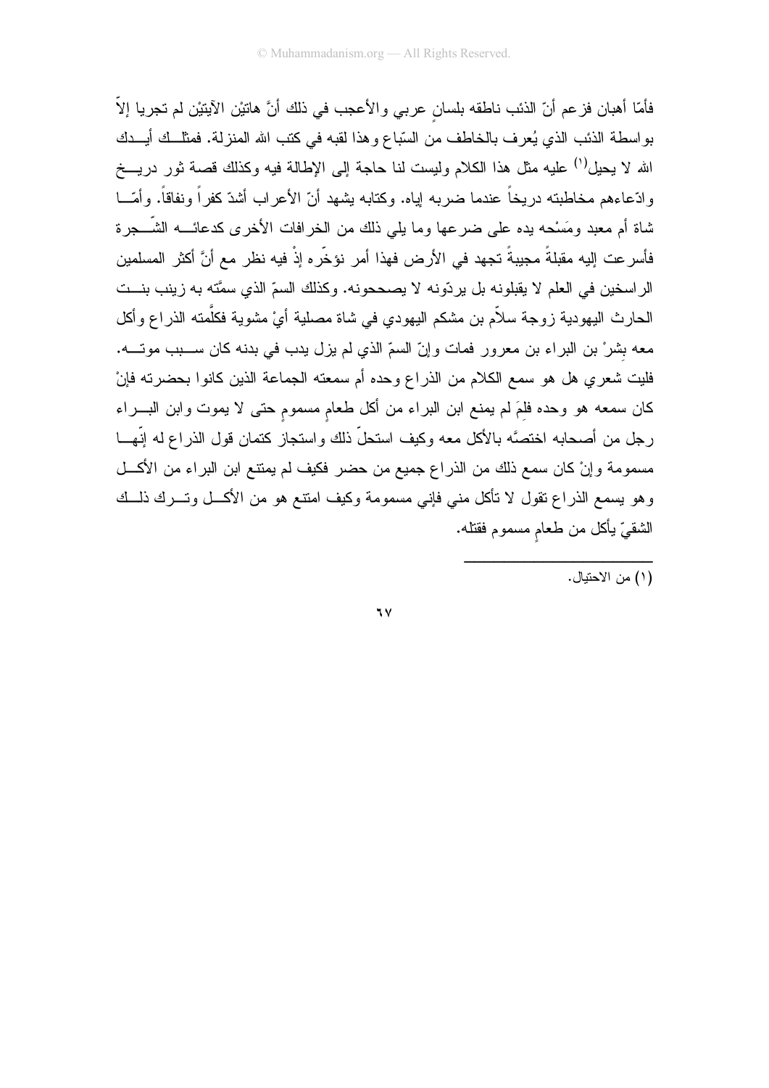فأمّا أهبان فزعم أنّ الذئب ناطقه بلسان عربي والأعجب في ذلك أنَّ هاتيْن الآيتيْن لم تجريا إلاّ بواسطة الذئب الذي يُعرف بالخاطف من السّباع وهذا لقبه في كتب الله المنزلة. فمثل ك أيــدك الله لا يحيل<sup>(١)</sup> عليه مثل هذا الكلام وليست لنا حاجة إلى الإطالة فيه وكذلك قصة ثور دريـــخ وادَّعاءهم مخاطبته دريخاً عندما ضربه لِياه. وكذابه بشهد أنّ الأعراب أشدّ كفراً ونفاقاً. وأمّـــا شاة أم معبد ومَسْحه بده على ضرعها وما يلي ذلك من الخرافات الأخرى كدعائــــه الشّـــجرة فأسر عت إليه مقبلةً مجيبةً تجهد في الأرض فهذا أمر نؤخِّره إذْ فيه نظر مع أنَّ أكثر المسلمين الراسخين في العلم لا يقبلونه بل يردّونه لا يصححونه. وكذلك السمّ الذي سمَّته به زينب بنــت الحارث اليهودية زوجة سلاّم بن مشكم اليهودي في شاة مصلية أيْ مشوية فكلَّمته الذراع وأكل معه بشرْ بن البراء بن معرور فمات وإنّ السمّ الذي لم يزل يدب في بدنه كان ســـبب موتــــه. فليت شعري هل هو سمع الكلام من الذراع وحده أم سمعته الجماعة الذين كانوا بحضرته فإنْ كان سمعه هو وحده فلمَ لم يمنع ابن البراء من أكل طعام مسموم حتى لا يموت وابن البـــراء رجل من أصحابه اختصَّه بالأكل معه وكيف استحلَّ ذلك واستجاز كتمان قول الذراع له إنَّهـــا مسمومة وإنْ كان سمع ذلك من الذراع جميع من حضر فكيف لم يمتنع ابن البراء من الأكل وهو يسمع الذراع تقول لا نأكل مني فإني مسمومة وكيف امتنع هو من الأكـــل وتــــرك ذلـــك الشقيّ يأكل من طعام مسموم فقتله.

 $7<sup>7</sup>$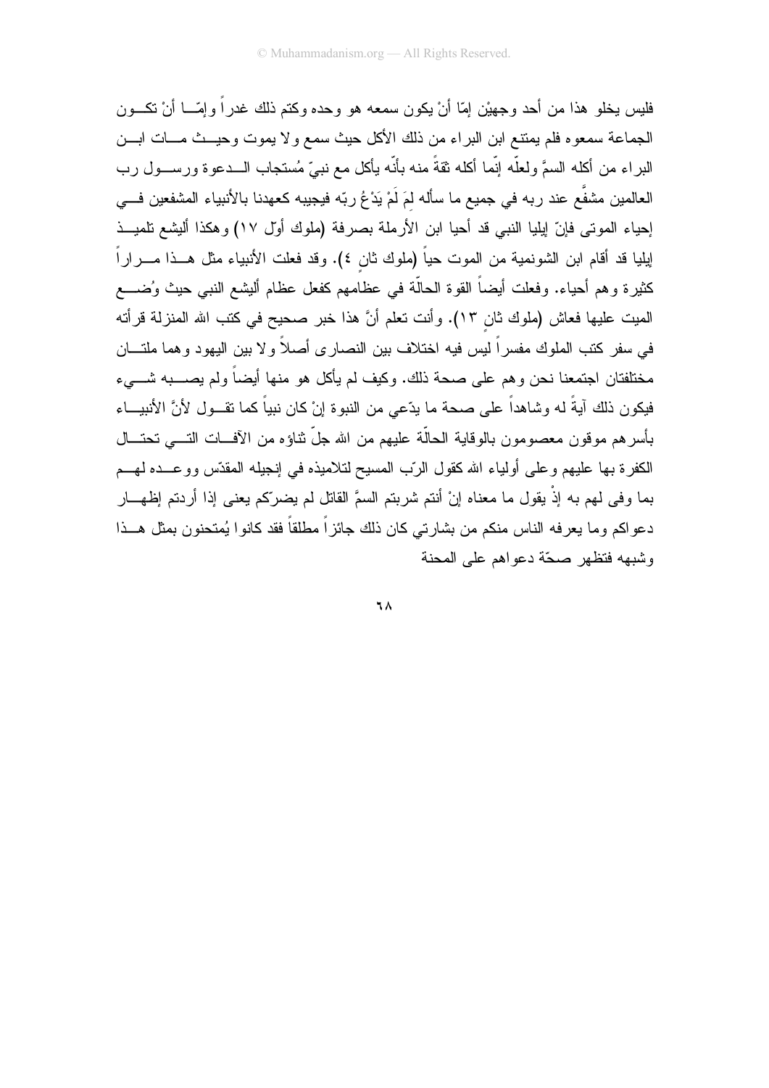فليس يخلو هذا من أحد و جهيْن إمّا أنْ يكون سمعه هو وحده وكتم ذلك غدر أ و إمّـــا أنْ نكـــون الجماعة سمعوه فلم يمتنع ابن البراء من ذلك الأكل حيث سمع ولا يموت وحيـــث مــــات ابــــن البراء من أكله السمَّ ولعلَّه إنَّما أكله ثقةً منه بأنَّه يأكل مع نبيٍّ مُستجاب الـــدعوة ورســـول رب العالمين مشفَّع عند ربه في جميع ما سأله لمَ لَمْ يَدْعُ ربِّه فيجيبه كعهدنا بالأنبياء المشفعين فـــي إحياء الموتى فإنّ إيليا النبي قد أحيا ابن الأرملة بصرفة (ملوك أول ١٧) وهكذا أليشع تلميــذ إيليا قد أقام ابن الشونمية من الموت حياً (ملوك ثان ٤). وقد فعلت الأنبياء مثل هــذا مـــراراً كثيرة وهم أحياء. وفعلت أيضاً القوة الحالَّة في عظامهم كفعل عظام أليشع النبي حيث وُضــــع الميت عليها فعاش (ملوك ثان ١٣). وأنت تعلم أنَّ هذا خبر صحيح في كتب الله المنزلة قرأته في سفر كتب الملوك مفسراً ليس فيه اختلاف بين النصـاري أصـلاً ولا بين اليهود وهما ملتـــان مختلفتان اجتمعنا نحن و هم على صحة ذلك. وكبف لم بأكل هو منها أبضاً ولم بصـــبه شــــىء فيكون ذلك آيةً له وشاهداً على صحة ما يدّعى من النبوة إنْ كان نبياً كما نقــول لأنَّ الأنبيـــاء بأسرهم موقون معصومون بالوقاية الحالَّة عليهم من الله جلِّ نثاؤه من الأفسات النسي تحتـــال الكفرة بـها عليهم وعلمي أولياء الله كقول الرَّب المسيح لتلاميذه فـي إنـجيلـه المقدَّس ووعـــده لـهـــم بما وفي لمهم به إذْ يقول ما معناه إنْ أنتم شربتم السمَّ القاتل لم يضرَّكم يعني إذا أردتم إظهـــار دعواكم وما يعرفه الناس منكم من بشارتـي كان ذلك جائزاً مطلقاً فقد كانوا يُمتحنون بمثل هـــذا وشيهه فتظهر صحّة دعواهم على المحنة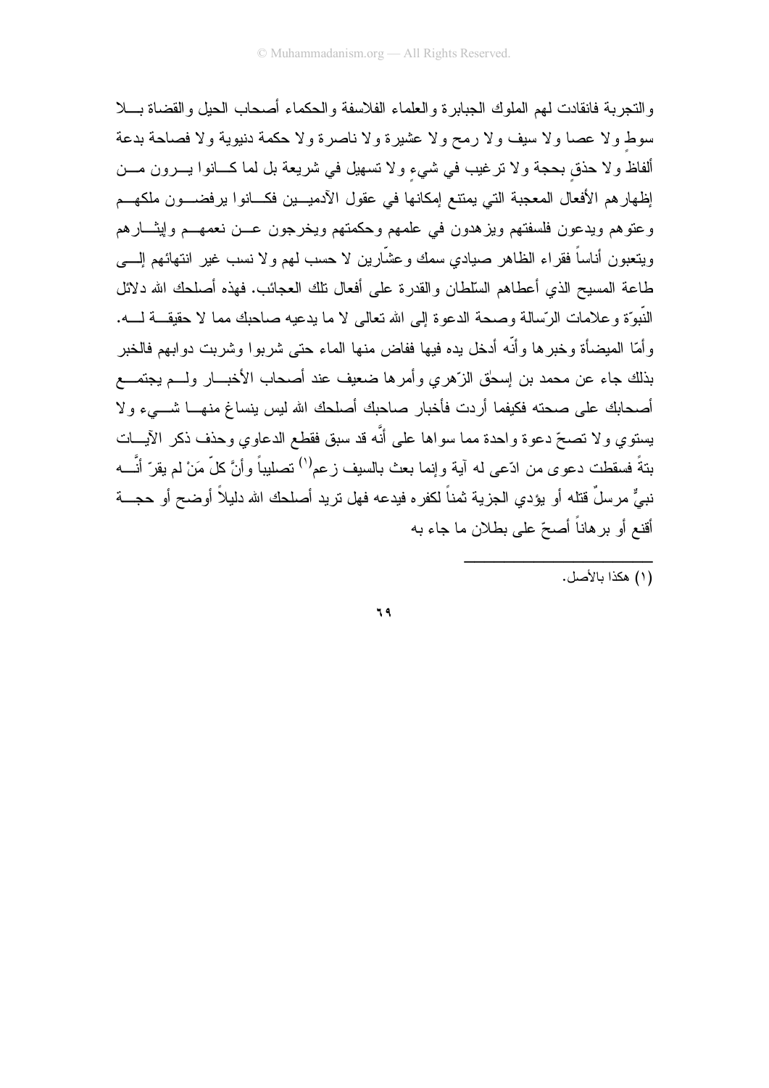والنجرية فانقادت لمهم الملوك الجبابر ة والعلماء الفلاسفة والحكماء أصبحاب الجيل والقضباة بسلا سوط ولا عصا ولا سيف ولا رمح ولا عشيرة ولا ناصرة ولا حكمة دنيوية ولا فصاحة بدعة ألفاظ ولا حذق بحجة ولا نر غيب في شيء ولا نسهيل في شريعة بل لما كـــانوا يــــرون مــــن إظهارهم الأفعال المعجبة التي يمتنع إمكانها في عقول الأدميـــين فكـــانوا يرفضـــون ملكهـــم وعتوهم ويدعون فلسفتهم ويزهدون في علمهم وحكمتهم ويخرجون عـــن نعمهـــم وليثــــارهم ويتعبون أناساً فقراء الظاهر صيادي سمك وعشَّارين لا حسب لمهم ولا نسب غير انتهائهم إلــــي طاعة المسيح الذي أعطاهم السلطان والقدرة على أفعال نلك العجائب. فهذه أصلحك الله دلائل النَّبوَّة و علامات الرِّسالة و صحة الدعوة الى الله تعالى لا ما بدعبه صاحبك مما لا حقيقـــة لـــه. و أمّا الميضـأة و خبر ها و أنّه أدخل يده فيها ففاض منـها المـاء حتـى شر بو ا و شر بت دو ابـهم فالـخبر بذلك جاء عن محمد بن اِسحٰق الزّهري وأمرها ضعيف عند أصحاب الأخبـــار ولـــم يجتمـــع أصحابك على صحته فكيفما أردت فأخبار صاحبك أصلحك الله ليس بنساغ منهـــا شــــيء ولا يستوي ولا تصحّ دعوة واحدة مما سواها على أنَّه قد سبق فقطع الدعاوي وحذف ذكر الأيـــات بتةً فسقطت دعوى من ادّعى له آية وإنما بعث بالسيف زعم<sup>(י)</sup> تصليباً وأنَّ كلّ مَنْ لم يقرّ أنَّـــه نبيٌّ مرسلٌ قتله أو يؤدي الجزية ثمناً لكفره فيدعه فهل تريد أصلحك الله دليلاً أوضح أو حجـــة أقنع أو برهاناً أصحّ على بطلان ما جاء به

(١) هكذا بالأصل.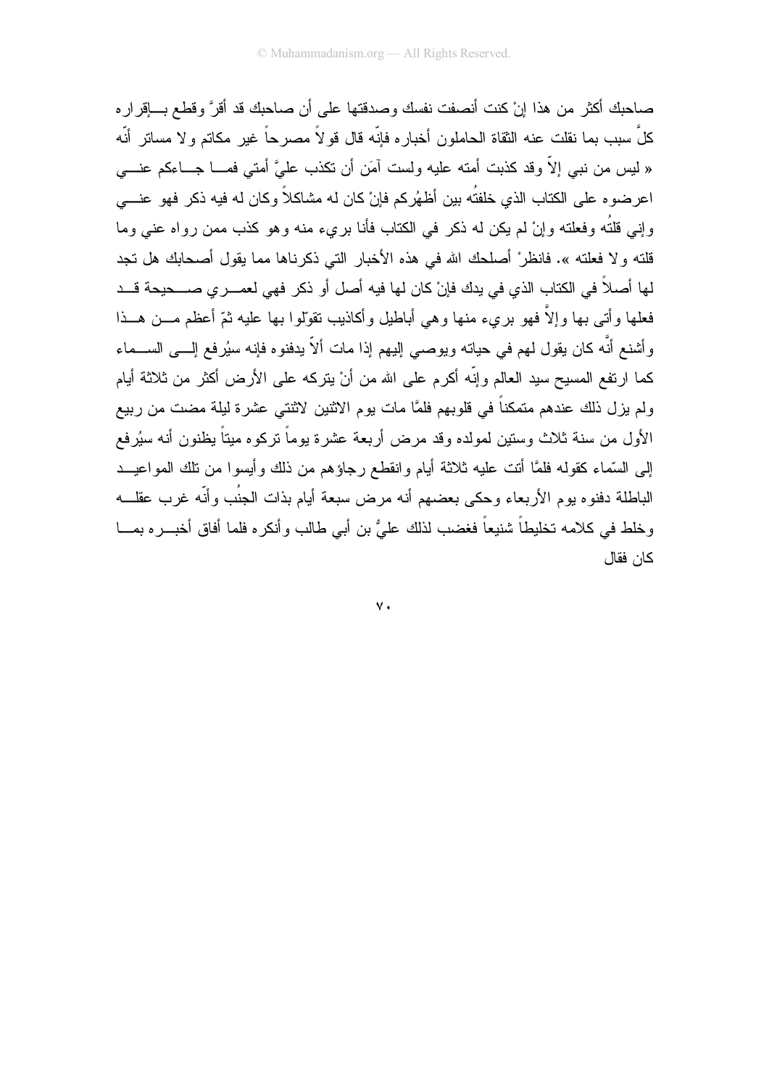صاحبك أكثر من هذا إنْ كنت أنصفت نفسك وصدقتها على أن صاحبك قد أقرَّ و قطع بـــاقر ار ه كلِّ سبب بما نقلت عنه الثقاة الحاملون أخباره فإنّه قال قو لاً مصرحاً غير مكاتم و لا مساتر أنّه « ليس من نبي إلاَّ وقد كذبت أمته عليه ولست آمَن أن نكذب عليَّ أمتـي فمــــا جــــاءكم عنــــي اعرضوه على الكتاب الذي خلفتُه بين أظهُركم فإنْ كان له مشاكلاً وكان له فيه ذكر فهو عنـــي وإني قلتُه وفعلته وإنْ لم يكن له ذكر في الكتاب فأنا بريء منه وهو كذب ممن رواه عني وما قلته ولا فعلته ». فانظرْ أصلحك الله في هذه الأخبار التي ذكرناها مما يقول أصحابك هل تجد لها أصلاً في الكتاب الذي في بدك فإنْ كان لها فيه أصل أو ذكر فهي لعمــــري صــــحيحة قـــد فعلها وأتبى بها وإلاَّ فهو برىء منها وهي أباطيل وأكاذيب نقوَّلوا بها عليه ثمّ أعظم مـــن هـــذا وأشنع أنَّه كان يقول لمهم في حياته ويوصـي إليهم إذا مات ألاَّ يدفنوه فإنه سيُرفع إلـــي الســـماء كما ارتفع المسيح سيد العالم وإنَّه أكرم على الله من أنْ يتركه على الأرض أكثر من ثلاثة أيام ولم يزل ذلك عندهم متمكناً في قلوبهم فلمَّا مات يوم الاثنين لاثنتي عشرة ليلة مضت من ربيع الأول من سنة ثلاث وستين لمولده وقد مرض أربعة عشرة بوماً نركوه ميتاً يظنون أنه سيُرفع إلى السَّماء كقوله فلمَّا أنت عليه ثلاثة أيام وانقطع رجاؤهم من ذلك وأيسوا من نلك المواعيــد الباطلة دفنوه بوم الأربعاء وحكى بعضهم أنه مرض سبعة أيام بذات الجنُب وأنَّه غرب عقلـــه وخلط في كلامه تخليطاً شنيعاً فغضب لذلك علىُّ بن أبي طالب وأنكره فلما أفاق أخبـــره بمــــا كان فقال

 $\mathsf{v}$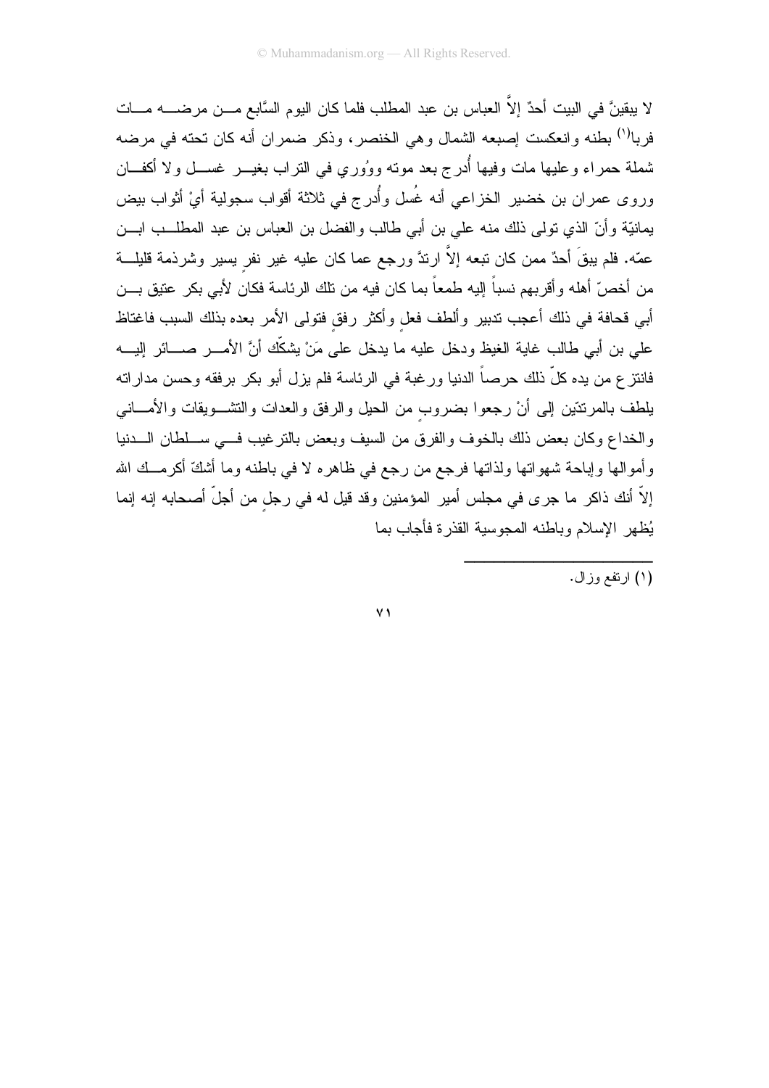لا يبقينَ في البيت أحدٌ إلاَّ العباس بن عبد المطلب فلما كان اليوم السَّابع مـــن مرضـــــه مــــات فربا<sup>(י)</sup> بطنه وانعكست إصبعه الشمال وهي الخنصر، وذكر ضمران أنه كان تحته في مرضه شملة حمراء وعليها مات وفيها أُدرج بعد مونه ووُوري في النراب بغيـــر غســـل ولا أكفـــان وروى عمران بن خضير الخزاعي أنه غُسل وأُدرج في ثلاثة أقواب سجولية أيْ أثواب بيض يمانيَّة وأنَّ الذي نولمي ذلك منه على بن أبي طالب والفضل بن العباس بن عبد المطلــب ابـــن عمّه. فلم يبقَ أحدٌ ممن كان نبعه إلاَّ ارندَّ ورجع عما كان عليه غير نفر يسير وشرذمة قليلـــة من أخصّ أهله وأقربهم نسباً إليه طمعاً بما كان فيه من تلك الرئاسة فكان لأبي بكر عتيق بـــن أبي قحافة في ذلك أعجب تدبير وألطف فعل وأكثر رفق فتولى الأمر بعده بذلك السبب فاغتاظ على بن أبي طالب غاية الغيظ ودخل عليه ما يدخل على مَنْ يشكِّك أنَّ الأمــــر صــــائر إليــــه فانتز ع من يده كلِّ ذلك حرصاً الدنيا ورغبة في الرئاسة فلم يزل أبو بكر برفقه وحسن مداراته يلطف بالمرنتتين إلىي أنْ رجعوا بضروب من الحيل والرفق والعدات والتشـــويقات والأمــــانـي والخداع وكان بعض ذلك بالخوف والفرق من السيف وبعض بالنزغيب فسي ســلطان الـــدنيا وأموالها وإباحة شهواتها ولذاتها فرجع من رجع في ظاهره لا في باطنه وما أشكَّ أكرمــك الله إلاَّ أنك ذاكر ما جرى في مجلس أمير المؤمنين وقد قيل له في رجل من أجلَّ أصحابه إنه إنما يُظهر الإسلام وباطنه المجوسية القذرة فأجاب بما

 $\vee$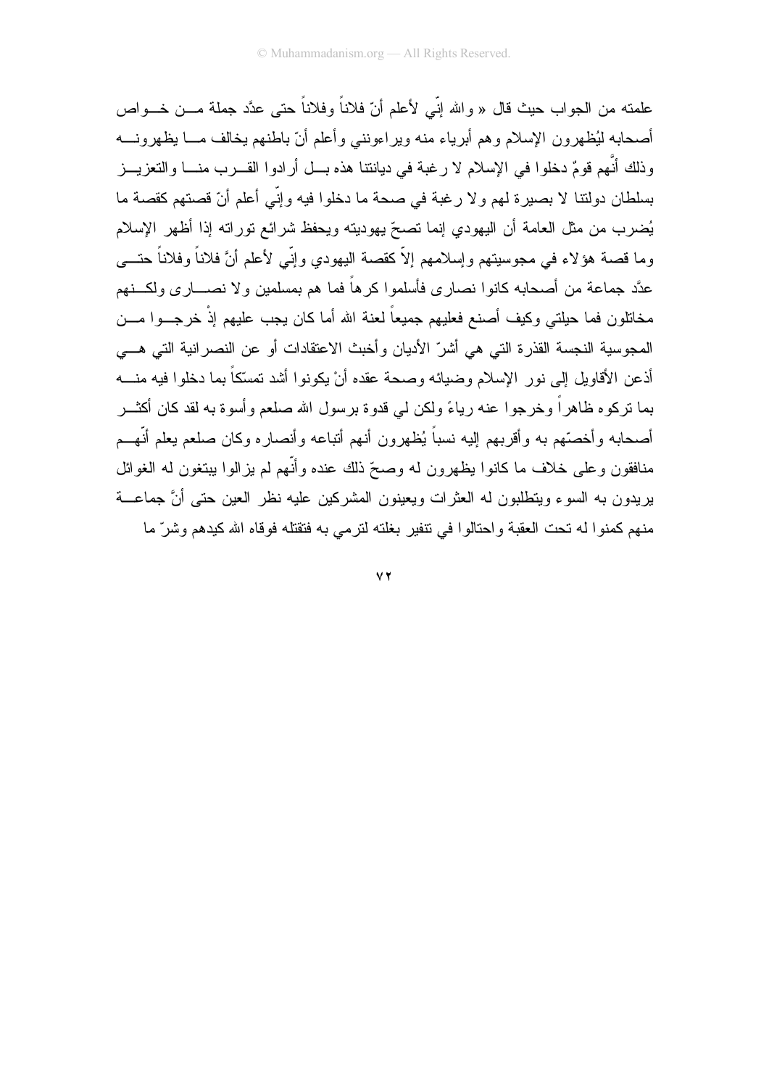علمته من الجو اب حيث قال « و الله إنّي لأعلم أنّ فلاناً و فلاناً حتى عدَّد جملة مـــن خـــو اص أصبحابه ليُظهر ون الإسلام و هم أبر ياء منه وير اءوننبي و أعلم أنّ باطنهم يخالف مـــا يظهر ونـــه وذلك أنَّهم قومٌ دخلوا في الإسلام لا رغبة في ديانتنا هذه بــل أرادوا القـــرب منـــا والتعزيـــز بسلطان دولتنا لا بصيرة لهم ولا رغبة في صحة ما دخلوا فيه وإنّي أعلم أنّ قصتهم كقصة ما يُضرب من مثل العامة أن اليهودي إنما نصحّ يهوديته ويحفظ شرائع نوراته إذا أظهر الإسلام وما قصـة هؤلاء فـي مـجوسيتهم وإسلامـهم إلاّ كقصـة اليـهودي وإنّـي لأعلم أنَّ فلانـاً وفلاناً حتـــي عدَّد جماعة من أصحابه كانوا نصاري فأسلموا كرهاً فما هم بمسلمين ولا نصــــاري ولكـــنهم مخاتلون فما حيلتي وكيف أصنع فعليهم جميعاً لعنة الله أما كان يجب عليهم إذْ خرجــوا مـــن المجوسية النجسة القذرة التي هي أشرِّ الأديان و أخبث الاعتقادات أو عن النصر انية التي هـــي أذعن الأقاوبل إلى نور الإسلام وضبائه وصحة عقده أنْ بكونوا أشد تمسّكاً بما دخلوا فبه منسه بما نركوه ظاهراً وخرجوا عنه رياءً ولكن لي قدوة برسول الله صلعم وأسوة به لقد كان أكثـــر أصحابه وأخصَّهم به وأقربهم الِيه نسباً يُظهرون أنهم أتباعه وأنصاره وكان صلعم يعلم أنَّهــم منافقون وعلى خلاف ما كانوا بظهرون له وصحّ ذلك عنده وأنَّهم لم بزالوا ببتغون له الغوائل يريدون به السوء ويتطلبون له العثرات ويعينون المشركين عليه نظر العين حتى أنَّ جماعـــة منهم كمنوا له تحت العقبة واحتالوا في نتفير بغلته لترمي به فتقتله فوقاه الله كيدهم وشرّ ما

 $\vee$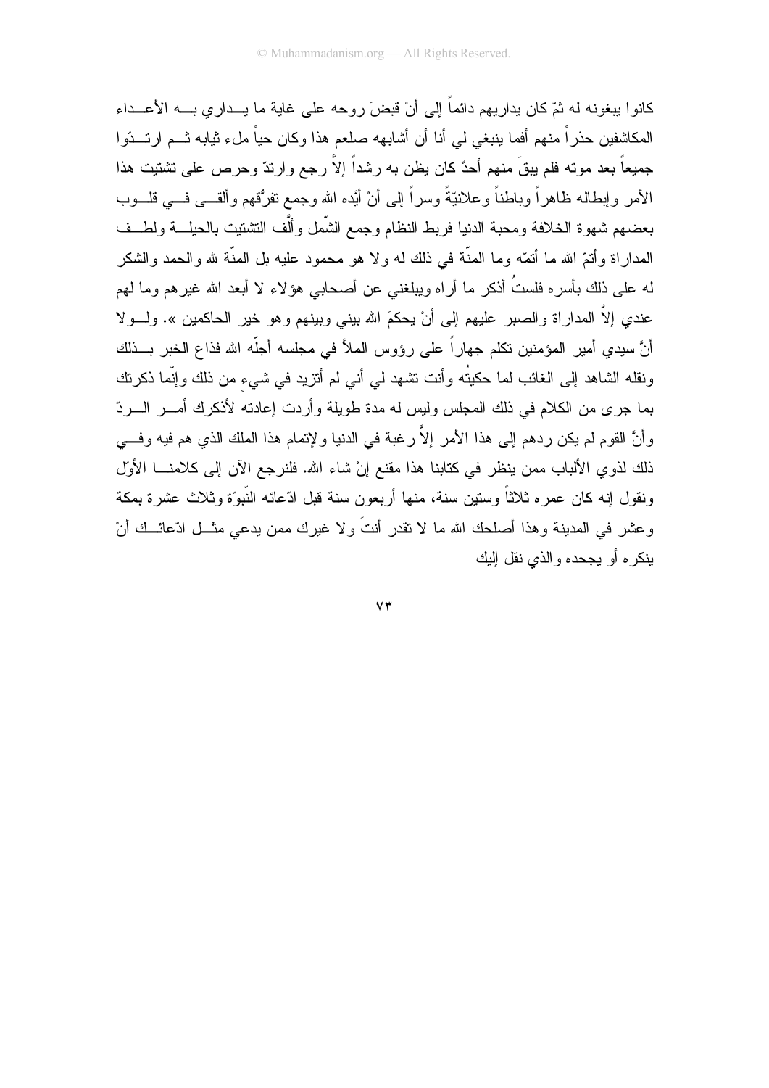كانوا بيغونه له ثمّ كان بدار بهم دائماً إلى أنْ قبضَ روحه على غاية ما يــدار ي بـــه الأعـــداء المكاشفين حذراً منهم أفما بنبغي لي أنا أن أشابهه صلعم هذا وكان حياً ملء ثيابه ثـــم ارتـــدّوا جميعاً بعد موته فلم بيقَ منهم أحدٌ كان يظن به رشداً إلاّ رجع وارندّ وحرص على تشتيت هذا الأمر وإبطاله ظاهراً وباطناً وعلانيّةً وسراً إلى أنْ أيَّده الله وجمع نفرُقهم وألقـــي فـــي فلـــوب بعضهم شهوة الخلافة ومحبة الدنيا فربط النظام وجمع الشَّمل وألَّف التشتيت بالحيلـــة ولطـــف المداراة وأنتمّ الله ما أنمّه وما المنّة في ذلك له ولا هو محمود عليه بل المنّة لله والحمد والشكر لـه علـى ذلك بأسره فلستُ أذكر ما أراه ويبلغنـى عن أصـحابـى هؤلاء لا أبـعد الله غيرهم وما لـهم عندي إلاَّ المداراة والصبر عليهم إلى أنْ يحكمَ الله بيني وبينهم وهو خير الحاكمين ». ولـــولا أنَّ سيدي أمير المؤمنين تكلَّم جهاراً على رؤوس الملأ في مجلسه أجلَّه الله فذاع الخبر بــذلك ونقله الشاهد إلى الغائب لما حكيتُه وأنت تشهد لمي أنبي لم أنزيد في شيىء من ذلك وإنَّما ذكرتك بما جرى من الكلام في ذلك المجلس وليس له مدة طويلة و أردت إعادته لأذكرك أمـــر الــــر دّ وأنَّ القوم لم يكن ردهم إلى هذا الأمر إلاَّ رغبة في الدنيا ولإتمام هذا الملك الذي هم فيه وفـــي ذلك لذوي الألباب ممن ينظر في كتابنا هذا مقنع إنْ شاء الله. فلنرجع الآن إلى كلامنـــا الأول ونقول إنه كان عمره ثلاثاً وسنين سنة، منها أربعون سنة قبل ادّعائه النّبوّة وثلاث عشرة بمكة وعشر في المدينة وهذا أصلحك الله ما لا تقدر أنتَ ولا غيرك ممن يدعى مثـــل ادّعائـــك أنْ ينكر م أو يحجده والذي نقل البك

 $\mathsf{Y}\mathsf{Y}$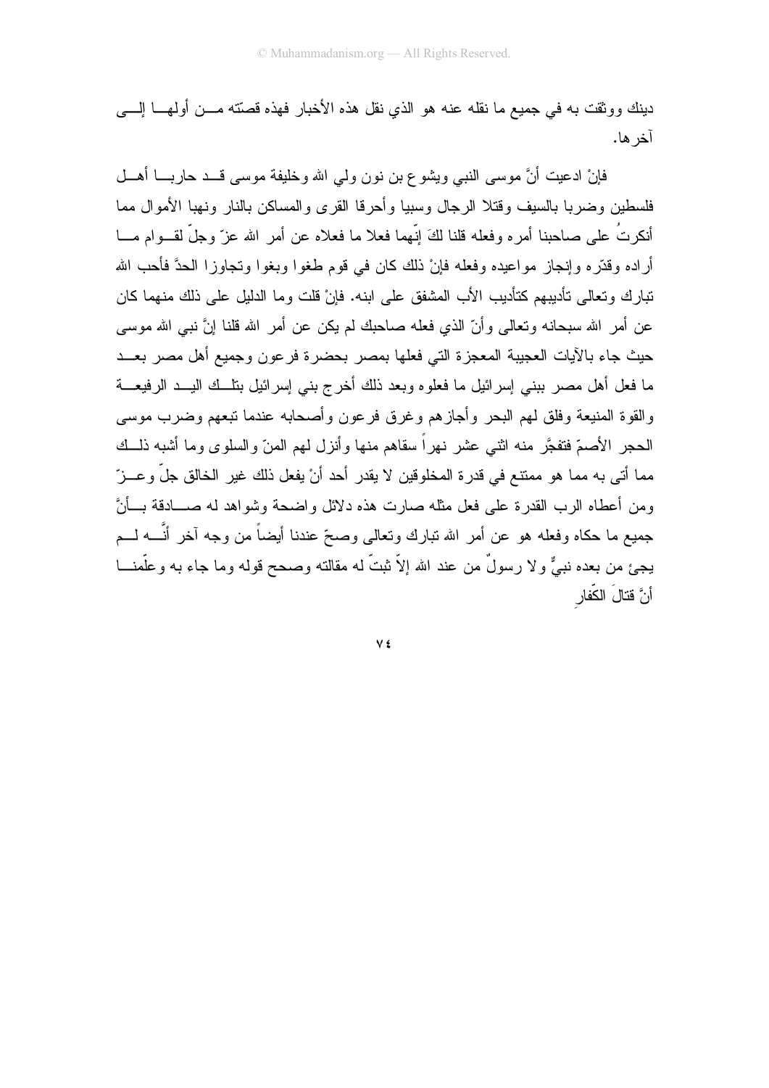دينك ووثقت به في جميع ما نقله عنه هو الذي نقل هذه الأخبار فهذه قصتته مـــن أولهــــا الِــــي آخر ها.

فإنْ ادعيت أنَّ موسى النبي ويشوع بن نون ولي الله وخليفة موسى قـــد حاربــــا أهـــل فلسطين وضربا بالسبف وقتلا الرجال وسبيا وأحرقا القرى والمساكن بالنار ونهبا الأموال مما أنكرتُ على صاحبنا أمره وفعله قلنا لكَ إنَّهما فعلا ما فعلاه عن أمر الله عزَّ وجلَّ لقـــوام مـــا أراده وقدَّره وإنجاز مواعيده وفعله فإنْ ذلك كان في قوم طغوا وبغوا وتجاوزا الحدَّ فأحب الله تبار ك و تعالى تأديبهم كتأديب الأب المشفق على ابنه. فإنْ قلت و ما الدليل على ذلك منهما كان عن أمر الله سبحانه ونعالى وأنّ الذي فعله صاحبك لم يكن عن أمر الله قلنا إنَّ نبي الله موسى حيث جاء بالأيات العجيبة المعجزة التي فعلها بمصر بحضرة فرعون وجميع أهل مصر بعــد ما فعل أهل مصر ببني إسرائيل ما فعلوه وبعد ذلك أخرج بنبي إسرائيل بنلَّــك اليـــد الرفيعــــة والقوة المنبعة وفلق لمهر البحر وأجازهم وغرق فرعون وأصحابه عندما تبعهم وضرب موسى الحجر الأصبرِّ فتفجَّر منه اثني عشر نهر أ سقاهم منها و أنزل لهم المنّ و السلوى وما أشبه ذلــك مما أتى به مما هو ممتتع في قدر ة المخلو قين لا يقدر أحد أنْ يفعل ذلك غير الخالق جلَّ و عـــز ّ ومن أعطاه الرب القدرة على فعل مثله صارت هذه دلائل واضحة وشواهد له صـــادقة بـــأنَّ جميع ما حكاه وفعله هو عن أمر الله نبارك ونعالى وصحِّ عندنا أيضاً من وجه آخر أنَّــــه لـــم يجئ من بعده نبيٌّ ولا رسولٌ من عند الله إلاّ نبتٌ له مقالته وصحح قوله وما جاء به وعلَّمنـــا أَنَّ قتالَ الكِّفار

V £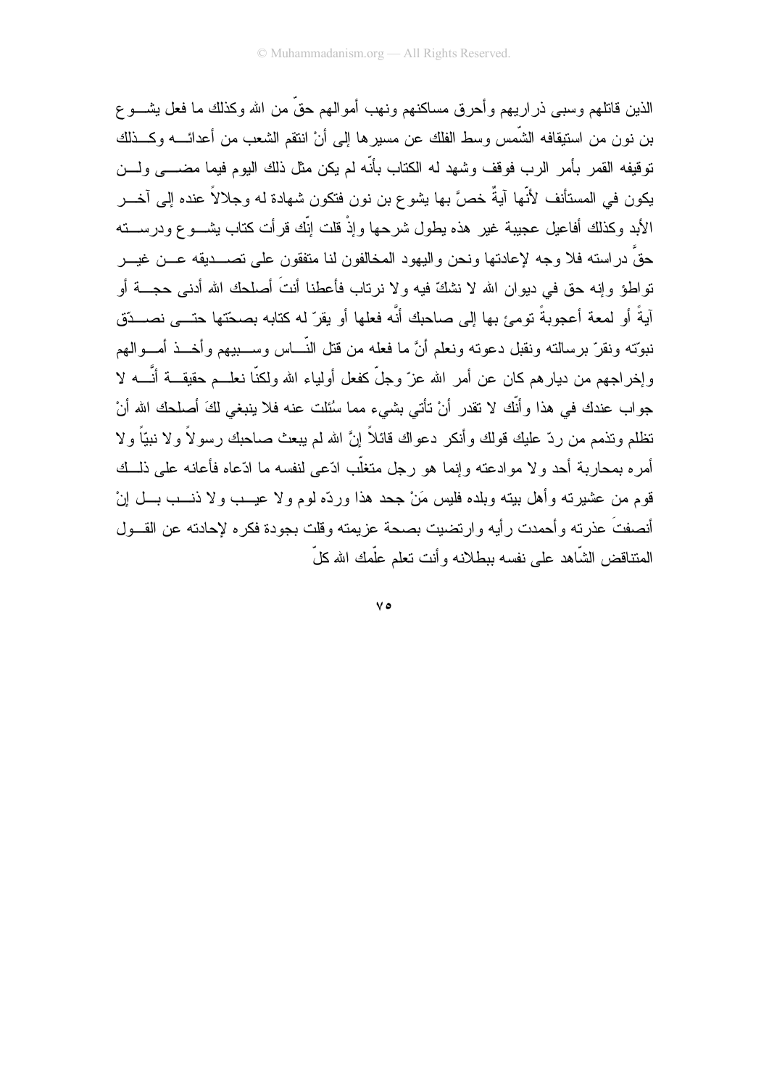الذين قاتلهم وسببي ذر اربيهم و أحر ق مساكنهم ونهب أمو الهم حقَّ من الله وكذلك ما فعل يشـــو ع بن نو ن من استيقافه الشَّمس وسط الفلك عن مسير ها إلى أنْ انتقع الشَّعب من أعدائــــه وكـــذلك توقيفه القمر بأمر الرب فوقف وشهد له الكتاب بأنّه لم يكن مثل ذلك اليوم فيما مضــــى ولـــن يكون في المستأنف لأنَّها آيةٌ خصَّ بها يشوع بن نون فتكون شهادة له وجلالاً عنده إلى آخـــر الأبد وكذلك أفاعيل عجيبة غير هذه يطول شرحها وإذْ قلت إنَّك قرأت كتاب يشـــوع ودرســـته حقَّ دراسته فلا وجه لإعادتها ونحن واليهود المخالفون لنا متفقون على تصـــديقه عـــن غيـــر نواطؤ وإنه حق في ديوان الله لا نشكّ فيه ولا نرناب فأعطنا أنتَ أصلحك الله أدنى حجـــة أو آيةً أو لمعة أعجوبةً تومئ بها إلى صاحبك أنَّه فعلها أو يقرّ له كتابه بصحّتها حتـــى نصـــدّق نبوّته ونقرّ برسالته ونقبل دعوته ونعلم أنَّ ما فعله من قتل النَّـــاس وســـبيهم وأخـــذ أمـــوالـهم و إخر اجهم من ديار هم كان عن أمر ِ الله عز ّ وجلّ كفعل أولياء الله ولكنّا نعلــم حقيقـــة أنَّـــه لا جواب عندك في هذا وأنَّك لا نقدر أنْ نأتي بشيء مما سُئلت عنه فلا ينبغي لكَ أصلحك الله أنْ تظلم وتذمم من ردّ عليك قولك وأنكر دعواك قائلاً إنَّ الله لم يبعث صاحبك رسولاً ولا نبيّاً ولا أمر ه بمحاربة أحد و لا موادعته وإنما هو رجل متغلَّب ادَّعى لنفسه ما ادّعاه فأعانه على ذلـــك قوم من عشيرته وأهل بيته وبلده فليس مَنْ جحد هذا وردّه لوم ولا عيـــب ولا ذنـــب بـــل إنْ أنصفتَ عذرته وأحمدت رأيه وارتضيت بصحة عزيمته وقلت بجودة فكره لإحادته عن القـــول المتناقض الشّاهد على نفسه ببطلانه وأنت تعلم علّمك الله كلّ

 $V \circ$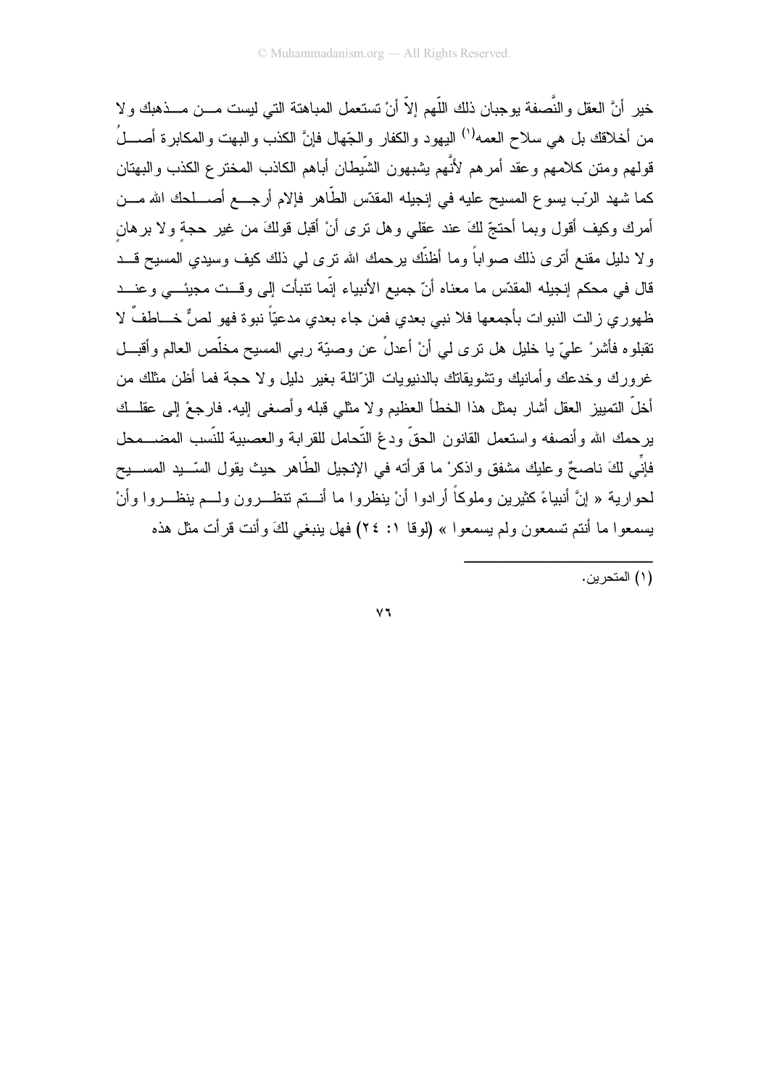خير أنَّ العقل والنُّصفة بوجبان ذلك اللَّهم إلاَّ أنْ تستعمل المباهتة التي ليست مـــن مـــذهبك ولا من أخلاقك بل هي سلاح العمه<sup>(י)</sup> اليهود والكفار والجّهال فإنَّ الكذب والبهت والمكابرة أصــــلُ قولهم ومتن كلامهم وعقد أمرهم لأنَّهم بِشبهون الشَّبِطان أباهم الكاذب المختر ع الكذب والبهتان كما شهد الرّب يسوع المسيح عليه في إنجيله المقدّس الطّاهر فإلام أرجـــع أصــــلحك الله مــــن أمرك وكيف أقول وبما أحتجّ لكَ عند عقلي وهل نرى أنْ أقبل قولكَ من غير حجة ولا برهان ولا دليل مقنع أنزى ذلك صواباً وما أظنَّك يرحمك الله نزى لي ذلك كيف وسيدي المسيح قـــد قال في محكم إنجيله المقدّس ما معناه أنّ جميع الأنبياء إنّما نتبأت إلى وقست مجيئـــى وعنـــد ظهوري زالت النبوات بأجمعها فلا نبي بعدي فمن جاء بعدي مدعيّاً نبوة فهو لصٌّ خـــاطفٌ لا نقبلوه فأشرْ عليّ يا خليل هل نرى لمي أنْ أعدلْ عن وصيّة ربـي المسيح مخلّص العالم وأقبـــل غرورك وخدعك وأمانيك ونشويقاتك بالدنبويات الزَّائلة بغير دليل ولا حجة فما أظن مثلك من أخلَّ النمييز العقل أشار بمثل هذا الخطأ العظيم ولا مثلي قبله وأصغى إليه. فارجعْ إلى عقلــك برحمك الله وأنصفه واستعمل القانون الحقّ ودغ التّحامل للقرابة والعصبية للنّسب المضـــمحل فإنِّـي لكَ ناصـعٌ وعليكِ مشفقٍ واذكرْ ما قرأته في الإنجيل الطَّاهر حيث يقول السّــيد المســـيح لحوارية « إنَّ أنبياءً كثيرين وملوكاً أرادوا أنْ ينظروا ما أنـــتم تنظـــرون ولـــم ينظـــروا وأنْ يسمعوا ما أنتم تسمعون ولم يسمعوا » (لوقا ١: ٢٤) فهل ينبغي لكَ وأنت قرأت مثل هذه

(١) المتحرين.

 $\vee$   $\vee$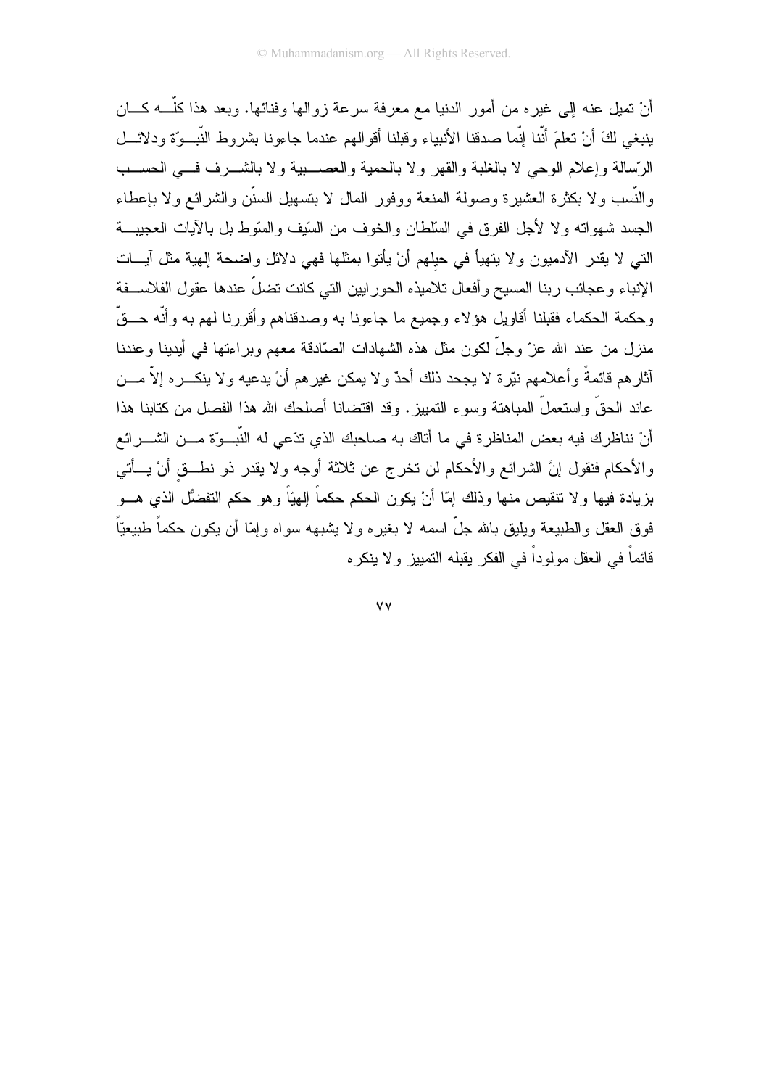أنْ نميلٍ عنه إلى غيره من أمور الدنيا مع معرفة سرعة زوالها وفنائها. وبعد هذا كلَّـــه كــــان ينبغي لكَ أنْ نعلمَ أنَّنا إنَّما صدقنا الأنبياء وقبلنا أقوالهم عندما جاءونا بشروط النَّبــوَّة ودلائـــل الرِّسالة وإعلام الوحي لا بالغلبة والقهر ولا بالحمية والعصبية ولا بالشـــرف فـــي الحســـب والنَّسب ولا بكثرة العشيرة وصولة المنعة ووفور المال لا بتسهيل السنَّن والشرائع ولا بإعطاء الجسد شهواته ولا لأجل الفرق في السلطان والخوف من السِّيف والسَّوط بل بالآيات العجيبة النبي لا يقدر الأدميون ولا ينهيأ في حيلهم أنْ يأتوا بمثلها فهي دلائل واضحة إلهية مثل أيسات الإنباء وعجائب ربنا المسيح وأفعال تلاميذه الحور ابين التي كانت تضلَّ عندها عقول الفلاســفة وحكمة الحكماء فقبلنا أقاويل هؤلاء وجميع ما جاءونا به وصدقناهم وأقررنا لهم به وأنّه حــقّ منزل من عند الله عزّ وجلّ لكون مثل هذه الشهادات الصّادقة معهم وبراءتها في أيدينا وعندنا أثارهم قائمةً وأعلامهم نيّرة لا يجحد ذلك أحدٌ ولا يمكن غيرهم أنْ يدعيه ولا ينكـــره إلاّ مــــن عاند الحقِّ واستعملَّ المباهنة وسوءِ التمييزِ. وقد اقتضانا أصلحك الله هذا الفصل من كتابنا هذا أنْ نناظرك فيه بعض المناظرة في ما أتاك به صاحبك الذي تدّعي له النّبــوّة مـــن الشـــرائع والأحكام فنقول إنَّ الشرائع والأحكام لن تخرج عن ثلاثة أوجه ولا يقدر ذو نطـــق أنْ يـــأتـي بزيادة فيها ولا نتقيص منها وذلك إمّا أنْ يكون الحكم حكماً إلهيّاً وهو حكم النفضُّل الذي هـــو فوق العقل والطبيعة ويليق بالله جلَّ اسمه لا بغيره ولا يشبهه سواه وإمَّا أن يكون حكماً طبيعيّاً ٍ قائماً في العقل مولوداً في الفكر يقبله التمييز. و لا ينكر م

٧V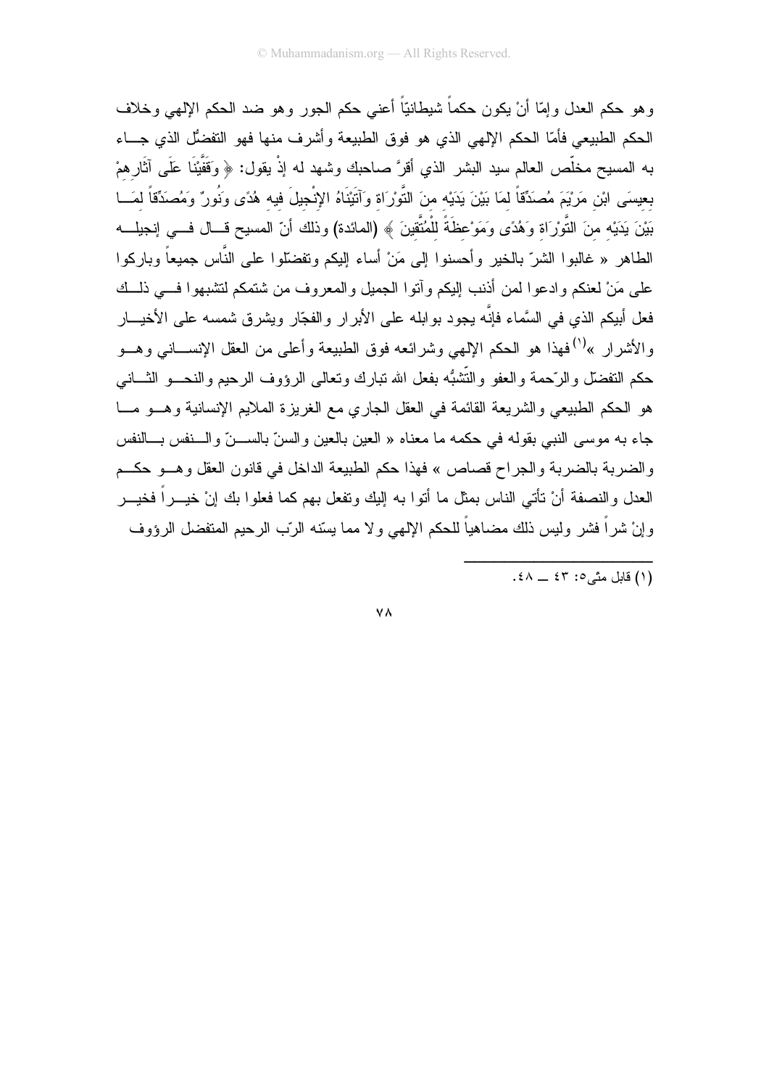وهو حكم العدل وإمَّا أنْ يكون حكماً شيطانيّاً أعنى حكم الجور وهو ضد الحكم الإلهي وخلاف الحكم الطبيعي فأمّا الحكم الإلهي الذي هو فوق الطبيعة وأشرف منها فهو التفضُّل الذي جـــاء به المسيح مخلَّص العالم سيد البشر الذي أقرَّ صاحبك وشهد له إذْ يقول: ﴿ وَقَفَّيْنَا عَلَى آثَارِهِمْ بعيسَى ابْنِ مَرْيْمَ مُصَدِّقاً لمَا بَيْنَ يَدَيْه منَ النَّوْرَاة وَآتَيْنَاهُ الإِنْجِيلَ فيه هُدًى ونُورٌ وَمُصدِّقّاً لمَسا بَيْنَ يَدَيْه منَ النُّورَاة وَهُدًى وَمَوْعظَةً للْمُتَّقِينَ ﴾ (المائدة) وذلك أنّ المسيح قـــال فـــى إنجيلـــه الطاهر « غالبوا الشرّ بالخير وأحسنوا إلى مَنْ أساء إليكم وتفضَّلوا على النَّاس جميعاً وباركوا على مَنْ لعنكم وادعوا لمن أذنب إليكم وآنوا الجميل والمعروف من شتمكم لتشبهوا فسي ذلسك فعل أبيكم الذي في السَّماء فإنَّه يجود بو ابله على الأبر ار والفجّار ويشر ق شمسه على الأخيـــار و الأشر إن »<sup>(١)</sup> فهذا هو الحكم الإلهي وشر ائعه فوق الطبيعة و أعلمي من العقل الإنســــانـي و هـــو حكم النفضلّ والرَّحمة والعفو والنُّشبُّه بفعل الله نبارك ونعالى الرؤوف الرحيم والنحـــو الشَّــانـي هو الحكم الطبيعي والشريعة القائمة في العقل الجاري مع الغريزة الملايم الإنسانية وهـــو مـــا جاء به موسى النبي بقوله في حكمه ما معناه « العين بالعين والسنّ بالســـنّ والـــنفس بـــالنفس والضربة بالضربة والجراح قصاص » فهذا حكم الطبيعة الداخل في قانون العقل وهــو حكــم العدل والنصفة أنْ تأتـى الناس بمثل ما أتوا بـه إليك وتفعل بـهم كمـا فعلوا بك إنْ خيـــراً فخيـــر وإنْ شراً فشر وليس ذلك مضاهياً للحكم الإلهي ولا مما يسّنه الرّب الرحيم المتفضل الرؤوف

**VA**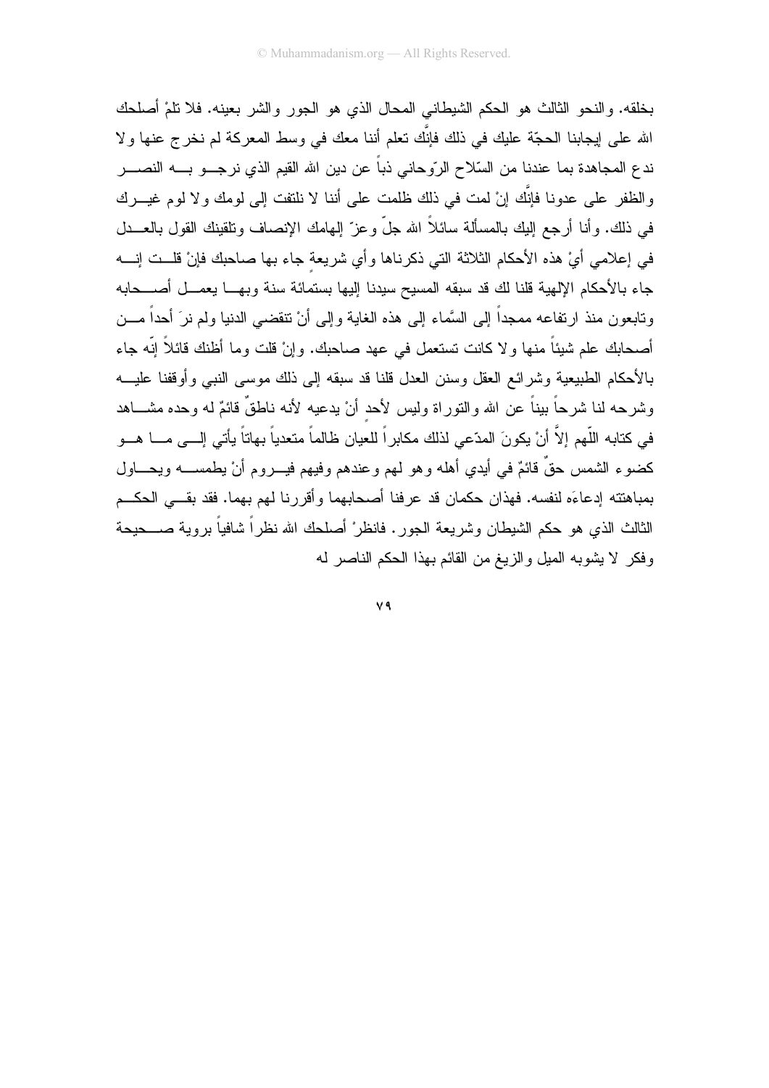بخلقه. والنحو الثالث هو الحكم الشيطاني المحال الذي هو الجور والشر بعينه. فلا نلمْ أصلحك الله على إيجابنا الحجَّة عليك في ذلك فإنَّك نعلم أننا معك في وسط المعركة لم نخرج عنها ولا ندع المجاهدة بما عندنا من السّلاح الرّوحاني ذباً عن دين الله القيم الذي نرجـــو بــــه النصـــــر والظفر على عدونا فإنَّك إنْ لمت في ذلك ظلمت على أننا لا نلتفت إلى لومك ولا لوم غيـــرك في ذلك. وأنا أرجع إليك بالمسألة سائلاً الله جلَّ وعز ّ إلـهامك الإنصـاف ونلقينك القول بالـعـــدل في إعلامي أيْ هذه الأحكام الثلاثة التي ذكرناها وأي شريعة جاء بها صاحبك فإنْ قلــت إنـــه جاء بالأحكام الإلهية قلنا لك قد سبقه المسيح سيدنا إليها بستمائة سنة وبهــا يعمــل أصـــحابه ونابعون منذ ارتفاعه ممجداً إلى السَّماء إلى هذه الغاية وإلى أنْ نتقضـى الدنيا ولم نرَ أحداً مـــن أصـحابك علم شيئاً منها ولا كانت تستعمل في عهد صـاحبك. وإنْ قلت وما أظنك قائلاً إنّه جاء بالأحكام الطبيعية وشرائع العقل وسنن العدل قلنا قد سبقه إلى ذلك موسى النبي وأوقفنا عليـــه وشرحه لنا شرحاً ببناً عن الله والنوراة وليس لأحد أنْ يدعيه لأنه ناطقٌ قائمٌ له وحده مشـــاهد في كتابه اللَّهم إلاَّ أنْ يكونَ المدّعي لذلك مكابراً للعيان ظالماً متعدياً بهاتاً يأتي إلـــي مــــا هـــو كضوء الشمس حقٌ قائمٌ في أيدي أهله وهو لمهم وعندهم وفيهم فيــــروم أنْ يطمســــه ويحـــــاول بمباهنته إدعاءَه لنفسه. فهذان حكمان قد عرفنا أصحابهما وأقررنا لهم بهما. فقد بقــي الحكــم الثالث الذي هو حكم الشيطان وشريعة الجور. فانظرْ أصلحك الله نظراً شافياً بروية صــــحيحة وفكر لا بشوبه المبل والزبغ من القائم بهذا الحكم الناصر له

V9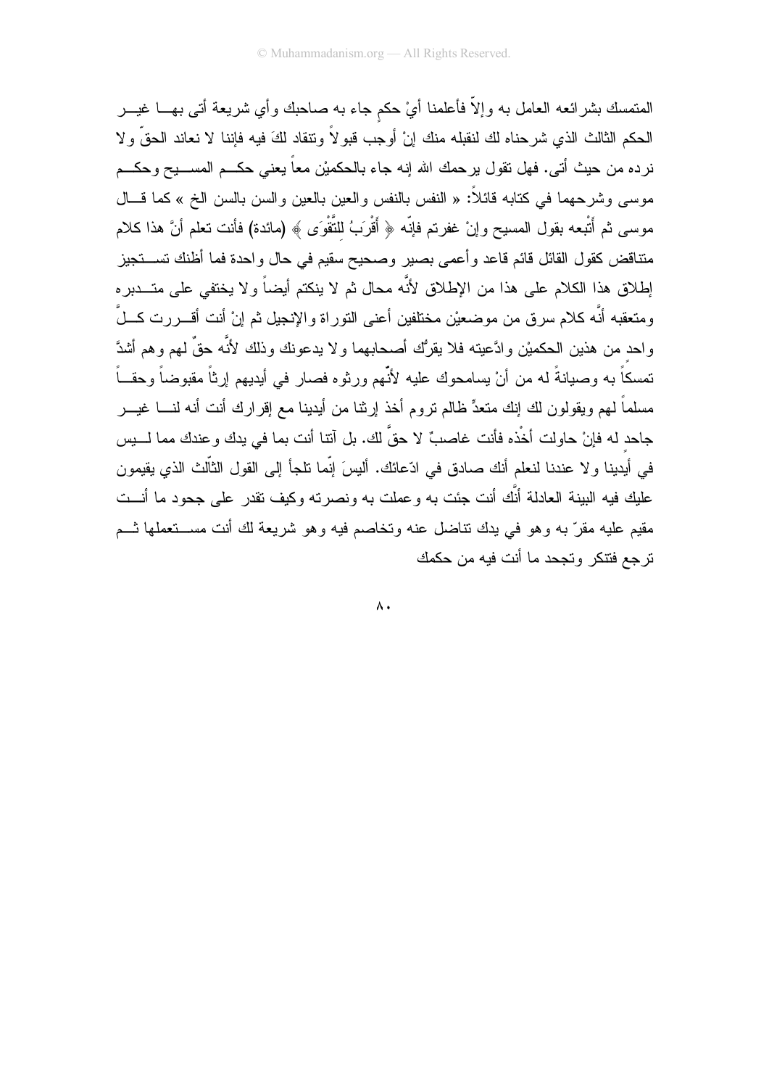المتمسك بشرائعه العامل به وإلاّ فأعلمنا أيْ حكم جاء به صاحبك وأي شريعة أتى بهـــا غيـــر الحكم الثالث الذي شرحناه لك لنقبله منك إنْ أوجب قبو لاً ونتقاد لكَ فيه فإننا لا نعاند الحقِّ و لا نرده من حيث أتـى. فـهل نقول برحمك الله إنـه جـاء بالـحكميْن مـعاً بـعنـى حكـــم المســــيح وحكـــم موسى وشرحهما في كتابه قائلاً: « النفس بالنفس والعين بالعين والسن بالسن الخ » كما قـــال موسى ثم أُتْبِعه بقول المسيح وإنْ غفرتم فإنّه ﴿ أَقْرَبُ للتَّقْوَى ﴾ (مائدة) فأنت تعلم أنَّ هذا كلام متناقض كقول القائل قائم قاعد وأعمى بصبر وصحيح سقيم في حال واحدة فما أظنك تســــنجيز اِطْلَاق هذا الكلام على هذا من الإطْلاق لأنَّه محال ثم لا ينكتم أيضاً ولا يختفي على متـــدبر ه ومتعقبه أنَّه كلام سرق من موضعيْن مختلفين أعنى النوراة والإنجيل ثم إنْ أنت أقــــررت كــــلٌ واحد من هذين الحكميْن وادَّعيته فلا يقرُّك أصحابهما ولا يدعونك وذلك لأنَّه حقٌّ لهم وهم أشدَّ تمسكاً به وصيانةً له من أنْ يسامحوك عليه لأنّهم ورثوه فصار في أيديهم إرثاً مقبوضاً وحقــاً مسلماً لهم ويقولون لك إنك متعدٍّ ظالم نروم أخذ إرثنا من أيدينا مع إقرارك أنت أنه لنــــا غيـــر جاحد له فإنْ حاولت أخْذه فأنت غاصبٌ لا حقَّ لك. بل آنتا أنت بما في بدك و عندك مما لــــبِس في أيدينا ولا عندنا لنعلم أنك صادق في ادّعائك. أليسَ إنّما نلجأ إلى القول الثاّلث الذي يقيمون عليك فيه البينة العادلة أنَّك أنت جئت به وعملت به ونصرته وكيف تقدر على جحود ما أنـــت مقيم عليه مقرَّ به وهو في يدك نتاضل عنه وتخاصم فيه وهو شريعة لك أنت مســـتعملها ثـــم تر حع فتنكر وتحجد ما أنت فيه من حكمك

 $\Lambda$ .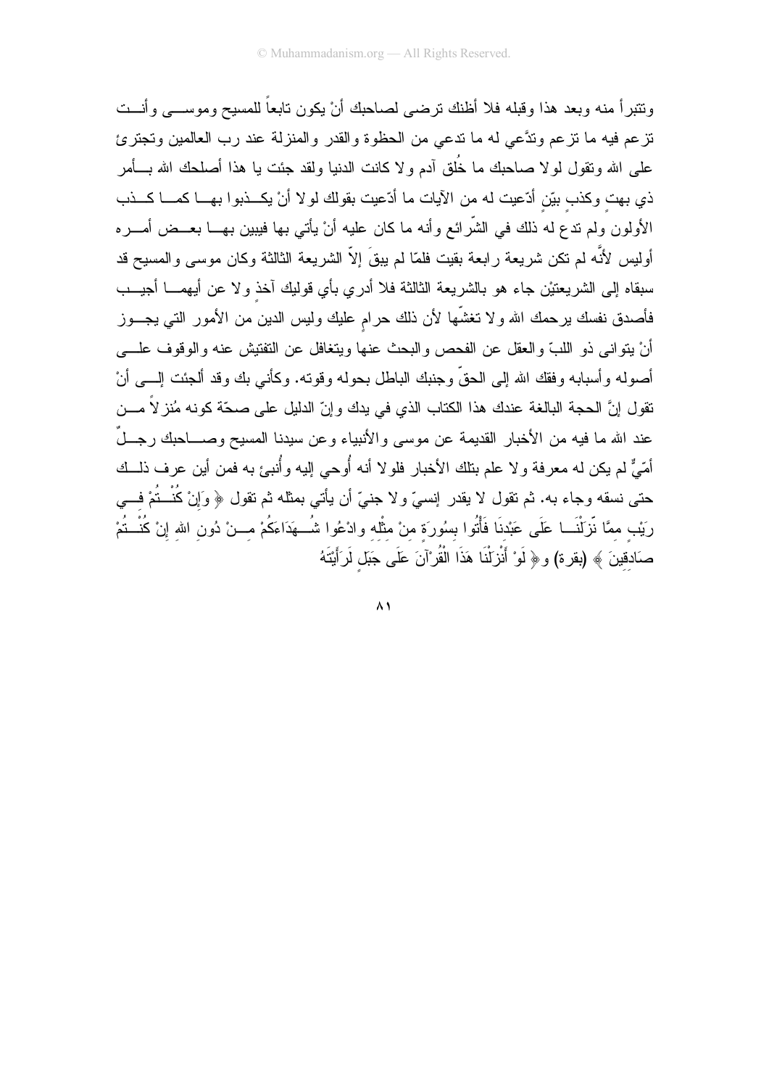ونتبرأ منه وبعد هذا وقبله فلا أظنك نرضىي لصاحبك أن يكون نابعاً للمسيح وموســـي وأنـــت نزعم فيه ما نزعم وندَّعي له ما ندعى من الحظوة والقدر والمنزلة عند رب العالمين ونجترئ على الله ونقول لولا صاحبك ما خُلق أدم ولا كانت الدنيا ولقد جئت يا هذا أصلحك الله بـــأمر ذي بهت وكذب بيّن أدّعيت له من الأيات ما أدّعيت بقولك لولا أنْ يكــذبوا بهــا كمـــا كـــذب الأولون ولم ندع له ذلك في الشَّرائع وأنه ما كان عليه أنْ يأتي بها فيبين بهـــا بعــض أمـــره أوليس لأنَّه لم نكن شريعة رابعة بقيت فلمّا لم يبقَ إلاّ الشريعة الثالثة وكان موسى والمسيح قد سبقاه إلى الشريعتيْن جاء هو بالشريعة الثالثة فلا أدري بأي قوليك آخذ ولا عن أبهمــــا أجيـــب فأصدق نفسك برحمك الله ولا نغشَّها لأن ذلك حرام عليك وليس الدين من الأمور التبي يجـــوز أنْ يتوانى ذو اللبِّ والعقل عن الفحص والبحث عنها ويتغافل عن التفتيش عنه والوقوف علــــى أصوله وأسبابه وفقك الله إلى الحقَّ وجنبك الباطل بحوله وقوته. وكأنـى بك وقد ألـجئت إلــــى أنْ تقول إنَّ الحجة البالغة عندك هذا الكتاب الذي في يدك وإنِّ الدليل على صحَّة كونه مُنز لاً مـــن عند الله ما فيه من الأخبار القديمة عن موسى والأنبياء وعن سيدنا المسيح وصــــاحبك رجـــلٌ أمّيٌّ لم يكن له معرفة و لا علم بتلك الأخبار فلو لا أنه أُوحى إليه وأُنبئ به فمن أين عرف ذلـــك حتى نسقه وجاء به. ثم نقول لا يقدر ٳنسيّ ولا جنيّ أن يأتي بمثله ثم نقول ﴿ وَإِنْ كُنْــنُمْ فـــي رَيْب ممَّا نّزلْنَـــا عَلَـى عَبْدنَا فَأْتُوا بسُورَة منْ مثْله وادْعُوا شُـــهَدَاءَكُمْ مــــنْ دُون الله إنْ كُنْـــتُمْ صَادقينَ ﴾ (بقرة) و﴿ لَوْ أَنْزِيْنَا هَذَا الْقُرْآنَ عَلَى جَبَلٍ لَرَأَيْتَهُ

 $\wedge$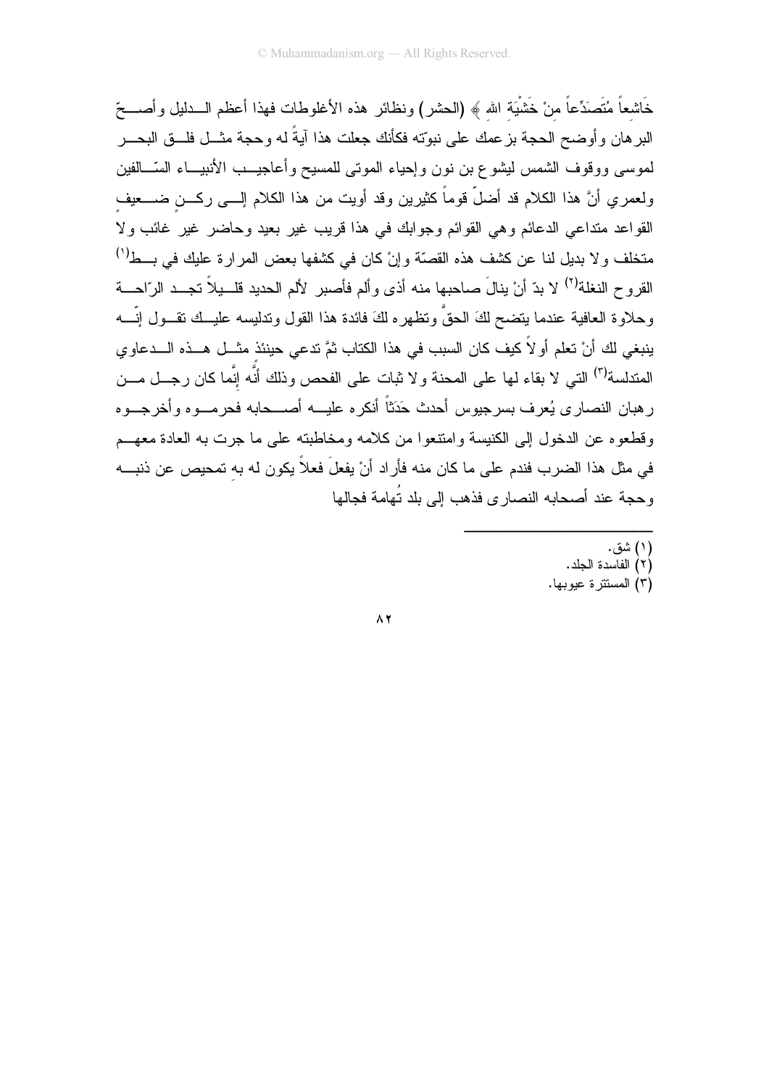خَاشعاً مُتَصَدِّعاً من خَشْيَة الله ﴾ (الحشر) ونظائر هذه الأغلوطات فهذا أعظم الـــدليل وأصــــحّ البر هان وأوضح الحجة بزعمك على نبوّته فكأنك جعلت هذا آيةً له وحجة مثـــل فلـــق البحـــر لموسى ووقوف الشمس ليشوع بن نون وإحياء المونى للمسيح وأعاجيــب الأنبيـــاء السّـــالفين ولعمري أنَّ هذا الكلام قد أضلَّ قوماً كثيرين وقد أويت من هذا الكلام إلـــي ركـــن ضــــعيف القواعد متداعي الدعائم وهي القوائم وجوابك في هذا قريب غير بعيد وحاضر غير غائب ولا متخلف ولا بديل لنا عن كشف هذه القصّة وإنْ كان في كشفها بعض المرارة عليك في بـــط<sup>(י)</sup> القروح النغلة<sup>(٢)</sup> لا بدّ أنْ بنالَ صاحبها منه أذى وألم فأصبر لألم الحديد قلــبلاً تجــد الرّاحـــة وحلاوة العافية عندما يتضح لكَ الحقَّ وتظهره لكَ فائدة هذا القول وتدليسه عليــك تقـــول إنّــــه ينبغي لكَ أنْ تعلم أو لاَ كيف كان السبب في هذا الكتاب ثمَّ تدعى حينئذ مثــل هــذه الـــدعاو ي المندلسة<sup>(٣)</sup> التبي لا بقاء لمها على المحنة و لا ثبات على الفحص وذلك أنَّه إنَّما كان رجـــل مـــن ر هبان النصار ي يُعرف بسرجيوس أحدث حَدَثاً أنكر ه عليـــه أصــــحابه فحر مـــو ه و أخر جـــو ه وقطعو ه عن الدخول إلى الكنبسة وامتنعوا من كلامه ومخاطبته على ما جرت به العادة معهــم في مثِّل هذا الضرب فندم على ما كان منه فأراد أنْ يفعلَ فعلاً يكون له به تمحيص عن ذنبـــه وحجة عند أصحابه النصارى فذهب إلى بلد تُهامة فجالها

- (۱) شق.
- (٢) الفاسدة الحلد.
- (٣) المستترة عيوبها.

 $\Lambda$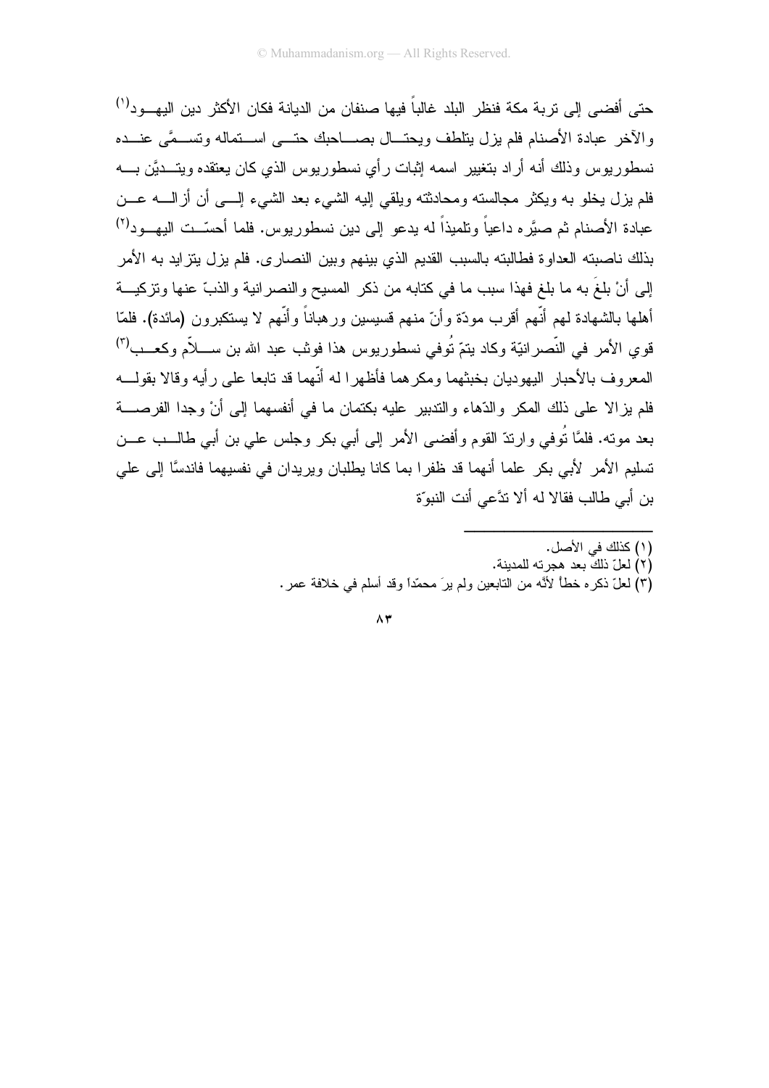حتى أفضىي إلى نربة مكة فنظر البلد غالباً فيها صنفان من الديانة فكان الأكثر دين اليهـــو د<sup>(י)</sup> والآخر عبادة الأصنام فلم يزل يتلطف ويحتسال بصساحيك حتسى استقماله وتستمي عنسده نسطور يوس وذلك أنه أراد بتغيير اسمه إثبات رأى نسطور يوس الذي كان يعتقده ويتـــديَّن بــــه فلم بزل بخلو به ويكثر مجالسته ومحادثته ويلقى إليه الشيء بعد الشيء إلـــي أن أزالــــه عـــن عبادة الأصنام ثم صبَّره داعياً ونلميذاً له يدعو إلى دين نسطوريوس. فلما أحسَّــت اليهـــود<sup>(٢)</sup> بذلك ناصبته العداوة فطالبته بالسبب القديم الذي بينهم وبين النصارى. فلم يزل يتزايد به الأمر إلى أنْ بلغَ به ما بلغ فهذا سبب ما في كتابه من ذكر المسيح والنصر انية والذبّ عنها ونزكيـــة أهلها بالشهادة لهم أنَّهم أقرب مودَّة وأنّ منهم قسبسبن ور هباناً وأنَّهم لا بستكبر ون (مائدة). فلمّا قوي الأمر في النَّصرانيّة وكاد بنمّ تُوفى نسطوريوس هذا فونْب عبد الله بن ســــلاّم وكعـــب<sup>(٣)</sup> المعروف بالأحبار البيهوديان بخبثهما ومكر هما فأظهر المه أنّهما قد نابعا علي رأيه وقالا يقولسه فلم يز الا على ذلك المكر والدِّهاء والنَّدبير عليه بكتمان ما في أنفسهما إلى أنْ وجدا الفرصــــة بعد موته. فلمَّا نُوفي وارندّ القوم وأفضىي الأمر إلى أبي بكر وجلس على بن أبي طالـــب عـــن تسليم الأمر الأبي بكر علما أنهما قد ظفرا بما كانا يطلبان ويريدان في نفسيهما فاندسًا إلى على بن أبي طالب فقالا له ألا تدَّعي أنت النبوّة

- (١) كذلك في الأصل.
- (٢) لعلّ ذلك بعد هجرته للمدينة.
- (٣) لعلّ ذكره خطأ لأنَّه من النابعين ولم يرَ محمّدًا وقد أسلم في خلافة عمر .

 $\Lambda$ ۳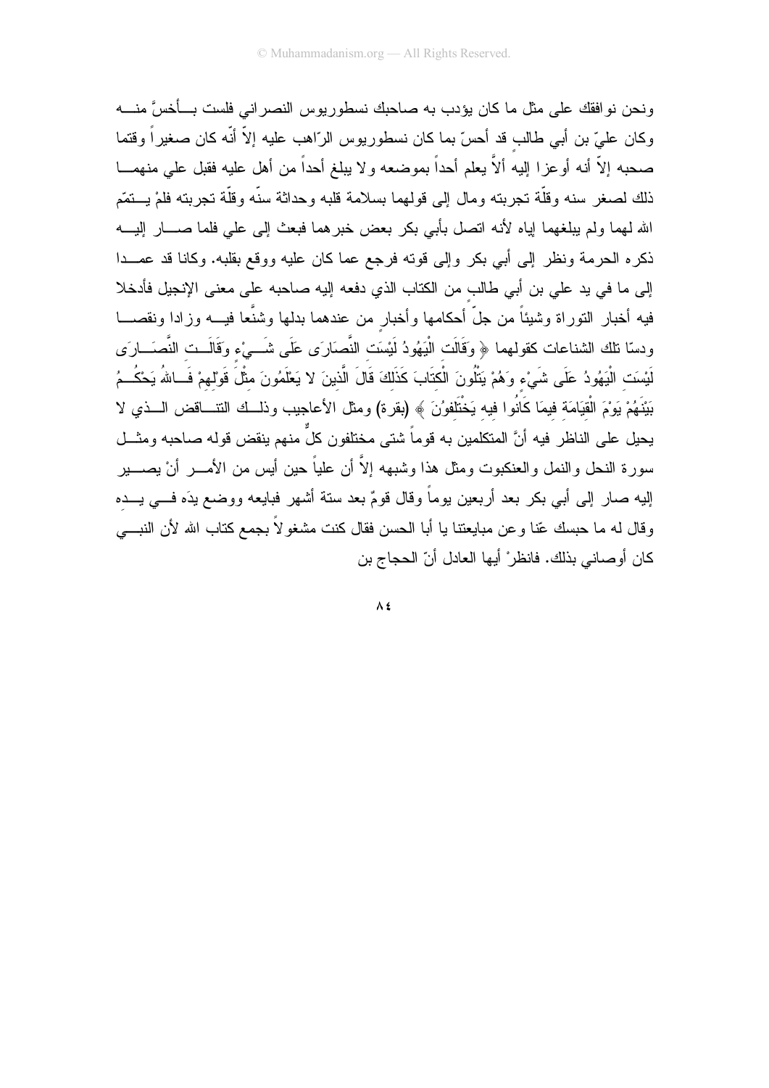ونحن نو افقك على مثل ما كان يؤدب به صاحبك نسطوريوس النصر اني فلست بـــأخسَّ منــــه وكان عليّ بن أبي طالب قد أحسّ بما كان نسطوريوس الرّاهب عليه إلاّ أنّه كان صغيراً وقتما صحبه إلاَّ أنه أوعزا إليه ألاَّ يعلم أحداً بموضعه ولا يبلغ أحداً من أهل عليه فقبل على منهمـــا ذلك لصغر سنه وقلَّة تجربته ومال إلى قولهما بسلامة قلبه وحداثة سنَّه وقلَّة تجربته فلمْ يـــتمَّم الله لهما ولم يبلغهما لِياه لأنه انصل بأبي بكر بعض خبرهما فبعث إلى علي فلما صــــار إليــــه ذكره الحرمة ونظر إلى أبي بكر وإلى قوته فرجع عما كان عليه ووقع بقلبه. وكانا قد عمــدا إلى ما في يد على بن أبي طالب من الكتاب الذي دفعه إليه صاحبه على معنى الإنجيل فأدخلا فيه أخبار النوراة وشيئاً من جلَّ أحكامها وأخبار من عندهما بدلها وشنَّعا فيــــه وزادا ونقصــــا ودسّا نلك الشناعات كقولهما ﴿ وَقَالَت الْبَهُودُ لَيْسَتِ النَّصَارَى عَلَى شَـــىْء وَقَالَــت النَّصـَـــارَى لَيْسَتِ الْيَهُودُ عَلَى شَيْءٍ وَهُمْ يَتْلُونَ الْكتَابَ كَذَلِكَ قَالَ الَّذينَ لا يَعْلَمُونَ مثْلَ قَوْلهمْ فَــاللهُ يَحْكُــمُ بَيْنَهُمْ يَوْمَ الْقِيَامَة فيمَا كَانُوا فيه يَخْتَلفوُنَ ﴾ (بقرة) ومثل الأعاجيب وذلــك التنـــاقض الـــذي لا يحيل على الناظر فيه أنَّ المتكلمين به قوماً شتى مختلفون كلٌّ منهم ينقض قوله صاحبه ومثـــل سورة النحل والنمل والعنكبوت ومثل هذا وشبهه إلاَّ أن علياً حين أيس من الأمـــــر أنْ يصـــــير إليه صار إلى أبي بكر بعد أربعين يوماً وقال قومٌ بعد ستة أشهر فبايعه ووضع يدَه فـــي يـــده وقال له ما حبسك عّنا وعن مبايعتنا يا أبا الحسن فقال كنت مشغولاً بـجمع كتاب الله لأن النبــــي كان أو صاني بذلك. فانظر ْ أبها العادل أنّ الحجاج بن

 $\Lambda$ £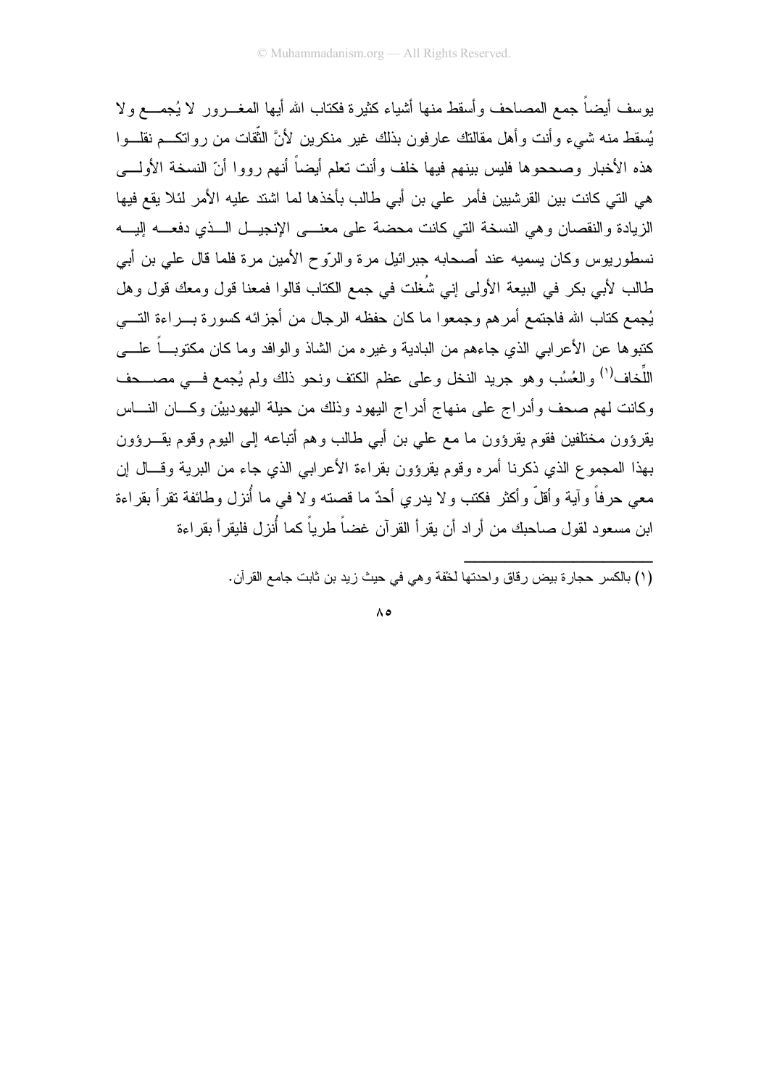بوسف أيضاً جمع المصاحف وأسقط منها أشياء كثير ة فكناب الله أيها المغـــرور لا يُجمـــع ولا يُسقط منه شيىء وأنت وأهل مقالتك عارفون بذلك غير منكرين لأنَّ الثَّقات من رواتكــم نقلـــوا هذه الأخبار وصححوها فليس بينهم فيها خلف وأنت تعلم أيضاً أنهم رووا أنّ النسخة الأولـــي هي التي كانت بين القرشيين فأمر على بن أبي طالب بأخذها لما اشتد عليه الأمر لئلا يقع فيها الزيادة والنقصان وهي النسخة التي كانت محضة على معنـــي الإنجيـــل الـــذي دفعــــه إليـــه نسطوريوس وكان بسميه عند أصحابه جبرائيل مرة والرّوح الأمين مرة فلما قال على بن أبي .<br>طالب لأبي بكر في البيعة الأولى إني شُغلت في جمع الكتاب قالوا فمعنا قول ومعك قول وهل يُجمع كتاب الله فاجتمع أمرهم وجمعوا ما كان حفظه الرجال من أجزائه كسورة بـــراءة التــــي كتبوها عن الأعرابي الذي جاءهم من البادية وغيره من الشاذ والوافد وما كان مكتوبٍّ علــــي اللُّخاف<sup>(١)</sup> والعُسُب وهو جريد النخل وعلى عظم الكتف ونحو ذلك ولم يُجمع فـــى مصــــحف وكانت لهم صحف وأدراج على منهاج أدراج اليهود وذلك من حيلة اليهودييْن وكـــان النــــاس يقرؤون مختلفين فقوم يقرؤون ما مع على بن أبي طالب وهم أتباعه إلى اليوم وقوم يقـــرؤون بهذا المجموع الذي ذكرنا أمره وقوم يقرؤون بقراءة الأعرابي الذي جاء من البرية وقـــال إن معي حرفاً وآية وأقلَّ وأكثر فكتب ولا يدري أحدٌ ما قصته ولا في ما أُنزل وطائفة نقرأ بقراءة ابن مسعود لقول صـاحبك من أراد أن يقرأ القرآن غضـاً طريباً كما أُنزل فليقرأ بقراءة

.<br>(١) بالكسر حجارة بيض رقاق واحدتها لخفة وهي في حيث زيد بن ثابت جامع القرآن.

 $\wedge$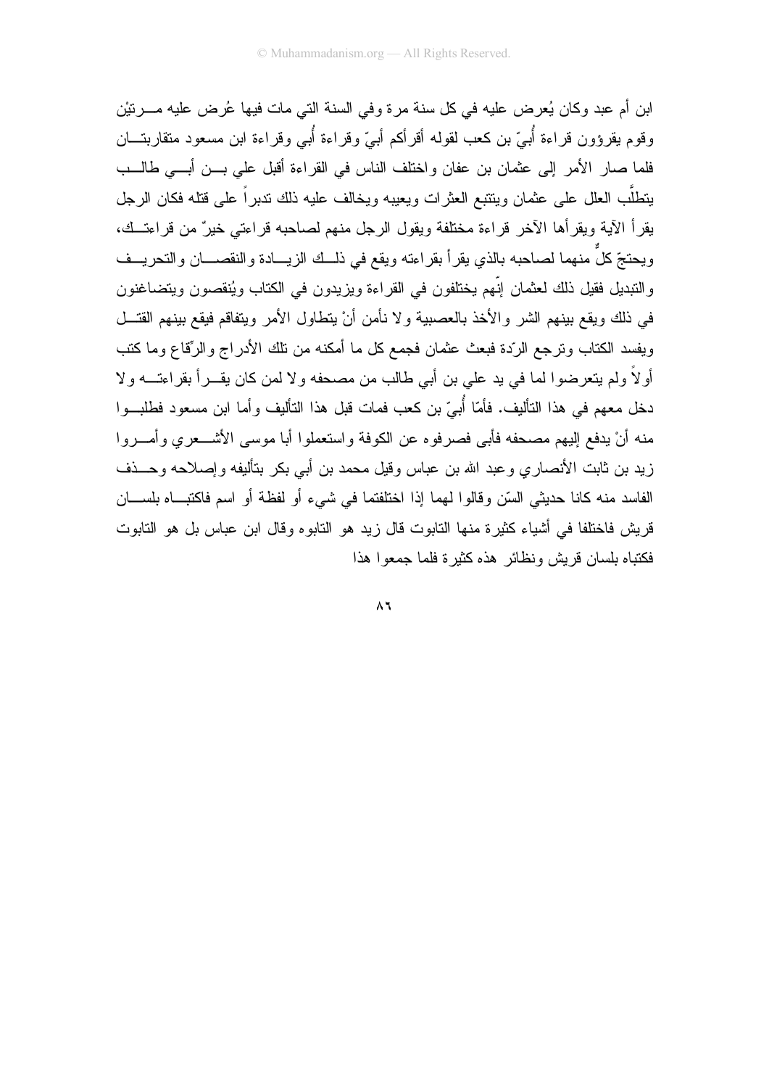ابن أم عبد وكان يُعرِض عليه في كل سنة مرة وفي السنة التي مات فيها عُرِض عليه مـــرتيْن وقوم يقرؤون قراءة أُبيّ بن كعب لقوله أقرأكم أبيّ وقراءة أُبي وقراءة ابن مسعود متقاربتـــان فلما صار الأمر إلى عثمان بن عفان واختلف الناس في القراءة أقبل على بـــن أبـــي طالـــب يتطلَّب العلل على عثمان وينتبع العثرات ويعيبه ويخالف عليه ذلك ندبراً على قتله فكان الرجل يقرأ الآية ويقرأها الآخر قراءة مختلفة ويقول الرجل منهم لصاحبه قراءتي خيرٌ من قراءتــك، ويحتجّ كلَّ منهما لصاحبه بالذي يقرأ بقراءته ويقع في ذلــك الزيـــادة والنقصــــان والتحريـــف والتبديل فقيل ذلك لعثمان إنّهم يختلفون في القراءة ويزيدون في الكتاب ويُنقصون ويتضاغنون في ذلك ويقع بينهم الشر والأخذ بالعصبية ولا نأمن أنْ يتطاول الأمر ويتفاقع فيقع بينهم القتـــل ويفسد الكتاب وترجع الرّدة فبعث عثمان فجمع كل ما أمكنه من نلك الأدراج والرِّقاع وما كتب أولاً ولم يتعرضوا لما في يد علي بن أبي طالب من مصحفه ولا لمن كان يقـــراً بقراءتـــه ولا دخل معهم في هذا التأليف. فأمّا أُبيّ بن كعب فمات قبل هذا التأليف وأما ابن مسعود فطلبــوا منه أنْ يدفع إليهم مصحفه فأبي فصرفوه عن الكوفة واستعملوا أبا موسى الأشـــعري وأمـــروا زيد بن ثابت الأنصاري وعبد الله بن عباس وقيل محمد بن أبي بكر بتأليفه وإصلاحه وحـــذف الفاسد منه كانا حديثي السّن وقالوا لهما إذا اختلفتما في شيء أو لفظة أو اسم فاكتباه بلســان قريش فاختلفا في أشياء كثيرة منها التابوت قال زيد هو التابوه وقال ابن عباس بل هو التابوت فكتباه بلسان قريش ونظائر هذه كثيرة فلما حمعوا هذا

 $\Lambda$ ٦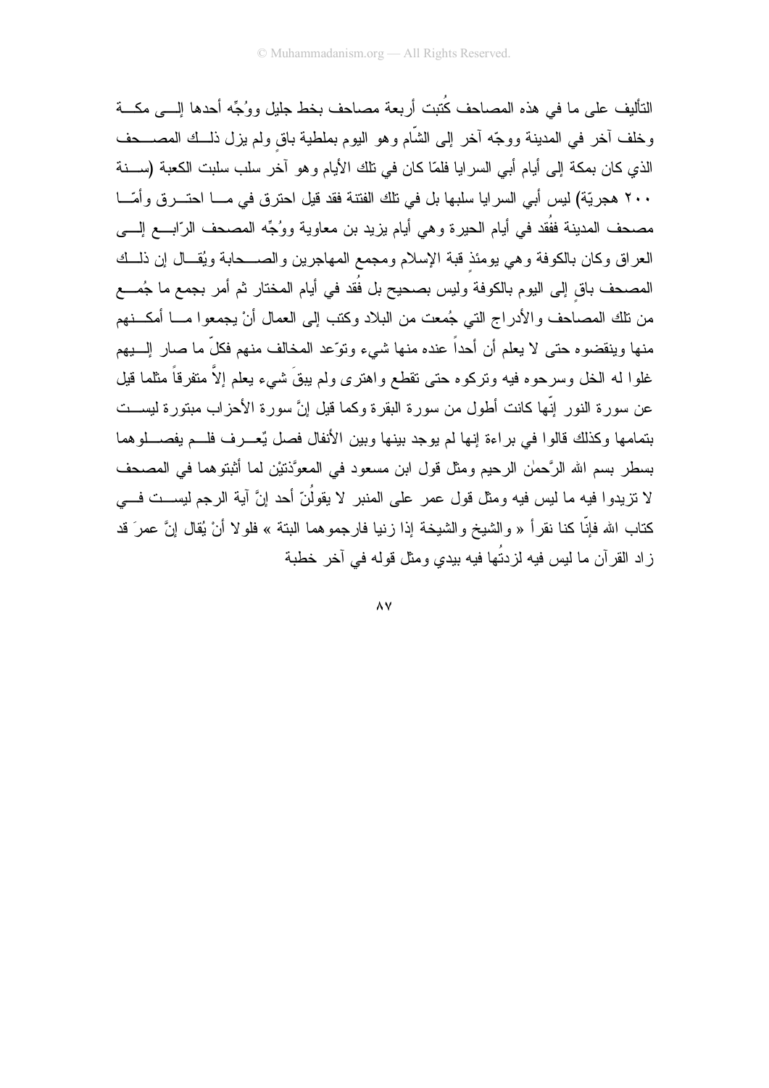التأليف على ما في هذه المصاحف كُتبت أربعة مصاحف بخط جليل ووُجِّه أحدها إلـــي مكـــة وخلف أخر في المدينة ووجّه أخر إلى الشّام وهو البوم بملطية باق ولم يزل ذلـــك المصــــحف الذي كان بمكة إلى أيام أبي السرايا فلمّا كان في تلك الأيام وهو آخر سلب سلبت الكعبة (ســـنة ٢٠٠ هجريّة) ليس أبي السرايا سلبها بل في نلك الفتنة فقد قيل احترق في مـــا احتـــرق وأمّـــا مصحف المدينة ففُقد في أيام الحيرة وهي أيام يزيد بن معاوية ووُجِّه المصحف الرّابـــع إلــــي العراق وكان بالكوفة وهي يومئذ قبة الإسلام ومجمع المهاجرين والصـــحابة ويُقــال إن ذلــك المصحف باق إلى اليوم بالكوفة وليس بصحيح بل فُقد في أيام المختار ثم أمر بجمع ما جُمـــع من تلك المصاحف و الأدر اج التي جُمعت من البلاد وكتب إلى العمال أنْ يجمعو ا مـــا أمكـــنهم منها وينقضوه حتى لا يعلم أن أحداً عنده منها شيء ونوِّعد المخالف منهم فكلِّ ما صار إلـــبهم غلوا له الخل وسرحوه فيه ونركوه حتى تقطع واهترى ولم يبقَ شيء يعلم إلاّ متفرقاً مثلما قيل عن سورة النور إنّها كانت أطول من سورة البقرة وكما قيل إنَّ سورة الأحزاب مبتورة ليســت بتمامها وكذلك قالوا في براءة إنها لم يوجد بينها وبين الأنفال فصل يُعـــرف فلـــم يفصــــلوهما بسطر بسم الله الرَّحمٰن الرحيم ومثل قول ابن مسعود في المعوَّذتيْن لما أثبتوهما في المصحف لا نزيدوا فيه ما ليس فيه ومثل قول عمر على المنبر لا يقولُنّ أحد إنَّ آية الرجم ليســت فـــي كتاب الله فإنَّا كنا نقرأ « والشيخ والشيخة إذا زنيا فارجموهما البتة » فلولا أنْ يُقال إنَّ عمرَ قد ز اد القر آن ما ليس فيه لز دتُها فيه بيدي ومثل قوله في آخر خطية

 $\wedge$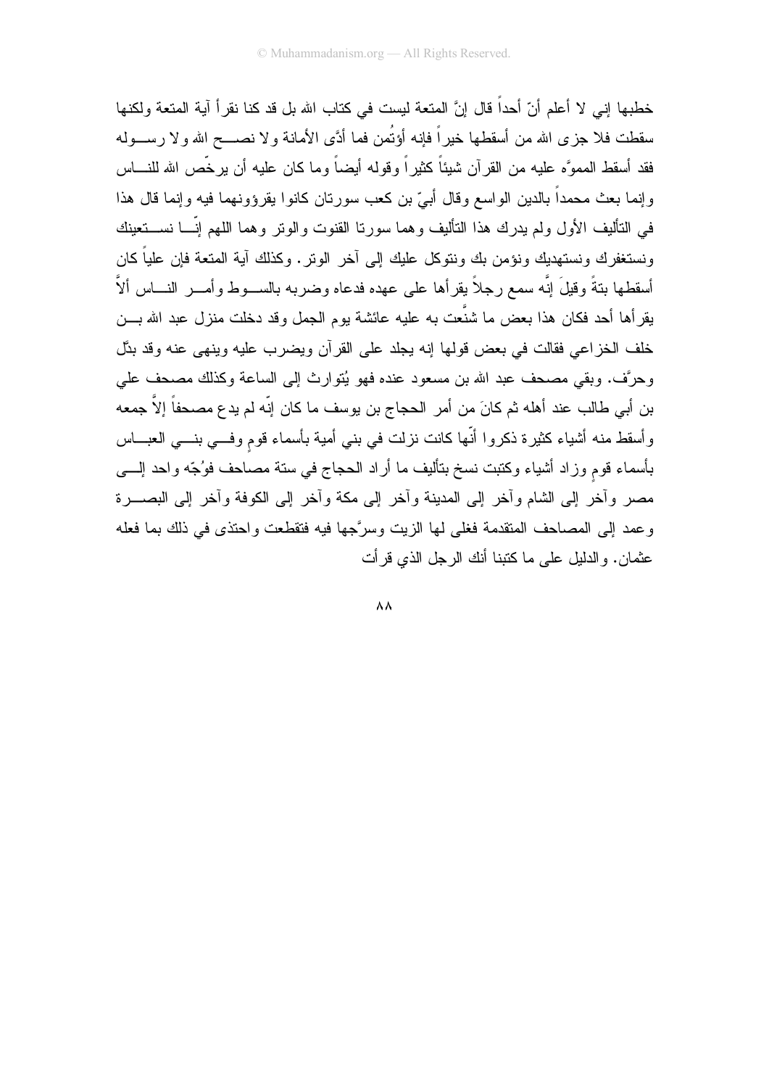خطبها إني لا أعلم أنّ أحداً قال إنَّ المتعة ليست في كتاب الله بل قد كنا نقر أ آية المتعة ولكنها سقطت فلا جزى الله من أسقطها خيراً فإنه أؤتُمن فما أدَّى الأمانة ولا نصــــح الله ولا رســـوله فقد أسقط المموَّه عليه من القرآن شيئاً كثيراً وقوله أيضاً وما كان عليه أن يرخَّص الله للنــــاس وإنما بعث محمداً بالدين الواسع وقال أبيّ بن كعب سورتان كانوا بقرؤونهما فيه وإنما قال هذا في التأليف الأول ولم يدرك هذا التأليف وهما سورتا القنوت والونز وهما اللهم إنَّـــا نســـتعينك ونستغفرك ونستهديك ونؤمن بك وننوكل عليك إلى أخر الونر . وكذلك أية المتعة فإن علياً كان أسقطها بنةً وقيلَ إنَّه سمع رجلاً بقرأها على عهده فدعاه وضربه بالســـوط وأمــــر النــــاس ألاَّ يقرأها أحد فكان هذا بعض ما شنَّعت به عليه عائشة بوم الجمل وقد دخلت منزل عبد الله بـــن خلف الخزاعي فقالت في بعض قولها إنه يجلد على القرآن ويضرب عليه وينهي عنه وقد بدَّل وحرَّف. وبقى مصحف عبد الله بن مسعود عنده فهو يُتوارث إلى الساعة وكذلك مصحف على بن أبي طالب عند أهله ثم كانَ من أمر الحجاج بن يوسف ما كان إنّه لم يدع مصحفاً إلاَّ جمعه وأسقط منه أشياء كثيرة ذكروا أنّها كانت نزلت في بني أمية بأسماء قوم وفـــي بنـــي العبـــاس بأسماء قوم وزاد أشياء وكتبت نسخ بتأليف ما أراد الحجاج في ستة مصاحف فوُجّه واحد إلــــي مصر وأخر إلى الشام وأخر إلى المدينة وأخر إلى مكة وأخر إلى الكوفة وأخر إلى البصــــرة وعمد إلى المصاحف المنقدمة فغلي لها الزيت وسرَّجها فيه فتقطعت واحتذى في ذلك بما فعله عثمان. والدليل على ما كتبنا أنك الرحل الذي قر أت

 $\Lambda\Lambda$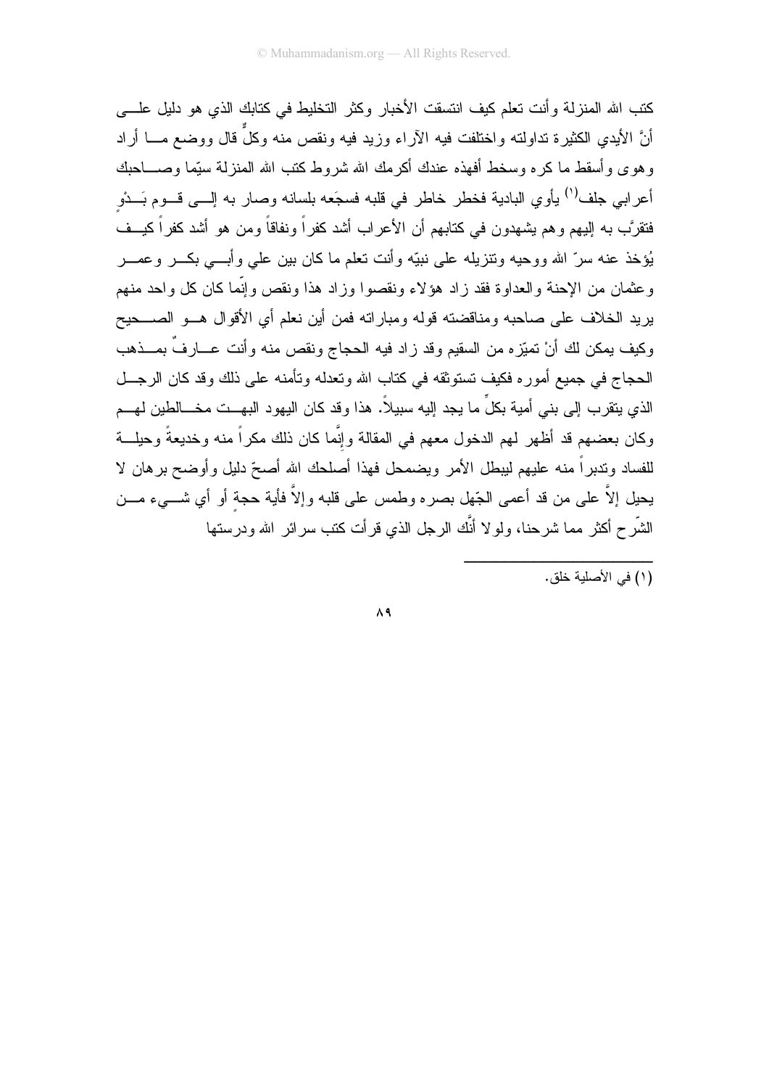كتب الله المنزلة وأنت نعلم كيف انتسقت الأخبار وكثر التخليط في كتابك الذي هو دليل علسى أنَّ الأيدي الكثيرة نداولته واختلفت فيه الأراء وزيد فيه ونقص منه وكلَّ قال ووضع مـــا أراد وهوى وأسقط ما كره وسخط أفهذه عندك أكرمك الله شروط كنب الله المنزلة سيِّما وصــــاحبك أعرابي جلف<sup>(١)</sup> يأوي البادية فخطر خاطر في قلبه فسجَعه بلسانه وصار به إلـــي قـــوم بَـــدْو فتقرَّب به إليهم وهم يشهدون في كتابهم أن الأعراب أشد كفراً ونفاقاً ومن هو أشد كفراً كيــف يُؤخذ عنه سرِّ الله ووحيه ونتزيله على نبيِّه وأنت نعلم ما كان بين على وأبـــي بكـــر وعمـــر وعثمان من الإحنة والعداوة فقد زاد هؤلاء ونقصوا وزاد هذا ونقص وإنَّما كان كل واحد منهم يريد الخلاف على صاحبه ومناقضته قوله ومباراته فمن أين نعلم أي الأقوال هــو الصـــحيح وكيف بمكن لك أنْ تميّز ه من السقيم وقد زاد فيه الحجاج ونقص منه وأنت عـــارفٌ بمـــذهب الحجاج في جميع أموره فكيف تستوثقه في كتاب الله وتعدله وتأمنه على ذلك وقد كان الرجل الذي يتقرب إلى بني أمية بكلٍّ ما يجد إليه سبيلاً. هذا وقد كان اليهود البهـــت مخــــالطين لـهـــم وكان بعضهم قد أظهر لهم الدخول معهم في المقالة وإنَّما كان ذلك مكراً منه وخديعةً وحيلـــة للفساد وندبراً منه عليهم ليبطل الأمر ويضمحل فهذا أصلحك الله أصحّ دليل وأوضح برهان لا يحيل إلاَّ علـى من قد أعمـى الـجّهل بصـره وطمس علـى قلبـه وإلاَّ فأيـة حـجـة أو أي شــــيء مــــن الشَّرح أكثر مما شرحنا، ولو لا أنَّك الرجل الذي قرأت كتب سرائر الله ودرستها

.<br>(١) في الأصلية خلق.

 $\Lambda$  ٩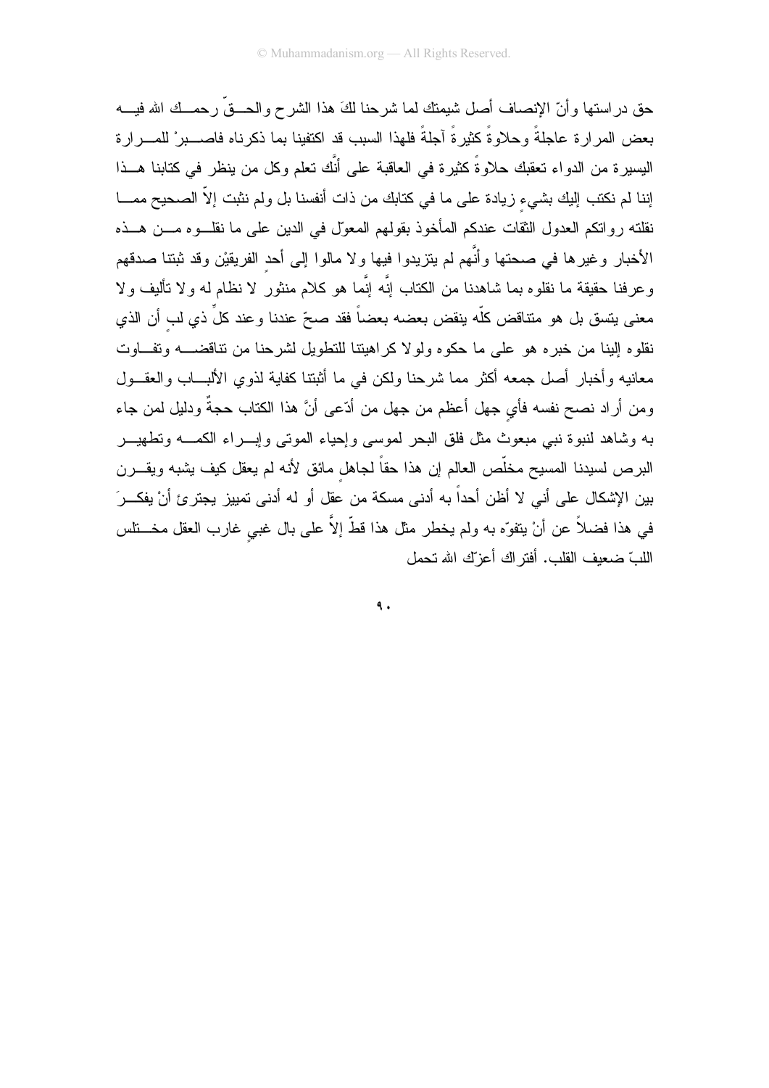حق در استها و أنّ الإنصاف أصل شيمتك لما شر حنا لكَ هذا الشر ح و الحـــقّ ر حمـــك الله فيـــه بعض المرارة عاجلةً وحلاوةً كثيرةً آجلةً فلهذا السبب قد اكتفينا بما ذكرناه فاصــــبرْ للمــــرارة اليسيرة من الدواء تعقبك حلاوةً كثيرة في العاقبة على أنَّك تعلَّم وكل من ينظر في كتابنا هـــذا إننا لم نكتب إليك بشيء زيادة على ما في كتابك من ذات أنفسنا بل ولم نثبت إلاّ الصحيح ممـــا نقلته رواتكم العدول الثقات عندكم المأخوذ بقولهم المعول في الدين على ما نقلـــوه مـــن هـــذه الأخبار وغيرها في صحتها وأنَّهم لم يتزيدوا فيها ولا مالوا إلى أحد الفريقيْن وقد ثبتنا صدقهم وعرفنا حقيقة ما نقلوه بما شاهدنا من الكتاب إنَّه إنَّما هو كلام منثور لا نظام له ولا تأليف ولا معنى بِتسق بل هو متناقض كلَّه ينقض بعضه بعضاً فقد صحِّ عندنا وعند كلِّ ذي لب أن الذي نقلوه البنا من خبره هو على ما حكوه ولولا كراهيتنا للتطويل لشرحنا من نتاقضــــه وتفـــاوت معانيه وأخبار أصل جمعه أكثر مما شرحنا ولكن في ما أثبتنا كفاية لذوي الألبساب والعقـــول ومن أراد نصح نفسه فأي جهل أعظم من جهل من أدّعى أنَّ هذا الكتاب حجةٌ ودليل لمن جاء به وشاهد لنبوة نبي مبعوث مثل فلق البحر لموسى وإحياء الموتى وإبـــراء الكمــــه وتطهيـــر البرص لسيدنا المسيح مخلَّص العالم إن هذا حقاً لجاهل مائق لأنه لم يعقل كيف يشبه ويقـــرن بين الإشكال على أني لا أظن أحداً به أدنى مسكة من عقل أو له أدنى تمييز يجترئ أنْ يفكــرَ في هذا فضلاً عن أنْ يتفوّه به ولم يخطر مثل هذا قطّ إلاّ على بال غبي غارب العقل مخــــتلس اللَّكَ ضعف القلب. أفتر اك أعزَّك الله تحمل

 $\mathbf{\mathsf{A}}$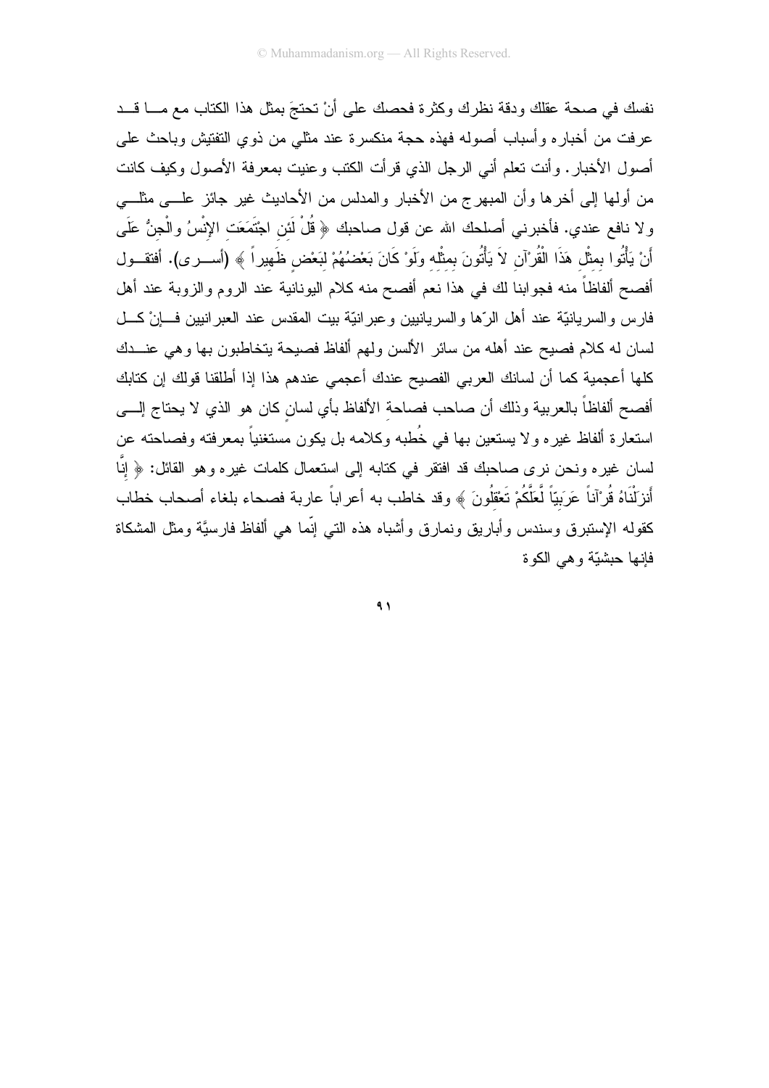نفسك في صحة عقلك ودقة نظرك وكثرة فحصك على أنْ تحتجَ بمثل هذا الكتاب مع مـــا قـــد عرفت من أخباره وأسباب أصوله فهذه حجة منكسرة عند مثلي من ذوي التفتيش وباحث على أصول الأخبار. وأنت تعلَّم أنبي الرجل الذي قرأت الكتب وعنيت بمعرفة الأصول وكيف كانت من أولمها إلى أخرها وأن المبهرج من الأخبار والمدلس من الأحاديث غير جائز علـــي مثلــــي ولا نافع عندي. فأخبرني أصلحك الله عن قول صاحبك ﴿ قُلْ لَئن اجْتَمَعَت الإِنْسُ والْجنُّ عَلَى أَنْ يَأْتُوا بمثَّل هَذَا الْقُرْآن لاَ يَأْتُونَ بمثَّله ولَوْ كَانَ بَعْضُهُمْ لبَعْض ظَهيراً ﴾ (أســـرى). أفتقـــول أفصح ألفاظاً منه فجوابنا لك في هذا نعم أفصح منه كلام اليونانية عند الروم والزوبة عند أهل فارس والسريانيَّة عند أهل الرَّها والسريانيين وعبرانيَّة بيت المقدس عند العبرانيين فـــانْ كـــل لسان له كلام فصيح عند أهله من سائر الألسن ولمهم ألفاظ فصيحة يتخاطبون بها وهي عنـــدك كلها أعجمية كما أن لسانك العربي الفصيح عندك أعجمي عندهم هذا إذا أطلقنا قولك إن كتابك أفصح ألفاظاً بالعربية وذلك أن صاحب فصاحة الألفاظ بأي لسان كان هو الذي لا يحتاج إلـــي استعارة ألفاظ غيره ولا يستعين بها في خُطبه وكلامه بل يكون مستغنياً بمعرفته وفصاحته عن لسان غيره ونحن نرى صـاحبك قد افتقر في كتابـه إلـى استعمال كلمـات غيره وهو القائل: ﴿ إِنَّا أَنزَلْنَاهُ قُرْآناً عَرَبَيّاً لَّعَلَّكُمْ تَعْقُلُونَ ﴾ وقد خاطب به أعراباً عاربة فصحاء بلغاء أصحاب خطاب كقوله الإستبرق وسندس وأباريق ونمارق وأشباه هذه التبى إنَّما هي ألفاظ فارسيَّة ومثل المشكاة فانها حشبّة و هي الكو ة

 $\lambda$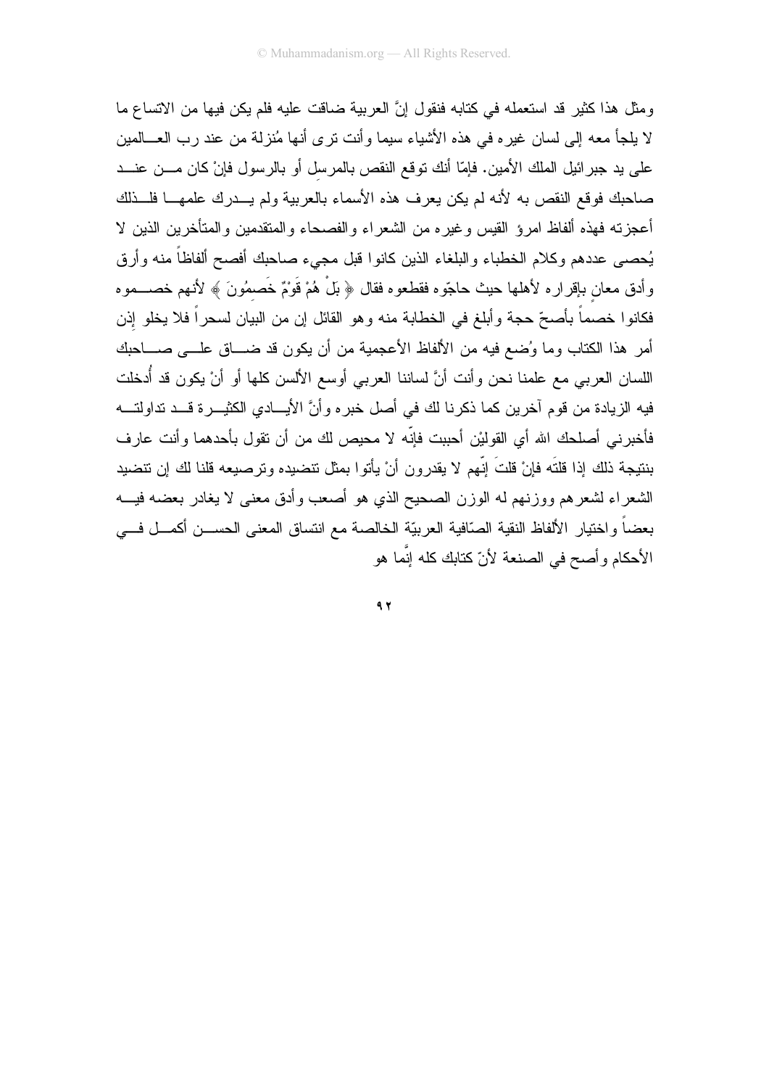ومثل هذا كثير قد استعمله في كتابه فنقول إنَّ العربية ضاقت عليه فلم يكن فيها من الاتساع ما لا يلجأ معه إلى لسان غيره في هذه الأشياء سيما وأنت نرى أنها مُنزلة من عند رب العـــالمين على يد جبر ائيل الملك الأمين. فإمّا أنك توقع النقص بالمرسل أو بالرسول فإنْ كان مـــن عنـــد صاحبك فوقع النقص به لأنه لم يكن يعرف هذه الأسماء بالعربية ولم يـــدرك علمهـــا فلـــذلك أعجزته فهذه ألفاظ امرؤ القيس وغيره من الشعراء والفصحاء والمنقدمين والمتأخرين الذين لا يُحصىي عددهم وكلام الخطباء والبلغاء الذين كانوا قبل مجيء صاحبك أفصح ألفاظاً منه وأرق وأدق معان بإقراره لأهلها حيث حاجّوه فقطعوه فقال ﴿ بَلْ هُمْ قَوْمٌ خَصِمُونَ ﴾ لأنهم خصـــموه فكانوا خصماً بأصحِّ حجة وأبلغ في الخطابة منه وهو القائل إن من البيان لسحراً فلا يخلو إذن أمر هذا الكتاب وما وُضع فيه من الألفاظ الأعجمية من أن يكون قد ضـــاق علـــي صــــاحبك اللسان العربي مع علمنا نحن وأنت أنَّ لساننا العربي أوسع الألسن كلها أو أنْ يكون قد أُدخلت فيه الزيادة من قوم آخرين كما ذكرنا لك في أصل خبره وأنَّ الأيسادي الكثيــــرة قـــد تداولتــــه فأخبرني أصلحك الله أي القوليْن أحببت فإنّه لا محيص لك من أن نقول بأحدهما وأنت عار ف بنتيجة ذلك إذا قلتَه فإنْ قلتَ إنّهم لا يقدرون أنْ يأتوا بمثل تتضيده وترصيعه قلنا لك إن تتضيد الشعراء لشعرهم ووزنهم له الوزن الصحيح الذي هو أصعب وأدق معنى لا يغادر بعضه فيـــه بعضاً واختيار الألفاظ النقية الصّافية العربيّة الخالصة مع انتساق المعنى الحســـن أكمـــل فـــي الأحكام و أصبح في الصنعة لأنّ كتابك كله إنّما هو

 $9, 7$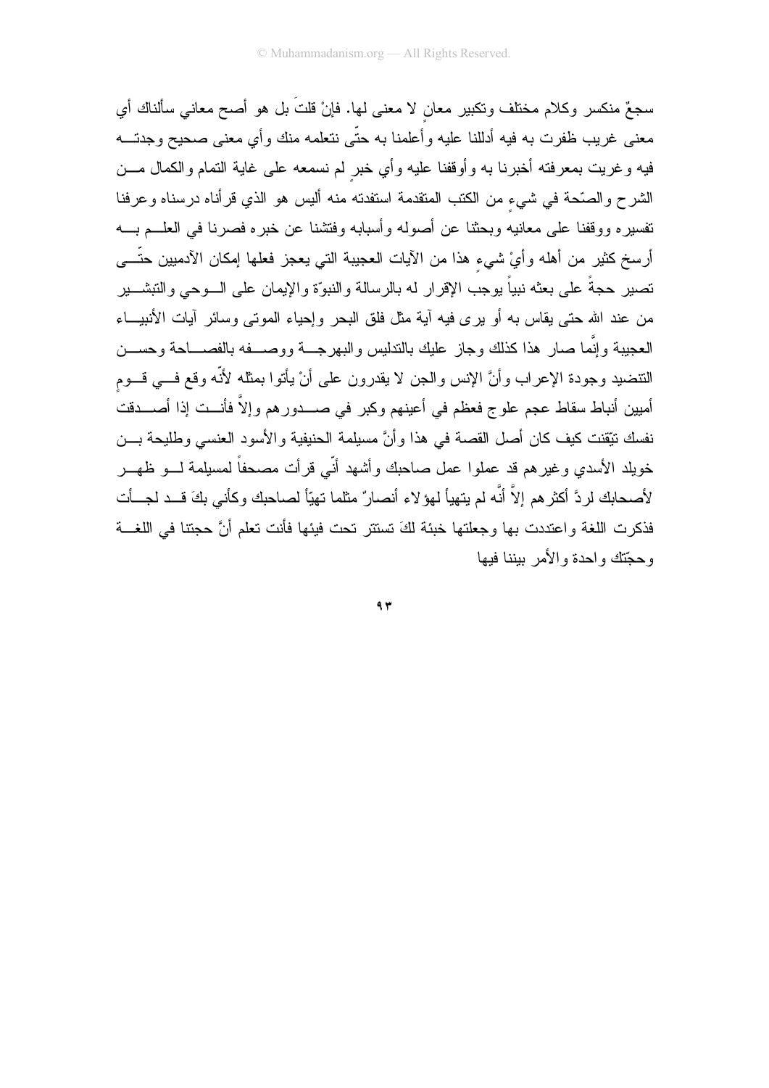سجعٌ منكسرٍ وكلامٍ مختلفٍ وتكبيرٍ معانٍ لا معنى لها. فإنْ قلتُ بل هو أصبحٍ معانيٍ سألناك أي معنى غريب ظفرت به فيه أدللنا عليه وأعلمنا به حتّى نتعلمه منك وأي معنى صحيح وجدتـــه فيه وغريت بمعرفته أخبرنا به وأوقفنا عليه وأي خبر لم نسمعه على غاية التمام والكمال مـــن الشرح والصَّحة في شيء من الكتب المتقدمة استفدته منه أليس هو الذي قرأناه درسناه وعرفنا نفسيره ووقفنا على معانيه وبحثنا عن أصوله وأسبابه وفنتنمنا عن خبره فصرنا في العلـــم بــــه أرسخ كثير من أهله وأيْ شيء هذا من الآيات العجيبة التي يعجز فعلها إمكان الآدميين حتّـــي تصير حجةً على بعثه نبياً يوجب الإقرار له بالرسالة والنبوّة والإيمان على السوحي والتبشسير من عند الله حتى يقاس به أو بر ي فيه آية مثل فلق البحر وإحياء الموتى وسائر آيات الأنبيـــاء العجيبة وإنَّما صار هذا كذلك وجاز عليك بالندليس والبهرجـــة ووصــــفه بالفصــــاحة وحســـن النتضيد وجودة الإعراب وأنَّ الإنس والجن لا يقدرون على أنْ يأتوا بمثله لأنَّه وقع فـــى قـــوم أميين أنباط سقاط عجم علوج فعظم في أعينهم وكبر في صــــدورهم وإلاَّ فأنـــت إذا أصــــدقتُ نفسك نتِقنت كيف كان أصل القصة في هذا وأنَّ مسيلمة الحنيفية والأسود العنسي وطليحة بـــن خويلد الأسدي وغيرهم قد عملوا عمل صاحبك وأشهد أنّي قرأت مصحفاً لمسيلمة لـــو ظهـــر لأصحابك لردَّ أكثرهم إلاَّ أنَّه لم يتهيأ لهؤلاء أنصارٌ مثلما تهيّاً لصاحبك وكأني بكَ قــد لجــأت فذكرت اللغة واعتددت بها وجعلتها خبئة لكَ تستتر تحت فيئها فأنت تعلم أنَّ حجتنا في اللغـــة وحجّتك واحدة والأمر يبننا فبها

 $97$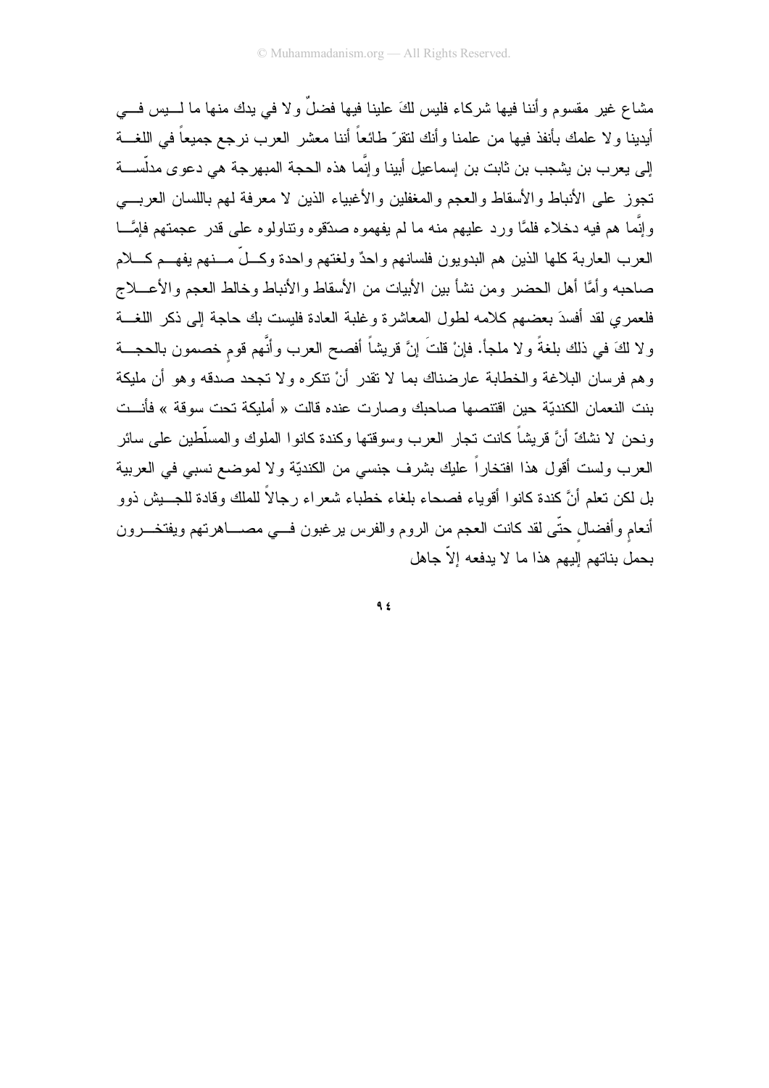مشاع غير مقسوم و أننا فيها شر كاء فليس لكَ علينا فيها فضلٌ و لا في يدك منها ما لــــيس فــــي أيدينا ولا علمك بأنفذ فيها من علمنا وأنك لنقرّ طائعاً أننا معشر العرب نرجع جميعاً في اللغـــة إلى يعرب بن يشجب بن ثابت بن إسماعيل أبينا وإنَّما هذه الحجة المبهرجة هي دعوى مدلَّســـة تجوز على الأنباط والأسقاط والعجم والمغفلين والأغبياء الذين لا معرفة لمهم باللسان العربسي وإِنَّما هم فيه دخلاء فلمَّا ورد عليهم منه ما لم يفهموه صدَّقوه وتناولوه على قدر عجمتهم فإمَّـــا العرب العاربة كلها الذين هم البدويون فلسانهم واحدٌ ولغتهم واحدة وكـــلّ مـــنهم يفهـــم كــــلام صاحبه وأمَّا أهل الحضر ومن نشأ بين الأبيات من الأسقاط والأنباط وخالط العجم والأعـــلاج فلعمر ي لقد أفسدَ بعضهم كلامه لطول المعاشر ة و غلبة العادة فليست بك حاجة إلى ذكر اللغسة ولا لكَ في ذلك بلغةً ولا ملجأ. فإنْ قلتَ إنَّ قريشاً أفصح العرب وأنَّهم قوم خصمون بالحجـــة و هم فر سان البلاغة و الخطابة عار ضناك بما لا تقدر ۖ أنْ نتكر ه و لا تجحد صدقه و هو ۖ أن ملبكة بنت النعمان الكنديّة حين اقتتصها صاحبك وصارت عنده قالت « أمليكة تحت سوقة » فأنــت ونحن لا نشكَّ أنَّ قريشاً كانت تجار العرب وسوقتها وكندة كانوا الملوك والمسلَّطين على سائر العرب ولست أقول هذا افتخاراً عليك بشرف جنسي من الكنديّة ولا لموضع نسبي في العربية بل لكن نعلم أنَّ كندة كانوا أقوياء فصحاء بلغاء خطباء شعراء رجالاً للملك وقادة للجـــيش ذوو أنعام وأفضال حتَّى لقد كانت العجم من الروم والفرس برغبون فـــي مصــــاهرتهم ويفتخـــرون يجمل بناتهم النهم هذا ما لا يدفعه الاّ جاهل

 $9.5$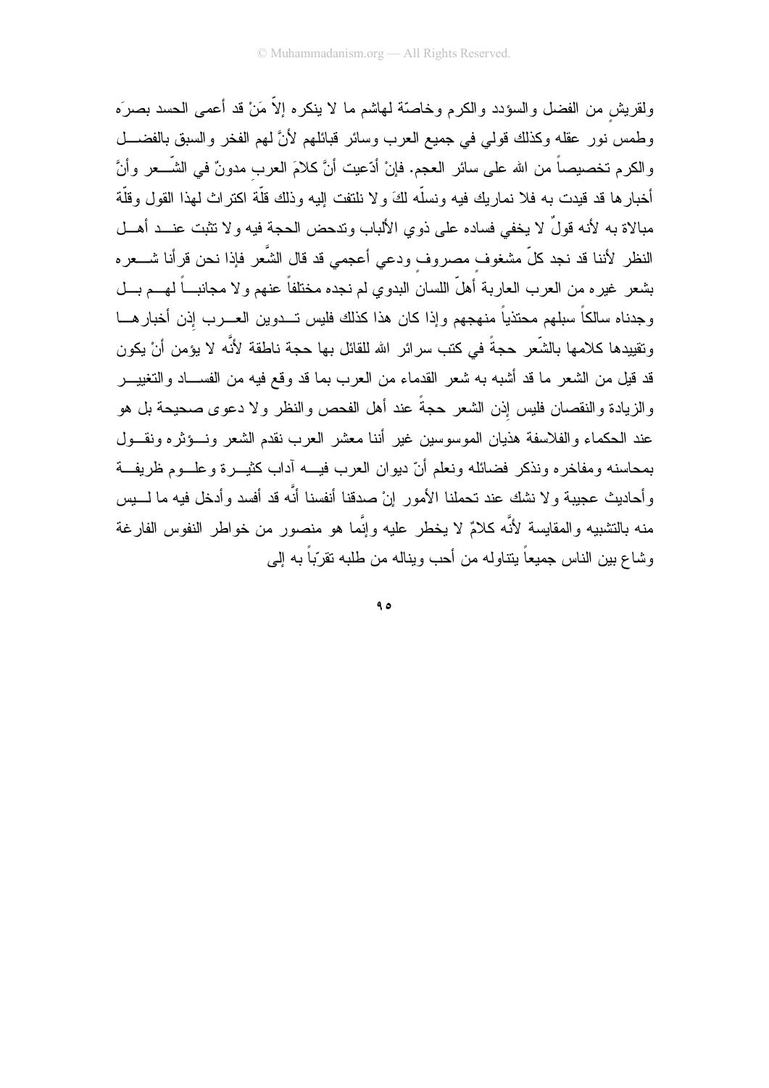ولقريش من الفضل والسؤدد والكرم وخاصّة لمهاشم ما لا ينكره إلاّ مَنْ قد أعمى الحسد بصرَه وطمس نور عقله وكذلك قولي في جميع العرب وسائر قبائلهم لأنَّ لهم الفخر والسبق بالفضـــل والكرم تخصيصاً من الله على سائر العجم. فإنْ أدّعيت أنَّ كلامَ العرب مدونٌ في الشَّـــعر وأنَّ أخبارها قد قيدت به فلا نماريك فيه ونسلّه لكَ ولا نلتفت إليه وذلك قلّة اكتراث لهذا القول وقلّة مبالاة به لأنه قولٌ لا يخفى فساده على ذوي الألباب وتدحض الحجة فيه ولا تثبت عنـــد أهـــل النظر لأننا قد نجد كلّ مشغوف مصروف ودعى أعجمي قد قال الشَّعر فإذا نحن قرأنا شـــعره بشعر غيره من العرب العاربة أهلَّ اللسان البدوي لم نجده مختلفاً عنهم ولا مجانبـــاً لهـــم بـــل وجدناه سالكاً سبلهم محتذياً منهجهم وإذا كان هذا كذلك فليس تـــدوين العــــرب إذن أخبارهــــا ونقيبدها كلامها بالشَّعر حجةً في كتب سرائر الله للقائل بها حجة ناطقة لأنَّه لا يؤمن أنْ يكون قد قيل من الشعر ما قد أشبه به شعر القدماء من العرب بما قد وقع فيه من الفســـاد والنغييــــر والزيادة والنقصان فليس إذن الشعر حجةً عند أهل الفحص والنظر ولا دعوى صحيحة بل هو عند الحكماء والفلاسفة هذيان الموسوسين غير أننا معشر العرب نقدم الشعر ونسؤثره ونقسول بمحاسنه ومفاخره ونذكر فضائله ونعلم أنّ ديوان العرب فيسه آداب كثيــــرة وعلــــوم ظريفـــة وأحاديث عجيبة ولا نشك عند تحملنا الأمور إنْ صدقنا أنفسنا أنَّه قد أفسد وأدخل فيه ما لــــبس منه بالتشبيه والمقايسة لأنَّه كلامٌ لا يخطر عليه وإنَّما هو منصور من خواطر النفوس الفارغة وشاع بين الناس جميعاً بنتاوله من أحب وبناله من طلبه تقرّباً به إلى

 $90$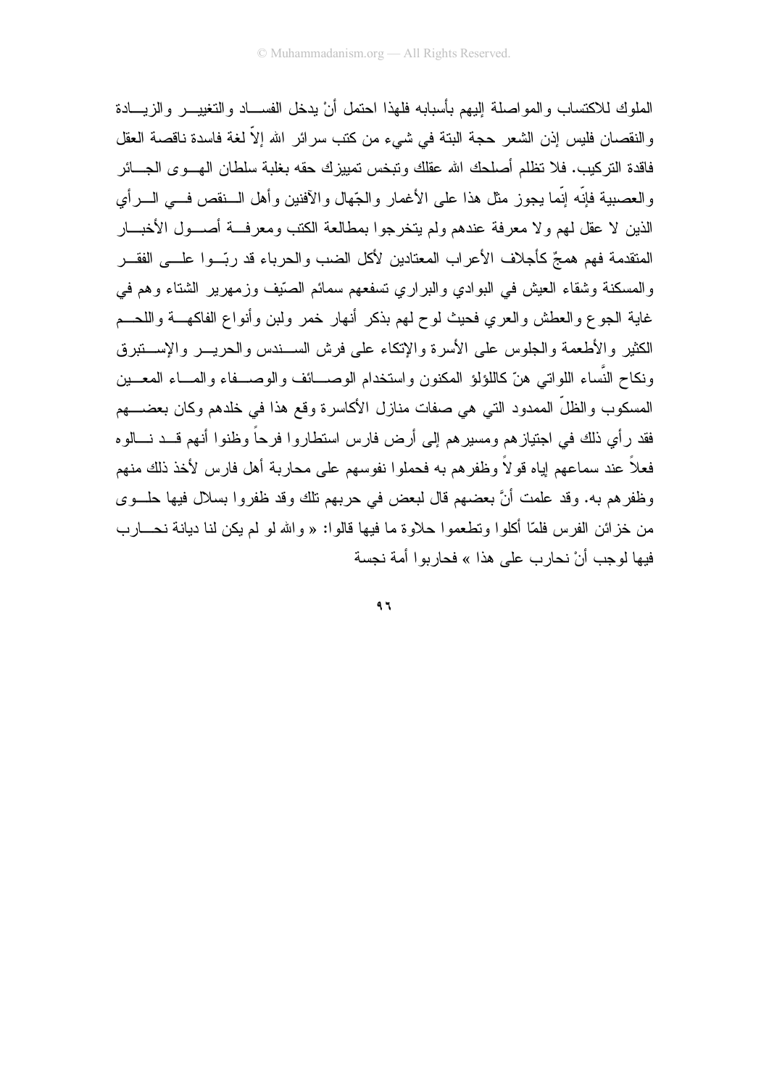الملوك للاكتساب والمواصلة إليهم بأسبابه فلهذا احتمل أنْ يدخل الفســاد والتغييـــر والزيـــادة و النقصان فليس إذن الشعر ً حجة البنة في شيء من كتب سر ائر الله إلاّ لغة فاسدة ناقصة العقل فاقدة النركيب. فلا نظلم أصلحك الله عقلك ونبخس نمييزك حقه بغلبة سلطان الهب وي الجسائر والعصبية فإنَّه إنَّما يجوز مثل هذا على الأغمار والجِّهال والأفنين وأهل السنقص فسي السرأى الذين لا عقل لهم ولا معرفة عندهم ولم يتخرجوا بمطالعة الكتب ومعرفسة أصسول الأخبسار المتقدمة فهم همجٌ كأجلاف الأعراب المعتادين لأكل الضب والحرباء قد ربِّــوا علــــى الفقـــر و المسكنة وشقاء العيش في البوادي والبر ارى تسفعهم سمائم الصَّيف وزِّمهرير الشَّتاء وهم في غاية الجوع والعطش والعرى فحيث لوح لهم بذكر أنهار خمر ولبن وأنواع الفاكهـــة واللحــم الكثير والأطعمة والجلوس على الأسرة والإتكاء على فرش الســندس والحريـــر والإســـنبرق ونكاح النَّساء اللواتي هنَّ كاللؤلؤ المكنون واستخدام الوصــــائف والوصـــفاء والمـــاء المعـــين المسكوب والظلِّ الممدود التي هي صفات منازل الأكاسرة وقع هذا في خلدهم وكان بعضــــهم فقد رأى ذلك في اجتياز هم ومسير هم إلى أرض فارس استطاروا فرحاً وظنوا أنهم قـــد نـــالوه فعلاً عند سماعهم إياه قولاً وظفرهم به فحملوا نفوسهم على محاربة أهل فارس لأخذ ذلك منهم وظفرهم به. وقد علمت أنَّ بعضهم قال لبعض في حربهم تلك وقد ظفروا بسلال فيها حلَّــوي من خزائن الفرس فلمّا أكلوا ونطعموا حلاوة ما فيها قالوا: « والله لو لم يكن لنا ديانة نحـــارب فيها لوجب أنْ نحار ب على هذا » فحاربوا أمة نجسة

 $97$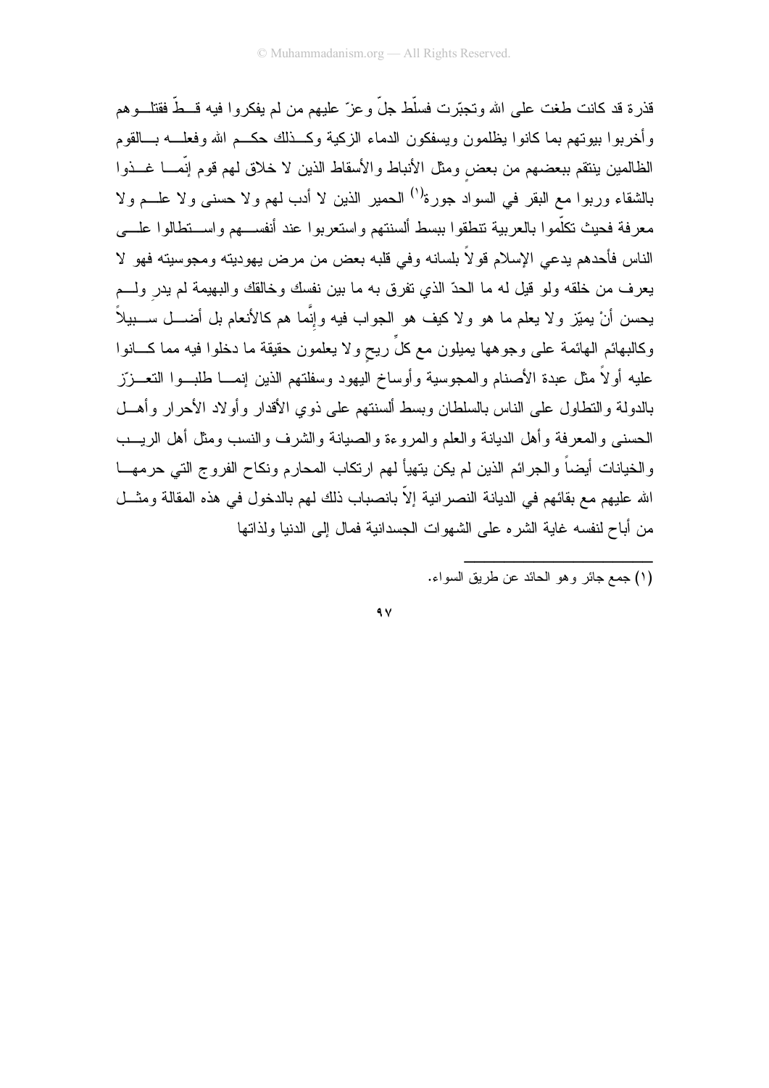قذر ة قد كانت طغت على الله وتجبّر ت فسلّط جلّ و عز ّ عليهم من لم يفكر و ا فيه قــطّ فقتلـــو هم و أخر بو ا بيو تهم بما كانو ا يظلمون ويسفكون الدماء الزكية وكـــذلك حكـــم الله وفعلـــه بـــالقوم الظالمين ينتقم ببعضهم من بعض ومثل الأنباط والأسقاط الذين لا خلاق لهم قوم إنَّمـــا غـــذوا بالشقاء وربوا مع البقر في السواد جورة<sup>(١)</sup> الحمير الذين لا أدب لمهم ولا حسني ولا علـــم ولا معرفة فحيث نكلّموا بالعربية نتطقوا ببسط ألسنتهم واستعربوا عند أنفســهم واســنطالوا علـــي الناس فأحدهم يدعى الإسلام قولاً بلسانه وفي قلبه بعض من مرض يهوديته ومجوسيته فهو لا يعرف من خلقه ولو قيل له ما الحدِّ الذي نفرق به ما بين نفسك وخالقك والبهيمة لم يدر ولـــم يحسن أنْ يميّز ولا يعلم ما هو ولا كيف هو الجواب فيه وإنَّما هم كالأنعام بل أضــــل ســــبيلاً ۖ وكالبهائم الهائمة على وجوهها بمبلون مع كلٍّ ريح ولا يعلمون حقيقة ما دخلوا فيه مما كـــانوا عليه أولاً مثل عبدة الأصنام والمجوسية وأوساخ اليهود وسفلتهم الذين إنمـــا طلبـــوا النتعـــزّز بالدولة والتطاول على الناس بالسلطان وبسط ألسنتهم على ذوى الأقدار وأولاد الأحرار وأهــل الحسنبي والمعرفة وأهل الديانة والعلم والمروءة والصيانة والشرف والنسب ومثل أهل الريب والخيانات أيضاً والجرائم الذين لم يكن يتهيأ لهم ارتكاب المحارم ونكاح الفروج التي حرمهـــا الله عليهم مع بقائهم في الديانة النصر انية إلاّ بانصباب ذلك لهم بالدخول في هذه المقالة ومثـــل من أباح لنفسه غاية الشره على الشهوات الجسدانية فمال إلى الدنيا ولذاتها

 $\gamma$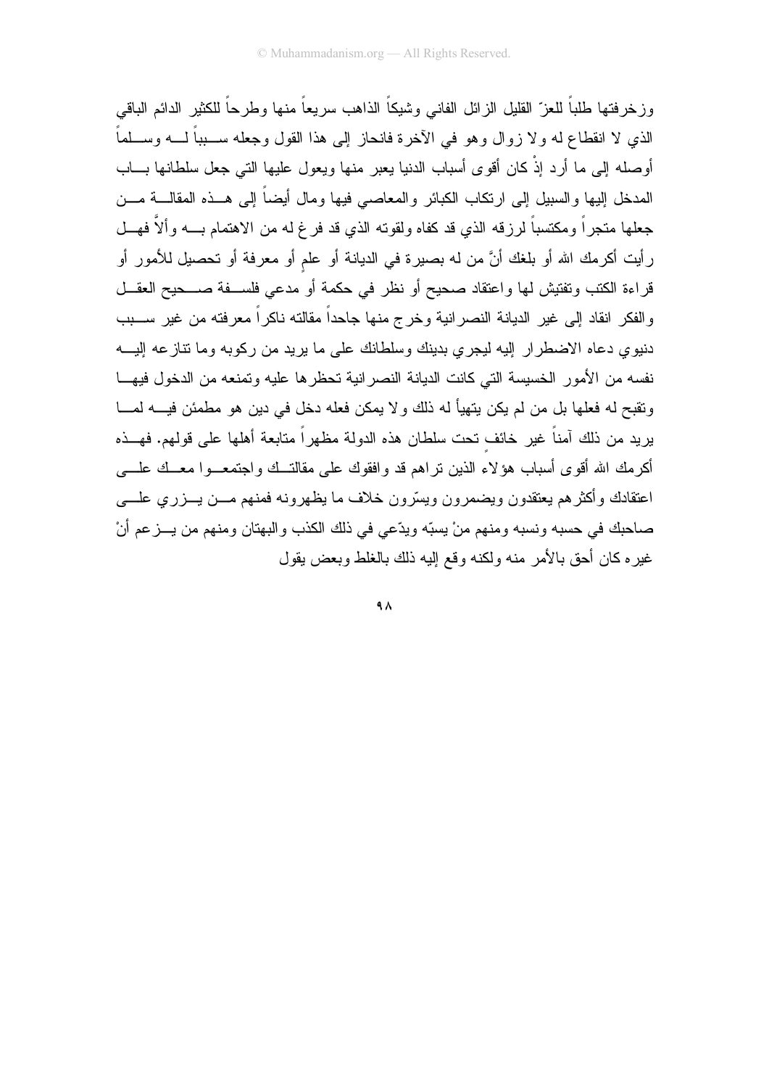وز خر فتها طلباً للعز ّ القليل الز ائل الفاني وشيكاً الذاهب سريعاً منها وطر حاً للكثير الدائم الباقي الذي لا انقطاع له ولا زوال وهو في الآخرة فانحاز إلى هذا القول وجعله ســــبباً لـــــه وســــلماً أوصله إلى ما أرد إذْ كان أقوى أسباب الدنيا يعبر منها ويعول عليها التي جعل سلطانها بـــاب المدخل إليها والسبيل إلىي ارنكاب الكبائر والمعاصبي فيها ومال أيضاً إلىي هــذه المقالـــة مـــن جعلها متجراً ومكتسباً لرزقه الذي قد كفاه ولقوته الذي قد فرغ له من الاهتمام بــــه وألاَّ فهـــل رِ أيت أكرمك الله أو بلغك أنَّ من له بصيرة في الديانة أو علم أو معرفة أو تحصيل للأمور أو قراءة الكتب وتفتيش لها واعتقاد صحيح أو نظر في حكمة أو مدعى فلســفة صـــحيح العقـــل والفكر انقاد إلى غير الديانة النصرانية وخرج منها جاحداً مقالته ناكراً معرفته من غير ســـبب دنيوي دعاه الاضطرار إليه ليجرى بدينك وسلطانك على ما يريد من ركوبه وما نتازعه إليـــه نفسه من الأمور الخسيسة التي كانت الديانة النصر انية تحظرها عليه وتمنعه من الدخول فيهـــا ونقبح له فعلها بل من لم يكن يتهيأ له ذلك و لا يمكن فعله دخل في دين هو مطمئن فيــــه لمــــا يريد من ذلك آمناً غير خائف تحت سلطان هذه الدولة مظهراً متابعة أهلها على قولهم. فهـــذه أكرمك الله أقوى أسباب هؤلاء الذين نراهم قد وافقوك على مقالتــك واجتمعـــوا معــك علــــى اعتقادك وأكثرهم يعتقدون ويضمرون ويسرون خلاف ما يظهرونه فمنهم مـــن يـــزري علــــي صاحبك في حسبه ونسبه ومنهم منْ يسبّه ويدّعي في ذلك الكذب والبهتان ومنهم من يـــز عم أنْ غير ه كان أحق بالأمر منه ولكنه وقع إليه ذلك بالغلط وبعض يقول

 $4<sub>A</sub>$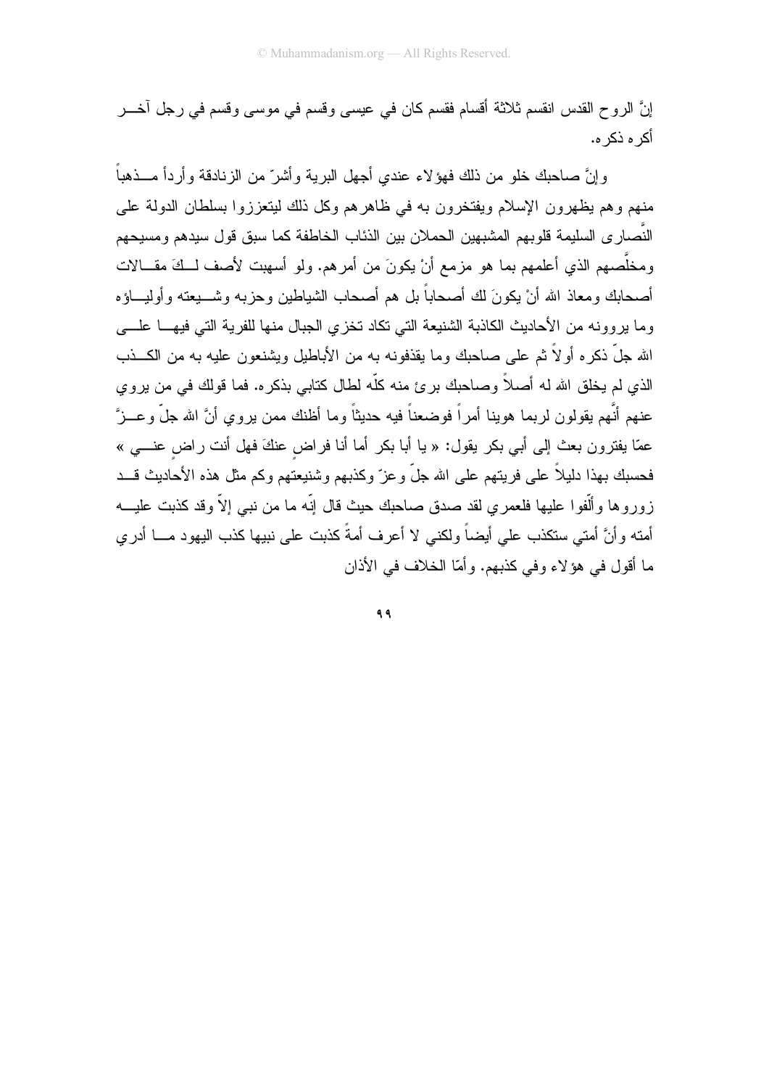إنَّ الروح القدس انقسم ثلاثة أقسام فقسم كان في عيسى وقسم في موسى وقسم في رجل آخـــر أكر ہ ذكر ہ.

و إنَّ صاحبِكِ خلو من ذلك فهوَ لاء عندي أجهل البر بـة و أشر ّ من الز نادقة و أر دأ مــــذهباً ۖ منهم وهم يظهرون الإسلام ويفتخرون به في ظاهرهم وكل ذلك ليتعززوا بسلطان الدولة على النَّصـار ى السليمـة قلوبهم المشبهين الحملان بين الذئاب الخاطفة كما سبق قول سيدهم ومسيحهم ومخلَّصهم الذي أعلمهم بما هو مزمع أنْ يكونَ من أمرهم. ولو أسهبت لأصف لــكَ مقـــالات أصحابك ومعاذ الله أنْ يكونَ لك أصحاباً بل هم أصحاب الشياطين وحزبه وشــــبعته وأوليــــاؤه وما بروونه من الأحاديث الكاذبة الشنيعة التي نكاد نخزي الجبال منها للفرية التي فيهـــا علــــي الله جلَّ ذكره أو لاً ثم على صاحبك وما يقذفونه به من الأباطيل ويشنعون عليه به من الكـــذب الذي لم يخلق الله له أصلاً وصاحبك برئ منه كلّه لطال كتابي بذكره. فما قولك في من يروي عنهم أنَّهم يقولون لربما هوينا أمراً فوضعناً فيه حديثاً وما أظنك ممن يروي أنَّ الله جلَّ وعــزَّ عمّا بفتر ون بعث إلى أبي بكر يقول: « با أبا بكر أما أنا فر اض عنكَ فهل أنت ر اض عنبي » فحسبك بهذا دليلاً على فريتهم على الله جلَّ و عز ّ وكذبهم وشنيعتهم وكم مثل هذه الأحاديث قـــد زوروها وألُّفوا عليها فلعمري لقد صدق صاحبك حيث قال إنَّه ما من نبي إلاَّ وقد كذبت عليـــه أمته وأنَّ أمتى ستكذب على أيضاً ولكني لا أعرف أمةً كذبت على نبيها كذب اليهود مـــا أدرى ما أقول في هؤ لاء و في كذبهم. و أمّا الخلاف في الأذان

 $99$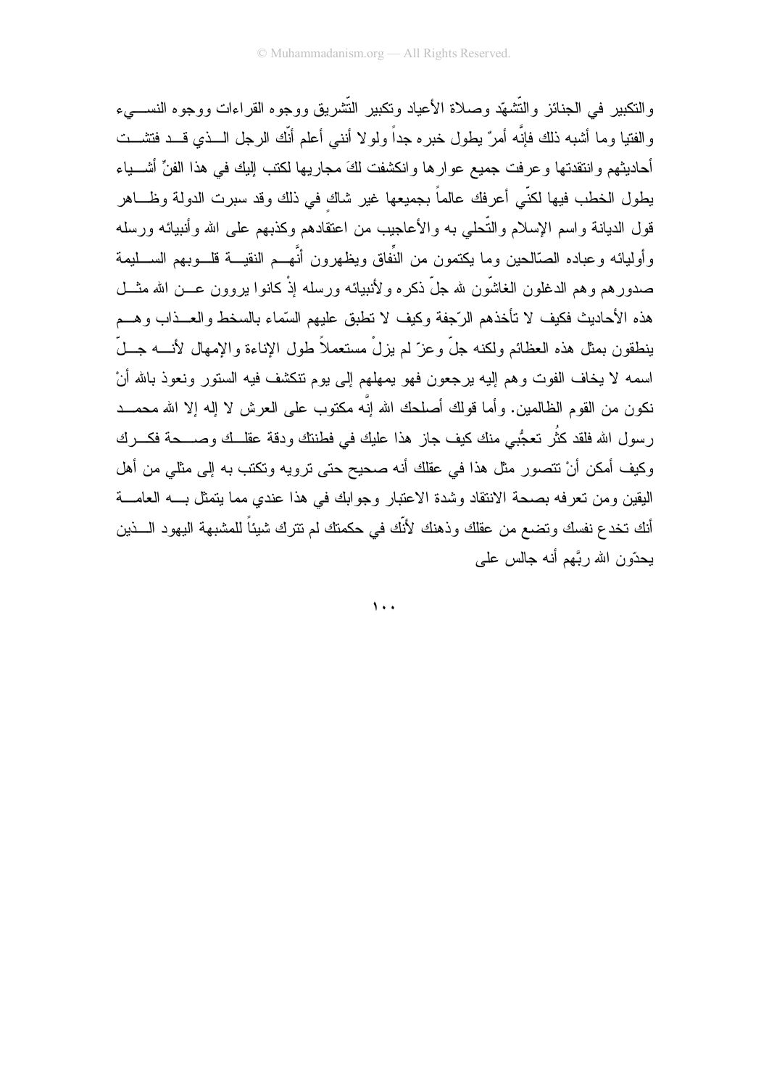والنكبير ً في الجنائز والتُّشهّد وصلاة الأعياد وتكبير النُّشريق ووجوه القراءات ووجوه النسبيء والفتيا وما أشبه ذلك فإنَّه أمرٌ يطول خبره جداً ولولا أننبي أعلم أنَّك الرجل الـــذي قـــد فتشـــت أحاديثهم وانتقدتها وعرفت جميع عوارها وانكشفت لكَ مجاريها لكتب البك في هذا الفنِّ أشــــباء يطول الخطب فيها لكنّي أعرفك عالماً بجميعها غير شاك في ذلك وقد سبرت الدولة وظـــاهر قول الديانة واسم الإسلام والتَّحلي به والأعاجيب من اعتقادهم وكذبهم على الله وأنبيائه ورسله وأوليائه وعباده الصّالحين وما يكتمون من النِّفاق ويظهرون أنَّهــم النقيـــة قلـــوبهم الســــليمة صدورهم وهم الدغلون الغاشّون لله جلّ ذكره ولأنبيائه ورسله إذْ كانوا بروون عـــن الله مثـــل هذه الأحاديث فكيف لا تأخذهم الرَّجفة وكيف لا تطبق عليهم السَّماء بالسخط والعــذاب وهــم بنطقون بمثل هذه العظائم ولكنه جلَّ وعزَّ لم يزلْ مستعملاً طول الإناءة والإمهال لأنــــه جـــلَّ اسمه لا يخاف الفوت وهم إليه برجعون فهو بمهلهم إلى بوم نتكشف فيه الستور ونعوذ بالله أنْ نكون من القوم الظالمين. وأما قولك أصلحك الله إنَّه مكتوب على العرش لا إله إلا الله محمــد ر سول الله فلقد كثُر تعجُّبي منك كيف جاز هذا عليك في فطنتك ودقة عقلــك وصــــحة فكــــرك وكيف أمكن أنْ نتصور مثل هذا في عقلك أنه صحيح حتى نرويه ونكتب به إلى مثلي من أهل اليقين ومن تعرفه بصحة الانتقاد وشدة الاعتبار وجوابك في هذا عندي مما يتمثل بـــه العامـــة أنك تخدع نفسك وتضع من عقلك وذهنك لأنَّك في حكمتك لم تترك شيئاً للمشبهة اليهود الـــذين بحدَّون الله ربَّهم أنه جالس علي

 $\mathbf{y}$ .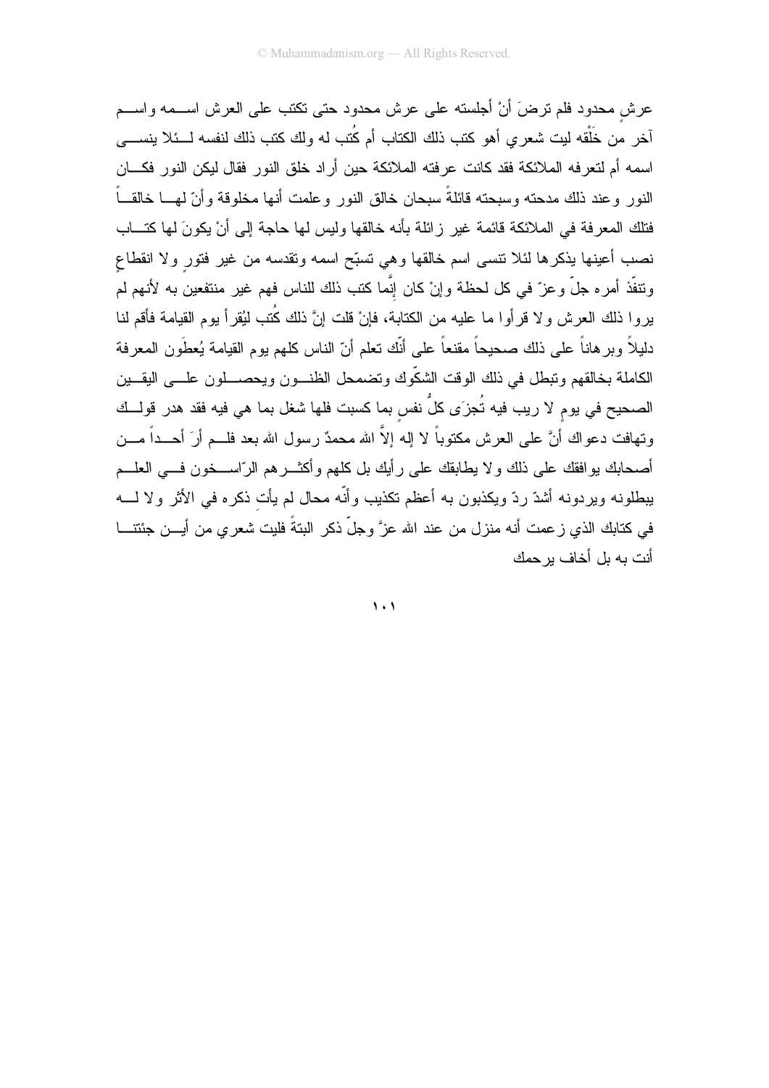عرش محدود فلم ترضَ أنْ أجلسته على عرش محدود حتى تكتب على العرش اســـمه واســـم آخر من خَلْقه ليت شعرى أهو كتب ذلك الكتاب أم كُتب له ولك كتب ذلك لنفسه لـــئلا بنســــ*ى* اسمه أم لتعرفه الملائكة فقد كانت عرفته الملائكة حين أراد خلق النور فقال ليكن النور فكـــان النور وعند ذلك مدحته وسبحته قائلةً سبحان خالق النور وعلمت أنها مخلوقة وأنّ لهـــا خالقـــاً فتلك المعرفة في الملائكة قائمة غير زائلة بأنه خالقها وليس لها حاجة إلى أنْ يكونَ لها كتـــاب نصب أعينها يذكرها لئلا نتسى اسم خالقها وهي نسبّح اسمه ونقدسه من غير فتور ولا انقطاع ونتفَّذ أمره جلَّ وعزَّ في كل لحظة وإنْ كان إنَّما كتب ذلك للناس فهم غير منتفعين به لأنهم لم يروا ذلك العرش ولا قرأوا ما عليه من الكتابة، فإنْ قلت إنَّ ذلك كُتب لَيُقرأ يوم القيامة فأقم لنا دليلاً وبرهاناً على ذلك صحيحاً مقنعاً على أنَّك نعلم أنّ الناس كلهم يوم القيامة يُعطَون المعرفة الكاملة بخالقهم ونبطل في ذلك الوقت الشكّوك ونضمحل الظنـــون ويحصــــلون علــــي اليقـــين الصحيح في يوم لا ريب فيه تُجزَى كلُّ نفس بما كسبت فلها شغل بما هي فيه فقد هدر قولــك ونـهافت دعواك أنَّ علـى الـعرش مكتوباً لا إلـه إلاَّ الله محمدٌ رسول الله بـعد فلـــم أرَ أحـــداً مـــن أصـحـابك بو افقك علـى ذلك و لا يطـابقك علـى ر أيك بل كلـهم و أكـُـــــر هم الرّاســــخون فــــى الـعلــــم يبطلونه ويردونه أشدّ ردّ ويكذبون به أعظم نكذيب وأنّه محال لم يأت ذكره في الأثر ولا لــــه في كتابك الذي زعمت أنه منزل من عند الله عزَّ وجلَّ ذكر البتةً فليت شعري من أيـــن جئتنــــا أنت به بل أخاف بر حمك

 $\lambda$ .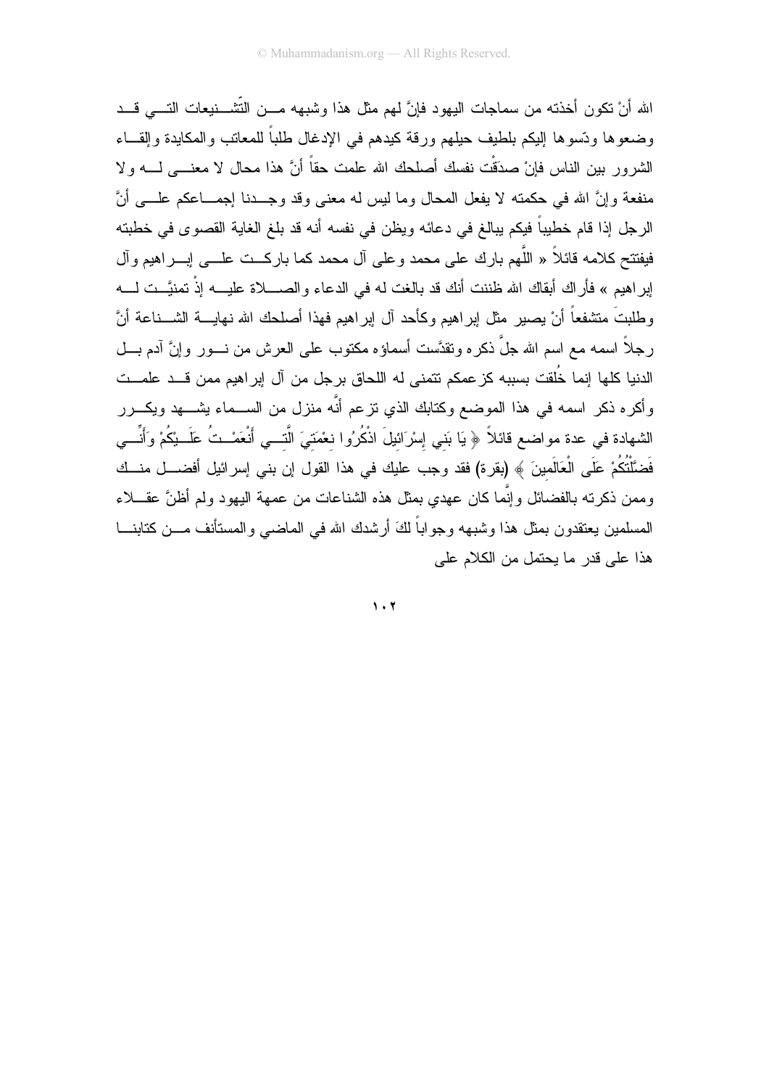الله أنْ نكون أخذته من سماجات اليهود فإنَّ لهم مثل هذا وشبهه مـــن التَّشـــنيعات النــــى قـــد وضعوها ودّسوها إليكم بلطيف حيلهم ورقة كيدهم في الإدغال طلباً للمعاتب والمكايدة وإلقـــاء الشرور بين الناس فإنْ صدَقْت نفسك أصلحك الله علمت حقاً أنَّ هذا محال لا معنـــي لــــه ولا منفعة وإنَّ الله في حكمته لا يفعل المحال وما ليس له معنى وقد وجـــدنا إجمـــاعكم علــــي أنَّ الرجل إذا قام خطيباً فيكم ببالغ في دعائه ويظن في نفسه أنه قد بلغ الغاية القصوى في خطبته فيفتتح كلامه قائلاً « اللَّهم بارك على محمد وعلى آل محمد كما باركـــت علــــى إبــــراهيم وآل ابِرِ اهيم » فأر اك أبقاك الله ظننت أنك قد بالغت له في الدعاء و الصــــلاة عليــــه إذْ تمنيَّــت لــــه وطلبتَ منشفعاً أنْ يصيرٍ مثل إبراهيم وكأحد أل إبراهيم فهذا أصلحك الله نهايــــة الشـــناعة أنَّ رجلاً اسمه مع اسم الله جلَّ ذكره ونقدَّست أسماؤه مكنوب على العرش من نـــور وإنَّ آدم بـــل الدنيا كلها إنما خُلقت بسببه كز عمكم نتمنى له اللحاق برجل من آل إبراهيم ممن قـــد علمـــت وأكره ذكر اسمه في هذا الموضع وكتابك الذي نزعم أنَّه منزل من الســـماء بشــــهد ويكــــرر الشهادة في عدة مواضع قائلاً ﴿ يَا بَنِي إِسْرَائيلَ اذْكُرُوا نعْمَتِيَ الَّتـــي أَنْعَمْــتُ عَلَـــيْكُمْ وَأَنِّـــي فَضَّلْتُكُمْ عَلَى الْعَالَمينَ ﴾ (بقرة) فقد وجب عليك في هذا القول إن بني إسرائيل أفضــــل منـــك وممن ذكرته بالفضائل وإنَّما كان عهدي بمثل هذه الشناعات من عمهة اليهود ولم أظنَّ عقــــلاء المسلمين يعتقدون بمثل هذا وشبهه وجواباً لكَ أرشدك الله في الماضـي والمستأنف مـــن كتابنــــا هذا علے قدر ما يحتمل من الكلام على

 $1.7$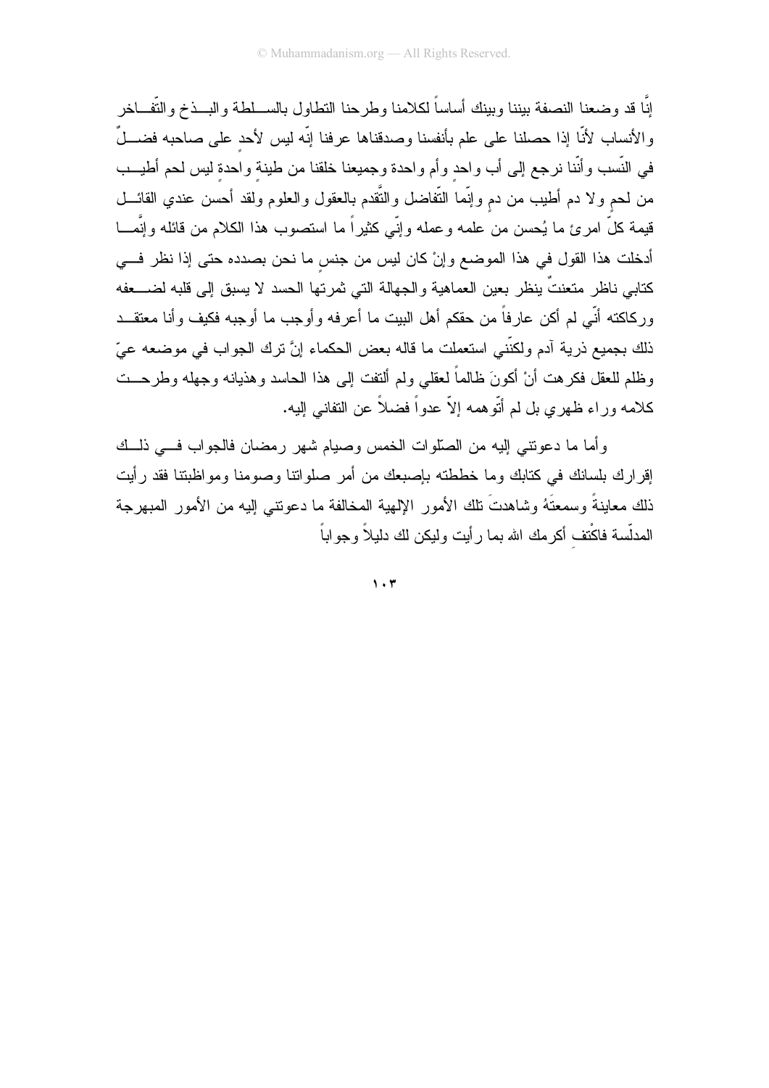إنَّا قد وضعنا النصفة بيننا وبينك أساساً لكلامنا وطرحنا النطاول بالســـلطة والبـــذخ والنُّفـــاخر والأنساب لأنّا إذا حصلنا على علم بأنفسنا وصدقناها عرفنا إنّه ليس لأحد على صاحبه فضـــلٌ في النَّسب وأنَّنا نرجع إلى أب واحد وأم واحدة وجميعنا خلقنا من طينة واحدة ليس لحم أطيـــب من لحم ولا دم أطيب من دم وإنَّما النُّفاضل والنُّقدم بالعقول والعلوم ولقد أحسن عندي القائـــل قيمة كلَّ امرئ ما يُحسن من علمه وعمله وإنِّي كثيراً ما استصوب هذا الكلام من قائله وإنَّمـــا أدخلت هذا القول في هذا الموضع وإنْ كان ليس من جنس ما نحن بصدده حتى إذا نظر فـــي كتابي ناظر متعنتٌ ينظر بعين العماهية والجهالة التي ثمرتها الحسد لا يسبق إلى قلبه لضــــعفه وركاكته أنّي لم أكن عارفاً من حقكم أهل البيت ما أعرفه وأوجب ما أوجبه فكيف وأنا معتقــد ذلك بجميع ذرية آدم ولكنَّني استعملت ما قاله بعض الحكماء إنَّ ترك الجواب في موضعه عيّ وظلم للعقل فكرهت أنْ أكونَ ظالماً لعقلبي ولم ألنفت إلى هذا الحاسد وهذيانه وجهله وطرحــت كلامه وراء ظهري بل لم أتّوهمه إلاّ عدواً فضلاً عن النفاني إليه.

وأما ما دعوتتي إليه من الصلَّوات الخمس وصبام شهر ( مضان فالجواب فسي ذليك إقر ار ك بلسانك في كتابك وما خططته بإصبعك من أمر صلواتنا وصومنا ومواظبتنا فقد رأيت ذلك معاينةً وسمعتَهُ وشاهدتَ نلك الأمور الإلهية المخالفة ما دعونتـي الِيه من الأمور المبهرجة المدلّسة فاكْتف أكرمك الله بما رأيت وليكن لك دليلاً وجواباً

 $\mathbf{1} \cdot \mathbf{r}$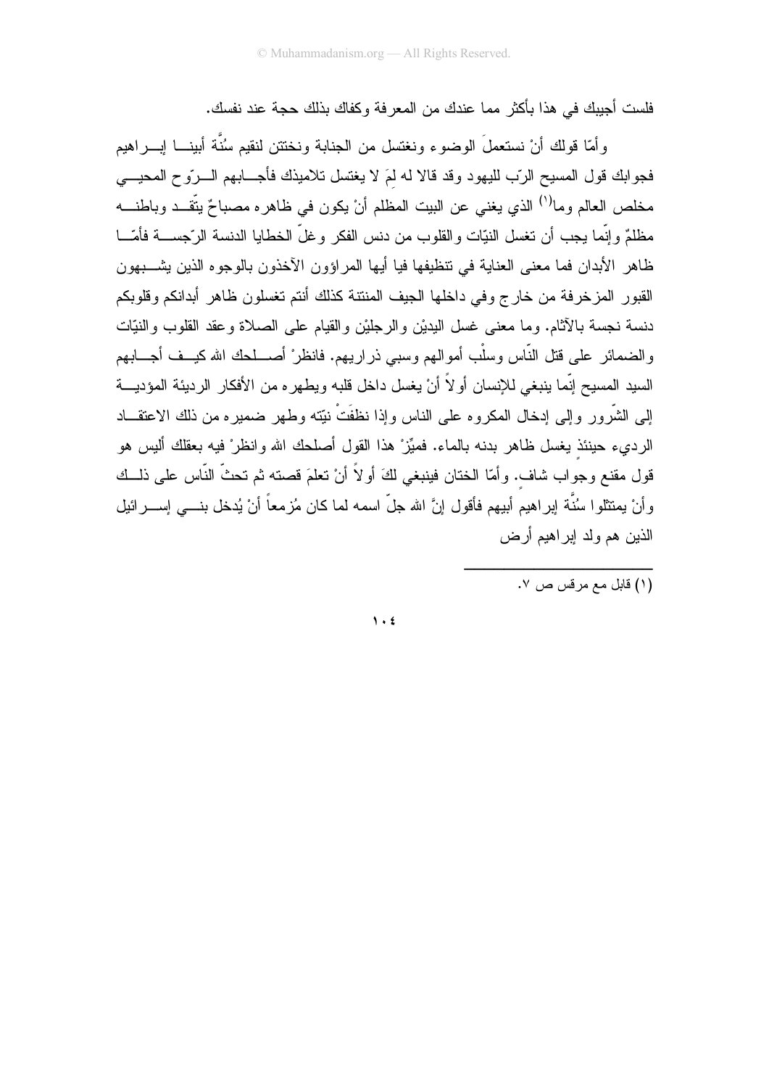فلست أجبِبك في هذا بأكثر "مما عندك من المعر فة وكفاك بذلك حجة عند نفسك.

وأمَّا قولك أنْ نستعملَ الوضوء ونغتسل من الجنابة ونختتن لنقيم سُنَّة أبينـــا إبــــراهيم فجوابك قول المسيح الرَّب لليهود وقد قالا له لمَ لا يغتسل تلاميذك فأجـــابهم الـــرَّو ح المحيــــي مخلص العالم وما<sup>(١)</sup> الذي يغني عن البيت المظلم أنْ يكون في ظاهره مصباحٌ يتَّقــد وباطنـــه مظلمٌ و إنَّما يجب أن تغسل النيّات و القلوب من دنس الفكر و غلَّ الخطايا الدنسة الرَّجســـة فأمّـــا ظاهر الأبدان فما معنى العناية في نتظيفها فيا أيها المراؤون الأخذون بالوجوه الذين بشـــبهون القبور المزخرفة من خارج وفي داخلها الجيف المنتنة كذلك أنتم تغسلون ظاهر أبدانكم وقلوبكم دنسة نجسة بالأثام. وما معنى غسل البديْن والرجليْن والقيام على الصلاة وعقد القلوب والنيّات والضمائر على قتل النَّاس وسلْب أموالهم وسبى ذراريهم. فانظر ْ أصــــلحك الله كيـــف أجــــابـهم السيد المسيح إنّما ينبغي للإنسان أو لاَّ أنْ يغسل داخل قلبه ويطهر ِه من الأفكار ِ الرِّديئة المؤديـــة إلى الشَّرُّ ور "وإلى إدخال المكرُّ وم على الناس وإذا نظفَتْ نبَّته وطهر "ضمير م من ذلك الإعتقـــاد" الرديء حينئذ يغسل ظاهر بدنه بالماء. فميِّزْ هذا القول أصلحك الله وانظر ْ فيه بعقلك أليس هو قول مقنع وجواب شاف. وأمّا الختان فينبغي لكَ أولاً أنْ تعلَّمَ قصنته ثم تحثُّ النَّاس على ذلــك وأنْ يمتثلوا سُنَّة ايراهيم أبيهم فأقول إنَّ الله جلَّ اسمه لما كان مُزمعاً أنْ يُدخل بنـــي إســــرائيل الذين هم ولد اير اهيم أرض

.<br>(١) قابل مع مرقس ص ٧.

 $\lambda$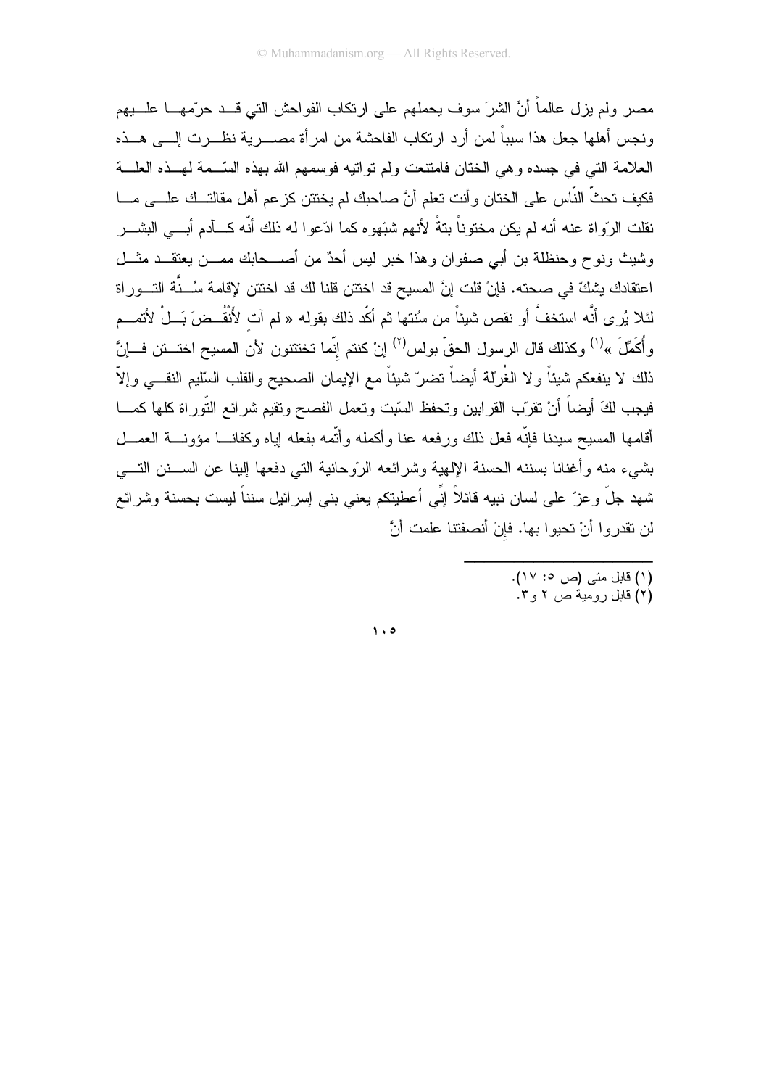مصر ولم يزل عالماً أنَّ الشرَ سوف يحملهم على ارتكاب الفواحش التي قـــد حرّمهــــا علــــبهم ونجس أهلها جعل هذا سبباً لمن أرد ارتكاب الفاحشة من امرأة مصــــرية نظـــرت إلــــي هـــذه العلامة التي في جسده وهي الختان فامتنعت ولم تواتيه فوسمهم الله بهذه السَّــمة لمهــذه العلـــة فكيف تحثَّ النَّاس على الختان وأنت تعلَّم أنَّ صاحبك لم يختتن كز عم أهل مقالتــك علـــى مـــا نقلت الرّواة عنه أنه لم يكن مختوناً بتةً لأنهم شبّهوه كما ادّعوا له ذلك أنّه كـــأدم أبــــى البشــــر وشيث ونوح وحنظلة بن أبي صفوان وهذا خبر ليس أحدٌ من أصـــحابك ممـــن يعتقـــد مثـــل اعتقادك بشكِّ في صـحته. فإنْ قلت إنَّ المسيح قد اختتن قلنا لك قد اختتن لإقامة سُــنَّة التـــوراة لئلا يُرِ ي أنَّه استخفَّ أو نقص شيئاً من سُنتها ثم أكّد ذلك بقوله « لم آت لأَنقُــضَ بَــلْ لأتمـــم وأُكَمِّلَ »<sup>(י)</sup> وكذلك قال الرسول الحقّ بولس<sup>(٢)</sup> إنْ كنتم إنّما تختتنون لأن المسيح اختـــنن فـــإنّ ذلك لا ينفعكم شيئاً ولا الغُرلة أيضاً تضرّ شيئاً مع الإيمان الصحيح والقلب السليم النقـــي وإلاّ فيجب لكَ أيضاً أنْ نقرّب القرابين ونحفظ السّبت ونعمل الفصح ونقيم شرائع التّوراة كلها كمـــا أقامها المسيح سيدنا فإنّه فعل ذلك ورفعه عنا وأكمله وأتّمه بفعله إياه وكفانـــا مؤونـــة العمـــل بشيء منه وأغنانا بسننه الحسنة الإلهية وشرائعه الرّوحانية التي دفعها إلينا عن الســـنن التــــي شهد جلَّ وعز ّ على لسان نبيه قائلاً إنِّي أعطيتكم يعني بني إسرائيل سنناً ليست بحسنة وشرائع لن نقدروا أنْ تحيوا بها. فإنْ أنصفتنا علمت أنَّ

> .<br>(١) قابل متبي (ص ٥: ١٧). (۲) قابل رومیةٌ ص ۲ و ۳.

 $\lambda \cdot \mathbf{0}$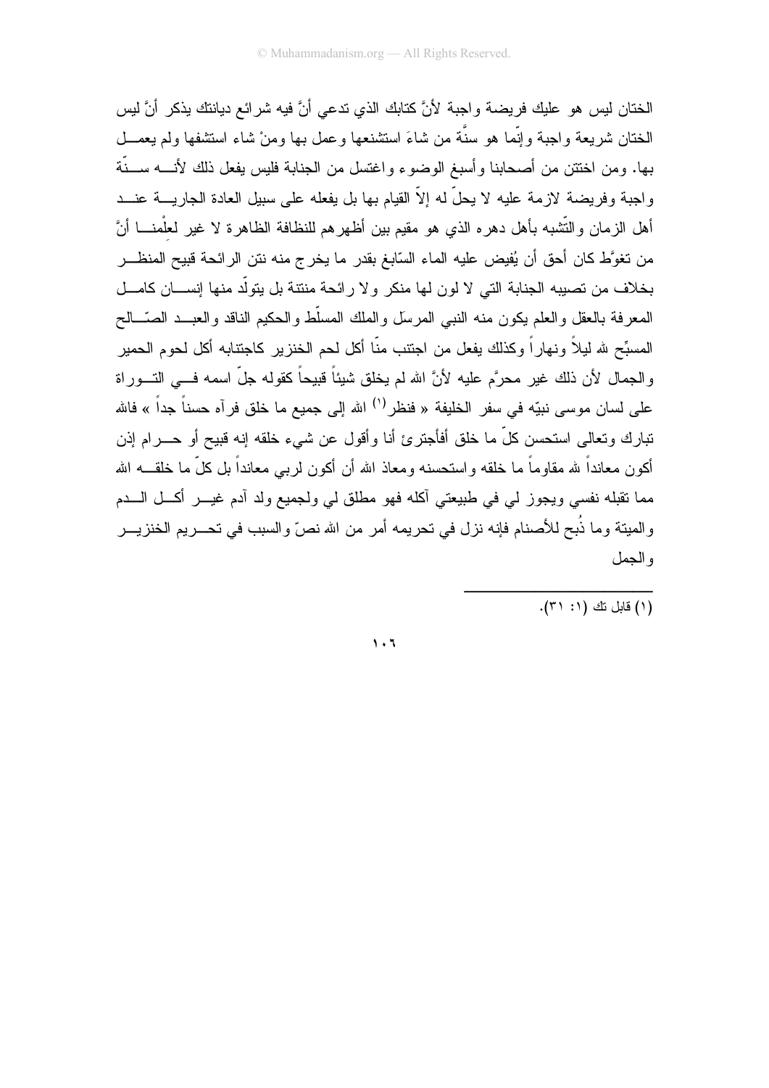الْخِتانِ لِيس هو عليكِ فريضية واجبة لأنَّ كتابِكِ الذي تدعى أنَّ فيه شر ائع ديانتكِ يذكر ۖ أنَّ ليس الختان شريعة واجبة وإنَّما هو سنَّة من شاءَ استشنعها وعمل بها ومنْ شاء استثنفها ولم يعمـــل بها. ومن اختتن من أصحابنا وأسبغ الوضوء واغتسل من الجنابة فليس بفعل ذلك لأنــــه ســـنّة واجبة وفريضة لازمة عليه لا يحلُّ له إلاَّ القيام بها بل يفعله على سبيل العادة الجاريــــة عنـــد أهل الزمان والتُّشبه بأهل دهره الذي هو مقيم بين أظهرهم للنظافة الظاهرة لا غير لعلْمنــــا أنَّ من تغوَّط كان أحق أن يُفيض عليه الماء السّابغ بقدر ما يخرج منه نتن الرائحة قبيح المنظـــر بخلاف من تصيبه الجنابة التي لا لون لها منكر ولا رائحة منتنة بل يتولَّد منها إنســـان كامـــل المعرفة بالعقل والعلم يكون منه النبي المرسل والملك المسلّط والحكيم الناقد والعبــد الصّــالح المسبِّح لله ليلاً ونهارٍ أ وكذلك يفعل من اجتنب منَّا أكل لحم الخنزير كاجتنابه أكل لحوم الحمير والجمال لأن ذلك غير محرَّم عليه لأنَّ الله لم يخلق شيئاً قبيحاً كقوله جلَّ اسمه فـــي النـــوراة على لسان موسى نبيّه في سفر الخليفة « فنظر<sup>(י)</sup> الله إلى جميع ما خلق فرآه حسناً جداً » فالله تبارك وتعالى استحسن كلِّ ما خلق أفأجترئ أنا وأقول عن شيء خلقه إنه قبيح أو حــــرام إذن أكون معانداً لله مقاوماً ما خلقه واستحسنه ومعاذ الله أن أكون لربـي معانداً بل كلِّ ما خلقـــه الله مما نقبله نفسي ويجوز لمي في طبيعتي أكله فهو مطلق لي ولجميع ولد أدم غيـــر أكـــل الــــدم والميتة وما ذُبح للأصنام فإنه نزل في تحريمه أمر من الله نصِّ والسبب في تحـــريم الخنزيـــر و الحمل

(١) قابل نك (١: ٣١).

 $\mathbf{1} \cdot \mathbf{1}$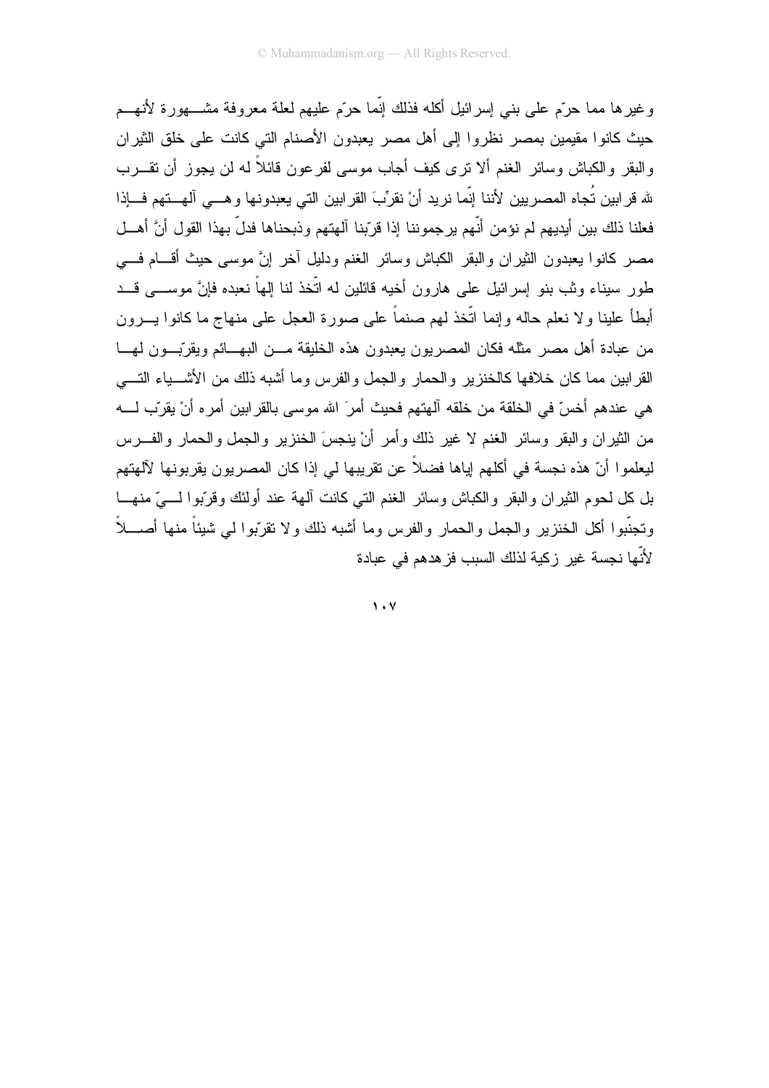و غير ها مما حرَّم علي بنبي إسر ائيل أكله فذلك إنَّما حرَّم عليهم لعلة معر وفة مشــــهور ة لأنهـــم حيث كانوا مقيمين بمصر نظروا إلى أهل مصر يعبدون الأصنام التي كانت على خلق الثير ان والبقر والكباش وسائر الغنم ألا نرى كيف أجاب موسى لفرعون قائلاً له لن يجوز أن نقـــرب لله قرابين تُجاه المصريين لأننا إنّما نريد أنْ نقرِّبَ القرابين التي يعبدونها وهـــي آلمهــتهم فـــإذا فعلنا ذلك بين أيديهم لم نؤمن أنّهم يرجموننا إذا قرّبنا آلهتهم وذبحناها فدلّ بهذا القول أنَّ أهــل مصر كانوا يعبدون الثيران والبقر الكباش وسائر الغنم ودليل أخر إنَّ موسى حيث أقسام فسى طور ِ سيناء وثب بنو اِسرائيل علمي هارون أخيه قائلين له اتَّخذ لنا الِهاً نعبده فانَّ موســــى قـــد أبطأ علينا ولا نعلم حاله وإنما اتَّخذ لمهم صنماً على صورة العجل على منهاج ما كانوا يـــرون من عبادة أهل مصر مثله فكان المصريون يعبدون هذه الخليقة مـــن البهـــائم ويقرّبـــون لهـــا القر ابين مما كان خلافها كالخنز بر و الحمار و الجمل و الفر س و ما أشبه ذلك من الأشـــباء التــــي هي عندهم أخسّ في الخلقة من خلقه آلهتهم فحيث أمرَ الله موسى بالقرابين أمره أنْ يقرّب لــــه من الثيران والبقر وسائر الغنم لا غير ذلك وأمر أنْ ينجسَ الخنزير والجمل والحمار والفـــرس ليعلموا أنّ هذه نجسة في أكلهم إياها فضلاً عن تقريبها لي إذا كان المصريون يقربونها لآلهتهم بل كل لحوم الثيران والبقر والكباش وسائر الغنم التبي كانت ألمهة عند أولئك وقرّبوا لــــيّ منهــــا وتجنَّبوا أكل الخنزير والجمل والحمار والفرس وما أشبه ذلك ولا تقرَّبوا لـى شيئاً منها أصــــلاً لأنّها نجسة غير زكية لذلك السبب فزهدهم في عبادة

 $\mathbf{y} \cdot \mathbf{y}$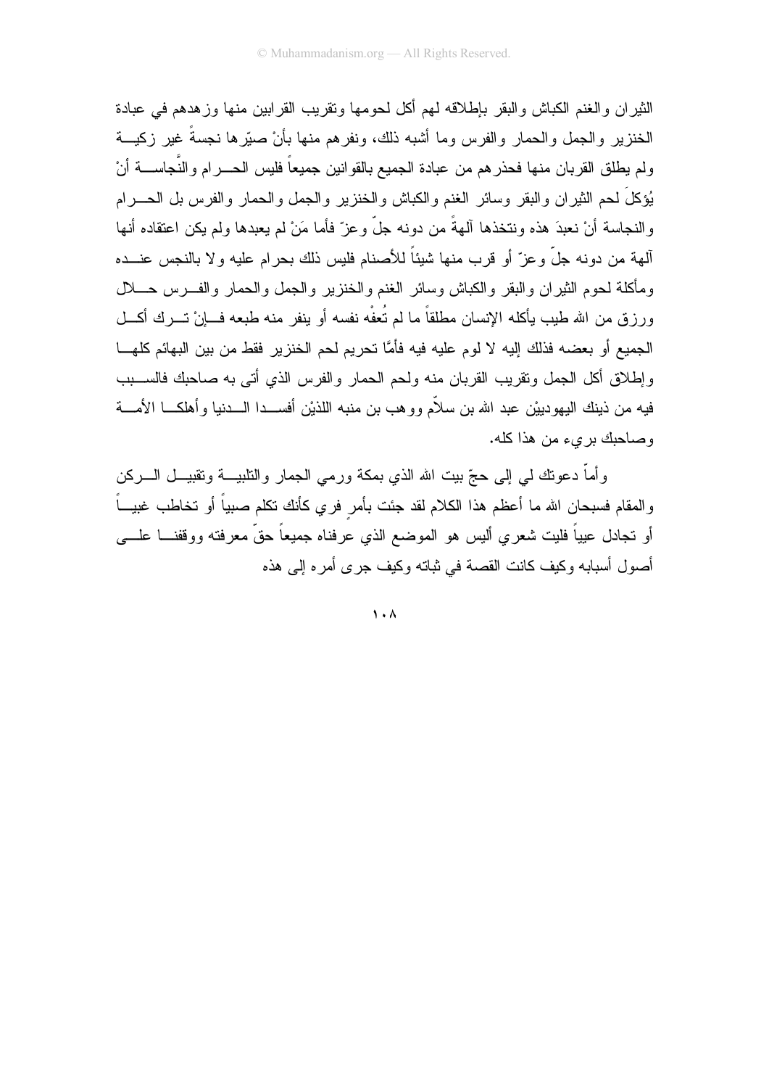الثير ان و الخنم الكباش و البقر بإطلاقه لهم أكل لحو مها و تقريب القر ابين منها و ز هدهم في عبادة الخنزير والجمل والحمار والفرس وما أشبه ذلك، ونفرهم منها بأنْ صبّرها نجسةً غير زكيـــة ولم يطلق القربان منها فحذرهم من عبادة الجميع بالقوانين جميعاً فليس الحــــرام والنَّجاســــة أنْ بُؤكلَ لحم الثيران والبقر وسائر الغنم والكباش والخنزير والجمل والحمار والفرس بل الحــــرام والنجاسة أنْ نعبدَ هذه ونتخذها آلهةً من دونه جلَّ وعزَّ فأما مَنْ لم يعبدها ولم يكن اعتقاده أنها ألهة من دونه جلَّ وعزَّ أو قرب منها شيئاً للأصنام فليس ذلك بحرام عليه ولا بالنجس عنـــده ومأكلة لحوم الثيران والبقر والكباش وسائر الغنم والخنزير والجمل والحمار والفـــرس حـــــلل ورزق من الله طيب يأكله الإنسان مطلقاً ما لم تُعفْه نفسه أو ينفر منه طبعه فـــانْ تـــرك أكـــل الجميع أو بعضه فذلك إليه لا لوم عليه فيه فأمَّا تحريم لحم الخنزير. فقط من بين البهائم كلهـــا وإطلاق أكل الجمل ونقريب القربان منه ولحم الحمار والفرس الذي أتى به صاحبك فالســـبب فيه من ذينك اليهودييْن عبد الله بن سلاَّم وو هب بن منبه اللذيْن أفســـدا الــــدنيا و أهلكـــا الأمــــة وصاحبك بريء من هذا كله.

وأماً دعونك لمي إلى حجّ ببت الله الذي بمكة ورمي الجمار والنابيـــة ونقبيـــل الــــركن والمقام فسبحان الله ما أعظم هذا الكلام لقد جئت بأمر فري كأنك نكلم صبياً أو تخاطب غبيــاً أو تجادل عيياً فليت شعري أليس هو الموضع الذي عرفناه جميعاً حقٍّ معرفته ووقفنــــا علــــي أصول أسبابه وكيف كانت القصة في ثباته وكيف جرى أمره إلى هذه

 $\lambda$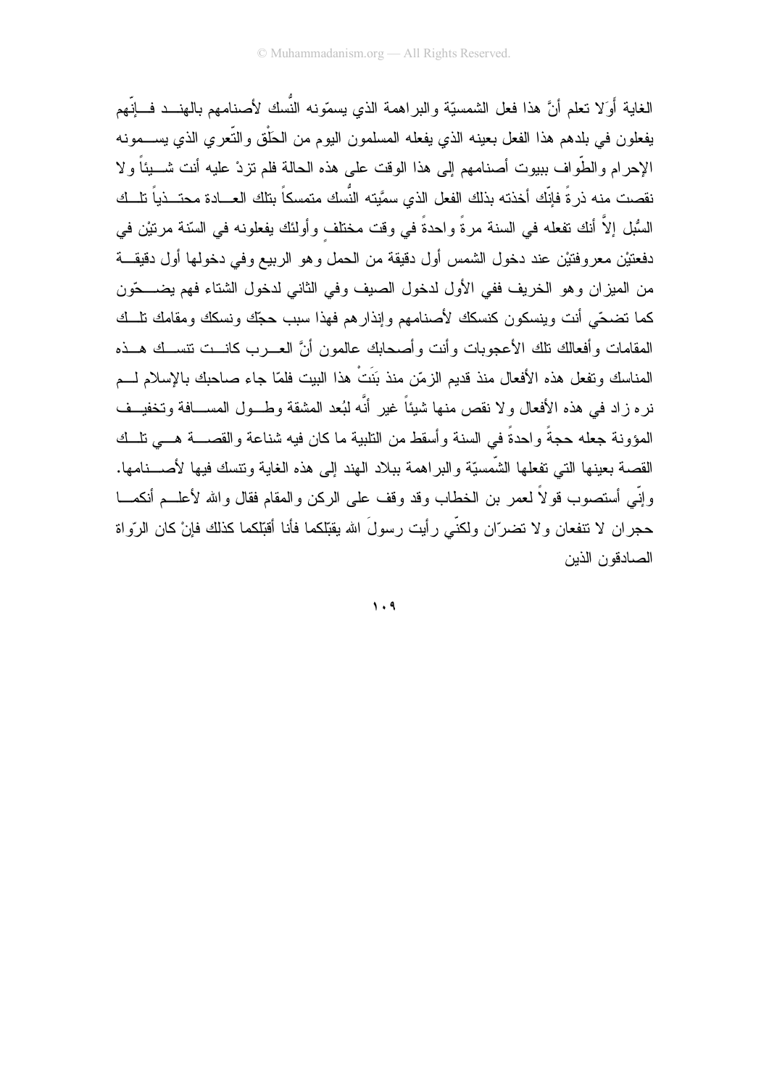الغاية أَوَلا نعلم أنَّ هذا فعل الشمسيّة والبراهمة الذي يسمّونه النَّسك لأصنامهم بالهنـــد فـــانِّهم يفعلون في بلدهم هذا الفعل بعينه الذي يفعله المسلمون اليوم من الحَلْق والنَّعرى الذي يســـمونه الإحرام والطَّواف ببيوت أصنامهم إلى هذا الوقت على هذه الحالة فلم نزدْ عليه أنت شــــيئاً ولا نقصت منه ذرءً فإنَّك أخذته بذلك الفعل الذي سمَّيته النُّسك متمسكاً بتلك العـــادة محتـــذياً تلـــك السُبْل إلاَّ أنك نفعله في السنة مرةً واحدةً في وقت مختلف وأولئك يفعلونه في السّنة مرتيْن في دفعتيْن معروفتيْن عند دخول الشمس أول دقيقة من الحمل وهو الربيع وفي دخولها أول دقيقة من الميزان وهو الخريف ففي الأول لدخول الصيف وفي الثاني لدخول الشتاء فهم يضـــحّون كما تضحّى أنت وينسكون كنسكك لأصنامهم وإنذارهم فهذا سبب حجّك ونسكك ومقامك نلسك المقامات وأفعالك نلك الأعجوبات وأنت وأصحابك عالمون أنَّ العـــرب كانـــت نتســك هـــذه المناسك وتفعل هذه الأفعال منذ قدبم الزمّن منذ بَنَتْ هذا الببت فلمّا جاء صاحبك بالإسلام لـــم نر ِه زاد في هذه الأفعال و لا نقص منها شيئاً غير أنَّه لبُعد المشقة وطــول المســافة وتخفيــف المؤونة جعله حجةً واحدةً في السنة وأسقط من التلبية ما كان فيه شناعة والقصــــة هـــي تلـــك القصـة بـعينـها النـّي نفعلـها الشَّمسيّة والبراهمـة ببـلاد الـهند إلـي هذه الـغايـة ونتسك فيـها لأصــــنامـها. وإِنِّي أستصوب قولاً لعمر بن الخطاب وقد وقف على الركن والمقام فقال والله لأعلـــم أنكمــــا حجران لا نتفعان ولا نضرّان ولكنّى رأيت رسولَ الله يقبّلكما فأنا أقبّلكما كذلك فإنْ كان الرّواة الصادقون الذبن

 $\mathcal{N} \cdot \mathcal{A}$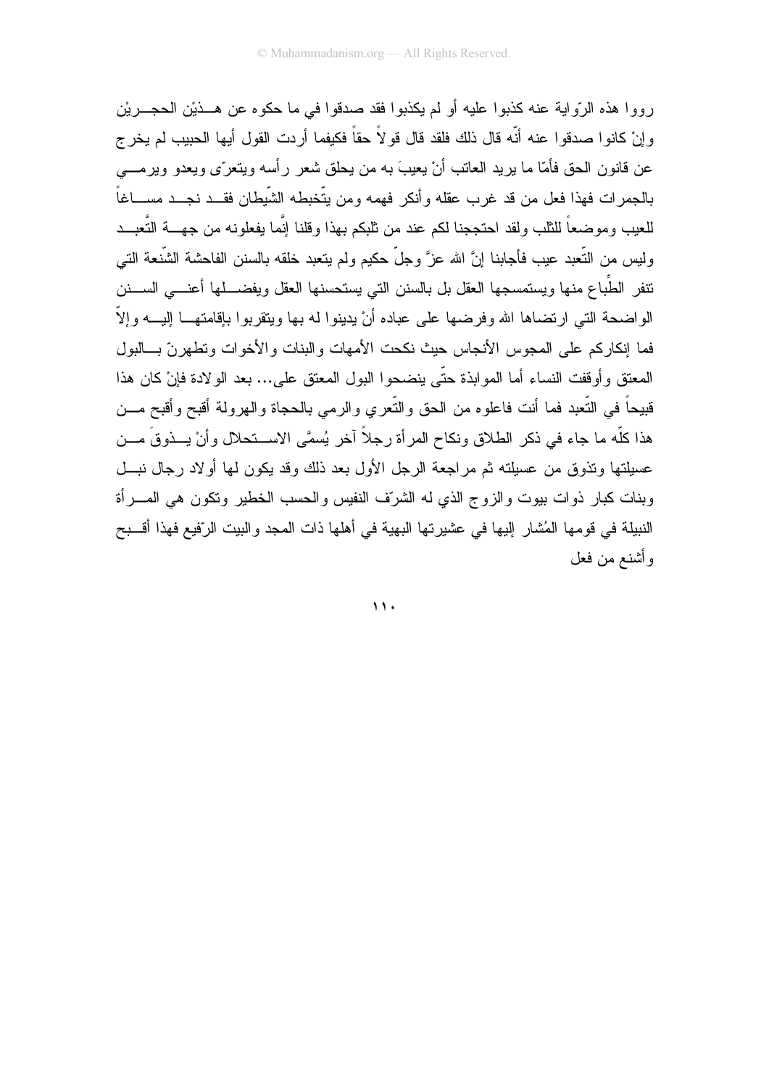رووا هذه الرّواية عنه كذبوا عليه أو لم يكذبوا فقد صدقوا في ما حكوه عن هـــذيْن الحجـــريْن و إنْ كانو ا صدقو ا عنه أنّه قال ذلك فلقد قال قو لاً حقاً فكيفما أردت القول أيها الحبيب لم يخر ج عن قانون الحق فأمّا ما بريد العانب أنْ بعيبَ به من بحلق شعر رأسه ويتعرّى ويعدو ويرمـــي بالجمرات فهذا فعل من قد غرب عقله وأنكر فهمه ومن يتّخبطه الشَّبطان فقــد نجــد مســـاغاً للعيب وموضعاً للثلب ولقد احتججنا لكم عند من ثلبكم بهذا وقلنا إنّما يفعلونه من جهـــة التّعبـــد وليس من التُّعبد عيب فأجابنا إنَّ الله عزَّ وجلَّ حكيم ولم يتعبد خلقه بالسنن الفاحشة الشُّنعة التي نتفر الطُّباع منها ويستمسجها العقل بل بالسنن التي يستحسنها العقل ويفضــــلها أعنــــي الســــنن الو اضبحة التبي ار تضباها الله و فر ضبها علي عباده أنْ يدينوا له بها ويتقرَّبوا بإقامتهــا إليـــه و إلاّ فما إنكار كم على المجوس الأنجاس حيث نكحت الأمهات والبنات والأخوات وتطهر نّ بـــالبول المعتق و أو قفت النساء أما المو ابذة حتَّى بنضحو ا البول المعتق على... بعد الو لادة فإنْ كان هذا قبيحاً في النُّعبد فما أنت فاعلوه من الحق والنُّعري والرمي بالحجاة والهرولة أقبح وأقبح مـــن هذا كلَّه ما جاء في ذكر الطلاق ونكاح المرأة رجلاً آخر يُسمَّى الاســتحلال وأنْ يـــذوقَ مـــن عسيلتها ونذوق من عسيلته ثم مراجعة الرجل الأول بعد ذلك وقد يكون لمها أولاد رجال نبسل وبنات كبار ذوات بيوت والزوج الذي له الشرّف النفيس والحسب الخطير ونكون هي المسرأة النبيلة في قومها المُشار إليها في عشيرتها البهية في أهلها ذات المجد والبيت الرّفيع فهذا أقسبح و أشنع من فعل

 $\mathbf{11}$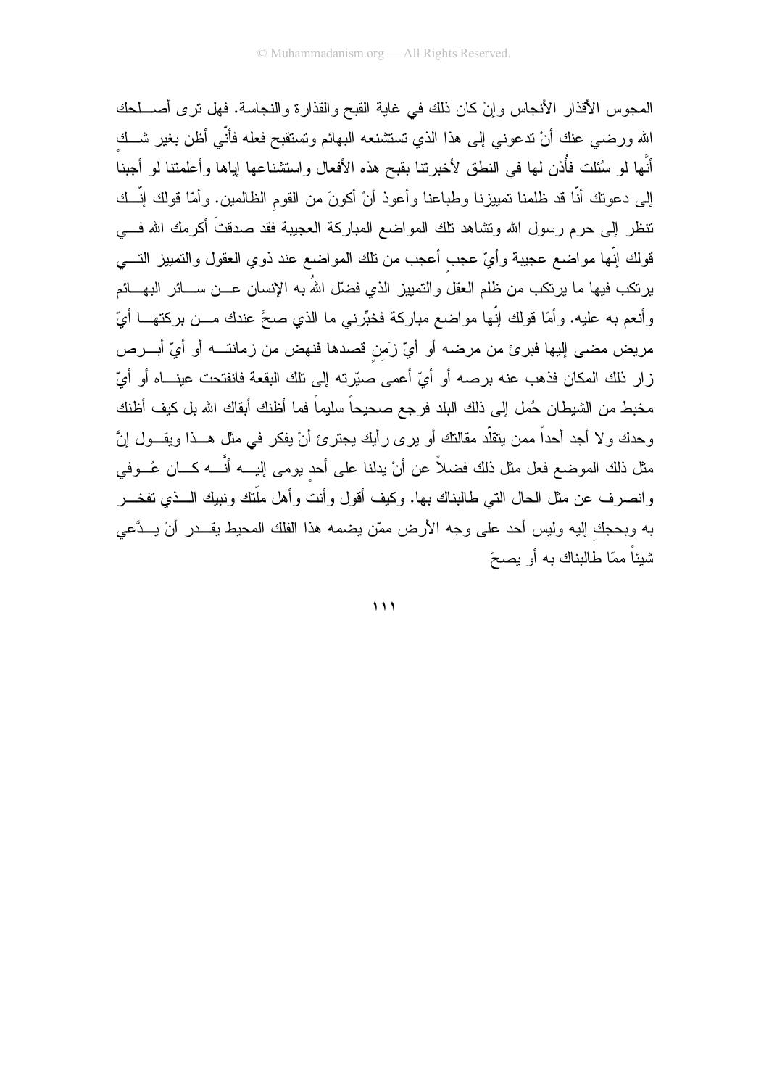المجوس الأقذار الأنجاس وإنْ كان ذلك في غاية القبح والقذارة والنجاسة. فهل نرى أصطحك الله ورضيي عنك أنْ ندعوني إلى هذا الذي نستشنعه البهائم وتستقبح فعله فأنّي أظن بغير شـــك أنَّها لو سُئلت فأُذن لمها في النطق لأخبرتنا بقبح هذه الأفعال واستشناعها إباها وأعلمتنا لو أجبنا إلى دعونك أنَّا قد ظلمنا تمييزنا وطباعنا وأعوذ أنْ أكونَ من القوم الظالمين. وأمَّا قولك إنَّـــك نتظر إلى حرم رسول الله وتشاهد نلك المواضع المباركة العجيبة فقد صدقتَ أكرمك الله فـــى قولك إنّها مواضع عجيبة وأيّ عجب أعجب من نلك المواضع عند ذوي العقول والنمبيز التـــي يرنكب فيها ما يرنكب من ظلم العقل والتمييز الذي فضلّ اللهُ به الإنسان عـــن ســــائر البهــــائم وأنعم به عليه. وأمَّا قولك إنَّها مواضع مباركة فخبِّرني ما الذي صحَّ عندك مـــن بركتهـــا أيّ مريض مضىي إليها فبرئ من مرضه أو أيِّ زَمن قصدها فنهض من زمانتـــه أو أيِّ أبـــرص زار ذلك المكان فذهب عنه برصه أو أيِّ أعمى صبّرته إلى تلك البقعة فانفتحت عينـــاه أو أيّ مخبط من الشيطان حُمل إلى ذلك البلد فرجع صحيحاً سليماً فما أظنك أبقاك الله بل كيف أظنك وحدك و لا أجد أحداً ممن يتقلَّد مقالتك أو يرى رأيك يجترئ أنْ يفكر في مثل هـــذا ويقـــول إنَّ مثل ذلك الموضع فعل مثل ذلك فضلاً عن أنْ يدلنا على أحد يومي إليــــه أنَّــــه كـــان عُـــوفي وانصرف عن مثل الحال النبي طالبناك بها. وكيف أقول وأنت وأهل ملَّتك ونبيك الـــذي تفخـــر به وبحجك إليه وليس أحد على وجه الأرض ممّن يضمه هذا الفلك المحيط يقـــدر أنْ يـــدَّعى شْبِئاً ممّا طالبناك به أو بصحّ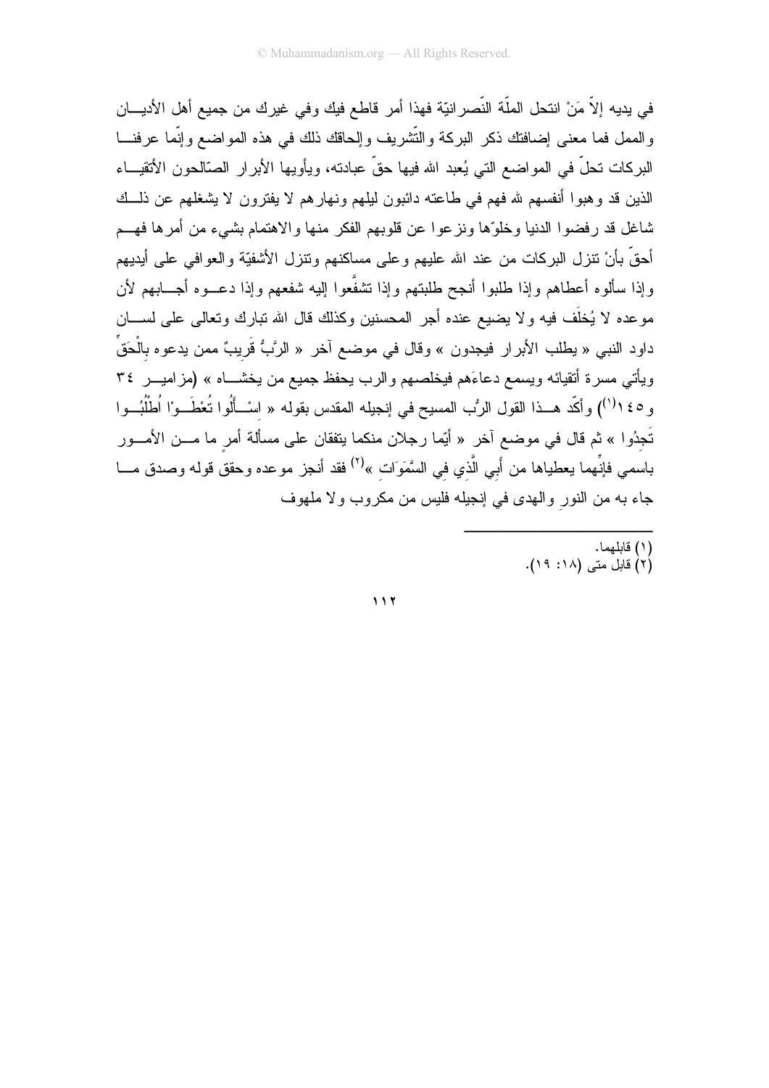في يديه إلاّ مَنْ انتحل الملّة النّصرانيّة فهذا أمر قاطع فيك وفي غيرك من جميع أهل الأديـــان والممل فما معنى إضافتك ذكر البركة والتّشريف وإلحاقك ذلك في هذه المواضع وإنّما عرفنـــا البركات نحلٌ في المواضع التي يُعبد الله فيها حقَّ عبادته، ويأويها الأبرار الصَّالحون الأتقيـــاء الذين قد وهبوا أنفسهم لله فهم في طاعته دائبون ليلهم ونهارهم لا يفترون لا يشغلهم عن ذلــك شاغل قد رفضوا الدنيا وخلوّها ونزعوا عن قلوبهم الفكر منها والاهتمام بشيء من أمرها فهــم أحقَّ بأنْ نتزل البركات من عند الله عليهم وعلى مساكنهم ونتزل الأشفيَّة والعوافـي علـي أيديهم وإذا سألوه أعطاهم وإذا طلبوا أنجح طلبتهم وإذا تشفَّعوا إليه شفعهم وإذا دعــوه أجـــابـهم لأن موعده لا يُخلِّف فيه ولا يضيع عنده أجر المحسنين وكذلك قال الله نبارك ونعالى على لســـان داود النبي « يطلب الأبرار فيجدون » وقال في موضع آخر « الرَّبُّ قَريبٌ ممن يدعوه بالْحَقِّ ويأتي مسرة أنقيائه ويسمع دعاءَهم فيخلصهم والرب يحفظ جميع من يخشـــاه » (مزاميـــر ٣٤ و ٢٥ ( ١) وأكَّد هــذا القول الرُّب المسيح في إنجيله المقدس بقوله « اسْــأَلُوا تُعْطَــوْا اُطْلُبُــوا .<br>تَجدُوا » ثم قال في موضع آخر « أيِّما رجلان منكما يتفقان على مسألة أمر ما مـــن الأمـــور باسمي فإنِّهما يعطياها من أَبي الَّذي في السَّمَوَات »<sup>(٢)</sup> فقد أنـجز موعده وحقق قولـه وصدق مــــا جاء به من النور والهدى في إنجيله فليس من مكروب ولا ملهوف

> (١) قابلهما. (٢) قابل متى (١٨: ١٩).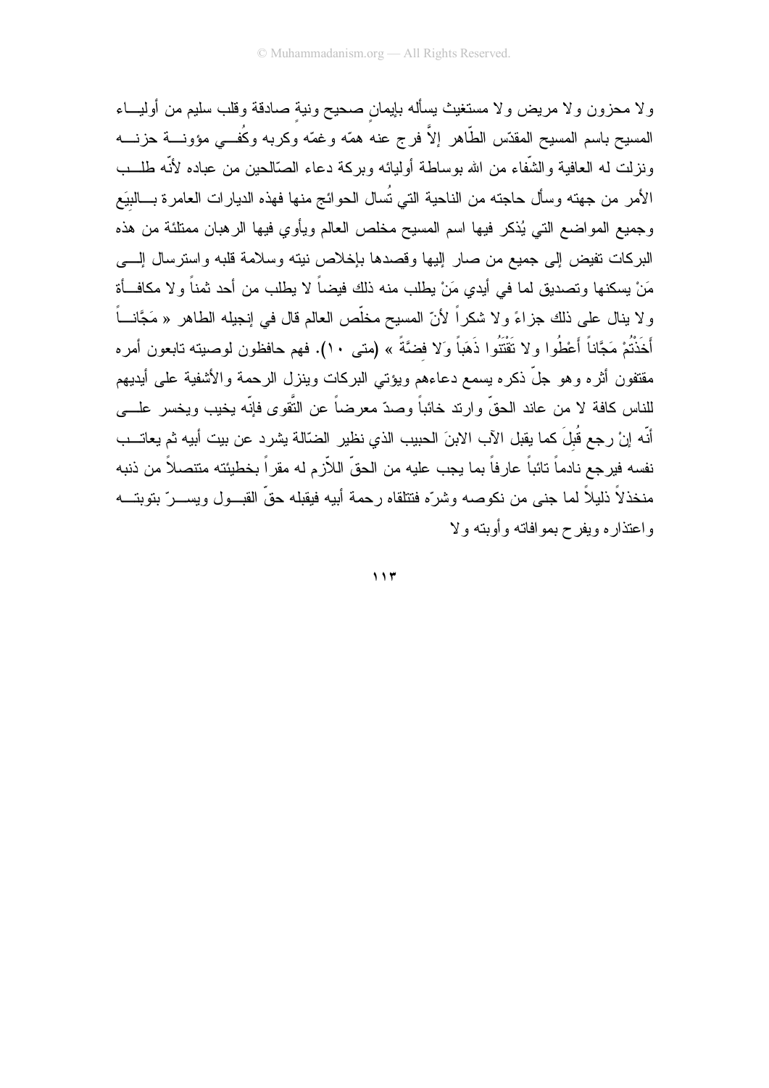ولا محزون ولا مريض ولا مستغيث يسأله بإيمان صحيح ونية صادقة وقلب سليم من أوليبء المسيح باسم المسيح المقدّس الطَّاهر إلاَّ فرج عنه همّه وغمّه وكربه وكُفـــى مؤونــــة حزنــــه ونزلت له العافية والشُّفاء من الله بوساطة أوليائه وبركة دعاء الصَّالحين من عباده لأنَّه طلَّــب الأمر من جهته وسأل حاجته من الناحية التي تُسال الحوائج منها فهذه الديارات العامرة بـــالبيَع وجميع المواضع التي يُذكر فيها اسم المسيح مخلص العالم ويأوي فيها الرهبان ممتلئة من هذه البركات نفيض إلىي جميع من صار إليها وقصدها بإخلاص نيته وسلامة قلبه واسترسال إلسي مَنْ بِسكنها وتصديق لما في أيدي مَنْ بِطلبٍ منه ذلك فيضاً لا يطلب من أحد ثمناً و لا مكافــأة و لا ينال على ذلك جزاءً و لا شكراً لأنّ المسيح مخلّص العالم قال في إنجيله الطاهر « مَجَّانـــاً أَخَذْتُمْ مَجَّاناً أَعْطُوا ولا تَقْتَلُوا ذَهَباً وَلا فضَّةً » (متى ١٠). فهم حافظون لوصبيته تابعون أمره مقتفون أثره وهو جلَّ ذكره يسمع دعاءهم ويؤتى البركات وينزل الرحمة والأشفية على أيديهم للناس كافة لا من عاند الحقِّ و ارتد خائباً وصدّ معرضاً عن النَّقوى فإنّه يخيب ويخسر ِ علــــى أنّه إنْ رجع قُبلَ كما يقبل الآب الابنَ الحبيب الذي نظير الضّالة يشرد عن بيت أبيه ثم يعاتــب نفسه فيرجع نادماً تائباً عارِفاً بما يجب عليه من الحقّ اللاّزم له مقراً بخطيئته متنصلاً من ذنبه منخذلاً ذليلاً لما جني من نكوصه وشرّه فتتلقاه رحمة أبيه فيقبله حقّ القبـــول ويســـرّ بتوبتــــه واعتذاره ويفرح بموافاته وأوبته ولا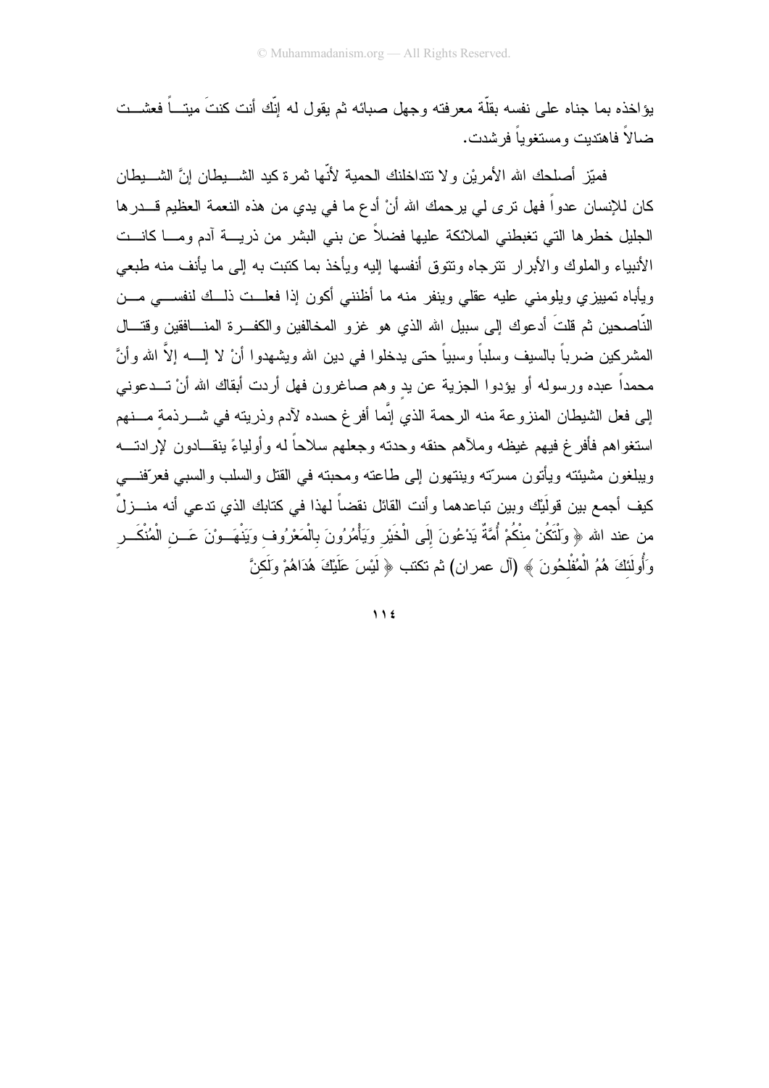يؤ اخذه بما جناه على نفسه بقلَّة معر فته وجهل صبائه ثم بقول له اتَّك أنت كنتَ مبنــــاً فعشـــت ضالاً فاهتديت ومستغوياً فرشدت.

فميّز أصلحك الله الأمريْن ولا نتداخلنك الحمية لأنّها ثمرة كيد الشـــبطان إنَّ الشـــبطان كان للإنسان عدواً فهل ترى لي يرحمك الله أنْ أدع ما في يدي من هذه النعمة العظيم قـــدرها الجليل خطرها التي تغبطني الملائكة عليها فضلاً عن بني البشر من ذريــــة آدم ومــــا كانـــت الأنبياء والملوك والأبرار نترجاه ونتوق أنفسها إليه ويأخذ بما كتبت به إلى ما يأنف منه طبعي ويأباه تمييزي ويلومني عليه عقلي وينفر منه ما أظنني أكون إذا فعلــت ذلــك لنفســـي مـــن النَّاصحين ثم قلتَ أدعوك إلى سبيل الله الذي هو غزو المخالفين والكفـــرة المنــــافقين وقتـــال المشركين ضرباً بالسيف وسلباً وسبياً حتى يدخلوا في دين الله ويشهدوا أنْ لا إلــــه إلاّ الله وأنَّ محمداً عبده ورسوله أو يؤدوا الجزية عن يد وهم صاغرون فهل أردت أبقاك الله أنْ تـــدعونـي إلى فعل الشيطان المنزوعة منه الرحمة الذي إنَّما أفرغ حسده لآدم وذريته في شـــرذمة مـــنهم استغواهم فأفرغ فيهم غيظه وملأهم حنقه وحدته وجعلهم سلاحاً له وأولياءً ينقــادون لإر ادتـــه وبيلغون مشيئته ويأتون مسرتته وينتهون إلى طاعته ومحبته في القتل والسلب والسبي فعرفنسي كيف أجمع بين قولَيْك وبين تباعدهما وأنت القائل نقضاً لهذا في كتابك الذي تدعى أنه منـــزلٌ من عند الله ﴿ وَلْتَكُنْ منْكُمْ أُمَّةٌ يَدْعُونَ إِلَى الْخَيْرِ وَيَأْمُرُونَ بِالْمَعْرُوف وَيَنْهَــوْنَ عَــن الْمُنْكَــر وَأُولَٰئَكَ هُمُ الْمُفْلَحُونَ ﴾ (آل عمران) ثم نكتب ﴿ لَيْسَ عَلَيْكَ هُدَاهُمْ وَلَكنَّ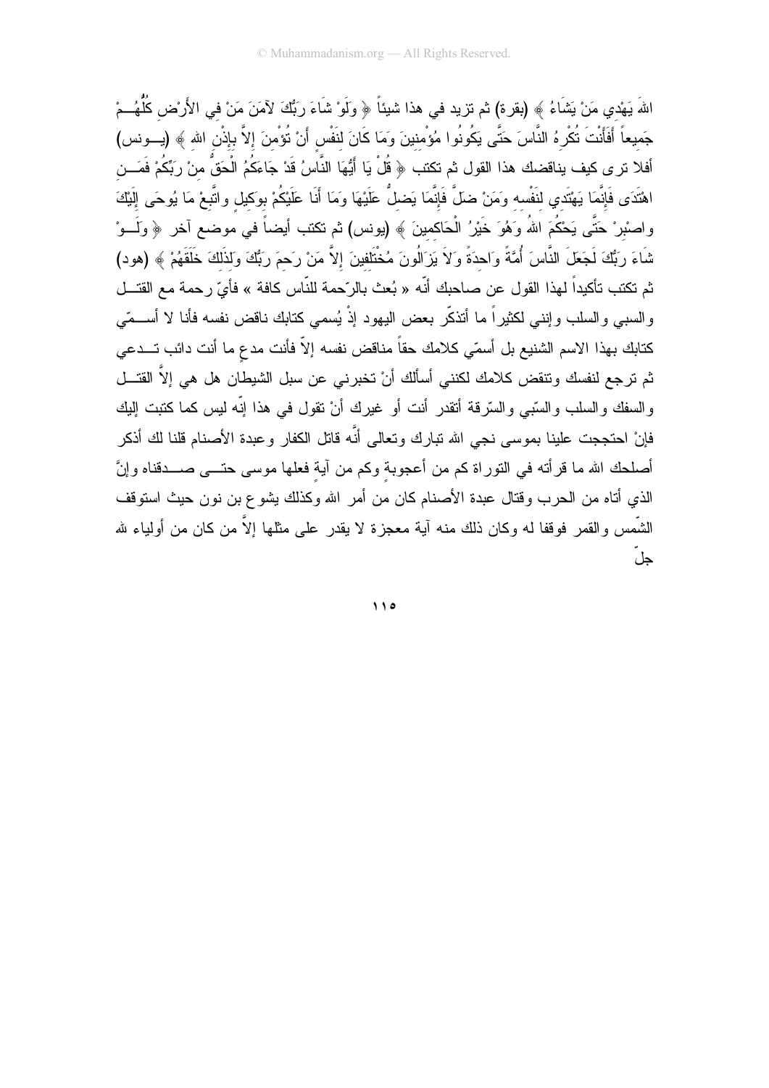اللهَ يَهْدي مَنْ يَشَاءُ ﴾ (بقرة) ثم تزيد في هذا شيئاً ﴿ وَلَوْ شَاءَ رَبُّكَ لآمَنَ مَنْ في الأَرْض كُلُّهُــمْ جَميعاً أَفَأَنْتَ نُكْرِهُ النَّاسَ حَتَّى يَكُونُوا مُؤْمنينَ وَمَا كَانَ لنَفْس أَنْ نُؤْمنَ إلاَّ بإذْن الله ﴾ (يــونس) أفلا نر ى كيف يناقضك هذا القول ثم تكتب ﴿ قُلْ يَا أَيُّهَا النَّاسُ قَدْ جَاءَكُمُ الْحَقُّ منْ رِبِّكُمْ فَمَـــن اهْتَدَى فَإِنَّمَا يَهْتَدي لنَفْسه وَمَنْ ضلَّ فَإِنَّمَا يَضلُّ عَلَيْهَا وَمَا أَنَا عَلَيْكُمْ بوكيل واتَّبعْ مَا يُوحَى إلَيْكَ واصنْبرْ حَتَّى يَحْكُمَ اللهُ وَهُوَ خَيْرُ الْحَاكمينَ ﴾ (يونس) ثم تكتب أيضاً في موضع آخر ﴿ وَلَــوْ شَاءَ رَبُّكَ لَجَعَلَ النَّاسَ أُمَّةً وَاحدَةً وَلاَ يَزَالُونَ مُخْتَلفينَ إلاَّ مَنْ رَحمَ رَبُّكَ وَلذَلكَ خَلَقَهُمْ ﴾ (هود) ثم تكتب تأكيداً لهذا القول عن صاحبك أنّه « بُعث بالرّحمة للنّاس كافة » فأيّ رحمة مع القتــل و السببي والسلب وإننـي لكثيراً ما أنذكَّر بعض اليهود إذْ يُسمى كنابك ناقض نفسه فأنا لا أســـمّي كتابك بهذا الاسم الشنيع بل أسمّي كلامك حقاً مناقض نفسه إلاّ فأنت مدع ما أنت دائب تـــدعى ثم ترجع لنفسك ونتقض كلامك لكنني أسألك أنْ تخبرني عن سبل الشيطان هل هي إلاَّ القتـــل والسفك والسلب والسَّبي والسَّرقة أتقدر أنت أو غيرك أنْ تقول في هذا إنَّه ليس كما كتبت إليك فإنْ احتججت علينا بموسى نجى الله نبارك ونعالى أنَّه قاتل الكفار وعبدة الأصنام قلنا لك أذكر أصلحك الله ما قرأته في النوراة كم من أعجوبة وكم من أية فعلها موسى حتـــى صــــدقناه وإنَّ الذي أتاه من الحرب وقتال عبدة الأصنام كان من أمر الله وكذلك يشوع بن نون حيث استوقف الشَّمس والقمر فوقفا له وكان ذلك منه آية معجزة لا يقدر على مثلها إلاَّ من كان من أولياء لله حل

 $\bigwedge$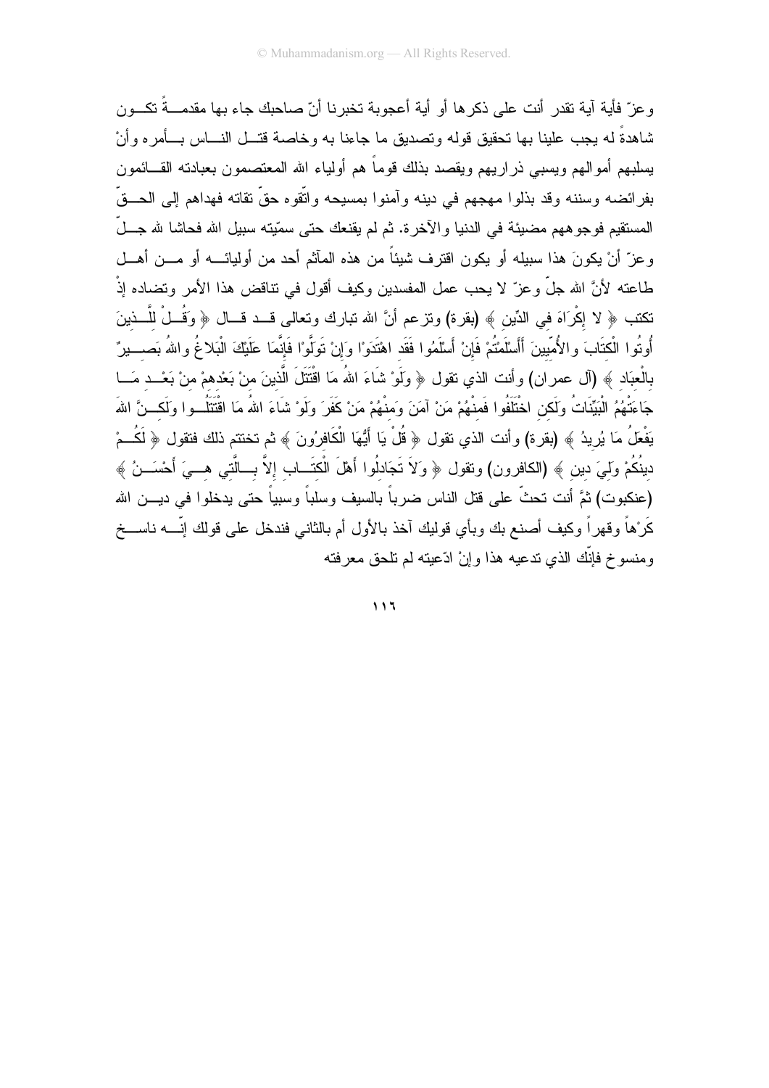و عز ّ فأية آية تقدر ۖ أنت على ذكر ها أو ۖ أية أعجوبة تخبر نا أنّ صاحبك جاء بها مقدمـــةً تكـــون شاهدةً له يجب علينا بها نحقيق قوله وتصديق ما جاءنا به وخاصة قتـــل النــــاس بــــأمر ه وأنْ يسلبهم أمو الهم ويسبى ذر اريهم ويقصد بذلك قوماً هم أولياء الله المعتصمون بعبادته القـــائمون بفرائضه وسننه وقد بذلوا مهجهم في دينه وآمنوا بمسيحه واتّقوه حقّ نقاته فهداهم إلى الحـــقّ المستقيم فوجو ههم مضيئة في الدنيا والآخرة. ثم لم يقنعك حتى سمّيته سبيل الله فحاشا لله جـــلّ وعزّ أنْ يكونَ هذا سبيله أو يكون اقترف شيئاً من هذه المآثم أحد من أوليائــــه أو مـــن أهـــل طاعته لأنَّ الله جلَّ وعزّ لا يحب عمل المفسدين وكيف أقول في تناقض هذا الأمر وتضاده إذْ نكتب ﴿ لا إِكْرَاهَ في الدِّين ﴾ (بقرة) وتزعم أنَّ الله تبارك وتعالى قــد قــال ﴿ وَقُــلْ للَّــذينَ أُوتُوا الْكتَابَ والأُمِّيينَ أَأَسْلَمْتُمْ فَإِنْ أَسْلَمُوا فَقَد اهْتَدَوْا وَإِنْ تَوَلَّوْا فَإنَّمَا عَلَيْكَ الْبَلاغُ واللهُ بَصـــيرٌ بالْعبَاد ﴾ (آل عمران) وأنت الذي نقول ﴿ وَلَوْ شَاءَ اللهُ مَا اقْتَتَلَ الَّذينَ منْ بَعْدهمْ منْ بَعْــد مَــا جَاءَتْهُمُ الْبَيِّنَاتُ وَلَكن اخْتَلَفُوا فَمنْهُمْ مَنْ آمَنَ وَمنْهُمْ مَنْ كَفَرَ وِلَوْ شَاءَ اللهُ مَا اقْتَتَلُــوا وَلَكــنَّ اللهَ يَفْعَلُ مَا يُرِيدُ ﴾ (بقرة) وأنت الذي تقول ﴿ قُلْ يَا أَيُّهَا الْكَافِرُونَ ﴾ ثم تختتم ذلك فتقول ﴿ لَكُــمْ دينُكُمْ وَلَمِيَ دين ﴾ (الكافرون) ونقول ﴿ وَلاَ تَجَادلُوا أَهْلَ الْكتَـــاب إلاَّ بـــالَّتـي هـــيَ أَحْسَـــنُ ﴾ (عنكبوت) ثمَّ أنت نحثٌ على قتل الناس ضرباً بالسيف وسلباً وسبياً حتى يدخلوا في ديـــن الله كَرْهاً وقهراً وكيف أصنع بك وبأي قوليك آخذ بالأول أم بالثاني فندخل على قولك إنّــــــــــــــــخ ومنسوخ فانَّك الذي تدعيه هذا و إنْ ادِّعيته لم تلحق معر فته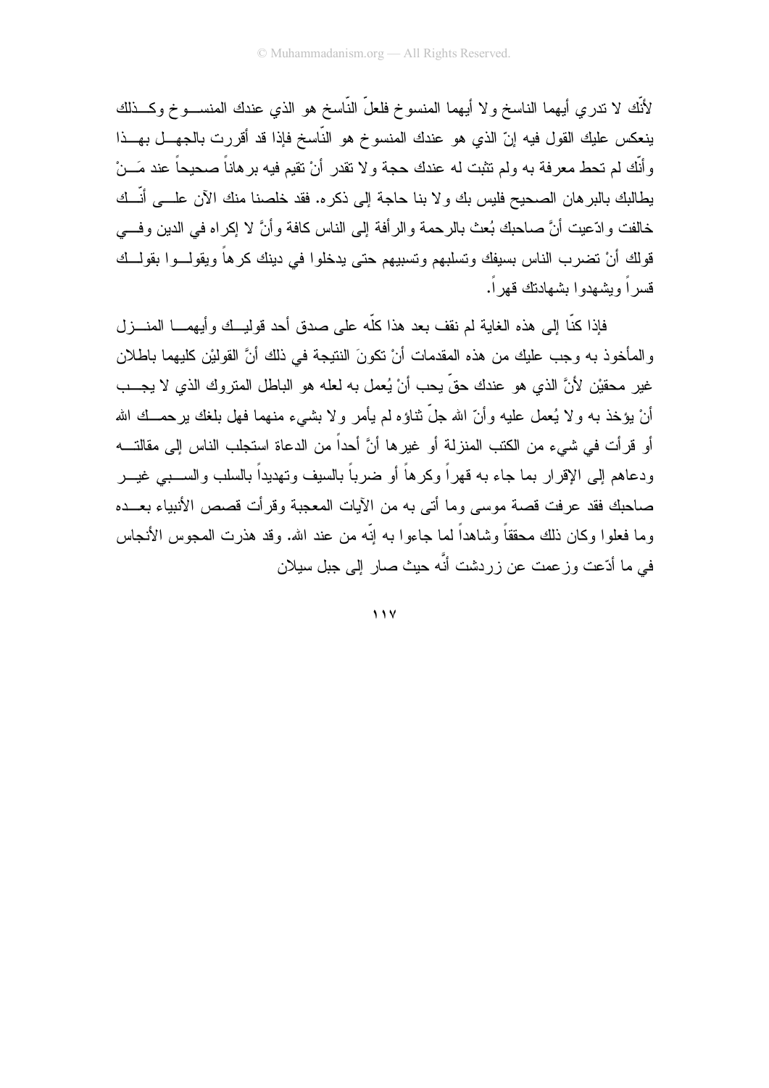لأَنَّك لا نندري أيهما الناسخ ولا أيهما المنسوخ فلعلَّ النَّاسخ هو الذي عندك المنســـوخ وكـــذلك ينعكس عليك القول فيه إنّ الذي هو عندك المنسوخ هو النّاسخ فإذا قد أقررت بالجهـــل بهـــذا وأنَّك لم تحط معرفة به ولم تثبت له عندك حجة ولا تقدر أنْ تقيم فيه برهاناً صحيحاً عند مَـــنْ يطالبك بالبر هان الصحيح فليس بك ولا بنا حاجة إلى ذكره. فقد خلصنا منك الآن علـــى أنّــك خالفت وادّعيت أنَّ صـاحبك بُعث بالرحمة والرأفة إلى الناس كافة وأنَّ لا إكراه في الدين وفـــي قولك أنْ تضرب الناس بسيفك وتسلبهم وتسبيهم حتى يدخلوا في دينك كرهاً ويقولـــوا بقولـــك قسر اً و بشهدو ا بشهادتك قهر اً.

فإذا كنَّا إلى هذه الغاية لم نقف بعد هذا كلُّه على صدق أحد قوليــك وأيهمـــا المنـــزل والمأخوذ به وجب عليك من هذه المقدمات أنْ نكونَ النتيجة في ذلك أنَّ القوليْن كليهما باطلان غير محقيْن لأنَّ الذي هو عندك حقٍّ يحب أنْ يُعمل به لعله هو الباطل المتروك الذي لا يجـــب أنْ يؤخذ به ولا يُعمل عليه وأنّ الله جلّ نثاؤه لم يأمر ولا بشيء منهما فهل بلغك يرحمــك الله أو قر أت في شيء من الكتب المنزلة أو غير ها أنَّ أحداً من الدعاة استحلب الناس الي مقالتـــه و دعاهم الى الإقرار بما جاء به قهر اً و كر هاً أو ضر باً بالسبف و تهديداً بالسلب و الســبـي غيــر صاحبك فقد عرفت قصة موسى وما أتى به من الأيات المعجبة وقرأت قصص الأنبياء بعـــده وما فعلو ا وكان ذلك محققاً وشاهداً لما جاءو ا به إنّه من عند الله. وقد هذر ت المجوس الأنجاس في ما أدّعت وزعمت عن زردشت أنَّه حيث صار إلى جبل سيلان

 $11V$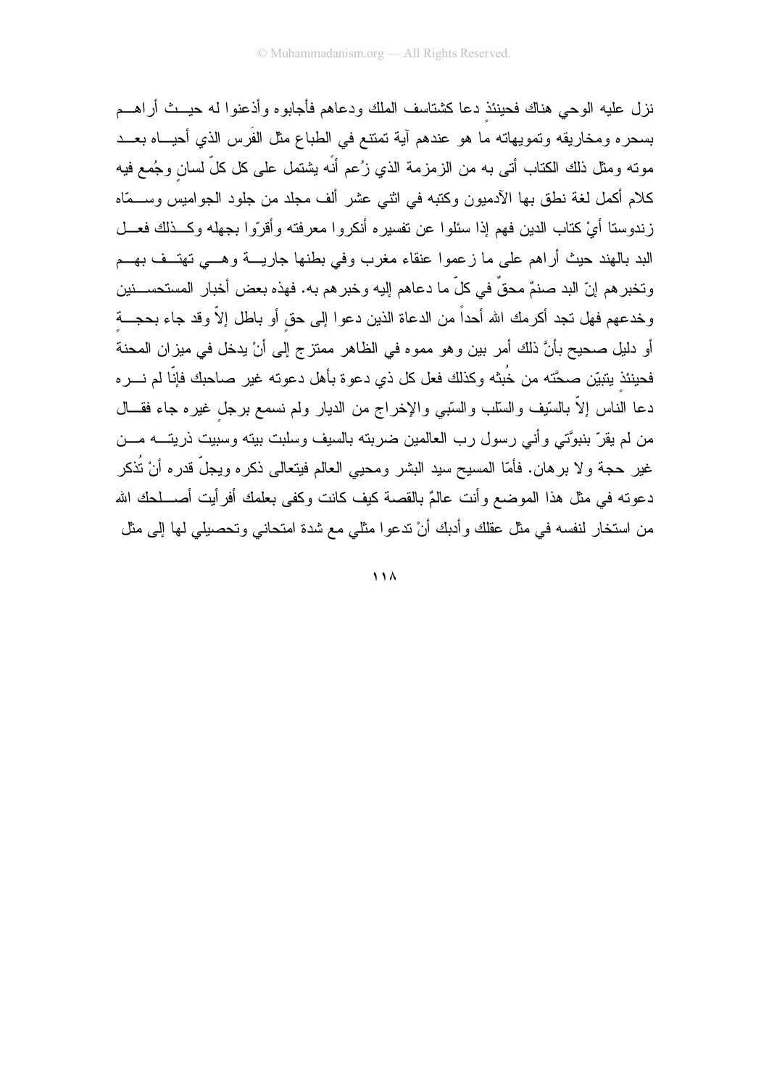نزل عليه الوحي هناك فحينئذ دعا كشتاسف الملك ودعاهم فأجابوه وأذعنوا له حيــث أر اهـــم بسحره ومخاريقه ونمويهاته ما هو عندهم أية نمتنع في الطباع مثل الفَرس الذي أحيـــاه بعـــد مونـه ومثل ذلك الكتاب أتـى بـه من الزمزمـة الذي زُعم أنَّه يشتمل علـى كل كلِّ لسان وجُمـع فيه كلام أكمل لغة نطق بها الأدميون وكتبه في اثنى عشر ألف مجلد من جلود الجواميس وســمّاه زندوستا أيْ كتاب الدين فهم إذا سئلوا عن تفسيره أنكروا معرفته وأقرّوا بجهله وكـــذلك فعـــل البد بالهند حيث أراهم على ما زعموا عنقاء مغرب وفي بطنها جاريسة وهسي تهتسف بهسم وتخبر هم إنّ البد صنمٌ محقٌ في كلّ ما دعاهم إليه وخبر هم به. فهذه بعض أخبار المستحســنين وخدعهم فهل تجد أكرمك الله أحداً من الدعاة الذين دعوا إلى حق أو باطل إلاّ وقد جاء بحجـــة أو دليل صحيح بأنَّ ذلك أمرٍ بينٍ وهو مموه في الظاهر ممتزِ ج إلى أنْ يدخل في ميزٍ إن المحنة فحينئذ يتبيّن صحَّته من خُبثه وكذلك فعل كل ذي دعوة بأهل دعوته غير صاحبك فإنّا لم نــــره دعا الناس إلاَّ بالسَّيف والسَّلب والسَّبي والإخراج من الديار ولم نسمع برجل غيره جاء فقـــال من لم يقرّ بنبوَّتي وأني رسول رب العالمين ضربته بالسيف وسلبت بيته وسبيت ذريتـــه مـــن غير حجة ولا برهان. فأمّا المسيح سيد البشر ومحيى العالم فيتعالى ذكره ويجلّ قدره أنْ تُذكر دعوته في مثل هذا الموضع وأنت عالمٌ بالقصة كيف كانت وكفي بعلمك أفرأيت أصــــلحك الله من استخار لنفسه في مثل عقلك وأدبك أنْ ندعوا مثلي مع شدة امتحاني وتحصيلي لها إلى مثل

 $\overline{11A}$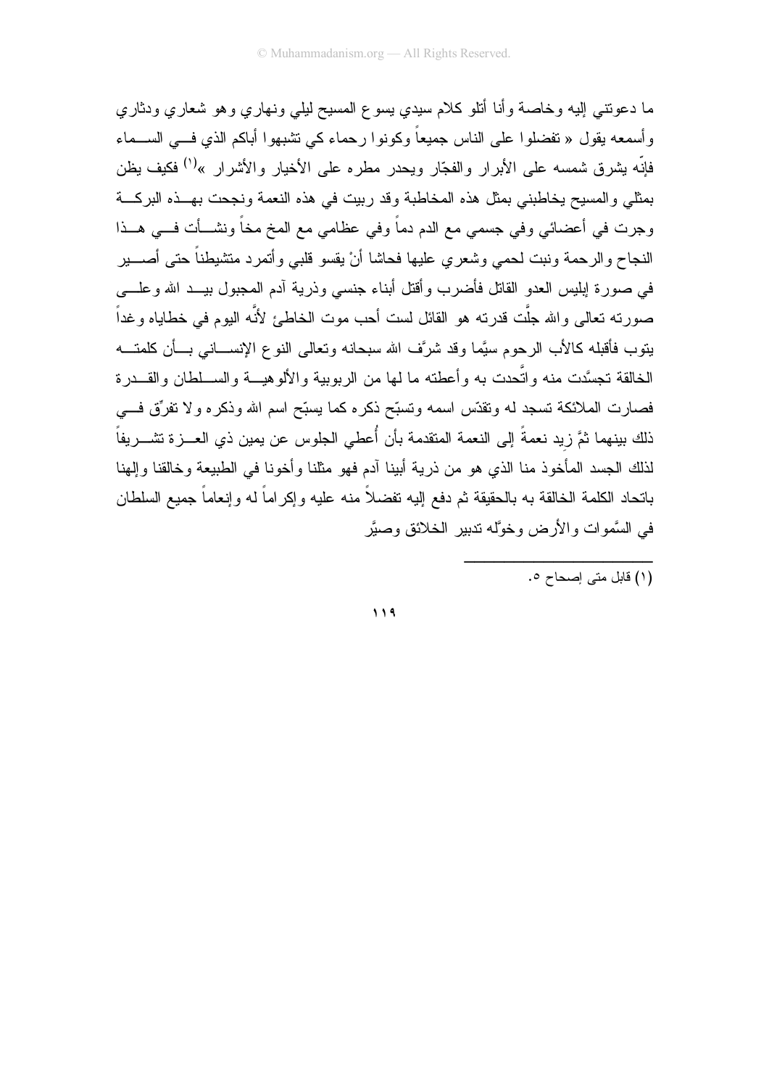ما دعونتـي إليه وخاصـة وأنـا أنلو كلام سيدي يسوع المسيح ليلي ونـهاري وهو شعاري ودثاري و أسمعه يقول « تفضلو ا على الناس جميعاً وكونو ا ر حماء كي تشبهو ا أباكم الذي فـــي الســـماء فإنَّه يشرق شمسه على الأبرار والفجّار ويحدر مطره على الأخيار والأشرار »<sup>(י)</sup> فكيف يظن بمثلى والمسيح يخاطبني بمثل هذه المخاطبة وقد ربيت في هذه النعمة ونجحت بهــذه البركـــة وجرت في أعضائي وفي جسمي مع الدم دماً وفي عظامي مع المخ مخاً ونشـــأت فـــى هـــذا النجاح والرحمة ونبت لحمى وشعري عليها فحاشا أن يقسو قلبي وأتمرد متشيطناً حتى أصــــير في صورة إبليس العدو القاتل فأضرب وأقتل أبناء جنسي وذرية أدم المجبول بيــد الله وعلـــي صورته تعالى والله جلَّت قدرته هو القائل لست أحب موت الخاطئ لأنَّه اليوم في خطاياه وغداً يتوب فأقبله كالأب الرحوم سيَّما وقد شرَّف الله سبحانه وتعالى النوع الإنســـانـي بـــأن كلمتــــه الخالقة نجسَّدت منه واتَّحدت به وأعطنه ما لمها من الربوبية والألوهبـــة والســـلطان والقـــدر ة فصارت الملائكة تسجد له وتقدّس اسمه وتسبّح ذكره كما يسبّح اسم الله وذكره ولا تفرِّق فـــي ذلك بينهما ثمَّ زيد نعمةً إلى النعمة المتقدمة بأن أُعطى الجلوس عن يمين ذي العـــزة تشـــريفاً لذلك الجسد المأخوذ منا الذي هو من ذرية أبينا آدم فهو مثلنا وأخونا في الطبيعة وخالقنا وإلهنا بانحاد الكلمة الخالقة به بالحقيقة ثم دفع إليه نفضلاً منه عليه وإكراماً له وإنعاماً جميع السلطان في السَّموات والأرض وخوَّله ندبير الخلائق وصبَّر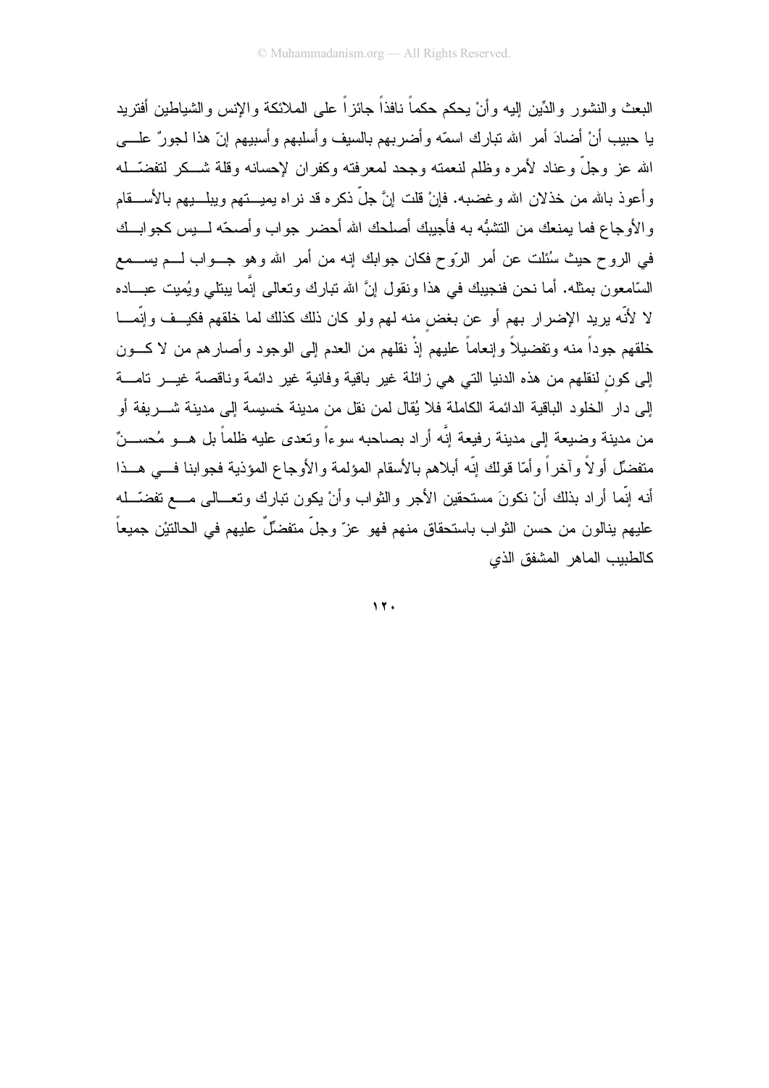البعث و النشور و الدِّين البه و أنْ بحكم حكماً نافذاً جائز اً على الملائكة و الإنس و الشباطين أفتر بد يا حبيب أنْ أضادَ أمرٍ الله نبارٍ ك اسمّه و أضر بهم بالسيف و أسلبهم و أسببهم إنّ هذا لجور ٌ علــــي الله عز وجلَّ وعناد لأمره وظلم لنعمته وجحد لمعرفته وكفران لإحسانه وقلة شــكر لتفضَّــله وأعوذ بالله من خذلان الله وغضبه. فإنْ قلت إنَّ جلَّ ذكره قد نراه يميــــتهم ويبلـــبهم بالأســــقام والأوجاع فما يمنعك من النشبُّه به فأجيبك أصلحك الله أحضر جواب وأصحَّه لــــيس كجوابـــك في الروح حيث سُئلت عن أمر الرَّوح فكان جوابك إنه من أمر الله وهو جـــواب لــــم يســــمع السَّامعون بمثله. أما نحن فنجيبك في هذا ونقول إنَّ الله نبارك ونعالمي إنَّما ببنلي ويُميت عبـــاده لا لأنَّه بريد الإضرار بهم أو عن بغض منه لهم ولو كان ذلك كذلك لما خلقهم فكيــف وإنَّمـــا خلقهم جوداً منه وتفضيلاً وإنعاماً عليهم إذْ نقلهم من العدم إلى الوجود وأصار هم من لا كـــون إلى كون لنقلهم من هذه الدنيا التبي هي زائلة غير باقية وفانية غير دائمة وناقصة غيـــر نامــــة إلى دار الخلود الباقية الدائمة الكاملة فلا يُقال لمن نقل من مدينة خسيسة إلى مدينة شــــريفة أو من مدينة وضيعة إلى مدينة رفيعة إنَّه أراد بصاحبه سوءاً وتعدى عليه ظلماً بل هــو مُحســنٌ متفضِّل أولاً وآخراً وأمَّا قولك إنَّه أبلاهم بالأسقام المؤلمة والأوجاع المؤذية فجوابنا فـــي هــذا أنه إنَّما أراد بذلك أنْ نكونَ مستحقين الأجر والثواب وأنْ يكون نبارك وتعـــالـي مــــع نفضـّـــله عليهم بنالون من حسن الثواب باستحقاق منهم فهو عز ّ وجلّ متفضّلٌ عليهم في الحالتيْن جميعاً كالطبيب الماهر المشفق الذى

 $17.$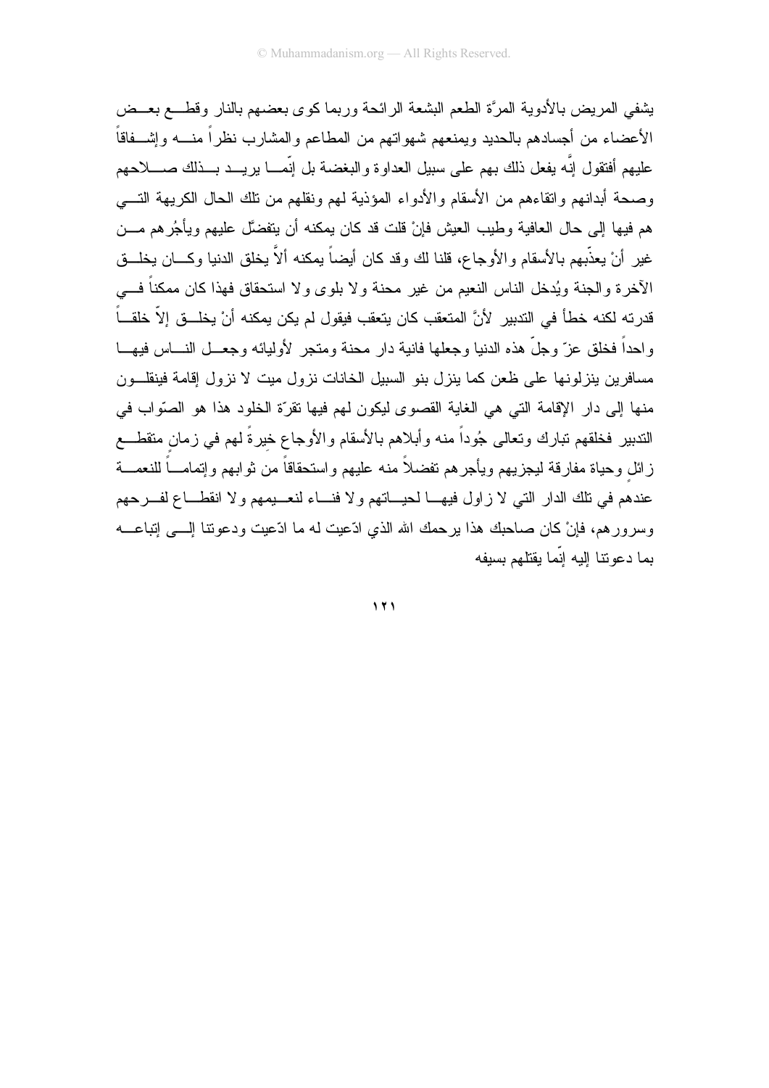يشفى المريض بالأدوية المرءة الطعم البشعة الرائحة وربما كوى بعضهم بالنار وقطــع بعــض الأعضاء من أجسادهم بالحديد ويمنعهم شهواتهم من المطاعم والمشارب نظراً منسه وإشـــفاقاً عليهم أفتقول إنَّه يفعل ذلك بهم على سبيل العداوة والبغضة بل إنَّمـــا يريـــد بـــذلك صـــــلاحهم وصحة أبدانهم وإنقاءهم من الأسقام والأدواء المؤذية لهم ونقلهم من نلك الحال الكريهة التـــى هم فيها إلى حال العافية وطيب العيش فإنْ قلت قد كان يمكنه أن يتفضَّل عليهم ويأجُرهم مـــن غير أنْ يعذَّبهم بالأسقام والأوجاع، قلنا لك وقد كان أيضاً يمكنه ألاَّ يخلق الدنيا وكـــان يخلـــق الأخرة والجنة ويُدخل الناس النعيم من غير محنة ولا بلوى ولا استحقاق فهذا كان ممكناً فـــي قدرته لكنه خطأ في التدبير. لأنَّ المتعقب كان يتعقب فيقول لم يكن يمكنه أنْ يخلـــق الاّ خلقـــاً و احداً فخلق عز ّ و جلّ هذه الدنيا و جعلها فانية دار ۖ محنة ومتجر ﴿ وَليائه و جعــل النـــاس فيهـــا مسافرين ينزلونها على ظعن كما ينزل بنو السبيل الخانات نزول ميت لا نزول إقامة فينقلــون منها إلى دار الإقامة التي هي الغاية القصوى ليكون لهم فيها تقرَّة الخلود هذا هو الصوَّاب في الندبير فخلقهم نبارك وتعالى جُوداً منه وأبلاهم بالأسقام والأوجاع خيرةً لهم في زمان متقطــع زائل وحياة مفارقة ليجزيهم ويأجرهم تفضلأ منه عليهم واستحقاقاً من ثوابهم وإتمامـــاً للنعمـــة عندهم في نلك الدار التي لا زاول فيهـــا لـحيـــاتهم ولا فنـــاء لنعـــيمهم ولا انقطـــاع لفـــرحهم وسرورهم، فإنْ كان صاحبك هذا يرحمك الله الذي ادّعيت له ما ادّعيت ودعونتا إلـــي إنباعــــه يما دعونتا اليه انّما يقتلهم يسبفه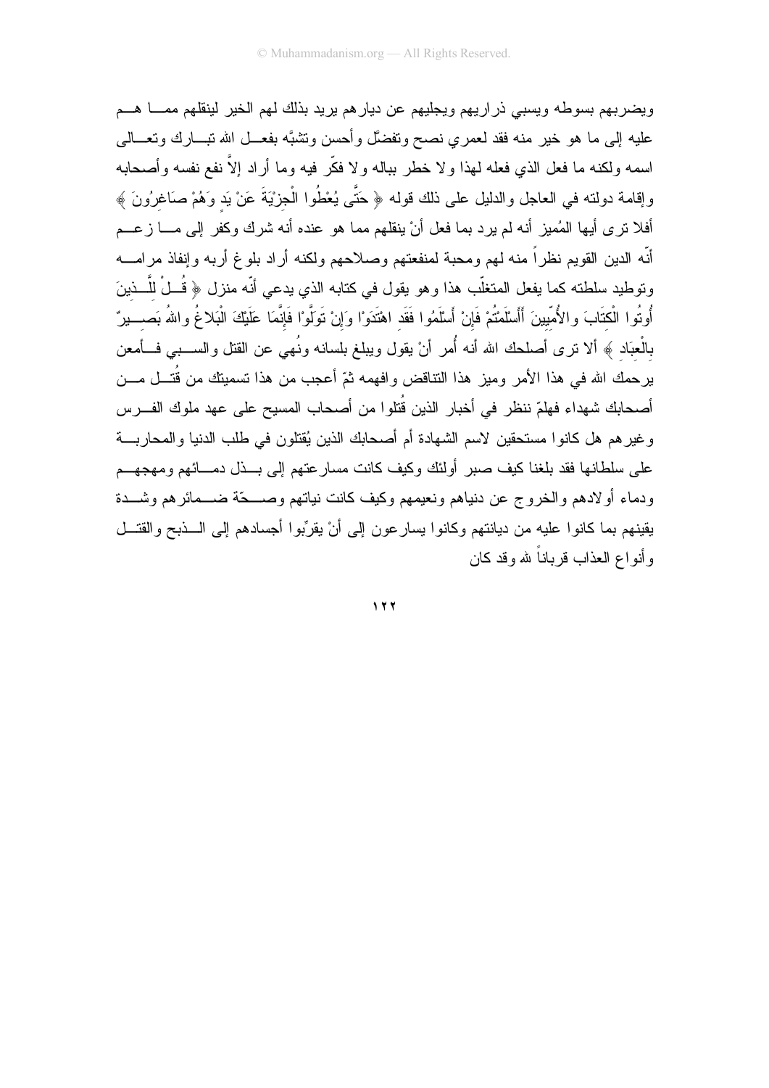ويضربهم بسوطه ويسبى ذراريهم ويجليهم عن ديارهم بريد بذلك لهم الخير لينقلهم ممسا هسم عليه إلى ما هو خير منه فقد لعمري نصح ونفضَّل وأحسن ونتنبَّه بفعـــل الله نبــــارك ونعــــالـي اسمه ولكنه ما فعل الذي فعله لهذا ولا خطر بباله ولا فكَّر فيه وما أراد إلاَّ نفع نفسه وأصحابه وإقامة دولته في العاجل والدليل على ذلك قوله ﴿ حَتَّى يُعْطُوا الْجزيَّةَ عَنْ يَد وَهُمْ صَاغِرُونَ ﴾ أفلا نزى أيها المُميز أنه لم يرد بما فعل أنْ ينقلهم مما هو عنده أنه شرك وكفر إلى مــــا زعـــم أنّه الدين القويم نظراً منه لهم ومحبة لمنفعتهم وصلاحهم ولكنه أراد بلوغ أربه وإنفاذ مرامـــه وتوطيد سلطته كما يفعل المتغلَّب هذا وهو يقول في كتابه الذي يدعى أنَّه منزل ﴿ قُــلْ للَّــذينَ أُوتُوا الْكتَابَ والأُمّيينَ أَأَسْلَمْتُمْ فَإِنْ أَسْلَمُوا فَقَد اهْتَدَوْا وَإِنْ تَوَلَّوْا فَإنّمَا عَلَيْكَ الْبَلاغُ واللهُ بَصـــيرٌ بالْعبَاد ﴾ ألا نزى أصلحك الله أنه أُمر أنْ يقول ويبلغ بلسانه ونُهي عن القتل والســـبي فـــأمعن يرحمك الله في هذا الأمر وميز هذا التناقض وافهمه ثمّ أعجب من هذا تسميتك من قُتـــل مـــن أصـحابك شـهداء فهلمّ ننظر في أخبار الذين قُتلوا من أصـحاب المسيح على عهد ملوك الفـــرس وغيرهم هل كانوا مستحقين لاسم الشهادة أم أصحابك الذين يُقتلون في طلب الدنيا والمحاربـــة على سلطانها فقد بلغنا كيف صبر أولئك وكيف كانت مسارعتهم إلى بــذل دمـــائهم ومهجهــم ودماء أولادهم والخروج عن دنياهم ونعيمهم وكيف كانت نياتهم وصــــحّة ضـــمائرهم وشـــدة يقينهم بما كانوا عليه من ديانتهم وكانوا يسارعون إلى أنْ يقرِّبوا أجسادهم إلى الـــذبح والقتـــل و أنو اع العذاب قر باناً لله و قد كان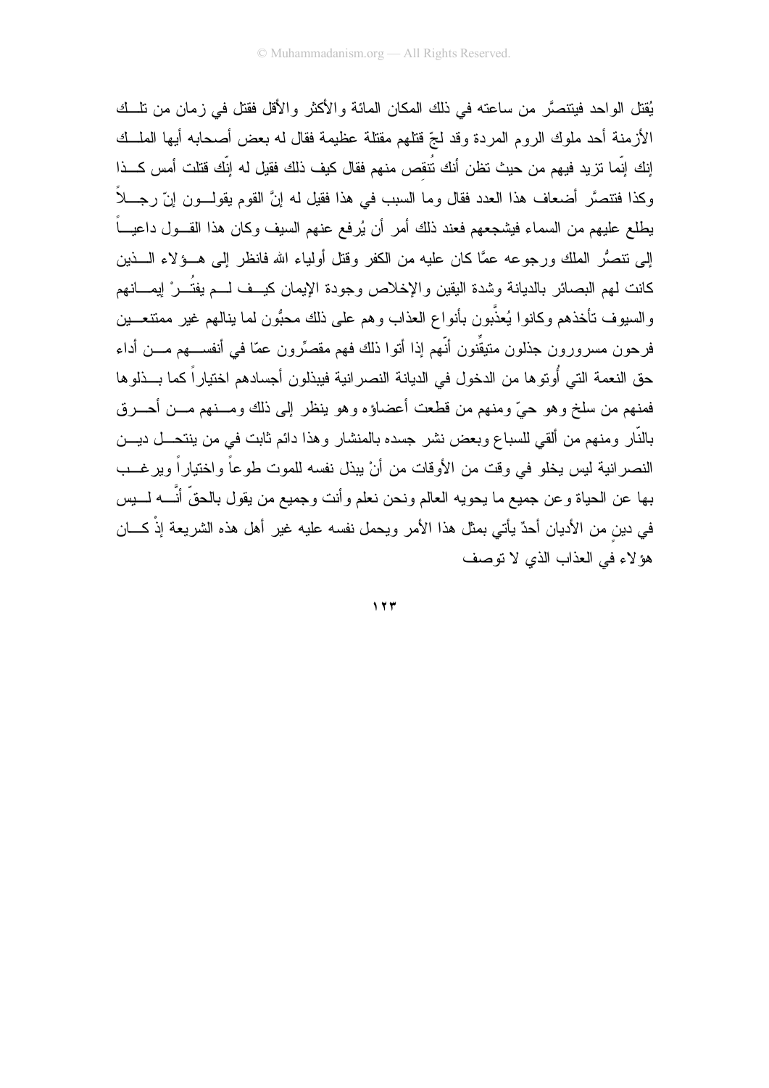يُقتل الو احد فينتصرَّ من ساعته في ذلك المكان المائة و الأكثر و الأقل فقتل في ز مان من نلَّــك الأزمنة أحد ملوك الروم المردة وقد لجّ قتلهم مقتلة عظيمة فقال له بعض أصحابه أيها الملسك إنك إنَّما تزيد فيهم من حيث تظن أنك تُنقص منهم فقال كيف ذلك فقيل له إنَّك قتلت أمس كـــذا وكذا فنتصَّر أضعاف هذا العدد فقال وما السبب في هذا فقيل له إنَّ القوم يقولـــون إنّ رجــــلاً يطلع عليهم من السماء فيشجعهم فعند ذلك أمر أن يُرفع عنهم السيف وكان هذا القـــول داعيــــاً إلى نتصُّر الملك ورجوعه عمًّا كان عليه من الكفر وقتل أولياء الله فانظر إلى هــؤلاء الـــذين كانت لمهم البصائر بالديانة وشدة اليقين والإخلاص وجودة الإيمان كيــف لـــم يفتُـــرْ ليمــــانـهم والسيوف تأخذهم وكانوا يُعذَّبون بأنواع العذاب وهم على ذلك محبُّون لما ينالهم غير ممتنعـــين فرحون مسرورون جذلون متيقِّنون أنَّهم إذا أنوا ذلك فهم مقصِّرون عمّا في أنفســـهم مــــن أداء حق النعمة التي أُوتو ها من الدخول في الديانة النصر انية فيبذلون أجسادهم اختيار اً كما بـــذلو ها .<br>فمنهم من سلخ وهو حيٍّ ومنهم من قطعت أعضاؤه وهو ينظر إلى ذلك ومـــنهم مـــن أحـــرق بالنَّار ومنهم من ألقى للسباع وبعض نشر جسده بالمنشار وهذا دائم ثابت في من ينتحـــل ديـــن النصر انية ليس يخلو في وقت من الأوقات من أنْ يبذل نفسه للموت طوعاً واختياراً ويرغــب بها عن الحياة وعن جميع ما يحويه العالم ونحن نعلم وأنت وجميع من يقول بالحقِّ أنَّـــه لـــــيس في دين من الأديان أحدٌ يأتي بمثل هذا الأمر ويحمل نفسه عليه غير أهل هذه الشريعة إذْ كـــان هؤ لاء في العذاب الذي لا توصف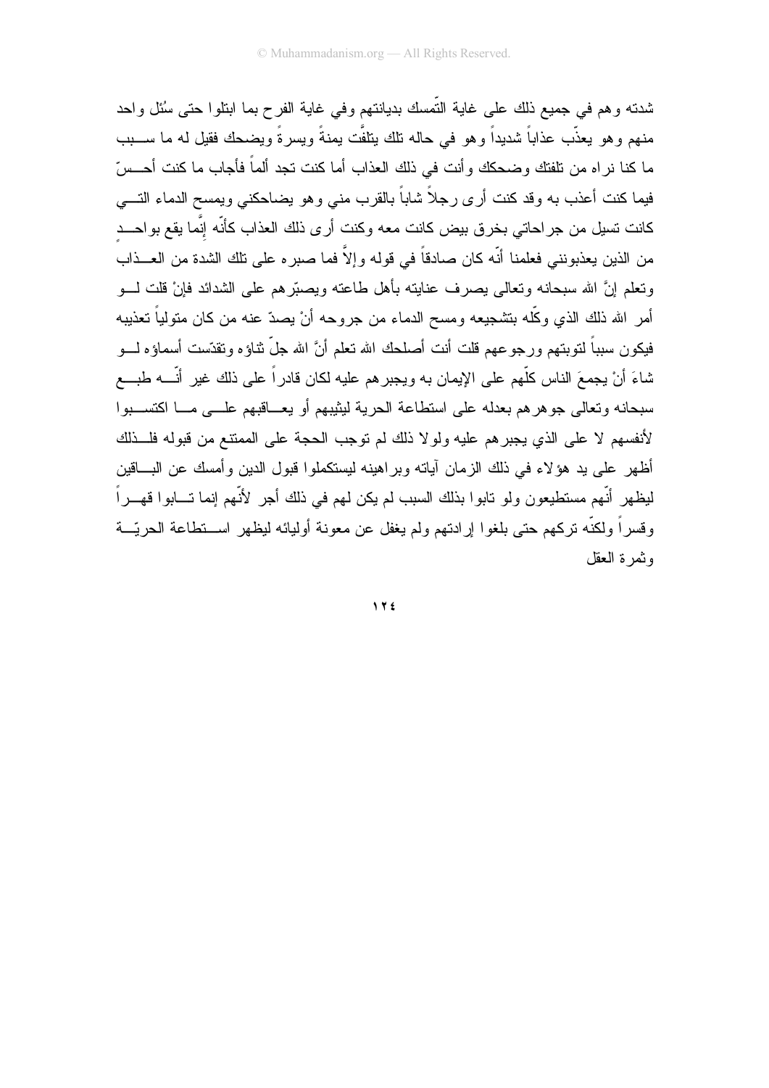شدته وهم في جميع ذلك على غاية التَّمسك بديانتهم وفي غاية الفرح بما ابتلوا حتى سُئل واحد منهم وهو يعذَّب عذاباً شديداً وهو في حاله تلك يتلفَّت يمنةً ويسرةً ويضحك فقيل له ما ســـبب ما كنا نراه من نلفتك وضحكك وأنت في ذلك العذاب أما كنت تجد ألماً فأجاب ما كنت أحــسّ فيما كنت أعذب به وقد كنت أرى رجلاً شاباً بالقرب منى وهو يضاحكني ويمسح الدماء التـــي كانت نسيل من جراحاتي بخرق بيض كانت معه وكنت أرى ذلك العذاب كأنّه إنَّما يقع بواحـــد من الذين يعذبونني فعلمنا أنّه كان صادقاً في قوله وإلاَّ فما صبره على تلك الشدة من العــذاب ونعلم إنَّ الله سبحانه ونعالمي يصرف عنايته بأهل طاعته ويصبّرهم على الشدائد فإنْ قلت لـــو أمر الله ذلك الذي وكلَّه بتشجيعه ومسح الدماء من جروحه أنْ يصدّ عنه من كان متولياً تعذيبه فيكون سبباً لنوبتهم ورجوعهم قلت أنت أصلحك الله نعلم أنَّ الله جلَّ نتاؤه ونقدَّست أسماؤه لــــو شاءَ أنْ يجمعَ الناس كلُّهم على الإيمان به ويجبر هم عليه لكان قادراً على ذلك غير أنَّــــه طبــــع سبحانه وتعالى جوهرهم بعدله على استطاعة الحرية ليثيبهم أو يعـــاقبهم علـــي مـــا اكتســـبوا لأنفسهم لا على الذي يجبرهم عليه ولولا ذلك لم توجب الحجة على الممتنع من قبوله فلــذلك أظهر على يد هؤلاء في ذلك الزمان آياته وبراهينه ليستكملوا قبول الدين وأمسك عن البـــاقين ليظهر أنّهم مستطيعون ولو نابوا بذلك السبب لم يكن لهم في ذلك أجر لأنّهم إنما تـــابوا قهـــراً وقسراً ولكنَّه نركهم حتى بلغوا إرادتهم ولم يغفل عن معونة أوليائه ليظهر اســـنطاعة الحريّـــة وثمرة العقل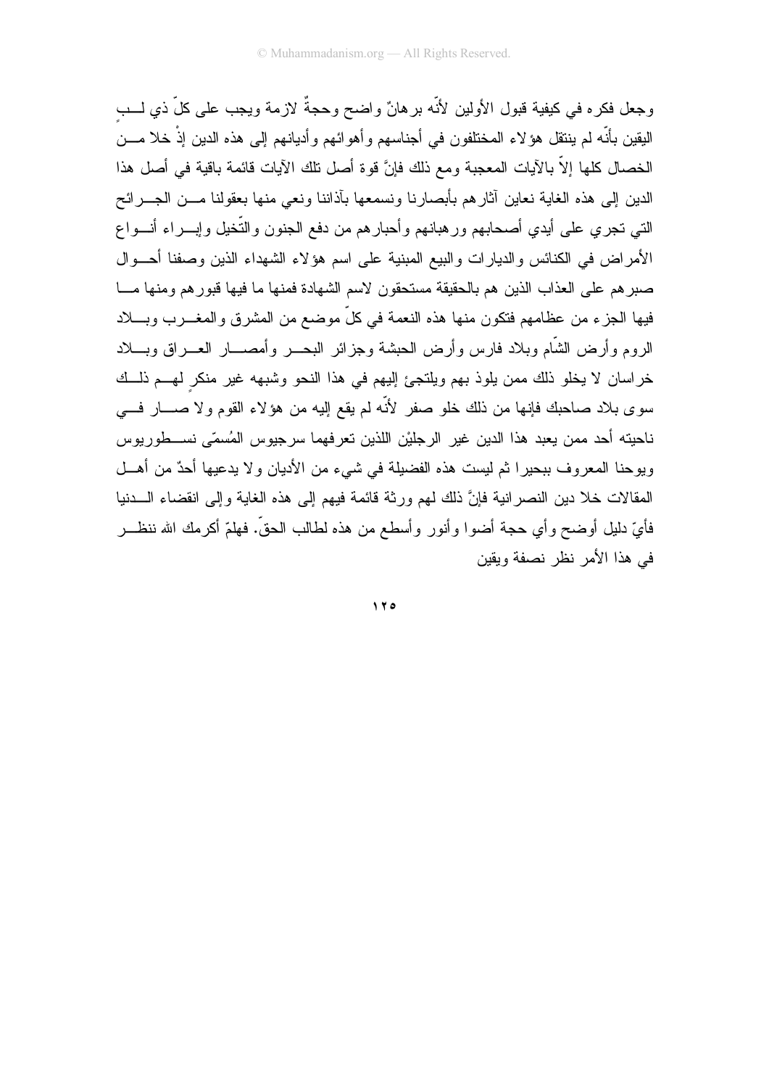وجعل فكره في كيفية قبول الأولين لأنّه برهانٌ واضح وحجةٌ لازمة ويجب على كلّ ذي لـــب البقين بأنَّه لم ينتقل هؤ لاء المختلفون في أجناسهم وأهوائهم وأديانهم إلى هذه الدين إذْ خلا مـــن الخصال كلها إلاَّ بالآيات المعجبة ومع ذلك فإنَّ قوة أصل نلك الآيات قائمة باقية في أصل هذا الدين إلى هذه الغاية نعاين أثارهم بأبصارنا ونسمعها بأذاننا ونعي منها بعقولنا مـــن الجـــرائح التي تجري على أيدي أصحابهم ورهبانهم وأحبارهم من دفع الجنون والتُّخيل وإبـــراء أنـــواع الأمر اض في الكنائس والديارات والبيع المبنية على اسم هؤلاء الشهداء الذين وصفنا أحسوال صبر هم على العذاب الذين هم بالحقيقة مستحقون لاسم الشهادة فمنها ما فيها قبور هم ومنها مسا فيها الجز ء من عظامهم فتكون منها هذه النعمة في كلِّ موضع من المشر ق و المغـــر ب وبــــلاد الروم وأرض الشَّام وبلاد فارس وأرض الحبشة وجزائر البحسر وأمصسار العسراق وبسلاد خراسان لا يخلو ذلك ممن يلوذ بهم ويلتجئ إليهم في هذا النحو وشبهه غير منكر لهـــم ذلـــك سوى بلاد صاحبك فإنها من ذلك خلو صفر لأنَّه لم يقع إليه من هؤلاء القوم ولا صــــار فــــي ناحيته أحد ممن يعبد هذا الدين غير الرجليْن اللذين نعرفهما سرجيوس المُسمّى نســـطوريوس ويوحنا المعروف ببحيرًا ثم ليست هذه الفضيلة في شيء من الأديان ولا يدعيها أحدٌ من أهــل المقالات خلا دين النصر انية فإنَّ ذلك لمهم ورثة قائمة فيهم إلى هذه الغاية وإلى انقضاء الـــدنيا فأيِّ دليلٍ أوضحٍ وأي حجة أضوا وأنورٍ وأسطعٍ من هذه لطالب الحقَّ. فهلمَّ أكرمك الله ننظـــر في هذا الأمر نظر نصفة ويقين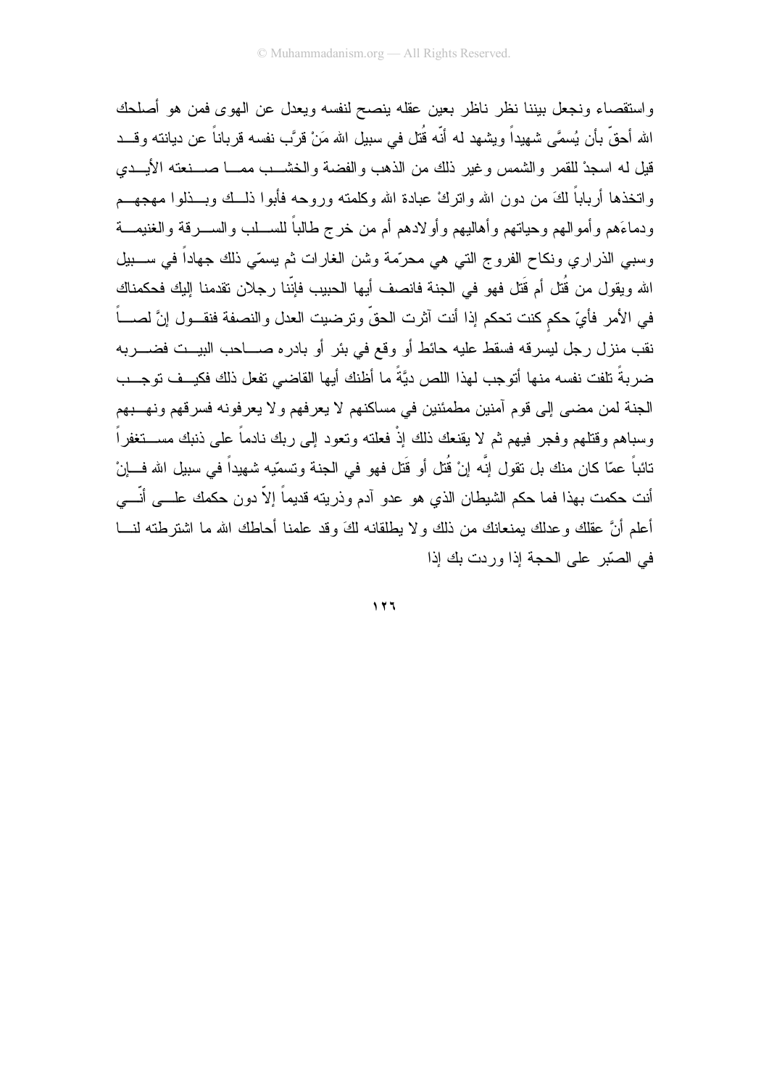واستقصاء ونجعل بيننا نظر ناظر بعين عقله ينصح لنفسه ويعدل عن الهوى فمن هو أصلحك الله أحقَّ بأن يُسمَّى شهيداً ويشهد له أنَّه قُتل في سبيل الله مَنْ قرَّب نفسه قرباناً عن ديانته وقـــد قيل له اسجدْ للقمر والشمس وغير ذلك من الذهب والفضة والخشــب ممـــا صـــنعته الأيـــدى واتخذها أرباباً لكَ من دون الله وإنزك عبادة الله وكلمته وروحه فأبوا ذلــك وبــذلوا مـهجهــم ودماءَهم وأموالهم وحياتهم وأهاليهم وأولادهم أم من خرج طالباً للســـلب والســــرقة والغنيمــــة وسببي الذراري ونكاح الفروج التبي هي محرّمة وشن الغارات ثم يسمّي ذلك جهاداً في ســـبيل الله ويقول من قُتل أم قَتل فهو في الجنة فانصف أيها الحبيب فإنّنا رجلان تقدمنا إليك فحكمناك في الأمر فأيّ حكم كنت تحكم إذا أنت آثرت الحقّ وترضيت العدل والنصفة فنقـــول إنَّ لصــــاً نقب منزل رجل ليسرقه فسقط عليه حائط أو وقع في بئر أو بادره صــــاحب البيـــت فضـــــربـه ضر بةً تلفت نفسه منها أتوجب لهذا اللص دبَّةً ما أظنك أبها القاضي تفعل ذلك فكبــف توجــب الجنة لمن مضيي إلى قوم أمنين مطمئنين في مساكنهم لا يعرفهم ولا يعرفونه فسرقهم ونهــبهم وسباهم وقتلهم وفجر فيهم ثم لا يقنعك ذلك إذْ فعلته وتعود إلى ربك نادماً على ذنبك مســـتغفراً تائباً عمّا كان منك بل تقول إنَّه إنْ قُتل أو قَتل فهو في الجنة وتسمّيه شهيداً في سبيل الله فـــإنْ أنت حكمت بهذا فما حكم الشيطان الذي هو عدو آدم وذريته قديماً إلاّ دون حكمك علــــى أنّــــي أعلم أنَّ عقلك وعدلك بمنعانك من ذلك ولا بطلقانه لكَ وقد علمنا أحاطك الله ما اشترطته لنــــا في الصّدر على الحجة اذا وردت بك اذا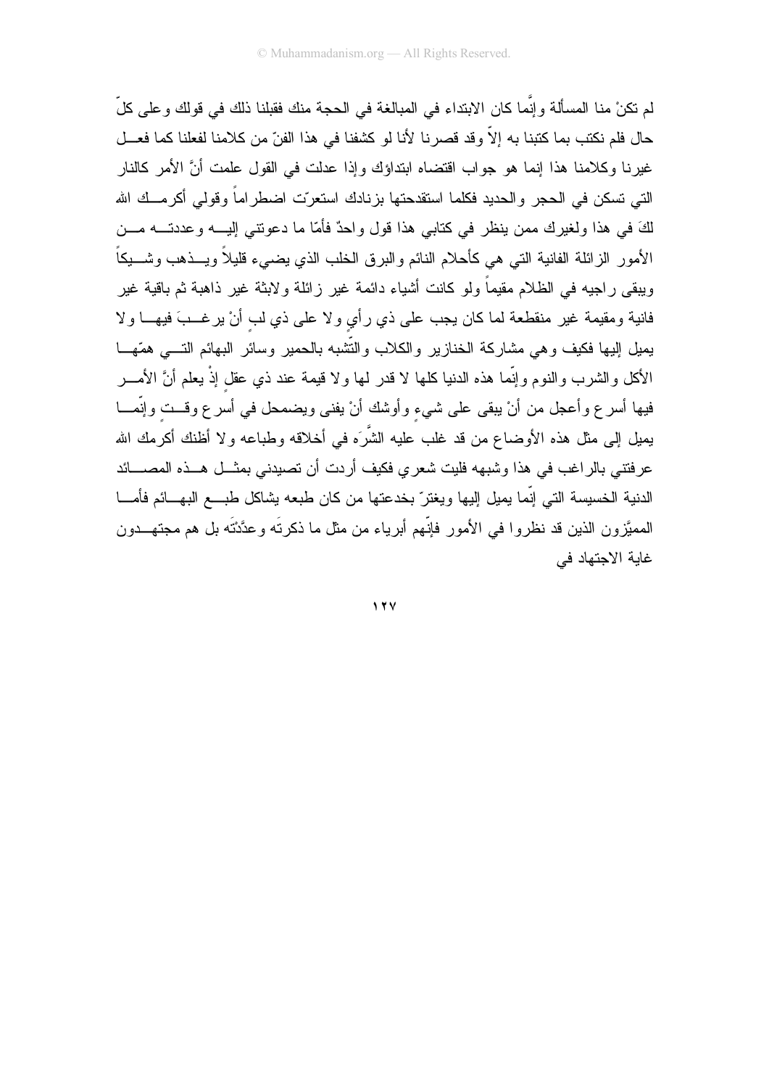لم تكنْ منا المسألة وإنَّما كان الابتداء في المبالغة في الحجة منك فقبلنا ذلك في قولك وعلى كلِّ حال فلم نكتب بما كتبنا به إلاّ وقد قصرنا لأنا لو كشفنا في هذا الفنّ من كلامنا لفعلنا كما فعـــل غيرنا وكلامنا هذا إنما هو جواب اقتضاه ابنداؤك وإذا عدلت في القول علمت أنَّ الأمر كالنار التي تسكن في الحجر والحديد فكلما استقدحتها بزنادك استعرّت اضطراماً وقولي أكرمــك الله لكَ في هذا ولغيرك ممن ينظر في كتابي هذا قول واحدٌ فأمّا ما دعونتـي إليــــه وعددتــــه مـــن الأمور الزائلة الفانية التي هي كأحلام النائم والبرق الخلب الذي يضيىء قليلاً ويـــذهب وشــــيكاً ويبقى راجيه في الظلام مقيماً ولو كانت أشياء دائمة غير زائلة ولابثة غير ذاهبة ثم باقية غير فانية ومقيمة غير منقطعة لما كان يجب على ذي رأي ولا على ذي لب أنْ يرغـــبَ فيهـــا ولا يميل إليها فكيف وهي مشاركة الخنازير والكلاب والتّشبه بالحمير وسائر البهائم التسى همّهـــا الأكل والشرب والنوم وإنَّما هذه الدنيا كلها لا قدر لمها ولا قيمة عند ذي عقل إذْ يعلم أنَّ الأمـــــر فيها أسرع وأعجل من أنْ يبقى على شيء وأوشك أنْ يفني ويضمحل في أسرع وقــت وإنَّمـــا يميل إلى مثل هذه الأوضاع من قد غلب عليه الشَّرَه في أخلاقه وطباعه ولا أظنك أكرمك الله عرفتني بالراغب في هذا وشبهه فليت شعري فكيف أردت أن تصيدني بمثـــل هـــذه المصــــائد الدنية الخسيسة التي إنّما يميل إليها ويغترّ بخدعتها من كان طبعه يشاكل طبـــع البهـــائم فأمــــا المميَّزون الذين قد نظروا في الأمور فإنَّهم أبرياء من مثل ما ذكرتَه وعدَّدْتَه بل هم مجتهـــدون غابة الاجتهاد في

 $17Y$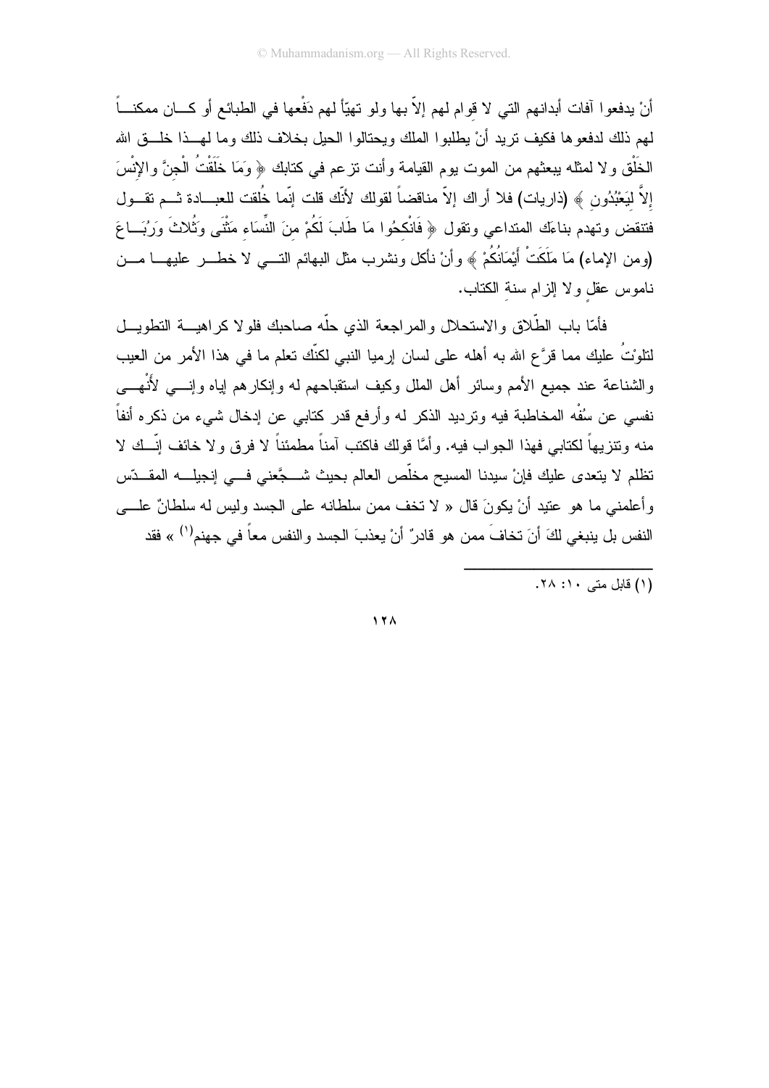أنْ يدفعوا آفات أبدانهم التي لا قوام لهم إلاّ بها ولو تهيّاً لهم دَفْعها في الطبائع أو كـــان ممكنـــاً لهم ذلك لدفعوها فكيف نزيد أنْ يطلبوا الملك ويحتالوا الحيل بخلاف ذلك وما لهــذا خلـــق الله الخَلْق و لا لمثله ببعثهم من الموت بوم القيامة وأنت نزعم في كتابك ﴿ وَمَا خَلَقْتُ الْجِنَّ والإِنْسَ إلاَّ ليَعْبُدُون ﴾ (ذاريات) فلا أراك إلاّ مناقضاً لقولك لأنَّك قلت إنَّما خُلقت للعبــادة ثـــم تقـــول فتنقض وتهدم بناءَك المنداعي ونقول ﴿ فَانْكحُوا مَا طَابَ لَكُمْ منَ النِّسَاء مَثْنَى وَثُلاثَ وَرُبَـــاعَ (ومن الإماء) مَا مَلَكَتْ أَيْمَانُكُمْ ﴾ وأنْ نأكل ونشرب مثل البهائم النــــي لا خطــــر عليهــــا مــــن ناموس عقل ولا إلزام سنة الكتاب.

فأمّا باب الطَّلاق والاستحلال والمراجعة الذي حلّه صاحبك فلولا كراهيـــة التطويـــل لنلوْتُ عليك مما قرَّع الله به أهله على لسان إرميا النبي لكنِّك تعلِّم ما في هذا الأمر من العيب والشناعة عند جميع الأمم وسائر أهل الملل وكيف استقباحهم له وإنكارهم إياه وإنسي لأنْهسي نفسي عن سُفْه المخاطبة فيه وترديد الذكر له وأرفع قدر كتابي عن إدخال شيء من ذكره أنفاً منه وتتزيهاً لكتابي فهذا الجواب فيه. وأمَّا قولك فاكتب آمناً مطمئناً لا فرق ولا خائف إنَّــك لا تظلم لا يتعدى عليك فإنْ سيدنا المسيح مخلِّص العالم بحيث شــــجَّعنى فـــى إنجيلــــه المقـــدِّس وأعلمني ما هو عتيد أنْ يكونَ قال « لا تخف ممن سلطانه على الجسد وليس له سلطانٌ علـــي النفس بل ينبغي لكَ أنَ تخافَ ممن هو قادرٌ أنْ يعذبَ الجسد والنفس معاً في جهنم<sup>(١)</sup> » فقد

(۱) قابل متبر ۲۰: ۲۸.

 $17<sub>A</sub>$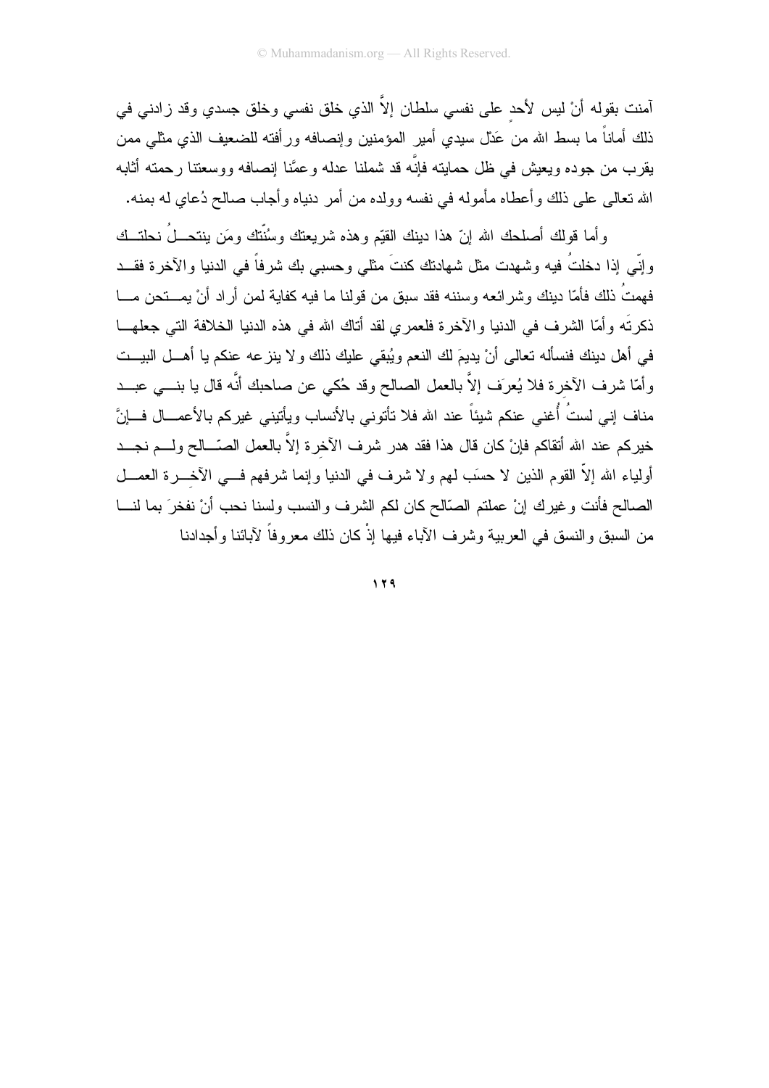آمنت بقوله أنْ ليس لأحد على نفسي سلطان إلاَّ الذي خلق نفسي وخلق جسدي وقد زادني في ذلك أماناً ما بسط الله من عَدْل سيدى أمير المؤمنين وإنصـافه ورأفته للضـعيف الذى مثلـى ممن يقرب من جوده ويعيش في ظل حمايته فإنّه قد شملنا عدله وعمَّنا إنصافه ووسعتنا رحمته أثابه الله نعالى على ذلك وأعطاه مأموله في نفسه وولده من أمر دنياه وأجاب صالح دُعاي له بمنه.

وأما قولك أصلحك الله إنّ هذا دينك القيّم وهذه شريعتك وسُنّتك ومَن ينتحــلُ نحلتــك وإِنِّي إِذَا دخلتُ فيه وشهدت مثل شهادتك كنتَ مثلي وحسبي بك شرفاً في الدنيا والآخرة فقـــد فهمتُ ذلك فأمّا دينك وشرائعه وسننه فقد سبق من قولنا ما فيه كفاية لمن أراد أنْ يمـــنحن مـــا ذكرتَه وأمَّا الشرف في الدنيا والأخرة فلعمري لقد أناك الله في هذه الدنيا الخلافة التي جعلهــا في أهل دينك فنسأله تعالى أنْ يديعَ لك النعم ويُبقى عليك ذلك ولا ينز عه عنكم يا أهـــل البيـــت وأمَّا شرف الأخرة فلا يُعرَف إلاَّ بالعمل الصالح وقد حُكي عن صاحبك أنَّه قال يا بنـــي عبـــد مناف إني لستُ أُغني عنكم شيئاً عند الله فلا تأتوني بالأنساب ويأتيني غيركم بالأعمـــال فـــانَّ خيركم عند الله أتقاكم فإنْ كان قال هذا فقد هدر شرف الآخرة إلاَّ بالعمل الصّـــالح ولــــم نجـــد أولياء الله إلاَّ القوم الذين لا حسَب لمهم ولا شرف في الدنيا وإنما شرفهم فـــي الآخـــرة العمـــل الصالح فأنت وغيرك إنْ عملتم الصَّالح كان لكم الشرف والنسب ولسنا نحب أنْ نفخرَ بما لنـــا من السبق والنسق في العربية وشرف الأباء فيها إذْ كان ذلك معروفاً لأبائنا وأجدادنا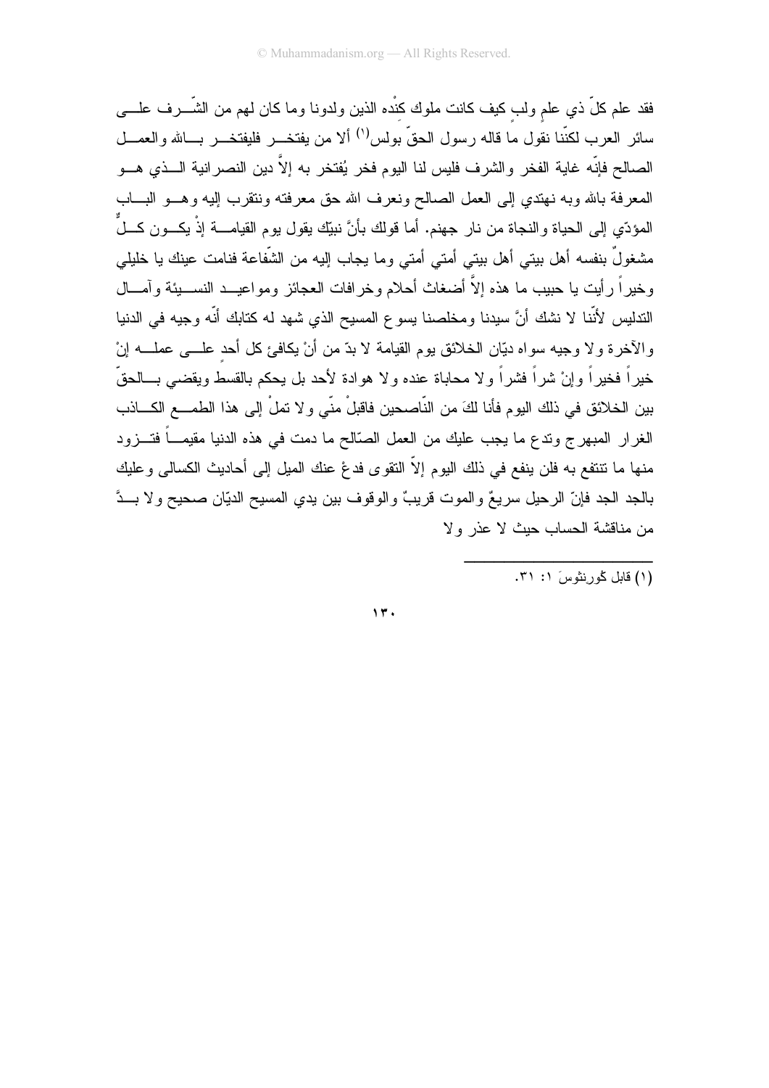فقد علم كلِّ ذي علم ولب كيف كانت ملوك كنْده الذين ولدونا وما كان لمهم من الشَّــــرف علـــــي سائر العرب لكنّنا نقول ما قاله رسول الحقّ بولس'') ألا من يفتخـــر فليفتخـــر بــــالله والعمـــل الصالح فإنّه غاية الفخر والشرف فليس لنا اليوم فخر يُفتخر به إلاّ دين النصرانية الـــذي هـــو المعرفة بالله وبه نهتدي إلى العمل الصالح ونعرف الله حق معرفته ونتقرب إليه وهـــو البــــاب المؤدِّي إلى الحياة والنجاة من نار جهنم. أما قولك بأنَّ نبيِّك يقول يوم القيامــــة إذْ يكـــون كـــلٌ مشغولٌ بنفسه أهل بيتي أهل بيتي أمتي أمتي وما يجاب إليه من الشَّفاعة فنامت عينك يا خليلي وخيراً رأيت يا حبيب ما هذه إلاَّ أضغاث أحلام وخرافات العجائز ومواعيــد النســـيئة وآمـــال الندليس لأنَّنا لا نشك أنَّ سيدنا ومخلصنا يسوع المسيح الذي شهد له كتابك أنَّه وجيه في الدنيا والآخرة ولا وجيه سواه ديَّان الخلائق بوم القيامة لا بدَّ من أنْ يكافئ كل أحد علـــي عملـــه إنْ خبر اً فخبر اً وإنْ شر اً فشر اً و لا محاباة عنده و لا هوادة لأحد بل بحكم بالقسط وبقضبي بـــالحقّ بين الخلائق في ذلك اليوم فأنا لكَ من النّاصحين فاقبلْ منّي و لا نملْ إلى هذا الطمــــع الكــــاذب الغرار المبهرج وتدع ما يجب عليك من العمل الصَّالح ما دمت في هذه الدنيا مقيمـــاً فتـــزود منها ما نتنقع به فلن ينفع في ذلك اليوم إلاّ النقوى فدعْ عنك الميل إلى أحاديث الكسالي وعليك بالجد الجد فإنّ الرحيل سريعٌ والموت قريبٌ والوقوف بين يدي المسيح الديّان صحيح ولا بــدَّ من مناقشة الحساب حيث لا عذر ولا

 $\eta$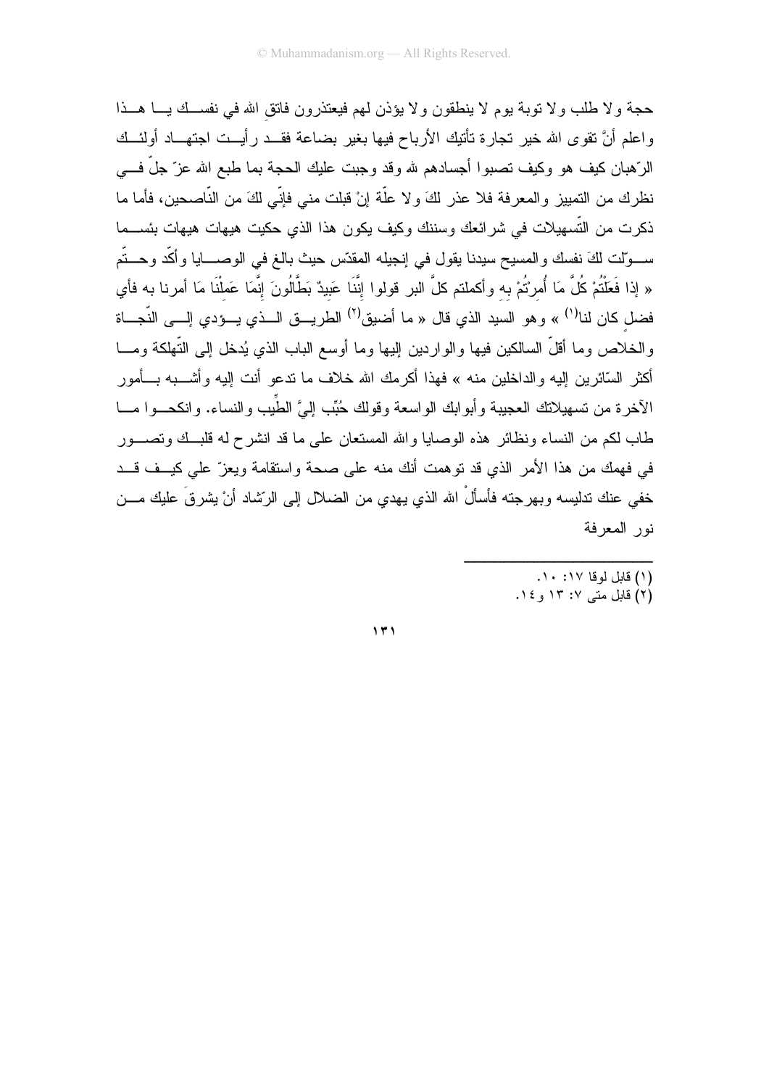حجة ولا طلب ولا توبة بوم لا ينطقون ولا يؤذن لمهم فيعتذرون فاتق الله في نفسـك يـــا هــذا واعلم أنَّ نقوى الله خير تجارة تأتيك الأرباح فيها بغير بضاعة فقــد رأيــت اجتهـــاد أولئـــك الرّهبان كيف هو وكيف نصبوا أجسادهم لله وقد وجبت عليك الحجة بما طبع الله عزّ جلّ فـــي نظرك من التمييز والمعرفة فلا عذر لكَ ولا علَّة إنْ قبلت مني فإنِّي لكَ من النَّاصحين، فأما ما ذكرت من التّسهيلات في شرائعك وسننك وكيف يكون هذا الذي حكيت هيهات هيهات بئســـما ســـوّلت لكَ نفسك والمسيح سيدنا يقول في إنجيله المقدّس حيث بالـغ في الوصــــايا وأكّد وحـــتّم « إذا فَعَلْتُمْ كُلَّ مَا أُمرْتُمْ به وأكملتم كلَّ البر قولوا إنَّنَا عَبيدٌ بَطَّالُونَ إنَّمَا عَملْنَا مَا أمرنا به فأي فضل كان لنا<sup>(י)</sup> » وهو السيد الذي قال « ما أضيق<sup>(٢)</sup> الطريـــق الـــذي يـــؤدي إلـــي النّجـــاة والخلاص وما أقلَّ السالكين فيها والواردين إليها وما أوسع الباب الذي يُدخل إلى التَّهلكة ومـــا أكثر السّائرين اليه والداخلين منه » فهذا أكرمك الله خلاف ما ندعو أنت اليه وأشـــبه بـــأمور الآخرة من تسهيلاتك العجيبة وأبوابك الواسعة وقولك حُبِّب إلىَّ الطِّيب والنساء. وانكحـــوا مـــا طاب لكم من النساء ونظائر هذه الوصابا والله المستعان على ما قد انشرح له قلبــك وتصـــور في فهمك من هذا الأمر الذي قد توهمت أنك منه على صحة واستقامة ويعزّ على كيــف قـــد خفي عنك ندليسه وبهرجته فأسألْ الله الذي يهدي من الضلال إلى الرِّشاد أنْ يشرقَ عليك مـــن نور المعرفة

- (١) قابل لوقا ١٧: ١٠.
- (۲) قابل متبی ۱۳: ۱۳ و ۱٤.

 $\gamma$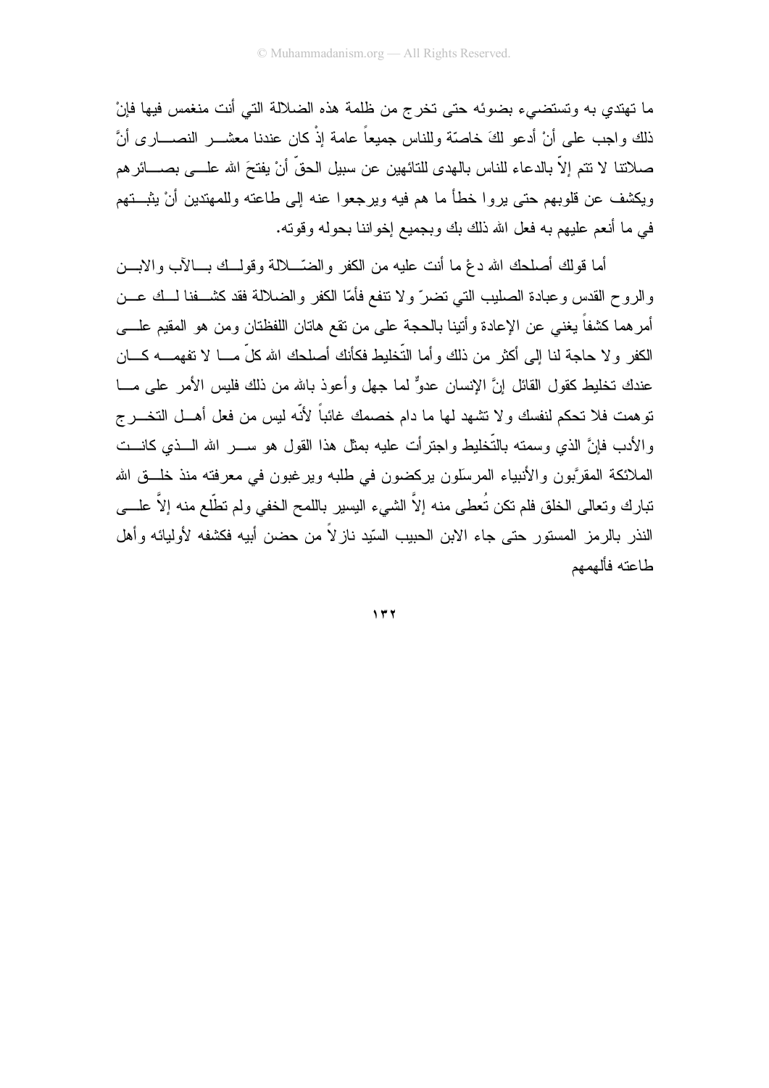ما تهتدي به وتستضيىء بضوئه حتى تخرج من ظلمة هذه الضلالة التي أنت منغمس فيها فإنْ ذلك واجب على أنْ أدعو لكَ خاصَّة وللناس جميعاً عامة إذْ كان عندنا معشـــــر النصـــــار ي أنَّ صلاتنا لا نتم إلاّ بالدعاء للناس بالهدى للنائهين عن سبيل الحقّ أنْ يفتحَ الله علـــى بصــــائر هم ويكشف عن قلوبهم حتى يروا خطأ ما هم فيه ويرجعوا عنه إلى طاعته وللمهتدين أنْ يثبـــتهم في ما أنعم عليهم به فعل الله ذلك بك وبجميع إخواننا بحوله وقوته.

أما قولك أصلحك الله دغ ما أنت عليه من الكفر والضَّـــلالة وقولـــك بــــالآب والابــــن والروح القدس وعبادة الصليب التبي تضرّ ولا نتفع فأمّا الكفر والضلالة فقد كشــفنا لــك عــن أمرهما كشفاً يغني عن الإعادة وأنبنا بالحجة على من نقع هانان اللفظنان ومن هو المقيم علـــي الكفر ولا حاجة لنا إلى أكثر من ذلك وأما التُّخليط فكأنك أصلحك الله كلِّ مـــا لا تفهمــــه كــــان عندك تخليط كقول القائل إنَّ الإنسان عدوٌّ لما جهل وأعوذ بالله من ذلك فليس الأمر على مـــا نوهمت فلا نحكم لنفسك ولا نشهد لها ما دام خصمك غائباً لأنّه ليس من فعل أهـــل النخــــرج و الأدب فانَّ الذي وسمته بالتَّخليط واجترأت عليه بمثل هذا القول هو ســــــر الله الــــذي كانــــت الملائكة المقرَّبون والأنبياء المرسلون يركضون في طلبه وير غبون في معرفته منذ خلَّــق الله نتبارك وتعالى الخلق فلم نكن تُعطى منه إلاَّ الشيء البسير باللمح الخفي ولم تطَّلع منه إلاَّ علــــي النذر بالرمز المستور حتى جاء الابن الحبيب السّيد نازلاً من حضن أبيه فكشفه لأوليائه وأهل طاعته فألهمهم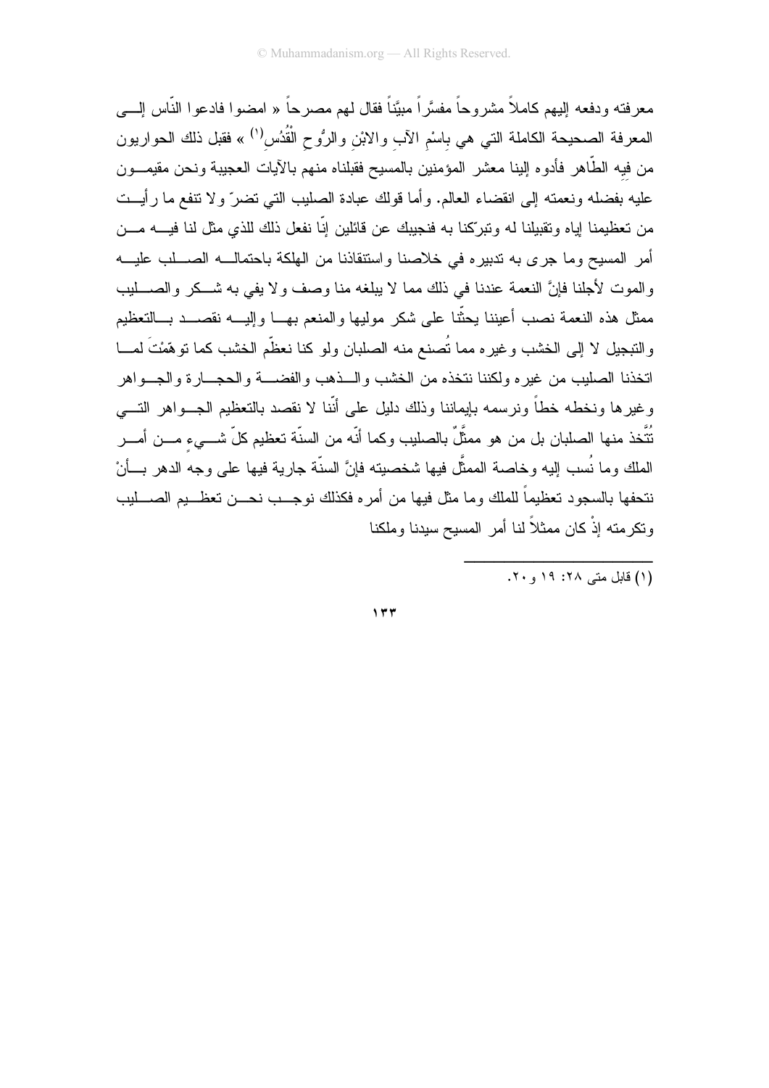معرفته ودفعه البهم كاملاً مشروحاً مفسَّراً مبيَّناً فقال لهم مصرحاً « امضوا فادعوا النَّاس الِــــى المعرفة الصحيحة الكاملة النبي هي باسْم الأب والابْن والرُوح الْقُدُس<sup>(١)</sup> » فقبل ذلك الحواريون من فيه الطَّاهر فأدوه البنا معشر المؤمنين بالمسيح فقبلناه منهم بالأيات العجيبة ونحن مقيمـــون عليه بفضله ونعمته إلى انقضاء العالم. وأما قولك عبادة الصليب التي نضرٍّ ولا نتفع ما رأيــت من تعظيمنا اياه وتقبيلنا له وتبركنا به فنجيبك عن قائلين اِنّا نفعل ذلك للذي مثل لنا فيــــه مــــن أمر المسيح وما جرى به ندبيره في خلاصنا واستنقاذنا من الهلكة باحتمالـــه الصــــلب عليـــه والموت لأجلنا فإنَّ النعمة عندنا في ذلك مما لا يبلغه منا وصف ولا يفي به شــكر والصــــليب ممثل هذه النعمة نصب أعيننا يحثّنا على شكر ًموليها والمنعم بهــا وإليـــه نقصـــد بـــالنعظيم والتبجيل لا إلى الخشب وغيره مما نُصنع منه الصلبان ولو كنا نعظَّم الخشب كما نوهَّمْتَ لمـــا اتخذنا الصلبب من غبر ه ولكننا نتخذه من الخشب والسذهب والفضسة والحجسار ة والجسواهر وغيرها ونخطه خطأ ونرسمه بإيماننا وذلك دليل على أنّنا لا نقصد بالنعظيم الجـــواهر النــــي نُتَّخذ منها الصلبان بل من هو ممثَّلٌ بالصليب وكما أنّه من السنّة تعظيم كلّ شـــيء مـــن أمـــر الملك وما نُسب إليه وخاصة الممثَّل فيها شخصيته فإنَّ السنَّة جارية فيها على وجه الدهر بـــأنْ نتحفها بالسجود تعظيماً للملك وما مثل فيها من أمره فكذلك نوجـــب نحـــن تعظـــيم الصــــليب ونكرمته إذْ كان ممثلاً لنا أمر المسيح سيدنا وملكنا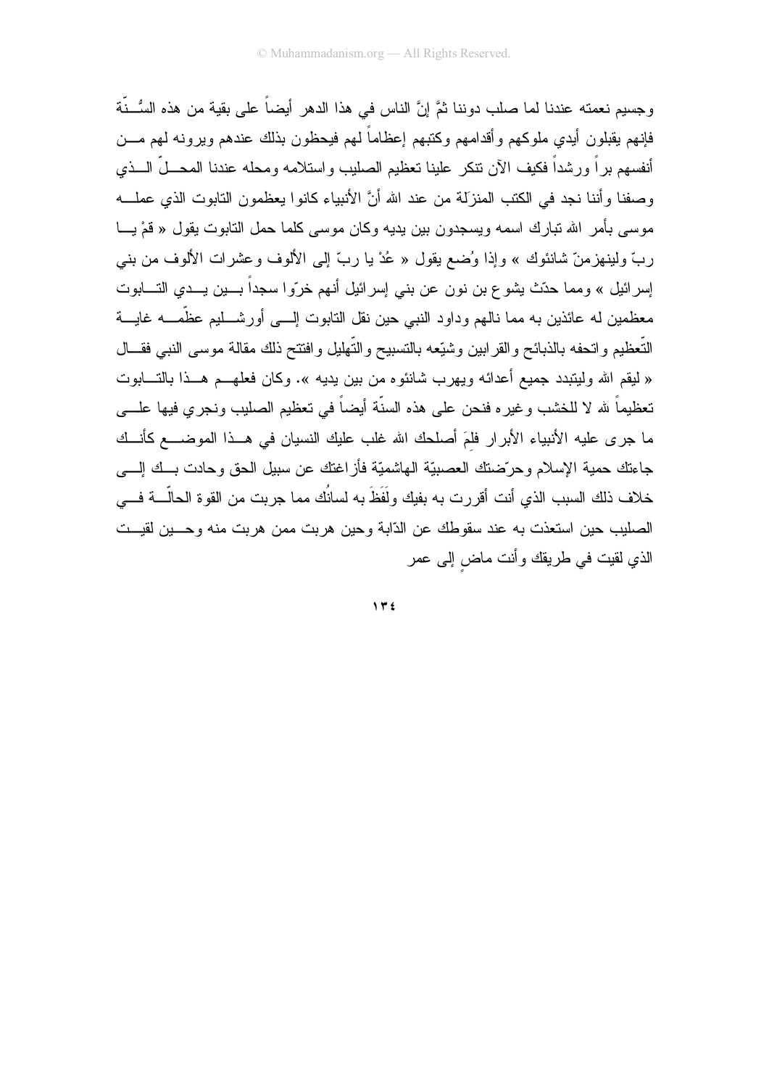وجسيم نعمته عندنا لما صلب دوننا ثمَّ إنَّ الناس في هذا الدهر أيضاً على بقية من هذه السُّـنَّة فإنهم يقبلون أيدي ملوكهم وأقدامهم وكتبهم إعظاماً لهم فيحظون بذلك عندهم ويرونه لهم مـــن أنفسهم برأ ورشداً فكيف الآن نتكر علينا نعظيم الصليب وإستلامه ومحله عندنا المحـــلَّ الـــذي وصفنا وأننا نجد في الكتب المنزلة من عند الله أنَّ الأنبياء كانوا يعظمون التابوت الذي عملـــه موسى بأمر الله تبارك اسمه ويسجدون بين يديه وكان موسى كلما حمل التابوت يقول « قمْ يـــا ربَّ ولينهزمنَّ شانئوك » وإذا وُضع يقول « عُدْ يا ربَّ إلى الألوف وعشرات الألوف من بنبي إسرائيل » ومما حدّث يشوع بن نون عن بني إسرائيل أنهم خرّوا سجداً بــــين يـــدي التــــابوت معظمين له عائذين به مما نالهم و داود النبي حين نقل النابوت إلـــي أور شـــليم عظَّمـــه غايـــة التَّعظيم وانحفه بالذبائح والقرابين وشبِّعه بالنسبيح والتَّهليل وافتتح ذلك مقالة موسى النبي فقـــال « ليقم الله وليتبدد جميع أعدائه ويهرب شانئوه من بين يديه ». وكان فعلهـــم هـــذا بالتــــابوت تعظيماً لله لا للخشب وغيره فنحن على هذه السنَّة أيضاً في تعظيم الصليب ونجري فيها علـــي ما جرى عليه الأنبياء الأبرار فلمَ أصلحك الله غلب عليك النسيان في هـذا الموضـــع كأنــك جاءتك حمية الإسلام وحرَّضنتك العصبيّة الهاشميّة فأزاغتك عن سبيل الحق وحادت بسك إلسي خلاف ذلك السبب الذي أنت أقررت به بفيك ولَفَظَ به لسانُك مما جربت من القوة الحالَّــــة فــــى الصليب حين استعذت به عند سقوطك عن الدّابة وحين هربت ممن هربت منه وحسين لقيست الذي لقيت في طريقك وأنت ماض إلى عمر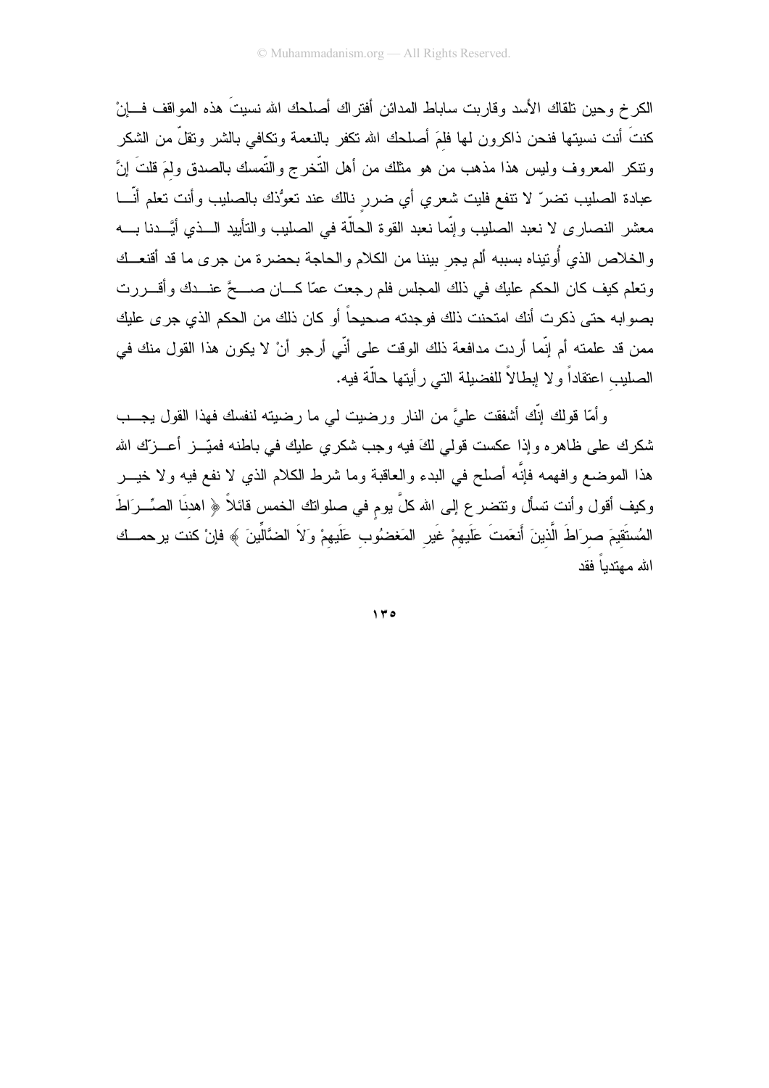الكرخ وحين نلقاك الأسد وقاربت ساباط المدائن أفتراك أصلحك الله نسيتَ هذه المواقف فسانْ كنتَ أنت نسبتها فنحن ذاكرون لمها فلمَ أصلحك الله نكفر بالنعمة ونكافى بالشر ونقلَّ من الشكر ونتكر المعروف وليس هذا مذهب من هو مثلك من أهل التُّخرج والتُّمسك بالصدق ولمَ قلتَ إنَّ عبادة الصليب نضر ٌ لا نتفع فليت شعري أي ضرر نالك عند نعوُذك بالصليب وأنت نعلم أنَّـــا معشر النصاري لا نعبد الصليب وإنَّما نعبد القوة الحالَّة في الصليب والتأييد الـــذي أيَّـــدنا بــــه والخلاص الذي أُونيناه بسببه ألم يجر بيننا من الكلام والحاجة بحضرة من جرى ما قد أقنعــك ونعلم كيف كان الحكم عليك في ذلك المجلس فلم رجعت عمّا كــــان صـــــعَّ عنـــدك وأقــــررت بصوابه حتى ذكرت أنك امتحنت ذلك فوجدته صحيحاً أو كان ذلك من الحكم الذي جرى عليك ممن قد علمته أم إنَّما أردت مدافعة ذلك الوقت على أنِّي أرجو أنْ لا يكون هذا القول منك في الصليب اعتقاداً و لا ابطالاً للفضيلة التي ر أيتها حالَّة فيه.

وأمَّا قولك إنَّك أشفقت عليَّ من النار ورضيت لي ما رضيته لنفسك فهذا القول يجــب شكرك على ظاهره وإذا عكست قولي لكَ فيه وجب شكري عليك في باطنه فميّـــز أعـــزك الله هذا الموضع وافهمه فإنَّه أصلح في البدء والعاقبة وما شرط الكلام الذي لا نفع فيه ولا خيـــر وكيف أقول وأنت تسأل ونتضرع إلى الله كلَّ بوم في صلواتك الخمس قائلاً ﴿ اهدنَا الصِّـــرَاطَ المُستَقيمَ صرَاطَ الَّذينَ أَنعَمتَ عَلَيهمْ غَيرِ المَغضُوبِ عَلَيهمْ وَلاَ الضَّالِّينَ ﴾ فإنْ كنت يرحمــك الله معتدياً فقد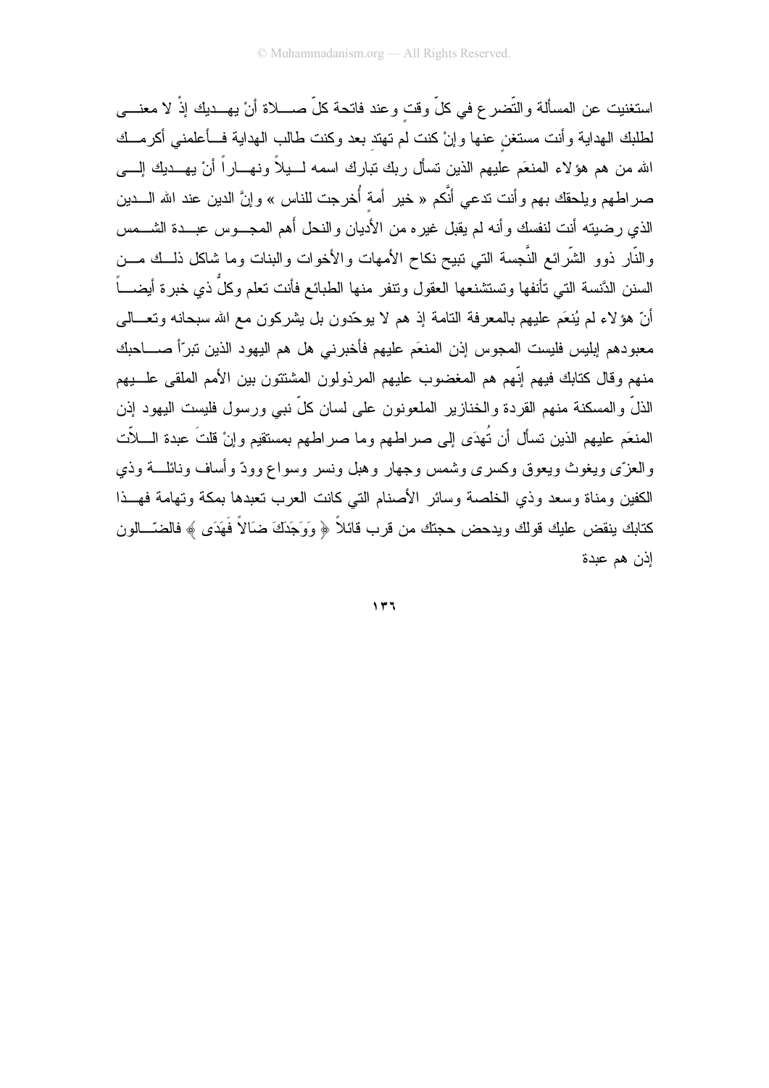استغنيت عن المسألة والتَّضرع في كلِّ وقت وعند فاتحة كلِّ صــــلاة أنْ بـهـــديك إذْ لا معنــــي لطلبك الهداية وأنت مستغن عنها وإنْ كنت لم تهتد بعد وكنت طالب الهداية فــأعلمنبي أكرمــك الله من هم هؤلاء المنعَم عليهم الذين تسأل ربك نبارك اسمه لـــبلاً ونهـــاراً أنْ يهـــديك إلــــي صر اطهم ويلحقك بهم وأنت ندعى أنَّكم « خير أمة أُخرجت للناس » وإنَّ الدين عند الله الــــدين الذي رضيته أنت لنفسك وأنه لم يقبل غيره من الأديان والنحل أهم المجـــوس عبـــدة الشــــمس والنَّار ذوو الشَّرائع النَّجسة التي تبيح نكاح الأمهات والأخوات والبنات وما شاكل ذلـــك مـــن السنن الدَّنسة التي تأنفها وتستشنعها العقول وتتفر منها الطبائع فأنت تعلم وكلٌ ذي خبرة أيضــــاً أنّ هوَ لاء لم يُنعَم عليهم بالمعر فة النامة إذ هم لا يو حّدون بل يشر كون مع الله سبحانه وتعـــالـي معبودهم إبليس فليست المجوس إذن المنعَم عليهم فأخبر نبي هل هم اليهود الذين نبرّاً صــــاحبك منهم وقال كتابك فيهم إنّهم هم المغضوب عليهم المرذولون المشتتون بين الأمم الملقى علـــبهم الذلِّ والمسكنة منهم القردة والخنازير الملعونون على لسان كلِّ نبي ورسول فليست اليهود إذن المنعَم عليهم الذين تسأل أن نُهدَى إلى صراطهم وما صراطهم بمستقيم وإنْ قلتَ عبدة الــــلاّت والعزى ويغوث ويعوق وكسرى وشمس وجهار وهبل ونسر وسواع وودّ وأساف ونائلت وذي الكفين ومناة وسعد وذي الخلصة وسائر الأصنام التى كانت العرب نعبدها بمكة وتهامة فهــذا كتابك ينقض عليك قولك ويدحض حجتك من قرب قائلاً ﴿ وَوَجَدَكَ ضَالاً فَهَدَى ﴾ فالضّـــالون إذن هم عبدة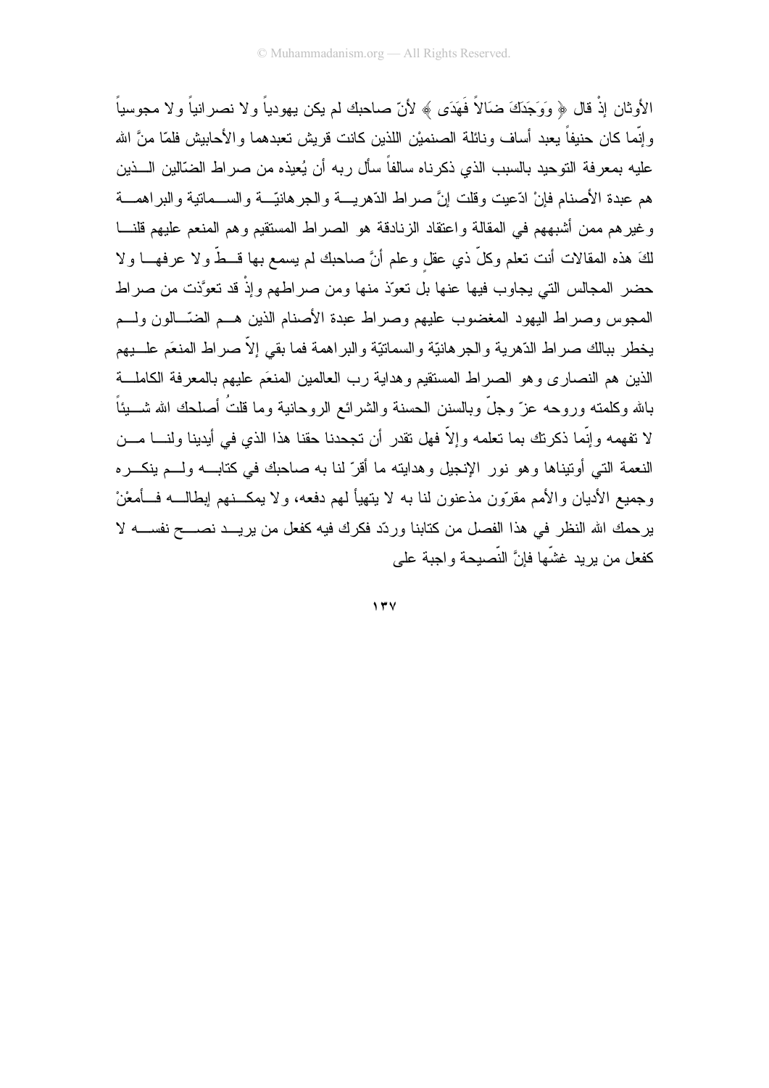الأو ثان إذْ قال ﴿ وَوَجَدَكَ ضَالاً فَهَدَى ﴾ لأنّ صاحبك لم يكن يهو دياً و لا نصر انياً و لا مجوسياً و إنَّما كان حنيفاً يعبد أساف ونائلة الصنميْن اللذين كانت قريش تعبدهما و الأحابيش فلمّا منَّ الله عليه بمعرفة النوحيد بالسبب الذي ذكرناه سالفاً سأل ربه أن يُعيذه من صراط الضّالين الـــذين هم عبدة الأصنام فإنْ ادِّعيت وقلت إنَّ صر اط الدِّهرية والجر هانيَّـــة والســـماتية والبر اهمـــة وغيرهم ممن أشبههم في المقالة واعتقاد الزنادقة هو الصراط المستقيم وهم المنعم عليهم قلنـــا لكَ هذه المقالات أنت تعلَّم وكلَّ ذي عقل وعلم أنَّ صاحبك لم يسمع بها قـــطَّ ولا عرفهـــا ولا حضر المجالس التي يجاوب فيها عنها بل تعوّذ منها ومن صر اطهم وإذْ قد تعوَّذت من صر اط المجوس وصر اط اليهود المغضوب عليهم وصر اط عبدة الأصنام الذين هــم الضّــالون ولــم يخطر ببالك صراط الدّهرية والجرهانيّة والسماتيّة والبر اهمة فما بقى إلاّ صراط المنعَم علـــبهم الذين هم النصاري وهو الصراط المستقيم وهداية رب العالمين المنعَم عليهم بالمعرفة الكاملـــة بالله وكلمنه وروحه عزّ وجلّ وبالسنن الحسنة والشرائع الروحانية وما قلتُ أصلحك الله شـــبناً لا نفهمه وإنَّما ذكرنك بما نعلمه وإلاَّ فهل نقدر أن نجحدنا حقنا هذا الذي في أيدينا ولنســا مـــن النعمة التبي أونيناها وهو نور الإنجيل وهدايته ما أقرّ لنا به صاحبك في كتابـــه ولـــم ينكـــره وجميع الأديان والأمم مقرّون مذعنون لنا به لا يتهيأ لمهم دفعه، ولا يمكـــنهم إبطالــــه فـــأمعْنْ يرحمك الله النظر في هذا الفصل من كتابنا وردّد فكرك فيه كفعل من يريـــد نصــــح نفســـه لا كفعل من بر بد غشّها فإنَّ النّصيحة و اجبة علمي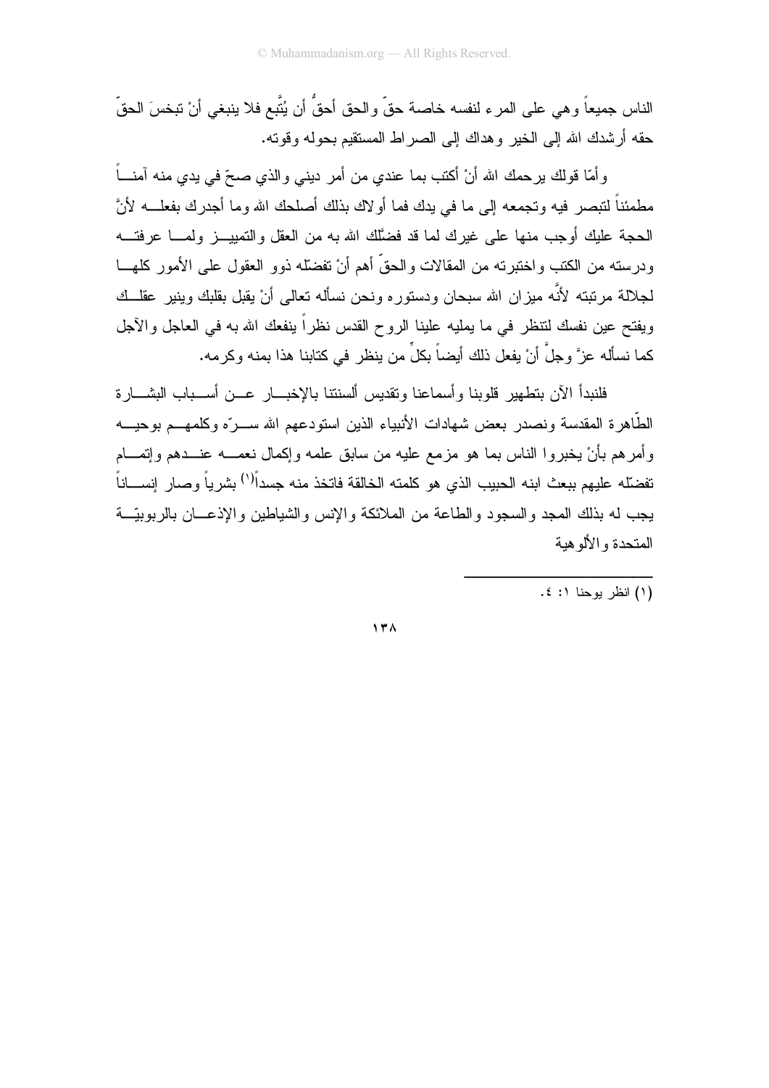الناس جميعاً وهي على المرء لنفسه خاصة حقٍّ والحق أحقُّ أن يُتَّبع فلا ينبغي أنْ تبخسَ الحقِّ حقه أر شدك الله إلى الخير ۖ و هداك إلى الصر اط المستقيم بحوله و قوته.

و أمّا فولك برحمك الله أنْ أكتب بما عندي من أمر دينبي والذي صبحّ في يدي منه آمنـــاً مطمئناً لتبصر فيه وتجمعه إلى ما في يدك فما أو لاك بذلك أصلحك الله وما أجدرك بفعلــــه لأنَّ الحجة عليك أوجب منها على غيرك لما قد فضَّلك الله به من العقل والتمييـــز ولمــــا عرفتــــه ودرسته من الكتب واختبرته من المقالات والحقِّ أهم أنْ تفضَّله ذوو العقول على الأمور كلهـــا لجلالة مرتبته لأنَّه ميزان الله سبحان ودستوره ونحن نسأله تعالى أنْ يقبل بقلبك وينير عقلــك ويفتح عين نفسك لنتظر في ما يمليه علينا الروح القدس نظراً ينفعك الله به في العاجل والأجل كما نسأله عزَّ وجلَّ أنْ يفعل ذلك أيضاً بكلٍّ من ينظر في كتابنا هذا بمنه وكرمه.

فلنبدأ الآن بتطهير قلوبنا وأسماعنا وتقديس ألسنتنا بالإخبـــار عـــن أســـباب البشـــار ة الطَّاهرة المقدسة ونصدر بعض شهادات الأنبياء الذين استودعهم الله ســـرّه وكلمهـــم بوحيــــه وأمرهم بأنْ يخبروا الناس بما هو مزمع عليه من سابق علمه وإكمال نعمـــه عنـــدهم وإنمـــام تفضّله عليهم ببعث ابنه الحبيب الذي هو كلمته الخالقة فاتخذ منه جسداً<sup>(١)</sup> بشرياً وصار إنســـاناً يجب له بذلك المجد والسجود والطاعة من الملائكة والإنس والشياطين والإذعـــان بالربوبيّـــة المتحدة والألو هبة

(۱) انظر یوحنا ۱: ٤.

 $17<sub>A</sub>$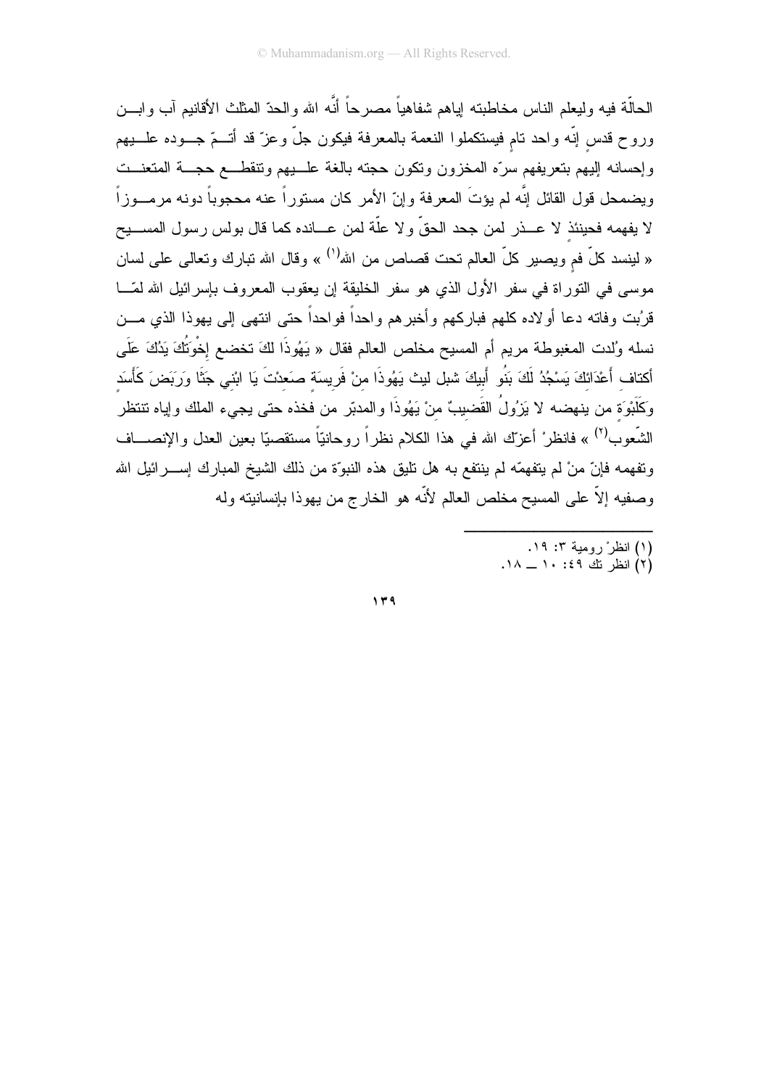الحالَّة فيه وليعلم الناس مخاطبته لِياهم شفاهياً مصرحاً أنَّه الله والحدّ المثلث الأقانيم آب وابـــن وروح قدس إنّه واحد نام فيستكملوا النعمة بالمعرفة فيكون جلّ وعزّ قد أتـــمّ جـــوده علـــبيهم وإحسانه إليهم بنعريفهم سرّه المخزون ونكون حجته بالغة علــيهم ونتقطــع حجـــة المتعنـــت ويضمحل قول القائل إنّه لم يؤتَ المعرفة وإنّ الأمر كان مستوراً عنه محجوباً دونه مرمـــوزاً لا يفهمه فحينئذ لا عــــذر لمن جحد الحقّ و لا علَّة لمن عــــانده كما قال بولس رسول المســــبح « لينسد كلٌّ فم ويصير كلُّ العالم نحت قصاص من الله<sup>(١)</sup> » وقال الله نبارك ونعالى على لسان موسى في النوراة في سفر الأول الذي هو سفر الخليقة إن يعقوب المعروف بإسرائيل الله لمّـــا قرُّبت وفاته دعا أو لاده كلِّهم فبار كهم و أخبر هم و احداً فو احداً حتى انتهى إلى بهوذا الذي مـــن نسله وُلدت المغبوطة مريم أم المسيح مخلص العالم فقال « يَهُوذَا لكَ تخضع إخْوَتُكَ يَدُكَ عَلَى أكتاف أَعْدَائكَ يَسْجُدُ لَكَ بَنُو أَبِيكَ شبل ليث يَهُوذَا منْ فَرِيسَة صَعدْتَ يَا ابْنىي جَنَّا وَرَبَضَ كَأَسَد وَكَلَبْوَة من بنهضه لا يَزِولُ القَضيبُّ منْ يَهُوذَا والمدبّر من فخذه حتى يجيء الملك وإياه نتنظر الشُّعوب<sup>(٢)</sup> » فانظرْ أعزّك الله في هذا الكلام نظراً روحانيّاً مستقصيّا بعين العدل والإنصـــاف وتفهمه فإنّ منْ لم يتفهمّه لم ينتفع به هل تليق هذه النبوّة من ذلك الشيخ المبارك إســــرائيل الله وصفيه إلاَّ على المسيح مخلص العالم لأنَّه هو الخارج من يهوذا بإنسانيته وله

- 
- (۱) انظرْ رومية ۳: ۱۹.<br>(۲) انظر نك ٤٩: ۱۰ ـــ ۱۸.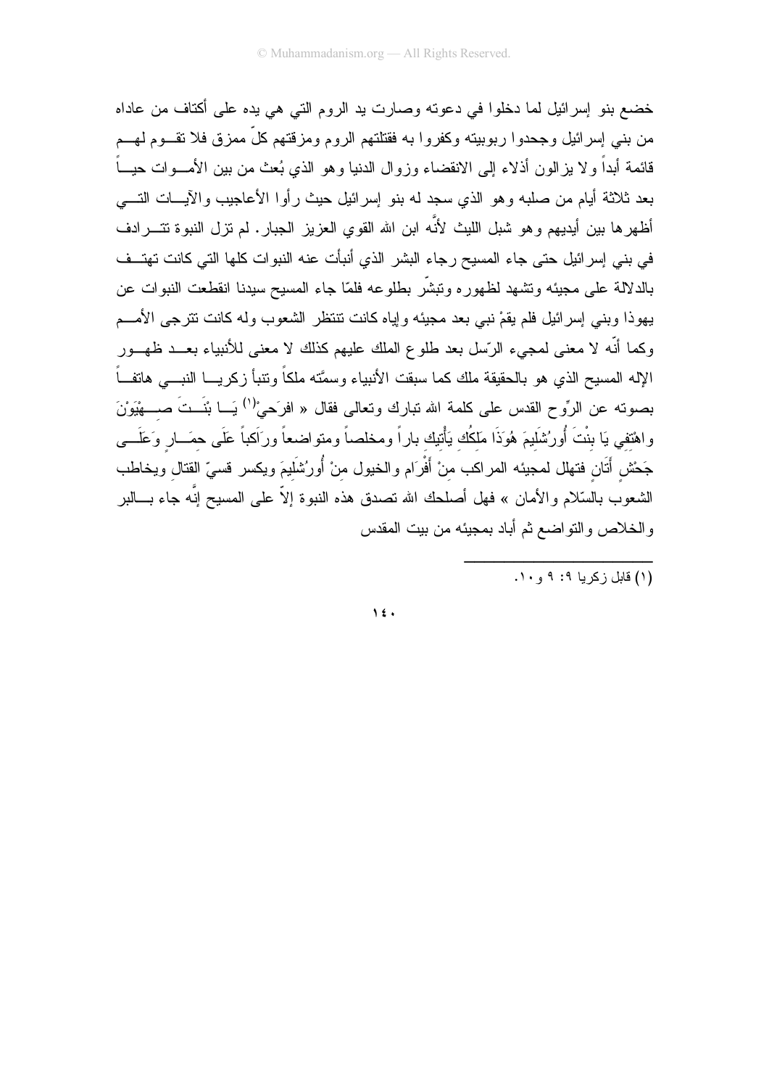خضع بنو ٳسرائيل لما دخلوا في دعوته وصارت يد الروم التي هي يده على أكتاف من عاداه من بني إسرائيل وجحدوا ربوبيته وكفروا به فقتلتهم الروم ومزقتهم كلٍّ ممزق فلا نقـــوم لـهـــم قائمة أبداً ولا يزالون أذلاء إلى الانقضاء وزوال الدنيا وهو الذي بُعث من بين الأمـــوات حيـــاً بعد ثلاثة أيام من صلبه وهو الذي سجد له بنو ٳسرائيل حيث رأوا الأعاجيب والآيـــات التــــي أظهرها بين أيديهم وهو شبل الليث لأنَّه ابن الله القوى العزيز الجبار . لم نزل النبوة تتـــرادف في بني إسرائيل حتى جاء المسيح رجاء البشر الذي أنبأت عنه النبوات كلها التي كانت تهتــف بالدلالة على مجيئه ونشهد لظهوره ونبشَّر بطلوعه فلمَّا جاء المسيح سيدنا انقطعت النبوات عن يهوذا وبني إسرائيل فلم يقمْ نبي بعد مجيئه وإياه كانت نتنظر الشعوب وله كانت نترجى الأمـــم وكما أنَّه لا معنى لمجيء الرَّسل بعد طلوع الملك عليهم كذلك لا معنى للأنبياء بعـــد ظهـــور الإله المسيح الذي هو بالحقيقة ملك كما سبقت الأنبياء وسمَّته ملكاً وتتبأ زكريـــا النبــــى هاتفـــاً بصونه عن الرِّوح القدس على كلمة الله تبارك وتعالى فقال « افرَحيْ<sup>(١)</sup> يَـــا بْنَـــتَ صـــــهْيْوَنَ واهْتفي يَا بنْتَ أُورُشَلَيمَ هُوَذَا مَلكُك يَأْتيك باراً ومخلصاً ومتواضعاً ورَاكباً عَلَى حمَــار وَعَلَـــى جَحْش أَتَان فتهلل لمحيئه المراكب منْ أَفْرَام والخيول منْ أُورُشَلَيمَ ويكسر قسيّ القتال ويخاطب الشعوب بالسّلام والأمان » فهل أصلحك الله تصدق هذه النبوة إلاّ على المسيح إنَّه جاء بـــالبر والخلاص والنواضع ثم أباد بمجيئه من بيت المقدس

 $\sqrt{2}$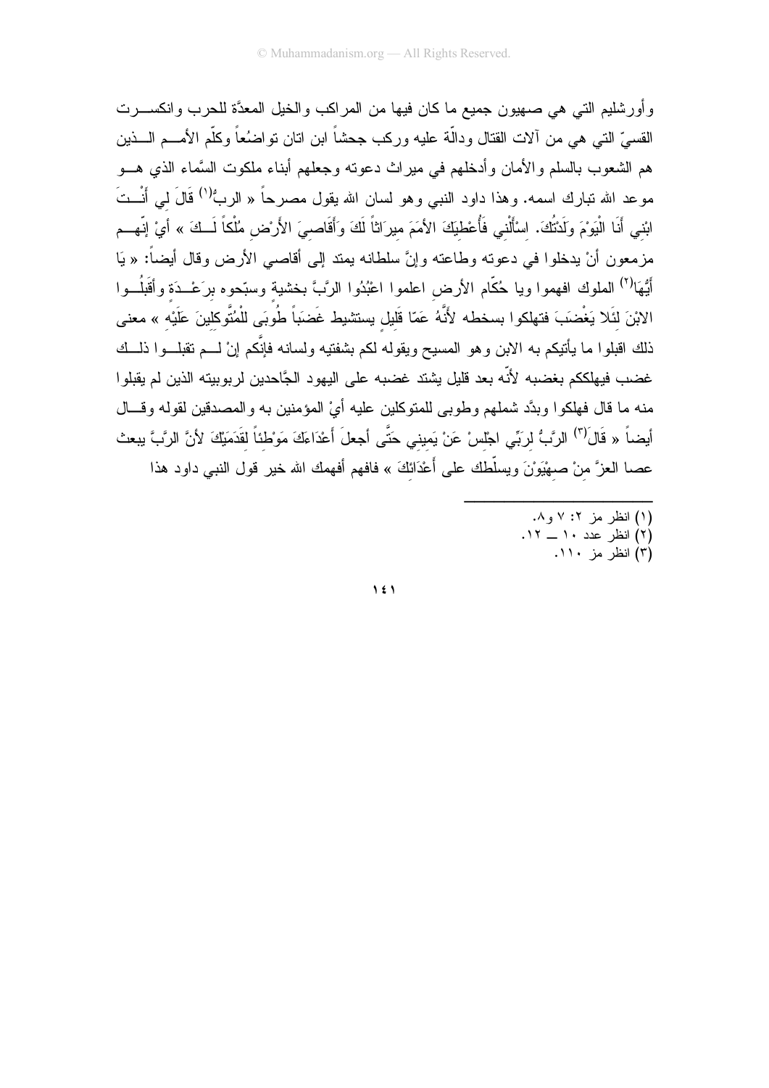وأورشليم التي هي صهيون جميع ما كان فيها من المراكب والخيل المعدَّة للحرب وانكســـرت القسيِّ التي هي من ألات القتال ودالَّة عليه وركب جحشاً ابن اتان تواضنُعاً وكلَّم الأمــــم الــــذين هم الشعوب بالسلم والأمان وأدخلهم في ميراث دعونه وجعلهم أبناء ملكوت السَّماء الذي هـــو موعد الله تبارك اسمه. وهذا داود النبي وهو لسان الله يقول مصرحاً « الربُّ<sup>(١)</sup> قَالَ لي أَنْــتَ ابْني أَنَا الْيَوْمَ وَلَدْتُكَ. اسْأَلْني فَأُعْطٰيَكَ الأمَمَ ميرَاثاً لَكَ وَأَقَاصِيَ الأَرْضِ مُلْكاً لَــكَ » أيْ إنّهــم مزمعون أنْ يدخلوا في دعونه وطاعته وإنَّ سلطانه بمند إلى أقاصي الأرض وقال أيضاً: « يَا أَيُّهَا<sup>(٢)</sup> الملوك افهموا ويا حُكَّام الأرض اعلموا اعْبُدُوا الرَّبَّ بخشية وسبّحوه برَعْــدَة وأقَبلُــوا الابْنَ لئَلا يَغْضَبَ فتهلكوا بسخطه لأَنَّهُ عَمّا قَليل يستشيط غَضبَاً طُوبَى للْمُتَّوكلينَ عَلَيْه » معنى ذلك اقبلوا ما بأنيكم به الابن وهو المسيح ويقوله لكم بشفتيه ولسانه فإنَّكم إنْ لـــم تقبلـــوا ذلـــك غضب فيهلككم بغضبه لأنّه بعد قليل يشتد غضبه على اليهود الجَّاحدين لربوبيته الذين لم يقبلوا منه ما قال فهلكوا وبدَّد شملهم وطوبي للمتوكلين عليه أيْ المؤمنين به والمصدقين لقوله وقـــال أيضاً « قَال<sup>َ(٣)</sup> الرَّبُّ لربِّي اجْلسْ عَنْ يَميني حَتَّى أجعلَ أَعْدَاءَكَ مَوْطْنَاً لقَدَمَيْكَ لأنَّ الرَّبَّ يبعث عصـا الـعزَّ منْ صـهيْوَنَ ويسلَّطك علـى أعْدَانكَ » فافـهم أفـهمك الله خير قول النبـي داود هذا

- (۱) انظر مز ۰۲ و ۸.
- (۲) انظر عدد ۱۰ ـــ ۱۲.<br>(۳) انظر مز ۱۱۰.
	-

 $\lambda$  {  $\lambda$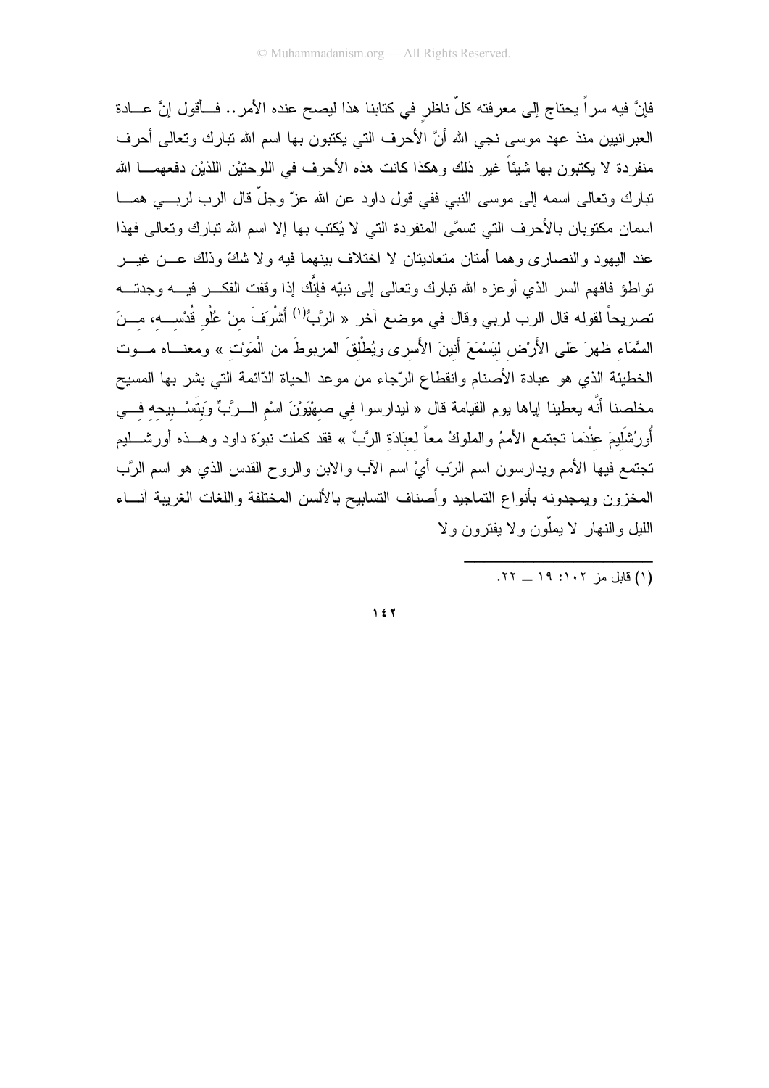فإنَّ فيه سراً يحتاج إلى معرفته كلِّ ناظرٍ في كتابنا هذا ليصح عنده الأمر .. فــأقول إنَّ عـــادة العبر انبين منذ عهد موسى نجى الله أنَّ الأحرف التي يكتبون بها اسم الله تبارك وتعالى أحرف منفردة لا يكتبون بها شيئاً غير ذلك وهكذا كانت هذه الأحرف في اللوحتيْن اللذيْن دفعهمـــا الله نتبارك وتعالى اسمه إلى موسى النبي ففي قول داود عن الله عزّ وجلّ قال الرب لربــــى همــــا اسمان مكتوبان بالأحرف التي تسمَّى المنفردة التي لا يُكتب بها إلا اسم الله تبارك وتعالى فهذا عند اليهود والنصاري وهما أمتان متعاديتان لا اختلاف بينهما فيه ولا شكٍّ وذلك عـــن غيـــر نواطؤ فافهم السر الذي أوعزه الله نبارك ونعالى إلى نبيّه فإنَّك إذا وقفت الفكـــر فيــــه وجدنــــه تصريحاً لقوله قال الرب لربي وقال في موضع آخر « الرَّبُّ<sup>(١)</sup> أَشْرَفَ منْ عُلْو قُدْســـه، مـــنَ السَّمَاء ظهرَ عَلَى الأَرْض لَيَسْمَعَ أَنينَ الأَسرى ويُطْلقَ المربوطَ من الْمَوْت » ومعنـــاه مـــوت الخطيئة الذي هو عبادة الأصنام وانقطاع الرّجاء من موعد الحياة الدّائمة التي بشر بها المسيح مخلصنا أنَّه بعطينا إباها بوم القيامة قال « ليدارسوا في صهْيَوْنَ اسْمِ الــرَّبِّ وَبِتَسْــبيحه فـــي أُورُشَلَيمَ عِنْدَما نجتمع الأممُ والملوكُ معاً لعبَادَة الرَّبِّ » فقد كملت نبوّة داود وهــذه أورشـــليم تجتمع فيها الأمم ويدارسون اسم الرّب أيِّ اسم الآب والابن والروح القدس الذي هو اسم الرَّب المخزون ويمجدونه بأنواع التماجيد وأصناف التسابيح بالألسن المختلفة واللغات الغريبة آنساء الليل والنهار لا يملّون ولا يفترون ولا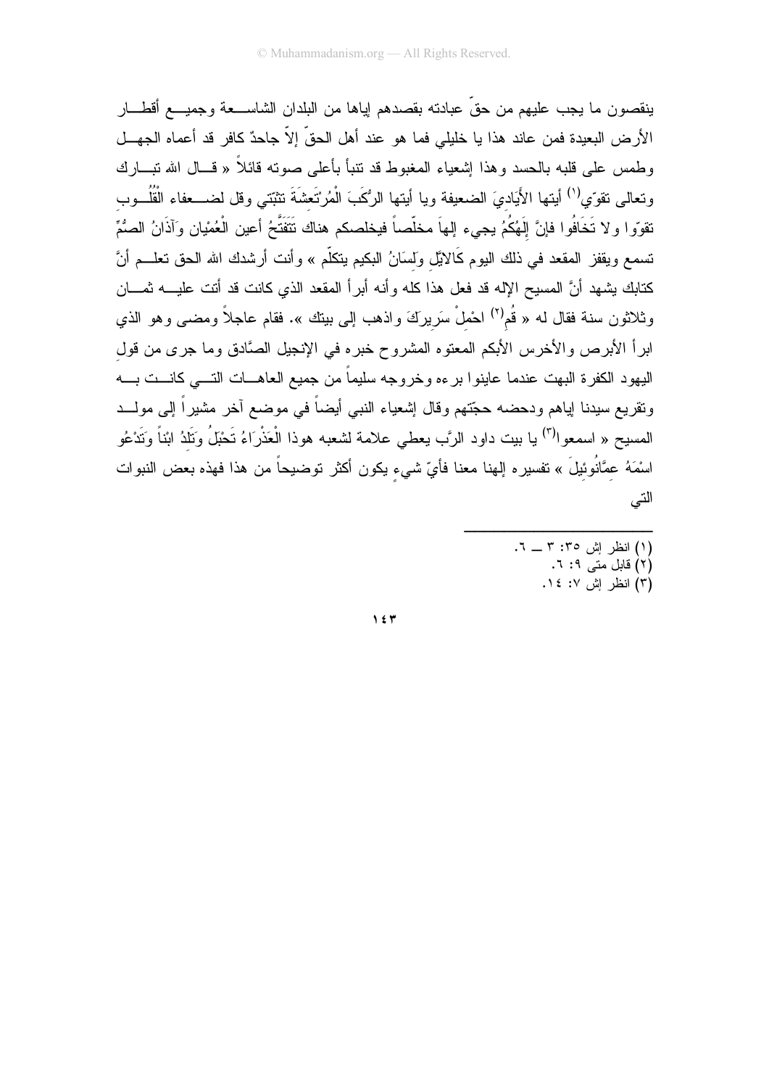ينقصون ما يجب عليهم من حقٍّ عبادته بقصدهم لِياها من البلدان الشاســـعة وجميـــع أقطــــار الأرض البعيدة فمن عاند هذا يا خليلي فما هو عند أهل الحقِّ إلاَّ جاحدٌ كافرٍ قد أعماه الجهــل وطمس على قلبه بالحسد وهذا إشعياء المغبوط قد نتبأ بأعلى صوته قائلاً « قـــال الله نبـــارك وتعالى تقوِّي<sup>(١)</sup> أيتها الأَيَاديَ الضعيفة ويا أيتها الرُكَبَ الْمُرتَعشَةَ تثبّتي وقل لضـــعفاء الْقُلُــوب تقوّوا و لا تَخَافُوا فإنَّ إِلَهُكُمُ يجيء إلهاَ مخلّصاً فيخلصكم هناك نَتَفَتَّحُ أعين الْعُمْيان وَآذَانُ الصُّمِّ تسمع ويقفز المقعد في ذلك اليوم كَالايَّل وَلسَانُ البكيم يتكلَّم » وأنت أرشدك الله الحق تعلـــم أنَّ كتابك بشهد أنَّ المسيح الإله قد فعل هذا كله وأنه أبراً المقعد الذي كانت قد أتت عليـــه ثمـــان وثلاثون سنة فقال له « قُم<sup>(٢)</sup> احْملْ سَرِيرَكَ واذهب إلى بينك ». فقام عاجلاً ومضـي وهو الذي ابراً الأبرص والأخرس الأبكم المعنوه المشروح خبره في الإنجيل الصَّادق وما جرى من قول اليهود الكفرة البهت عندما عاينوا برءه وخروجه سليماً من جميع العاهـــات التــــى كانـــت بــــه ونقريع سيدنا إياهم ودحضه حجّتهم وقال إشعياء النبي أيضاً في موضع آخر مشيراً إلى مولـــد المسيح « اسمعوا<sup>(٣)</sup> يا بيت داود الرَّب يعطي علامة لشعبه هوذا الْعَذْرَاءُ تَحْبَلُ وَتَلَدُ ابْناً وَتَدْعُو اسْمَهُ عمَّانُوئيلَ » نفسير ه إلهنا معنا فأيِّ شيء يكون أكثر توضيحاً من هذا فهذه بعض النبوات التى

- (۱) انظر اِش ۳: ۳ \_ ۲. (٢) قابل متنی ٩: ٦.
	- (٣) انظر إش ١٤: ١٤.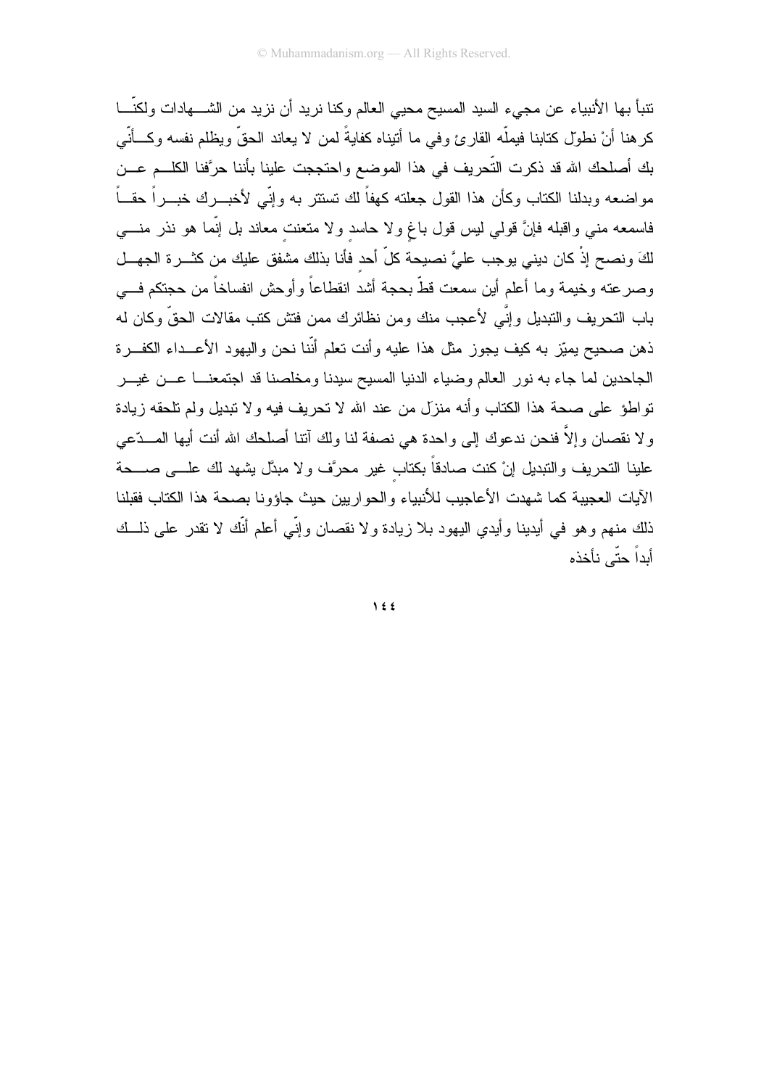نتبأ بها الأنبياء عن مجيء السيد المسيح محيي العالم وكنا نريد أن نزيد من الشــــهادات ولكنّـــا كرهنا أنْ نطول كتابنا فيملُّه القارئ وفي ما أنبناه كفايةً لمن لا يعاند الحقِّ ويظلم نفسه وكـــأنّـي بك أصلحك الله قد ذكرت التَّحريف في هذا الموضع واحتججت علينا بأننا حرَّفنا الكلــم عـــن مواضعه وبدلنا الكتاب وكأن هذا القول جعلته كهفاً لك نستتر به وإنّي لأخبـــرك خبــــراً حقـــاً فاسمعه مني واقبله فإنَّ قولي ليس قول باغ ولا حاسد ولا منعنت معاند بل إنَّما هو نذر منــــي لكَ ونصح إذْ كان ديني يوجب عليَّ نصيحة كلَّ أحد فأنا بذلك مشفق عليك من كثـــرة الجهـــل وصرعته وخيمة وما أعلم أين سمعت قطّ بحجة أشد انقطاعاً وأوحش انفساخاً من حجتكم فـــي باب التحريف والتبديل وإنَّى لأعجب منك ومن نظائرك ممن فتش كتب مقالات الحقَّ وكان له ذهن صحيح بميّز به كيف يجوز مثل هذا عليه وأنت تعلم أنّنا نحن واليهود الأعـــداء الكفـــرة الجاحدين لما جاء به نور العالم وضياء الدنيا المسيح سيدنا ومخلصنا قد اجتمعنـــا عـــن غيـــر تواطؤ على صحة هذا الكتاب وأنه منزل من عند الله لا تحريف فيه ولا تبديل ولم تلحقه زيادة ولا نقصان وإلاَّ فنحن ندعوك إلى واحدة هي نصفة لنا ولك آنتا أصلحك الله أنت أيها المـــدّعى علينا التحريف والنبديل إنْ كنت صادقاً بكتاب غير محرَّف ولا مبدَّل يشهد لك علــــى صـــــحة الآيات العجيبة كما شهدت الأعاجيب للأنبياء والحواريين حيث جاؤونا بصحة هذا الكتاب فقبلنا ذلك منهم وهو في أيدينا وأيدي اليهود بلا زيادة ولا نقصان وإنّي أعلم أنّك لا تقدر على ذلــك أبداً حتّى نأخذه

 $\bigwedge$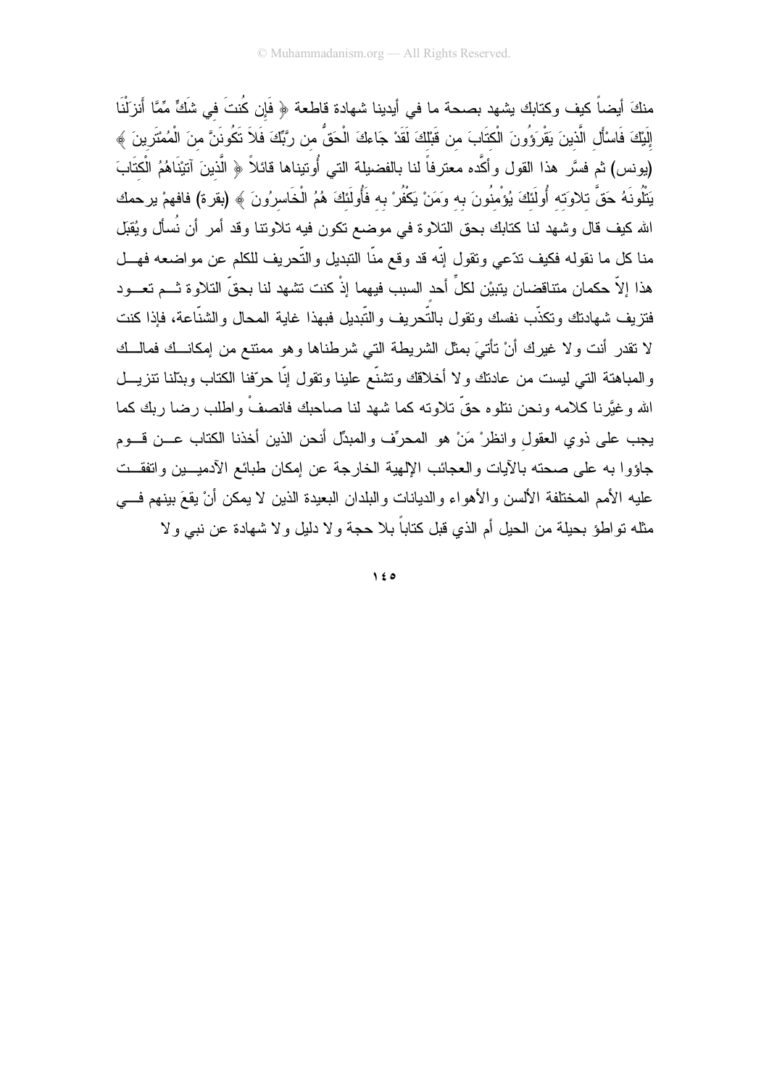منكَ أيضاً كيف وكتابك يشهد بصحة ما في أيدينا شهادة قاطعة ﴿ فَإِن كُنتَ في شَكٍّ مِّمَّا أَنزلْنَا إِلَيْكَ فَاسْأَلِ الَّذينَ يَقْرَوُونَ الْكتَابَ من قَبْلَكَ لَقَدْ جَاءكَ الْحَقُّ من رِّبِّكَ فَلاَ تَكُونَنَّ منَ الْمُمْتَرِينَ ﴾ (يونس) ثم فسَّر هذا القول وأكَّده معترفاً لنا بالفضيلة التي أُونيناها قائلاً ﴿ الَّذينَ آتيْنَاهُمُ الْكتَابَ يَتْلُونَهُ حَقَّ تلاوَته أُولَئكَ يُؤْمِنُونَ به وَمَنْ يَكْفُرْ به فَأُولَئكَ هُمُ الْخَاسرُونَ ﴾ (بقرة) فافهمْ يرحمك الله كيف قال وشهد لنا كتابك بحق النلاوة في موضع نكون فيه نلاوننا وقد أمر أن نُسأل ويُقبَل منا كل ما نقوله فكيف ندّعي ونقول إنّه قد وقع منّا النبديل والتّحريف للكلم عن مواضعه فهـــل هذا إلاّ حكمان متناقضان يتبيْن لكلِّ أحد السبب فيهما إذْ كنت تشهد لنا بحقّ التلاوة ثـــم تعـــود فتزيف شهادتك وتكذّب نفسك وتقول بالتّحريف والتّبديل فبهذا غاية المحال والشنّاعة، فإذا كنت لا نقدر أنت ولا غيرك أنْ نأتـيَ بمثل الشريطـة التـي شرطناها وهو ممنتـع من إمكانــك فمالــك والمباهنة التبي ليست من عادنك ولا أخلاقك وتشنَّع علينا ونقول إنَّا حرَّفنا الكتاب وبدَّلنا نتزيـــل الله وغيَّرنا كلامه ونحن نتلوه حقَّ تلاوته كما شهد لنا صاحبك فانصفْ واطلب رضا ربك كما يجب على ذوي العقول وانظرْ مَنْ هو المحرِّف والمبدِّل أنحن الذين أخذنا الكتاب عـــن قـــوم جاؤوا به على صحته بالأيات والعجائب الإلهية الخارجة عن إمكان طبائع الأدميـــين واتفقـــت عليه الأمم المختلفة الألسن والأهواء والديانات والبلدان البعيدة الذين لا يمكن أنْ يقعَ بينهم فـــي مثله نواطؤ بحيلة من الحيل أم الذي قبل كتاباً بلا حجة و لا دليل و لا شهادة عن نبـي و لا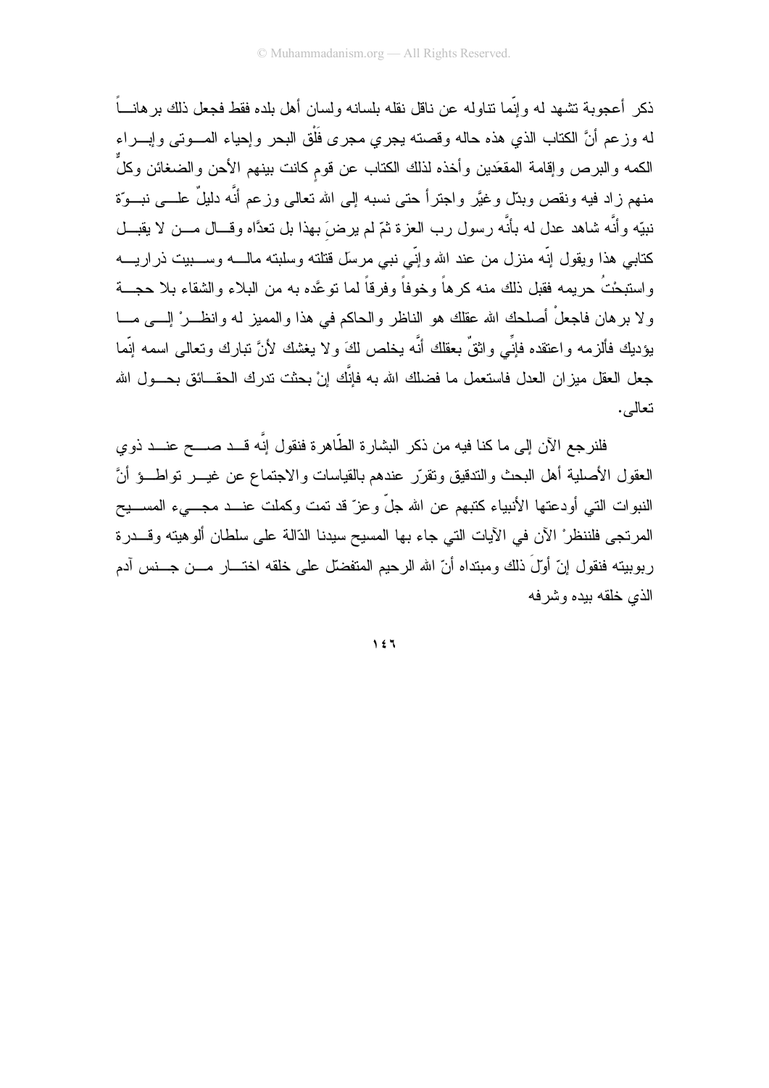ذكر ۖ أعجوبـة تشـهد لـه و إنَّمـا نتـاو لـه عن نـاقل نقلـه بلسـانـه ولسـان أهل بلده فقط فجعل ذلك بر هانــــاً له وزعم أنَّ الكتاب الذي هذه حاله وقصته بجرى مجرى فَلْق البحر وإحياء المسوتي وإبسراء الكمه والبرص وإقامة المقعَدين وأخذه لذلك الكتاب عن قوم كانت بينهم الأحن والضغائن وكلَّ منهم زاد فيه ونقص وبدّل وغيَّر واجترأ حتى نسبه إلى الله نعالى وزعم أنَّه دليلٌ علــــى نبـــوّة نبيّه وأنَّه شاهد عدل له بأنَّه رسول رب العزة ثمّ لم يرضَ بهذا بل تعدَّاه وقـــال مـــن لا يقبـــل كتابي هذا ويقول إنّه منزل من عند الله وإنّي نبي مرسل قتلته وسلبته مالــــه وســــبيت ذراريــــه و استبحْتُ حريمه فقبل ذلك منه كر هاً وخوفاً وفر قاً لما تو عَّده به من البلاء و الشقاء بلا حجـــة و لا بر هان فاجعلْ أصلحك الله عقلك هو الناظر و الحاكم في هذا و المميز له و انظـــر ْ الــــي مــــا يؤديك فألزمه واعتقده فإنِّي واثقٌ بعقلك أنَّه يخلص لكَ ولا يغشك لأنَّ نبارك ونعالى اسمه إنَّما جعل العقل ميز ان العدل فاستعمل ما فضلك الله به فإنَّك إنْ بحثت ندرك الحقـــائق بـحـــول الله نعالے,.

فلنر جع الآن إلى ما كنا فيه من ذكر البشار ۃ الطّاھر ۃ فنقول إنّه قــد صـــح عنــد ذو ي العقول الأصلية أهل البحث والتدقيق ونقرر عندهم بالقياسات والاجتماع عن غيـــر نواطـــؤ أنَّ النبوات التي أودعتها الأنبياء كتبهم عن الله جلَّ وعزَّ قد تمت وكملت عنــد مجـــيء المســـيح المرتجى فلننظرْ الآن في الأيات التي جاء بها المسيح سيدنا الذالة على سلطان ألوهيته وقـــدرة ربوبيته فنقول إنّ أولَ ذلك ومبتداه أنّ الله الرحيم المتفضل على خلقه اختـــار مـــن جـــنس آدم الذي خلقه بيده وشر فه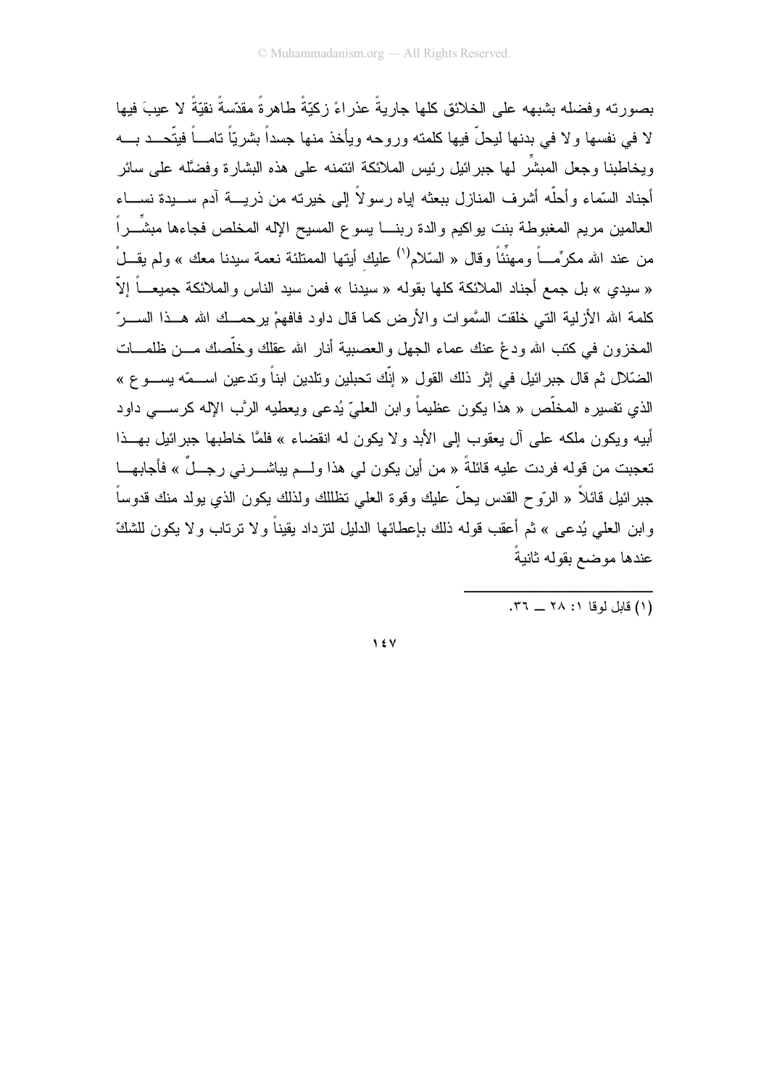بصورته وفضله بشبهه على الخلائق كلها جاريةً عذر اءً زكبّةً طاهر ةً مقدّسةً نقبّةً لا عببَ فبها لا في نفسها ولا في بدنها ليحلُّ فيها كلمته وروحه ويأخذ منها جسداً بشريّاً تامـــاً فيتّحـــد بــــه ويخاطبنا وجعل المبشَّر لمها جبر ائيل رئيس الملائكة ائتمنه على هذه البشارة وفضَّله على سائر أجناد السَّماء وأحلُّه أشرف المنازل ببعثه إياه رسولاً إلى خيرنه من ذريــــة آدم ســــيدة نســــاء العالمين مريم المغبوطة بنت يواكيم والدة ربنـــا يسوع المسيح الإله المخلص فجاءها مبشَـــراً من عند الله مكرِّمــــاً ومـهنَّناً وقال « السّلام<sup>(١)</sup> عليك أيتها الممتلئة نعمة سيدنا معك » ولم يقـــلْ « سيدي » بل جمع أجناد الملائكة كلها بقوله « سيدنا » فمن سيد الناس والملائكة جميعــاً إلاّ كلمة الله الأز لية التي خلقت السَّموات والأرض كما قال داود فافهمْ ير حمــك الله هــذا الســـرّ المخزون في كتب الله ودغ عنك عماء الجهل والعصبية أنار الله عقلك وخلَّصك مـــن ظلمــــات الضَّلال ثم قال جبر ائبل في إثر ذلك القول « إنَّك تحبلبن وتلدبن ابناً و تدعبن اســـمّه بســـو ع » الذي تفسيره المخلَّص « هذا يكون عظيماً وابن العليّ يُدعى ويعطيه الرَّب الإله كرســـي داود أبيه ويكون ملكه على آل يعقوب إلى الأبد ولا يكون له انقضاء » فلمَّا خاطبها جبرائيل بهــذا تعجبت من قوله فردت عليه قائلةً « من أين يكون لي هذا ولـــم يباشــــرنـي رجـــلٌ » فأجابهــــا جبرائيل قائلاً « الرّوح القدس يحلّ عليك وقوة العلى تظللك ولذلك يكون الذي يولد منك قدوساً وابن العلمي يُدعى » ثم أعقب قوله ذلك بإعطائها الدليل لنزداد بقيناً و لا نرتاب و لا يكون للشكّ عندها موضع بقوله ثانبةً

(١) قابل لوقا ١: ٢٨ \_ ٣٦.

 $\frac{1}{2}$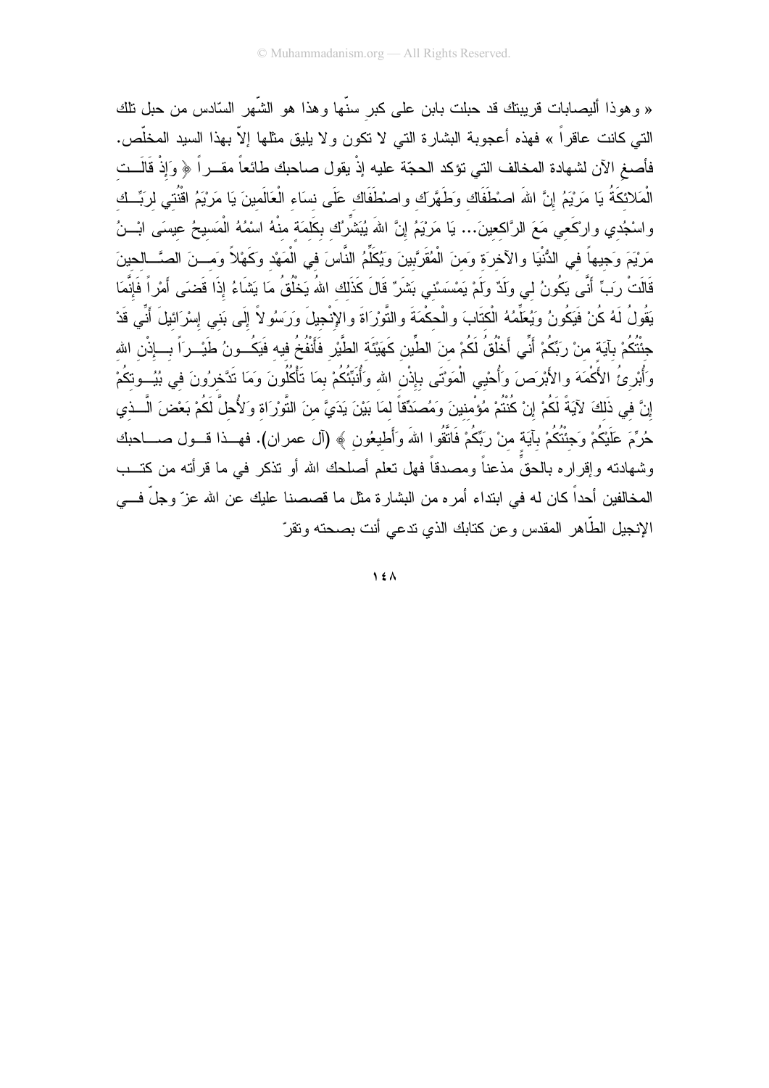« وهوذا أليصابات قريبتك قد حبلت بابن على كبر سنَّها وهذا هو الشَّهر السَّادس من حبل تلك التي كانت عاقراً » فهذه أعجوبة البشارة التي لا نكون ولا يليق مثلها إلاّ بهذا السيد المخلّص. فأصغ الآن لشهادة المخالف التي تؤكد الحجّة عليه إذْ يقول صاحبك طائعاً مقـــراً ﴿ وَإِذْ قَالَــت الْمَلائكَةُ يَا مَرْيَمُ إِنَّ اللهَ اصْطْفَاك وَطَهَّرَك واصْطْفَاك عَلَى نسَاء الْعَالَمينَ يَا مَرْيَمُ اقْنُتي لرَبِّــك واسْجُدي وارْكَعي مَعَ الرَّاكعينَ... يَا مَرْيَمُ إِنَّ اللهَ يُبَشِّرُك بكَلَمَة منْهُ اسْمُهُ الْمَسيحُ عيسَى ابْــنُ مَرْيْمَ وَجيهاً في الدُّنْيَا والآخرَة وَمنَ الْمُقَرَّبينَ وَيُكَلِّمُ النَّاسَ في الْمَهْدِ وَكَهْلاً وَمِـــنَ الصَّـــالِحِينَ قَالَتْ رَبِّ أَنَّى يَكُونُ لي وَلَدٌ وَلَمْ يَمْسَسْني بَشَرٌ قَالَ كَذَلك اللهُ يَخْلُقُ مَا يَشَاءُ إذَا قَضيَ أَمْرٍ اً فَإِنَّمَا يَقُولُ لَهُ كُنْ فَيَكُونُ وَيُعَلِّمُهُ الْكتَابَ والْحكْمَةَ والتَّوْرَاةَ والإِنْجِيلَ وَرَسُولاً إِلَى بَنى إسْرَائيلَ أَنِّى قَدْ جنَّتُكُمْ بآيَة منْ رَبِّكُمْ أَنِّي أَخْلُقُ لَكُمْ منَ الطِّين كَهَيْئَة الطَّيْر فَأَنْفُخُ فيه فَيَكُــونُ طَيْــرَاً بـــإذْن الله وَأَبْرِئُ الأَكْمَهَ والأَبْرَصَ وَأُحْيى الْمَوْتَى بإذْنِ الله وَأَنَبِّئُكُمْ بِمَا تَأْكُلُونَ وَمَا تَذَخرُونَ في بُيُـــوتكُمْ إِنَّ فِي ذَلكَ لآيَةً لَكُمْ إِنْ كُنتُمْ مُؤْمنينَ وَمُصنَدِّقاً لمَا بَيْنَ يَدَيَّ منَ التَّوْرَاة وَلأُحلّ لَكُمْ بَعْضَ الَّــذي حُرُمَّ عَلَيْكُمْ وَجِئْتُكُمْ بِآيَة منْ رَبِّكُمْ فَاتَّقُوا اللهَ وَأَطْيِعُون ﴾ (آل عمران). فهــذا قـــول صــــاحبك وشهادته وإقراره بالحقٍّ مذعناً ومصدقاً فهل تعلم أصلحك الله أو تذكر في ما قرأته من كتــب المخالفين أحداً كان له في ابتداء أمره من البشارة مثل ما قصصنا عليك عن الله عزّ وجلّ فـــي الإنجيل الطَّاهر المقدس وعن كتابك الذي ندعى أنت بصحته ونقرّ

 $\lambda$  {  $\Lambda$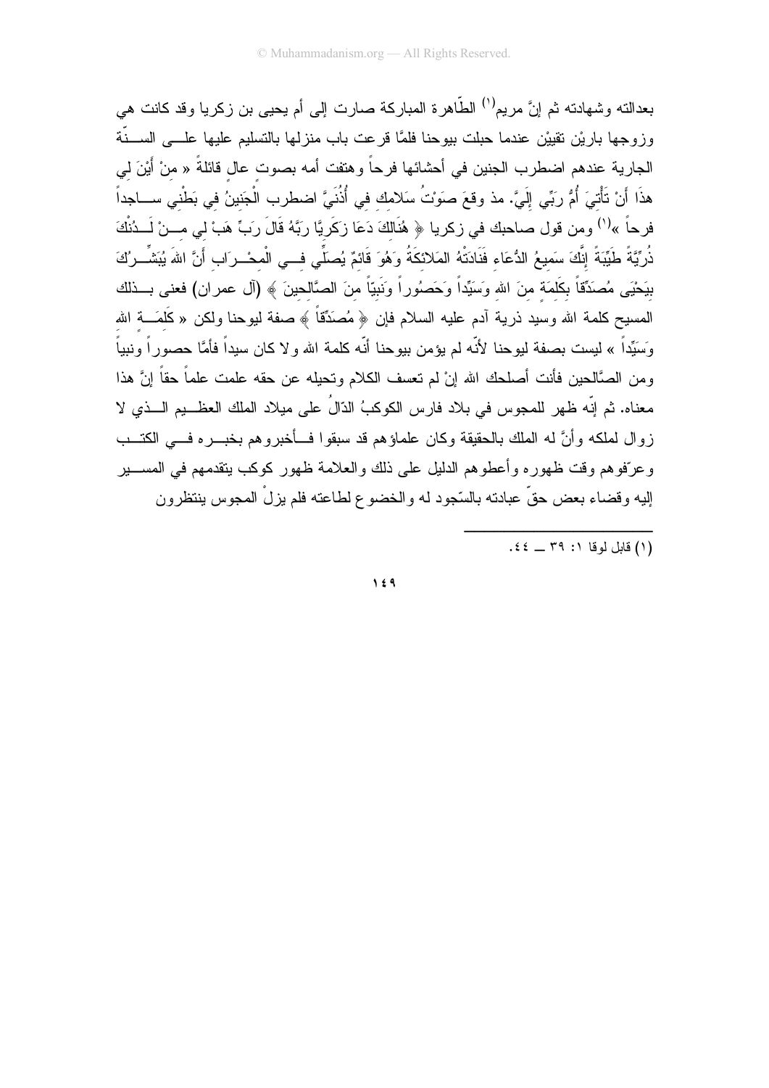بعدالته وشهادته ثم إنَّ مريم<sup>(י)</sup> الطَّاهرة المباركة صارت إلى أم يحيى بن زكريا وقد كانت هي وزوجها باريْن نقييْن عندما حبلت بيوحنا فلمَّا قرعت باب منزلها بالتسليم عليها علـــي الســـنَّة الجارية عندهم اضطرب الجنين في أحشائها فرحاً وهتفت أمه بصوت عال قائلةً « منْ أَيْنَ لي هذَا أَنْ تَأْتيَ أُمُّ رِبِّي إِلَيَّ. مذ وقعَ صوَنتُ سَلامك في أُذُنَيَّ اضطرب الْجَنينُ في بَطْني ســـاجداً فرحاً »<sup>(١)</sup> ومن قول صاحبك في زكريا ﴿ هُنَالَكَ دَعَا زِكَرِيَّا رِبَّهُ قَالَ رَبٍّ هَبْ لي مــنْ لَــدُنْكَ ذُرِّيَّةً طَيِّبَةً إِنَّكَ سَميعُ الدُّعَاء فَذَادَتْهُ المَلائكَةُ وَهُوَ قَائمٌ يُصَلِّي فــي الْمحْــرَاب أَنَّ اللهَ يُبَشِّــرُكَ بيَحْيَى مُصنَدِّقاً بكَلمَة منَ الله وَسَيِّداً وَحَصنُوراً ونَبَيّاً منَ الصَّالحينَ ﴾ (آل عمران) فعنى بــذلك المسيح كلمة الله وسيد ذرية أدم عليه السلام فإن ﴿ مُصَدِّقاً ﴾ صفة ليوحنا ولكن « كَلَمَــــة الله وَسَيِّداً » ليست بصفة ليوحنا لأنّه لم يؤمن بيوحنا أنّه كلمة الله و لا كان سيداً فأمَّا حصور اً ونبياً و من الصَّالحين فأنت أصلحك الله إنْ لم تعسف الكلام وتحيله عن حقه علمت علماً حقاً إنَّ هذا معناه. ثم إنّه ظهر للمجوس في بلاد فارس الكوكبُ الدّالُ على ميلاد الملك العظـــيم الـــذي لا زوال لملكه وأنَّ له الملك بالحقيقة وكان علماؤهم قد سبقوا فــأخبروهم بخبـــره فـــي الكتـــب وعرّفوهم وقت ظهوره وأعطوهم الدليل على ذلك والعلامة ظهور كوكب ينقدمهم في المســــير إليه وقضاء بعض حقٍّ عبادته بالسّجود له والخضوع لطاعته فلم يزلْ المجوس ينتظرون

(١) قابل لوقا ١: ٣٩ \_ ٤٤.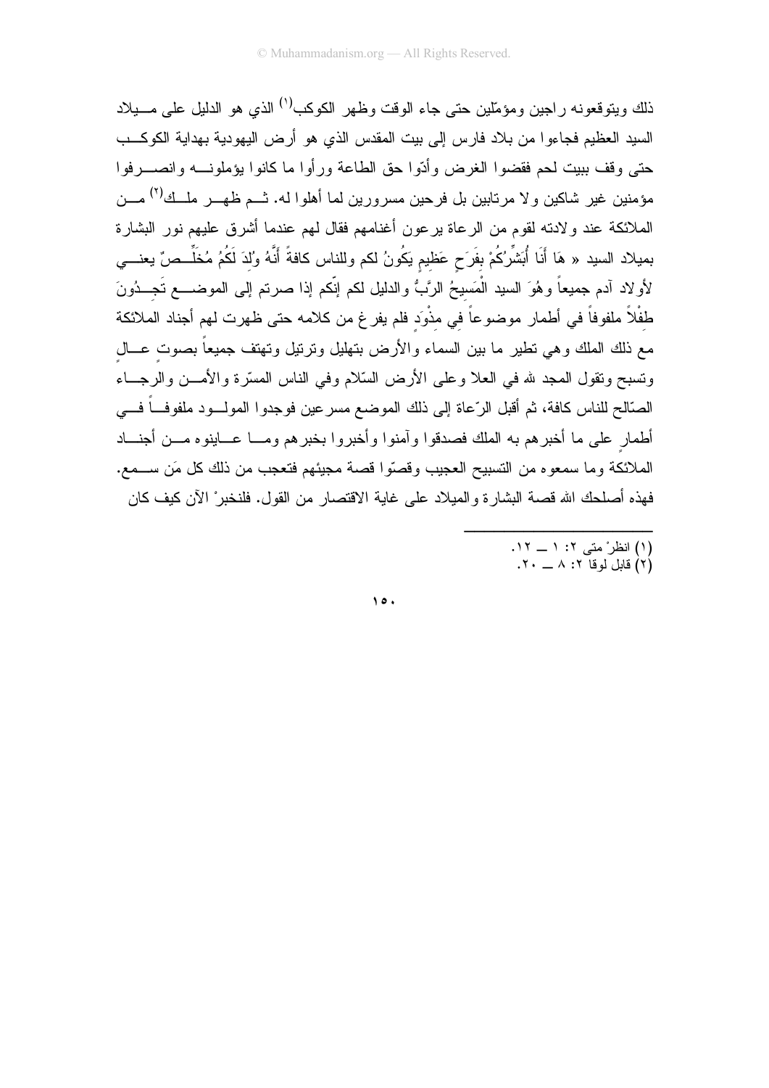ذلك ويتوقعونه ر اجين ومؤمّلين حتى جاء الوقت وظهر الكوكب<sup>(י)</sup> الذي هو الدليل على مـــيلاد السيد العظيم فجاءوا من بلاد فارس إلى بيت المقدس الذي هو أرض اليهودية بهداية الكوكــب حتى وقف ببيت لحم فقضوا الغرض وأدّوا حق الطاعة ورأوا ما كانوا يؤملونـــه وانصــــرفوا مؤمنين غير شاكين ولا مرتابين بل فرحين مسرورين لما أهلوا له. شـم ظهــر ملــك<sup>(٢)</sup> مـــن الملائكة عند ولادنه لقوم من الرعاة برعون أغنامهم فقال لهم عندما أشرق عليهم نور البشارة بميلاد السيد « هَا أَنَا أُبَشِّرُكُمْ بفَرَحٍ عَظيمٍ يَكُونُ لكم وللناس كافةً أَنَّهُ وُلدَ لَكُمُ مُخَلِّــصٌ يعنـــى لأو لاد أدم جميعاً وهُوَ السيد الْمَسيحُ الرَّبُّ والدليل لكم إنَّكم إذا صرتم إلى الموضــــع تَجـــدُونَ طفْلاً ملفوفاً في أطمار موضوعاً في مذْوِد فلم يفر غ من كلامه حتى ظهرت لهم أجناد الملائكة مع ذلك الملك وهي نطير ما بين السماء والأرض بنهليل ونرنيل ونهتف جميعاً بصوت عـــال ونسبح ونقول المجد لله في العلا وعلى الأرض السّلام وفي الناس المسّرة والأمـــن والرجـــاء الصَّالح للناس كافة، ثم أقبل الرِّعاة إلى ذلك الموضع مسرعين فوجدوا المولـــود ملفوفـــاً فــــى أطمار على ما أخبرهم به الملك فصدقوا وآمنوا وأخبروا بخبرهم ومـــا عـــاينوه مـــن أجنــــاد الملائكة وما سمعوه من التسبيح العجيب وقصّوا قصبة مجيئهم فتعجب من ذلك كل مَن ســـمع. فهذه أصلحك الله قصـة البشار ة و الميلاد علـى غايـة الاقتصـار من القول. فلنخبر ْ الآن كيف كـان

- 
- (۱) انظر ْ متى ۲: ۱ ــ ۱۲.<br>(۲) قابل لوقا ۲: ۸ ــ ۲۰.

 $\Delta$ .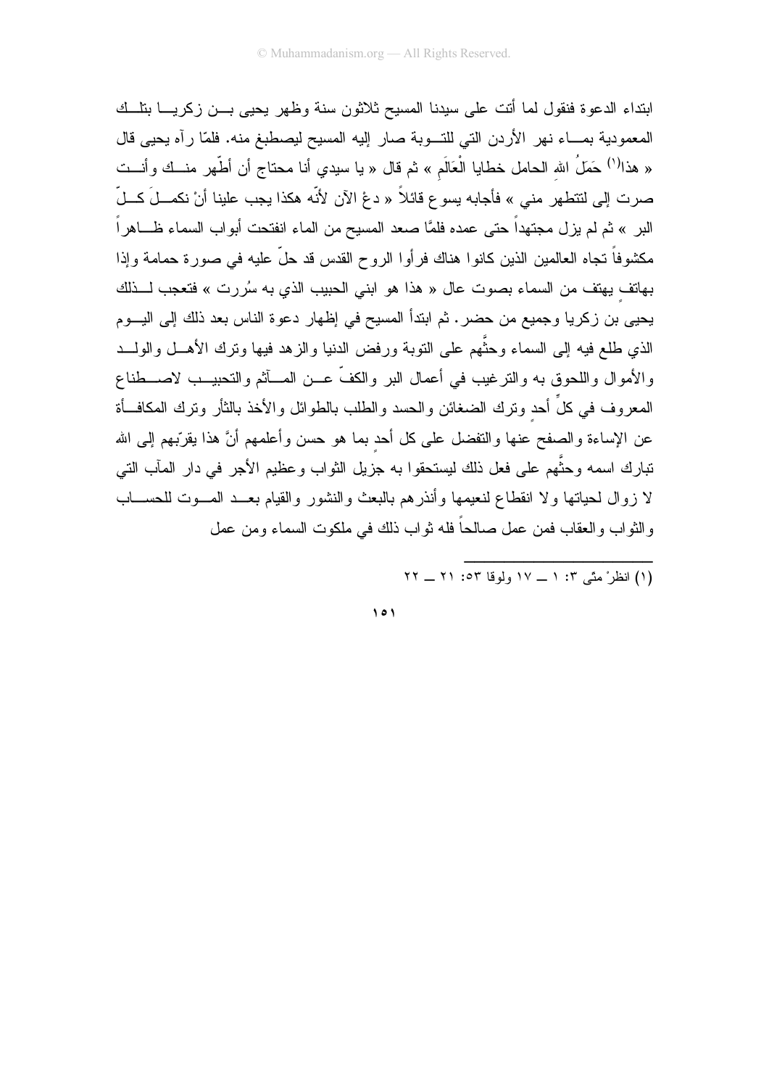ابنداء الدعوة فنقول لما أتت على سبدنا المسيح ثلاثون سنة وظهر يحيى بــن زكريـــا بنلــك المعمودية بمـــاء نهر الأردن التي للتـــوبة صار إليه المسيح ليصطبغ منه. فلمّا رأه يحيى قال « هذا<sup>(١)</sup> حَمَلُ الله الحامل خطايا الْعَالَم » ثم قال « يا سيدي أنا محتاج أن أطَّهر منـــك وأنـــت صرت إلى لتتطهر مني » فأجابه يسو ع قائلاً « دعْ الآن لأنّه هكذا يجب علينا أنْ نكمــلَ كــلّ البر » ثم لم يزل مجتهداً حتى عمده فلمَّا صعد المسيح من الماء انفتحت أبواب السماء ظـــاهراً مكشوفاً تجاه العالمين الذين كانوا هناك فرأوا الروح القدس قد حلَّ عليه في صورة حمامة وإذا بهاتف بهتف من السماء بصوت عال « هذا هو ابني الحبيب الذي به سُررت » فتعجب لـــذلك يحيى بن زكريا وجميع من حضر . ثم ابتدأ المسيح في إظهار دعوة الناس بعد ذلك إلى اليـــوم الذي طلع فيه إلى السماء وحثَّهم على التوبة ورفض الدنيا والزهد فيها وترك الأهـــل والولـــد والأموال واللحوق به والنرغيب في أعمال البر والكفَّ عــن المـــأثم والنحبيــب لاصـــطناع المعروف في كلِّ أحد ونرك الضغائن والحسد والطلب بالطوائل والأخذ بالثأر ونرك المكافــأة عن الإساءة والصفح عنها والنفضل على كل أحد بما هو حسن وأعلمهم أنَّ هذا يقرَّبهم إلى الله تبارك اسمه وحثُّهم على فعل ذلك ليستحقوا به جزيل الثواب وعظيم الأجر في دار المآب التي لا زوال لحياتها ولا انقطاع لنعيمها وأنذرهم بالبعث والنشور والقيام بعــد المـــوت للحســـاب والثواب والعقاب فمن عمل صالحاً فله ثواب ذلك في ملكوت السماء ومن عمل

...<br>(١) انظرْ مِتَّى ٢: ١ \_ ١٧ ولوفا ٥٣: ٢١ \_ ٢٢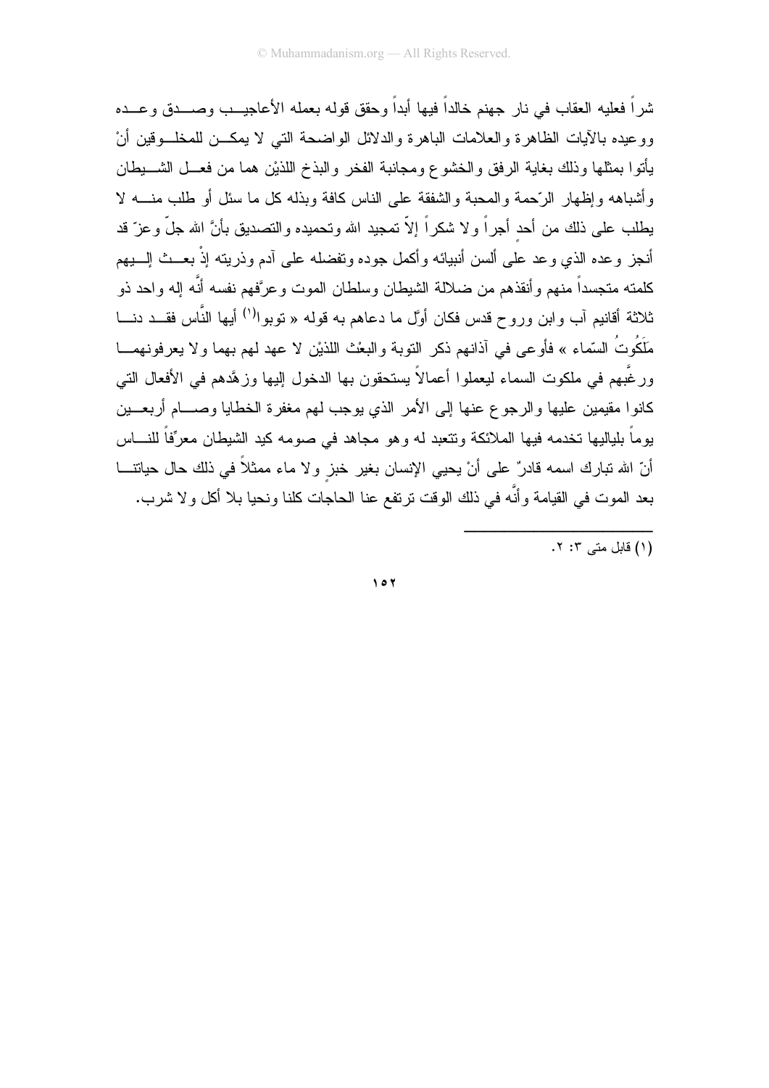شراً فعليه العقاب في نار جهنم خالداً فيها أبداً وحقق قوله بعمله الأعاجيــب وصـــدق و عـــده ووعيده بالأيات الظاهرة والعلامات الباهرة والدلائل الواضحة التبى لا يمكــن للمخلـــوقين أنْ يأتوا بمثلها وذلك بغاية الرفق والخشوع ومجانبة الفخر والبذخ اللذين هما من فعــل الشـــبطان وأشباهه وإظهار الرَّحمة والمحبة والشفقة على الناس كافة وبذله كل ما سئل أو طلب منــــه لا يطلب على ذلك من أحد أجراً ولا شكراً إلاّ تمجيد الله وتحميده والتصديق بأنَّ الله جلَّ وعزّ قد أنجز وعده الذي وعد على ألسن أنبيائه وأكمل جوده وتفضله على آدم وذريته إذْ بعــث إلـــبهم كلمته متجسداً منهم وأنقذهم من ضلالة الشيطان وسلطان الموت وعرَّفهم نفسه أنَّه إله واحد ذو ثلاثة أقانيم آب وابن وروح قدس فكان أوَّل ما دعاهم به قوله « توبوا<sup>(١)</sup> أيها النَّاس فقـــد دنــــا مَلَكُوتُ السّماء » فأو عي في آذانهم ذكر النوبة والبعْث اللذيْن لا عهد لهم بهما ولا يعرفونهمـــا ورغَّبهم في ملكوت السماء ليعملوا أعمالاً يستحقون بها الدخول إليها وزهَّدهم في الأفعال التي كانوا مقبمين عليها والرجوع عنها إلى الأمر الذي يوجب لهم مغفر ة الخطايا وصبام أربعيين يوماً بلياليها تخدمه فيها الملائكة وتتعبد له وهو مجاهد في صومه كيد الشيطان معرِّفاً للنــــاس أنّ الله تبارك اسمه قادرٌ على أنْ يحيى الإنسان بغير خبز ولا ماء ممثلاً في ذلك حال حياتتـــا بعد الموت في القيامة وأنَّه في ذلك الوقت نرتفع عنا الحاجات كلنا ونحيا بلا أكل ولا شرب.

(۱) قابل متبر ۲: ۲.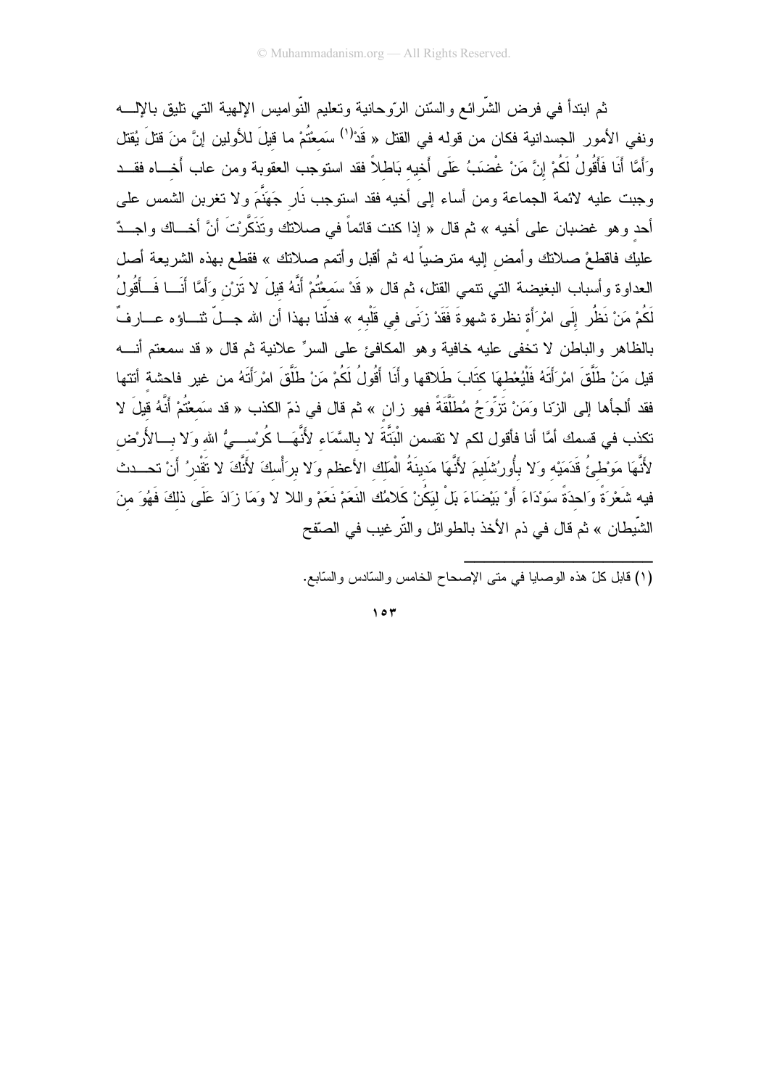ثم ابندأ في فرض الشَّرائع والسَّنن الرَّوحانية وتعليم النَّواميس الإلهية التي تليق باﻹلــــه ونفي الأمور الجسدانية فكان من قوله في القتل « قَدْ''<sup>'</sup> سَمعْتُمْ ما قيلَ للأولين إنَّ منَ قتلَ يُقتل وَأَمَّا أَنَا فَأَقُولُ لَكُمْ إِنَّ مَنْ غُضَبَهُ عَلَى أَخيه بَاطلاً فقد استوجب العقوبة ومن عاب أخـــاه فقــد وجبت عليه لائمة الجماعة ومن أساء إلى أخيه فقد استوجب نَارٍ جَهَنَّمَ ولا نغربن الشمس على أحد وهو غضبان على أخيه » ثم قال « إذا كنت قائماً في صلاتك وتَذَكَّرنتَ أنَّ أخـــاك واجــدٌ عليكِ فاقطعْ صلانكِ وأمض إليه مترضياً له ثم أقبل وأتمم صلانكِ » فقطع بهذه الشريعة أصل العداوة وأسباب البغيضة التي نتمي القتل، ثم قال « قَدْ سَمعْتُمْ أَنَّهُ قَيلَ لا تَزِرْن وَأَمَّا أَنَـــا فَــأَقُولُ لَكُمْ مَنْ نَظُرٍ إِلَى امْرَأَة نظرة شهوةَ فَقَدْ زَنَى في قَلْبه » فدلّنا بهذا أن الله جــلّ ثنـــاؤه عـــارفٌ بالظاهر والباطن لا نخفى عليه خافية وهو المكافئ على السرِّ علانية ثم قال « قد سمعتم أنــــه قيل مَنْ طَلَّقَ امْرِأَتَهُ فَلْيُعْطِهَا كَتَابَ طَلاقها و أَنَا أَقُولُ لَكُمْ مَنْ طَلَّقَ امْرِأَتَهُ من غير فاحشة أتتها فقد ألجأها إلى الزِّنا وَمَنْ تَزَوِّجُ مُطَلَّقَةً فهو زان » ثم قال في ذمّ الكذب « قد سَمعْتُمْ أَنَّهُ قبلَ لا تكذب في قسمك أمَّا أنا فأقول لكم لا تقسمن الْبَتَّةَ لا بالسَّمَاء لأنَّهَــا كُرسْـــيُّ الله وَلا بـــالأَرْض لأَنَّهَا مَوْطئُ قَدَمَيْه وَلا بِأُورُشَلَيمَ لأَنَّهَا مَدينَةُ الْمَلك الأعظم وَلا برَأْسكَ لأَنَّكَ لا تَقْدرُ أن تحـــدث فيه شَعْرَةً وَاحدَةً سَوْدَاءَ أَوْ بَيْضَاءَ بَلْ لَيَكُنْ كَلامُك النَعَمْ نَعَمْ واللا لا وَمَا زَادَ عَلَى ذلكَ فَهُوَ منَ الشَّيطان » ثم قال في ذم الأخذ بالطوائل والتَّرغيب في الصنّفح

(١) قابل كلِّ هذه الوصابا في متى الإصحاح الخامس والسَّادس والسَّابع.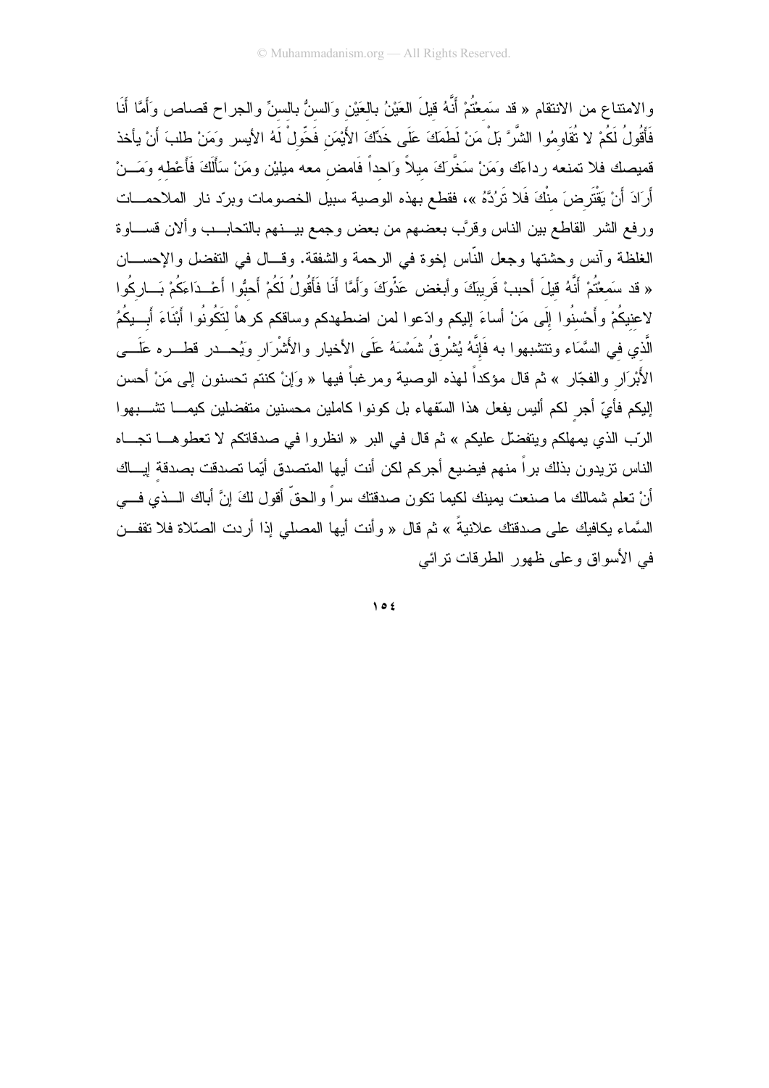والامتناع من الانتقام « قد سَمعْتُمْ أَنَّهُ قَيْلَ العَيْنُ بِالعَيْنِ وَالسنُّ بِالسنِّ والجراح قصاص وَأَمَّا أَنَا فَأَقُولُ لَكُمْ لا تُقَاوِمُوا الشَّرَّ بَلْ مَنْ لَطَمَكَ عَلَى خَدِّكَ الأَيْمَنِ فَحَّولْ لَهُ الأيسر ومَنْ طلبَ أَنْ يأخذ قميصك فلا تمنعه رداءَك وَمَنْ سَخَّرَكَ ميلاً وَاحداً فَامض معه ميليْن ومَنْ سَأَلَكَ فَأَعْطه وَمَـــنْ أَرَادَ أَنْ يَقْتَرِضَ منْكَ فَلا نَرُدَّهُ »، فقطع بهذه الوصية سبيل الخصومات وبردّد نار الملاحمــات ورفع الشر القاطع بين الناس وقرَّب بعضهم من بعض وجمع بيـــنهم بالتحابـــب وألان قســـاوة الغلظة وأنس وحشتها وجعل النَّاس إخوة في الرحمة والشفقة. وقــال في التفضل والإحســان « قد سَمعْتُمْ أَنَّهُ قيلَ أحببْ قَريبَكَ وأبغض عَذُوكَ وَأَمَّا أَنَا فَأَقُولُ لَكُمْ أَحبُوا أَعْــدَاءَكُمْ بَــاركُوا لاعنيكُمْ وأَحْسنُوا إلَى مَنْ أساءَ إليكم وادّعوا لمن اضطهدكم وساقكم كرهاً لتَكُونُوا أَبْنَاءَ أَبِــبِكُمُ الَّذي في السَّمَاء وتتثببهوا به فَإِنَّهُ يُشْرِقُ شَمْسَهُ عَلَى الأخيار والأَشْرَار وَيُحـــدر قطـــره عَلَـــي الأَبْرَارِ والفجّارِ » ثم قال مؤكداً لهذه الوصية ومرغباً فيها « وَإِنْ كنتم تحسنون إلى مَنْ أحسن إليكم فأيِّ أجر لكم أليس يفعل هذا السّقهاء بل كونوا كاملين محسنين متفضلين كيمــــا تشــــبهوا الرّب الذي يمهلكم ويتفضّل عليكم » ثم قال في البر « انظروا في صدقاتكم لا تعطوهـــا تجـــاه الناس نزيدون بذلك براً منهم فيضيع أجركم لكن أنت أيها المتصدق أيّما تصدقت بصدقة إيـــاك أنْ نعلم شمالك ما صنعت بمينك لكيما نكون صدقتك سراً والحقَّ أقول لكَ إنَّ أباك الـــذي فـــي السَّماء يكافيك على صدقتك علانيةً » ثم قال « وأنت أيها المصلى إذا أردت الصّلاة فلا تقفــن في الأسواق وعلى ظهور الطرقات ترائبي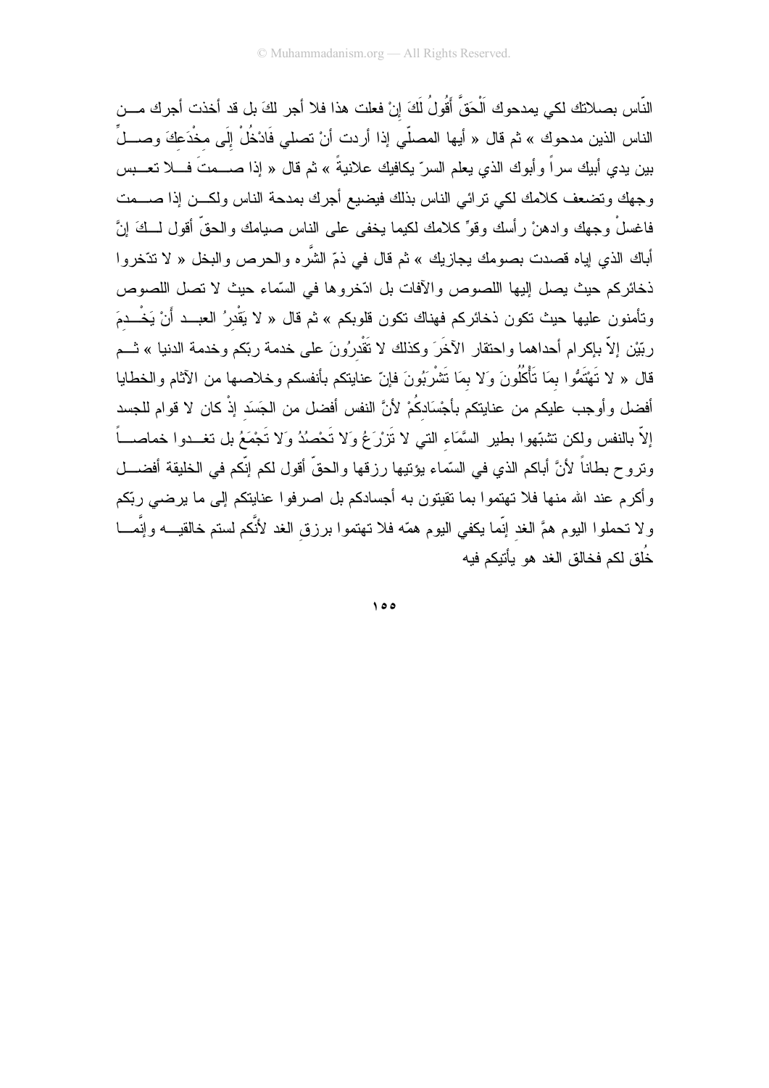النَّاس بصلاتك لكي بمدحوك الْحَقَّ أَقُولُ لَكَ إنْ فعلت هذا فلا أجر لكَ بل قد أخذت أجرك مـــن الناس الذين مدحوك » ثم قال « أيها المصلّي إذا أردت أنْ تصلى فَادْخُلْ إلَى مخْدَعكَ وصــــلِّ بين يدي أبيك سراً وأبوك الذي يعلم السرّ يكافيك علانيةً » ثم قال « إذا صــــمتَ فــــلا تعــــبس وجهك وتضعف كلامك لكى نرائي الناس بذلك فيضيع أجرك بمدحة الناس ولكـن إذا صـــمت فاغسلْ وجهك وادهنْ رأسك وقوٍّ كلامك لكيما يخفى على الناس صيامك والحقَّ أقول لـــكَ إنَّ أباك الذي إياه قصدت بصومك يجازيك » ثم قال في ذمّ الشَّره والحرص والبخل « لا نتخروا ذخائركم حيث يصل إليها اللصوص والآفات بل ادّخروها في السّماء حيث لا تصل اللصوص وتأمنون عليها حيث تكون ذخائركم فهناك تكون قلوبكم » ثم قال « لا يَقْدرُ العبــد أَنْ يَخْــدمَ ربّيْن إلاّ بإكرام أحداهما واحتقار الآخَرَ وكذلك لا تَقْدرُونَ على خدمة ربّكم وخدمة الدنيا » ثـــم قال « لا تَهْتَمُّوا بِمَا تَأْكُلُونَ وَلا بِمَا تَشْرِبُونَ فإنّ عنايتكم بأنفسكم وخلاصها من الآثام والخطايا أفضل وأوجب عليكم من عنايتكم بأجْسَادكُمْ لأنَّ النفس أفضل من الجَسَد إذْ كان لا قوام للجسد إلاَّ بالنفس ولكن تشبُّهوا بطير السَّمَاء النبي لا نَزرْعُ وَلا تَحْصُدُ وَلا تَجْمَعُ بل تغــدوا خماصــــاً ونروح بطاناً لأنَّ أباكم الذي في السَّماء يؤنِّيها رزقها والحقَّ أقول لكم إنَّكم في الخليقة أفضــــل وأكرم عند الله منها فلا تهتموا بما نقيتون به أجسادكم بل اصرفوا عنايتكم إلى ما برضي ربّكم ولا تحملوا اليوم همَّ الغد إنَّما يكفى اليوم همَّه فلا تهتموا برزق الغد لأنَّكم لستم خالقيـــه وإنَّمــــا خُلُق لكم فخالق الغد هو يأتنكم فيه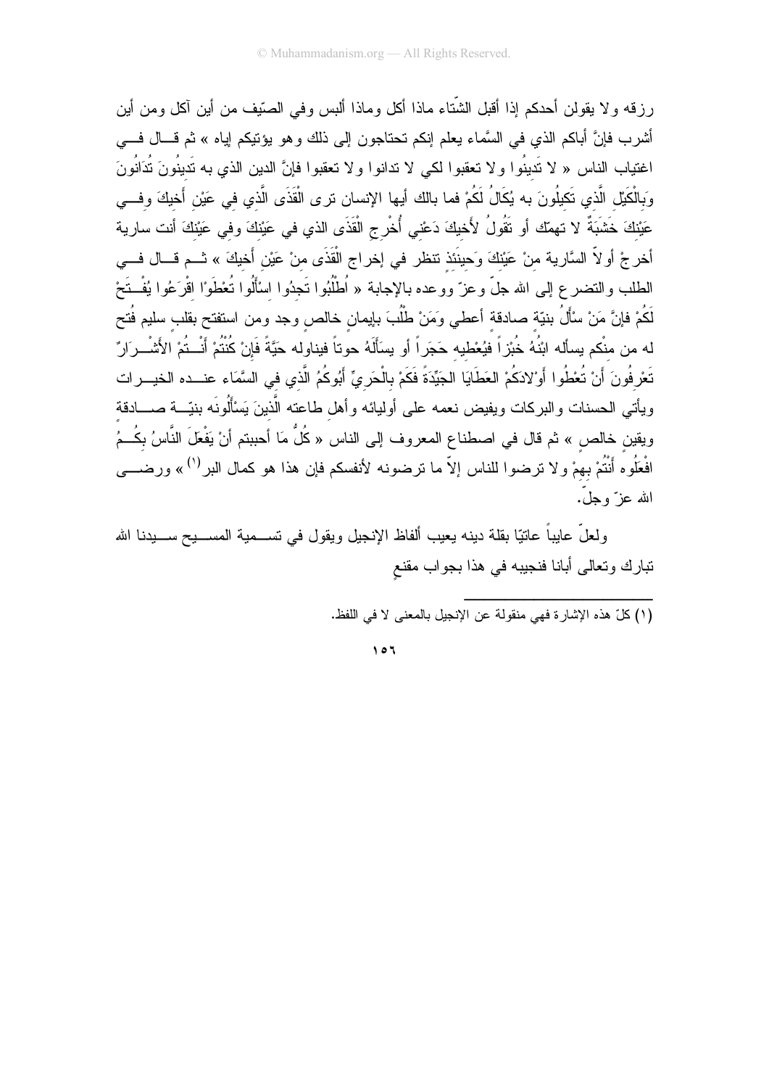رِ زِقه و لا يقولن أحدكم إذا أقبل الشُّتاء ماذا أكل وماذا ألبس وفي الصُّيف من أين آكل ومن أين أشرب فإنَّ أباكم الذي في السَّماء يعلَّم إنكم تحتاجون إلى ذلك وهو يؤتيكم إياه » ثم قـــال فـــي اغتياب الناس « لا تَدينُوا ولا تعقبوا لكي لا تدانوا ولا تعقبوا فإنَّ الدين الذي به تَدينُونَ تُدَانُونَ وَبِالْكَيْلِ الَّذي تَكِلُّونَ به يُكَالُ لَكُمْ فما بالك أيها الإنسان نرى الْقَذَى الَّذي في عَيْن أَخيكَ وفــي عَيْنِكَ خَشْبَةٌ لا نهمِّك أو نَقُولُ لأَخيكَ دَعْني أُخْرِجِ الْقَذَى الذي في عَيْنِكَ وفي عَيْنِكَ أنت سارية أخرجْ أو لاّ السَّارية منْ عَيْنكَ وَحينَنذ تتظر في إخراج الْقَذَى منْ عَيْن أَخيكَ » ثــم قـــال فـــي الطلب والنضر ع إلى الله جلّ وعزّ ووعده بالإجابة « اُطْلُبُوا تَجدُوا اسْأَلُوا تُعْطَوْا اقْرَعُوا يُفْـتَحْ لَكُمْ فإنَّ مَنْ سْأَلُ بنيّة صادقة أعطى ومَنْ طْلُبَ بإيمان خالص وجد ومن استفتح بقلب سليم فُتح له من منكم يسأله ابْنُهُ خُبْزاً فيُعْطيه حَجَراً أو يسَأَلَهُ حوتاً فيناوله حَيَّةً فَإِنْ كُنْتُمْ أَنْــتُمْ الأَشْــرَارٌ تَعْرِفُونَ أَنْ تُعْطُوا أَوْلادَكُمْ العَطَايَا الجَيِّدَةَ فَكَمْ بِالْحَرِيِّ أَبُوكُمُ الَّذي في السَّمَاء عنــده الخيـــرات ويأتى الحسنات والبركات ويفيض نعمه على أوليائه وأهل طاعته الَّذينَ يَسْأَلُونَه بنيّـــة صــــادقة ويقين خالص » ثم قال في اصطناع المعروف إلى الناس « كُلُّ مَا أحببتم أنْ يَفْعَلَ النَّاسُ بكُــمُ افْعَلُوه أَنْتُمْ بهمْ ولا ترضوا للناس إلاّ ما ترضونه لأنفسكم فإن هذا هو كمال البر<sup>(١)</sup> » ورضــــي الله عز ً وجلٌ.

ولعلَّ عابِباً عاتبًا بقلة دينه يعيب ألفاظ الإنجيل ويقول في تســـمية المســـيح ســـيدنا الله تبارك وتعالى أبانا فنجيبه في هذا بجواب مقنع

(١) كلِّ هذه الإشارة فهي منقولة عن الإنجيل بالمعنى لا في اللفظ.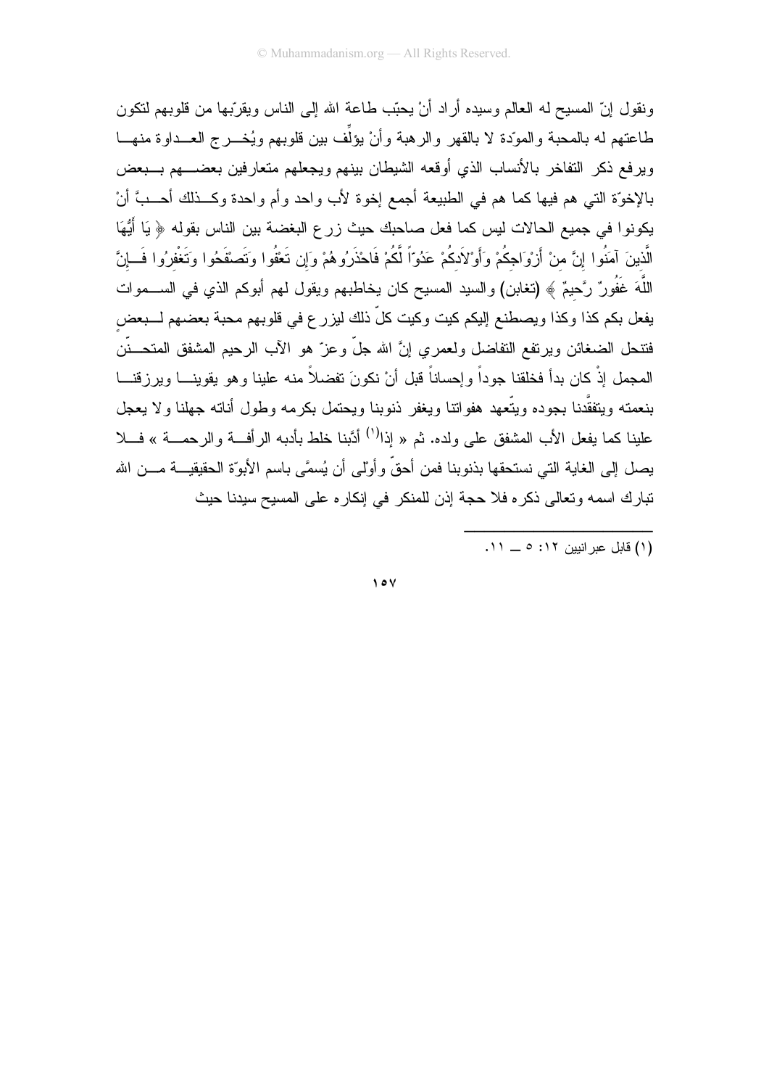ونقول إنّ المسيح له العالم وسيده أراد أنْ يحبّب طاعة الله إلى الناس ويقرّبها من قلوبهم لنكون طاعتهم له بالمحبة والموّدة لا بالقهر والرهبة وأنْ يؤلِّف بين قلوبهم ويُخـــرج العـــداوة منهـــا ويرفع ذكر التفاخر بالأنساب الذي أوقعه الشيطان بينهم ويجعلهم متعارفين بعضبهم بسبعض بالإخوَّة التي هم فيها كما هم في الطبيعة أجمع إخوة لأب واحد وأم واحدة وكـــذلك أحـــبَّ أنْ يكونوا في جميع الحالات ليس كما فعل صاحبك حيث زرع البغضة بين الناس بقوله ﴿ يَا أَيُّهَا الَّذينَ آمَنُوا إنَّ منْ أَرْوَاجكُمْ وَأَوْلاَدكُمْ عَدُوّاً لَّكُمْ فَاحْذَرُوهُمْ وَإن تَعْفُوا وتَضفوا وتَغْفرُوا فَسإنَّ اللَّهَ غَفُورٌ رَّحيمٌ ﴾ (تغابن) والسيد المسيح كان يخاطبهم ويقول لهم أبوكم الذي في الســـموات يفعل بكم كذا وكذا ويصطنع إليكم كيت وكيت كلّ ذلك ليزر ع في قلوبهم محبة بعضهم لـــبعض فتنحل الضغائن ويرتفع التفاضل ولعمري إنَّ الله جلَّ وعزَّ هو الأب الرحيم المشفق المتحـــنَّن المجمل إذْ كان بدأ فخلقنا جوداً وإحساناً قبل أنْ نكونَ تفضلاً منه علينا وهو يقوينـــا ويرزقنـــا بنعمته ويتفقَّدنا بجوده ويتَّعهد هفواتنا ويغفر ذنوبنا ويحتمل بكرمه وطول أناته جهلنا ولا يعجل علينا كما يفعل الأب المشفق على ولده. ثم « إذا<sup>(١)</sup> أدَّبنا خلط بأدبه الرأفة والرحمـــة » فـــلا يصل إلى الغاية التي نستحقها بذنوبنا فمن أحقّ وأوْلى أن يُسمَّى باسم الأبوّة الحقيقيـــة مـــن الله تبارك اسمه وتعالى ذكره فلا حجة إذن للمنكر في إنكاره على المسيح سيدنا حيث

...<br>(١) قابل عبر انبين ١٢: ٥ \_ ١١.

 $\vee$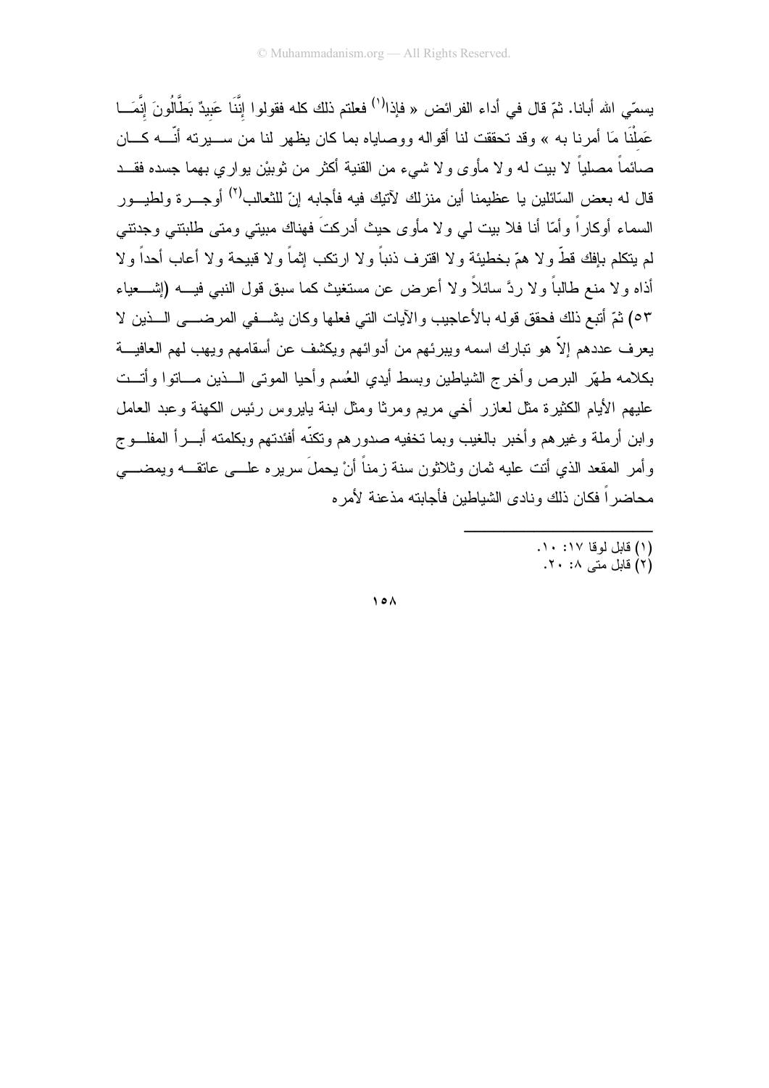يسمّى الله أبانا. ثمّ قال في أداء الفرائض « فإذا<sup>(١)</sup> فعلتم ذلك كله فقولوا إنَّنَا عَبِيدٌ بَطَّالُونَ إنَّمَـــا عَملْنَا مَا أمرنا به » وقد تحققت لنا أقواله ووصاياه بما كان بظهر لنا من ســـبر ته أنّـــه كـــان صائماً مصلياً لا بيت له ولا مأوى ولا شيء من القنية أكثر من ثوبيْن يواري بهما جسده فقــد قال له بعض السّائلين يا عظيمنا أين منزلك لآتيك فيه فأجابه إنّ للثعالب<sup>(٢)</sup> أوجـــر ة ولطيـــور السماء أوكاراً وأمّا أنا فلا بيت لمي ولا مأوى حيث أدركتَ فهناك مبيتي ومتى طلبنتي وجدتني لم يتكلم بإفك قطَّ ولا همّ بخطيئة ولا اقترف ذنباً ولا ارتكب إثماً ولا قبيحة ولا أعاب أحداً ولا أذاه و لا منع طالباً و لا ردَّ سائلاً و لا أعرض عن مستغيث كما سبق قول النبي فيــــه (إشــــعياء ٥٣) ثمّ أتبع ذلك فحقق قوله بالأعاجيب والآيات التي فعلها وكان يشــفي المرضـــي الـــذين لا يعرف عددهم إلاّ هو نبارك اسمه ويبرئهم من أدوائهم ويكشف عن أسقامهم ويهب لهم العافيـــة بكلامه طهّر البرص وأخرج الشباطين وبسط أبدى العُسم وأحبا الموتبي السذين مساتوا وأتست عليهم الأيام الكثيرة مثل لعازر أخي مريع ومرثا ومثل ابنة يابروس رئيس الكهنة وعبد العامل وابن أرملة وغيرهم وأخبر بالغيب وبما تخفيه صدورهم وتكنّه أفئدتهم وبكلمته أبـــرأ المفلـــوج وأمر المقعد الذي أنت عليه ثمان وثلاثون سنة زمناً أنْ بحملَ سريره علـــي عاتقـــه ويمضــــي محاضر اً فكان ذلك ونادي الشباطين فأجابته مذعنة لأمر ه

- (١) قابل لوقا ١٧: ١٠.
	- (٢) قابل متبر ٢٠ ٢٠.

 $\lambda$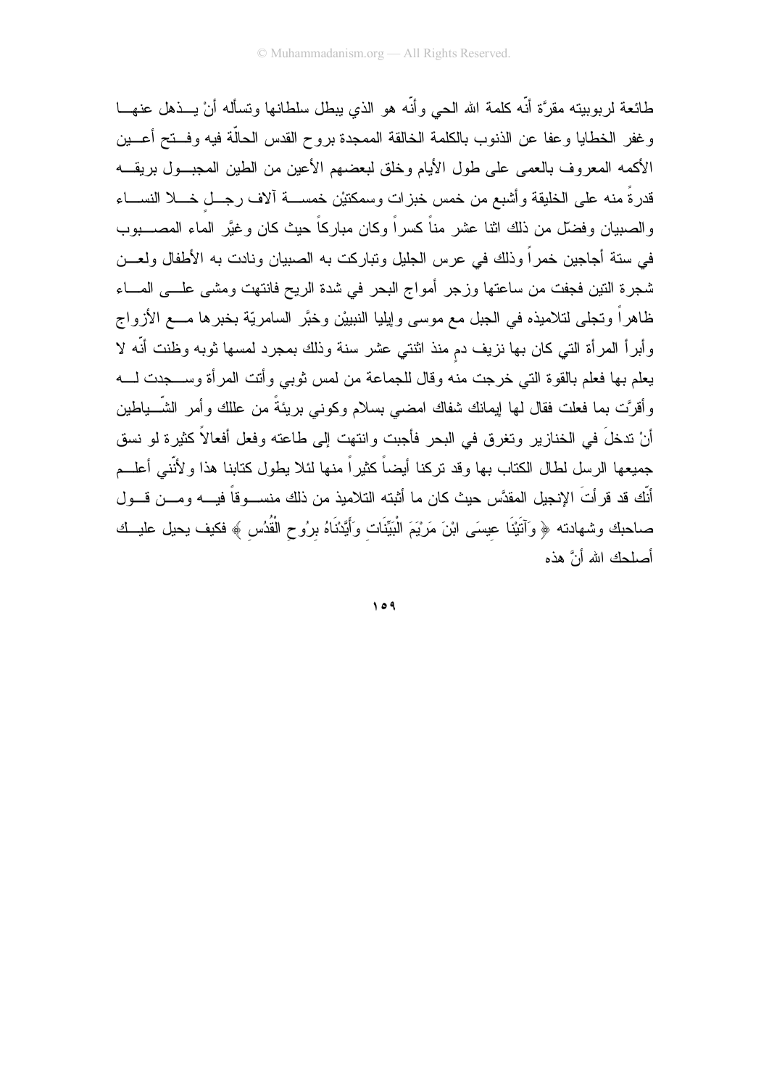طائعة لربوبيته مقرَّة أنَّه كلمة الله الحي وأنَّه هو الذي يبطل سلطانها ونسأله أنْ يـــذهل عنهـــا وغفر الخطايا وعفا عن الذنوب بالكلمة الخالقة الممجدة بروح القدس الحالّة فيه وفستح أعسين الأكمه المعروف بالعمى على طول الأيام وخلق لبعضهم الأعين من الطين المجبول بريقــه قدرةً منه على الخليقة وأشبع من خمس خبزات وسمكنيْن خمســـة ألاف رجــل خـــلا النســـاء والصبيان وفضلٌ من ذلك اثنا عشرٍ مناً كسراً وكان مباركاً حيث كان وغيَّر الماء المصــــبوب في ستة أجاجين خمراً وذلك في عرس الجليل وتباركت به الصبيان ونادت به الأطفال ولعـــن شجرة النين فجفت من ساعتها وزجر أمواج البحر في شدة الريح فانتهت ومشى علـــي المـــاء ظاهراً وتجلَّى لتلاميذه في الجبل مع موسى وإيليا النبييْن وخبَّر السامريَّة بخبرها مـــع الأزواج وأبراً المرأة التي كان بها نزيف دم منذ اثنتي عشر سنة وذلك بمجرد لمسها ثوبه وظنت أنَّه لا يعلم بها فعلم بالقوة التي خرجت منه وقال للجماعة من لمس ثوبي وأتت المرأة وســـجدت لــــه وأقرَّت بما فعلت فقال لمها ايمانك شفاك امضـي بسلام وكونـي بريئةً من عللك وأمر الشَّــباطين أنْ ندخلَ في الخنازير وتغرق في البحر فأجبت وانتهت إلى طاعته وفعل أفعالاً كثيرة لو نسق جميعها الرسل لطال الكتاب بها وقد نركنا أيضاً كثيراً منها لئلا يطول كتابنا هذا ولأنَّنى أعلـــم أنَّك قد قرأتَ الإنجيل المقدَّس حيث كان ما أثبته التلاميذ من ذلك منســـوقاً فيــــه ومـــن قـــول صاحبك وشهادته ﴿ وَآتَيْنَا عِيسَى ابْنَ مَرْيَمَ الْبَيِّنَات وَأَيَّدْنَاهُ برُوحِ الْقُدُسِ ﴾ فكيف بحيل عليــك أصلحك الله أنَّ هذه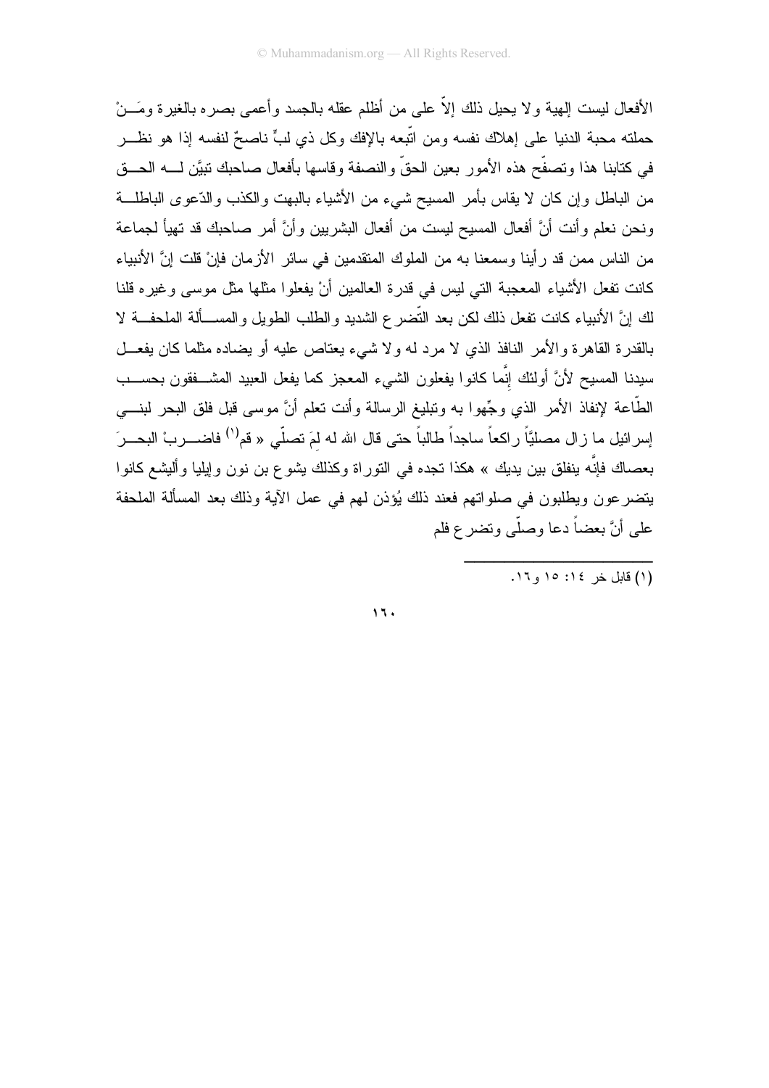الأفعال ليست إلهية و لا يحيل ذلك إلاَّ على من أظلم عقله بالجسد و أعمى بصر ه بالغير ة ومَـــنْ حملته محبة الدنيا على إهلاك نفسه ومن اتَّبعه باﻹفك وكل ذي لبٍّ ناصحٌ لنفسه إذا هو نظـــر في كتابنا هذا وتصفَّح هذه الأمور بعين الحقِّ والنصفة وقاسها بأفعال صاحبك نبيَّن لــــه الحـــق من الباطل وإن كان لا يقاس بأمر المسيح شيء من الأشياء بالبهت والكذب والدّعوى الباطلـــة ونحن نعلم وأنت أنَّ أفعال المسيح ليست من أفعال البشريين وأنَّ أمر صاحبك قد تهيأ لجماعة من الناس ممن قد رأينا وسمعنا به من الملوك المنقدمين في سائر الأزمان فإنْ قلت إنَّ الأنبياء كانت نفعل الأشباء المعجبة التي ليس في قدرة العالمين أنْ يفعلوا مثلها مثل موسى وغيره قلنا لك إنَّ الأنبياء كانت تفعل ذلك لكن بعد التَّضر ع الشديد و الطلب الطويل و المســـألة الملحفـــة لا بالقدرة القاهرة والأمر النافذ الذي لا مرد له ولا شبيء يعتاص عليه أو يضاده مثلما كان يفعـــل سيدنا المسيح لأنَّ أولئك إنَّما كانوا يفعلون الشيء المعجز كما يفعل العبيد المشـــفقون بـحســـب الطَّاعة لإنفاذ الأمر الذي وجِّهوا به وتبليغ الرسالة وأنت تعلَّم أنَّ موسى قبل فلق البحر لبنــــي إسرائيل ما زال مصليًّا راكعاً ساجداً طالباً حتى قال الله له لمَ تصلَّى « قم<sup>(١)</sup> فاضــــربْ البحـــر<sup>َ</sup> بعصاك فإنّه ينفلق بين يديك » هكذا تجده في التوراة وكذلك يشو ع بن نون وإيليا وأليشع كانوا يتضرعون ويطلبون في صلواتهم فعند ذلك يُؤذن لمهم في عمل الآية وذلك بعد المسألة الملحفة على أنَّ بعضاً دعا وصلَّى وتضر ع فلم

 $15.$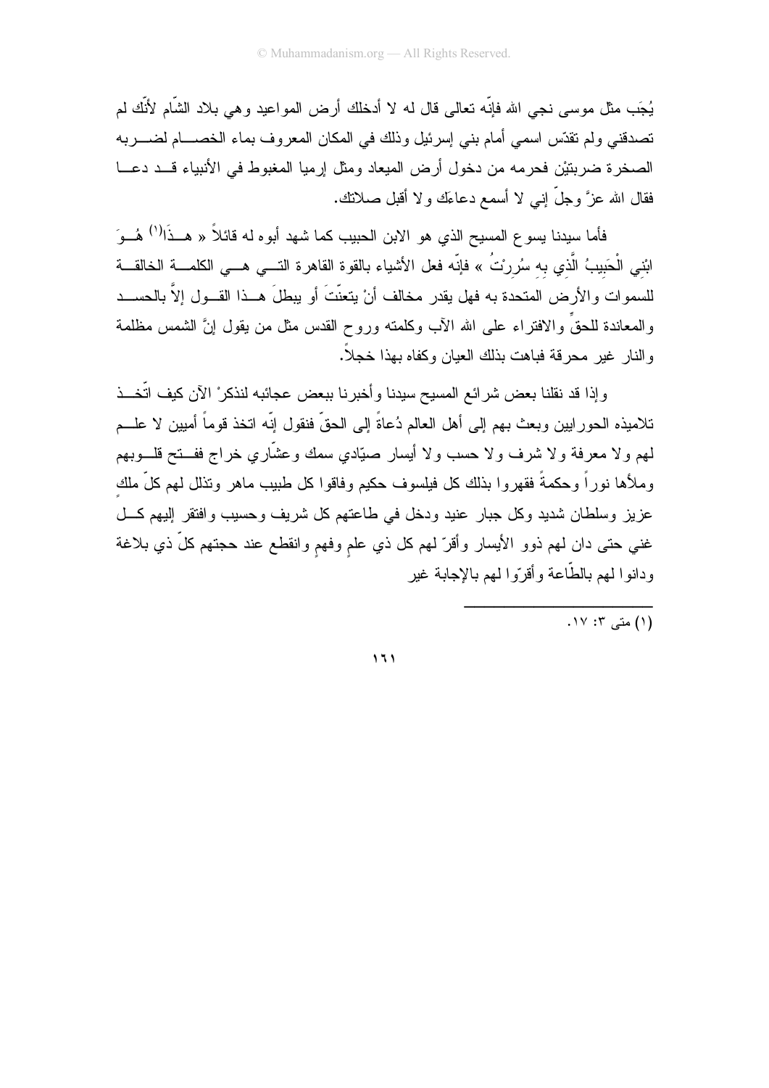يُجَب مثل موسى نجى الله فإنّه تعالى قال له لا أدخلك أرض المواعيد و هي بلاد الشّام لأنّك لم تصدقني ولم نقدَّس اسمي أمام بنبي إسرئيل وذلك في المكان المعروف بماء الخصــــام لضـــــربه الصخرة ضربتيْن فحرمه من دخول أرض الميعاد ومثل إرميا المغبوط في الأنبياء قــد دعـــا فقال الله عزَّ وجلَّ إنـى لا أسمع دعاءَك ولا أقبل صـلانك.

فأما سيدنا يسوع المسيح الذي هو الابن الحبيب كما شهد أبوه له قائلاً « هــذَا<sup>(١)</sup> هُــوَ ابْني الْحَبيبُ الَّذ*ي* به سُررتُ » فإنّه فعل الأشياء بالقوة القاهرة التــــي هـــي الكلمــــة الخالقـــة للسموات والأرض المتحدة به فهل يقدر مخالف أنْ يتعنَّتَ أو يبطلَ هــذا القـــول إلاّ بالحســـد والمعاندة للحقِّ والافتراء على الله الأب وكلمته وروح القدس مثل من يقول إنَّ الشمس مظلمة والنار غير محرقة فباهت بذلك العيان وكفاه بهذا خجلاً.

وإذا قد نقلنا بعض شرائع المسيح سيدنا وأخبرنا ببعض عجائبه لنذكر ْ الآن كيف اتَّخــذ تلاميذه الحورابيين وبعث بهم إلى أهل العالم دُعاةً إلى الحقِّ فنقول إنَّه انخذ قوماً أميين لا علـــم لمهم ولا معرفة ولا شرف ولا حسب ولا أيسار صيّادي سمك وعشّاري خراج ففـــتح قلـــوبهم وملأها نوراً وحكمةً فقهروا بذلك كل فيلسوف حكيم وفاقوا كل طبيب ماهر ونذلل لمهم كلِّ ملك عزيز وسلطان شديد وكل جبار عنيد ودخل في طاعتهم كل شريف وحسيب وافتقر إليهم كل غني حتى دان لمهم ذوو الأيسار وأقرّ لمهم كل ذي علم وفهم وانقطع عند حجتهم كلّ ذي بلاغة ودانوا لمهم بالطّاعة وأقرّوا لمهم بالإجابة غبر

. ۱۷: ۲: ۱۷.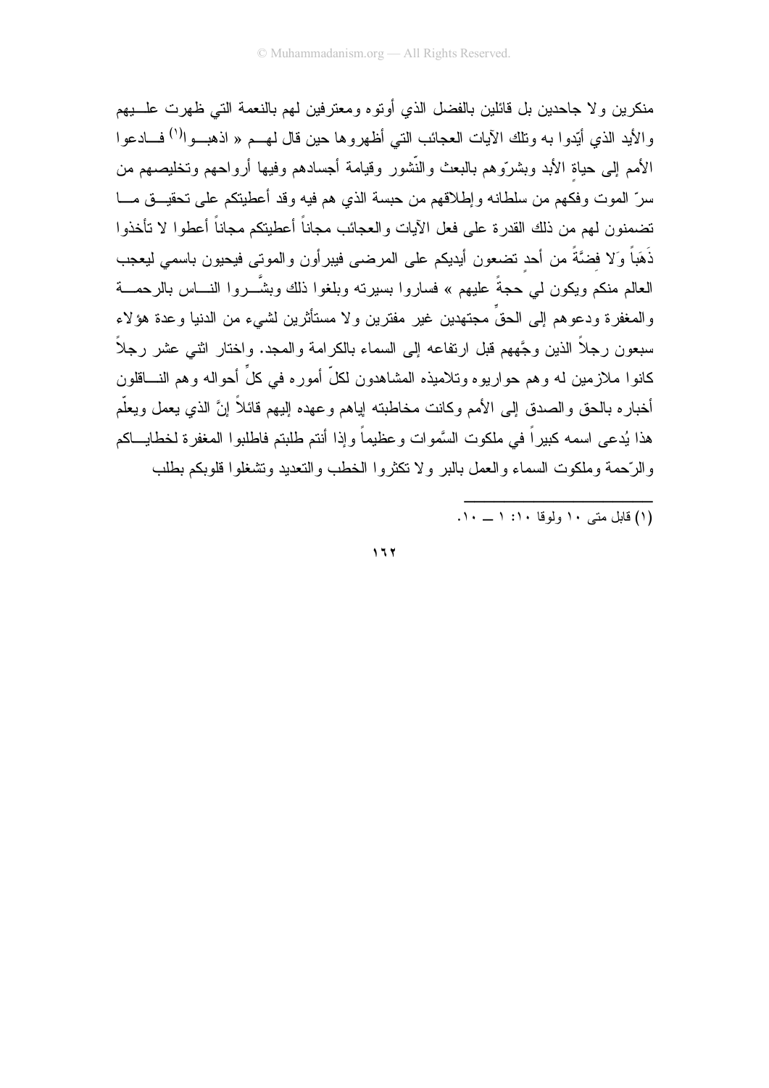منكرين و لا جاحدين بل قائلين بالفضل الذي أو تو ه ومعتر فين لمهم بالنعمة التي ظهر ت علـــبهم والأيد الذي أُبِّدوا به وتلك الآيات العجائب التي أظهروها حين قال لهـــم « اذهبـــوا<sup>(١)</sup> فــــادعوا الأمم إلى حياة الأبد وبشروهم بالبعث والنُّشور وقيامة أجسادهم وفيها أرواحهم وتخليصهم من سرِّ الموت وفكهم من سلطانه وإطلاقهم من حبسة الذي هم فيه وقد أعطيتكم على تحقيـــق مــــا تضمنون لمهم من ذلك القدرة على فعل الآيات والعجائب مجاناً أعطيتكم مجاناً أعطوا لا تأخذوا ذَهَباً وَلا فضَّةً من أحد نضعون أيديكم على المرضى فيبرأون والموتى فيحيون باسمى ليعجب العالم منكم ويكون لـى حجةً عليهم » فساروا بسيرته وبلغوا ذلك وبشّـــروا النــــاس بالرحمــــة والمغفر ة ودعو هم إلى الحقِّ مجتهدين غير ً مفترين و لا مستأثرين لشيء من الدنيا و عدة هؤ لاء سبعون رجلاً الذين وجَّههم قبل ارتفاعه إلى السماء بالكرامة والمجد. واختار اثنـي عشر رجلاً كانوا ملازمين له وهم حواريوه وتلاميذه المشاهدون لكلِّ أموره في كلِّ أحواله وهم النساقلون أخبار ه بالحق و الصدق إلى الأمم وكانت مخاطبته إياهم وعهده إليهم قائلاً إنَّ الذي يعمل ويعلَّم هذا يُدعى اسمه كبير اً في ملكوت السَّموات وعظيماً وإذا أنتم طلبتم فاطلبوا المغفرة لخطايـــاكم والرَّحمة وملكوت السماء والعمل بالبر ولا تكثروا الخطب والتعديد وتشغلوا قلوبكم بطلب

(۱) قابل متبر ۱۰ ولوقا ۱۰: ۱ \_ ۱۰.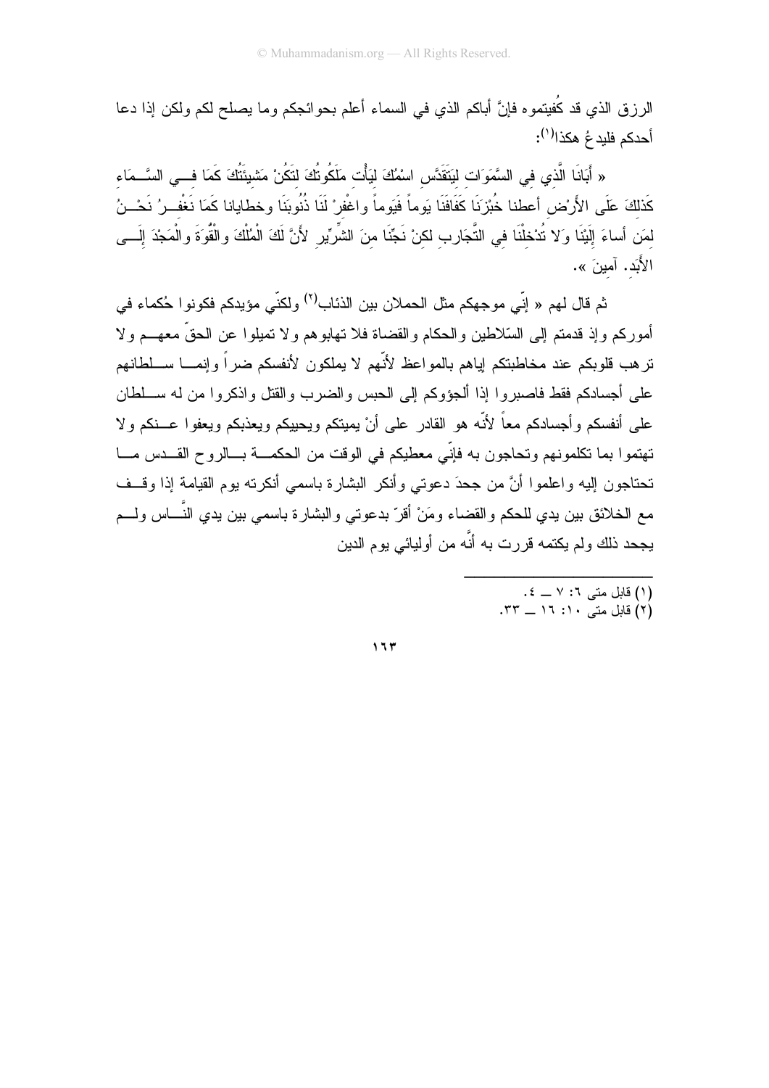الرزق الذي قد كُفيتموه فإنَّ أباكم الذي في السماء أعلم بحوائجكم وما يصلح لكم ولكن إذا دعا أحدكم فلبدعُ هكذا<sup>(י)</sup>:

« أَبَانَا الَّذي في السَّمَوَات ليَتَقَدَّس اسْمُكَ ليَأْت مَلَكُونُكَ لتَكُنْ مَشْيئَتُكَ كَمَا فـــى السَّــمَاء كَذلكَ عَلَى الأَرْض أعطنا خُبْزنَا كَفَافَنَا يَوماً فَيَوماً واغْفرْ لَنَا ذُنُوبَنَا وخطايانا كَمَا نَغْف رُ نَحْــنُ لمَن أساءَ إِلَيْنَا وَلا تُدْخلْنَا في التَّجَارِب لكنْ نَجِّنَا منَ الشَّرِّيرِ لأَنَّ لَكَ الْمُلْكَ والْقُوَةَ والْمَجْدَ إِلَـــى الأَبَد. آمينَ ».

ثم قال لهم « إنّي موجهكم مثل الحملان بين الذئاب<sup>(٢)</sup> ولكنّي مؤيدكم فكونو ا حُكماء في أموركم وإذ قدمتم إلى السّلاطين والحكام والقضاة فلا تهابو هم ولا تميلوا عن الحقِّ معهـــم ولا ترهب قلوبكم عند مخاطبتكم إياهم بالمواعظ لأنّهم لا يملكون لأنفسكم ضىراً وإنمـــا ســـلطانهم على أجسادكم فقط فاصبروا إذا ألجؤوكم إلى الحبس والضرب والقتل واذكروا من له ســـلطان على أنفسكم وأجسادكم معاً لأنَّه هو القادر على أنْ يميتكم ويحييكم ويعذبكم ويعفوا عـــنكم ولا تهتموا بما تكلمونهم وتحاجون به فإنّي معطيكم في الوقت من الحكمـــة بـــالروح القـــدس مـــا تحتاجون إليه واعلموا أنَّ من جحدَ دعوتي وأنكر البشارة باسمي أنكرته بوم القيامة إذا وقــف مع الخلائق بين يدي للحكم والقضاء ومَنْ أقرّ بدعوتي والبشارة باسمي بين يدي النَّـــاس ولــــم يجحد ذلك ولم يكتمه قررت به أنَّه من أوليائي يوم الدين

- (۱) قابل متى ۱: ۷ \_ ٤.<br>(۲) قابل متى ۱۰: ۱۲ \_ ۳۳.
-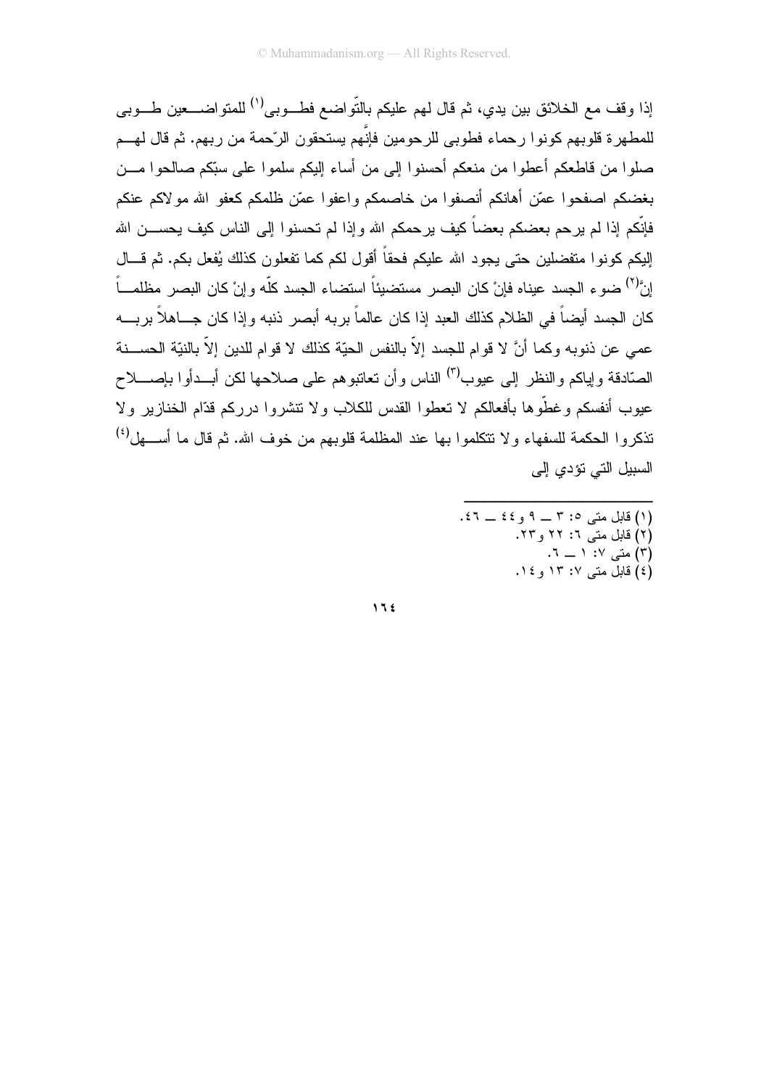إذا وقف مع الخلائق بين يدي، ثم قال لهم عليكم بالتّواضع فطـــوبـى<sup>(י)</sup> للمتواضــــعين طـــوبـى للمطهر ۃ قلو بھم کو نو ا ر حماء فطو بے للر حو مین فانَّهم بستحقو ن الر ّحمة من ر بھم. ثم قال لهـــم صلوا من قاطعكم أعطوا من منعكم أحسنوا إلى من أساء إليكم سلموا على سبّكم صالحوا مـــن بغضكم اصفحوا عمّن أهانكم أنصفوا من خاصمكم واعفوا عمّن ظلمكم كعفو الله مولاكم عنكم فإنَّكم إذا لم يرحم بعضكم بعضاً كيف يرحمكم الله وإذا لم تحسنوا إلى الناس كيف يحســـن الله إليكم كونوا متفضلين حتى يجود الله عليكم فحقاً أقول لكم كما تفعلون كذلك يُفعل بكم. ثم قـــال إنَّ") ضوءِ الجسد عيناه فإنْ كان البصر ِ مستضيئاً استضاء الجسد كلَّه و إنْ كان البصر ِ مظلمـــاً كان الجسد أيضاً في الظلام كذلك العبد إذا كان عالماً بربه أبصر ذنبه وإذا كان جـــاهلاً بريــــه عمي عن ذنوبه وكما أنَّ لا قوام للجسد إلاَّ بالنفس الحيّة كذلك لا قوام للدين إلاّ بالنيّة الحســـنة الصبّادقة و إباكم و النظر إلى عبو ب<sup>(٣)</sup> الناس و أن تعاتبو هم على صلاحها لكن أبــدأو ا بإصـــلاح عيوب أنفسكم وغطُّوها بأفعالكم لا تعطوا القدس للكلاب ولا تتشروا درركم قدَّام الخنازير ولا تذكروا الحكمة للسفهاء ولا نتكلموا بها عند المظلمة قلوبهم من خوف الله. ثم قال ما أســـهل<sup>(٤)</sup> السبيل التي تؤدي إلى

> (١) قابل متبي ٢: ٣ \_ ٩ و ٤٤ \_ ٤٦. (۲) قابل متبی ٦: ۲۲ و ۲۳. (٣) متبی ١٧ - ٦. (٤) قابل متبي ١٣: ١٣ و ١٤.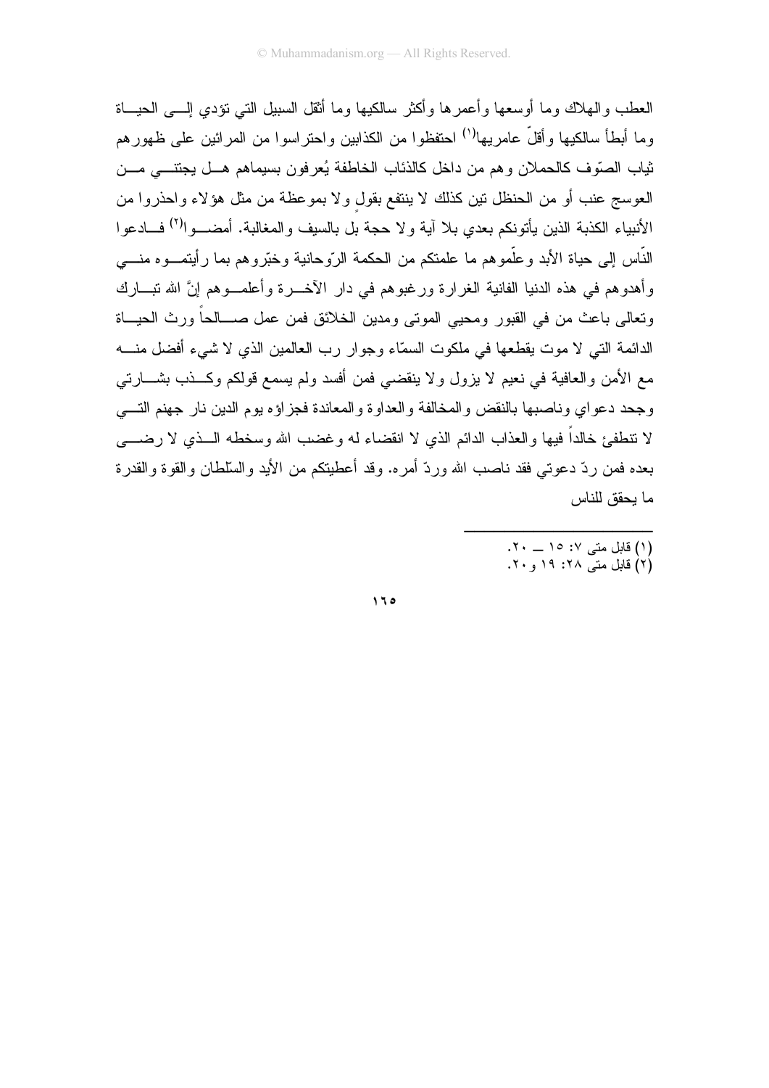العطب والمهلاك وما أوسعها وأعمر ها وأكثر سالكيها وما أثقل السبيل التبي تؤدي إلـــي الحيـــاة وما أبطأ سالكيها وأقلَّ عامريها<sup>(١)</sup> احتفظوا من الكذابين واحتراسوا من المرائين على ظهورهم ثياب الصّوف كالحملان وهم من داخل كالذئاب الخاطفة يُعرفون بسيماهم هــل يجتنـــي مـــن العوسج عنب أو من الحنظل نين كذلك لا ينتفع بقول ولا بموعظة من مثل هؤلاء واحذروا من الأنبياء الكذبة الذين يأتونكم بعدي بلا آية ولا حجة بل بالسيف والمغالبة. أمضـــوا<sup>(٢)</sup> فـــادعوا النَّاس إلى حياة الأبد وعلَّموهم ما علمتكم من الحكمة الرَّوحانية وخبَّروهم بما رأيتمـــوه منـــــى وأهدوهم في هذه الدنيا الفانية الغرارة ورغبوهم في دار الأخــــرة وأعلمــــوهم إنَّ الله ننبـــارك ونعالى باعث من في القبور ومحيى المونى ومدين الخلائق فمن عمل صـــالحاً ورث الحيـــاة الدائمة التي لا موت يقطعها في ملكوت السمّاء وجوار رب العالمين الذي لا شيء أفضل منـــه مع الأمن والعافية في نعيم لا يزول ولا ينقضي فمن أفسد ولم يسمع قولكم وكـــذب بشــــارتـي وجحد دعواي وناصبها بالنقض والمخالفة والعداوة والمعاندة فجزاؤه بوم الدين نار جهنم التسى لا نتطفئ خالداً فيها والعذاب الدائم الذي لا انقضاء له وغضب الله وسخطه الـــذي لا رضــــي بعده فمن ردّ دعوتي فقد ناصب الله وردّ أمره. وقد أعطيتكم من الأيد والسّلطان والقوة والقدرة ما يحقق للناس

> (١) قابل متبي ١٧: ١٥ \_ ٢٠. (۲) قابل متے ۲۸: ۱۹ و ۲۰.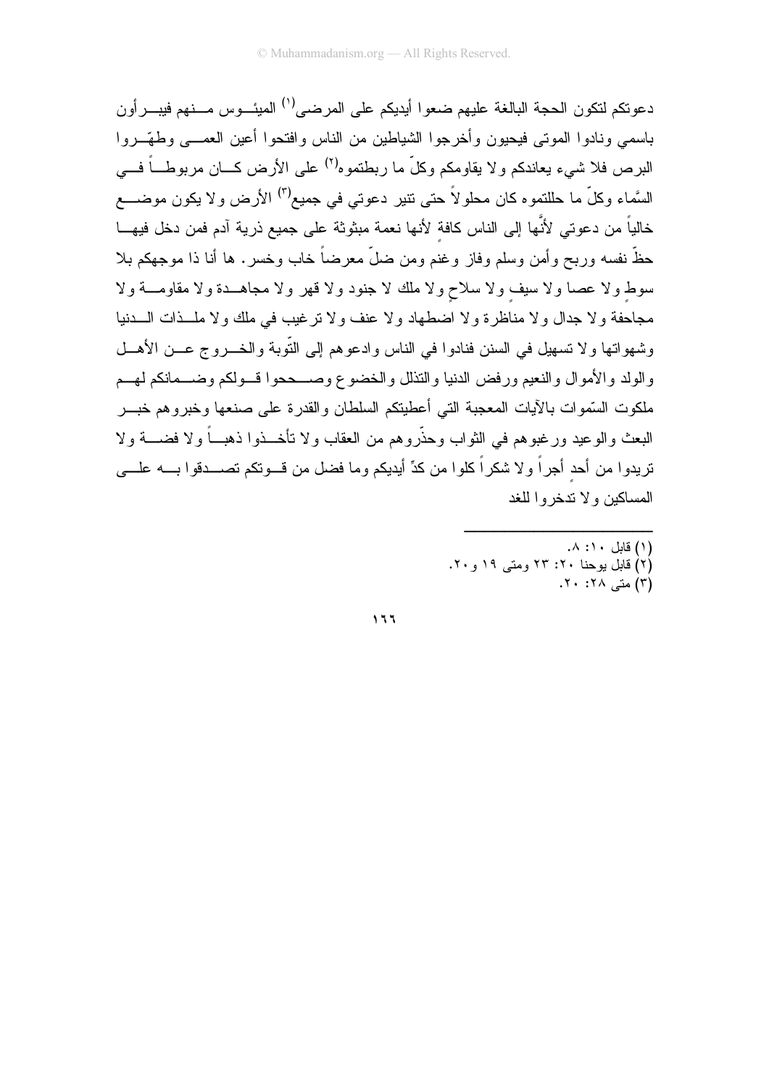دعو تكم لتكون الحجة البالغة عليهم ضعو ا أيديكم على المر ضبي<sup>(١)</sup> الميئـــوس مـــنهم فيبـــر أون باسمي ونادوا الموتبي فيحيون وأخرجوا الشياطين من الناس وافتحوا أعين العمـــي وطهّــروا البرص فلا شيء يعاندكم ولا يقاومكم وكلٌّ ما ربطتموه<sup>(٢)</sup> على الأرض كـــان مربوطــــاً فــــى السَّماء وكلَّ ما حللتموه كان محلولاً حتى نتير دعوتي في جميع<sup>(٣)</sup> الأرض ولا يكون موضــــع خالياً من دعوتي لأنَّها إلى الناس كافة لأنها نعمة مبثوثة على جميع ذرية آدم فمن دخل فيهـــا حظَّ نفسه وربح وأمن وسلم وفاز وغنم ومن ضلَّ معرضاً خاب وخسر. ها أنا ذا موجهكم بلا سوط ولا عصا ولا سيف ولا سلاح ولا ملك لا جنود ولا قهر ولا مجاهــدة ولا مقاومـــة ولا مجاحفة و لا جدال و لا مناظر ة و لا اضطهاد و لا عنف و لا نر غيب في ملك و لا ملـــذات الــــدنيا وشهواتها ولا تسهيل في السنن فنادوا في الناس وإدعوهم إلى التَّوبة والخسروج عسن الأهسل والولد والأموال والنعيم ورفض الدنيا والنذلل والخضوع وصبححوا قسولكم وضسمانكم لهسم ملكوت السّموات بالأيات المعجبة التي أعطيتكم السلطان والقدرة على صنعها وخبروهم خبـــر البعث والوعيد ورغبوهم في الثواب وحذَّروهم من العقاب ولا تأخــذوا ذهبـــاً ولا فضــــة ولا تريدوا من أحد أجراً ولا شكراً كلوا من كدِّ أيديكم وما فضل من قـــوتكم تصــــدقوا بــــه علــــي المساكين ولا تدخروا للغد

- (١) قابل ١٠: ٨. (٢) قابل بوحنا ٢٠: ٢٣ ومتى ١٩ و ٢٠. (۳) متے ۲۸: ۲۰:
- $111$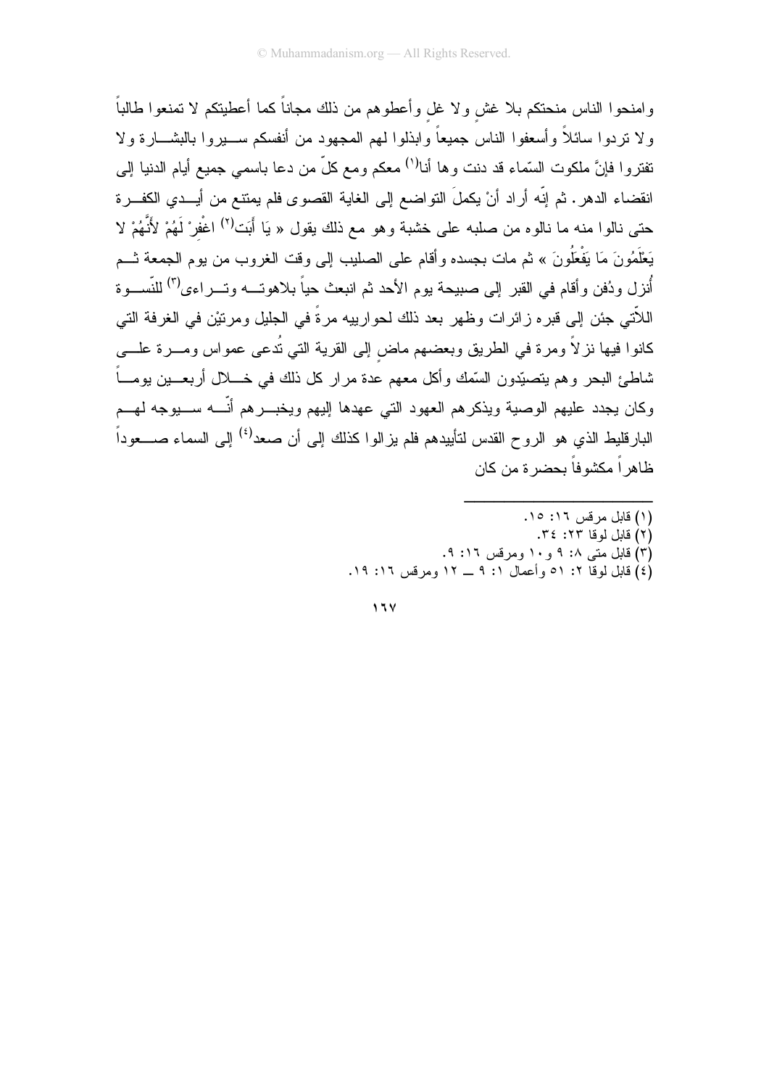وامنحوا الناس منحتكم بلا غش ولا غل وأعطوهم من ذلك مجاناً كما أعطيتكم لا تمنعوا طالباً ولا نزدوا سائلاً وأسعفوا الناس جميعاً وابذلوا لمهم المجهود من أنفسكم ســـبروا بالبشـــارة ولا تفتروا فإنَّ ملكوت السَّماء قد دنت وها أنا<sup>(١)</sup> معكم ومع كلَّ من دعا باسمي جميع أيام الدنيا إلى انقضاء الدهر. ثم إنّه أراد أنْ يكملَ النواضع إلى الغاية القصوى فلم يمتنع من أيــدي الكفــرة حتى نالوا منه ما نالوه من صلبه على خشبة وهو مع ذلك يقول « يَا أَبَت<sup>ْ(٢)</sup> اغْفِرْ لَهُمْ لأَنَّهُمْ لا يَعْلَمُونَ مَا يَفْعَلُونَ » ثم مات بجسده وأقام على الصليب إلى وقت الغروب من يوم الجمعة ثـــم أنزل ودُفن وأقام في القبر إلى صبيحة يوم الأحد ثم انبعث حياً بلاهوتـــه وتـــر اءى<sup>(٢)</sup> للنَّســـوة اللاَّتي جئن إلى قبر م ز ائر ات وظهر بعد ذلك لحو ار بيه مر ةً في الجليل و مر نيْن في الغر فة التي كانوا فيها نزلاً ومرة في الطريق وبعضهم ماض إلى القرية التي نُدعى عمواس ومـــرة علــــي شاطئ البحر و هم بتصبِّدون السَّمك و أكل معهم عدة مر ار كل ذلك في خــــلال أر بعـــبن بو مــــاً ۖ وكان يجدد عليهم الوصية ويذكرهم العهود التي عهدها إليهم ويخبـــرهم أنّــــه ســــيوجه لمهـــم البارقليط الذي هو الروح القدس لتأييدهم فلم يزالوا كذلك إلى أن صعد<sup>(٤)</sup> إلى السماء صــــعوداً ظاهر اً مكشو فاً يحضر ة من كان

- (١) قابل مر قس ١٦: ١٥.
- (٢) قابل لوقا ٢٢: ٣٤.
- (۳) قابل متبی ۰٪ ۹ و ۱۰ ومرقس ۱۲: ۹.
- (٤) قابل لوقا ٢: ٥١ وأعمال ١: ٩ \_ ١٢ ومرفس ١٦: ١٩.

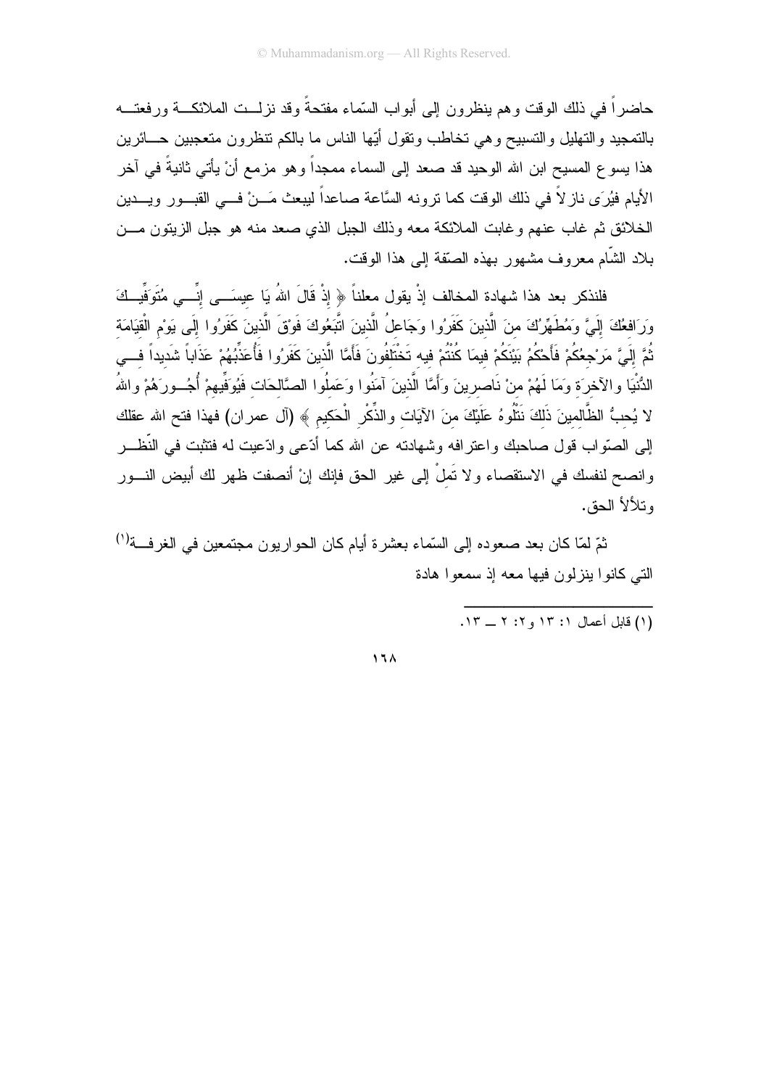حاضراً في ذلك الوقت وهم ينظرون إلى أبواب السّماء مفتحةً وقد نزلــت الملائكـــة ور فعتـــه بالتمجيد و التهليل و التسبيح و هي تخاطب و تقول أيّها الناس ما بالكم تنظر و ن متعجبين حـــائر بن هذا يسو ع المسيح ابن الله الوحيد قد صعد إلى السماء ممجداً وهو مزمع أنْ يأتي ثانيةً في آخر الأيام فيُرَى ناز لاً في ذلك الوقت كما نرونه السَّاعة صاعداً ليبعث مَـــنْ فـــي القبـــور ويـــدين الخلائق ثم غاب عنهم وغابت الملائكة معه وذلك الجبل الذي صعد منه هو جبل الزيتون مـــن بلاد الشَّام معروف مشهور بهذه الصَّفة إلى هذا الوقت.

فلنذكر بعد هذا شهادة المخالف إذْ يقول معلناً ﴿ إِذْ قَالَ اللهُ يَا عيسَـــى إِنِّـــى مُتَوَفِّيــكَ وَرَافعُكَ إِلَىَّ وَمُطَهِّرُكَ منَ الَّذينَ كَفَرُوا وَجَاعلُ الَّذينَ اتَّبَعُوكَ فَوقَ الَّذينَ كَفَرُوا إِلَى يَوْم الْقِيَامَة ثُمَّ إِلَىَّ مَرْجعُكُمْ فَأَحْكُمُ بَيْنَكُمْ فيمَا كُنْتُمْ فيه تَخْتَلَفُونَ فَأَمَّا الَّذينَ كَفَرُوا فَأُعَذِّبُهُمْ عَذَاباً شَديداً فـــي الدُّنْيَا والآخرَة وَمَا لَهُمْ منْ نَاصرِينَ وَأَمَّا الَّذينَ آمَنُوا وَعَملُوا الصَّالحَات فَيُوَفِّيهمْ أُجُــورَهُمْ واللهُ لا يُحبُّ الظَّالمينَ ذَلكَ نَتْلُوهُ عَلَيْكَ منَ الآيَات والذِّكْرِ الْحَكيمِ ﴾ (آل عمران) فهذا فتح الله عقلك إلى الصَّواب قول صاحبك واعترافه وشهادته عن الله كما أدَّعي وادَّعيت له فتثبت في النَّظـــر وانصح لنفسك في الاستقصاء ولا تَملْ إلى غير الحق فإنك إنْ أنصفت ظهر لك أبيض النـــور وتلألأ الحق.

ثمّ لمّا كان بعد صعوده إلى السّماء بعشر ة أيام كان الحو ار يو ن مجتمعين في الغر فـــة<sup>(١)</sup> التي كانوا بنزلون فبها معه اذ سمعوا هادة

 $17<sub>A</sub>$ 

<sup>(</sup>١) قابل أعمال ١: ١٣ و ٢: ٢ \_ ١٣.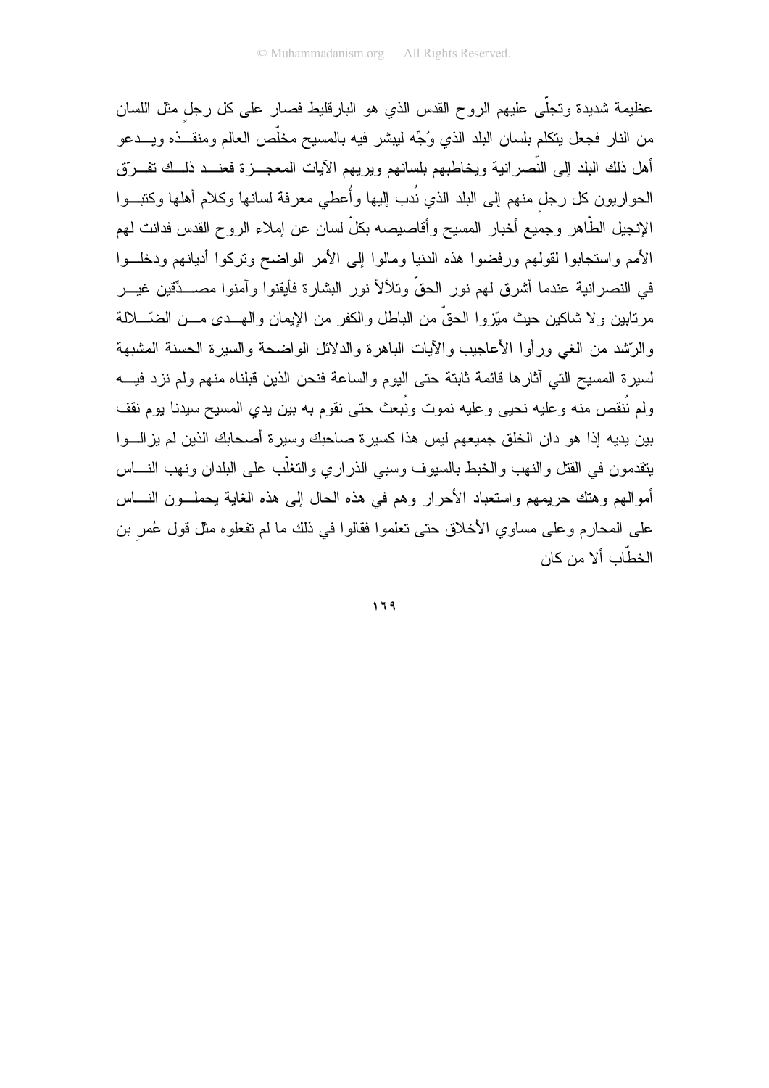عظيمة شديدة وتجلَّى عليهم الروح القدس الذي هو البارقليط فصار على كل رجل مثل اللسان من النار فجعل بنكلم بلسان البلد الذي وُجِّه ليبشر فيه بالمسيح مخلَّص العالم ومنقـــذه ويـــدعو أهل ذلك البلد إلى النَّصرانية ويخاطبهم بلسانهم ويريهم الآيات المعجــــزة فعنــــد ذلـــك نفـــروّق الحواريون كل رجل منهم إلى البلد الذي نُدب إليها وأُعطي معرفة لسانها وكلام أهلها وكتبــوا الإنجيل الطّاهر وجميع أخبار المسيح وأقاصيصه بكلّ لسان عن إملاء الروح القدس فدانت لهم الأمم واستجابوا لقولهم ورفضوا هذه الدنيا ومالوا إلى الأمر الواضح ونركوا أديانهم ودخلــوا في النصرانية عندما أشرق لمهم نور الحقِّ وتلألأ نور البشارة فأيقنوا وآمنوا مصـــدِّقين غيـــر مرنابين ولا شاكين حيث ميّزوا الحقّ من الباطل والكفر من الإيمان والهـــدى مـــن الضّــــلالة والرَّشد من الغبي ورأو! الأعاجيب والآيات الباهرة والدلائل الواضحة والسيرة الحسنة المشبهة لسيرة المسيح التي أثارها فائمة ثابتة حتى اليوم والساعة فنحن الذين قبلناه منهم ولم نزد فيسه ولم نُنقص منه وعليه نحيى وعليه نموت ونُبعث حتى نقوم به بين يدي المسيح سيدنا يوم نقف بين يديه إذا هو دان الخلق جميعهم ليس هذا كسيرة صاحبك وسيرة أصحابك الذين لم يزالـــوا ينقدمون في القتل والنهب والخبط بالسيوف وسبي الذراري والنغلَّب على البلدان ونهب النــــاس أموالهم وهنك حريمهم واستعباد الأحرار وهم في هذه الحال إلى هذه الغاية يحملــون النــــاس على المحارم وعلى مساوي الأخلاق حتى تعلموا فقالوا في ذلك ما لم تفعلوه مثل قول عُمر بن الخطّاب ألا من كان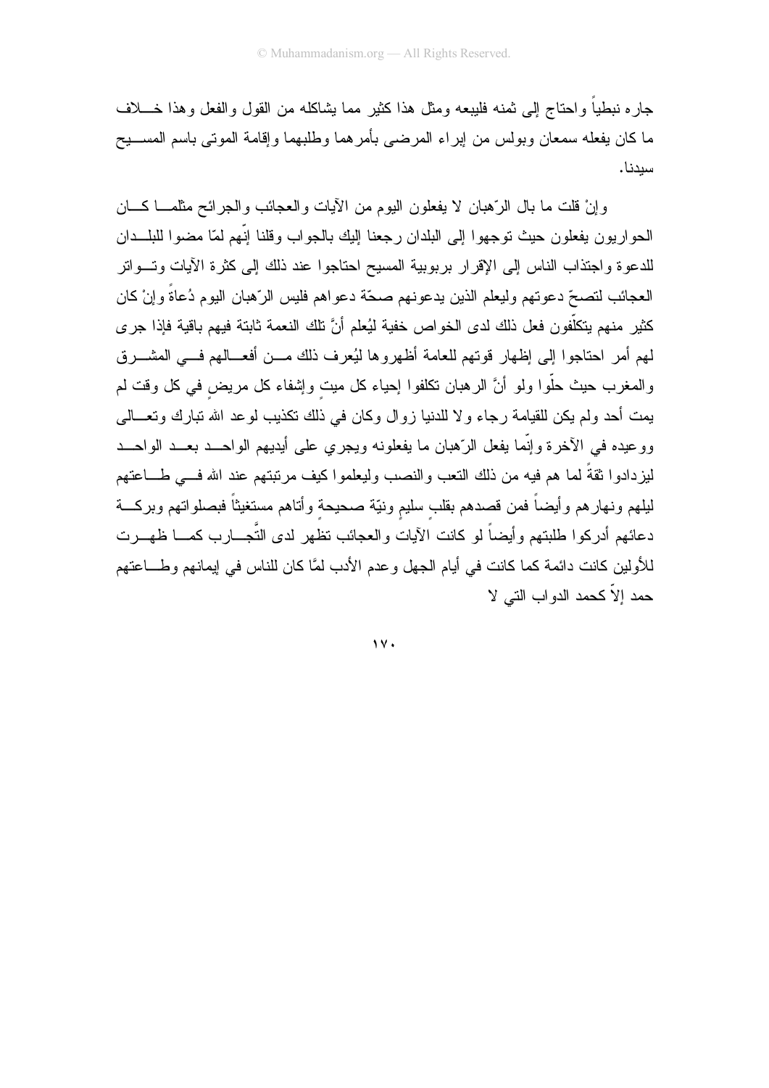جار ه نبطياً و احتاج إلى ثمنه فليبعه ومثل هذا كثير ًمما يشاكله من القول و الفعل و هذا خــــلاف ما كان يفعله سمعان وبولس من إبر اء المرضبي بأمر هما وطلبهما وإقامة الموتي باسم المســـبح سبدنا.

وإنْ قلت ما بال الرَّهبان لا يفعلون اليوم من الأيات والعجائب والجرائح مثلمـــا كـــان الحواريون يفعلون حيث توجهوا إلىي البلدان رجعنا إليك بالجواب وقلنا إنّهم لمّا مضوا للبلـــدان للدعوة واجتذاب الناس إلىي الإقرار بربوبية المسيح احتاجوا عند ذلك إلىي كثرة الأيات وتسواتر العجائب لتصحّ دعوتهم وليعلم الذين يدعونهم صحّة دعواهم فليس الرّهبان اليوم دُعاةً وإنْ كان كثير منهم يتكلُّفون فعل ذلك لدى الخواص خفية ليُعلم أنَّ تلك النعمة ثابتة فيهم باقية فإذا جرى لمهم أمر احتاجوا إلى إظهار قوتهم للعامة أظهروها ليُعرف ذلك مـــن أفعـــالهم فـــى المشـــرق والمغرب حيث حلُّوا ولو أنَّ الرهبان نكلفوا إحياء كل ميت وإشفاء كل مريض في كل وقت لم بمت أحد ولم بكن للقبامة ر جاء و لا للدنيا ز و ال وكان في ذلك تكذبب لو عد الله تبار ك و تعـــالـي وو عبده في الآخر ة و إنَّما بفعل الرِّهبان ما بفعلونه وبجرى على أبديهم الواحــد بعــد الواحــد ليز دادو ا ثقةً لما هم فيه من ذلك النّعب والنصب وليعلمو ا كيف مر تبتهم عند الله فـــى طـــاعتهم لبلهم ونهارهم وأيضاً فمن قصدهم بقلب سليم ونيّة صحيحة وأتاهم مستغيثاً فبصلواتهم وبركـــة دعائهم أدركوا طلبتهم وأيضاً لو كانت الأيات والعجائب تظهر لدى التُّجـــارب كمــــا ظهـــرت للأولين كانت دائمة كما كانت في أيام الجهل وعدم الأدب لمَّا كان للناس في إيمانهم وطــــاعتهم حمد إلاّ كحمد الدواب التي لا

 $\gamma$  .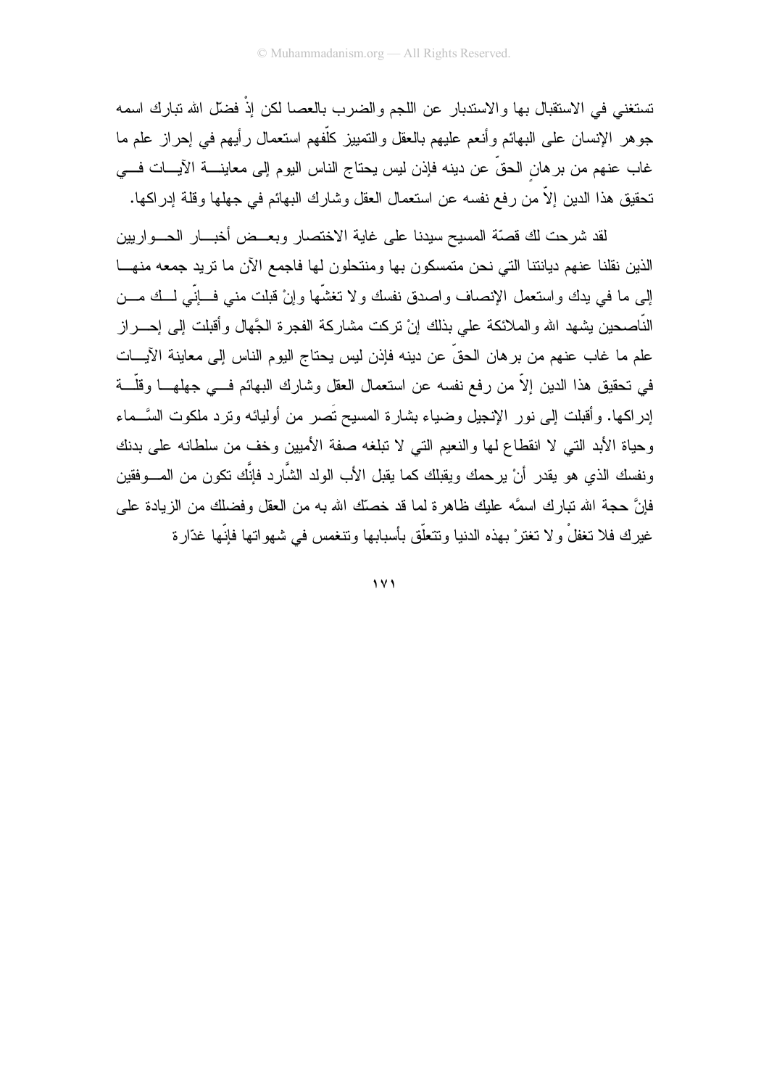تستغني في الاستقبال بـها و الاستدبار عن اللجم و الضر ب بالعصـا لكن إذْ فضلَّ الله تبار ك اسمـه جوهر الإنسان على البهائم وأنعم عليهم بالعقل والنمييز كلُّفهم استعمال رأيهم في إحراز علم ما غاب عنهم من بر هان الحقِّ عن دينه فإذن ليس يحتاج الناس اليوم إلى معاينــــة الآيــــات فــــى تحقيق هذا الدين إلاَّ من رفع نفسه عن استعمال العقل وشارك البهائم في جهلها وقلة إدراكها.

لقد شرحت لك قصنّة المسيح سيدنا على غاية الاختصار وبعــض أخبـــار الحـــواريين الذين نقلنا عنهم ديانتنا التي نحن متمسكون بها ومنتحلون لها فاجمع الأن ما نريد جمعه منهـــا إلى ما في بدك واستعمل الإنصاف واصدق نفسك ولا تغشَّها وإنْ قبلت مني فـــإنِّي لـــك مـــن النَّاصحين بشهد الله والملائكة على بذلك إنْ نركت مشاركة الفجرة الجَّهال وأفبلت إلى إحــــراز علم ما غاب عنهم من بر هان الحقِّ عن دينه فإذن ليس يحتاج اليوم الناس إلى معاينة الآيـــات في نَحقيق هذا الدين إلاَّ من رفع نفسه عن استعمال العقل وشارك البهائم فـــي جهاهـــا وقلَّـــة إدر اكما. و أقبلت إلى نور الإنجيل و ضباء بشار ة المسبح تَصر من أو لبائه و تر د ملكوت السَّــماء وحياة الأبد التبي لا انقطاع لها والنعيم التبي لا تبلغه صفة الأميين وخف من سلطانه على بدنك ونفسك الذي هو يقدر أنْ يرحمك ويقبلك كما يقبل الأب الولد الشَّارد فإنَّك نكون من المــــوفقين فإنَّ حجة الله نبارك اسمَّه عليك ظاهرة لما قد خصَّك الله به من العقل وفضلك من الزيادة على غيرك فلا نغفلْ ولا نغترْ بهذه الدنيا ونتعلَّق بأسبابها ونتغمس في شهواتها فإنَّها غدَّارة

 $\vee$